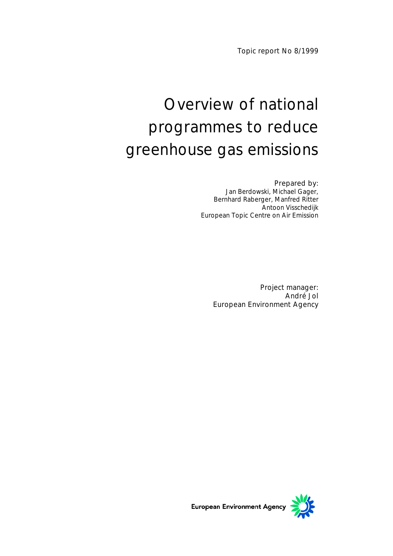Topic report No 8/1999

# Overview of national programmes to reduce greenhouse gas emissions

### Prepared by:

Jan Berdowski, Michael Gager, Bernhard Raberger, Manfred Ritter Antoon Visschedijk European Topic Centre on Air Emission

Project manager: André Jol European Environment Agency

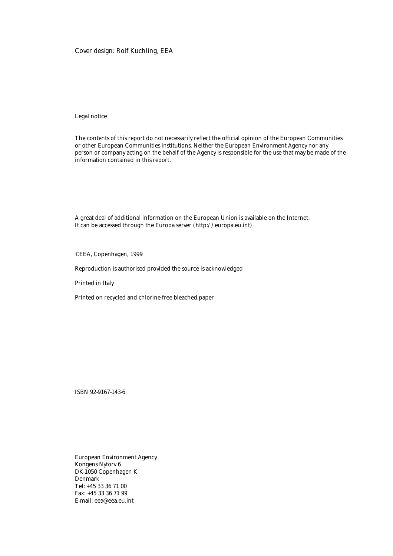#### Cover design: Rolf Kuchling, EEA

#### Legal notice

The contents of this report do not necessarily reflect the official opinion of the European Communities or other European Communities institutions. Neither the European Environment Agency nor any person or company acting on the behalf of the Agency is responsible for the use that may be made of the information contained in this report.

A great deal of additional information on the European Union is available on the Internet. It can be accessed through the Europa server (http://europa.eu.int)

©EEA, Copenhagen, 1999

Reproduction is authorised provided the source is acknowledged

Printed in Italy

Printed on recycled and chlorine-free bleached paper

ISBN 92-9167-143-6

European Environment Agency Kongens Nytorv 6 DK-1050 Copenhagen K Denmark Tel: +45 33 36 71 00 Fax: +45 33 36 71 99 E-mail: eea@eea.eu.int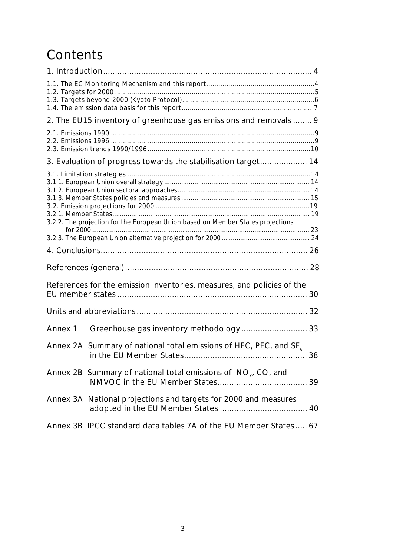# **Contents**

| 2. The EU15 inventory of greenhouse gas emissions and removals  9               |  |
|---------------------------------------------------------------------------------|--|
|                                                                                 |  |
| 3. Evaluation of progress towards the stabilisation target 14                   |  |
| 3.2.2. The projection for the European Union based on Member States projections |  |
|                                                                                 |  |
|                                                                                 |  |
|                                                                                 |  |
|                                                                                 |  |
| References for the emission inventories, measures, and policies of the          |  |
|                                                                                 |  |
| Annex 1                                                                         |  |
| Annex 2A Summary of national total emissions of HFC, PFC, and SF <sub>6</sub>   |  |
| Annex 2B Summary of national total emissions of $NOx$ , CO, and                 |  |
| Annex 3A National projections and targets for 2000 and measures                 |  |
| Annex 3B IPCC standard data tables 7A of the EU Member States 67                |  |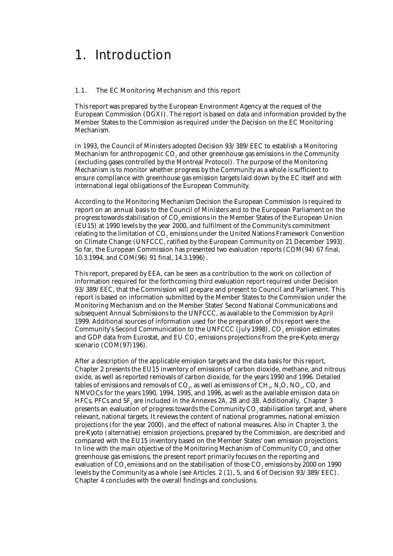### 1. Introduction

#### 1.1. The EC Monitoring Mechanism and this report

This report was prepared by the European Environment Agency at the request of the European Commission (DGXI). The report is based on data and information provided by the Member States to the Commission as required under the Decision on the EC Monitoring Mechanism.

In 1993, the Council of Ministers adopted Decision 93/389/EEC to establish a Monitoring Mechanism for anthropogenic CO<sub>2</sub> and other greenhouse gas emissions in the Community (excluding gases controlled by the Montreal Protocol). The purpose of the Monitoring Mechanism is to monitor whether progress by the Community as a whole is sufficient to ensure compliance with greenhouse gas emission targets laid down by the EC itself and with international legal obligations of the European Community.

According to the Monitoring Mechanism Decision the European Commission is required to report on an annual basis to the Council of Ministers and to the European Parliament on the progress towards stabilisation of CO<sub>2</sub> emissions in the Member States of the European Union (EU15) at 1990 levels by the year 2000, and fulfilment of the Community's commitment relating to the limitation of CO<sub>2</sub> emissions under the United Nations Framework Convention on Climate Change (UNFCCC, ratified by the European Community on 21 December 1993). So far, the European Commission has presented two evaluation reports (COM(94) 67 final, 10.3.1994, and COM(96) 91 final, 14.3.1996).

This report, prepared by EEA, can be seen as a contribution to the work on collection of information required for the forthcoming third evaluation report required under Decision 93/389/EEC, that the Commission will prepare and present to Council and Parliament. This report is based on information submitted by the Member States to the Commission under the Monitoring Mechanism and on the Member States' Second National Communications and subsequent Annual Submissions to the UNFCCC, as available to the Commission by April 1999. Additional sources of information used for the preparation of this report were the Community's Second Communication to the UNFCCC (July 1998), CO<sub>2</sub> emission estimates and GDP data from Eurostat, and EU CO<sub>s</sub> emissions projections from the pre-Kyoto energy scenario (COM(97)196).

After a description of the applicable emission targets and the data basis for this report, Chapter 2 presents the EU15 inventory of emissions of carbon dioxide, methane, and nitrous oxide, as well as reported removals of carbon dioxide, for the years 1990 and 1996. Detailed tables of emissions and removals of  $CO<sub>2</sub>$ , as well as emissions of  $CH<sub>4</sub>$ , N<sub>2</sub>O, NO<sub>y</sub>, CO, and NMVOCs for the years 1990, 1994, 1995, and 1996, as well as the available emission data on HFCs, PFCs and SF<sub>e</sub> are included in the Annexes 2A, 2B and 3B. Additionally, Chapter 3 presents an evaluation of progress towards the Community CO<sub>2</sub> stabilisation target and, where relevant, national targets. It reviews the content of national programmes, national emission projections (for the year 2000), and the effect of national measures. Also in Chapter 3, the pre-Kyoto (alternative) emission projections, prepared by the Commission, are described and compared with the EU15 inventory based on the Member States' own emission projections. In line with the main objective of the Monitoring Mechanism of Community CO<sub>2</sub> and other greenhouse gas emissions, the present report primarily focuses on the reporting and evaluation of CO<sub>2</sub> emissions and on the stabilisation of those CO<sub>2</sub> emissions by 2000 on 1990 levels by the Community as a whole (see Articles 2 (1), 5, and 6 of Decision 93/389/EEC). Chapter 4 concludes with the overall findings and conclusions.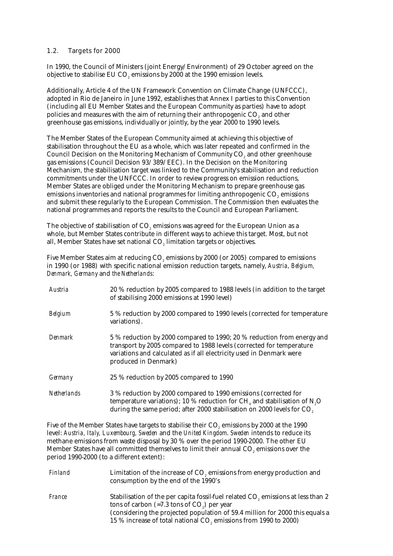#### 1.2. Targets for 2000

In 1990, the Council of Ministers (joint Energy/Environment) of 29 October agreed on the objective to stabilise EU CO<sub>2</sub> emissions by 2000 at the 1990 emission levels.

Additionally, Article 4 of the UN Framework Convention on Climate Change (UNFCCC), adopted in Rio de Janeiro in June 1992, establishes that Annex I parties to this Convention (including all EU Member States and the European Community as parties) have to adopt policies and measures with the aim of returning their anthropogenic CO<sub>2</sub> and other greenhouse gas emissions, individually or jointly, by the year 2000 to 1990 levels.

The Member States of the European Community aimed at achieving this objective of stabilisation throughout the EU as a whole, which was later repeated and confirmed in the Council Decision on the Monitoring Mechanism of Community CO<sub>2</sub> and other greenhouse gas emissions (Council Decision 93/389/EEC). In the Decision on the Monitoring Mechanism, the stabilisation target was linked to the Community's stabilisation and reduction commitments under the UNFCCC. In order to review progress on emission reductions, Member States are obliged under the Monitoring Mechanism to prepare greenhouse gas emissions inventories and national programmes for limiting anthropogenic CO<sub>2</sub> emissions and submit these regularly to the European Commission. The Commission then evaluates the national programmes and reports the results to the Council and European Parliament.

The objective of stabilisation of CO<sub>2</sub> emissions was agreed for the European Union as a whole, but Member States contribute in different ways to achieve this target. Most, but not all, Member States have set national CO<sub>2</sub> limitation targets or objectives.

Five Member States aim at reducing CO<sub>2</sub> emissions by 2000 (or 2005) compared to emissions in 1990 (or 1988) with specific national emission reduction targets, namely, *Austria, Belgium, Denmark, Germany* and *the Netherlands*:

| Austria            | 20 % reduction by 2005 compared to 1988 levels (in addition to the target<br>of stabilising 2000 emissions at 1990 level)                                                                                                                                   |
|--------------------|-------------------------------------------------------------------------------------------------------------------------------------------------------------------------------------------------------------------------------------------------------------|
| <b>Belgium</b>     | 5 % reduction by 2000 compared to 1990 levels (corrected for temperature<br>variations).                                                                                                                                                                    |
| <b>Denmark</b>     | 5 % reduction by 2000 compared to 1990; 20 % reduction from energy and<br>transport by 2005 compared to 1988 levels (corrected for temperature<br>variations and calculated as if all electricity used in Denmark were<br>produced in Denmark)              |
| <i>Germany</i>     | 25 % reduction by 2005 compared to 1990                                                                                                                                                                                                                     |
| <b>Netherlands</b> | 3 % reduction by 2000 compared to 1990 emissions (corrected for<br>temperature variations); 10 % reduction for CH <sub>4</sub> and stabilisation of N <sub>2</sub> O<br>during the same period; after 2000 stabilisation on 2000 levels for CO <sub>2</sub> |

Five of the Member States have targets to stabilise their CO<sub>2</sub> emissions by 2000 at the 1990 level: *Austria, Italy, Luxembourg, Sweden* and the *United Kingdom*. *Sweden* intends to reduce its methane emissions from waste disposal by 30 % over the period 1990-2000. The other EU Member States have all committed themselves to limit their annual CO<sub>2</sub> emissions over the period 1990-2000 (to a different extent):

| Finland       | Limitation of the increase of CO <sub>2</sub> emissions from energy production and<br>consumption by the end of the 1990's                                                                                                                                                                                              |
|---------------|-------------------------------------------------------------------------------------------------------------------------------------------------------------------------------------------------------------------------------------------------------------------------------------------------------------------------|
| <i>France</i> | Stabilisation of the per capita fossil-fuel related CO <sub>2</sub> emissions at less than 2<br>tons of carbon $(=7.3 \text{ tons of CO}_{2})$ per year<br>(considering the projected population of 59.4 million for 2000 this equals a<br>15 % increase of total national CO <sub>2</sub> emissions from 1990 to 2000) |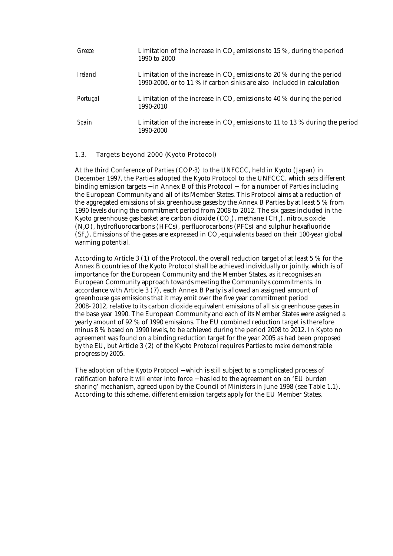| Greece         | Limitation of the increase in $CO$ , emissions to 15 %, during the period<br>1990 to 2000                                                          |
|----------------|----------------------------------------------------------------------------------------------------------------------------------------------------|
| <i>Ireland</i> | Limitation of the increase in $CO$ , emissions to 20 % during the period<br>1990-2000, or to 11 % if carbon sinks are also included in calculation |
| Portugal       | Limitation of the increase in $COz$ emissions to 40 % during the period<br>1990-2010                                                               |
| Spain          | Limitation of the increase in $COs$ emissions to 11 to 13 % during the period<br>1990-2000                                                         |

### 1.3. Targets beyond 2000 (Kyoto Protocol)

At the third Conference of Parties (COP-3) to the UNFCCC, held in Kyoto (Japan) in December 1997, the Parties adopted the Kyoto Protocol to the UNFCCC, which sets different binding emission targets − in Annex B of this Protocol − for a number of Parties including the European Community and all of its Member States. This Protocol aims at a reduction of the aggregated emissions of six greenhouse gases by the Annex B Parties by at least 5 % from 1990 levels during the commitment period from 2008 to 2012. The six gases included in the Kyoto greenhouse gas basket are carbon dioxide  $(CO<sub>2</sub>)$ , methane  $(CH<sub>4</sub>)$ , nitrous oxide (N2O), hydrofluorocarbons (HFCs), perfluorocarbons (PFCs) and sulphur hexafluoride  $(SF<sub>s</sub>)$ . Emissions of the gases are expressed in CO<sub>2</sub>-equivalents based on their 100-year global warming potential.

According to Article 3 (1) of the Protocol, the overall reduction target of at least 5 % for the Annex B countries of the Kyoto Protocol shall be achieved individually or jointly, which is of importance for the European Community and the Member States, as it recognises an European Community approach towards meeting the Community's commitments. In accordance with Article 3 (7), each Annex B Party is allowed an assigned amount of greenhouse gas emissions that it may emit over the five year commitment period 2008- 2012, relative to its carbon dioxide equivalent emissions of all six greenhouse gases in the base year 1990. The European Community and each of its Member States were assigned a yearly amount of 92 % of 1990 emissions. The EU combined reduction target is therefore minus 8 % based on 1990 levels, to be achieved during the period 2008 to 2012. In Kyoto no agreement was found on a binding reduction target for the year 2005 as had been proposed by the EU, but Article 3 (2) of the Kyoto Protocol requires Parties to make demonstrable progress by 2005.

The adoption of the Kyoto Protocol – which is still subject to a complicated process of ratification before it will enter into force − has led to the agreement on an 'EU burden sharing' mechanism, agreed upon by the Council of Ministers in June 1998 (see Table 1.1). According to this scheme, different emission targets apply for the EU Member States.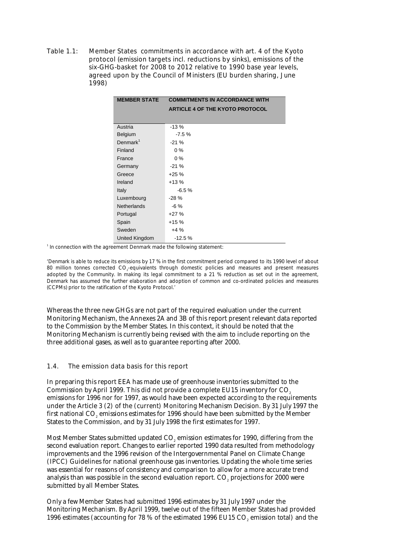Table 1.1: Member States commitments in accordance with art. 4 of the Kyoto protocol (emission targets incl. reductions by sinks), emissions of the six-GHG-basket for 2008 to 2012 relative to 1990 base year levels, agreed upon by the Council of Ministers (EU burden sharing, June 1998)

| <b>COMMITMENTS IN ACCORDANCE WITH</b><br><b>MEMBER STATE</b> |                                        |  |  |  |  |
|--------------------------------------------------------------|----------------------------------------|--|--|--|--|
|                                                              | <b>ARTICLE 4 OF THE KYOTO PROTOCOL</b> |  |  |  |  |
|                                                              |                                        |  |  |  |  |
| Austria                                                      | $-13%$                                 |  |  |  |  |
| Belgium                                                      | $-7.5%$                                |  |  |  |  |
| Denmark <sup>1</sup>                                         | $-21%$                                 |  |  |  |  |
| Finland                                                      | $0\%$                                  |  |  |  |  |
| France                                                       | $0\%$                                  |  |  |  |  |
| Germany                                                      | $-21%$                                 |  |  |  |  |
| Greece                                                       | $+25%$                                 |  |  |  |  |
| Ireland                                                      | $+13%$                                 |  |  |  |  |
| Italy                                                        | $-6.5%$                                |  |  |  |  |
| Luxembourg                                                   | $-28%$                                 |  |  |  |  |
| <b>Netherlands</b>                                           | -6 %                                   |  |  |  |  |
| Portugal                                                     | $+27%$                                 |  |  |  |  |
| Spain                                                        | $+15%$                                 |  |  |  |  |
| Sweden                                                       | $+4%$                                  |  |  |  |  |
| United Kingdom                                               | $-12.5%$                               |  |  |  |  |

<sup>1</sup> In connection with the agreement Denmark made the following statement:

'Denmark is able to reduce its emissions by 17 % in the first commitment period compared to its 1990 level of about 80 million tonnes corrected CO<sub>2</sub>-equivalents through domestic policies and measures and present measures adopted by the Community. In making its legal commitment to a 21 % reduction as set out in the agreement, Denmark has assumed the further elaboration and adoption of common and co-ordinated policies and measures (CCPMs) prior to the ratification of the Kyoto Protocol.'

Whereas the three new GHGs are not part of the required evaluation under the current Monitoring Mechanism, the Annexes 2A and 3B of this report present relevant data reported to the Commission by the Member States. In this context, it should be noted that the Monitoring Mechanism is currently being revised with the aim to include reporting on the three additional gases, as well as to guarantee reporting after 2000.

#### 1.4. The emission data basis for this report

In preparing this report EEA has made use of greenhouse inventories submitted to the Commission by April 1999. This did not provide a complete EU15 inventory for CO<sub>2</sub> emissions for 1996 nor for 1997, as would have been expected according to the requirements under the Article 3 (2) of the (current) Monitoring Mechanism Decision. By 31 July 1997 the first national CO<sub>2</sub> emissions estimates for 1996 should have been submitted by the Member States to the Commission, and by 31 July 1998 the first estimates for 1997.

Most Member States submitted updated CO<sub>2</sub> emission estimates for 1990, differing from the second evaluation report. Changes to earlier reported 1990 data resulted from methodology improvements and the 1996 revision of the Intergovernmental Panel on Climate Change (IPCC) Guidelines for national greenhouse gas inventories. Updating the whole time series was essential for reasons of consistency and comparison to allow for a more accurate trend analysis than was possible in the second evaluation report. CO<sub>2</sub> projections for 2000 were submitted by all Member States.

Only a few Member States had submitted 1996 estimates by 31 July 1997 under the Monitoring Mechanism. By April 1999, twelve out of the fifteen Member States had provided 1996 estimates (accounting for 78 % of the estimated 1996 EU15 CO, emission total) and the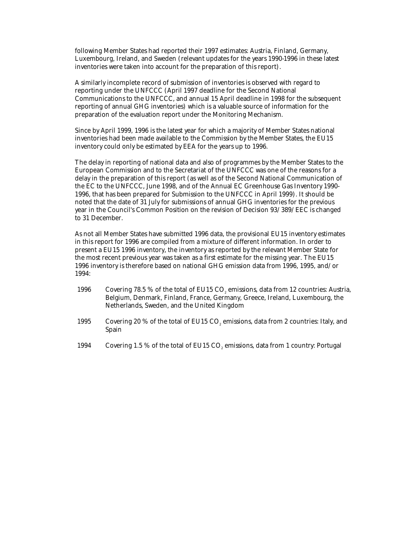following Member States had reported their 1997 estimates: Austria, Finland, Germany, Luxembourg, Ireland, and Sweden (relevant updates for the years 1990-1996 in these latest inventories were taken into account for the preparation of this report).

A similarly incomplete record of submission of inventories is observed with regard to reporting under the UNFCCC (April 1997 deadline for the Second National Communications to the UNFCCC, and annual 15 April deadline in 1998 for the subsequent reporting of annual GHG inventories) which is a valuable source of information for the preparation of the evaluation report under the Monitoring Mechanism.

Since by April 1999, 1996 is the latest year for which a majority of Member States national inventories had been made available to the Commission by the Member States, the EU15 inventory could only be estimated by EEA for the years up to 1996.

The delay in reporting of national data and also of programmes by the Member States to the European Commission and to the Secretariat of the UNFCCC was one of the reasons for a delay in the preparation of this report (as well as of the Second National Communication of the EC to the UNFCCC, June 1998, and of the Annual EC Greenhouse Gas Inventory 1990- 1996, that has been prepared for Submission to the UNFCCC in April 1999). It should be noted that the date of 31 July for submissions of annual GHG inventories for the previous year in the Council's Common Position on the revision of Decision 93/389/EEC is changed to 31 December.

As not all Member States have submitted 1996 data, the provisional EU15 inventory estimates in this report for 1996 are compiled from a mixture of different information. In order to present a EU15 1996 inventory, the inventory as reported by the relevant Member State for the most recent previous year was taken as a first estimate for the missing year. The EU15 1996 inventory is therefore based on national GHG emission data from 1996, 1995, and/or 1994:

- 1996 Covering 78.5 % of the total of EU15 CO<sub>2</sub> emissions, data from 12 countries: Austria, Belgium, Denmark, Finland, France, Germany, Greece, Ireland, Luxembourg, the Netherlands, Sweden, and the United Kingdom
- 1995 Covering 20 % of the total of EU15 CO<sub>2</sub> emissions, data from 2 countries: Italy, and Spain
- 1994 Covering 1.5 % of the total of EU15 CO<sub>2</sub> emissions, data from 1 country: Portugal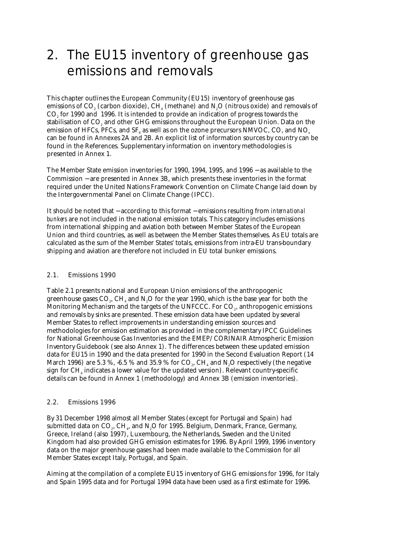# 2. The EU15 inventory of greenhouse gas emissions and removals

This chapter outlines the European Community (EU15) inventory of greenhouse gas emissions of CO<sub>2</sub> (carbon dioxide), CH<sub>4</sub> (methane) and N<sub>2</sub>O (nitrous oxide) and removals of CO<sub>2</sub> for 1990 and 1996. It is intended to provide an indication of progress towards the stabilisation of CO2 and other GHG emissions throughout the European Union. Data on the emission of HFCs, PFCs, and  $SF<sub>6</sub>$  as well as on the ozone precursors NMVOC, CO, and NO<sub>x</sub> can be found in Annexes 2A and 2B. An explicit list of information sources by country can be found in the References. Supplementary information on inventory methodologies is presented in Annex 1.

The Member State emission inventories for 1990, 1994, 1995, and 1996 − as available to the Commission − are presented in Annex 3B, which presents these inventories in the format required under the United Nations Framework Convention on Climate Change laid down by the Intergovernmental Panel on Climate Change (IPCC).

It should be noted that − according to this format − emissions resulting from *international bunkers* are not included in the national emission totals. This category includes emissions from international shipping and aviation both between Member States of the European Union and third countries, as well as between the Member States themselves. As EU totals are calculated as the sum of the Member States' totals, emissions from intra-EU trans-boundary shipping and aviation are therefore not included in EU total bunker emissions.

#### 2.1. Emissions 1990

Table 2.1 presents national and European Union emissions of the anthropogenic greenhouse gases  $CO<sub>2</sub>$ , CH<sub>4</sub> and N<sub>2</sub>O for the year 1990, which is the base year for both the Monitoring Mechanism and the targets of the UNFCCC. For CO<sub>2</sub>, anthropogenic emissions and removals by sinks are presented. These emission data have been updated by several Member States to reflect improvements in understanding emission sources and methodologies for emission estimation as provided in the complementary IPCC Guidelines for National Greenhouse Gas Inventories and the EMEP/CORINAIR Atmospheric Emission Inventory Guidebook (see also Annex 1). The differences between these updated emission data for EU15 in 1990 and the data presented for 1990 in the Second Evaluation Report (14 March 1996) are 5.3 %, -6.5 % and 35.9 % for  $CO<sub>2</sub>$ , CH<sub>4</sub> and N<sub>2</sub>O respectively (the negative sign for  $CH<sub>4</sub>$  indicates a lower value for the updated version). Relevant country-specific details can be found in Annex 1 (methodology) and Annex 3B (emission inventories).

#### 2.2. Emissions 1996

By 31 December 1998 almost all Member States (except for Portugal and Spain) had submitted data on CO<sub>3</sub>, CH<sub>1</sub>, and N<sub>2</sub>O for 1995. Belgium, Denmark, France, Germany, Greece, Ireland (also 1997), Luxembourg, the Netherlands, Sweden and the United Kingdom had also provided GHG emission estimates for 1996. By April 1999, 1996 inventory data on the major greenhouse gases had been made available to the Commission for all Member States except Italy, Portugal, and Spain.

Aiming at the compilation of a complete EU15 inventory of GHG emissions for 1996, for Italy and Spain 1995 data and for Portugal 1994 data have been used as a first estimate for 1996.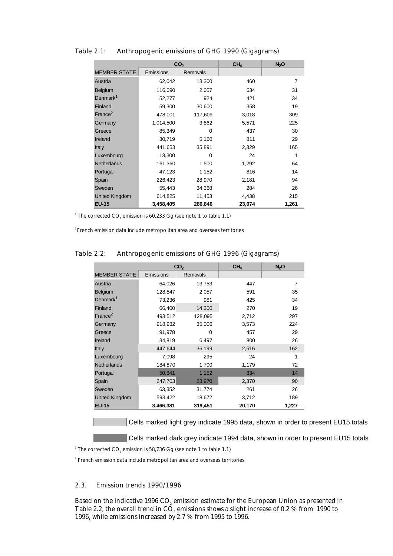|                     |           | CO <sub>2</sub> | CH <sub>4</sub> | N <sub>2</sub> O |
|---------------------|-----------|-----------------|-----------------|------------------|
| <b>MEMBER STATE</b> | Emissions | Removals        |                 |                  |
| Austria             | 62,042    | 13,300          | 460             | 7                |
| <b>Belgium</b>      | 116,090   | 2,057           | 634             | 31               |
| Denmark $1$         | 52,277    | 924             | 421             | 34               |
| Finland             | 59,300    | 30,600          | 358             | 19               |
| France <sup>2</sup> | 478,001   | 117,609         | 3,018           | 309              |
| Germany             | 1,014,500 | 3,862           | 5,571           | 225              |
| Greece              | 85,349    | $\Omega$        | 437             | 30               |
| Ireland             | 30,719    | 5,160           | 811             | 29               |
| <b>Italy</b>        | 441,653   | 35,891          | 2,329           | 165              |
| Luxembourg          | 13,300    | $\Omega$        | 24              | 1                |
| <b>Netherlands</b>  | 161,360   | 1,500           | 1,292           | 64               |
| Portugal            | 47,123    | 1,152           | 816             | 14               |
| Spain               | 226,423   | 28,970          | 2,181           | 94               |
| Sweden              | 55,443    | 34,368          | 284             | 26               |
| United Kingdom      | 614,825   | 11,453          | 4,438           | 215              |
| <b>EU-15</b>        | 3,458,405 | 286,846         | 23,074          | 1,261            |

Table 2.1: Anthropogenic emissions of GHG 1990 (Gigagrams)

<sup>1</sup> The corrected CO<sub>2</sub> emission is 60,233 Gg (see note 1 to table 1.1)

2 French emission data include metropolitan area and overseas territories

|                       |           | CO <sub>2</sub> | CH <sub>4</sub> | N <sub>2</sub> O |
|-----------------------|-----------|-----------------|-----------------|------------------|
| <b>MEMBER STATE</b>   | Emissions | Removals        |                 |                  |
| Austria               | 64,026    | 13,753          | 447             | $\overline{7}$   |
| <b>Belgium</b>        | 128,547   | 2,057           | 591             | 35               |
| Denmark <sup>1</sup>  | 73,236    | 981             | 425             | 34               |
| Finland               | 66,400    | 14,300          | 270             | 19               |
| France <sup>2</sup>   | 493,512   | 128,095         | 2,712           | 297              |
| Germany               | 918,932   | 35,006          | 3,573           | 224              |
| Greece                | 91,978    | $\Omega$        | 457             | 29               |
| Ireland               | 34,819    | 6,497           | 800             | 26               |
| <b>Italy</b>          | 447,644   | 36,199          | 2,516           | 162              |
| Luxembourg            | 7,098     | 295             | 24              | 1                |
| <b>Netherlands</b>    | 184,870   | 1,700           | 1,179           | 72               |
| Portugal              | 50,841    | 1,152           | 834             | 14               |
| Spain                 | 247,703   | 28,970          | 2,370           | 90               |
| Sweden                | 63,352    | 31,774          | 261             | 26               |
| <b>United Kingdom</b> | 593,422   | 18,672          | 3,712           | 189              |
| <b>EU-15</b>          | 3,466,381 | 319,451         | 20,170          | 1,227            |

### Table 2.2: Anthropogenic emissions of GHG 1996 (Gigagrams)

Cells marked light grey indicate 1995 data, shown in order to present EU15 totals

**Cells marked dark grey indicate 1994 data, shown in order to present EU15 totals** 

 $^{\rm 1}$  The corrected CO $_{\rm 2}$  emission is 58,736 Gg (see note 1 to table 1.1)

<sup>2</sup> French emission data include metropolitan area and overseas territories

#### 2.3. Emission trends 1990/1996

Based on the indicative 1996  $CO<sub>2</sub>$  emission estimate for the European Union as presented in Table 2.2, the overall trend in  $\overline{CO}$ , emissions shows a slight increase of 0.2 % from 1990 to 1996, while emissions increased by 2.7 % from 1995 to 1996.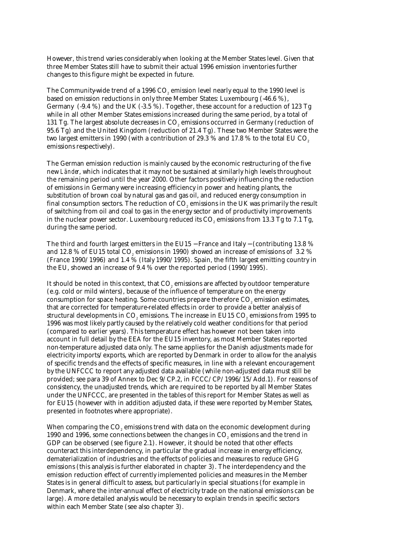However, this trend varies considerably when looking at the Member States level. Given that three Member States still have to submit their actual 1996 emission inventories further changes to this figure might be expected in future.

The Community-wide trend of a 1996 CO<sub>2</sub> emission level nearly equal to the 1990 level is based on emission reductions in only three Member States: Luxembourg (-46.6 %), Germany  $(-9.4\%)$  and the UK  $(-3.5\%)$ . Together, these account for a reduction of 123 Tg while in all other Member States emissions increased during the same period, by a total of 131 Tg. The largest absolute decreases in CO<sub>2</sub> emissions occurred in Germany (reduction of 95.6 Tg) and the United Kingdom (reduction of 21.4 Tg). These two Member States were the two largest emitters in 1990 (with a contribution of 29.3 % and 17.8 % to the total EU CO<sub>2</sub> emissions respectively).

The German emission reduction is mainly caused by the economic restructuring of the five new *Länder*, which indicates that it may not be sustained at similarly high levels throughout the remaining period until the year 2000. Other factors positively influencing the reduction of emissions in Germany were increasing efficiency in power and heating plants, the substitution of brown coal by natural gas and gas oil, and reduced energy consumption in final consumption sectors. The reduction of  $CO<sub>z</sub>$  emissions in the UK was primarily the result of switching from oil and coal to gas in the energy sector and of productivity improvements in the nuclear power sector. Luxembourg reduced its  $CO<sub>2</sub>$  emissions from 13.3 Tg to 7.1 Tg, during the same period.

The third and fourth largest emitters in the EU15 − France and Italy – (contributing 13.8 % and 12.8 % of EU15 total CO<sub>2</sub> emissions in 1990) showed an increase of emissions of 3.2 % (France 1990/1996) and 1.4 % (Italy 1990/1995). Spain, the fifth largest emitting country in the EU, showed an increase of 9.4 % over the reported period (1990/1995).

It should be noted in this context, that CO<sub>2</sub> emissions are affected by outdoor temperature (e.g. cold or mild winters), because of the influence of temperature on the energy consumption for space heating. Some countries prepare therefore CO<sub>2</sub> emission estimates, that are corrected for temperature-related effects in order to provide a better analysis of structural developments in CO<sub>2</sub> emissions. The increase in EU15 CO<sub>2</sub> emissions from 1995 to 1996 was most likely partly caused by the relatively cold weather conditions for that period (compared to earlier years). This temperature effect has however not been taken into account in full detail by the EEA for the EU15 inventory, as most Member States reported non-temperature adjusted data only. The same applies for the Danish adjustments made for electricity imports/exports, which are reported by Denmark in order to allow for the analysis of specific trends and the effects of specific measures, in line with a relevant encouragement by the UNFCCC to report any adjusted data available (while non-adjusted data must still be provided; see para 39 of Annex to Dec 9/CP.2, in FCCC/CP/1996/15/Add.1). For reasons of consistency, the unadjusted trends, which are required to be reported by all Member States under the UNFCCC, are presented in the tables of this report for Member States as well as for EU15 (however with in addition adjusted data, if these were reported by Member States, presented in footnotes where appropriate).

When comparing the CO<sub>2</sub> emissions trend with data on the economic development during 1990 and 1996, some connections between the changes in CO<sub>2</sub> emissions and the trend in GDP can be observed (see figure 2.1). However, it should be noted that other effects counteract this interdependency, in particular the gradual increase in energy efficiency, dematerialization of industries and the effects of policies and measures to reduce GHG emissions (this analysis is further elaborated in chapter 3). The interdependency and the emission reduction effect of currently implemented policies and measures in the Member States is in general difficult to assess, but particularly in special situations (for example in Denmark, where the inter-annual effect of electricity trade on the national emissions can be large). A more detailed analysis would be necessary to explain trends in specific sectors within each Member State (see also chapter 3).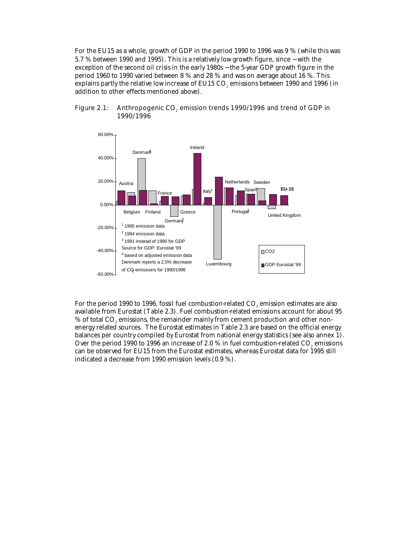For the EU15 as a whole, growth of GDP in the period 1990 to 1996 was 9 % (while this was 5.7 % between 1990 and 1995). This is a relatively low growth figure, since − with the exception of the second oil crisis in the early 1980s – the 5-year GDP growth figure in the period 1960 to 1990 varied between 8 % and 28 % and was on average about 16 %. This explains partly the relative low increase of EU15 CO<sub>2</sub> emissions between 1990 and 1996 (in addition to other effects mentioned above).



Figure 2.1: Anthropogenic CO<sub>2</sub> emission trends 1990/1996 and trend of GDP in 1990/1996

For the period 1990 to 1996, fossil fuel combustion-related CO<sub>2</sub> emission estimates are also available from Eurostat (Table 2.3). Fuel combustion-related emissions account for about 95 % of total CO<sub>2</sub> emissions, the remainder mainly from cement production and other nonenergy related sources. The Eurostat estimates in Table 2.3 are based on the official energy balances per country compiled by Eurostat from national energy statistics (see also annex 1). Over the period 1990 to 1996 an increase of 2.0  $%$  in fuel combustion-related CO<sub>2</sub> emissions can be observed for EU15 from the Eurostat estimates, whereas Eurostat data for 1995 still indicated a decrease from 1990 emission levels (0.9 %).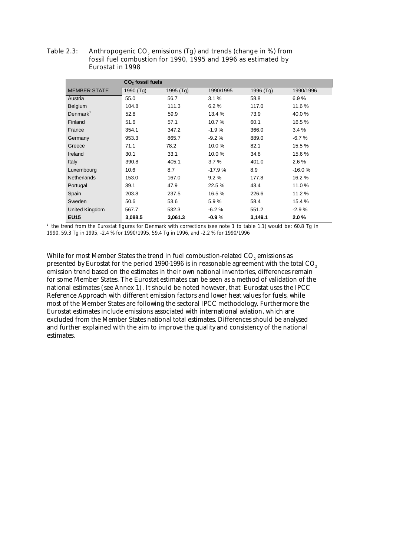Table 2.3: Anthropogenic  $CO<sub>2</sub>$  emissions (Tg) and trends (change in %) from fossil fuel combustion for 1990, 1995 and 1996 as estimated by Eurostat in 1998

|                     | $CO2$ fossil fuels |           |           |           |           |  |  |
|---------------------|--------------------|-----------|-----------|-----------|-----------|--|--|
| <b>MEMBER STATE</b> | 1990 (Tg)          | 1995 (Tg) | 1990/1995 | 1996 (Tg) | 1990/1996 |  |  |
| Austria             | 55.0               | 56.7      | 3.1%      | 58.8      | 6.9%      |  |  |
| Belgium             | 104.8              | 111.3     | 6.2%      | 117.0     | 11.6%     |  |  |
| Denmark $1$         | 52.8               | 59.9      | 13.4 %    | 73.9      | 40.0%     |  |  |
| Finland             | 51.6               | 57.1      | 10.7%     | 60.1      | 16.5%     |  |  |
| France              | 354.1              | 347.2     | $-1.9%$   | 366.0     | 3.4%      |  |  |
| Germany             | 953.3              | 865.7     | $-9.2%$   | 889.0     | -6.7 %    |  |  |
| Greece              | 71.1               | 78.2      | 10.0%     | 82.1      | 15.5%     |  |  |
| Ireland             | 30.1               | 33.1      | 10.0%     | 34.8      | 15.6%     |  |  |
| Italy               | 390.8              | 405.1     | 3.7%      | 401.0     | 2.6 %     |  |  |
| Luxembourg          | 10.6               | 8.7       | $-17.9%$  | 8.9       | $-16.0%$  |  |  |
| <b>Netherlands</b>  | 153.0              | 167.0     | 9.2%      | 177.8     | 16.2%     |  |  |
| Portugal            | 39.1               | 47.9      | 22.5%     | 43.4      | 11.0%     |  |  |
| Spain               | 203.8              | 237.5     | 16.5%     | 226.6     | 11.2%     |  |  |
| Sweden              | 50.6               | 53.6      | 5.9%      | 58.4      | 15.4 %    |  |  |
| United Kingdom      | 567.7              | 532.3     | $-6.2%$   | 551.2     | $-2.9%$   |  |  |
| <b>EU15</b>         | 3,088.5            | 3,061.3   | $-0.9%$   | 3,149.1   | 2.0%      |  |  |

1 the trend from the Eurostat figures for Denmark with corrections (see note 1 to table 1.1) would be: 60.8 Tg in 1990, 59.3 Tg in 1995, -2.4 % for 1990/1995, 59.4 Tg in 1996, and -2.2 % for 1990/1996

While for most Member States the trend in fuel combustion-related  $CO<sub>2</sub>$  emissions as presented by Eurostat for the period 1990-1996 is in reasonable agreement with the total CO<sub>2</sub> emission trend based on the estimates in their own national inventories, differences remain for some Member States. The Eurostat estimates can be seen as a method of validation of the national estimates (see Annex 1). It should be noted however, that Eurostat uses the IPCC Reference Approach with different emission factors and lower heat values for fuels, while most of the Member States are following the sectoral IPCC methodology. Furthermore the Eurostat estimates include emissions associated with international aviation, which are excluded from the Member States national total estimates. Differences should be analysed and further explained with the aim to improve the quality and consistency of the national estimates.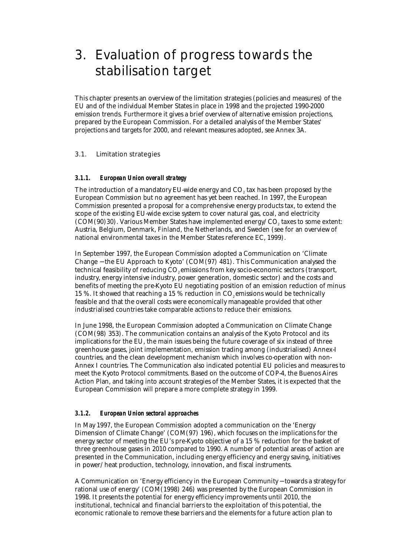# 3. Evaluation of progress towards the stabilisation target

This chapter presents an overview of the limitation strategies (policies and measures) of the EU and of the individual Member States in place in 1998 and the projected 1990-2000 emission trends. Furthermore it gives a brief overview of alternative emission projections, prepared by the European Commission. For a detailed analysis of the Member States' projections and targets for 2000, and relevant measures adopted, see Annex 3A.

### 3.1. Limitation strategies

#### *3.1.1. European Union overall strategy*

The introduction of a mandatory EU-wide energy and CO<sub>2</sub> tax has been proposed by the European Commission but no agreement has yet been reached. In 1997, the European Commission presented a proposal for a comprehensive energy products tax, to extend the scope of the existing EU-wide excise system to cover natural gas, coal, and electricity  $(COM(90)30)$ . Various Member States have implemented energy/ $CO$ , taxes to some extent: Austria, Belgium, Denmark, Finland, the Netherlands, and Sweden (see for an overview of national environmental taxes in the Member States reference EC, 1999).

In September 1997, the European Commission adopted a Communication on 'Climate Change − the EU Approach to Kyoto' (COM(97) 481). This Communication analysed the technical feasibility of reducing CO<sub>2</sub> emissions from key socio-economic sectors (transport, industry, energy intensive industry, power generation, domestic sector) and the costs and benefits of meeting the pre-Kyoto EU negotiating position of an emission reduction of minus 15 %. It showed that reaching a 15 % reduction in  $CO<sub>e</sub>$  emissions would be technically feasible and that the overall costs were economically manageable provided that other industrialised countries take comparable actions to reduce their emissions.

In June 1998, the European Commission adopted a Communication on Climate Change (COM(98) 353). The communication contains an analysis of the Kyoto Protocol and its implications for the EU, the main issues being the future coverage of six instead of three greenhouse gases, joint implementation, emission trading among (industrialised) Annex-I countries, and the clean development mechanism which involves co-operation with non-Annex I countries. The Communication also indicated potential EU policies and measures to meet the Kyoto Protocol commitments. Based on the outcome of COP-4, the Buenos Aires Action Plan, and taking into account strategies of the Member States, it is expected that the European Commission will prepare a more complete strategy in 1999.

#### *3.1.2. European Union sectoral approaches*

In May 1997, the European Commission adopted a communication on the 'Energy Dimension of Climate Change' (COM(97) 196), which focuses on the implications for the energy sector of meeting the EU's pre-Kyoto objective of a 15 % reduction for the basket of three greenhouse gases in 2010 compared to 1990. A number of potential areas of action are presented in the Communication, including energy efficiency and energy saving, initiatives in power/heat production, technology, innovation, and fiscal instruments.

A Communication on 'Energy efficiency in the European Community − towards a strategy for rational use of energy' (COM(1998) 246) was presented by the European Commission in 1998. It presents the potential for energy efficiency improvements until 2010, the institutional, technical and financial barriers to the exploitation of this potential, the economic rationale to remove these barriers and the elements for a future action plan to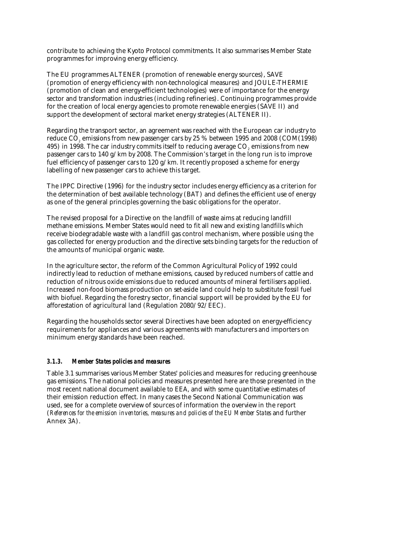contribute to achieving the Kyoto Protocol commitments. It also summarises Member State programmes for improving energy efficiency.

The EU programmes ALTENER (promotion of renewable energy sources), SAVE (promotion of energy efficiency with non-technological measures) and JOULE-THERMIE (promotion of clean and energy-efficient technologies) were of importance for the energy sector and transformation industries (including refineries). Continuing programmes provide for the creation of local energy agencies to promote renewable energies (SAVE II) and support the development of sectoral market energy strategies (ALTENER II).

Regarding the transport sector, an agreement was reached with the European car industry to reduce CO<sub>2</sub> emissions from new passenger cars by 25 % between 1995 and 2008 (COM(1998) 495) in 1998. The car industry commits itself to reducing average CO<sub>2</sub> emissions from new passenger cars to 140 g/km by 2008. The Commission's target in the long run is to improve fuel efficiency of passenger cars to 120 g/km. It recently proposed a scheme for energy labelling of new passenger cars to achieve this target.

The IPPC Directive (1996) for the industry sector includes energy efficiency as a criterion for the determination of best available technology (BAT) and defines the efficient use of energy as one of the general principles governing the basic obligations for the operator.

The revised proposal for a Directive on the landfill of waste aims at reducing landfill methane emissions. Member States would need to fit all new and existing landfills which receive biodegradable waste with a landfill gas control mechanism, where possible using the gas collected for energy production and the directive sets binding targets for the reduction of the amounts of municipal organic waste.

In the agriculture sector, the reform of the Common Agricultural Policy of 1992 could indirectly lead to reduction of methane emissions, caused by reduced numbers of cattle and reduction of nitrous oxide emissions due to reduced amounts of mineral fertilisers applied. Increased non-food biomass production on set-aside land could help to substitute fossil fuel with biofuel. Regarding the forestry sector, financial support will be provided by the EU for afforestation of agricultural land (Regulation 2080/92/EEC).

Regarding the households sector several Directives have been adopted on energy-efficiency requirements for appliances and various agreements with manufacturers and importers on minimum energy standards have been reached.

### *3.1.3. Member States policies and measures*

Table 3.1 summarises various Member States' policies and measures for reducing greenhouse gas emissions. The national policies and measures presented here are those presented in the most recent national document available to EEA, and with some quantitative estimates of their emission reduction effect. In many cases the Second National Communication was used, see for a complete overview of sources of information the overview in the report (*References for the emission inventories, measures and policies of the EU Member States* and further Annex 3A).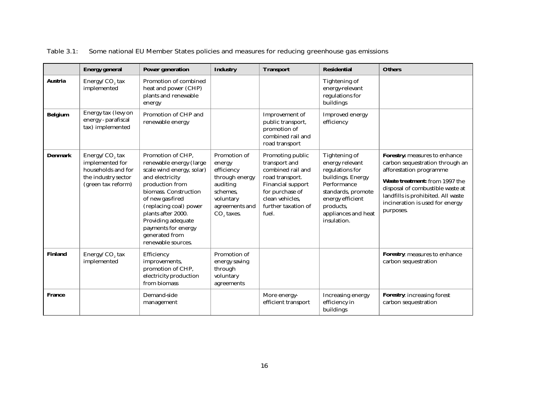|                | <b>Energy general</b>                                                                                            | <b>Power generation</b>                                                                                                                                                                                                                                                                           | <b>Industry</b>                                                                                                                         | <b>Transport</b>                                                                                                                                                            | <b>Residential</b>                                                                                                                                                                   | <b>Others</b>                                                                                                                                                                                                                                           |
|----------------|------------------------------------------------------------------------------------------------------------------|---------------------------------------------------------------------------------------------------------------------------------------------------------------------------------------------------------------------------------------------------------------------------------------------------|-----------------------------------------------------------------------------------------------------------------------------------------|-----------------------------------------------------------------------------------------------------------------------------------------------------------------------------|--------------------------------------------------------------------------------------------------------------------------------------------------------------------------------------|---------------------------------------------------------------------------------------------------------------------------------------------------------------------------------------------------------------------------------------------------------|
| <b>Austria</b> | Energy/CO <sub>2</sub> tax<br>implemented                                                                        | Promotion of combined<br>heat and power (CHP)<br>plants and renewable<br>energy                                                                                                                                                                                                                   |                                                                                                                                         |                                                                                                                                                                             | Tightening of<br>energy-relevant<br>regulations for<br>buildings                                                                                                                     |                                                                                                                                                                                                                                                         |
| <b>Belgium</b> | Energy tax (levy on<br>energy - parafiscal<br>tax) implemented                                                   | Promotion of CHP and<br>renewable energy                                                                                                                                                                                                                                                          |                                                                                                                                         | Improvement of<br>public transport,<br>promotion of<br>combined rail and<br>road transport                                                                                  | Improved energy<br>efficiency                                                                                                                                                        |                                                                                                                                                                                                                                                         |
| <b>Denmark</b> | Energy/CO <sub>2</sub> tax<br>implemented for<br>households and for<br>the industry sector<br>(green tax reform) | Promotion of CHP,<br>renewable energy (large<br>scale wind energy, solar)<br>and electricity<br>production from<br>biomass. Construction<br>of new gas-fired<br>(replacing coal) power<br>plants after 2000.<br>Providing adequate<br>payments for energy<br>generated from<br>renewable sources. | Promotion of<br>energy<br>efficiency<br>through energy<br>auditing<br>schemes.<br>voluntary<br>agreements and<br>CO <sub>2</sub> taxes. | Promoting public<br>transport and<br>combined rail and<br>road transport.<br><b>Financial support</b><br>for purchase of<br>clean vehicles.<br>further taxation of<br>fuel. | Tightening of<br>energy relevant<br>regulations for<br>buildings. Energy<br>Performance<br>standards, promote<br>energy efficient<br>products,<br>appliances and heat<br>insulation. | Forestry: measures to enhance<br>carbon sequestration through an<br>afforestation programme<br>Waste treatment: from 1997 the<br>disposal of combustible waste at<br>landfills is prohibited. All waste<br>incineration is used for energy<br>purposes. |
| <b>Finland</b> | Energy/CO <sub>2</sub> tax<br>implemented                                                                        | Efficiency<br>improvements,<br>promotion of CHP,<br>electricity production<br>from biomass                                                                                                                                                                                                        | Promotion of<br>energy saving<br>through<br>voluntary<br>agreements                                                                     |                                                                                                                                                                             |                                                                                                                                                                                      | Forestry: measures to enhance<br>carbon sequestration                                                                                                                                                                                                   |
| <b>France</b>  |                                                                                                                  | Demand-side<br>management                                                                                                                                                                                                                                                                         |                                                                                                                                         | More energy-<br>efficient transport                                                                                                                                         | Increasing energy<br>efficiency in<br>buildings                                                                                                                                      | Forestry: increasing forest<br>carbon sequestration                                                                                                                                                                                                     |

Table 3.1: Some national EU Member States policies and measures for reducing greenhouse gas emissions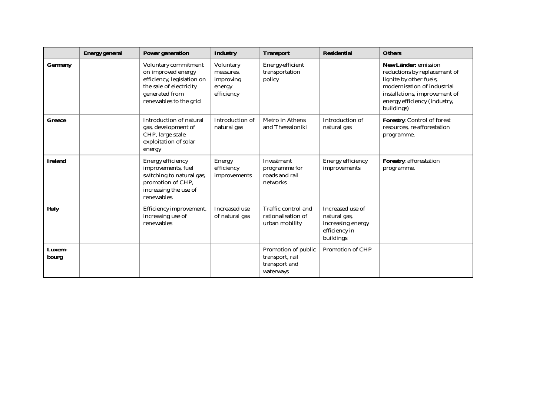|                 | <b>Energy general</b> | <b>Power generation</b>                                                                                                                         | <b>Industry</b>                                             | <b>Transport</b>                                                     | <b>Residential</b>                                                                  | <b>Others</b>                                                                                                                                                                                 |
|-----------------|-----------------------|-------------------------------------------------------------------------------------------------------------------------------------------------|-------------------------------------------------------------|----------------------------------------------------------------------|-------------------------------------------------------------------------------------|-----------------------------------------------------------------------------------------------------------------------------------------------------------------------------------------------|
| <b>Germany</b>  |                       | Voluntary commitment<br>on improved energy<br>efficiency, legislation on<br>the sale of electricity<br>generated from<br>renewables to the grid | Voluntary<br>measures.<br>improving<br>energy<br>efficiency | Energy-efficient<br>transportation<br>policy                         |                                                                                     | New Länder: emission<br>reductions by replacement of<br>lignite by other fuels,<br>modernisation of industrial<br>installations, improvement of<br>energy efficiency (industry,<br>buildings) |
| <b>Greece</b>   |                       | Introduction of natural<br>gas, development of<br>CHP, large scale<br>exploitation of solar<br>energy                                           | Introduction of<br>natural gas                              | Metro in Athens<br>and Thessaloniki                                  | Introduction of<br>natural gas                                                      | Forestry: Control of forest<br>resources, re-afforestation<br>programme.                                                                                                                      |
| <b>Ireland</b>  |                       | <b>Energy efficiency</b><br>improvements, fuel<br>switching to natural gas,<br>promotion of CHP,<br>increasing the use of<br>renewables.        | <b>Energy</b><br>efficiency<br>improvements                 | Investment<br>programme for<br>roads and rail<br>networks            | <b>Energy efficiency</b><br>improvements                                            | <b>Forestry: afforestation</b><br>programme.                                                                                                                                                  |
| <b>Italy</b>    |                       | Efficiency improvement,<br>increasing use of<br>renewables                                                                                      | Increased use<br>of natural gas                             | Traffic control and<br>rationalisation of<br>urban mobility          | Increased use of<br>natural gas,<br>increasing energy<br>efficiency in<br>buildings |                                                                                                                                                                                               |
| Luxem-<br>bourg |                       |                                                                                                                                                 |                                                             | Promotion of public<br>transport, rail<br>transport and<br>waterways | Promotion of CHP                                                                    |                                                                                                                                                                                               |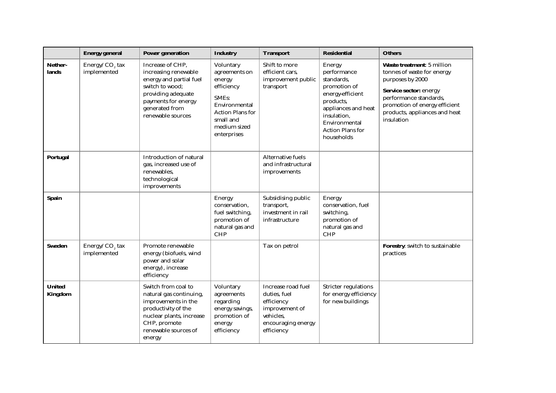|                                 | <b>Energy general</b>                     | <b>Power generation</b>                                                                                                                                                    | <b>Industry</b>                                                                                                                                     | <b>Transport</b>                                                                                                    | <b>Residential</b>                                                                                                                                                                   | <b>Others</b>                                                                                                                                                                                                    |
|---------------------------------|-------------------------------------------|----------------------------------------------------------------------------------------------------------------------------------------------------------------------------|-----------------------------------------------------------------------------------------------------------------------------------------------------|---------------------------------------------------------------------------------------------------------------------|--------------------------------------------------------------------------------------------------------------------------------------------------------------------------------------|------------------------------------------------------------------------------------------------------------------------------------------------------------------------------------------------------------------|
| Nether-<br>lands                | Energy/ $CO2$ tax<br>implemented          | Increase of CHP,<br>increasing renewable<br>energy and partial fuel<br>switch to wood:<br>providing adequate<br>payments for energy<br>generated from<br>renewable sources | Voluntary<br>agreements on<br>energy<br>efficiency<br>SMEs:<br>Environmental<br><b>Action Plans for</b><br>small and<br>medium sized<br>enterprises | Shift to more<br>efficient cars,<br>improvement public<br>transport                                                 | Energy<br>performance<br>standards,<br>promotion of<br>energy-efficient<br>products,<br>appliances and heat<br>insulation,<br>Environmental<br><b>Action Plans for</b><br>households | Waste treatment: 5 million<br>tonnes of waste for energy<br>purposes by 2000<br>Service sector: energy<br>performance standards,<br>promotion of energy efficient<br>products, appliances and heat<br>insulation |
| <b>Portugal</b>                 |                                           | Introduction of natural<br>gas, increased use of<br>renewables,<br>technological<br>improvements                                                                           |                                                                                                                                                     | Alternative fuels<br>and infrastructural<br>improvements                                                            |                                                                                                                                                                                      |                                                                                                                                                                                                                  |
| <b>Spain</b>                    |                                           |                                                                                                                                                                            | Energy<br>conservation.<br>fuel switching,<br>promotion of<br>natural gas and<br><b>CHP</b>                                                         | Subsidising public<br>transport,<br>investment in rail<br>infrastructure                                            | Energy<br>conservation, fuel<br>switching,<br>promotion of<br>natural gas and<br><b>CHP</b>                                                                                          |                                                                                                                                                                                                                  |
| <b>Sweden</b>                   | Energy/CO <sub>2</sub> tax<br>implemented | Promote renewable<br>energy (biofuels, wind<br>power and solar<br>energy), increase<br>efficiency                                                                          |                                                                                                                                                     | Tax on petrol                                                                                                       |                                                                                                                                                                                      | Forestry: switch to sustainable<br>practices                                                                                                                                                                     |
| <b>United</b><br><b>Kingdom</b> |                                           | Switch from coal to<br>natural gas continuing,<br>improvements in the<br>productivity of the<br>nuclear plants, increase<br>CHP, promote<br>renewable sources of<br>energy | Voluntary<br>agreements<br>regarding<br>energy savings,<br>promotion of<br>energy<br>efficiency                                                     | Increase road fuel<br>duties, fuel<br>efficiency<br>improvement of<br>vehicles,<br>encouraging energy<br>efficiency | <b>Stricter regulations</b><br>for energy efficiency<br>for new buildings                                                                                                            |                                                                                                                                                                                                                  |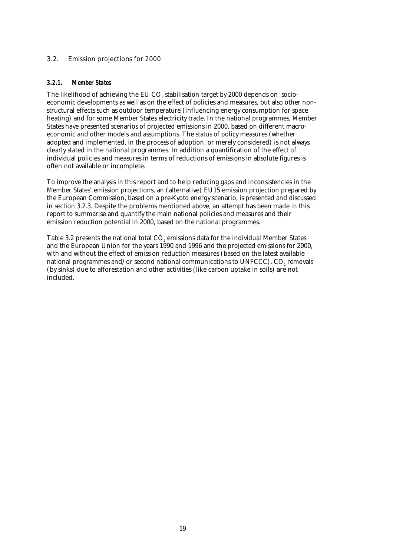### 3.2. Emission projections for 2000

### *3.2.1. Member States*

The likelihood of achieving the EU CO<sub>2</sub> stabilisation target by 2000 depends on socioeconomic developments as well as on the effect of policies and measures, but also other nonstructural effects such as outdoor temperature (influencing energy consumption for space heating) and for some Member States electricity trade. In the national programmes, Member States have presented scenarios of projected emissions in 2000, based on different macroeconomic and other models and assumptions. The status of policy measures (whether adopted and implemented, in the process of adoption, or merely considered) is not always clearly stated in the national programmes. In addition a quantification of the effect of individual policies and measures in terms of reductions of emissions in absolute figures is often not available or incomplete.

To improve the analysis in this report and to help reducing gaps and inconsistencies in the Member States' emission projections, an (alternative) EU15 emission projection prepared by the European Commission, based on a pre-Kyoto energy scenario, is presented and discussed in section 3.2.3. Despite the problems mentioned above, an attempt has been made in this report to summarise and quantify the main national policies and measures and their emission reduction potential in 2000, based on the national programmes.

Table 3.2 presents the national total CO<sub>2</sub> emissions data for the individual Member States and the European Union for the years 1990 and 1996 and the projected emissions for 2000, with and without the effect of emission reduction measures (based on the latest available national programmes and/or second national communications to UNFCCC).  $CO<sub>s</sub>$  removals (by sinks) due to afforestation and other activities (like carbon uptake in soils) are not included.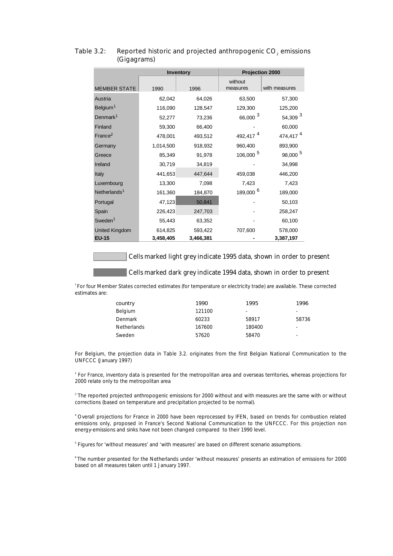|                          |           | Inventory | Projection 2000      |                      |  |
|--------------------------|-----------|-----------|----------------------|----------------------|--|
| <b>MEMBER STATE</b>      | 1990      | 1996      | without<br>measures  | with measures        |  |
| Austria                  | 62,042    | 64,026    | 63,500               | 57,300               |  |
| Belgium <sup>1</sup>     | 116,090   | 128,547   | 129,300              | 125,200              |  |
| Denmark <sup>1</sup>     | 52,277    | 73,236    | 66,000 <sup>3</sup>  | 54,309 <sup>3</sup>  |  |
| Finland                  | 59,300    | 66,400    |                      | 60,000               |  |
| France <sup>2</sup>      | 478,001   | 493,512   | 492,417 <sup>4</sup> | 474,417 <sup>4</sup> |  |
| Germany                  | 1,014,500 | 918,932   | 960,400              | 893,900              |  |
| Greece                   | 85,349    | 91,978    | 106,000 <sup>5</sup> | 98,000 <sup>5</sup>  |  |
| Ireland                  | 30,719    | 34,819    |                      | 34,998               |  |
| Italy                    | 441,653   | 447,644   | 459,038              | 446,200              |  |
| Luxembourg               | 13,300    | 7,098     | 7,423                | 7,423                |  |
| Netherlands <sup>1</sup> | 161,360   | 184,870   | 189,000 <sup>6</sup> | 189,000              |  |
| Portugal                 | 47,123    | 50,841    |                      | 50,103               |  |
| Spain                    | 226,423   | 247,703   |                      | 258,247              |  |
| Sweden <sup>1</sup>      | 55,443    | 63,352    |                      | 60,100               |  |
| <b>United Kingdom</b>    | 614,825   | 593,422   | 707,600              | 578,000              |  |
| <b>EU-15</b>             | 3,458,405 | 3,466,381 |                      | 3,387,197            |  |

### Table 3.2: Reported historic and projected anthropogenic CO<sub>2</sub> emissions (Gigagrams)

Cells marked light grey indicate 1995 data, shown in order to present

#### Cells marked dark grey indicate 1994 data, shown in order to present

*<sup>1</sup>*For four Member States corrected estimates (for temperature or electricity trade) are available. These corrected estimates are:

| country            | 1990   | 1995   | 1996  |
|--------------------|--------|--------|-------|
| Belgium            | 121100 | -      | ۰     |
| Denmark            | 60233  | 58917  | 58736 |
| <b>Netherlands</b> | 167600 | 180400 | ٠     |
| Sweden             | 57620  | 58470  | -     |

For Belgium, the projection data in Table 3.2. originates from the first Belgian National Communication to the UNFCCC (January 1997)

<sup>2</sup> For France, inventory data is presented for the metropolitan area and overseas territories, whereas projections for 2000 relate only to the metropolitan area

3 The reported projected anthropogenic emissions for 2000 without and with measures are the same with or without corrections (based on temperature and precipitation projected to be normal).

4 Overall projections for France in 2000 have been reprocessed by IFEN, based on trends for combustion related emissions only, proposed in France's Second National Communication to the UNFCCC. For this projection non energy-emissions and sinks have not been changed compared to their 1990 level.

<sup>5</sup> Figures for 'without measures' and 'with measures' are based on different scenario assumptions.

6 The number presented for the Netherlands under 'without measures' presents an estimation of emissions for 2000 based on all measures taken until 1 January 1997.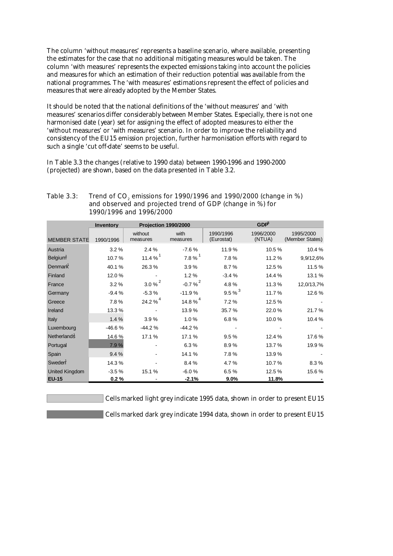The column 'without measures' represents a baseline scenario, where available, presenting the estimates for the case that no additional mitigating measures would be taken. The column 'with measures' represents the expected emissions taking into account the policies and measures for which an estimation of their reduction potential was available from the national programmes. The 'with measures' estimations represent the effect of policies and measures that were already adopted by the Member States.

It should be noted that the national definitions of the 'without measures' and 'with measures' scenarios differ considerably between Member States. Especially, there is not one harmonised date (year) set for assigning the effect of adopted measures to either the 'without measures' or 'with measures' scenario. In order to improve the reliability and consistency of the EU15 emission projection, further harmonisation efforts with regard to such a single 'cut off-date' seems to be useful.

In Table 3.3 the changes (relative to 1990 data) between 1990-1996 and 1990-2000 (projected) are shown, based on the data presented in Table 3.2.

| Table $3.3:$ | Trend of CO <sub>2</sub> emissions for 1990/1996 and 1990/2000 (change in %) |
|--------------|------------------------------------------------------------------------------|
|              | and observed and projected trend of GDP (change in %) for                    |
|              | 1990/1996 and 1996/2000                                                      |
|              |                                                                              |

|                       | Inventory | Projection 1990/2000 |                       | $GDP^5$                 |                     |                              |
|-----------------------|-----------|----------------------|-----------------------|-------------------------|---------------------|------------------------------|
| <b>MEMBER STATE</b>   | 1990/1996 | without<br>measures  | with<br>measures      | 1990/1996<br>(Eurostat) | 1996/2000<br>(NTUA) | 1995/2000<br>(Member States) |
| Austria               | 3.2%      | 2.4%                 | $-7.6%$               | 11.9%                   | 10.5%               | 10.4%                        |
| Belgium <sup>1</sup>  | 10.7%     | 11.4 % $1$           | $7.8 \%$ <sup>1</sup> | 7.8%                    | 11.2 %              | 9,9/12,6%                    |
| Denmark               | 40.1%     | 26.3%                | 3.9%                  | 8.7%                    | 12.5 %              | 11.5%                        |
| Finland               | 12.0%     |                      | 1.2%                  | $-3.4%$                 | 14.4 %              | 13.1 %                       |
| France                | 3.2%      | $3.0\%$ <sup>2</sup> | $-0.7%^{2}$           | 4.8%                    | 11.3%               | 12,0/13,7%                   |
| Germany               | $-9.4%$   | $-5.3%$              | $-11.9%$              | $9.5%^{3}$              | 11.7%               | 12.6%                        |
| Greece                | 7.8%      | 24.2 % $4$           | 14.8 % $4$            | 7.2%                    | 12.5 %              |                              |
| Ireland               | 13.3 %    |                      | 13.9%                 | 35.7%                   | 22.0%               | 21.7 %                       |
| Italy                 | 1.4%      | 3.9%                 | 1.0%                  | 6.8%                    | 10.0%               | 10.4%                        |
| Luxembourg            | $-46.6%$  | $-44.2%$             | $-44.2%$              |                         |                     |                              |
| Netherlands           | 14.6%     | 17.1%                | 17.1%                 | 9.5%                    | 12.4 %              | 17.6%                        |
| Portugal              | 7.9%      |                      | 6.3%                  | 8.9%                    | 13.7%               | 19.9%                        |
| Spain                 | 9.4%      |                      | 14.1%                 | 7.8%                    | 13.9%               |                              |
| Sweden                | 14.3%     |                      | 8.4%                  | 4.7%                    | 10.7%               | 8.3%                         |
| <b>United Kingdom</b> | $-3.5%$   | 15.1%                | $-6.0%$               | 6.5%                    | 12.5 %              | 15.6%                        |
| <b>EU-15</b>          | 0.2%      |                      | $-2.1%$               | $9.0\%$                 | 11.8%               |                              |

Cells marked light grey indicate 1995 data, shown in order to present EU15

Cells marked dark grey indicate 1994 data, shown in order to present EU15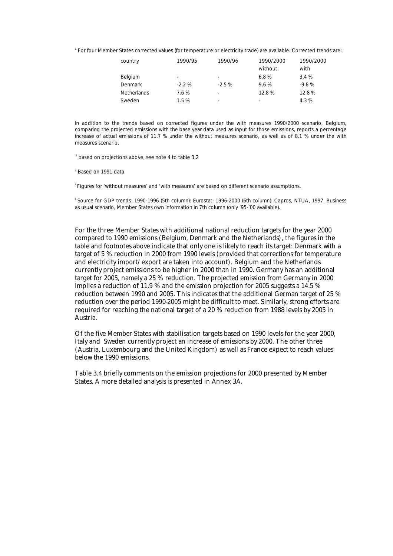<sup>1</sup> For four Member States corrected values (for temperature or electricity trade) are available. Corrected trends are:

| country            | 1990/95                  | 1990/96                  | 1990/2000                | 1990/2000 |
|--------------------|--------------------------|--------------------------|--------------------------|-----------|
|                    |                          |                          | without                  | with      |
| <b>Belgium</b>     | $\overline{\phantom{a}}$ | -                        | 6.8%                     | 3.4%      |
| Denmark            | $-2.2%$                  | $-2.5%$                  | 9.6%                     | $-9.8%$   |
| <b>Netherlands</b> | 7.6%                     | $\overline{\phantom{a}}$ | 12.8%                    | 12.8%     |
| Sweden             | 1.5%                     | $\overline{\phantom{0}}$ | $\overline{\phantom{0}}$ | 4.3%      |

In addition to the trends based on corrected figures under the with measures 1990/2000 scenario, Belgium, comparing the projected emissions with the base year data used as input for those emissions, reports a percentage increase of actual emissions of 11.7 % under the without measures scenario, as well as of 8.1 % under the with measures scenario.

2 based on projections above, see note 4 to table 3.2

3 Based on 1991 data

4 Figures for 'without measures' and 'with measures' are based on different scenario assumptions.

5 Source for GDP trends: 1990-1996 (5th column): Eurostat; 1996-2000 (6th column): Capros, NTUA, 1997. Business as usual scenario, Member States own information in 7th column (only '95-'00 available).

For the three Member States with additional national reduction targets for the year 2000 compared to 1990 emissions (Belgium, Denmark and the Netherlands), the figures in the table and footnotes above indicate that only one is likely to reach its target: Denmark with a target of 5 % reduction in 2000 from 1990 levels (provided that corrections for temperature and electricity import/export are taken into account). Belgium and the Netherlands currently project emissions to be higher in 2000 than in 1990. Germany has an additional target for 2005, namely a 25 % reduction. The projected emission from Germany in 2000 implies a reduction of 11.9 % and the emission projection for 2005 suggests a 14.5 % reduction between 1990 and 2005. This indicates that the additional German target of 25 % reduction over the period 1990-2005 might be difficult to meet. Similarly, strong efforts are required for reaching the national target of a 20 % reduction from 1988 levels by 2005 in Austria.

Of the five Member States with stabilisation targets based on 1990 levels for the year 2000, Italy and Sweden currently project an increase of emissions by 2000. The other three (Austria, Luxembourg and the United Kingdom) as well as France expect to reach values below the 1990 emissions.

Table 3.4 briefly comments on the emission projections for 2000 presented by Member States. A more detailed analysis is presented in Annex 3A.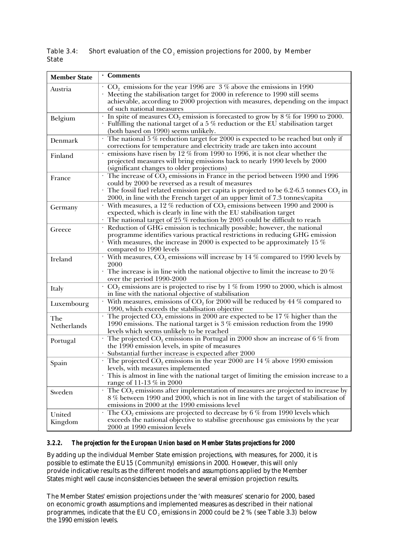| <b>Member State</b> | · Comments                                                                                                                                                                                                                                                                                                                    |
|---------------------|-------------------------------------------------------------------------------------------------------------------------------------------------------------------------------------------------------------------------------------------------------------------------------------------------------------------------------|
| Austria             | $CO2$ emissions for the year 1996 are 3% above the emissions in 1990<br>Meeting the stabilisation target for 2000 in reference to 1990 still seems<br>achievable, according to 2000 projection with measures, depending on the impact<br>of such national measures                                                            |
| Belgium             | In spite of measures $CO_2$ emission is forecasted to grow by 8 % for 1990 to 2000.<br>Fulfilling the national target of a $5\%$ reduction or the EU stabilisation target<br>(both based on 1990) seems unlikely.                                                                                                             |
| Denmark             | The national 5 % reduction target for 2000 is expected to be reached but only if<br>corrections for temperature and electricity trade are taken into account                                                                                                                                                                  |
| Finland             | emissions have risen by 12 % from 1990 to 1996, it is not clear whether the<br>projected measures will bring emissions back to nearly 1990 levels by 2000<br>(significant changes to older projections)                                                                                                                       |
| France              | $\cdot$ The increase of CO <sub>2</sub> emissions in France in the period between 1990 and 1996<br>could by 2000 be reversed as a result of measures<br>The fossil fuel related emission per capita is projected to be 6.2-6.5 tonnes $CO2$ in<br>2000, in line with the French target of an upper limit of 7.3 tonnes/capita |
| Germany             | With measures, a 12 % reduction of $CO2$ emissions between 1990 and 2000 is<br>expected, which is clearly in line with the EU stabilisation target<br>The national target of $25\%$ reduction by 2005 could be difficult to reach                                                                                             |
| Greece              | Reduction of GHG emission is technically possible; however, the national<br>programme identifies various practical restrictions in reducing GHG emission<br>With measures, the increase in 2000 is expected to be approximately 15 $\%$<br>compared to 1990 levels                                                            |
| Ireland             | With measures, $CO_2$ emissions will increase by 14 % compared to 1990 levels by<br>2000<br>The increase is in line with the national objective to limit the increase to 20 $\%$<br>over the period 1990-2000                                                                                                                 |
| Italy               | $CO2$ emissions are is projected to rise by 1 % from $\overline{1990}$ to 2000, which is almost<br>in line with the national objective of stabilisation                                                                                                                                                                       |
| Luxembourg          | With measures, emissions of CO <sub>2</sub> for 2000 will be reduced by 44 % compared to<br>1990, which exceeds the stabilisation objective                                                                                                                                                                                   |
| The<br>Netherlands  | The projected $CO_2$ emissions in 2000 are expected to be 17 % higher than the<br>1990 emissions. The national target is $3\%$ emission reduction from the 1990<br>levels which seems unlikely to be reached                                                                                                                  |
| Portugal            | The projected $\mathrm{CO}_2$ emissions in Portugal in 2000 show an increase of 6 % from<br>the 1990 emission levels, in spite of measures<br>Substantial further increase is expected after 2000                                                                                                                             |
| Spain               | The projected $CO_2$ emissions in the year 2000 are 14 % above 1990 emission<br>levels, with measures implemented<br>This is almost in line with the national target of limiting the emission increase to a<br>range of 11-13 % in 2000                                                                                       |
| Sweden              | $\cdot$ The CO <sub>2</sub> emissions after implementation of measures are projected to increase by<br>8 % between 1990 and 2000, which is not in line with the target of stabilisation of<br>emissions in 2000 at the 1990 emissions level                                                                                   |
| United<br>Kingdom   | The $CO2$ emissions are projected to decrease by 6 % from 1990 levels which<br>exceeds the national objective to stabilise greenhouse gas emissions by the year<br>2000 at 1990 emission levels                                                                                                                               |

Table 3.4: Short evaluation of the  $CO<sub>2</sub>$  emission projections for 2000, by Member State

### *3.2.2. The projection for the European Union based on Member States projections for 2000*

By adding up the individual Member State emission projections, with measures, for 2000, it is possible to estimate the EU15 (Community) emissions in 2000. However, this will only provide indicative results as the different models and assumptions applied by the Member States might well cause inconsistencies between the several emission projection results.

The Member States' emission projections under the 'with measures' scenario for 2000, based on economic growth assumptions and implemented measures as described in their national programmes, indicate that the EU CO<sub>2</sub> emissions in 2000 could be 2 % (see Table 3.3) below the 1990 emission levels.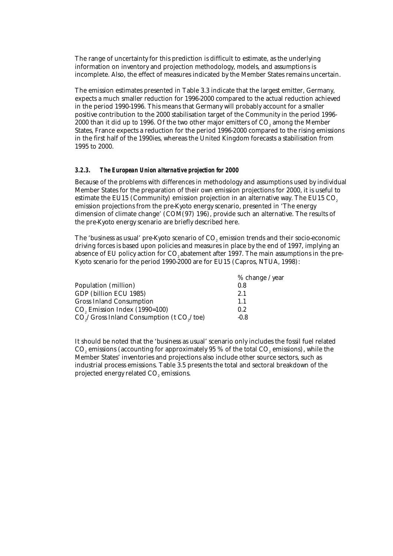The range of uncertainty for this prediction is difficult to estimate, as the underlying information on inventory and projection methodology, models, and assumptions is incomplete. Also, the effect of measures indicated by the Member States remains uncertain.

The emission estimates presented in Table 3.3 indicate that the largest emitter, Germany, expects a much smaller reduction for 1996-2000 compared to the actual reduction achieved in the period 1990-1996. This means that Germany will probably account for a smaller positive contribution to the 2000 stabilisation target of the Community in the period 1996-  $2000$  than it did up to 1996. Of the two other major emitters of  $CO<sub>a</sub>$  among the Member States, France expects a reduction for the period 1996-2000 compared to the rising emissions in the first half of the 1990ies, whereas the United Kingdom forecasts a stabilisation from 1995 to 2000.

#### *3.2.3. The European Union alternative projection for 2000*

Because of the problems with differences in methodology and assumptions used by individual Member States for the preparation of their own emission projections for 2000, it is useful to estimate the EU15 (Community) emission projection in an alternative way. The EU15  $CO<sub>2</sub>$ emission projections from the pre-Kyoto energy scenario, presented in 'The energy dimension of climate change' (COM(97) 196), provide such an alternative. The results of the pre-Kyoto energy scenario are briefly described here.

The 'business as usual' pre-Kyoto scenario of CO<sub>2</sub> emission trends and their socio-economic driving forces is based upon policies and measures in place by the end of 1997, implying an absence of EU policy action for CO<sub>2</sub> abatement after 1997. The main assumptions in the pre-Kyoto scenario for the period 1990-2000 are for EU15 (Capros, NTUA, 1998):

|                                                                    | $%$ change /year |
|--------------------------------------------------------------------|------------------|
| Population (million)                                               | 0.8              |
| GDP (billion ECU 1985)                                             | 2.1              |
| <b>Gross Inland Consumption</b>                                    | 1.1              |
| CO <sub>2</sub> Emission Index (1990=100)                          | 0.2              |
| CO <sub>2</sub> /Gross Inland Consumption (t CO <sub>2</sub> /toe) | $-0.8$           |

It should be noted that the 'business as usual' scenario only includes the fossil fuel related  $CO<sub>z</sub>$  emissions (accounting for approximately 95 % of the total  $CO<sub>z</sub>$  emissions), while the Member States' inventories and projections also include other source sectors, such as industrial process emissions. Table 3.5 presents the total and sectoral breakdown of the projected energy related CO<sub>2</sub> emissions.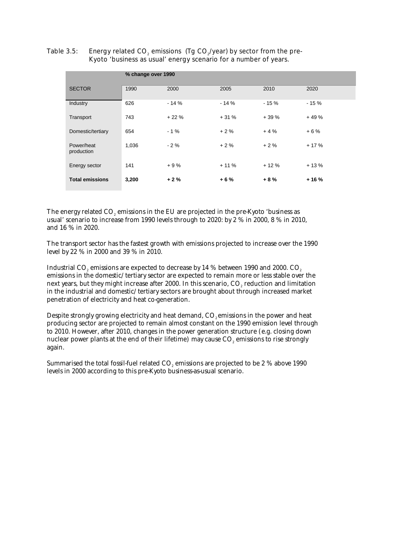Table 3.5: Energy related  $CO<sub>2</sub>$  emissions (Tg  $CO<sub>2</sub>/year$ ) by sector from the pre-Kyoto 'business as usual' energy scenario for a number of years.

|                          | % change over 1990 |        |        |        |        |
|--------------------------|--------------------|--------|--------|--------|--------|
| <b>SECTOR</b>            | 1990               | 2000   | 2005   | 2010   | 2020   |
| Industry                 | 626                | $-14%$ | $-14%$ | $-15%$ | $-15%$ |
| Transport                | 743                | $+22%$ | $+31%$ | $+39%$ | $+49%$ |
| Domestic/tertiary        | 654                | $-1%$  | $+2%$  | $+4%$  | $+6%$  |
| Power/heat<br>production | 1,036              | $-2%$  | $+2%$  | $+2%$  | $+17%$ |
| Energy sector            | 141                | $+9%$  | $+11%$ | $+12%$ | $+13%$ |
| <b>Total emissions</b>   | 3,200              | $+2%$  | $+6%$  | $+8%$  | $+16%$ |

The energy related  $CO<sub>2</sub>$  emissions in the EU are projected in the pre-Kyoto 'business as usual' scenario to increase from 1990 levels through to 2020: by 2 % in 2000, 8 % in 2010, and 16 % in 2020.

The transport sector has the fastest growth with emissions projected to increase over the 1990 level by 22 % in 2000 and 39 % in 2010.

Industrial CO<sub>2</sub> emissions are expected to decrease by 14 % between 1990 and 2000. CO<sub>2</sub> emissions in the domestic/tertiary sector are expected to remain more or less stable over the next years, but they might increase after 2000. In this scenario, CO<sub>2</sub> reduction and limitation in the industrial and domestic/tertiary sectors are brought about through increased market penetration of electricity and heat co-generation.

Despite strongly growing electricity and heat demand, CO<sub>2</sub> emissions in the power and heat producing sector are projected to remain almost constant on the 1990 emission level through to 2010. However, after 2010, changes in the power generation structure (e.g. closing down nuclear power plants at the end of their lifetime) may cause CO<sub>2</sub> emissions to rise strongly again.

Summarised the total fossil-fuel related CO<sub>2</sub> emissions are projected to be 2 % above 1990 levels in 2000 according to this pre-Kyoto business-as-usual scenario.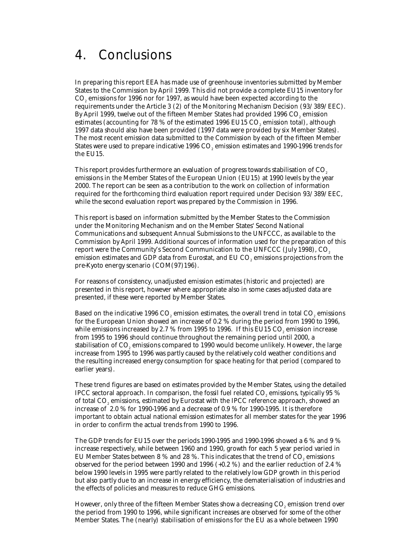### 4. Conclusions

In preparing this report EEA has made use of greenhouse inventories submitted by Member States to the Commission by April 1999. This did not provide a complete EU15 inventory for CO2 emissions for 1996 nor for 1997, as would have been expected according to the requirements under the Article 3 (2) of the Monitoring Mechanism Decision (93/389/EEC). By April 1999, twelve out of the fifteen Member States had provided 1996 CO<sub>2</sub> emission estimates (accounting for 78 % of the estimated 1996 EU15 CO<sub>2</sub> emission total), although 1997 data should also have been provided (1997 data were provided by six Member States). The most recent emission data submitted to the Commission by each of the fifteen Member States were used to prepare indicative 1996 CO<sub>2</sub> emission estimates and 1990-1996 trends for the EU15.

This report provides furthermore an evaluation of progress towards stabilisation of CO<sub>2</sub> emissions in the Member States of the European Union (EU15) at 1990 levels by the year 2000. The report can be seen as a contribution to the work on collection of information required for the forthcoming third evaluation report required under Decision 93/389/EEC, while the second evaluation report was prepared by the Commission in 1996.

This report is based on information submitted by the Member States to the Commission under the Monitoring Mechanism and on the Member States' Second National Communications and subsequent Annual Submissions to the UNFCCC, as available to the Commission by April 1999. Additional sources of information used for the preparation of this report were the Community's Second Communication to the UNFCCC (July 1998), CO<sub>2</sub> emission estimates and GDP data from Eurostat, and EU CO<sub>2</sub> emissions projections from the pre-Kyoto energy scenario (COM(97)196).

For reasons of consistency, unadjusted emission estimates (historic and projected) are presented in this report, however where appropriate also in some cases adjusted data are presented, if these were reported by Member States.

Based on the indicative 1996 CO<sub>2</sub> emission estimates, the overall trend in total CO<sub>2</sub> emissions for the European Union showed an increase of 0.2 % during the period from 1990 to 1996, while emissions increased by 2.7  $%$  from 1995 to 1996. If this EU15 CO<sub>2</sub> emission increase from 1995 to 1996 should continue throughout the remaining period until 2000, a stabilisation of CO<sub>2</sub> emissions compared to 1990 would become unlikely. However, the large increase from 1995 to 1996 was partly caused by the relatively cold weather conditions and the resulting increased energy consumption for space heating for that period (compared to earlier years).

These trend figures are based on estimates provided by the Member States, using the detailed IPCC sectoral approach. In comparison, the fossil fuel related CO<sub>2</sub> emissions, typically 95  $%$ of total CO<sub>2</sub> emissions, estimated by Eurostat with the IPCC reference approach, showed an increase of 2.0 % for 1990-1996 and a decrease of 0.9 % for 1990-1995. It is therefore important to obtain actual national emission estimates for all member states for the year 1996 in order to confirm the actual trends from 1990 to 1996.

The GDP trends for EU15 over the periods 1990-1995 and 1990-1996 showed a 6 % and 9 % increase respectively, while between 1960 and 1990, growth for each 5 year period varied in EU Member States between 8 % and 28 %. This indicates that the trend of  $CO<sub>2</sub>$  emissions observed for the period between 1990 and 1996 (+0.2 %) and the earlier reduction of 2.4 % below 1990 levels in 1995 were partly related to the relatively low GDP growth in this period but also partly due to an increase in energy efficiency, the dematerialisation of industries and the effects of policies and measures to reduce GHG emissions.

However, only three of the fifteen Member States show a decreasing  $CO<sub>2</sub>$  emission trend over the period from 1990 to 1996, while significant increases are observed for some of the other Member States. The (nearly) stabilisation of emissions for the EU as a whole between 1990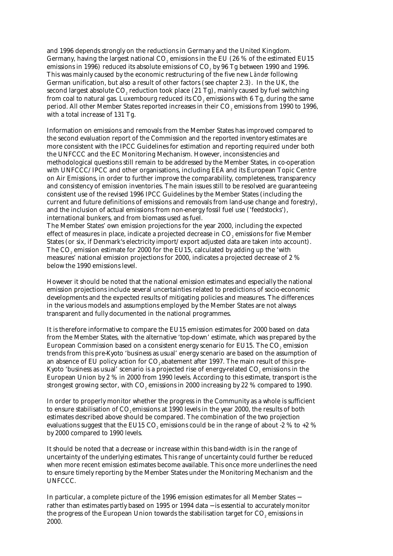and 1996 depends strongly on the reductions in Germany and the United Kingdom. Germany, having the largest national CO<sub>2</sub> emissions in the EU (26 % of the estimated EU15 emissions in 1996) reduced its absolute emissions of CO<sub>2</sub> by 96 Tg between 1990 and 1996. This was mainly caused by the economic restructuring of the five new *Länder* following German unification, but also a result of other factors (see chapter 2.3). In the UK, the second largest absolute  $CO<sub>s</sub>$  reduction took place  $(21 \text{ Tg})$ , mainly caused by fuel switching from coal to natural gas. Luxembourg reduced its  $CO<sub>z</sub>$  emissions with 6 Tg, during the same period. All other Member States reported increases in their CO<sub>2</sub> emissions from 1990 to 1996, with a total increase of 131 Tg.

Information on emissions and removals from the Member States has improved compared to the second evaluation report of the Commission and the reported inventory estimates are more consistent with the IPCC Guidelines for estimation and reporting required under both the UNFCCC and the EC Monitoring Mechanism. However, inconsistencies and methodological questions still remain to be addressed by the Member States, in co-operation with UNFCCC/IPCC and other organisations, including EEA and its European Topic Centre on Air Emissions, in order to further improve the comparability, completeness, transparency and consistency of emission inventories. The main issues still to be resolved are guaranteeing consistent use of the revised 1996 IPCC Guidelines by the Member States (including the current and future definitions of emissions and removals from land-use change and forestry), and the inclusion of actual emissions from non-energy fossil fuel use ('feedstocks'), international bunkers, and from biomass used as fuel.

The Member States' own emission projections for the year 2000, including the expected effect of measures in place, indicate a projected decrease in CO<sub>2</sub> emissions for five Member States (or six, if Denmark's electricity import/export adjusted data are taken into account). The CO2 emission estimate for 2000 for the EU15, calculated by adding up the 'with measures' national emission projections for 2000, indicates a projected decrease of 2 % below the 1990 emissions level.

However it should be noted that the national emission estimates and especially the national emission projections include several uncertainties related to predictions of socio-economic developments and the expected results of mitigating policies and measures. The differences in the various models and assumptions employed by the Member States are not always transparent and fully documented in the national programmes.

It is therefore informative to compare the EU15 emission estimates for 2000 based on data from the Member States, with the alternative 'top-down' estimate, which was prepared by the European Commission based on a consistent energy scenario for EU15. The CO<sub>2</sub> emission trends from this pre-Kyoto 'business as usual' energy scenario are based on the assumption of an absence of EU policy action for CO, abatement after 1997. The main result of this pre-Kyoto 'business as usual' scenario is a projected rise of energy-related CO<sub>2</sub> emissions in the European Union by 2 % in 2000 from 1990 levels. According to this estimate, transport is the strongest growing sector, with CO<sub>2</sub> emissions in 2000 increasing by 22 % compared to 1990.

In order to properly monitor whether the progress in the Community as a whole is sufficient to ensure stabilisation of CO<sub>2</sub> emissions at 1990 levels in the year 2000, the results of both estimates described above should be compared. The combination of the two projection evaluations suggest that the EU15 CO<sub>2</sub> emissions could be in the range of about -2 % to +2 % by 2000 compared to 1990 levels.

It should be noted that a decrease or increase within this band-width is in the range of uncertainty of the underlying estimates. This range of uncertainty could further be reduced when more recent emission estimates become available. This once more underlines the need to ensure timely reporting by the Member States under the Monitoring Mechanism and the UNFCCC.

In particular, a complete picture of the 1996 emission estimates for all Member States − rather than estimates partly based on 1995 or 1994 data − is essential to accurately monitor the progress of the European Union towards the stabilisation target for CO<sub>2</sub> emissions in 2000.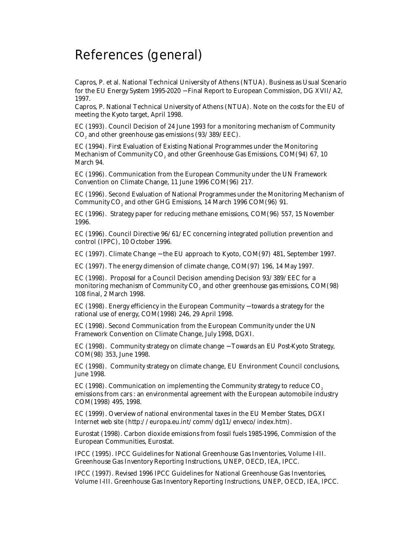### References (general)

Capros, P. et al. National Technical University of Athens (NTUA). Business as Usual Scenario for the EU Energy System 1995-2020 − Final Report to European Commission, DG XVII/A2, 1997.

Capros, P. National Technical University of Athens (NTUA). Note on the costs for the EU of meeting the Kyoto target, April 1998.

EC (1993). Council Decision of 24 June 1993 for a monitoring mechanism of Community CO<sub>2</sub> and other greenhouse gas emissions (93/389/EEC).

EC (1994). First Evaluation of Existing National Programmes under the Monitoring Mechanism of Community CO<sub>2</sub> and other Greenhouse Gas Emissions, COM(94) 67, 10 March 94.

EC (1996). Communication from the European Community under the UN Framework Convention on Climate Change, 11 June 1996 COM(96) 217.

EC (1996). Second Evaluation of National Programmes under the Monitoring Mechanism of Community CO<sub>2</sub> and other GHG Emissions, 14 March 1996 COM(96) 91.

EC (1996). Strategy paper for reducing methane emissions, COM(96) 557, 15 November 1996.

EC (1996). Council Directive 96/61/EC concerning integrated pollution prevention and control (IPPC), 10 October 1996.

EC (1997). Climate Change − the EU approach to Kyoto, COM(97) 481, September 1997.

EC (1997). The energy dimension of climate change, COM(97) 196, 14 May 1997.

EC (1998). Proposal for a Council Decision amending Decision 93/389/EEC for a monitoring mechanism of Community CO<sub>2</sub> and other greenhouse gas emissions, COM(98) 108 final, 2 March 1998.

EC (1998). Energy efficiency in the European Community − towards a strategy for the rational use of energy, COM(1998) 246, 29 April 1998.

EC (1998). Second Communication from the European Community under the UN Framework Convention on Climate Change, July 1998, DGXI.

EC (1998). Community strategy on climate change − Towards an EU Post-Kyoto Strategy, COM(98) 353, June 1998.

EC (1998). Community strategy on climate change, EU Environment Council conclusions, June 1998.

EC (1998). Communication on implementing the Community strategy to reduce CO<sub>2</sub> emissions from cars : an environmental agreement with the European automobile industry COM(1998) 495, 1998.

EC (1999). Overview of national environmental taxes in the EU Member States, DGXI Internet web site (http://europa.eu.int/comm/dg11/enveco/index.htm).

Eurostat (1998). Carbon dioxide emissions from fossil fuels 1985-1996, Commission of the European Communities, Eurostat.

IPCC (1995). IPCC Guidelines for National Greenhouse Gas Inventories, Volume I-III. Greenhouse Gas Inventory Reporting Instructions, UNEP, OECD, IEA, IPCC.

IPCC (1997). Revised 1996 IPCC Guidelines for National Greenhouse Gas Inventories, Volume I-III. Greenhouse Gas Inventory Reporting Instructions, UNEP, OECD, IEA, IPCC.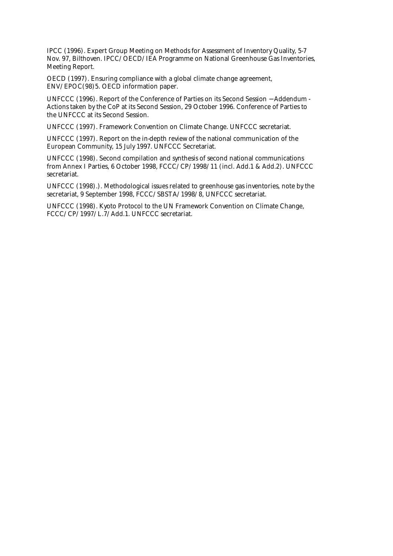IPCC (1996). Expert Group Meeting on Methods for Assessment of Inventory Quality, 5-7 Nov. 97, Bilthoven. IPCC/OECD/IEA Programme on National Greenhouse Gas Inventories, Meeting Report.

OECD (1997). Ensuring compliance with a global climate change agreement, ENV/EPOC(98)5. OECD information paper.

UNFCCC (1996). Report of the Conference of Parties on its Second Session − Addendum - Actions taken by the CoP at its Second Session, 29 October 1996. Conference of Parties to the UNFCCC at its Second Session.

UNFCCC (1997). Framework Convention on Climate Change. UNFCCC secretariat.

UNFCCC (1997). Report on the in-depth review of the national communication of the European Community, 15 July 1997. UNFCCC Secretariat.

UNFCCC (1998). Second compilation and synthesis of second national communications from Annex I Parties, 6 October 1998, FCCC/CP/1998/11 (incl. Add.1 & Add.2). UNFCCC secretariat.

UNFCCC (1998).). Methodological issues related to greenhouse gas inventories, note by the secretariat, 9 September 1998, FCCC/SBSTA/1998/8, UNFCCC secretariat.

UNFCCC (1998). Kyoto Protocol to the UN Framework Convention on Climate Change, FCCC/CP/1997/L.7/Add.1. UNFCCC secretariat.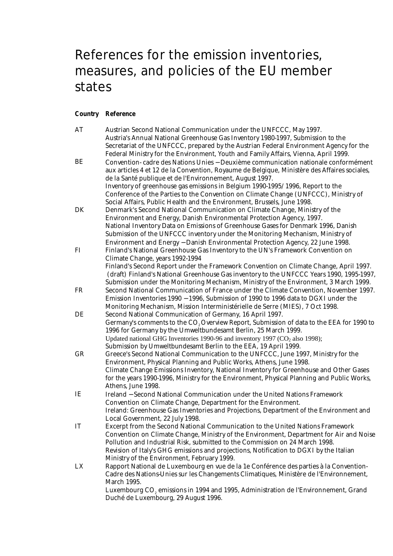# References for the emission inventories, measures, and policies of the EU member states

### **Country Reference**

| AT | Austrian Second National Communication under the UNFCCC, May 1997.                                               |
|----|------------------------------------------------------------------------------------------------------------------|
|    | Austria's Annual National Greenhouse Gas Inventory 1980-1997, Submission to the                                  |
|    | Secretariat of the UNFCCC, prepared by the Austrian Federal Environment Agency for the                           |
|    | Federal Ministry for the Environment, Youth and Family Affairs, Vienna, April 1999.                              |
| BE | Convention- cadre des Nations Unies - Deuxième communication nationale conformément                              |
|    | aux articles 4 et 12 de la Convention, Royaume de Belgique, Ministère des Affaires sociales,                     |
|    | de la Santé publique et de l'Environnement, August 1997.                                                         |
|    | Inventory of greenhouse gas emissions in Belgium 1990-1995/1996, Report to the                                   |
|    | Conference of the Parties to the Convention on Climate Change (UNFCCC), Ministry of                              |
|    | Social Affairs, Public Health and the Environment, Brussels, June 1998.                                          |
| DK | Denmark's Second National Communication on Climate Change, Ministry of the                                       |
|    | Environment and Energy, Danish Environmental Protection Agency, 1997.                                            |
|    | National Inventory Data on Emissions of Greenhouse Gases for Denmark 1996, Danish                                |
|    | Submission of the UNFCCC inventory under the Monitoring Mechanism, Ministry of                                   |
|    | Environment and Energy - Danish Environmental Protection Agency, 22 June 1998.                                   |
| FI | Finland's National Greenhouse Gas Inventory to the UN's Framework Convention on                                  |
|    | Climate Change, years 1992-1994                                                                                  |
|    | Finland's Second Report under the Framework Convention on Climate Change, April 1997.                            |
|    | (draft) Finland's National Greenhouse Gas inventory to the UNFCCC Years 1990, 1995-1997,                         |
|    | Submission under the Monitoring Mechanism, Ministry of the Environment, 3 March 1999.                            |
| FR | Second National Communication of France under the Climate Convention, November 1997.                             |
|    | Emission Inventories 1990 - 1996, Submission of 1990 to 1996 data to DGXI under the                              |
|    | Monitoring Mechanism, Mission Interministérielle de Serre (MIES), 7 Oct 1998.                                    |
| DE | Second National Communication of Germany, 16 April 1997.                                                         |
|    | Germany's comments to the CO <sub>2</sub> Overview Report, Submission of data to the EEA for 1990 to             |
|    | 1996 for Germany by the Umweltbundesamt Berlin, 25 March 1999.                                                   |
|    | Updated national GHG Inventories 1990-96 and inventory 1997 (CO <sub>2</sub> also 1998);                         |
|    | Submission by Umweltbundesamt Berlin to the EEA, 19 April 1999.                                                  |
| GR | Greece's Second National Communication to the UNFCCC, June 1997, Ministry for the                                |
|    | Environment, Physical Planning and Public Works, Athens, June 1998.                                              |
|    | Climate Change Emissions Inventory, National Inventory for Greenhouse and Other Gases                            |
|    | for the years 1990-1996, Ministry for the Environment, Physical Planning and Public Works,<br>Athens, June 1998. |
| IE | Ireland - Second National Communication under the United Nations Framework                                       |
|    | Convention on Climate Change, Department for the Environment.                                                    |
|    | Ireland: Greenhouse Gas Inventories and Projections, Department of the Environment and                           |
|    | Local Government, 22 July 1998.                                                                                  |
| IT | Excerpt from the Second National Communication to the United Nations Framework                                   |
|    | Convention on Climate Change, Ministry of the Environment, Department for Air and Noise                          |
|    | Pollution and Industrial Risk, submitted to the Commission on 24 March 1998.                                     |
|    | Revision of Italy's GHG emissions and projections, Notification to DGXI by the Italian                           |
|    | Ministry of the Environment, February 1999.                                                                      |
| LX | Rapport National de Luxembourg en vue de la 1e Conférence des parties à la Convention-                           |
|    | Cadre des Nations-Unies sur les Changements Climatiques, Ministère de l'Environnement,                           |
|    | <b>March 1995.</b>                                                                                               |
|    | Luxembourg CO <sub>2</sub> emissions in 1994 and 1995, Administration de l'Environnement, Grand                  |
|    | Duché de Luxembourg, 29 August 1996.                                                                             |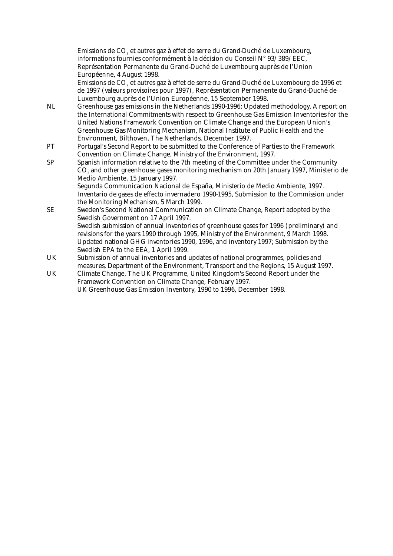Emissions de CO<sub>2</sub> et autres gaz à effet de serre du Grand-Duché de Luxembourg, informations fournies conformément à la décision du Conseil N° 93/389/EEC, Représentation Permanente du Grand-Duché de Luxembourg auprès de l'Union Européenne, 4 August 1998.

Emissions de CO<sub>2</sub> et autres gaz à effet de serre du Grand-Duché de Luxembourg de 1996 et de 1997 (valeurs provisoires pour 1997), Représentation Permanente du Grand-Duché de Luxembourg auprès de l'Union Européenne, 15 September 1998.

- NL Greenhouse gas emissions in the Netherlands 1990-1996: Updated methodology. A report on the International Commitments with respect to Greenhouse Gas Emission Inventories for the United Nations Framework Convention on Climate Change and the European Union's Greenhouse Gas Monitoring Mechanism, National Institute of Public Health and the Environment, Bilthoven, The Netherlands, December 1997.
- PT Portugal's Second Report to be submitted to the Conference of Parties to the Framework Convention on Climate Change, Ministry of the Environment, 1997.
- SP Spanish information relative to the 7th meeting of the Committee under the Community CO<sub>2</sub> and other greenhouse gases monitoring mechanism on 20th January 1997, Ministerio de Medio Ambiente, 15 January 1997. Segunda Communicacion Nacional de España, Ministerio de Medio Ambiente, 1997. Inventario de gases de effecto invernadero 1990-1995, Submission to the Commission under the Monitoring Mechanism, 5 March 1999.
- SE Sweden's Second National Communication on Climate Change, Report adopted by the Swedish Government on 17 April 1997. Swedish submission of annual inventories of greenhouse gases for 1996 (preliminary) and revisions for the years 1990 through 1995, Ministry of the Environment, 9 March 1998. Updated national GHG inventories 1990, 1996, and inventory 1997; Submission by the Swedish EPA to the EEA, 1 April 1999.
- UK Submission of annual inventories and updates of national programmes, policies and measures, Department of the Environment, Transport and the Regions, 15 August 1997.
- UK Climate Change, The UK Programme, United Kingdom's Second Report under the Framework Convention on Climate Change, February 1997. UK Greenhouse Gas Emission Inventory, 1990 to 1996, December 1998.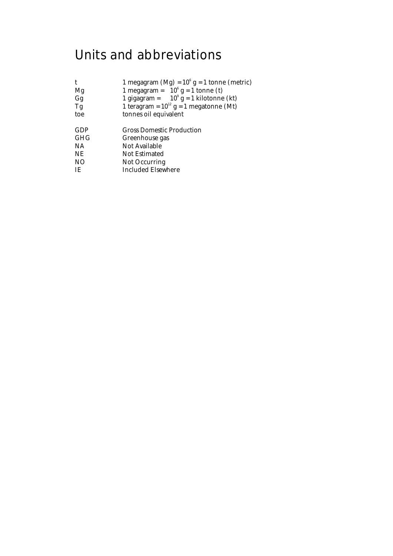# Units and abbreviations

| $\mathbf t$     | 1 megagram (Mg) = $10^6$ g = 1 tonne (metric) |
|-----------------|-----------------------------------------------|
| Mg              | 1 megagram = $10^6$ g = 1 tonne (t)           |
| Gg              | 1 gigagram = $10^9$ g = 1 kilotonne (kt)      |
| Tg              | 1 teragram = $10^{12}$ g = 1 megatonne (Mt)   |
| toe             | tonnes oil equivalent                         |
|                 |                                               |
| GDP             | <b>Gross Domestic Production</b>              |
| GHG             | Greenhouse gas                                |
| <b>NA</b>       | Not Available                                 |
| NE              | Not Estimated                                 |
| NO <sub>1</sub> | Not Occurring                                 |
| IE.             | Included Elsewhere                            |
|                 |                                               |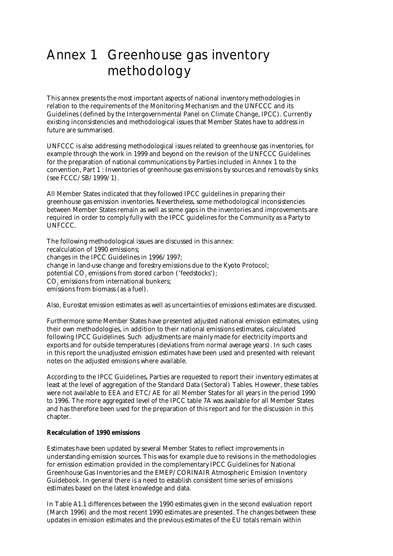# Annex 1 Greenhouse gas inventory methodology

This annex presents the most important aspects of national inventory methodologies in relation to the requirements of the Monitoring Mechanism and the UNFCCC and its Guidelines (defined by the Intergovernmental Panel on Climate Change, IPCC). Currently existing inconsistencies and methodological issues that Member States have to address in future are summarised.

UNFCCC is also addressing methodological issues related to greenhouse gas inventories, for example through the work in 1999 and beyond on the revision of the UNFCCC Guidelines for the preparation of national communications by Parties included in Annex 1 to the convention, Part 1 : Inventories of greenhouse gas emissions by sources and removals by sinks (see FCCC/SB/1999/1).

All Member States indicated that they followed IPCC guidelines in preparing their greenhouse gas emission inventories. Nevertheless, some methodological inconsistencies between Member States remain as well as some gaps in the inventories and improvements are required in order to comply fully with the IPCC guidelines for the Community as a Party to UNFCCC.

The following methodological issues are discussed in this annex: recalculation of 1990 emissions; changes in the IPCC Guidelines in 1996/1997; change in land-use change and forestry emissions due to the Kyoto Protocol; potential CO<sub>2</sub> emissions from stored carbon ('feedstocks'); CO<sub>2</sub> emissions from international bunkers; emissions from biomass (as a fuel).

Also, Eurostat emission estimates as well as uncertainties of emissions estimates are discussed.

Furthermore some Member States have presented adjusted national emission estimates, using their own methodologies, in addition to their national emissions estimates, calculated following IPCC Guidelines. Such adjustments are mainly made for electricity imports and exports and for outside temperatures (deviations from normal average years). In such cases in this report the unadjusted emission estimates have been used and presented with relevant notes on the adjusted emissions where available.

According to the IPCC Guidelines, Parties are requested to report their inventory estimates at least at the level of aggregation of the Standard Data (Sectoral) Tables. However, these tables were not available to EEA and ETC/AE for all Member States for all years in the period 1990 to 1996. The more aggregated level of the IPCC table 7A was available for all Member States and has therefore been used for the preparation of this report and for the discussion in this chapter.

#### **Recalculation of 1990 emissions**

Estimates have been updated by several Member States to reflect improvements in understanding emission sources. This was for example due to revisions in the methodologies for emission estimation provided in the complementary IPCC Guidelines for National Greenhouse Gas Inventories and the EMEP/CORINAIR Atmospheric Emission Inventory Guidebook. In general there is a need to establish consistent time series of emissions estimates based on the latest knowledge and data.

In Table A1.1 differences between the 1990 estimates given in the second evaluation report (March 1996) and the most recent 1990 estimates are presented. The changes between these updates in emission estimates and the previous estimates of the EU totals remain within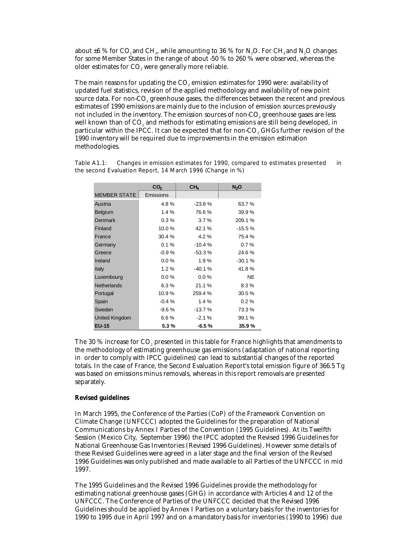about  $\pm 6$  % for CO<sub>2</sub> and CH<sub>1</sub>, while amounting to 36 % for N<sub>2</sub>O. For CH<sub>4</sub> and N<sub>2</sub>O changes for some Member States in the range of about -50 % to 260 % were observed, whereas the older estimates for CO<sub>2</sub> were generally more reliable.

The main reasons for updating the CO<sub>2</sub> emission estimates for 1990 were: availability of updated fuel statistics, revision of the applied methodology and availability of new point source data. For non-CO<sub>2</sub> greenhouse gases, the differences between the recent and previous estimates of 1990 emissions are mainly due to the inclusion of emission sources previously not included in the inventory. The emission sources of non-CO<sub>2</sub> greenhouse gases are less well known than of CO<sub>2</sub> and methods for estimating emissions are still being developed, in particular within the IPCC. It can be expected that for non-CO<sub>2</sub> GHGs further revision of the 1990 inventory will be required due to improvements in the emission estimation methodologies.

|                     | CO <sub>2</sub> | CH <sub>4</sub> | N <sub>2</sub> O |
|---------------------|-----------------|-----------------|------------------|
| <b>MEMBER STATE</b> | Emissions       |                 |                  |
| Austria             | 4.8%            | $-23.8%$        | 63.7%            |
| Belgium             | 1.4%            | 76.6%           | 39.9%            |
| Denmark             | $0.3\%$         | 3.7%            | 209.1 %          |
| Finland             | 10.0%           | 42.1 %          | $-15.5%$         |
| France              | 30.4 %          | 4.2%            | 75.4 %           |
| Germany             | $0.1 \%$        | $-10.4%$        | 0.7%             |
| Greece              | $-0.9%$         | $-53.3%$        | 24.6%            |
| Ireland             | $0.0\%$         | 1.9%            | $-30.1%$         |
| <b>Italy</b>        | $1.2\%$         | $-40.1%$        | 41.8%            |
| Luxembourg          | $0.0\%$         | $0.0\%$         | <b>NE</b>        |
| <b>Netherlands</b>  | 6.3%            | 21.1%           | 8.3%             |
| Portugal            | 10.9%           | 259.4 %         | 30.5%            |
| Spain               | $-0.4%$         | 1.4%            | 0.2%             |
| Sweden              | $-9.6%$         | $-13.7%$        | 73.3%            |
| United Kingdom      | 6.6%            | $-2.1%$         | 99.1 %           |
| <b>EU-15</b>        | 5.3%            | $-6.5%$         | 35.9%            |

Table A1.1: Changes in emission estimates for 1990, compared to estimates presented in the second Evaluation Report, 14 March 1996 (Change in %)

The 30 % increase for CO<sub>2</sub> presented in this table for France highlights that amendments to the methodology of estimating greenhouse gas emissions (adaptation of national reporting in order to comply with IPCC guidelines) can lead to substantial changes of the reported totals. In the case of France, the Second Evaluation Report's total emission figure of 366.5 Tg was based on emissions minus removals, whereas in this report removals are presented separately.

#### **Revised guidelines**

In March 1995, the Conference of the Parties (CoP) of the Framework Convention on Climate Change (UNFCCC) adopted the Guidelines for the preparation of National Communications by Annex I Parties of the Convention (1995 Guidelines). At its Twelfth Session (Mexico City, September 1996) the IPCC adopted the Revised 1996 Guidelines for National Greenhouse Gas Inventories (Revised 1996 Guidelines). However some details of these Revised Guidelines were agreed in a later stage and the final version of the Revised 1996 Guidelines was only published and made available to all Parties of the UNFCCC in mid 1997.

The 1995 Guidelines and the Revised 1996 Guidelines provide the methodology for estimating national greenhouse gases (GHG) in accordance with Articles 4 and 12 of the UNFCCC. The Conference of Parties of the UNFCCC decided that the Revised 1996 Guidelines should be applied by Annex I Parties on a voluntary basis for the inventories for 1990 to 1995 due in April 1997 and on a mandatory basis for inventories (1990 to 1996) due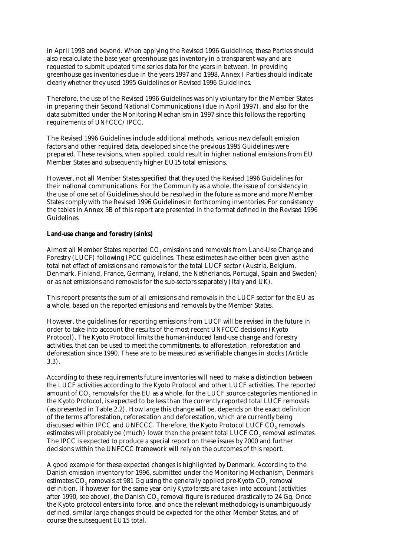in April 1998 and beyond. When applying the Revised 1996 Guidelines, these Parties should also recalculate the base year greenhouse gas inventory in a transparent way and are requested to submit updated time series data for the years in between. In providing greenhouse gas inventories due in the years 1997 and 1998, Annex I Parties should indicate clearly whether they used 1995 Guidelines or Revised 1996 Guidelines.

Therefore, the use of the Revised 1996 Guidelines was only voluntary for the Member States in preparing their Second National Communications (due in April 1997), and also for the data submitted under the Monitoring Mechanism in 1997 since this follows the reporting requirements of UNFCCC/IPCC.

The Revised 1996 Guidelines include additional methods, various new default emission factors and other required data, developed since the previous 1995 Guidelines were prepared. These revisions, when applied, could result in higher national emissions from EU Member States and subsequently higher EU15 total emissions.

However, not all Member States specified that they used the Revised 1996 Guidelines for their national communications. For the Community as a whole, the issue of consistency in the use of one set of Guidelines should be resolved in the future as more and more Member States comply with the Revised 1996 Guidelines in forthcoming inventories. For consistency the tables in Annex 3B of this report are presented in the format defined in the Revised 1996 Guidelines.

#### **Land-use change and forestry (sinks)**

Almost all Member States reported CO<sub>2</sub> emissions and removals from Land-Use Change and Forestry (LUCF) following IPCC guidelines. These estimates have either been given as the total net effect of emissions and removals for the total LUCF sector (Austria, Belgium, Denmark, Finland, France, Germany, Ireland, the Netherlands, Portugal, Spain and Sweden) or as net emissions and removals for the sub-sectors separately (Italy and UK).

This report presents the sum of all emissions and removals in the LUCF sector for the EU as a whole, based on the reported emissions and removals by the Member States.

However, the guidelines for reporting emissions from LUCF will be revised in the future in order to take into account the results of the most recent UNFCCC decisions (Kyoto Protocol). The Kyoto Protocol limits the human-induced land-use change and forestry activities, that can be used to meet the commitments, to afforestation, reforestation and deforestation since 1990. These are to be measured as verifiable changes in stocks (Article 3.3).

According to these requirements future inventories will need to make a distinction between the LUCF activities according to the Kyoto Protocol and other LUCF activities. The reported amount of CO<sub>2</sub> removals for the EU as a whole, for the LUCF source categories mentioned in the Kyoto Protocol, is expected to be less than the currently reported total LUCF removals (as presented in Table 2.2). How large this change will be, depends on the exact definition of the terms afforestation, reforestation and deforestation, which are currently being discussed within IPCC and UNFCCC. Therefore, the Kyoto Protocol LUCF CO<sub>2</sub> removals estimates will probably be (much) lower than the present total LUCF CO<sub>2</sub> removal estimates. The IPCC is expected to produce a special report on these issues by 2000 and further decisions within the UNFCCC framework will rely on the outcomes of this report.

A good example for these expected changes is highlighted by Denmark. According to the Danish emission inventory for 1996, submitted under the Monitoring Mechanism, Denmark estimates CO<sub>2</sub> removals at 981 Gg using the generally applied pre-Kyoto CO<sub>2</sub> removal definition. If however for the same year only *Kyoto-forests* are taken into account (activities after 1990, see above), the Danish  $CO<sub>a</sub>$  removal figure is reduced drastically to 24 Gg. Once the Kyoto protocol enters into force, and once the relevant methodology is unambiguously defined, similar large changes should be expected for the other Member States, and of course the subsequent EU15 total.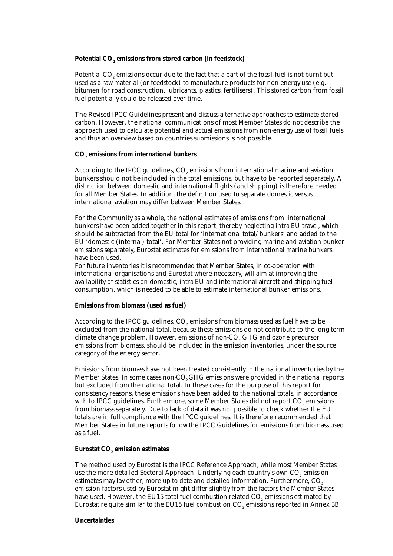#### Potential CO<sub>2</sub> emissions from stored carbon (in feedstock)

Potential CO<sub>2</sub> emissions occur due to the fact that a part of the fossil fuel is not burnt but used as a raw material (or feedstock) to manufacture products for non-energy-use (e.g. bitumen for road construction, lubricants, plastics, fertilisers). This stored carbon from fossil fuel potentially could be released over time.

The Revised IPCC Guidelines present and discuss alternative approaches to estimate stored carbon. However, the national communications of most Member States do not describe the approach used to calculate potential and actual emissions from non-energy use of fossil fuels and thus an overview based on countries submissions is not possible.

#### **CO2 emissions from international bunkers**

According to the IPCC guidelines, CO<sub>2</sub> emissions from international marine and aviation bunkers should not be included in the total emissions, but have to be reported separately. A distinction between domestic and international flights (and shipping) is therefore needed for all Member States. In addition, the definition used to separate domestic versus international aviation may differ between Member States.

For the Community as a whole, the national estimates of emissions from international bunkers have been added together in this report, thereby neglecting intra-EU travel, which should be subtracted from the EU total for 'international total/bunkers' and added to the EU 'domestic (internal) total'. For Member States not providing marine and aviation bunker emissions separately, Eurostat estimates for emissions from international marine bunkers have been used.

For future inventories it is recommended that Member States, in co-operation with international organisations and Eurostat where necessary, will aim at improving the availability of statistics on domestic, intra-EU and international aircraft and shipping fuel consumption, which is needed to be able to estimate international bunker emissions.

#### **Emissions from biomass (used as fuel)**

According to the IPCC guidelines, CO<sub>2</sub> emissions from biomass used as fuel have to be excluded from the national total, because these emissions do not contribute to the long-term climate change problem. However, emissions of non-CO<sub>2</sub> GHG and ozone precursor emissions from biomass, should be included in the emission inventories, under the source category of the energy sector.

Emissions from biomass have not been treated consistently in the national inventories by the Member States. In some cases non-CO<sub>2</sub> GHG emissions were provided in the national reports but excluded from the national total. In these cases for the purpose of this report for consistency reasons, these emissions have been added to the national totals, in accordance with to IPCC guidelines. Furthermore, some Member States did not report CO<sub>2</sub> emissions from biomass separately. Due to lack of data it was not possible to check whether the EU totals are in full compliance with the IPCC guidelines. It is therefore recommended that Member States in future reports follow the IPCC Guidelines for emissions from biomass used as a fuel.

#### **Eurostat CO<sub>2</sub> emission estimates**

The method used by Eurostat is the IPCC Reference Approach, while most Member States use the more detailed Sectoral Approach. Underlying each country's own CO<sub>2</sub> emission estimates may lay other, more up-to-date and detailed information. Furthermore, CO<sub>2</sub> emission factors used by Eurostat might differ slightly from the factors the Member States have used. However, the EU15 total fuel combustion-related CO<sub>2</sub> emissions estimated by Eurostat re quite similar to the EU15 fuel combustion  $CO<sub>2</sub>$  emissions reported in Annex 3B.

#### **Uncertainties**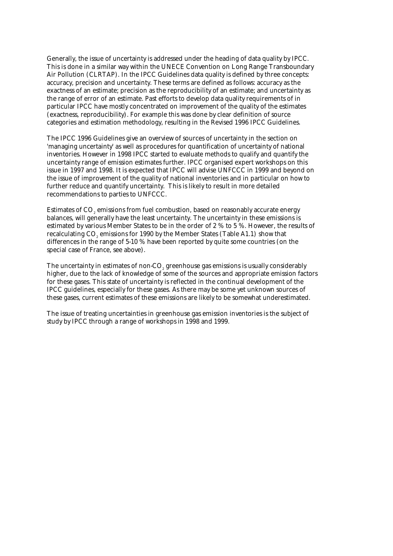Generally, the issue of uncertainty is addressed under the heading of data quality by IPCC. This is done in a similar way within the UNECE Convention on Long Range Transboundary Air Pollution (CLRTAP). In the IPCC Guidelines data quality is defined by three concepts: accuracy, precision and uncertainty. These terms are defined as follows: accuracy as the exactness of an estimate; precision as the reproducibility of an estimate; and uncertainty as the range of error of an estimate. Past efforts to develop data quality requirements of in particular IPCC have mostly concentrated on improvement of the quality of the estimates (exactness, reproducibility). For example this was done by clear definition of source categories and estimation methodology, resulting in the Revised 1996 IPCC Guidelines.

The IPCC 1996 Guidelines give an overview of sources of uncertainty in the section on 'managing uncertainty' as well as procedures for quantification of uncertainty of national inventories. However in 1998 IPCC started to evaluate methods to qualify and quantify the uncertainty range of emission estimates further. IPCC organised expert workshops on this issue in 1997 and 1998. It is expected that IPCC will advise UNFCCC in 1999 and beyond on the issue of improvement of the quality of national inventories and in particular on how to further reduce and quantify uncertainty. This is likely to result in more detailed recommendations to parties to UNFCCC.

Estimates of CO2 emissions from fuel combustion, based on reasonably accurate energy balances, will generally have the least uncertainty. The uncertainty in these emissions is estimated by various Member States to be in the order of 2 % to 5 %. However, the results of recalculating CO<sub>2</sub> emissions for 1990 by the Member States (Table A1.1) show that differences in the range of 5-10 % have been reported by quite some countries (on the special case of France, see above).

The uncertainty in estimates of non-CO<sub>2</sub> greenhouse gas emissions is usually considerably higher, due to the lack of knowledge of some of the sources and appropriate emission factors for these gases. This state of uncertainty is reflected in the continual development of the IPCC guidelines, especially for these gases. As there may be some yet unknown sources of these gases, current estimates of these emissions are likely to be somewhat underestimated.

The issue of treating uncertainties in greenhouse gas emission inventories is the subject of study by IPCC through a range of workshops in 1998 and 1999.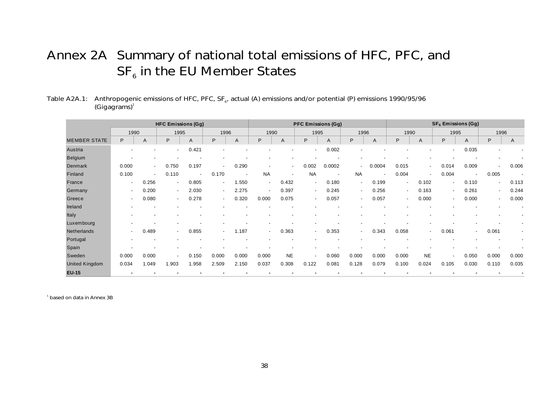# Annex 2A Summary of national total emissions of HFC, PFC, and  $SF<sub>6</sub>$  in the EU Member States

# Table A2A.1: Anthropogenic emissions of HFC, PFC, SF<sub>6</sub>, actual (A) emissions and/or potential (P) emissions 1990/95/96  $(Gi)$ <sup>1</sup>

|                     |                          |                          | <b>HFC Emissions (Gg)</b> |                          |        |                          |                          |                          |                | <b>PFC Emissions (Gg)</b> |                          |                |                          |                          |                          | SF <sub>6</sub> Emissions (Gg) |                          |       |
|---------------------|--------------------------|--------------------------|---------------------------|--------------------------|--------|--------------------------|--------------------------|--------------------------|----------------|---------------------------|--------------------------|----------------|--------------------------|--------------------------|--------------------------|--------------------------------|--------------------------|-------|
|                     | 1990                     |                          | 1995                      |                          | 1996   |                          | 1990                     |                          | 1995           |                           | 1996                     |                | 1990                     |                          | 1995                     |                                | 1996                     |       |
| <b>MEMBER STATE</b> | P                        | Α                        | P                         | Α                        | P      | A                        | P                        | A                        | P              | A                         | P                        | A              | P                        | A                        | P                        | Α                              | P                        | A     |
| Austria             |                          |                          | $\overline{\phantom{0}}$  | 0.421                    |        |                          |                          |                          |                | 0.002                     |                          |                |                          |                          | $\blacksquare$           | 0.035                          |                          |       |
| Belgium             |                          |                          |                           |                          |        |                          |                          |                          |                |                           |                          |                |                          |                          |                          |                                |                          |       |
| <b>Denmark</b>      | 0.000                    | $\sim$                   | 0.750                     | 0.197                    |        | 0.290                    | $\overline{\phantom{a}}$ | $\overline{\phantom{a}}$ | 0.002          | 0.0002                    | $\overline{\phantom{a}}$ | 0.0004         | 0.015                    | $\overline{\phantom{a}}$ | 0.014                    | 0.009                          | $\overline{\phantom{0}}$ | 0.006 |
| Finland             | 0.100                    | $\overline{\phantom{a}}$ | 0.110                     | $\overline{\phantom{a}}$ | 0.170  | $\overline{\phantom{a}}$ | <b>NA</b>                | $\blacksquare$           | <b>NA</b>      | $\overline{\phantom{a}}$  | <b>NA</b>                | $\blacksquare$ | 0.004                    | $\overline{\phantom{a}}$ | 0.004                    | $\overline{a}$                 | 0.005                    |       |
| France              | $\overline{\phantom{a}}$ | 0.256                    | $\sim$                    | 0.805                    | $\sim$ | 1.550                    | $\sim$                   | 0.432                    | $\blacksquare$ | 0.180                     | $\sim$                   | 0.199          | $\overline{\phantom{a}}$ | 0.102                    | $\overline{\phantom{a}}$ | 0.110                          | $\sim$                   | 0.113 |
| Germany             | $\overline{\phantom{0}}$ | 0.200                    | $\sim$                    | 2.030                    | $\sim$ | 2.275                    | $\overline{\phantom{a}}$ | 0.397                    | $\sim$         | 0.245                     | $\sim$                   | 0.256          | $\overline{\phantom{a}}$ | 0.163                    | $\overline{\phantom{a}}$ | 0.261                          | $\sim$                   | 0.244 |
| Greece              | $\overline{\phantom{0}}$ | 0.080                    | $\blacksquare$            | 0.278                    | $\sim$ | 0.320                    | 0.000                    | 0.075                    | $\sim$         | 0.057                     | $\sim$                   | 0.057          | $\overline{\phantom{a}}$ | 0.000                    | $\sim$                   | 0.000                          | $\sim$                   | 0.000 |
| Ireland             |                          |                          |                           |                          |        |                          |                          |                          |                |                           |                          |                |                          |                          |                          |                                |                          |       |
| Italy               |                          |                          |                           |                          |        |                          |                          |                          |                |                           |                          |                |                          |                          |                          |                                |                          |       |
| Luxembourg          |                          |                          |                           |                          |        |                          |                          |                          |                |                           |                          |                |                          |                          |                          |                                |                          |       |
| Netherlands         | $\overline{\phantom{0}}$ | 0.489                    | $\blacksquare$            | 0.855                    | $\sim$ | .187                     | $\blacksquare$           | 0.363                    | $\blacksquare$ | 0.353                     | $\overline{\phantom{a}}$ | 0.343          | 0.058                    | $\overline{\phantom{a}}$ | 0.061                    | $\sim$                         | 0.061                    |       |
| Portugal            | $\overline{\phantom{a}}$ |                          |                           |                          |        |                          |                          |                          |                |                           |                          |                |                          |                          |                          |                                |                          |       |
| Spain               |                          |                          |                           |                          |        |                          |                          |                          |                |                           |                          |                |                          |                          |                          |                                |                          |       |
| Sweden              | 0.000                    | 0.000                    | $\overline{\phantom{a}}$  | 0.150                    | 0.000  | 0.000                    | 0.000                    | <b>NE</b>                |                | 0.060                     | 0.000                    | 0.000          | 0.000                    | <b>NE</b>                | -                        | 0.050                          | 0.000                    | 0.000 |
| United Kingdom      | 0.034                    | 1.049                    | .903                      | 1.958                    | 2.509  | 2.150                    | 0.037                    | 0.308                    | 0.122          | 0.081                     | 0.128                    | 0.079          | 0.100                    | 0.024                    | 0.105                    | 0.030                          | 0.110                    | 0.035 |
| <b>EU-15</b>        |                          |                          |                           |                          |        |                          |                          |                          |                |                           |                          |                |                          |                          |                          |                                |                          |       |

<sup>1</sup> based on data in Annex 3B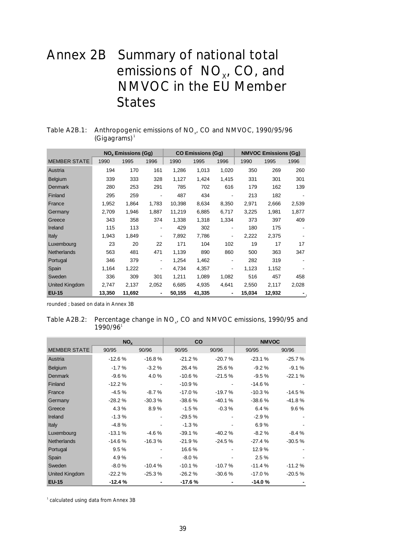# Annex 2B Summary of national total emissions of  $NO_{x}$ , CO, and NMVOC in the EU Member **States**

|                       |        | <b>NO<sub>x</sub></b> Emissions (Gg) |                |        | <b>CO Emissions (Gq)</b> |                          |        | <b>NMVOC Emissions (Gg)</b> |       |
|-----------------------|--------|--------------------------------------|----------------|--------|--------------------------|--------------------------|--------|-----------------------------|-------|
| <b>MEMBER STATE</b>   | 1990   | 1995                                 | 1996           | 1990   | 1995                     | 1996                     | 1990   | 1995                        | 1996  |
| Austria               | 194    | 170                                  | 161            | 1,286  | 1,013                    | 1,020                    | 350    | 269                         | 260   |
| Belgium               | 339    | 333                                  | 328            | 1,127  | 1,424                    | 1,415                    | 331    | 301                         | 301   |
| Denmark               | 280    | 253                                  | 291            | 785    | 702                      | 616                      | 179    | 162                         | 139   |
| Finland               | 295    | 259                                  |                | 487    | 434                      |                          | 213    | 182                         |       |
| France                | 1,952  | 1,864                                | 1,783          | 10,398 | 8,634                    | 8,350                    | 2,971  | 2,666                       | 2,539 |
| Germany               | 2,709  | 1,946                                | 1,887          | 11,219 | 6,885                    | 6,717                    | 3,225  | 1,981                       | 1,877 |
| Greece                | 343    | 358                                  | 374            | 1,338  | 1,318                    | 1,334                    | 373    | 397                         | 409   |
| Ireland               | 115    | 113                                  |                | 429    | 302                      | $\overline{\phantom{a}}$ | 180    | 175                         |       |
| Italy                 | 1,943  | 1,849                                | -              | 7,892  | 7,786                    |                          | 2,222  | 2,375                       |       |
| Luxembourg            | 23     | 20                                   | 22             | 171    | 104                      | 102                      | 19     | 17                          | 17    |
| <b>Netherlands</b>    | 563    | 481                                  | 471            | 1,139  | 890                      | 860                      | 500    | 363                         | 347   |
| Portugal              | 346    | 379                                  | -              | 1,254  | 1,462                    | $\overline{\phantom{a}}$ | 282    | 319                         |       |
| Spain                 | 1,164  | 1,222                                |                | 4,734  | 4,357                    |                          | 1,123  | 1,152                       |       |
| Sweden                | 336    | 309                                  | 301            | 1,211  | 1,089                    | 1,082                    | 516    | 457                         | 458   |
| <b>United Kingdom</b> | 2,747  | 2,137                                | 2,052          | 6,685  | 4,935                    | 4,641                    | 2,550  | 2,117                       | 2,028 |
| <b>EU-15</b>          | 13,350 | 11,692                               | $\blacksquare$ | 50,155 | 41,335                   | $\blacksquare$           | 15.034 | 12,932                      |       |

# Table A2B.1: Anthropogenic emissions of  $NO<sub>x</sub>$ , CO and NMVOC, 1990/95/96  $(Gigagrams)^1$

rounded ; based on data in Annex 3B

| Table A2B.2: Percentage change in NO <sub>v</sub> , CO and NMVOC emissions, 1990/95 and |
|-----------------------------------------------------------------------------------------|
| $1990/96$ <sup>1</sup>                                                                  |

|                       | NO <sub>x</sub> |          | CO       |          | <b>NMVOC</b> |          |
|-----------------------|-----------------|----------|----------|----------|--------------|----------|
| <b>MEMBER STATE</b>   | 90/95           | 90/96    | 90/95    | 90/96    | 90/95        | 90/96    |
| Austria               | $-12.6%$        | $-16.8%$ | $-21.2%$ | $-20.7%$ | $-23.1%$     | $-25.7%$ |
| Belgium               | $-1.7%$         | $-3.2%$  | 26.4%    | 25.6%    | $-9.2%$      | $-9.1%$  |
| <b>Denmark</b>        | $-9.6%$         | 4.0%     | $-10.6%$ | $-21.5%$ | $-9.5%$      | $-22.1%$ |
| Finland               | $-12.2%$        |          | $-10.9%$ |          | $-14.6%$     |          |
| France                | $-4.5%$         | $-8.7%$  | $-17.0%$ | $-19.7%$ | $-10.3%$     | $-14.5%$ |
| Germany               | $-28.2%$        | $-30.3%$ | $-38.6%$ | $-40.1%$ | $-38.6%$     | $-41.8%$ |
| Greece                | 4.3%            | 8.9%     | $-1.5%$  | $-0.3%$  | 6.4 %        | 9.6%     |
| Ireland               | $-1.3%$         |          | $-29.5%$ |          | $-2.9%$      |          |
| Italy                 | $-4.8%$         |          | $-1.3%$  |          | 6.9%         |          |
| Luxembourg            | $-13.1%$        | $-4.6%$  | $-39.1%$ | $-40.2%$ | $-8.2%$      | $-8.4%$  |
| <b>Netherlands</b>    | $-14.6%$        | $-16.3%$ | $-21.9%$ | $-24.5%$ | $-27.4%$     | $-30.5%$ |
| Portugal              | 9.5%            |          | 16.6%    |          | 12.9 %       |          |
| Spain                 | 4.9%            |          | $-8.0%$  |          | 2.5%         |          |
| Sweden                | $-8.0%$         | $-10.4%$ | $-10.1%$ | $-10.7%$ | $-11.4%$     | $-11.2%$ |
| <b>United Kingdom</b> | $-22.2%$        | $-25.3%$ | $-26.2%$ | $-30.6%$ | $-17.0%$     | $-20.5%$ |
| <b>EU-15</b>          | $-12.4%$        |          | $-17.6%$ |          | $-14.0%$     |          |

<sup>1</sup> calculated using data from Annex 3B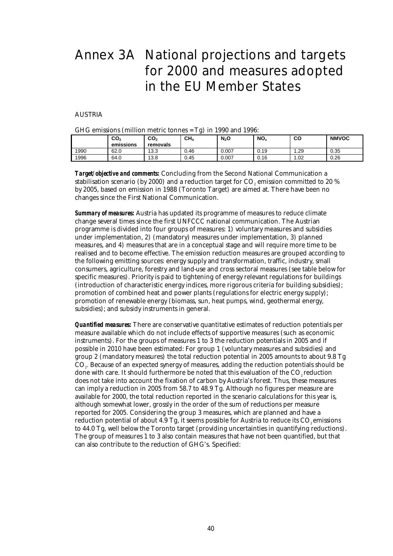# Annex 3A National projections and targets for 2000 and measures adopted in the EU Member States

## AUSTRIA

| $G_{\rm H}$ emissions (immion metric tonnes = $1g$ ) in 1990 and 1990. |                  |                             |                 |         |                 |      |              |  |
|------------------------------------------------------------------------|------------------|-----------------------------|-----------------|---------|-----------------|------|--------------|--|
|                                                                        | CO2<br>emissions | CO <sub>2</sub><br>removals | CH <sub>4</sub> | $N_2$ O | NO <sub>x</sub> | CО   | <b>NMVOC</b> |  |
| 1990                                                                   | 62.0             | 13.3                        | 0.46            | 0.007   | 0.19            | 1.29 | 0.35         |  |
| 1996                                                                   | 64.0             | 13.8                        | 0.45            | 0.007   | 0.16            | 1.02 | 0.26         |  |

 $CHC$  emissions (million metric tonnes  $= \text{Tr}(\cdot)$  in 1990 and 1998.

*Target/objective and comments:* Concluding from the Second National Communication a stabilisation scenario (by 2000) and a reduction target for  $CO<sub>4</sub>$  emission committed to 20 % by 2005, based on emission in 1988 (Toronto Target) are aimed at. There have been no changes since the First National Communication.

*Summary of measures:* Austria has updated its programme of measures to reduce climate change several times since the first UNFCCC national communication. The Austrian programme is divided into four groups of measures: 1) voluntary measures and subsidies under implementation, 2) (mandatory) measures under implementation, 3) planned measures, and 4) measures that are in a conceptual stage and will require more time to be realised and to become effective. The emission reduction measures are grouped according to the following emitting sources: energy supply and transformation, traffic, industry, small consumers, agriculture, forestry and land-use and cross sectoral measures (see table below for specific measures). Priority is paid to tightening of energy relevant regulations for buildings (introduction of characteristic energy indices, more rigorous criteria for building subsidies); promotion of combined heat and power plants (regulations for electric energy supply); promotion of renewable energy (biomass, sun, heat pumps, wind, geothermal energy, subsidies); and subsidy instruments in general.

*Quantified measures:* There are conservative quantitative estimates of reduction potentials per measure available which do not include effects of supportive measures (such as economic instruments). For the groups of measures 1 to 3 the reduction potentials in 2005 and if possible in 2010 have been estimated: For group 1 (voluntary measures and subsidies) and group 2 (mandatory measures) the total reduction potential in 2005 amounts to about 9.8 Tg CO2. Because of an expected synergy of measures, adding the reduction potentials should be done with care. It should furthermore be noted that this evaluation of the CO<sub>2</sub> reduction does not take into account the fixation of carbon by Austria's forest. Thus, these measures can imply a reduction in 2005 from 58.7 to 48.9 Tg. Although no figures per measure are available for 2000, the total reduction reported in the scenario calculations for this year is, although somewhat lower, grossly in the order of the sum of reductions per measure reported for 2005. Considering the group 3 measures, which are planned and have a reduction potential of about 4.9 Tg, it seems possible for Austria to reduce its  $CO<sub>e</sub>$  emissions to 44.0 Tg, well below the Toronto target (providing uncertainties in quantifying reductions). The group of measures 1 to 3 also contain measures that have not been quantified, but that can also contribute to the reduction of GHG's. Specified: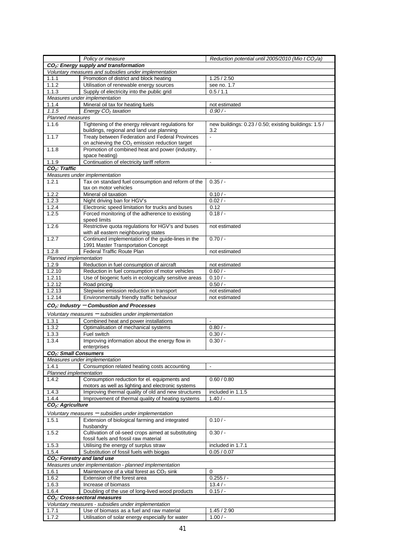|                                   | Policy or measure                                                                                             | Reduction potential until 2005/2010 (Mio t CO <sub>2</sub> /a) |
|-----------------------------------|---------------------------------------------------------------------------------------------------------------|----------------------------------------------------------------|
|                                   | CO <sub>2</sub> : Energy supply and transformation                                                            |                                                                |
|                                   | Voluntary measures and subsidies under implementation                                                         |                                                                |
| 1.1.1                             | Promotion of district and block heating                                                                       | 1.25 / 2.50                                                    |
| 1.1.2                             | Utilisation of renewable energy sources                                                                       | see no. 1.7                                                    |
| 1.1.3                             | Supply of electricity into the public grid                                                                    | 0.5/1.1                                                        |
|                                   | Measures under implementation                                                                                 |                                                                |
| 1.1.4                             | Mineral oil tax for heating fuels                                                                             | not estimated                                                  |
| 1.1.5                             | Energy $CO2$ taxation                                                                                         | $0.90/-$                                                       |
| Planned measures                  |                                                                                                               |                                                                |
| 1.1.6                             | Tightening of the energy relevant regulations for<br>buildings, regional and land use planning                | new buildings: 0.23 / 0.50; existing buildings: 1.5 /<br>3.2   |
| 1.1.7                             | Treaty between Federation and Federal Provinces<br>on achieving the CO <sub>2</sub> emission reduction target | $\blacksquare$                                                 |
| 1.1.8                             | Promotion of combined heat and power (industry,<br>space heating)                                             | $\Box$                                                         |
| 1.1.9                             | Continuation of electricity tariff reform                                                                     | $\Box$                                                         |
| CO <sub>2</sub> : Traffic         |                                                                                                               |                                                                |
|                                   | Measures under implementation                                                                                 |                                                                |
| 1.2.1                             | Tax on standard fuel consumption and reform of the                                                            | 0.35/                                                          |
|                                   | tax on motor vehicles                                                                                         |                                                                |
| 1.2.2                             | Mineral oil taxation                                                                                          | $0.10/-$                                                       |
| 1.2.3                             | Night driving ban for HGV's                                                                                   | $0.02/ -$                                                      |
| 1.2.4                             | Electronic speed limitation for trucks and buses                                                              | 0.12                                                           |
| 1.2.5                             | Forced monitoring of the adherence to existing<br>speed limits                                                | 0.18/                                                          |
| 1.2.6                             | Restrictive quota regulations for HGV's and buses<br>with all eastern neighbouring states                     | not estimated                                                  |
| 1.2.7                             | Continued implementation of the guide-lines in the<br>1991 Master Transportation Concept                      | $0.70/-$                                                       |
| 1.2.8                             | Federal Traffic Route Plan                                                                                    | not estimated                                                  |
| Planned implementation            |                                                                                                               |                                                                |
| 1.2.9                             | Reduction in fuel consumption of aircraft                                                                     | not estimated                                                  |
| 1.2.10                            | Reduction in fuel consumption of motor vehicles                                                               | $0.60/-$                                                       |
| 1.2.11                            | Use of biogenic fuels in ecologically sensitive areas                                                         | $0.10/-$                                                       |
| 1.2.12                            | Road pricing                                                                                                  | $0.50/-$                                                       |
| 1.2.13                            | Stepwise emission reduction in transport                                                                      | not estimated                                                  |
| 1.2.14                            | Environmentally friendly traffic behaviour                                                                    | not estimated                                                  |
|                                   | $CO2$ : Industry – Combustion and Processes                                                                   |                                                                |
|                                   | Voluntary measures - subsidies under implementation                                                           |                                                                |
| 1.3.1                             | Combined heat and power installations                                                                         | $\blacksquare$                                                 |
| 1.3.2                             | Optimalisation of mechanical systems                                                                          | 0.80/                                                          |
| 1.3.3                             | Fuel switch                                                                                                   | $0.30/$ -                                                      |
| 1.3.4                             | Improving information about the energy flow in                                                                | 0.30/                                                          |
|                                   | enterprises                                                                                                   |                                                                |
| CO <sub>2</sub> : Small Consumers |                                                                                                               |                                                                |
|                                   | Measures under implementation                                                                                 |                                                                |
| 1.4.1                             | Consumption related heating costs accounting                                                                  |                                                                |
| Planned implementation            |                                                                                                               |                                                                |
| 1.4.2                             | Consumption reduction for el. equipments and<br>motors as well as lighting and electronic systems             | 0.60 / 0.80                                                    |
| 1.4.3                             | Improving thermal quality of old and new structures                                                           | included in 1.1.5                                              |
| 1.4.4                             | Improvement of thermal quality of heating systems                                                             | $1.40/-$                                                       |
| CO <sub>2</sub> : Agriculture     |                                                                                                               |                                                                |
|                                   | Voluntary measures - subsidies under implementation                                                           |                                                                |
| 1.5.1                             | Extension of biological farming and integrated<br>husbandry                                                   | $0.10/-$                                                       |
| 1.5.2                             | Cultivation of oil-seed crops aimed at substituting<br>fossil fuels and fossil raw material                   | $0.30/-$                                                       |
| 1.5.3                             | Utilising the energy of surplus straw                                                                         | included in 1.7.1                                              |
| 1.5.4                             | Substitution of fossil fuels with biogas                                                                      | 0.05 / 0.07                                                    |
|                                   | CO <sub>2</sub> : Forestry and land use                                                                       |                                                                |
|                                   | Measures under implementation - planned implementation                                                        |                                                                |
| 1.6.1                             | Maintenance of a vital forest as CO <sub>2</sub> sink                                                         | 0                                                              |
| 1.6.2                             | Extension of the forest area                                                                                  | $0.255/ -$                                                     |
| 1.6.3                             | Increase of biomass                                                                                           | $13.4/-$                                                       |
| 1.6.4                             | Doubling of the use of long-lived wood products                                                               | $0.15/ -$                                                      |
|                                   | CO <sub>2</sub> : Cross-sectoral measures                                                                     |                                                                |
|                                   | Voluntary measures - subsidies under implementation<br>Use of biomass as a fuel and raw material              |                                                                |
| 1.7.1<br>1.7.2                    | Utilisation of solar energy especially for water                                                              | 1.45 / 2.90<br>$1.00/-$                                        |
|                                   |                                                                                                               |                                                                |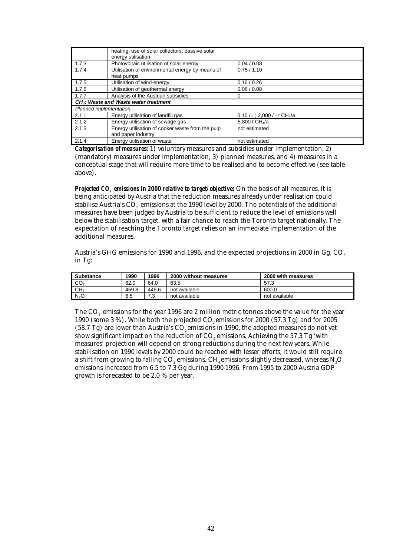|                        | heating; use of solar collectors; passive solar<br>energy utilisation |                                             |
|------------------------|-----------------------------------------------------------------------|---------------------------------------------|
| 1.7.3                  | Photovoltaic utilisation of solar energy                              | 0.04 / 0.08                                 |
| 1.7.4                  | Utilisation of environmental energy by means of                       | 0.75/1.10                                   |
|                        | heat pumps                                                            |                                             |
| 1.7.5                  | Utilisation of wind-energy                                            | 0.16 / 0.26                                 |
| 1.7.6                  | Utilisation of geothermal energy                                      | 0.06 / 0.08                                 |
| 1.7.7                  | Analysis of the Austrian subsidies                                    | O                                           |
|                        | CH <sub>4</sub> : Waste and Waste water treatment                     |                                             |
| Planned implementation |                                                                       |                                             |
| 2.1.1                  | Energy utilisation of landfill gas                                    | $0.10 / -$ ; 2,000 / - t CH <sub>4</sub> /a |
| 2.1.2                  | Energy utilisation of sewage gas                                      | 5.800 t CH4/a                               |
| 2.1.3                  | Energy utilisation of cooker waste from the pulp                      | not estimated                               |
|                        | and paper industry                                                    |                                             |
| 2.1.4                  | Energy utilisation of waste                                           | not estimated                               |

*Categorisation of measures:* 1) voluntary measures and subsidies under implementation, 2) (mandatory) measures under implementation, 3) planned measures, and 4) measures in a conceptual stage that will require more time to be realised and to become effective (see table above).

*Projected CO<sub>2</sub> emissions in 2000 relative to target/objective:* On the basis of all measures, it is being anticipated by Austria that the reduction measures already under realisation could stabilise Austria's CO<sub>2</sub> emissions at the 1990 level by 2000. The potentials of the additional measures have been judged by Austria to be sufficient to reduce the level of emissions well below the stabilisation target, with a fair chance to reach the Toronto target nationally. The expectation of reaching the Toronto target relies on an immediate implementation of the additional measures.

Austria's GHG emissions for 1990 and 1996, and the expected projections in 2000 in Gg, CO<sub>2</sub> in Tg:

| <b>Substance</b> | 1990  | 1996     | 2000 without measures | 2000 with measures |
|------------------|-------|----------|-----------------------|--------------------|
| CO <sub>2</sub>  | 62.0  | 64.0     | 63.5                  | 57.3               |
| CH <sub>4</sub>  | 459.8 | 446.6    | not available         | 600.0              |
| N <sub>2</sub> O | 6.5   | 70<br>ں. | not available         | not available      |

The CO<sub>2</sub> emissions for the year 1996 are 2 million metric tonnes above the value for the year 1990 (some  $3\%$ ). While both the projected CO<sub>2</sub> emissions for 2000 (57.3 Tg) and for 2005  $(58.7 \text{ Tg})$  are lower than Austria's CO<sub>2</sub> emissions in 1990, the adopted measures do not yet show significant impact on the reduction of CO<sub>2</sub> emissions. Achieving the 57.3 Tg 'with measures' projection will depend on strong reductions during the next few years. While stabilisation on 1990 levels by 2000 could be reached with lesser efforts, it would still require a shift from growing to falling CO<sub>2</sub> emissions. CH<sub>4</sub> emissions slightly decreased, whereas N<sub>2</sub>O emissions increased from 6.5 to 7.3 Gg during 1990-1996. From 1995 to 2000 Austria GDP growth is forecasted to be 2.0 % per year.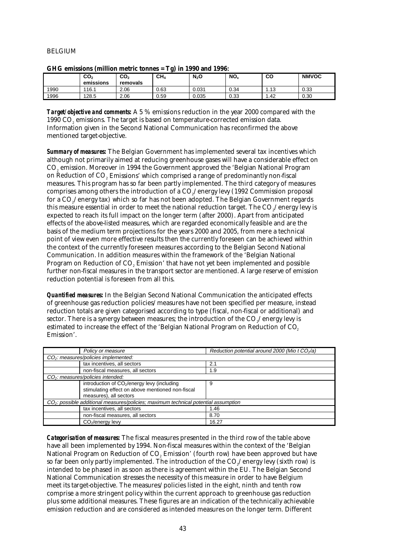## BELGIUM

|      |                              |                             | c               | ____    |                 |            |              |
|------|------------------------------|-----------------------------|-----------------|---------|-----------------|------------|--------------|
|      | CO <sub>2</sub><br>emissions | CO <sub>2</sub><br>removals | CH <sub>A</sub> | $N_2$ O | NO <sub>x</sub> | co         | <b>NMVOC</b> |
| 1990 | 116.1                        | 2.06                        | 0.63            | 0.031   | 0.34            | 12<br>د ۱۰ | 0.33         |
| 1996 | 128.5                        | 2.06                        | 0.59            | 0.035   | 0.33            | .42        | 0.30         |

| GHG emissions (million metric tonnes = Tg) in 1990 and 1996: |  |
|--------------------------------------------------------------|--|
|--------------------------------------------------------------|--|

*Target/objective and comments:* A 5 % emissions reduction in the year 2000 compared with the 1990 CO2 emissions. The target is based on temperature-corrected emission data. Information given in the Second National Communication has reconfirmed the above mentioned target-objective.

*Summary of measures:* The Belgian Government has implemented several tax incentives which although not primarily aimed at reducing greenhouse gases will have a considerable effect on CO2 emission. Moreover in 1994 the Government approved the 'Belgian National Program on Reduction of CO<sub>2</sub> Emissions' which comprised a range of predominantly non-fiscal measures. This program has so far been partly implemented. The third category of measures comprises among others the introduction of a CO<sub>2</sub>/energy levy (1992 Commission proposal for a CO<sub>2</sub>/energy tax) which so far has not been adopted. The Belgian Government regards this measure essential in order to meet the national reduction target. The  $CO_2/e$ nergy levy is expected to reach its full impact on the longer term (after 2000). Apart from anticipated effects of the above-listed measures, which are regarded economically feasible and are the basis of the medium term projections for the years 2000 and 2005, from mere a technical point of view even more effective results then the currently foreseen can be achieved within the context of the currently foreseen measures according to the Belgian Second National Communication. In addition measures within the framework of the 'Belgian National Program on Reduction of CO<sub>2</sub> Emission' that have not yet been implemented and possible further non-fiscal measures in the transport sector are mentioned. A large reserve of emission reduction potential is foreseen from all this.

*Quantified measures:* In the Belgian Second National Communication the anticipated effects of greenhouse gas reduction policies/measures have not been specified per measure, instead reduction totals are given categorised according to type (fiscal, non-fiscal or additional) and sector. There is a synergy between measures; the introduction of the CO<sub>2</sub>/energy levy is estimated to increase the effect of the 'Belgian National Program on Reduction of CO<sub>2</sub> Emission'.

| Policy or measure                                                                               | Reduction potential around 2000 (Mio t $CO2/a$ ) |
|-------------------------------------------------------------------------------------------------|--------------------------------------------------|
| $CO2$ : measures/policies implemented:                                                          |                                                  |
| tax incentives, all sectors                                                                     | 2.1                                              |
| non-fiscal measures, all sectors                                                                | 1.9                                              |
| $CO2$ : measures/policies intended:                                                             |                                                  |
| introduction of CO <sub>2</sub> /energy levy (including                                         | 9                                                |
| stimulating effect on above mentioned non-fiscal                                                |                                                  |
| measures), all sectors                                                                          |                                                  |
| CO <sub>2</sub> : possible additional measures/policies; maximum technical potential assumption |                                                  |
| tax incentives, all sectors                                                                     | 1.46                                             |
| non-fiscal measures, all sectors                                                                | 8.70                                             |
| $CO2/energy$ levy                                                                               | 16.27                                            |

*Categorisation of measures:* The fiscal measures presented in the third row of the table above have all been implemented by 1994. Non-fiscal measures within the context of the 'Belgian National Program on Reduction of CO<sub>2</sub> Emission' (fourth row) have been approved but have so far been only partly implemented. The introduction of the  $CO<sub>s</sub>/energy$  levy (sixth row) is intended to be phased in as soon as there is agreement within the EU. The Belgian Second National Communication stresses the necessity of this measure in order to have Belgium meet its target-objective. The measures/policies listed in the eight, ninth and tenth row comprise a more stringent policy within the current approach to greenhouse gas reduction plus some additional measures. These figures are an indication of the technically achievable emission reduction and are considered as intended measures on the longer term. Different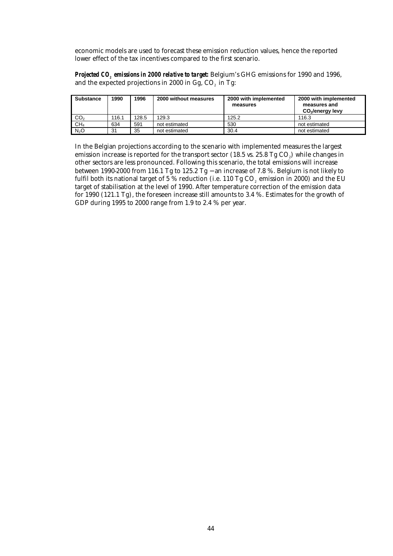economic models are used to forecast these emission reduction values, hence the reported lower effect of the tax incentives compared to the first scenario.

*Projected CO<sub>2</sub> emissions in 2000 relative to target:* Belgium's GHG emissions for 1990 and 1996, and the expected projections in 2000 in Gg, CO<sub>2</sub> in Tg:

| <b>Substance</b> | 1990  | 1996  | 2000 without measures | 2000 with implemented<br>measures | 2000 with implemented<br>measures and<br>CO <sub>2</sub> /energy levy |
|------------------|-------|-------|-----------------------|-----------------------------------|-----------------------------------------------------------------------|
| CO <sub>2</sub>  | 116.1 | 128.5 | 129.3                 | 125.2                             | 116.3                                                                 |
| CH <sub>4</sub>  | 634   | 591   | not estimated         | 530                               | not estimated                                                         |
| N <sub>2</sub> O | 31    | 35    | not estimated         | 30.4                              | not estimated                                                         |

In the Belgian projections according to the scenario with implemented measures the largest emission increase is reported for the transport sector (18.5 vs. 25.8 Tg CO<sub>2</sub>) while changes in other sectors are less pronounced. Following this scenario, the total emissions will increase between 1990-2000 from 116.1 Tg to 125.2 Tg − an increase of 7.8 %. Belgium is not likely to fulfil both its national target of  $5\%$  reduction (i.e. 110 Tg CO<sub>2</sub> emission in 2000) and the EU target of stabilisation at the level of 1990. After temperature correction of the emission data for 1990 (121.1 Tg), the foreseen increase still amounts to 3.4 %. Estimates for the growth of GDP during 1995 to 2000 range from 1.9 to 2.4 % per year.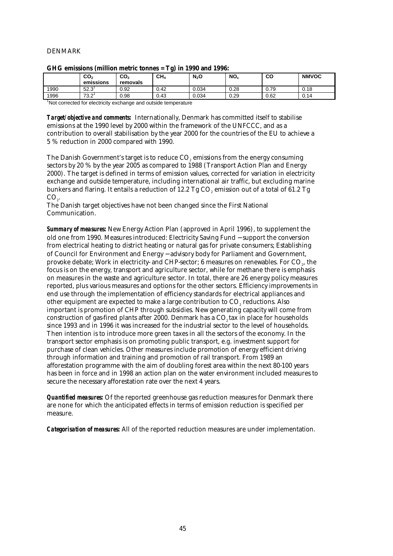## DENMARK

| . .  |                              |                             |                 |         |                 |      |              |  |
|------|------------------------------|-----------------------------|-----------------|---------|-----------------|------|--------------|--|
|      | CO <sub>2</sub><br>emissions | CO <sub>2</sub><br>removals | CH <sub>4</sub> | $N_2$ O | NO <sub>x</sub> | CO   | <b>NMVOC</b> |  |
| 1990 | 52.3                         | 0.92                        | 0.42            | 0.034   | 0.28            | 0.79 | 0.18         |  |
| 1996 | 73.2                         | 0.98                        | 0.43            | 0.034   | 0.29            | 0.62 | 0.14         |  |
|      |                              |                             |                 |         |                 |      |              |  |

|  |  |  |  | GHG emissions (million metric tonnes = Tg) in 1990 and 1996: |
|--|--|--|--|--------------------------------------------------------------|
|--|--|--|--|--------------------------------------------------------------|

<sup>1</sup>Not corrected for electricity exchange and outside temperature

*Target/objective and comments:* Internationally, Denmark has committed itself to stabilise emissions at the 1990 level by 2000 within the framework of the UNFCCC, and as a contribution to overall stabilisation by the year 2000 for the countries of the EU to achieve a 5 % reduction in 2000 compared with 1990.

The Danish Government's target is to reduce  $CO<sub>a</sub>$  emissions from the energy consuming sectors by 20 % by the year 2005 as compared to 1988 (Transport Action Plan and Energy 2000). The target is defined in terms of emission values, corrected for variation in electricity exchange and outside temperature, including international air traffic, but excluding marine bunkers and flaring. It entails a reduction of 12.2 Tg  $CO<sub>2</sub>$  emission out of a total of 61.2 Tg  $CO<sub>2</sub>$ .

The Danish target objectives have not been changed since the First National Communication.

*Summary of measures:* New Energy Action Plan (approved in April 1996), to supplement the old one from 1990. Measures introduced: Electricity Saving Fund − support the conversion from electrical heating to district heating or natural gas for private consumers; Establishing of Council for Environment and Energy − advisory body for Parliament and Government, provoke debate; Work in electricity- and CHP-sector;  $6$  measures on renewables. For  $CO<sub>2</sub>$ , the focus is on the energy, transport and agriculture sector, while for methane there is emphasis on measures in the waste and agriculture sector. In total, there are 26 energy policy measures reported, plus various measures and options for the other sectors. Efficiency improvements in end use through the implementation of efficiency standards for electrical appliances and other equipment are expected to make a large contribution to CO2 reductions. Also important is promotion of CHP through subsidies. New generating capacity will come from construction of gas-fired plants after 2000. Denmark has a CO<sub>2</sub> tax in place for households since 1993 and in 1996 it was increased for the industrial sector to the level of households. Then intention is to introduce more green taxes in all the sectors of the economy. In the transport sector emphasis is on promoting public transport, e.g. investment support for purchase of clean vehicles. Other measures include promotion of energy efficient driving through information and training and promotion of rail transport. From 1989 an afforestation programme with the aim of doubling forest area within the next 80-100 years has been in force and in 1998 an action plan on the water environment included measures to secure the necessary afforestation rate over the next 4 years.

*Quantified measures:* Of the reported greenhouse gas reduction measures for Denmark there are none for which the anticipated effects in terms of emission reduction is specified per measure.

*Categorisation of measures:* All of the reported reduction measures are under implementation.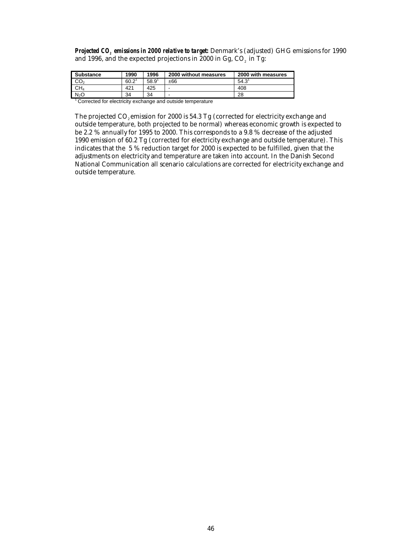*Projected CO<sub>2</sub> emissions in 2000 relative to target:* Denmark's (adjusted) GHG emissions for 1990 and 1996, and the expected projections in 2000 in Gg, CO<sub>2</sub> in Tg:

| <b>Substance</b> | 1990 | 1996 | 2000 without measures | 2000 with measures |
|------------------|------|------|-----------------------|--------------------|
| CO <sub>2</sub>  | 60.2 | 58.9 | ±66                   | 54.3'              |
| CH4              | 421  | 425  | -                     | 408                |
| N <sub>2</sub> O | 34   | 34   | -                     | 28                 |

<sup>1</sup> Corrected for electricity exchange and outside temperature

The projected  $CO<sub>2</sub>$  emission for 2000 is 54.3 Tg (corrected for electricity exchange and outside temperature, both projected to be normal) whereas economic growth is expected to be 2.2 % annually for 1995 to 2000. This corresponds to a 9.8 % decrease of the adjusted 1990 emission of 60.2 Tg (corrected for electricity exchange and outside temperature). This indicates that the 5 % reduction target for 2000 is expected to be fulfilled, given that the adjustments on electricity and temperature are taken into account. In the Danish Second National Communication all scenario calculations are corrected for electricity exchange and outside temperature.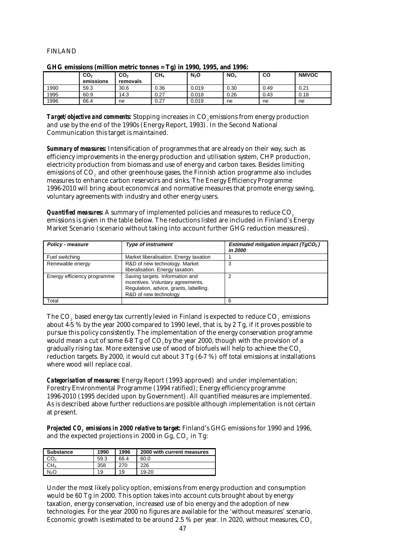## FINLAND

|      |                              |                             | . .             |         |                 |      |              |
|------|------------------------------|-----------------------------|-----------------|---------|-----------------|------|--------------|
|      | CO <sub>2</sub><br>emissions | CO <sub>2</sub><br>removals | CH <sub>A</sub> | $N_2$ O | NO <sub>x</sub> | CO   | <b>NMVOC</b> |
|      |                              |                             |                 |         |                 |      |              |
| 1990 | 59.3                         | 30.6                        | 0.36            | 0.019   | 0.30            | 0.49 | 0.21         |
| 1995 | 60.9                         | 14.3                        | 0.27            | 0.018   | 0.26            | 0.43 | 0.18         |
| 1996 | 66.4                         | ne                          | 0.27            | 0.019   | ne              | ne   | ne           |

#### **GHG emissions (million metric tonnes = Tg) in 1990, 1995, and 1996:**

**Target/objective and comments:** Stopping increases in CO<sub>2</sub> emissions from energy production and use by the end of the 1990s (Energy Report, 1993). In the Second National Communication this target is maintained.

*Summary of measures:* Intensification of programmes that are already on their way, such as efficiency improvements in the energy production and utilisation system, CHP production, electricity production from biomass and use of energy and carbon taxes. Besides limiting emissions of CO2 and other greenhouse gases, the Finnish action programme also includes measures to enhance carbon reservoirs and sinks. The Energy Efficiency Programme 1996-2010 will bring about economical and normative measures that promote energy saving, voluntary agreements with industry and other energy users.

**Quantified measures:** A summary of implemented policies and measures to reduce CO<sub>2</sub> emissions is given in the table below. The reductions listed are included in Finland's Energy Market Scenario (scenario without taking into account further GHG reduction measures).

| <b>Policy - measure</b>     | <b>Type of instrument</b>                                                                                                               | Estimated mitigation impact ( $TgCO2$ )<br>in 2000 |
|-----------------------------|-----------------------------------------------------------------------------------------------------------------------------------------|----------------------------------------------------|
| Fuel switching              | Market liberalisation. Energy taxation                                                                                                  |                                                    |
| Renewable energy            | R&D of new technology. Market<br>liberalisation. Energy taxation.                                                                       |                                                    |
| Energy efficiency programme | Saving targets. Information and<br>incentives. Voluntary agreements.<br>Regulation, advice, grants, labelling.<br>R&D of new technology |                                                    |
| Total                       |                                                                                                                                         | ิค                                                 |

The CO<sub>2</sub> based energy tax currently levied in Finland is expected to reduce CO<sub>2</sub> emissions about 4-5 % by the year 2000 compared to 1990 level, that is, by 2 Tg, if it proves possible to pursue this policy consistently. The implementation of the energy conservation programme would mean a cut of some  $6-8$  Tg of CO<sub>2</sub> by the year 2000, though with the provision of a gradually rising tax. More extensive use of wood of biofuels will help to achieve the  $CO<sub>2</sub>$ reduction targets. By 2000, it would cut about 3 Tg (6-7 %) off total emissions at installations where wood will replace coal.

*Categorisation of measures:* Energy Report (1993 approved) and under implementation; Forestry Environmental Programme (1994 ratified); Energy efficiency programme 1996-2010 (1995 decided upon by Government). All quantified measures are implemented. As is described above further reductions are possible although implementation is not certain at present.

*Projected CO<sub>2</sub> emissions in 2000 relative to target:* Finland's GHG emissions for 1990 and 1996, and the expected projections in 2000 in Gg, CO<sub>2</sub> in Tg:

| <b>Substance</b> | 1990 | 1996 | 2000 with current measures |
|------------------|------|------|----------------------------|
| CO <sub>2</sub>  | 59.3 | 66.4 | 60.0                       |
| CH4              | 358  | 270  | 226                        |
| N2O              | 19   | 19   | $19 - 20$                  |

Under the most likely policy option, emissions from energy production and consumption would be 60 Tg in 2000. This option takes into account cuts brought about by energy taxation, energy conservation, increased use of bio energy and the adoption of new technologies. For the year 2000 no figures are available for the 'without measures' scenario. Economic growth is estimated to be around 2.5 % per year. In 2020, without measures,  $CO<sub>2</sub>$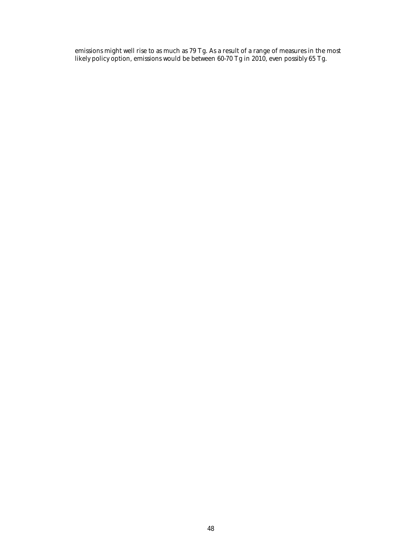emissions might well rise to as much as 79 Tg. As a result of a range of measures in the most likely policy option, emissions would be between 60-70 Tg in 2010, even possibly 65 Tg.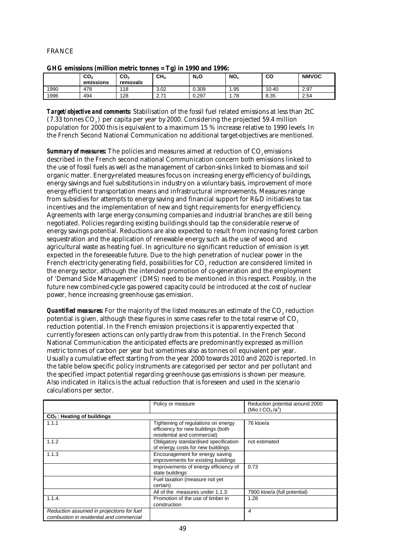## FRANCE

| and chosens (minon mean tomes $-$ ig) in 1000 and 1000. |                              |                 |                 |         |                 |       |              |  |
|---------------------------------------------------------|------------------------------|-----------------|-----------------|---------|-----------------|-------|--------------|--|
|                                                         | CO <sub>2</sub><br>emissions | CO,<br>removals | CH <sub>A</sub> | $N_2$ O | NO <sub>x</sub> | CО    | <b>NMVOC</b> |  |
| 1990                                                    | 478                          | 118             | 3.02            | 0.309   | .95             | 10.40 | 2.97         |  |
| 1996                                                    | 494                          | 128             | 2.71            | 0.297   | .78             | 8.35  | 2.54         |  |

**GHG emissions (million metric tonnes = Tg) in 1990 and 1996:**

*Target/objective and comments:* Stabilisation of the fossil fuel related emissions at less than 2tC  $(7.33 \text{ tonnes } CO_{\odot})$  per capita per year by 2000. Considering the projected 59.4 million population for 2000 this is equivalent to a maximum 15 % increase relative to 1990 levels. In the French Second National Communication no additional target-objectives are mentioned.

**Summary of measures:** The policies and measures aimed at reduction of CO<sub>2</sub> emissions described in the French second national Communication concern both emissions linked to the use of fossil fuels as well as the management of carbon-sinks linked to biomass and soil organic matter. Energy-related measures focus on increasing energy efficiency of buildings, energy savings and fuel substitutions in industry on a voluntary basis, improvement of more energy efficient transportation means and infrastructural improvements. Measures range from subsidies for attempts to energy saving and financial support for R&D initiatives to tax incentives and the implementation of new and tight requirements for energy efficiency. Agreements with large energy consuming companies and industrial branches are still being negotiated. Policies regarding existing buildings should tap the considerable reserve of energy savings potential. Reductions are also expected to result from increasing forest carbon sequestration and the application of renewable energy such as the use of wood and agricultural waste as heating fuel. In agriculture no significant reduction of emission is yet expected in the foreseeable future. Due to the high penetration of nuclear power in the French electricity generating field, possibilities for CO<sub>2</sub> reduction are considered limited in the energy sector, although the intended promotion of co-generation and the employment of 'Demand Side Management' (DMS) need to be mentioned in this respect. Possibly, in the future new combined-cycle gas powered capacity could be introduced at the cost of nuclear power, hence increasing greenhouse gas emission.

*Quantified measures:* For the majority of the listed measures an estimate of the CO<sub>2</sub> reduction potential is given, although these figures in some cases refer to the total reserve of  $CO<sub>2</sub>$ reduction potential. In the French emission projections it is apparently expected that currently foreseen actions can only partly draw from this potential. In the French Second National Communication the anticipated effects are predominantly expressed as million metric tonnes of carbon per year but sometimes also as tonnes oil equivalent per year. Usually a cumulative effect starting from the year 2000 towards 2010 and 2020 is reported. In the table below specific policy instruments are categorised per sector and per pollutant and the specified impact potential regarding greenhouse gas emissions is shown per measure. Also indicated in italics is the actual reduction that is foreseen and used in the scenario calculations per sector.

|                                                                                       | Policy or measure                                                                                        | Reduction potential around 2000<br>(Mio t $CO2/a1$ ) |
|---------------------------------------------------------------------------------------|----------------------------------------------------------------------------------------------------------|------------------------------------------------------|
| CO <sub>2</sub> : Heating of buildings                                                |                                                                                                          |                                                      |
| 1.1.1                                                                                 | Tightening of regulations on energy<br>efficiency for new buildings (both<br>residential and commercial) | 76 ktoe/a                                            |
| 1.1.2                                                                                 | Obligatory standardised specification<br>of energy costs for new buildings                               | not estimated                                        |
| 1.1.3                                                                                 | Encouragement for energy saving<br>improvements for existing buildings                                   |                                                      |
|                                                                                       | Improvements of energy efficiency of<br>state buildings                                                  | 0.73                                                 |
|                                                                                       | Fuel taxation (measure not yet<br>certain)                                                               |                                                      |
|                                                                                       | All of the measures under 1.1.3:                                                                         | 7900 ktoe/a (full potential)                         |
| 1.1.4.                                                                                | Promotion of the use of timber in<br>construction                                                        | 1.28                                                 |
| Reduction assumed in projections for fuel<br>combustion in residential and commercial |                                                                                                          | 4                                                    |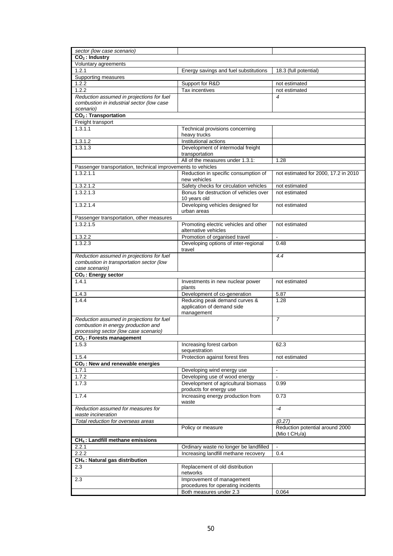| sector (low case scenario)                                                            |                                                                 |                                                     |
|---------------------------------------------------------------------------------------|-----------------------------------------------------------------|-----------------------------------------------------|
| $CO2$ : Industry                                                                      |                                                                 |                                                     |
| Voluntary agreements                                                                  |                                                                 |                                                     |
| 1.2.1<br>Supporting measures                                                          | Energy savings and fuel substitutions                           | 18.3 (full potential)                               |
| 1.2.2                                                                                 | Support for R&D                                                 | not estimated                                       |
| 1.2.2                                                                                 | Tax incentives                                                  | not estimated                                       |
| Reduction assumed in projections for fuel                                             |                                                                 | 4                                                   |
| combustion in industrial sector (low case                                             |                                                                 |                                                     |
| scenario)                                                                             |                                                                 |                                                     |
| CO <sub>2</sub> : Transportation                                                      |                                                                 |                                                     |
| Freight transport<br>1.3.1.1                                                          | Technical provisions concerning                                 |                                                     |
|                                                                                       | heavy trucks                                                    |                                                     |
| 1.3.1.2                                                                               | Institutional actions                                           |                                                     |
| 1.3.1.3                                                                               | Development of intermodal freight                               |                                                     |
|                                                                                       | transportation                                                  |                                                     |
|                                                                                       | All of the measures under 1.3.1:                                | 1.28                                                |
| Passenger transportation, technical improvements to vehicles<br>1.3.2.1.1             |                                                                 |                                                     |
|                                                                                       | Reduction in specific consumption of<br>new vehicles            | not estimated for 2000, 17.2 in 2010                |
| 1.3.2.1.2                                                                             | Safety checks for circulation vehicles                          | not estimated                                       |
| 1.3.2.1.3                                                                             | Bonus for destruction of vehicles over                          | not estimated                                       |
|                                                                                       | 10 years old                                                    |                                                     |
| 1.3.2.1.4                                                                             | Developing vehicles designed for                                | not estimated                                       |
|                                                                                       | urban areas                                                     |                                                     |
| Passenger transportation, other measures<br>1.3.2.1.5                                 | Promoting electric vehicles and other                           | not estimated                                       |
|                                                                                       | alternative vehicles                                            |                                                     |
| 1.3.2.2                                                                               | Promotion of organised travel                                   | $\blacksquare$                                      |
| 1.3.2.3                                                                               | Developing options of inter-regional                            | 0.48                                                |
|                                                                                       | travel                                                          |                                                     |
| Reduction assumed in projections for fuel<br>combustion in transportation sector (low |                                                                 | 4.4                                                 |
| case scenario)                                                                        |                                                                 |                                                     |
| CO <sub>2</sub> : Energy sector                                                       |                                                                 |                                                     |
| 1.4.1                                                                                 | Investments in new nuclear power                                | not estimated                                       |
|                                                                                       | plants                                                          |                                                     |
| 1.4.3<br>1.4.4                                                                        | Development of co-generation<br>Reducing peak demand curves &   | 5.87<br>1.28                                        |
|                                                                                       | application of demand side                                      |                                                     |
|                                                                                       | management                                                      |                                                     |
| Reduction assumed in projections for fuel                                             |                                                                 | $\overline{7}$                                      |
| combustion in energy production and                                                   |                                                                 |                                                     |
| processing sector (low case scenario)<br>CO <sub>2</sub> : Forests management         |                                                                 |                                                     |
| 1.5.3                                                                                 | Increasing forest carbon                                        | 62.3                                                |
|                                                                                       | sequestration                                                   |                                                     |
| 1.5.4                                                                                 | Protection against forest fires                                 | not estimated                                       |
| $CO2$ : New and renewable energies                                                    |                                                                 |                                                     |
| 1.7.1                                                                                 | Developing wind energy use                                      | $\blacksquare$                                      |
| 1.7.2                                                                                 | Developing use of wood energy                                   | ÷.                                                  |
| 1.7.3                                                                                 | Development of agricultural biomass<br>products for energy use  | 0.99                                                |
| 1.7.4                                                                                 | Increasing energy production from                               | 0.73                                                |
|                                                                                       | waste                                                           |                                                     |
| Reduction assumed for measures for                                                    |                                                                 | $-4$                                                |
| waste incineration                                                                    |                                                                 |                                                     |
| Total reduction for overseas areas                                                    |                                                                 | (0.27)                                              |
|                                                                                       | Policy or measure                                               | Reduction potential around 2000<br>(Mio t $CH2/a$ ) |
| CH <sub>4</sub> : Landfill methane emissions                                          |                                                                 |                                                     |
| 2.2.1                                                                                 | Ordinary waste no longer be landfilled                          | $\blacksquare$                                      |
| 2.2.2                                                                                 | Increasing landfill methane recovery                            | 0.4                                                 |
| CH <sub>4</sub> : Natural gas distribution                                            |                                                                 |                                                     |
| 2.3                                                                                   | Replacement of old distribution                                 |                                                     |
|                                                                                       | networks                                                        |                                                     |
| 2.3                                                                                   | Improvement of management<br>procedures for operating incidents |                                                     |
|                                                                                       | Both measures under 2.3                                         | 0.064                                               |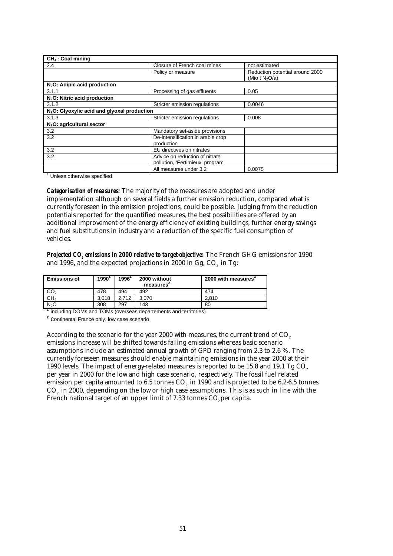| $CH4$ : Coal mining                                     |                                                                   |                                                      |  |  |  |
|---------------------------------------------------------|-------------------------------------------------------------------|------------------------------------------------------|--|--|--|
| 2.4                                                     | Closure of French coal mines                                      | not estimated                                        |  |  |  |
|                                                         | Policy or measure                                                 | Reduction potential around 2000<br>(Mio t $N_2O/a$ ) |  |  |  |
| $N2O$ : Adipic acid production                          |                                                                   |                                                      |  |  |  |
| 3.1.1                                                   | Processing of gas effluents                                       | 0.05                                                 |  |  |  |
| $N2O$ : Nitric acid production                          |                                                                   |                                                      |  |  |  |
| 3.1.2                                                   | Stricter emission regulations                                     | 0.0046                                               |  |  |  |
| N <sub>2</sub> O: Glyoxylic acid and glyoxal production |                                                                   |                                                      |  |  |  |
| 3.1.3                                                   | Stricter emission regulations                                     | 0.008                                                |  |  |  |
| $N2O$ : agricultural sector                             |                                                                   |                                                      |  |  |  |
| 3.2                                                     | Mandatory set-aside provisions                                    |                                                      |  |  |  |
| 3.2                                                     | De-intensification in arable crop<br>production                   |                                                      |  |  |  |
| 3.2                                                     | EU directives on nitrates                                         |                                                      |  |  |  |
| 3.2                                                     | Advice on reduction of nitrate<br>pollution, 'Fertimieux' program |                                                      |  |  |  |
|                                                         | All measures under 3.2                                            | 0.0075                                               |  |  |  |

<sup>1</sup> Unless otherwise specified

*Categorisation of measures:* The majority of the measures are adopted and under implementation although on several fields a further emission reduction, compared what is currently foreseen in the emission projections, could be possible. Judging from the reduction potentials reported for the quantified measures, the best possibilities are offered by an additional improvement of the energy efficiency of existing buildings, further energy savings and fuel substitutions in industry and a reduction of the specific fuel consumption of vehicles.

*Projected CO2 emissions in 2000 relative to target-objective:* The French GHG emissions for 1990 and 1996, and the expected projections in 2000 in Gg,  $CO<sub>2</sub>$  in Tg:

| <b>Emissions of</b> | 1990  | 1996  | 2000 without<br>measures <sup>*</sup> | 2000 with measures |
|---------------------|-------|-------|---------------------------------------|--------------------|
| CO <sub>2</sub>     | 478   | 494   | 492                                   | 474                |
| CH <sub>4</sub>     | 3.018 | 2.712 | 3.070                                 | 2.810              |
| N <sub>2</sub> O    | 308   | 297   | 143                                   | 80                 |

**<sup>1</sup>** including DOMs and TOMs (overseas departements and territories)

<sup>2</sup> Continental France only, low case scenario

According to the scenario for the year 2000 with measures, the current trend of CO<sub>2</sub> emissions increase will be shifted towards falling emissions whereas basic scenario assumptions include an estimated annual growth of GPD ranging from 2.3 to 2.6 %. The currently foreseen measures should enable maintaining emissions in the year 2000 at their 1990 levels. The impact of energy-related measures is reported to be 15.8 and 19.1 Tg  $CO<sub>2</sub>$ per year in 2000 for the low and high case scenario, respectively. The fossil fuel related emission per capita amounted to  $6.5$  tonnes  $CO<sub>2</sub>$  in 1990 and is projected to be  $6.2-6.5$  tonnes CO<sub>2</sub> in 2000, depending on the low or high case assumptions. This is as such in line with the French national target of an upper limit of 7.33 tonnes CO, per capita.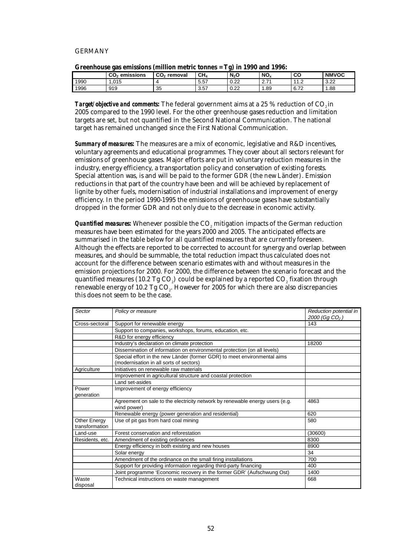#### GERMANY

|      | MIVUMUVUUV LUV VAHAVVIVIIV IMMAAVII MIVUIV LVIIILVV |                         | $101$ mas $1000$ while $1000$ |                  |                                      |                                   |              |
|------|-----------------------------------------------------|-------------------------|-------------------------------|------------------|--------------------------------------|-----------------------------------|--------------|
|      | emissions<br>CO <sub>2</sub>                        | CO <sub>2</sub> removal | CH <sub>4</sub>               | N <sub>2</sub> O | NO.                                  | CО                                | <b>NMVOC</b> |
| 1990 | .015                                                |                         | 5.57                          | 0.22             | $\overline{\phantom{a}}$<br><u>.</u> | $\overline{44}$<br>$\overline{1}$ | 3.22         |
| 1996 | 919                                                 | 35<br>ູບປ               | 3.57                          | റാ<br>U.ZZ       | .89                                  | 0.70<br>6.7Z                      | 1.88         |

| Greenhouse gas emissions (million metric tonnes = Tg) in 1990 and 1996: |  |  |
|-------------------------------------------------------------------------|--|--|
|-------------------------------------------------------------------------|--|--|

*Target/objective and comments:* The federal government aims at a 25 % reduction of CO<sub>2</sub> in 2005 compared to the 1990 level. For the other greenhouse gases reduction and limitation targets are set, but not quantified in the Second National Communication. The national target has remained unchanged since the First National Communication.

*Summary of measures:* The measures are a mix of economic, legislative and R&D incentives, voluntary agreements and educational programmes. They cover about all sectors relevant for emissions of greenhouse gases. Major efforts are put in voluntary reduction measures in the industry, energy efficiency, a transportation policy and conservation of existing forests. Special attention was, is and will be paid to the former GDR (the new Länder). Emission reductions in that part of the country have been and will be achieved by replacement of lignite by other fuels, modernisation of industrial installations and improvement of energy efficiency. In the period 1990-1995 the emissions of greenhouse gases have substantially dropped in the former GDR and not only due to the decrease in economic activity.

*Quantified measures:* Whenever possible the CO<sub>2</sub> mitigation impacts of the German reduction measures have been estimated for the years 2000 and 2005. The anticipated effects are summarised in the table below for all quantified measures that are currently foreseen. Although the effects are reported to be corrected to account for synergy and overlap between measures, and should be summable, the total reduction impact thus calculated does not account for the difference between scenario estimates with and without measures in the emission projections for 2000. For 2000, the difference between the scenario forecast and the quantified measures (10.2 Tg  $CO<sub>a</sub>$ ) could be explained by a reported  $CO<sub>a</sub>$  fixation through renewable energy of 10.2 Tg CO<sub>2</sub>. However for 2005 for which there are also discrepancies this does not seem to be the case.

| Sector                         | Policy or measure                                                                                                   | Reduction potential in<br>2000 (Gg $CO2$ ) |
|--------------------------------|---------------------------------------------------------------------------------------------------------------------|--------------------------------------------|
| Cross-sectoral                 | Support for renewable energy                                                                                        | 143                                        |
|                                | Support to companies, workshops, forums, education, etc.                                                            |                                            |
|                                | R&D for energy efficiency                                                                                           |                                            |
|                                | Industry's declaration on climate protection                                                                        | 18200                                      |
|                                | Dissemination of information on environmental protection (on all levels)                                            |                                            |
|                                | Special effort in the new Länder (former GDR) to meet environmental aims<br>(modernisation in all sorts of sectors) |                                            |
| Agriculture                    | Initiatives on renewable raw materials                                                                              |                                            |
|                                | Improvement in agricultural structure and coastal protection                                                        |                                            |
|                                | Land set-asides                                                                                                     |                                            |
| Power                          | Improvement of energy efficiency                                                                                    |                                            |
| generation                     |                                                                                                                     |                                            |
|                                | Agreement on sale to the electricity network by renewable energy users (e.g.<br>wind power)                         | 4863                                       |
|                                | Renewable energy (power generation and residential)                                                                 | 620                                        |
| Other Energy<br>transformation | Use of pit gas from hard coal mining                                                                                | 580                                        |
| Land-use                       | Forest conservation and reforestation                                                                               | (30600)                                    |
| Residents, etc.                | Amendment of existing ordinances                                                                                    | 8300                                       |
|                                | Energy efficiency in both existing and new houses                                                                   | 8900                                       |
|                                | Solar energy                                                                                                        | 34                                         |
|                                | Amendment of the ordinance on the small firing installations                                                        | 700                                        |
|                                | Support for providing information regarding third-party financing                                                   | 400                                        |
|                                | Joint programme 'Economic recovery in the former GDR' (Aufschwung Ost)                                              | 1400                                       |
| Waste                          | Technical instructions on waste management                                                                          | 668                                        |
| disposal                       |                                                                                                                     |                                            |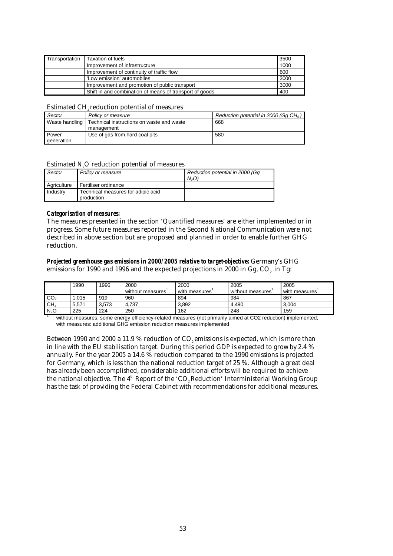| Transportation | <b>Taxation of fuels</b>                                | 3500 |
|----------------|---------------------------------------------------------|------|
|                | Improvement of infrastructure                           | 1000 |
|                | Improvement of continuity of traffic flow               | 600  |
|                | 'Low emission' automobiles                              | 3000 |
|                | Improvement and promotion of public transport           | 3000 |
|                | Shift in and combination of means of transport of goods | 400  |

## Estimated  $CH<sub>4</sub>$  reduction potential of measures

| Sector       | Policy or measure                                          | Reduction potential in 2000 (Gq $CH4$ ) |
|--------------|------------------------------------------------------------|-----------------------------------------|
|              | Waste handling   Technical instructions on waste and waste | 668                                     |
|              | management                                                 |                                         |
| <b>Power</b> | Use of gas from hard coal pits                             | 580                                     |
| generation   |                                                            |                                         |

## Estimated N2O reduction potential of measures

| Sector      | Policy or measure                                | Reduction potential in 2000 (Gq<br>N <sub>2</sub> O |
|-------------|--------------------------------------------------|-----------------------------------------------------|
| Agriculture | Fertiliser ordinance                             |                                                     |
| Industry    | Technical measures for adipic acid<br>production |                                                     |

#### *Categorisation of measures:*

The measures presented in the section 'Quantified measures' are either implemented or in progress. Some future measures reported in the Second National Communication were not described in above section but are proposed and planned in order to enable further GHG reduction.

## *Projected greenhouse gas emissions in 2000/2005 relative to target-objective:* Germany's GHG emissions for 1990 and 1996 and the expected projections in 2000 in Gg, CO<sub>2</sub> in Tg:

|                  | 1990  | 1996  | 2000<br>without measures' | 2000<br>with measures | 2005<br>without measures' | 2005<br>with measures |
|------------------|-------|-------|---------------------------|-----------------------|---------------------------|-----------------------|
| CO <sub>2</sub>  | .015  | 919   | 960                       | 894                   | 984                       | 867                   |
| CH <sub>4</sub>  | 5.571 | 3.573 | 4.737                     | 3.892                 | 4.490                     | 3.004                 |
| N <sub>2</sub> O | 225   | 224   | 250                       | 162                   | 248                       | 159                   |

without measures: some energy efficiency-related measures (not primarily aimed at CO2 reduction) implemented; with measures: additional GHG emission reduction measures implemented

Between 1990 and 2000 a 11.9 % reduction of  $CO<sub>s</sub>$  emissions is expected, which is more than in line with the EU stabilisation target. During this period GDP is expected to grow by 2.4 % annually. For the year 2005 a 14.6 % reduction compared to the 1990 emissions is projected for Germany, which is less than the national reduction target of 25 %. Although a great deal has already been accomplished, considerable additional efforts will be required to achieve the national objective. The  $4<sup>th</sup>$  Report of the 'CO<sub>2</sub> Reduction' Interministerial Working Group has the task of providing the Federal Cabinet with recommendations for additional measures.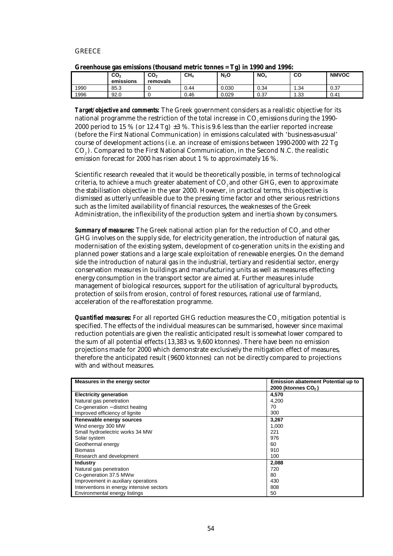## **GREECE**

|      | $\mathsf{CO}_2$<br>emissions | CO <sub>2</sub><br>removals | CH <sub>4</sub> | c<br>$N_2$ O | NO <sub>x</sub> | co   | <b>NMVOC</b> |
|------|------------------------------|-----------------------------|-----------------|--------------|-----------------|------|--------------|
| 1990 | 85.3                         |                             | 0.44            | 0.030        | 0.34            | 1.34 | 0.37         |
| 1996 | 92.0                         |                             | 0.46            | 0.029        | 0.37            | 1.33 | 0.41         |

|  | Greenhouse gas emissions (thousand metric tonnes = Tg) in 1990 and 1996: |  |
|--|--------------------------------------------------------------------------|--|
|--|--------------------------------------------------------------------------|--|

**Target/objective and comments:** The Greek government considers as a realistic objective for its national programme the restriction of the total increase in CO<sub>2</sub> emissions during the 1990-2000 period to 15 % (or 12.4 Tg)  $\pm 3$  %. This is 9.6 less than the earlier reported increase (before the First National Communication) in emissions calculated with 'business-as-usual' course of development actions (i.e. an increase of emissions between 1990-2000 with 22 Tg CO<sub>2</sub>). Compared to the First National Communication, in the Second N.C. the realistic emission forecast for 2000 has risen about 1 % to approximately 16 %.

Scientific research revealed that it would be theoretically possible, in terms of technological criteria, to achieve a much greater abatement of CO<sub>2</sub> and other GHG, even to approximate the stabilisation objective in the year 2000. However, in practical terms, this objective is dismissed as utterly unfeasible due to the pressing time factor and other serious restrictions such as the limited availability of financial resources, the weaknesses of the Greek Administration, the inflexibility of the production system and inertia shown by consumers.

**Summary of measures:** The Greek national action plan for the reduction of CO<sub>2</sub> and other GHG involves on the supply side, for electricity generation, the introduction of natural gas, modernisation of the existing system, development of co-generation units in the existing and planned power stations and a large scale exploitation of renewable energies. On the demand side the introduction of natural gas in the industrial, tertiary and residential sector, energy conservation measures in buildings and manufacturing units as well as measures effecting energy consumption in the transport sector are aimed at. Further measures inlude management of biological resources, support for the utilisation of agricultural by-products, protection of soils from erosion, control of forest resources, rational use of farmland, acceleration of the re-afforestation programme.

*Quantified measures:* For all reported GHG reduction measures the CO<sub>2</sub> mitigation potential is specified. The effects of the individual measures can be summarised, however since maximal reduction potentials are given the realistic anticipated result is somewhat lower compared to the sum of all potential effects (13,383 vs. 9,600 ktonnes). There have been no emission projections made for 2000 which demonstrate exclusively the mitigation effect of measures, therefore the anticipated result (9600 ktonnes) can not be directly compared to projections with and without measures.

| Measures in the energy sector             | <b>Emission abatement Potential up to</b> |
|-------------------------------------------|-------------------------------------------|
|                                           | 2000 (ktonnes CO <sub>2</sub> )           |
| <b>Electricity generation</b>             | 4,570                                     |
| Natural gas penetration                   | 4,200                                     |
| Co-generation - district heating          | 70                                        |
| Improved efficiency of lignite            | 300                                       |
| Renewable energy sources                  | 3,267                                     |
| Wind energy 300 MW                        | 1.000                                     |
| Small hydroelectric works 34 MW           | 221                                       |
| Solar system                              | 976                                       |
| Geothermal energy                         | 60                                        |
| <b>Biomass</b>                            | 910                                       |
| Research and development                  | 100                                       |
| <b>Industry</b>                           | 2,088                                     |
| Natural gas penetration                   | 720                                       |
| Co-generation 37.5 MWw                    | 80                                        |
| Improvement in auxiliary operations       | 430                                       |
| Interventions in energy intensive sectors | 808                                       |
| Environmental energy listings             | 50                                        |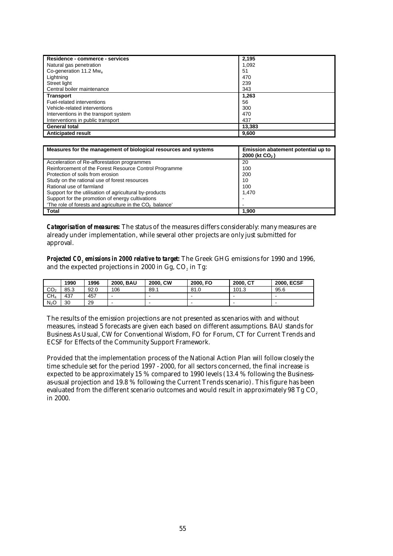| Residence - commerce - services       | 2,195  |
|---------------------------------------|--------|
| Natural gas penetration               | 1,092  |
| Co-generation 11.2 $Mw_{e}$           | 51     |
| Lightning                             | 470    |
| Street light                          | 239    |
| Central boiler maintenance            | 343    |
| <b>Transport</b>                      | 1,263  |
| Fuel-related interventions            | 56     |
| Vehicle-related interventions         | 300    |
| Interventions in the transport system | 470    |
| Interventions in public transport     | 437    |
| <b>General total</b>                  | 13,383 |
| <b>Anticipated result</b>             | 9,600  |

| Measures for the management of biological resources and systems      | Emission abatement potential up to<br>2000 (kt CO <sub>2</sub> ) |
|----------------------------------------------------------------------|------------------------------------------------------------------|
| Acceleration of Re-afforestation programmes                          | 20                                                               |
| Reinforcement of the Forest Resource Control Programme               | 100                                                              |
| Protection of soils from erosion                                     | 200                                                              |
| Study on the rational use of forest resources                        | 10                                                               |
| Rational use of farmland                                             | 100                                                              |
| Support for the utilisation of agricultural by-products              | 1.470                                                            |
| Support for the promotion of energy cultivations                     |                                                                  |
| 'The role of forests and agriculture in the CO <sub>2</sub> balance' |                                                                  |
| <b>Total</b>                                                         | 1,900                                                            |

*Categorisation of measures:* The status of the measures differs considerably: many measures are already under implementation, while several other projects are only just submitted for approval.

*Projected CO2 emissions in 2000 relative to target:* The Greek GHG emissions for 1990 and 1996, and the expected projections in 2000 in Gg, CO<sub>2</sub> in Tg:

|                  | 1990 | 1996 | <b>BAU</b><br>2000. | 2000, CW | 2000. FO | 2000. CT | <b>2000. ECSF</b>        |
|------------------|------|------|---------------------|----------|----------|----------|--------------------------|
| CO <sub>2</sub>  | 85.3 | 92.0 | 106                 | 89.1     | 81.0     | 101.3    | 95.6                     |
| CH <sub>4</sub>  | 437  | 457  | -                   | -        |          |          | $\overline{\phantom{0}}$ |
| N <sub>2</sub> O | 30   | 29   |                     |          |          |          | $\overline{\phantom{0}}$ |

The results of the emission projections are not presented as scenarios with and without measures, instead 5 forecasts are given each based on different assumptions. BAU stands for Business As Usual, CW for Conventional Wisdom, FO for Forum, CT for Current Trends and ECSF for Effects of the Community Support Framework.

Provided that the implementation process of the National Action Plan will follow closely the time schedule set for the period 1997 - 2000, for all sectors concerned, the final increase is expected to be approximately 15 % compared to 1990 levels (13.4 % following the Businessas-usual projection and 19.8 % following the Current Trends scenario). This figure has been evaluated from the different scenario outcomes and would result in approximately 98 Tg  $CO<sub>2</sub>$ in 2000.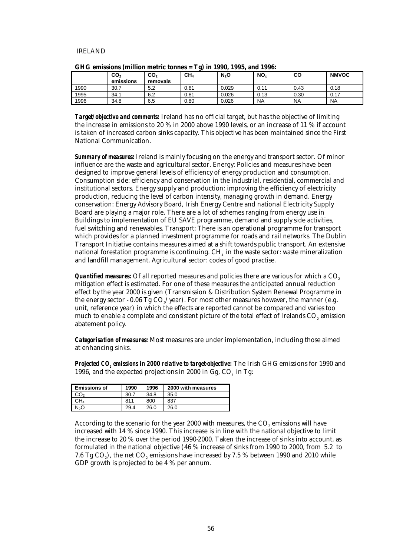#### IRELAND

|      | CO <sub>2</sub><br>emissions | CO <sub>2</sub><br>removals | . .<br>CH <sub>4</sub> | $N_2$ O | NO <sub>x</sub> | CO        | <b>NMVOC</b> |
|------|------------------------------|-----------------------------|------------------------|---------|-----------------|-----------|--------------|
| 1990 | 30.7                         | 5.2                         | 0.81                   | 0.029   | 0.11            | 0.43      | 0.18         |
| 1995 | 34.1                         | 6.2                         | 0.81                   | 0.026   | 0.13            | 0.30      | 0.17         |
| 1996 | 34.8                         | 6.5                         | 0.80                   | 0.026   | <b>NA</b>       | <b>NA</b> | <b>NA</b>    |

|  |  |  |  | GHG emissions (million metric tonnes = Tg) in 1990, 1995, and 1996: |
|--|--|--|--|---------------------------------------------------------------------|
|--|--|--|--|---------------------------------------------------------------------|

*Target/objective and comments:* Ireland has no official target, but has the objective of limiting the increase in emissions to 20 % in 2000 above 1990 levels, or an increase of 11 % if account is taken of increased carbon sinks capacity. This objective has been maintained since the First National Communication.

*Summary of measures:* Ireland is mainly focusing on the energy and transport sector. Of minor influence are the waste and agricultural sector. Energy: Policies and measures have been designed to improve general levels of efficiency of energy production and consumption. Consumption side: efficiency and conservation in the industrial, residential, commercial and institutional sectors. Energy supply and production: improving the efficiency of electricity production, reducing the level of carbon intensity, managing growth in demand. Energy conservation: Energy Advisory Board, Irish Energy Centre and national Electricity Supply Board are playing a major role. There are a lot of schemes ranging from energy use in Buildings to implementation of EU SAVE programme, demand and supply side activities, fuel switching and renewables. Transport: There is an operational programme for transport which provides for a planned investment programme for roads and rail networks. The Dublin Transport Initiative contains measures aimed at a shift towards public transport. An extensive national forestation programme is continuing.  $CH<sub>4</sub>$  in the waste sector: waste mineralization and landfill management. Agricultural sector: codes of good practise.

*Quantified measures:* Of all reported measures and policies there are various for which a CO<sub>2</sub> mitigation effect is estimated. For one of these measures the anticipated annual reduction effect by the year 2000 is given (Transmission & Distribution System Renewal Programme in the energy sector - 0.06 Tg  $CO_{2}/year$ ). For most other measures however, the manner (e.g. unit, reference year) in which the effects are reported cannot be compared and varies too much to enable a complete and consistent picture of the total effect of Irelands CO<sub>2</sub> emission abatement policy.

*Categorisation of measures:* Most measures are under implementation, including those aimed at enhancing sinks.

*Projected CO<sub>2</sub> emissions in 2000 relative to target-objective:* The Irish GHG emissions for 1990 and 1996, and the expected projections in 2000 in  $Gg$ ,  $CO<sub>2</sub>$  in Tg:

| <b>Emissions of</b> | 1990 | 1996 | 2000 with measures |
|---------------------|------|------|--------------------|
| CO2                 | 30.7 | 34.8 | 35.0               |
| CH4                 | 811  | 800  | 837                |
| N2O                 | 29.4 | 26.0 | 26.0               |

According to the scenario for the year 2000 with measures, the CO<sub>2</sub> emissions will have increased with 14 % since 1990. This increase is in line with the national objective to limit the increase to 20 % over the period 1990-2000. Taken the increase of sinks into account, as formulated in the national objective (46 % increase of sinks from 1990 to 2000, from 5.2 to 7.6 Tg CO<sub>2</sub>), the net CO<sub>2</sub> emissions have increased by 7.5 % between 1990 and 2010 while GDP growth is projected to be 4 % per annum.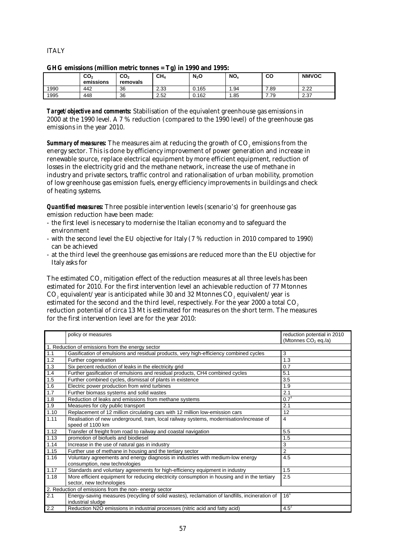# **ITALY**

|      | CO <sub>2</sub><br>emissions | CO <sub>2</sub><br>removals | CH4  | $N_2$ O | NO <sub>x</sub> | CО   | <b>NMVOC</b> |  |  |
|------|------------------------------|-----------------------------|------|---------|-----------------|------|--------------|--|--|
| 1990 | 442                          | 36                          | 2.33 | 0.165   | . .94           | 7.89 | 2.22         |  |  |
| 1995 | 448                          | 36                          | 2.52 | 0.162   | .85             | 7.79 | 2.37         |  |  |

|  | GHG emissions (million metric tonnes = Tg) in 1990 and 1995: |  |  |
|--|--------------------------------------------------------------|--|--|
|--|--------------------------------------------------------------|--|--|

*Target/objective and comments:* Stabilisation of the equivalent greenhouse gas emissions in 2000 at the 1990 level. A 7 % reduction (compared to the 1990 level) of the greenhouse gas emissions in the year 2010.

**Summary of measures:** The measures aim at reducing the growth of CO<sub>2</sub> emissions from the energy sector. This is done by efficiency improvement of power generation and increase in renewable source, replace electrical equipment by more efficient equipment, reduction of losses in the electricity grid and the methane network, increase the use of methane in industry and private sectors, traffic control and rationalisation of urban mobility, promotion of low greenhouse gas emission fuels, energy efficiency improvements in buildings and check of heating systems.

*Quantified measures:* Three possible intervention levels (scenario's) for greenhouse gas emission reduction have been made:

- the first level is necessary to modernise the Italian economy and to safeguard the environment
- with the second level the EU objective for Italy (7 % reduction in 2010 compared to 1990) can be achieved
- at the third level the greenhouse gas emissions are reduced more than the EU objective for Italy asks for

The estimated CO<sub>2</sub> mitigation effect of the reduction measures at all three levels has been estimated for 2010. For the first intervention level an achievable reduction of 77 Mtonnes CO<sub>2</sub> equivalent/year is anticipated while 30 and 32 Mtonnes CO<sub>2</sub> equivalent/year is estimated for the second and the third level, respectively. For the year 2000 a total CO<sub>2</sub> reduction potential of circa 13 Mt is estimated for measures on the short term. The measures for the first intervention level are for the year 2010:

|      | policy or measures                                                                            | reduction potential in 2010     |
|------|-----------------------------------------------------------------------------------------------|---------------------------------|
|      |                                                                                               | (Mtonnes CO <sub>2</sub> eq./a) |
|      | 1. Reduction of emissions from the energy sector                                              |                                 |
| 1.1  | Gasification of emulsions and residual products, very high-efficiency combined cycles         | 3                               |
| 1.2  | Further cogeneration                                                                          | 1.3                             |
| 1.3  | Six percent reduction of leaks in the electricity grid                                        | 0.7                             |
| 1.4  | Further gasification of emulsions and residual products, CH4 combined cycles                  | 5.1                             |
| 1.5  | Further combined cycles, dismissal of plants in existence                                     | 3.5                             |
| 1.6  | Electric power production from wind turbines                                                  | 1.9                             |
| 1.7  | Further biomass systems and solid wastes                                                      | 2.1                             |
| 1.8  | Reduction of leaks and emissions from methane systems                                         | $0.7^{1}$                       |
| 1.9  | Measures for city public transport                                                            | 2.1                             |
| 1.10 | Replacement of 12 million circulating cars with 12 million low-emission cars                  | 12                              |
| 1.11 | Realisation of new underground, tram, local railway systems, modernisation/increase of        | 4                               |
|      | speed of 1100 km                                                                              |                                 |
| 1.12 | Transfer of freight from road to railway and coastal navigation                               | 5.5                             |
| 1.13 | promotion of biofuels and biodiesel                                                           | 1.5                             |
| 1.14 | Increase in the use of natural gas in industry                                                | 3                               |
| 1.15 | Further use of methane in housing and the tertiary sector                                     | $\overline{2}$                  |
| 1.16 | Voluntary agreements and energy diagnosis in industries with medium-low energy                | 4.5                             |
|      | consumption, new technologies                                                                 |                                 |
| 1.17 | Standards and voluntary agreements for high-efficiency equipment in industry                  | 1.5                             |
| 1.18 | More efficient equipment for reducing electricity consumption in housing and in the tertiary  | 2.5                             |
|      | sector, new technologies                                                                      |                                 |
|      | 2. Reduction of emissions from the non-energy sector                                          |                                 |
| 2.1  | Energy-saving measures (recycling of solid wastes), reclamation of landfills, incineration of | 16 <sup>1</sup>                 |
|      | industrial sludge                                                                             |                                 |
| 2.2  | Reduction N2O emissions in industrial processes (nitric acid and fatty acid)                  | $4.5^{2}$                       |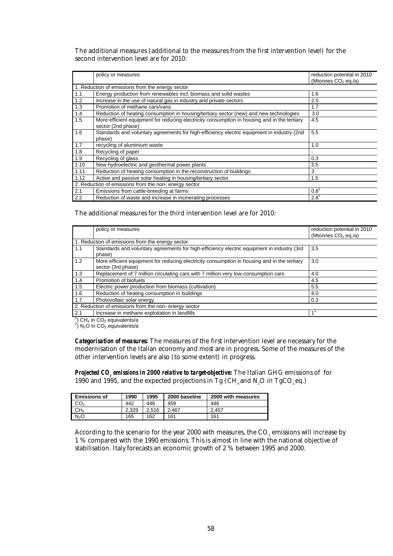The additional measures (additional to the measures from the first intervention level) for the second intervention level are for 2010:

|      | policy or measures                                                                                                 | reduction potential in 2010<br>(Mtonnes CO <sub>2</sub> eq./a) |
|------|--------------------------------------------------------------------------------------------------------------------|----------------------------------------------------------------|
|      | 1. Reduction of emissions from the energy sector                                                                   |                                                                |
| 1.1  | Energy production from renewables incl, biomass and solid wastes                                                   | 1.6                                                            |
| 1.2  | Increase in the use of natural gas in industry and private sectors                                                 | 2.5                                                            |
| 1.3  | Promotion of methane cars/vans                                                                                     | 1.7                                                            |
| 1.4  | Reduction of heating consumption in housing/tertiary sector (new) and new technologies                             | 3.0                                                            |
| 1.5  | More efficient equipment for reducing electricity consumption in housing and in the tertiary<br>sector (2nd phase) | 4.5                                                            |
| 1.6  | Standards and voluntary agreements for high-efficiency electric equipment in industry (2nd<br>phase)               | 5.5                                                            |
| 1.7  | recycling of aluminium waste                                                                                       | 1.0                                                            |
| 1.8  | Recycling of paper                                                                                                 |                                                                |
| 1.9  | Recycling of glass                                                                                                 | 0.3                                                            |
| 1.10 | New hydroelectric and geothermal power plants                                                                      | 3.5                                                            |
| 1.11 | Reduction of heating consumption in the reconstruction of buildings                                                | 3                                                              |
| 1.12 | Active and passive solar heating in housing/tertiary sector                                                        | 1.5                                                            |
|      | 2. Reduction of emissions from the non-energy sector                                                               |                                                                |
| 2.1  | Emissions from cattle-breeding at farms                                                                            | $0.8^{\circ}$                                                  |
| 2.2  | Reduction of waste and increase in incinerating processes                                                          | $2.8^{\circ}$                                                  |

The additional measures for the third intervention level are for 2010:

|     | policy or measures                                                                                                 | reduction potential in 2010 |
|-----|--------------------------------------------------------------------------------------------------------------------|-----------------------------|
|     |                                                                                                                    | (Mtonnes $CO2$ eq./a)       |
|     | 1. Reduction of emissions from the energy sector                                                                   |                             |
| 1.1 | Standards and voluntary agreements for high-efficiency electric equipment in industry (3rd<br>phase)               | 3.5                         |
| 1.2 | More efficient equipment for reducing electricity consumption in housing and in the tertiary<br>sector (3rd phase) | 3.0                         |
| 1.3 | Replacement of 7 million circulating cars with 7 million very low-consumption cars                                 | 4.0                         |
| 1.4 | Promotion of biofuels                                                                                              | 4.5                         |
| 1.5 | Electric power production from biomass (cultivation)                                                               | 5.5                         |
| 1.6 | Reduction of heating consumption in buildings                                                                      | 8.0                         |
| 1.7 | Photovoltaic solar energy                                                                                          | 0.3                         |
|     | 2. Reduction of emissions from the non- energy sector                                                              |                             |
| 2.1 | Increase in methane exploitation in landfills                                                                      |                             |
|     |                                                                                                                    |                             |

 $^{1}$ ) CH<sub>4</sub> in CO<sub>2</sub> equivalents/a<br><sup>2</sup>) N<sub>2</sub>O in CO<sub>2</sub> equivalents/a

*Categorisation of measures:* The measures of the first intervention level are necessary for the modernisation of the Italian economy and most are in progress. Some of the measures of the other intervention levels are also (to some extent) in progress.

*Projected CO2 emissions in 2000 relative to target-objective:* The Italian GHG emissions of for 1990 and 1995, and the expected projections in Tg (CH<sub>4</sub> and N<sub>2</sub>O in TgCO<sub>2</sub> eq.)

| <b>Emissions of</b> | 1990  | 1995  | 2000 baseline | 2000 with measures |
|---------------------|-------|-------|---------------|--------------------|
| CO,                 | 442   | 448   | 459           | 446                |
| CH4                 | 2.329 | 2.516 | 2.467         | 2.457              |
| N <sub>2</sub> O    | 165   | 162   | 161           | 161                |

According to the scenario for the year 2000 with measures, the CO<sub>2</sub> emissions will increase by 1 % compared with the 1990 emissions. This is almost in line with the national objective of stabilisation. Italy forecasts an economic growth of 2 % between 1995 and 2000.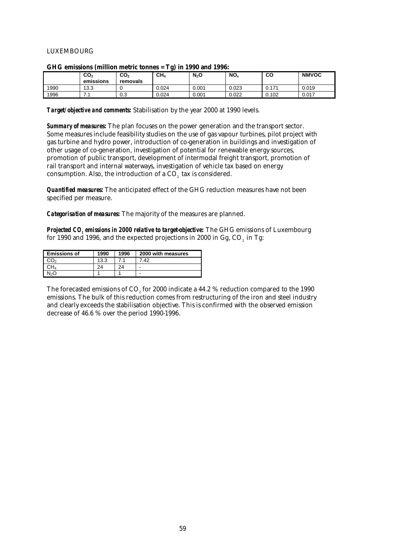## LUXEMBOURG

|      |                              |                             | . .             |         |                 |                   |              |
|------|------------------------------|-----------------------------|-----------------|---------|-----------------|-------------------|--------------|
|      | CO <sub>2</sub><br>emissions | CO <sub>2</sub><br>removals | CH <sub>4</sub> | $N_2$ O | NO <sub>x</sub> | CO                | <b>NMVOC</b> |
| 1990 | 13.3                         |                             | 0.024           | 0.001   | 0.023           | 0.17 <sup>4</sup> | 0.019        |
| 1996 | .                            | 0.3                         | 0.024           | 0.001   | 0.022           | 0.102             | 0.017        |

#### **GHG emissions (million metric tonnes = Tg) in 1990 and 1996:**

*Target/objective and comments:* Stabilisation by the year 2000 at 1990 levels.

*Summary of measures:* The plan focuses on the power generation and the transport sector. Some measures include feasibility studies on the use of gas vapour turbines, pilot project with gas turbine and hydro power, introduction of co-generation in buildings and investigation of other usage of co-generation, investigation of potential for renewable energy sources, promotion of public transport, development of intermodal freight transport, promotion of rail transport and internal waterways, investigation of vehicle tax based on energy consumption. Also, the introduction of a CO<sub>2</sub> tax is considered.

*Quantified measures:* The anticipated effect of the GHG reduction measures have not been specified per measure.

*Categorisation of measures:* The majority of the measures are planned.

*Projected CO<sub>2</sub> emissions in 2000 relative to target-objective:* The GHG emissions of Luxembourg for 1990 and 1996, and the expected projections in 2000 in Gg, CO<sub>2</sub> in Tg:

| <b>Emissions of</b> | 1990 | 1996 | 2000 with measures |
|---------------------|------|------|--------------------|
| CO <sub>2</sub>     | 13.3 |      | 7 42               |
| CH4                 | 24   | 24   |                    |
| N,O                 |      |      |                    |

The forecasted emissions of CO<sub>2</sub> for 2000 indicate a 44.2 % reduction compared to the 1990 emissions. The bulk of this reduction comes from restructuring of the iron and steel industry and clearly exceeds the stabilisation objective. This is confirmed with the observed emission decrease of 46.6 % over the period 1990-1996.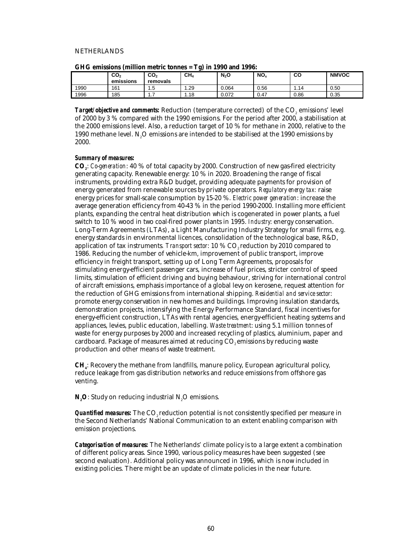#### NETHERLANDS

|      | CO <sub>2</sub><br>emissions | CO <sub>2</sub><br>removals   | . .<br>CH <sub>4</sub> | $N_2$ O | NO <sub>x</sub> | CO   | <b>NMVOC</b> |
|------|------------------------------|-------------------------------|------------------------|---------|-----------------|------|--------------|
| 1990 | 161                          | Б,<br>ں. ا                    | 1.29                   | 0.064   | 0.56            | -14  | 0.50         |
| 1996 | 185                          | $\mathbf{1} \cdot \mathbf{1}$ | 1.18                   | 0.072   | 0.47            | 0.86 | 0.35         |

| GHG emissions (million metric tonnes = Tg) in 1990 and 1996: |  |  |  |  |
|--------------------------------------------------------------|--|--|--|--|
|--------------------------------------------------------------|--|--|--|--|

**Target/objective and comments:** Reduction (temperature corrected) of the CO<sub>2</sub> emissions' level of 2000 by 3 % compared with the 1990 emissions. For the period after 2000, a stabilisation at the 2000 emissions level. Also, a reduction target of 10 % for methane in 2000, relative to the 1990 methane level. N<sub>0</sub>O emissions are intended to be stabilised at the 1990 emissions by 2000.

#### *Summary of measures:*

**CO2**: *Co-generation*: 40 % of total capacity by 2000. Construction of new gas-fired electricity generating capacity. Renewable energy: 10 % in 2020. Broadening the range of fiscal instruments, providing extra R&D budget, providing adequate payments for provision of energy generated from renewable sources by private operators. *Regulatory energy tax:* raise energy prices for small-scale consumption by 15-20 %. *Electric power generation*: increase the average generation efficiency from 40-43 % in the period 1990-2000. Installing more efficient plants, expanding the central heat distribution which is cogenerated in power plants, a fuel switch to 10 % wood in two coal-fired power plants in 1995. *Industry*: energy conservation. Long-Term Agreements (LTAs), a Light Manufacturing Industry Strategy for small firms, e.g. energy standards in environmental licences, consolidation of the technological base, R&D, application of tax instruments. Transport sector: 10 % CO<sub>2</sub> reduction by 2010 compared to 1986. Reducing the number of vehicle-km, improvement of public transport, improve efficiency in freight transport, setting up of Long Term Agreements, proposals for stimulating energy-efficient passenger cars, increase of fuel prices, stricter control of speed limits, stimulation of efficient driving and buying behaviour, striving for international control of aircraft emissions, emphasis importance of a global levy on kerosene, request attention for the reduction of GHG emissions from international shipping. *Residential and service sector*: promote energy conservation in new homes and buildings. Improving insulation standards, demonstration projects, intensifying the Energy Performance Standard, fiscal incentives for energy-efficient construction, LTAs with rental agencies, energy-efficient heating systems and appliances, levies, public education, labelling. *Waste treatment*: using 5.1 million tonnes of waste for energy purposes by 2000 and increased recycling of plastics, aluminium, paper and cardboard. Package of measures aimed at reducing CO<sub>2</sub> emissions by reducing waste production and other means of waste treatment.

**CH**<sub> $\cdot$ </sub>: Recovery the methane from landfills, manure policy, European agricultural policy, reduce leakage from gas distribution networks and reduce emissions from offshore gas venting.

**N<sub>2</sub>O**: Study on reducing industrial N<sub>2</sub>O emissions.

*Quantified measures:* The CO<sub>2</sub> reduction potential is not consistently specified per measure in the Second Netherlands' National Communication to an extent enabling comparison with emission projections.

*Categorisation of measures:* The Netherlands' climate policy is to a large extent a combination of different policy areas. Since 1990, various policy measures have been suggested (see second evaluation). Additional policy was announced in 1996, which is now included in existing policies. There might be an update of climate policies in the near future.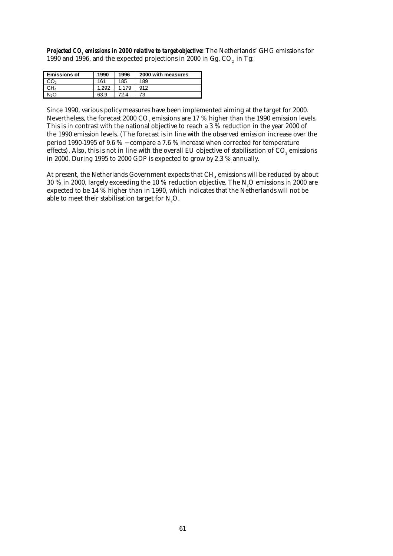*Projected CO2 emissions in 2000 relative to target-objective:* The Netherlands' GHG emissions for 1990 and 1996, and the expected projections in 2000 in Gg, CO<sub>2</sub> in Tg:

| <b>Emissions of</b> | 1990 | 1996  | 2000 with measures |
|---------------------|------|-------|--------------------|
| ာဝာ                 | 161  | 185   | 189                |
| CH4                 | .292 | 1.179 | 912                |
| N2O                 | 63.9 | 72.4  | 73                 |

Since 1990, various policy measures have been implemented aiming at the target for 2000. Nevertheless, the forecast 2000 CO<sub>2</sub> emissions are 17 % higher than the 1990 emission levels. This is in contrast with the national objective to reach a 3 % reduction in the year 2000 of the 1990 emission levels. (The forecast is in line with the observed emission increase over the period 1990-1995 of 9.6 % − compare a 7.6 % increase when corrected for temperature effects). Also, this is not in line with the overall EU objective of stabilisation of CO<sub>2</sub> emissions in 2000. During 1995 to 2000 GDP is expected to grow by 2.3 % annually.

At present, the Netherlands Government expects that  $CH<sub>4</sub>$  emissions will be reduced by about 30 % in 2000, largely exceeding the 10 % reduction objective. The N<sub>2</sub>O emissions in 2000 are expected to be 14 % higher than in 1990, which indicates that the Netherlands will not be able to meet their stabilisation target for N<sub>2</sub>O.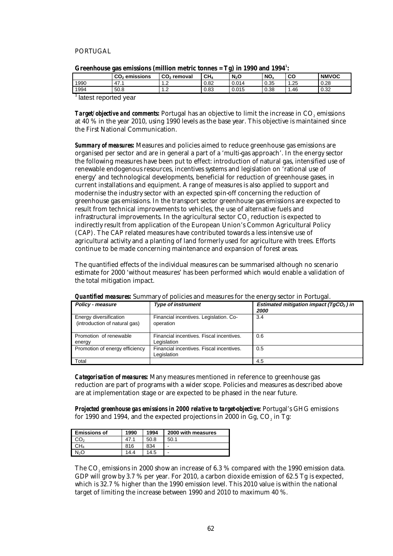## PORTUGAL

| -------<br>_ |                           |               |                 |         |      |      |              |
|--------------|---------------------------|---------------|-----------------|---------|------|------|--------------|
|              | CO <sub>2</sub> emissions | $CO2$ removal | CH <sub>4</sub> | $N_2$ O | NO.  | CO   | <b>NMVOC</b> |
| 1990         | 47.1                      | . . <u>.</u>  | 0.82            | 0.014   | 0.35 | .25  | 0.28         |
| 1994         | 50.8                      | . . <u>.</u>  | 0.83            | 0.015   | 0.38 | 46.، | 0.32         |
|              |                           |               |                 |         |      |      |              |

| Greenhouse gas emissions (million metric tonnes = $Tg$ ) in 1990 and 1994 <sup>1</sup> : |  |
|------------------------------------------------------------------------------------------|--|
|                                                                                          |  |

<sup>1</sup> latest reported year

**Target/objective and comments:** Portugal has an objective to limit the increase in CO<sub>2</sub> emissions at 40 % in the year 2010, using 1990 levels as the base year. This objective is maintained since the First National Communication.

*Summary of measures:* Measures and policies aimed to reduce greenhouse gas emissions are organised per sector and are in general a part of a 'multi-gas approach'. In the energy sector the following measures have been put to effect: introduction of natural gas, intensified use of renewable endogenous resources, incentives systems and legislation on 'rational use of energy' and technological developments, beneficial for reduction of greenhouse gases, in current installations and equipment. A range of measures is also applied to support and modernise the industry sector with an expected spin-off concerning the reduction of greenhouse gas emissions. In the transport sector greenhouse gas emissions are expected to result from technical improvements to vehicles, the use of alternative fuels and infrastructural improvements. In the agricultural sector CO<sub>2</sub> reduction is expected to indirectly result from application of the European Union's Common Agricultural Policy (CAP). The CAP related measures have contributed towards a less intensive use of agricultural activity and a planting of land formerly used for agriculture with trees. Efforts continue to be made concerning maintenance and expansion of forest areas.

The quantified effects of the individual measures can be summarised although no scenario estimate for 2000 'without measures' has been performed which would enable a validation of the total mitigation impact.

| Policy - measure                                        | <b>Type of instrument</b>                               | Estimated mitigation impact (TgCO <sub>2</sub> ) in<br><i><b>2000</b></i> |
|---------------------------------------------------------|---------------------------------------------------------|---------------------------------------------------------------------------|
| Energy diversification<br>(introduction of natural gas) | Financial incentives. Legislation. Co-<br>operation     | 3.4                                                                       |
| Promotion of renewable<br>energy                        | Financial incentives. Fiscal incentives.<br>Legislation | 0.6                                                                       |
| Promotion of energy efficiency                          | Financial incentives. Fiscal incentives.<br>Legislation | 0.5                                                                       |
| Total                                                   |                                                         | 4.5                                                                       |

*Quantified measures:* Summary of policies and measures for the energy sector in Portugal.

*Categorisation of measures:* Many measures mentioned in reference to greenhouse gas reduction are part of programs with a wider scope. Policies and measures as described above are at implementation stage or are expected to be phased in the near future.

*Projected greenhouse gas emissions in 2000 relative to target-objective:* Portugal's GHG emissions for 1990 and 1994, and the expected projections in 2000 in Gg,  $CO<sub>s</sub>$  in Tg:

| <b>Emissions of</b> | 1990 | 1994 | 2000 with measures |
|---------------------|------|------|--------------------|
|                     | 47.1 | 50.8 | 50.1               |
| CH4                 | 816  | 834  | -                  |
| Jol                 | 14.4 | 14.5 | -                  |

The CO<sub>2</sub> emissions in 2000 show an increase of 6.3 % compared with the 1990 emission data. GDP will grow by 3.7 % per year. For 2010, a carbon dioxide emission of 62.5 Tg is expected, which is 32.7 % higher than the 1990 emission level. This 2010 value is within the national target of limiting the increase between 1990 and 2010 to maximum 40 %.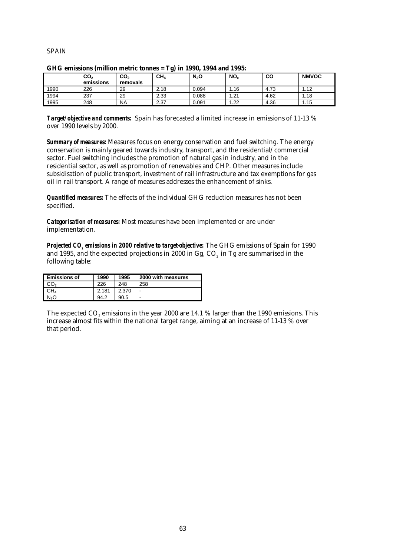## SPAIN

| and chosions (immon metric tonics – $\mathbf{15}$ ) in 1000, 100 kma 1000. |                              |                             |                 |         |      |      |              |
|----------------------------------------------------------------------------|------------------------------|-----------------------------|-----------------|---------|------|------|--------------|
|                                                                            | CO <sub>2</sub><br>emissions | CO <sub>2</sub><br>removals | CH <sub>4</sub> | $N_2$ O | NO.  | CO   | <b>NMVOC</b> |
| 1990                                                                       | 226                          | 29                          | 2.18            | 0.094   | l.16 | 4.73 | 1.12         |
| 1994                                                                       | 237                          | 29                          | 2.33            | 0.088   | 1.21 | 4.62 | 1.18         |
| 1995                                                                       | 248                          | <b>NA</b>                   | 2.37            | 0.091   | 1.22 | 4.36 | 1.15         |

### **GHG emissions (million metric tonnes = Tg) in 1990, 1994 and 1995:**

*Target/objective and comments:* Spain has forecasted a limited increase in emissions of 11-13 % over 1990 levels by 2000.

*Summary of measures:* Measures focus on energy conservation and fuel switching. The energy conservation is mainly geared towards industry, transport, and the residential/commercial sector. Fuel switching includes the promotion of natural gas in industry, and in the residential sector, as well as promotion of renewables and CHP. Other measures include subsidisation of public transport, investment of rail infrastructure and tax exemptions for gas oil in rail transport. A range of measures addresses the enhancement of sinks.

*Quantified measures:* The effects of the individual GHG reduction measures has not been specified.

*Categorisation of measures:* Most measures have been implemented or are under implementation.

*Projected CO2 emissions in 2000 relative to target-objective:* The GHG emissions of Spain for 1990 and 1995, and the expected projections in 2000 in Gg, CO<sub>2</sub> in Tg are summarised in the following table:

| <b>Emissions of</b> | 1990  | 1995  | 2000 with measures |
|---------------------|-------|-------|--------------------|
| CO2                 | 226   | 248   | 258                |
| CH4                 | 2.181 | 2.370 | -                  |
| N <sub>2</sub> O    | 94.2  | 90.5  | -                  |

The expected CO<sub>2</sub> emissions in the year 2000 are  $14.1$  % larger than the 1990 emissions. This increase almost fits within the national target range, aiming at an increase of 11-13 % over that period.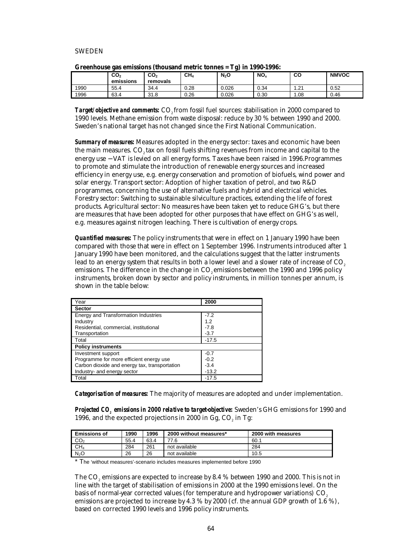## SWEDEN

|      | CO <sub>2</sub><br>emissions | CO <sub>2</sub><br>removals | CH <sub>4</sub> | $N_2$ O | NO <sub>x</sub> | CO   | <b>NMVOC</b> |
|------|------------------------------|-----------------------------|-----------------|---------|-----------------|------|--------------|
| 1990 | 55.4                         | 34.4                        | 0.28            | 0.026   | 0.34            | .21  | 0.52         |
| 1996 | 63.4                         | 31.8                        | 0.26            | 0.026   | 0.30            | 1.08 | 0.46         |

**Target/objective and comments:** CO<sub>2</sub> from fossil fuel sources: stabilisation in 2000 compared to 1990 levels. Methane emission from waste disposal: reduce by 30 % between 1990 and 2000. Sweden's national target has not changed since the First National Communication.

*Summary of measures:* Measures adopted in the energy sector: taxes and economic have been the main measures. CO2 tax on fossil fuels shifting revenues from income and capital to the energy use − VAT is levied on all energy forms. Taxes have been raised in 1996.Programmes to promote and stimulate the introduction of renewable energy sources and increased efficiency in energy use, e.g. energy conservation and promotion of biofuels, wind power and solar energy. Transport sector: Adoption of higher taxation of petrol, and two R&D programmes, concerning the use of alternative fuels and hybrid and electrical vehicles. Forestry sector: Switching to sustainable silviculture practices, extending the life of forest products. Agricultural sector: No measures have been taken yet to reduce GHG's, but there are measures that have been adopted for other purposes that have effect on GHG's as well, e.g. measures against nitrogen leaching. There is cultivation of energy crops.

*Quantified measures:* The policy instruments that were in effect on 1 January 1990 have been compared with those that were in effect on 1 September 1996. Instruments introduced after 1 January 1990 have been monitored, and the calculations suggest that the latter instruments lead to an energy system that results in both a lower level and a slower rate of increase of CO<sub>2</sub>. emissions. The difference in the change in CO<sub>2</sub> emissions between the 1990 and 1996 policy instruments, broken down by sector and policy instruments, in million tonnes per annum, is shown in the table below:

| Year                                          | 2000    |
|-----------------------------------------------|---------|
| <b>Sector</b>                                 |         |
| Energy and Transformation Industries          | $-7.2$  |
| Industry                                      | 1.2     |
| Residential, commercial, institutional        | $-7.8$  |
| Transportation                                | $-3.7$  |
| Total                                         | $-17.5$ |
| <b>Policy instruments</b>                     |         |
| Investment support                            | $-0.7$  |
| Programme for more efficient energy use       | $-0.2$  |
| Carbon dioxide and energy tax, transportation | $-3.4$  |
| Industry- and energy sector                   | $-13.2$ |
| Total                                         | $-17.5$ |

*Categorisation of measures:* The majority of measures are adopted and under implementation.

*Projected CO<sub>2</sub> emissions in 2000 relative to target-objective:* **Sweden's GHG emissions for 1990 and** 1996, and the expected projections in 2000 in  $Gg$ ,  $CO<sub>2</sub>$  in Tg:

| <b>Emissions of</b> | 1990 | 1996 | 2000 without measures* | 2000 with measures |
|---------------------|------|------|------------------------|--------------------|
| CO <sub>2</sub>     | 55.4 | 63.4 | 77.6                   | 60.1               |
| CH <sub>4</sub>     | 284  | 261  | not available          | 284                |
| N <sub>2</sub> O    | 26   | 26   | not available          | 10.5               |

\* The 'without measures'-scenario includes measures implemented before 1990

The CO<sub>2</sub> emissions are expected to increase by 8.4 % between 1990 and 2000. This is not in line with the target of stabilisation of emissions in 2000 at the 1990 emissions level. On the basis of normal-year corrected values (for temperature and hydropower variations)  $CO<sub>2</sub>$ emissions are projected to increase by 4.3 % by 2000 (cf. the annual GDP growth of 1.6 %), based on corrected 1990 levels and 1996 policy instruments.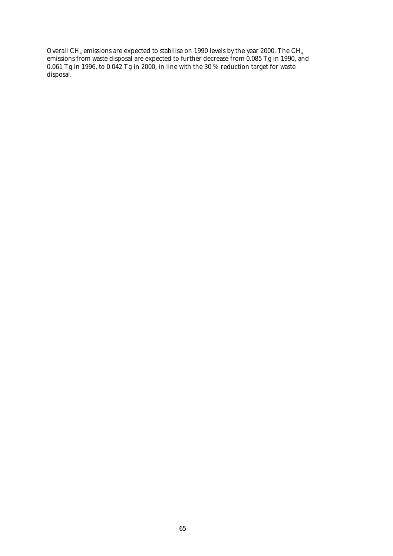Overall CH<sub>4</sub> emissions are expected to stabilise on 1990 levels by the year 2000. The CH<sub>4</sub> emissions from waste disposal are expected to further decrease from 0.085 Tg in 1990, and 0.061 Tg in 1996, to 0.042 Tg in 2000, in line with the 30 % reduction target for waste disposal.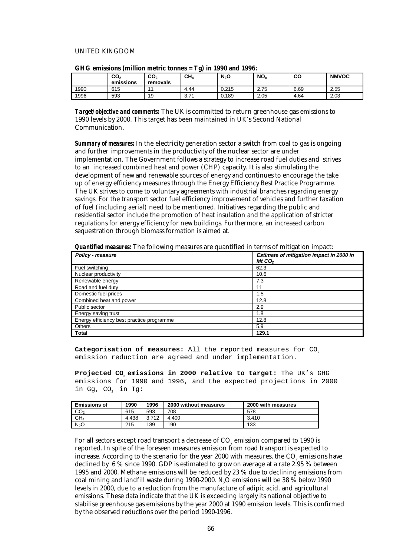### UNITED KINGDOM

|      | $\mathsf{co}_\mathsf{2}$<br>emissions | CO <sub>2</sub><br>removals | $\overline{\phantom{a}}$<br>CH <sub>4</sub> | $N_2$ O | NO <sub>x</sub> | co   | <b>NMVOC</b> |
|------|---------------------------------------|-----------------------------|---------------------------------------------|---------|-----------------|------|--------------|
| 1990 | 615                                   |                             | 4.44                                        | 0.215   | 2.75            | 6.69 | 2.55         |
| 1996 | 593                                   | 19                          | 27'<br>v.r                                  | 0.189   | 2.05            | 4.64 | 2.03         |

| GHG emissions (million metric tonnes = Tg) in 1990 and 1996: |  |  |  |  |  |  |  |
|--------------------------------------------------------------|--|--|--|--|--|--|--|
|--------------------------------------------------------------|--|--|--|--|--|--|--|

*Target/objective and comments:* The UK is committed to return greenhouse gas emissions to 1990 levels by 2000. This target has been maintained in UK's Second National Communication.

*Summary of measures:* In the electricity generation sector a switch from coal to gas is ongoing and further improvements in the productivity of the nuclear sector are under implementation. The Government follows a strategy to increase road fuel duties and strives to an increased combined heat and power (CHP) capacity. It is also stimulating the development of new and renewable sources of energy and continues to encourage the take up of energy efficiency measures through the Energy Efficiency Best Practice Programme. The UK strives to come to voluntary agreements with industrial branches regarding energy savings. For the transport sector fuel efficiency improvement of vehicles and further taxation of fuel (including aerial) need to be mentioned. Initiatives regarding the public and residential sector include the promotion of heat insulation and the application of stricter regulations for energy efficiency for new buildings. Furthermore, an increased carbon sequestration through biomass formation is aimed at.

*Quantified measures:* The following measures are quantified in terms of mitigation impact:

| <b>Policy - measure</b>                   | Estimate of mitigation impact in 2000 in |
|-------------------------------------------|------------------------------------------|
|                                           | Mt $CO2$                                 |
| Fuel switching                            | 62.3                                     |
| Nuclear productivity                      | 10.6                                     |
| Renewable energy                          | 7.3                                      |
| Road and fuel duty                        | 11                                       |
| Domestic fuel prices                      | 1.5                                      |
| Combined heat and power                   | 12.8                                     |
| Public sector                             | 2.9                                      |
| Energy saving trust                       | 1.8                                      |
| Energy efficiency best practice programme | 12.8                                     |
| <b>Others</b>                             | 5.9                                      |
| Total                                     | 129.1                                    |

Categorisation of measures: All the reported measures for CO<sub>2</sub> emission reduction are agreed and under implementation.

Projected CO<sub>2</sub> emissions in 2000 relative to target: The UK's GHG emissions for 1990 and 1996, and the expected projections in 2000 in Gg, CO<sub>2</sub> in Tg:

| <b>Emissions of</b> | 1990  | 1996  | 2000 without measures | 2000 with measures |
|---------------------|-------|-------|-----------------------|--------------------|
| CO <sub>2</sub>     | 615   | 593   | 708                   | 578                |
| CH <sub>4</sub>     | 4.438 | 3.712 | 4.400                 | 3.410              |
| N <sub>2</sub> O    | 215   | 189   | 190                   | 133                |

For all sectors except road transport a decrease of CO<sub>2</sub> emission compared to 1990 is reported. In spite of the foreseen measures emission from road transport is expected to increase. According to the scenario for the year 2000 with measures, the CO<sub>2</sub> emissions have declined by 6 % since 1990. GDP is estimated to grow on average at a rate 2.95 % between 1995 and 2000. Methane emissions will be reduced by 23 % due to declining emissions from coal mining and landfill waste during 1990-2000. N<sub>2</sub>O emissions will be 38  $\%$  below 1990 levels in 2000, due to a reduction from the manufacture of adipic acid, and agricultural emissions. These data indicate that the UK is exceeding largely its national objective to stabilise greenhouse gas emissions by the year 2000 at 1990 emission levels. This is confirmed by the observed reductions over the period 1990-1996.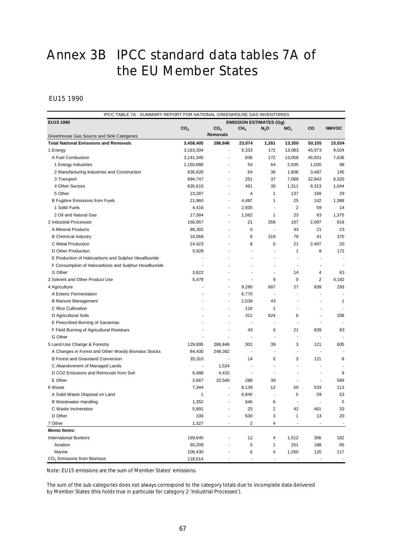# Annex 3B IPCC standard data tables 7A of the EU Member States

# EU15 1990

| EU15 1990<br><b>EMISSION ESTIMATES (Gg)</b><br>CO <sub>2</sub><br>CO <sub>2</sub><br>CH <sub>4</sub><br>$N_2$ O<br>NO <sub>x</sub><br>CO<br><b>NMVOC</b><br><b>Removals</b><br>Greenhouse Gas Source and Sink Categories<br>3,458,405<br>286,846<br>13,350<br>15,034<br><b>Total National Emissions and Removals</b><br>23,074<br>1,261<br>50,155<br>3,163,304<br>5,333<br>172<br>13,083<br>45,973<br>9,024<br>1 Energy<br>ä,<br>836<br>172<br>A Fuel Combustion<br>3,141,345<br>13,058<br>45,831<br>7,636<br>÷,<br>54<br>64<br>2,935<br>98<br>1 Energy Industries<br>1,150,888<br>1,020<br>÷.<br>2 Manufacturing Industries and Construction<br>636,820<br>64<br>36<br>1,606<br>3,487<br>145<br>$\frac{1}{2}$<br>3 Transport<br>694,747<br>251<br>37<br>7,069<br>32,842<br>6,320<br>÷,<br>4 Other Sectors<br>461<br>1,311<br>8,313<br>635,610<br>35<br>1,044<br>÷.<br>5 Other<br>4<br>1<br>137<br>169<br>29<br>23,287<br>÷.<br>4,497<br>25<br>142<br>1,388<br><b>B Fugitive Emissions from Fuels</b><br>21,960<br>1<br>÷,<br>$\overline{2}$<br>1 Solid Fuels<br>59<br>14<br>4,416<br>2,935<br>$\blacksquare$<br>ä,<br>1,562<br>23<br>1,375<br>2 Oil and Natural Gas<br>17,584<br>1<br>83<br>÷,<br>2 Industrial Processes<br>21<br>359<br>187<br>2,687<br>818<br>150,957<br>ä,<br>0<br>21<br>23<br>A Mineral Products<br>96,302<br>43<br>$\blacksquare$<br>6<br>370<br><b>B</b> Chemical Industry<br>10,568<br>319<br>78<br>41<br>ä,<br>C Metal Production<br>8<br>0<br>2,407<br>20<br>24,423<br>21<br>٠<br>8<br>172<br>D Other Production<br>5,928<br>1<br>÷,<br>ä,<br>E Production of Halocarbons and Sulphur Hexafluoride<br>÷<br>F Consumption of Halocarbons and Sulphur Hexafluoride<br>ä,<br>G Other<br>3,822<br>14<br>4<br>63<br>ä,<br>٠<br>3 Solvent and Other Product Use<br>5,479<br>9<br>$\mathbf 0$<br>$\overline{2}$<br>4,182<br>÷,<br>٠<br>667<br>27<br>839<br>293<br>4 Agriculture<br>9,280<br>÷,<br>A Enteric Fermentation<br>6,770<br>÷,<br>÷,<br>J.<br>43<br><b>B Manure Management</b><br>2,039<br>1<br>ä,<br>$\overline{\phantom{a}}$<br>C Rice Cultivation<br>116<br>1<br>ä,<br>$\overline{\phantom{a}}$<br>$\overline{a}$<br>624<br>6<br>D Agricultural Soils<br>312<br>208<br>÷,<br>E Prescribed Burning of Savannas<br>ä,<br>$\overline{\phantom{a}}$<br>÷,<br>ä,<br>J.<br>43<br>21<br>839<br>F Field Burning of Agricultural Residues<br>0<br>83<br>ä,<br>ä,<br>G Other<br>$\blacksquare$<br>ä,<br>÷,<br>÷,<br>$\overline{a}$<br>301<br>39<br>3<br>121<br>5 Land-Use Change & Forestry<br>129,895<br>286,846<br>605<br>A Changes in Forest and Other Woody Biomass Stocks<br>84,430<br>248,362<br>÷,<br>÷,<br>÷,<br>ä,<br><b>B Forest and Grassland Conversion</b><br>35,310<br>14<br>0<br>3<br>121<br>8<br>$\blacksquare$<br>1,524<br>C Abandonment of Managed Lands<br>ä,<br>÷,<br>$\blacksquare$<br>$\overline{\phantom{a}}$<br>$\overline{a}$<br>9<br>D CO2 Emissions and Removals from Soil<br>6,488<br>4,415<br>÷,<br>$\overline{\phantom{a}}$<br>E Other<br>589<br>3,667<br>32,546<br>288<br>39<br>÷,<br>$\blacksquare$<br>533<br>113<br>6 Waste<br>7,344<br>8,139<br>12<br>50<br>$\blacksquare$<br>5<br>59<br>53<br>A Solid Waste Disposal on Land<br>1<br>6,840<br>$\blacksquare$<br>÷,<br>5<br>6<br><b>B Wastewater Handling</b><br>1,352<br>646<br>÷,<br>÷,<br>÷,<br>C Waste Incineration<br>5,891<br>25<br>2<br>42<br>461<br>33<br>3<br>D Other<br>100<br>630<br>1<br>13<br>20<br>2<br>7 Other<br>1,327<br>4<br>ä,<br><b>Memo Items:</b><br><b>International Bunkers</b><br>169,640<br>12<br>4<br>1,512<br>306<br>182<br>60,209<br>5<br>251<br>65<br>Aviation<br>1<br>188 | IPCC TABLE 7A - SUMMARY REPORT FOR NATIONAL GREENHOUSE GAS INVENTORIES |  |  |  |  |  |  |  |  |  |
|-----------------------------------------------------------------------------------------------------------------------------------------------------------------------------------------------------------------------------------------------------------------------------------------------------------------------------------------------------------------------------------------------------------------------------------------------------------------------------------------------------------------------------------------------------------------------------------------------------------------------------------------------------------------------------------------------------------------------------------------------------------------------------------------------------------------------------------------------------------------------------------------------------------------------------------------------------------------------------------------------------------------------------------------------------------------------------------------------------------------------------------------------------------------------------------------------------------------------------------------------------------------------------------------------------------------------------------------------------------------------------------------------------------------------------------------------------------------------------------------------------------------------------------------------------------------------------------------------------------------------------------------------------------------------------------------------------------------------------------------------------------------------------------------------------------------------------------------------------------------------------------------------------------------------------------------------------------------------------------------------------------------------------------------------------------------------------------------------------------------------------------------------------------------------------------------------------------------------------------------------------------------------------------------------------------------------------------------------------------------------------------------------------------------------------------------------------------------------------------------------------------------------------------------------------------------------------------------------------------------------------------------------------------------------------------------------------------------------------------------------------------------------------------------------------------------------------------------------------------------------------------------------------------------------------------------------------------------------------------------------------------------------------------------------------------------------------------------------------------------------------------------------------------------------------------------------------------------------------------------------------------------------------------------------------------------------------------------------------------------------------------------------------------------------------------------------------------------------------------------------------------------------------------------------------------------------------------------------------------------|------------------------------------------------------------------------|--|--|--|--|--|--|--|--|--|
|                                                                                                                                                                                                                                                                                                                                                                                                                                                                                                                                                                                                                                                                                                                                                                                                                                                                                                                                                                                                                                                                                                                                                                                                                                                                                                                                                                                                                                                                                                                                                                                                                                                                                                                                                                                                                                                                                                                                                                                                                                                                                                                                                                                                                                                                                                                                                                                                                                                                                                                                                                                                                                                                                                                                                                                                                                                                                                                                                                                                                                                                                                                                                                                                                                                                                                                                                                                                                                                                                                                                                                                                                 |                                                                        |  |  |  |  |  |  |  |  |  |
|                                                                                                                                                                                                                                                                                                                                                                                                                                                                                                                                                                                                                                                                                                                                                                                                                                                                                                                                                                                                                                                                                                                                                                                                                                                                                                                                                                                                                                                                                                                                                                                                                                                                                                                                                                                                                                                                                                                                                                                                                                                                                                                                                                                                                                                                                                                                                                                                                                                                                                                                                                                                                                                                                                                                                                                                                                                                                                                                                                                                                                                                                                                                                                                                                                                                                                                                                                                                                                                                                                                                                                                                                 |                                                                        |  |  |  |  |  |  |  |  |  |
|                                                                                                                                                                                                                                                                                                                                                                                                                                                                                                                                                                                                                                                                                                                                                                                                                                                                                                                                                                                                                                                                                                                                                                                                                                                                                                                                                                                                                                                                                                                                                                                                                                                                                                                                                                                                                                                                                                                                                                                                                                                                                                                                                                                                                                                                                                                                                                                                                                                                                                                                                                                                                                                                                                                                                                                                                                                                                                                                                                                                                                                                                                                                                                                                                                                                                                                                                                                                                                                                                                                                                                                                                 |                                                                        |  |  |  |  |  |  |  |  |  |
|                                                                                                                                                                                                                                                                                                                                                                                                                                                                                                                                                                                                                                                                                                                                                                                                                                                                                                                                                                                                                                                                                                                                                                                                                                                                                                                                                                                                                                                                                                                                                                                                                                                                                                                                                                                                                                                                                                                                                                                                                                                                                                                                                                                                                                                                                                                                                                                                                                                                                                                                                                                                                                                                                                                                                                                                                                                                                                                                                                                                                                                                                                                                                                                                                                                                                                                                                                                                                                                                                                                                                                                                                 |                                                                        |  |  |  |  |  |  |  |  |  |
|                                                                                                                                                                                                                                                                                                                                                                                                                                                                                                                                                                                                                                                                                                                                                                                                                                                                                                                                                                                                                                                                                                                                                                                                                                                                                                                                                                                                                                                                                                                                                                                                                                                                                                                                                                                                                                                                                                                                                                                                                                                                                                                                                                                                                                                                                                                                                                                                                                                                                                                                                                                                                                                                                                                                                                                                                                                                                                                                                                                                                                                                                                                                                                                                                                                                                                                                                                                                                                                                                                                                                                                                                 |                                                                        |  |  |  |  |  |  |  |  |  |
|                                                                                                                                                                                                                                                                                                                                                                                                                                                                                                                                                                                                                                                                                                                                                                                                                                                                                                                                                                                                                                                                                                                                                                                                                                                                                                                                                                                                                                                                                                                                                                                                                                                                                                                                                                                                                                                                                                                                                                                                                                                                                                                                                                                                                                                                                                                                                                                                                                                                                                                                                                                                                                                                                                                                                                                                                                                                                                                                                                                                                                                                                                                                                                                                                                                                                                                                                                                                                                                                                                                                                                                                                 |                                                                        |  |  |  |  |  |  |  |  |  |
|                                                                                                                                                                                                                                                                                                                                                                                                                                                                                                                                                                                                                                                                                                                                                                                                                                                                                                                                                                                                                                                                                                                                                                                                                                                                                                                                                                                                                                                                                                                                                                                                                                                                                                                                                                                                                                                                                                                                                                                                                                                                                                                                                                                                                                                                                                                                                                                                                                                                                                                                                                                                                                                                                                                                                                                                                                                                                                                                                                                                                                                                                                                                                                                                                                                                                                                                                                                                                                                                                                                                                                                                                 |                                                                        |  |  |  |  |  |  |  |  |  |
|                                                                                                                                                                                                                                                                                                                                                                                                                                                                                                                                                                                                                                                                                                                                                                                                                                                                                                                                                                                                                                                                                                                                                                                                                                                                                                                                                                                                                                                                                                                                                                                                                                                                                                                                                                                                                                                                                                                                                                                                                                                                                                                                                                                                                                                                                                                                                                                                                                                                                                                                                                                                                                                                                                                                                                                                                                                                                                                                                                                                                                                                                                                                                                                                                                                                                                                                                                                                                                                                                                                                                                                                                 |                                                                        |  |  |  |  |  |  |  |  |  |
|                                                                                                                                                                                                                                                                                                                                                                                                                                                                                                                                                                                                                                                                                                                                                                                                                                                                                                                                                                                                                                                                                                                                                                                                                                                                                                                                                                                                                                                                                                                                                                                                                                                                                                                                                                                                                                                                                                                                                                                                                                                                                                                                                                                                                                                                                                                                                                                                                                                                                                                                                                                                                                                                                                                                                                                                                                                                                                                                                                                                                                                                                                                                                                                                                                                                                                                                                                                                                                                                                                                                                                                                                 |                                                                        |  |  |  |  |  |  |  |  |  |
|                                                                                                                                                                                                                                                                                                                                                                                                                                                                                                                                                                                                                                                                                                                                                                                                                                                                                                                                                                                                                                                                                                                                                                                                                                                                                                                                                                                                                                                                                                                                                                                                                                                                                                                                                                                                                                                                                                                                                                                                                                                                                                                                                                                                                                                                                                                                                                                                                                                                                                                                                                                                                                                                                                                                                                                                                                                                                                                                                                                                                                                                                                                                                                                                                                                                                                                                                                                                                                                                                                                                                                                                                 |                                                                        |  |  |  |  |  |  |  |  |  |
|                                                                                                                                                                                                                                                                                                                                                                                                                                                                                                                                                                                                                                                                                                                                                                                                                                                                                                                                                                                                                                                                                                                                                                                                                                                                                                                                                                                                                                                                                                                                                                                                                                                                                                                                                                                                                                                                                                                                                                                                                                                                                                                                                                                                                                                                                                                                                                                                                                                                                                                                                                                                                                                                                                                                                                                                                                                                                                                                                                                                                                                                                                                                                                                                                                                                                                                                                                                                                                                                                                                                                                                                                 |                                                                        |  |  |  |  |  |  |  |  |  |
|                                                                                                                                                                                                                                                                                                                                                                                                                                                                                                                                                                                                                                                                                                                                                                                                                                                                                                                                                                                                                                                                                                                                                                                                                                                                                                                                                                                                                                                                                                                                                                                                                                                                                                                                                                                                                                                                                                                                                                                                                                                                                                                                                                                                                                                                                                                                                                                                                                                                                                                                                                                                                                                                                                                                                                                                                                                                                                                                                                                                                                                                                                                                                                                                                                                                                                                                                                                                                                                                                                                                                                                                                 |                                                                        |  |  |  |  |  |  |  |  |  |
|                                                                                                                                                                                                                                                                                                                                                                                                                                                                                                                                                                                                                                                                                                                                                                                                                                                                                                                                                                                                                                                                                                                                                                                                                                                                                                                                                                                                                                                                                                                                                                                                                                                                                                                                                                                                                                                                                                                                                                                                                                                                                                                                                                                                                                                                                                                                                                                                                                                                                                                                                                                                                                                                                                                                                                                                                                                                                                                                                                                                                                                                                                                                                                                                                                                                                                                                                                                                                                                                                                                                                                                                                 |                                                                        |  |  |  |  |  |  |  |  |  |
|                                                                                                                                                                                                                                                                                                                                                                                                                                                                                                                                                                                                                                                                                                                                                                                                                                                                                                                                                                                                                                                                                                                                                                                                                                                                                                                                                                                                                                                                                                                                                                                                                                                                                                                                                                                                                                                                                                                                                                                                                                                                                                                                                                                                                                                                                                                                                                                                                                                                                                                                                                                                                                                                                                                                                                                                                                                                                                                                                                                                                                                                                                                                                                                                                                                                                                                                                                                                                                                                                                                                                                                                                 |                                                                        |  |  |  |  |  |  |  |  |  |
|                                                                                                                                                                                                                                                                                                                                                                                                                                                                                                                                                                                                                                                                                                                                                                                                                                                                                                                                                                                                                                                                                                                                                                                                                                                                                                                                                                                                                                                                                                                                                                                                                                                                                                                                                                                                                                                                                                                                                                                                                                                                                                                                                                                                                                                                                                                                                                                                                                                                                                                                                                                                                                                                                                                                                                                                                                                                                                                                                                                                                                                                                                                                                                                                                                                                                                                                                                                                                                                                                                                                                                                                                 |                                                                        |  |  |  |  |  |  |  |  |  |
|                                                                                                                                                                                                                                                                                                                                                                                                                                                                                                                                                                                                                                                                                                                                                                                                                                                                                                                                                                                                                                                                                                                                                                                                                                                                                                                                                                                                                                                                                                                                                                                                                                                                                                                                                                                                                                                                                                                                                                                                                                                                                                                                                                                                                                                                                                                                                                                                                                                                                                                                                                                                                                                                                                                                                                                                                                                                                                                                                                                                                                                                                                                                                                                                                                                                                                                                                                                                                                                                                                                                                                                                                 |                                                                        |  |  |  |  |  |  |  |  |  |
|                                                                                                                                                                                                                                                                                                                                                                                                                                                                                                                                                                                                                                                                                                                                                                                                                                                                                                                                                                                                                                                                                                                                                                                                                                                                                                                                                                                                                                                                                                                                                                                                                                                                                                                                                                                                                                                                                                                                                                                                                                                                                                                                                                                                                                                                                                                                                                                                                                                                                                                                                                                                                                                                                                                                                                                                                                                                                                                                                                                                                                                                                                                                                                                                                                                                                                                                                                                                                                                                                                                                                                                                                 |                                                                        |  |  |  |  |  |  |  |  |  |
|                                                                                                                                                                                                                                                                                                                                                                                                                                                                                                                                                                                                                                                                                                                                                                                                                                                                                                                                                                                                                                                                                                                                                                                                                                                                                                                                                                                                                                                                                                                                                                                                                                                                                                                                                                                                                                                                                                                                                                                                                                                                                                                                                                                                                                                                                                                                                                                                                                                                                                                                                                                                                                                                                                                                                                                                                                                                                                                                                                                                                                                                                                                                                                                                                                                                                                                                                                                                                                                                                                                                                                                                                 |                                                                        |  |  |  |  |  |  |  |  |  |
|                                                                                                                                                                                                                                                                                                                                                                                                                                                                                                                                                                                                                                                                                                                                                                                                                                                                                                                                                                                                                                                                                                                                                                                                                                                                                                                                                                                                                                                                                                                                                                                                                                                                                                                                                                                                                                                                                                                                                                                                                                                                                                                                                                                                                                                                                                                                                                                                                                                                                                                                                                                                                                                                                                                                                                                                                                                                                                                                                                                                                                                                                                                                                                                                                                                                                                                                                                                                                                                                                                                                                                                                                 |                                                                        |  |  |  |  |  |  |  |  |  |
|                                                                                                                                                                                                                                                                                                                                                                                                                                                                                                                                                                                                                                                                                                                                                                                                                                                                                                                                                                                                                                                                                                                                                                                                                                                                                                                                                                                                                                                                                                                                                                                                                                                                                                                                                                                                                                                                                                                                                                                                                                                                                                                                                                                                                                                                                                                                                                                                                                                                                                                                                                                                                                                                                                                                                                                                                                                                                                                                                                                                                                                                                                                                                                                                                                                                                                                                                                                                                                                                                                                                                                                                                 |                                                                        |  |  |  |  |  |  |  |  |  |
|                                                                                                                                                                                                                                                                                                                                                                                                                                                                                                                                                                                                                                                                                                                                                                                                                                                                                                                                                                                                                                                                                                                                                                                                                                                                                                                                                                                                                                                                                                                                                                                                                                                                                                                                                                                                                                                                                                                                                                                                                                                                                                                                                                                                                                                                                                                                                                                                                                                                                                                                                                                                                                                                                                                                                                                                                                                                                                                                                                                                                                                                                                                                                                                                                                                                                                                                                                                                                                                                                                                                                                                                                 |                                                                        |  |  |  |  |  |  |  |  |  |
|                                                                                                                                                                                                                                                                                                                                                                                                                                                                                                                                                                                                                                                                                                                                                                                                                                                                                                                                                                                                                                                                                                                                                                                                                                                                                                                                                                                                                                                                                                                                                                                                                                                                                                                                                                                                                                                                                                                                                                                                                                                                                                                                                                                                                                                                                                                                                                                                                                                                                                                                                                                                                                                                                                                                                                                                                                                                                                                                                                                                                                                                                                                                                                                                                                                                                                                                                                                                                                                                                                                                                                                                                 |                                                                        |  |  |  |  |  |  |  |  |  |
|                                                                                                                                                                                                                                                                                                                                                                                                                                                                                                                                                                                                                                                                                                                                                                                                                                                                                                                                                                                                                                                                                                                                                                                                                                                                                                                                                                                                                                                                                                                                                                                                                                                                                                                                                                                                                                                                                                                                                                                                                                                                                                                                                                                                                                                                                                                                                                                                                                                                                                                                                                                                                                                                                                                                                                                                                                                                                                                                                                                                                                                                                                                                                                                                                                                                                                                                                                                                                                                                                                                                                                                                                 |                                                                        |  |  |  |  |  |  |  |  |  |
|                                                                                                                                                                                                                                                                                                                                                                                                                                                                                                                                                                                                                                                                                                                                                                                                                                                                                                                                                                                                                                                                                                                                                                                                                                                                                                                                                                                                                                                                                                                                                                                                                                                                                                                                                                                                                                                                                                                                                                                                                                                                                                                                                                                                                                                                                                                                                                                                                                                                                                                                                                                                                                                                                                                                                                                                                                                                                                                                                                                                                                                                                                                                                                                                                                                                                                                                                                                                                                                                                                                                                                                                                 |                                                                        |  |  |  |  |  |  |  |  |  |
|                                                                                                                                                                                                                                                                                                                                                                                                                                                                                                                                                                                                                                                                                                                                                                                                                                                                                                                                                                                                                                                                                                                                                                                                                                                                                                                                                                                                                                                                                                                                                                                                                                                                                                                                                                                                                                                                                                                                                                                                                                                                                                                                                                                                                                                                                                                                                                                                                                                                                                                                                                                                                                                                                                                                                                                                                                                                                                                                                                                                                                                                                                                                                                                                                                                                                                                                                                                                                                                                                                                                                                                                                 |                                                                        |  |  |  |  |  |  |  |  |  |
|                                                                                                                                                                                                                                                                                                                                                                                                                                                                                                                                                                                                                                                                                                                                                                                                                                                                                                                                                                                                                                                                                                                                                                                                                                                                                                                                                                                                                                                                                                                                                                                                                                                                                                                                                                                                                                                                                                                                                                                                                                                                                                                                                                                                                                                                                                                                                                                                                                                                                                                                                                                                                                                                                                                                                                                                                                                                                                                                                                                                                                                                                                                                                                                                                                                                                                                                                                                                                                                                                                                                                                                                                 |                                                                        |  |  |  |  |  |  |  |  |  |
|                                                                                                                                                                                                                                                                                                                                                                                                                                                                                                                                                                                                                                                                                                                                                                                                                                                                                                                                                                                                                                                                                                                                                                                                                                                                                                                                                                                                                                                                                                                                                                                                                                                                                                                                                                                                                                                                                                                                                                                                                                                                                                                                                                                                                                                                                                                                                                                                                                                                                                                                                                                                                                                                                                                                                                                                                                                                                                                                                                                                                                                                                                                                                                                                                                                                                                                                                                                                                                                                                                                                                                                                                 |                                                                        |  |  |  |  |  |  |  |  |  |
|                                                                                                                                                                                                                                                                                                                                                                                                                                                                                                                                                                                                                                                                                                                                                                                                                                                                                                                                                                                                                                                                                                                                                                                                                                                                                                                                                                                                                                                                                                                                                                                                                                                                                                                                                                                                                                                                                                                                                                                                                                                                                                                                                                                                                                                                                                                                                                                                                                                                                                                                                                                                                                                                                                                                                                                                                                                                                                                                                                                                                                                                                                                                                                                                                                                                                                                                                                                                                                                                                                                                                                                                                 |                                                                        |  |  |  |  |  |  |  |  |  |
|                                                                                                                                                                                                                                                                                                                                                                                                                                                                                                                                                                                                                                                                                                                                                                                                                                                                                                                                                                                                                                                                                                                                                                                                                                                                                                                                                                                                                                                                                                                                                                                                                                                                                                                                                                                                                                                                                                                                                                                                                                                                                                                                                                                                                                                                                                                                                                                                                                                                                                                                                                                                                                                                                                                                                                                                                                                                                                                                                                                                                                                                                                                                                                                                                                                                                                                                                                                                                                                                                                                                                                                                                 |                                                                        |  |  |  |  |  |  |  |  |  |
|                                                                                                                                                                                                                                                                                                                                                                                                                                                                                                                                                                                                                                                                                                                                                                                                                                                                                                                                                                                                                                                                                                                                                                                                                                                                                                                                                                                                                                                                                                                                                                                                                                                                                                                                                                                                                                                                                                                                                                                                                                                                                                                                                                                                                                                                                                                                                                                                                                                                                                                                                                                                                                                                                                                                                                                                                                                                                                                                                                                                                                                                                                                                                                                                                                                                                                                                                                                                                                                                                                                                                                                                                 |                                                                        |  |  |  |  |  |  |  |  |  |
|                                                                                                                                                                                                                                                                                                                                                                                                                                                                                                                                                                                                                                                                                                                                                                                                                                                                                                                                                                                                                                                                                                                                                                                                                                                                                                                                                                                                                                                                                                                                                                                                                                                                                                                                                                                                                                                                                                                                                                                                                                                                                                                                                                                                                                                                                                                                                                                                                                                                                                                                                                                                                                                                                                                                                                                                                                                                                                                                                                                                                                                                                                                                                                                                                                                                                                                                                                                                                                                                                                                                                                                                                 |                                                                        |  |  |  |  |  |  |  |  |  |
|                                                                                                                                                                                                                                                                                                                                                                                                                                                                                                                                                                                                                                                                                                                                                                                                                                                                                                                                                                                                                                                                                                                                                                                                                                                                                                                                                                                                                                                                                                                                                                                                                                                                                                                                                                                                                                                                                                                                                                                                                                                                                                                                                                                                                                                                                                                                                                                                                                                                                                                                                                                                                                                                                                                                                                                                                                                                                                                                                                                                                                                                                                                                                                                                                                                                                                                                                                                                                                                                                                                                                                                                                 |                                                                        |  |  |  |  |  |  |  |  |  |
|                                                                                                                                                                                                                                                                                                                                                                                                                                                                                                                                                                                                                                                                                                                                                                                                                                                                                                                                                                                                                                                                                                                                                                                                                                                                                                                                                                                                                                                                                                                                                                                                                                                                                                                                                                                                                                                                                                                                                                                                                                                                                                                                                                                                                                                                                                                                                                                                                                                                                                                                                                                                                                                                                                                                                                                                                                                                                                                                                                                                                                                                                                                                                                                                                                                                                                                                                                                                                                                                                                                                                                                                                 |                                                                        |  |  |  |  |  |  |  |  |  |
|                                                                                                                                                                                                                                                                                                                                                                                                                                                                                                                                                                                                                                                                                                                                                                                                                                                                                                                                                                                                                                                                                                                                                                                                                                                                                                                                                                                                                                                                                                                                                                                                                                                                                                                                                                                                                                                                                                                                                                                                                                                                                                                                                                                                                                                                                                                                                                                                                                                                                                                                                                                                                                                                                                                                                                                                                                                                                                                                                                                                                                                                                                                                                                                                                                                                                                                                                                                                                                                                                                                                                                                                                 |                                                                        |  |  |  |  |  |  |  |  |  |
|                                                                                                                                                                                                                                                                                                                                                                                                                                                                                                                                                                                                                                                                                                                                                                                                                                                                                                                                                                                                                                                                                                                                                                                                                                                                                                                                                                                                                                                                                                                                                                                                                                                                                                                                                                                                                                                                                                                                                                                                                                                                                                                                                                                                                                                                                                                                                                                                                                                                                                                                                                                                                                                                                                                                                                                                                                                                                                                                                                                                                                                                                                                                                                                                                                                                                                                                                                                                                                                                                                                                                                                                                 |                                                                        |  |  |  |  |  |  |  |  |  |
|                                                                                                                                                                                                                                                                                                                                                                                                                                                                                                                                                                                                                                                                                                                                                                                                                                                                                                                                                                                                                                                                                                                                                                                                                                                                                                                                                                                                                                                                                                                                                                                                                                                                                                                                                                                                                                                                                                                                                                                                                                                                                                                                                                                                                                                                                                                                                                                                                                                                                                                                                                                                                                                                                                                                                                                                                                                                                                                                                                                                                                                                                                                                                                                                                                                                                                                                                                                                                                                                                                                                                                                                                 |                                                                        |  |  |  |  |  |  |  |  |  |
|                                                                                                                                                                                                                                                                                                                                                                                                                                                                                                                                                                                                                                                                                                                                                                                                                                                                                                                                                                                                                                                                                                                                                                                                                                                                                                                                                                                                                                                                                                                                                                                                                                                                                                                                                                                                                                                                                                                                                                                                                                                                                                                                                                                                                                                                                                                                                                                                                                                                                                                                                                                                                                                                                                                                                                                                                                                                                                                                                                                                                                                                                                                                                                                                                                                                                                                                                                                                                                                                                                                                                                                                                 |                                                                        |  |  |  |  |  |  |  |  |  |
|                                                                                                                                                                                                                                                                                                                                                                                                                                                                                                                                                                                                                                                                                                                                                                                                                                                                                                                                                                                                                                                                                                                                                                                                                                                                                                                                                                                                                                                                                                                                                                                                                                                                                                                                                                                                                                                                                                                                                                                                                                                                                                                                                                                                                                                                                                                                                                                                                                                                                                                                                                                                                                                                                                                                                                                                                                                                                                                                                                                                                                                                                                                                                                                                                                                                                                                                                                                                                                                                                                                                                                                                                 |                                                                        |  |  |  |  |  |  |  |  |  |
|                                                                                                                                                                                                                                                                                                                                                                                                                                                                                                                                                                                                                                                                                                                                                                                                                                                                                                                                                                                                                                                                                                                                                                                                                                                                                                                                                                                                                                                                                                                                                                                                                                                                                                                                                                                                                                                                                                                                                                                                                                                                                                                                                                                                                                                                                                                                                                                                                                                                                                                                                                                                                                                                                                                                                                                                                                                                                                                                                                                                                                                                                                                                                                                                                                                                                                                                                                                                                                                                                                                                                                                                                 |                                                                        |  |  |  |  |  |  |  |  |  |
|                                                                                                                                                                                                                                                                                                                                                                                                                                                                                                                                                                                                                                                                                                                                                                                                                                                                                                                                                                                                                                                                                                                                                                                                                                                                                                                                                                                                                                                                                                                                                                                                                                                                                                                                                                                                                                                                                                                                                                                                                                                                                                                                                                                                                                                                                                                                                                                                                                                                                                                                                                                                                                                                                                                                                                                                                                                                                                                                                                                                                                                                                                                                                                                                                                                                                                                                                                                                                                                                                                                                                                                                                 |                                                                        |  |  |  |  |  |  |  |  |  |
|                                                                                                                                                                                                                                                                                                                                                                                                                                                                                                                                                                                                                                                                                                                                                                                                                                                                                                                                                                                                                                                                                                                                                                                                                                                                                                                                                                                                                                                                                                                                                                                                                                                                                                                                                                                                                                                                                                                                                                                                                                                                                                                                                                                                                                                                                                                                                                                                                                                                                                                                                                                                                                                                                                                                                                                                                                                                                                                                                                                                                                                                                                                                                                                                                                                                                                                                                                                                                                                                                                                                                                                                                 |                                                                        |  |  |  |  |  |  |  |  |  |
|                                                                                                                                                                                                                                                                                                                                                                                                                                                                                                                                                                                                                                                                                                                                                                                                                                                                                                                                                                                                                                                                                                                                                                                                                                                                                                                                                                                                                                                                                                                                                                                                                                                                                                                                                                                                                                                                                                                                                                                                                                                                                                                                                                                                                                                                                                                                                                                                                                                                                                                                                                                                                                                                                                                                                                                                                                                                                                                                                                                                                                                                                                                                                                                                                                                                                                                                                                                                                                                                                                                                                                                                                 |                                                                        |  |  |  |  |  |  |  |  |  |
|                                                                                                                                                                                                                                                                                                                                                                                                                                                                                                                                                                                                                                                                                                                                                                                                                                                                                                                                                                                                                                                                                                                                                                                                                                                                                                                                                                                                                                                                                                                                                                                                                                                                                                                                                                                                                                                                                                                                                                                                                                                                                                                                                                                                                                                                                                                                                                                                                                                                                                                                                                                                                                                                                                                                                                                                                                                                                                                                                                                                                                                                                                                                                                                                                                                                                                                                                                                                                                                                                                                                                                                                                 |                                                                        |  |  |  |  |  |  |  |  |  |
|                                                                                                                                                                                                                                                                                                                                                                                                                                                                                                                                                                                                                                                                                                                                                                                                                                                                                                                                                                                                                                                                                                                                                                                                                                                                                                                                                                                                                                                                                                                                                                                                                                                                                                                                                                                                                                                                                                                                                                                                                                                                                                                                                                                                                                                                                                                                                                                                                                                                                                                                                                                                                                                                                                                                                                                                                                                                                                                                                                                                                                                                                                                                                                                                                                                                                                                                                                                                                                                                                                                                                                                                                 |                                                                        |  |  |  |  |  |  |  |  |  |
|                                                                                                                                                                                                                                                                                                                                                                                                                                                                                                                                                                                                                                                                                                                                                                                                                                                                                                                                                                                                                                                                                                                                                                                                                                                                                                                                                                                                                                                                                                                                                                                                                                                                                                                                                                                                                                                                                                                                                                                                                                                                                                                                                                                                                                                                                                                                                                                                                                                                                                                                                                                                                                                                                                                                                                                                                                                                                                                                                                                                                                                                                                                                                                                                                                                                                                                                                                                                                                                                                                                                                                                                                 |                                                                        |  |  |  |  |  |  |  |  |  |
|                                                                                                                                                                                                                                                                                                                                                                                                                                                                                                                                                                                                                                                                                                                                                                                                                                                                                                                                                                                                                                                                                                                                                                                                                                                                                                                                                                                                                                                                                                                                                                                                                                                                                                                                                                                                                                                                                                                                                                                                                                                                                                                                                                                                                                                                                                                                                                                                                                                                                                                                                                                                                                                                                                                                                                                                                                                                                                                                                                                                                                                                                                                                                                                                                                                                                                                                                                                                                                                                                                                                                                                                                 |                                                                        |  |  |  |  |  |  |  |  |  |
| Marine<br>109,430<br>1,260<br>6<br>4<br>120<br>117                                                                                                                                                                                                                                                                                                                                                                                                                                                                                                                                                                                                                                                                                                                                                                                                                                                                                                                                                                                                                                                                                                                                                                                                                                                                                                                                                                                                                                                                                                                                                                                                                                                                                                                                                                                                                                                                                                                                                                                                                                                                                                                                                                                                                                                                                                                                                                                                                                                                                                                                                                                                                                                                                                                                                                                                                                                                                                                                                                                                                                                                                                                                                                                                                                                                                                                                                                                                                                                                                                                                                              |                                                                        |  |  |  |  |  |  |  |  |  |
| CO <sub>2</sub> Emissions from Biomass<br>118,014                                                                                                                                                                                                                                                                                                                                                                                                                                                                                                                                                                                                                                                                                                                                                                                                                                                                                                                                                                                                                                                                                                                                                                                                                                                                                                                                                                                                                                                                                                                                                                                                                                                                                                                                                                                                                                                                                                                                                                                                                                                                                                                                                                                                                                                                                                                                                                                                                                                                                                                                                                                                                                                                                                                                                                                                                                                                                                                                                                                                                                                                                                                                                                                                                                                                                                                                                                                                                                                                                                                                                               |                                                                        |  |  |  |  |  |  |  |  |  |

Note: EU15 emissions are the sum of Member States' emissions.

The sum of the sub-categories does not always correspond to the category totals due to incomplete data delivered by Member States (this holds true in particular for category 2 'Industrial Processes').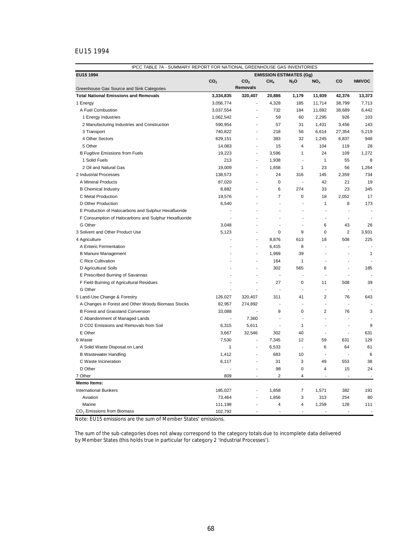# EU15 1994

| IPCC TABLE 7A - SUMMARY REPORT FOR NATIONAL GREENHOUSE GAS INVENTORIES |                 |                          |                         |                          |                 |                          |                          |  |
|------------------------------------------------------------------------|-----------------|--------------------------|-------------------------|--------------------------|-----------------|--------------------------|--------------------------|--|
| EU15 1994<br><b>EMISSION ESTIMATES (Gg)</b>                            |                 |                          |                         |                          |                 |                          |                          |  |
|                                                                        | CO <sub>2</sub> | CO <sub>2</sub>          | CH <sub>4</sub>         | $N_2$ O                  | NO <sub>x</sub> | CO                       | <b>NMVOC</b>             |  |
| Greenhouse Gas Source and Sink Categories                              |                 | Removals                 |                         |                          |                 |                          |                          |  |
| <b>Total National Emissions and Removals</b>                           | 3,334,835       | 320,407                  | 20,886                  | 1,179                    | 11,939          | 42,376                   | 13,373                   |  |
| 1 Energy                                                               | 3,056,774       | ÷,                       | 4,328                   | 185                      | 11,714          | 38,799                   | 7,713                    |  |
| A Fuel Combustion                                                      | 3,037,554       | ä,                       | 732                     | 184                      | 11,692          | 38,689                   | 6,442                    |  |
| 1 Energy Industries                                                    | 1,062,542       | ÷,                       | 59                      | 60                       | 2,295           | 926                      | 103                      |  |
| 2 Manufacturing Industries and Construction                            | 590,954         | ÷,                       | 57                      | 31                       | 1,431           | 3,456                    | 143                      |  |
| 3 Transport                                                            | 740,822         | ÷,                       | 218                     | 56                       | 6,614           | 27,354                   | 5,219                    |  |
| 4 Other Sectors                                                        | 629,151         | $\overline{\phantom{a}}$ | 383                     | 32                       | 1,245           | 6,837                    | 948                      |  |
| 5 Other                                                                | 14,083          | ÷,                       | 15                      | 4                        | 104             | 119                      | 28                       |  |
| <b>B Fugitive Emissions from Fuels</b>                                 | 19,223          | $\blacksquare$           | 3,596                   | 1                        | 24              | 109                      | 1,272                    |  |
| 1 Solid Fuels                                                          | 213             | $\overline{\phantom{a}}$ | 1,938                   | ÷,                       | $\mathbf{1}$    | 55                       | 8                        |  |
| 2 Oil and Natural Gas                                                  | 19,009          | ÷,                       | 1,658                   | 1                        | 23              | 56                       | 1,264                    |  |
| 2 Industrial Processes                                                 | 138,573         | $\overline{\phantom{a}}$ | 24                      | 316                      | 145             | 2,359                    | 734                      |  |
| A Mineral Products                                                     | 87,020          |                          | $\mathbf 0$             | $\blacksquare$           | 42              | 21                       | 19                       |  |
| <b>B</b> Chemical Industry                                             | 8,882           |                          | 6                       | 274                      | 33              | 23                       | 345                      |  |
| C Metal Production                                                     | 19,576          | ٠                        | $\overline{7}$          | 0                        | 18              | 2,052                    | 17                       |  |
| D Other Production                                                     | 6,540           |                          | ä,                      | ä,                       | $\mathbf{1}$    | 8                        | 173                      |  |
| E Production of Halocarbons and Sulphur Hexafluoride                   | ÷               |                          | $\overline{a}$          | $\overline{a}$           | ÷               | ×                        | $\overline{a}$           |  |
| F Consumption of Halocarbons and Sulphur Hexafluoride                  | ä,              |                          |                         | ä,                       | $\overline{a}$  |                          |                          |  |
| G Other                                                                | 3,048           |                          |                         | ä,                       | 6               | 43                       | 26                       |  |
| 3 Solvent and Other Product Use                                        | 5,123           | $\overline{a}$           | 0                       | 9                        | 0               | $\overline{c}$           | 3,931                    |  |
| 4 Agriculture                                                          | ä,              | ÷,                       | 8,876                   | 613                      | 18              | 508                      | 225                      |  |
| A Enteric Fermentation                                                 |                 | ä,                       | 6,415                   | 8                        |                 |                          |                          |  |
| <b>B Manure Management</b>                                             |                 | $\overline{a}$           | 1,969                   | 39                       |                 |                          | 1                        |  |
| C Rice Cultivation                                                     |                 | $\overline{a}$           | 164                     | 1                        |                 | ×                        |                          |  |
| D Agricultural Soils                                                   |                 |                          | 302                     | 565                      | 6               | $\overline{a}$           | 185                      |  |
| E Prescribed Burning of Savannas                                       |                 | ä,                       | ÷,                      | ÷,                       | ä,              | $\overline{a}$           |                          |  |
| F Field Burning of Agricultural Residues                               |                 | $\overline{\phantom{a}}$ | 27                      | 0                        | 11              | 508                      | 39                       |  |
| G Other                                                                | ÷.              | ÷                        | ÷,                      | $\overline{a}$           | $\overline{a}$  | $\blacksquare$           |                          |  |
| 5 Land-Use Change & Forestry                                           | 126,027         | 320,407                  | 311                     | 41                       | $\overline{2}$  | 76                       | 643                      |  |
| A Changes in Forest and Other Woody Biomass Stocks                     | 82,957          | 274,892                  | ÷,                      | ÷,                       | ä,              | ÷,                       |                          |  |
| <b>B Forest and Grassland Conversion</b>                               | 33,088          | $\overline{\phantom{a}}$ | 9                       | 0                        | $\overline{2}$  | 76                       | 3                        |  |
| C Abandonment of Managed Lands                                         | ÷,              | 7,360                    | $\overline{a}$          | ä,                       | $\overline{a}$  | $\overline{a}$           |                          |  |
| D CO2 Emissions and Removals from Soil                                 | 6,315           | 5,611                    | ÷,                      | 1                        |                 | $\overline{a}$           | 9                        |  |
| E Other                                                                | 3,667           | 32,546                   | 302                     | 40                       | ä,              | $\overline{\phantom{a}}$ | 631                      |  |
| 6 Waste                                                                | 7,530           | ä,                       | 7,345                   | 12                       | 59              | 631                      | 129                      |  |
| A Solid Waste Disposal on Land                                         | 1               | $\overline{a}$           | 6,533                   | $\overline{\phantom{a}}$ | 6               | 64                       | 61                       |  |
| <b>B Wastewater Handling</b>                                           | 1,412           | ÷,                       | 683                     | 10                       |                 | $\overline{\phantom{a}}$ | 6                        |  |
| C Waste Incineration                                                   | 6,117           |                          | 31                      | 3                        | 49              | 553                      | 38                       |  |
| D Other                                                                |                 |                          | 98                      | 0                        | 4               | 15                       | 24                       |  |
| 7 Other                                                                | 809             | $\overline{\phantom{a}}$ | $\overline{\mathbf{c}}$ | 4                        |                 |                          |                          |  |
| <b>Memo Items:</b>                                                     |                 |                          |                         |                          |                 |                          |                          |  |
| <b>International Bunkers</b>                                           | 185,027         |                          | 1,858                   | 7                        | 1,571           | 382                      | 191                      |  |
| Aviation                                                               | 73,464          |                          | 1,856                   | 3                        | 313             | 254                      | 80                       |  |
| Marine                                                                 | 111,198         |                          | 4                       | 4                        | 1,259           | 128                      | 111                      |  |
| CO <sub>2</sub> Emissions from Biomass                                 | 102,792         |                          | ÷,                      |                          |                 |                          | $\overline{\phantom{a}}$ |  |

Note: EU15 emissions are the sum of Member States' emissions.

The sum of the sub-categories does not alway correspond to the category totals due to incomplete data delivered by Member States (this holds true in particular for category 2 'Industrial Processes').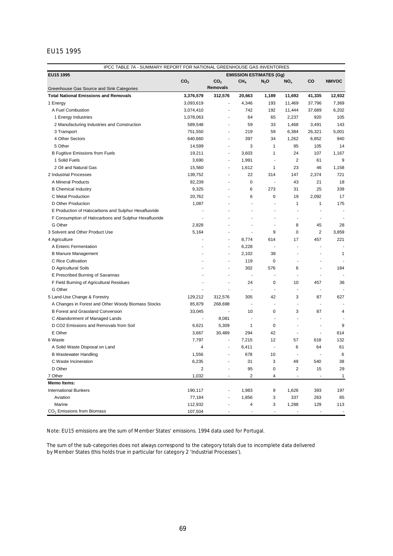# EU15 1995

| IPCC TABLE 7A - SUMMARY REPORT FOR NATIONAL GREENHOUSE GAS INVENTORIES |                                |                          |                          |                          |                          |                          |              |  |  |
|------------------------------------------------------------------------|--------------------------------|--------------------------|--------------------------|--------------------------|--------------------------|--------------------------|--------------|--|--|
| EU15 1995                                                              | <b>EMISSION ESTIMATES (Gg)</b> |                          |                          |                          |                          |                          |              |  |  |
|                                                                        | CO <sub>2</sub>                | CO <sub>2</sub>          | CH <sub>4</sub>          | $N_2$ O                  | NO <sub>x</sub>          | CO                       | <b>NMVOC</b> |  |  |
| Greenhouse Gas Source and Sink Categories                              |                                | Removals                 |                          |                          |                          |                          |              |  |  |
| <b>Total National Emissions and Removals</b>                           | 3,376,579                      | 312,576                  | 20,663                   | 1,189                    | 11,692                   | 41,335                   | 12,932       |  |  |
| 1 Energy                                                               | 3,093,619                      | ÷,                       | 4,346                    | 193                      | 11,469                   | 37,796                   | 7,369        |  |  |
| A Fuel Combustion                                                      | 3,074,410                      | ä,                       | 742                      | 192                      | 11,444                   | 37,689                   | 6,202        |  |  |
| 1 Energy Industries                                                    | 1,078,063                      | ä,                       | 64                       | 65                       | 2,237                    | 920                      | 105          |  |  |
| 2 Manufacturing Industries and Construction                            | 589,548                        | ÷,                       | 59                       | 33                       | 1,468                    | 3,491                    | 143          |  |  |
| 3 Transport                                                            | 751,550                        | $\frac{1}{2}$            | 219                      | 59                       | 6,384                    | 26,321                   | 5,001        |  |  |
| 4 Other Sectors                                                        | 640,660                        | ä,                       | 397                      | 34                       | 1,262                    | 6,852                    | 940          |  |  |
| 5 Other                                                                | 14,599                         | ÷.                       | 3                        | 1                        | 95                       | 105                      | 14           |  |  |
| <b>B Fugitive Emissions from Fuels</b>                                 | 19,211                         | ÷,                       | 3.603                    | 1                        | 24                       | 107                      | 1,167        |  |  |
| 1 Solid Fuels                                                          | 3,690                          | $\overline{\phantom{a}}$ | 1,991                    | $\blacksquare$           | $\overline{2}$           | 61                       | 9            |  |  |
| 2 Oil and Natural Gas                                                  | 15,560                         | $\blacksquare$           | 1,612                    | 1                        | 23                       | 46                       | 1,158        |  |  |
| 2 Industrial Processes                                                 | 139,752                        | ä,                       | 22                       | 314                      | 147                      | 2,374                    | 721          |  |  |
| A Mineral Products                                                     | 92,239                         |                          | 0                        | ÷,                       | 43                       | 21                       | 18           |  |  |
| <b>B</b> Chemical Industry                                             | 9,325                          |                          | 6                        | 273                      | 31                       | 25                       | 339          |  |  |
| C Metal Production                                                     | 20,762                         |                          | 6                        | 0                        | 19                       | 2,092                    | 17           |  |  |
| D Other Production                                                     | 1,087                          |                          | ٠                        | ä,                       | 1                        | 1                        | 175          |  |  |
| E Production of Halocarbons and Sulphur Hexafluoride                   |                                |                          | ä,                       | ÷                        | ÷,                       |                          |              |  |  |
| F Consumption of Halocarbons and Sulphur Hexafluoride                  |                                |                          |                          | Ĭ.                       | $\overline{\phantom{a}}$ |                          |              |  |  |
| G Other                                                                | 2,828                          |                          | ä,                       | ä,                       | 8                        | 45                       | 28           |  |  |
| 3 Solvent and Other Product Use                                        | 5,164                          | ٠                        | ä,                       | 9                        | 0                        | $\overline{2}$           | 3,859        |  |  |
| 4 Agriculture                                                          | ä,                             | ÷.                       | 8,774                    | 614                      | 17                       | 457                      | 221          |  |  |
| A Enteric Fermentation                                                 |                                | $\overline{\phantom{a}}$ | 6,228                    | $\blacksquare$           | ÷,                       | $\overline{\phantom{a}}$ |              |  |  |
| <b>B Manure Management</b>                                             |                                | ä,                       | 2,102                    | 38                       |                          |                          | 1            |  |  |
| C Rice Cultivation                                                     |                                | ٠                        | 119                      | 0                        | $\overline{\phantom{a}}$ |                          |              |  |  |
| D Agricultural Soils                                                   |                                |                          | 302                      | 576                      | 6                        |                          | 184          |  |  |
| E Prescribed Burning of Savannas                                       |                                |                          | ä,                       | ä,                       | ä,                       |                          |              |  |  |
| F Field Burning of Agricultural Residues                               | ä,                             | ٠                        | 24                       | 0                        | 10                       | 457                      | 36           |  |  |
| G Other                                                                |                                |                          | ä,                       | ÷,                       | ÷,                       | $\overline{\phantom{a}}$ |              |  |  |
| 5 Land-Use Change & Forestry                                           | 129,212                        | 312,576                  | 305                      | 42                       | 3                        | 87                       | 627          |  |  |
| A Changes in Forest and Other Woody Biomass Stocks                     | 85,879                         | 268,698                  | $\overline{\phantom{a}}$ | ä,                       | $\overline{a}$           | ä,                       |              |  |  |
| B Forest and Grassland Conversion                                      | 33,045                         |                          | 10                       | 0                        | 3                        | 87                       | 4            |  |  |
| C Abandonment of Managed Lands                                         | ä,                             | 8,081                    | $\overline{\phantom{a}}$ | $\overline{\phantom{a}}$ | $\blacksquare$           | $\overline{a}$           | ÷            |  |  |
| D CO2 Emissions and Removals from Soil                                 | 6,621                          | 5,309                    | 1                        | 0                        | ÷,                       | ÷,                       | 9            |  |  |
| E Other                                                                | 3,667                          | 30,489                   | 294                      | 42                       | L,                       | ÷,                       | 614          |  |  |
| 6 Waste                                                                | 7,797                          | ٠                        | 7,215                    | 12                       | 57                       | 618                      | 132          |  |  |
| A Solid Waste Disposal on Land                                         | 4                              | ÷                        | 6,411                    | $\overline{\phantom{a}}$ | 6                        | 64                       | 61           |  |  |
| <b>B Wastewater Handling</b>                                           | 1,556                          | ÷,                       | 678                      | 10                       | $\overline{\phantom{a}}$ |                          | 6            |  |  |
| C Waste Incineration                                                   | 6,235                          |                          | 31                       | 3                        | 49                       | 540                      | 38           |  |  |
| D Other                                                                | 2                              |                          | 95                       | $\pmb{0}$                | $\overline{\mathbf{c}}$  | 15                       | 29           |  |  |
| 7 Other                                                                | 1,032                          |                          | $\overline{c}$           | 4                        |                          | $\overline{a}$           | $\mathbf{1}$ |  |  |
| <b>Memo Items:</b>                                                     |                                |                          |                          |                          |                          |                          |              |  |  |
| <b>International Bunkers</b>                                           | 190,117                        |                          | 1,983                    | 9                        | 1,626                    | 393                      | 197          |  |  |
| Aviation                                                               | 77,184                         |                          | 1,856                    | 3                        | 337                      | 263                      | 85           |  |  |
| Marine                                                                 | 112,932                        |                          | 4                        | 3                        | 1,288                    | 129                      | 113          |  |  |
| CO <sub>2</sub> Emissions from Biomass                                 | 107,504                        |                          | $\overline{a}$           |                          |                          | ٠                        |              |  |  |

Note: EU15 emissions are the sum of Member States' emissions. 1994 data used for Portugal.

The sum of the sub-categories does not always correspond to the category totals due to incomplete data delivered by Member States (this holds true in particular for category 2 'Industrial Processes').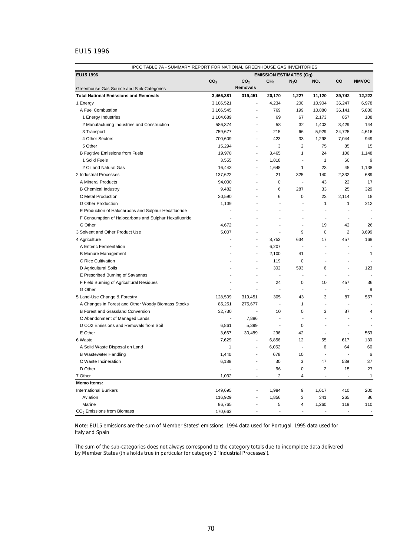# EU15 1996

| IPCC TABLE 7A - SUMMARY REPORT FOR NATIONAL GREENHOUSE GAS INVENTORIES |                          |                                |                          |                          |                          |                          |              |  |
|------------------------------------------------------------------------|--------------------------|--------------------------------|--------------------------|--------------------------|--------------------------|--------------------------|--------------|--|
| EU15 1996                                                              |                          | <b>EMISSION ESTIMATES (Gg)</b> |                          |                          |                          |                          |              |  |
|                                                                        | CO <sub>2</sub>          | CO <sub>2</sub>                | CH4                      | $N_2$ O                  | NO <sub>x</sub>          | CO                       | <b>NMVOC</b> |  |
| Greenhouse Gas Source and Sink Categories                              |                          | <b>Removals</b>                |                          |                          |                          |                          |              |  |
| <b>Total National Emissions and Removals</b>                           | 3,466,381                | 319,451                        | 20,170                   | 1,227                    | 11,120                   | 39,742                   | 12,222       |  |
| 1 Energy                                                               | 3,186,521                | ÷,                             | 4,234                    | 200                      | 10,904                   | 36,247                   | 6,978        |  |
| A Fuel Combustion                                                      | 3,166,545                | $\overline{\phantom{a}}$       | 769                      | 199                      | 10,880                   | 36,141                   | 5,830        |  |
| 1 Energy Industries                                                    | 1,104,689                | ÷,                             | 69                       | 67                       | 2,173                    | 857                      | 108          |  |
| 2 Manufacturing Industries and Construction                            | 586,374                  | $\overline{\phantom{a}}$       | 58                       | 32                       | 1,403                    | 3,429                    | 144          |  |
| 3 Transport                                                            | 759,677                  | $\overline{\phantom{a}}$       | 215                      | 66                       | 5,929                    | 24,725                   | 4,616        |  |
| 4 Other Sectors                                                        | 700,609                  | $\overline{a}$                 | 423                      | 33                       | 1,298                    | 7,044                    | 949          |  |
| 5 Other                                                                | 15,294                   | $\blacksquare$                 | 3                        | $\overline{2}$           | 75                       | 85                       | 15           |  |
| <b>B Fugitive Emissions from Fuels</b>                                 | 19,978                   | $\overline{a}$                 | 3,465                    | 1                        | 24                       | 106                      | 1,148        |  |
| 1 Solid Fuels                                                          | 3,555                    | $\overline{\phantom{a}}$       | 1,818                    | $\overline{\phantom{a}}$ | $\mathbf{1}$             | 60                       | 9            |  |
| 2 Oil and Natural Gas                                                  | 16,443                   | $\overline{\phantom{a}}$       | 1,648                    | 1                        | 23                       | 45                       | 1,138        |  |
| 2 Industrial Processes                                                 | 137,622                  | ÷,                             | 21                       | 325                      | 140                      | 2,332                    | 689          |  |
| A Mineral Products                                                     | 94,000                   | ä,                             | 0                        | $\overline{\phantom{a}}$ | 43                       | 22                       | 17           |  |
| <b>B</b> Chemical Industry                                             | 9,482                    | $\blacksquare$                 | 6                        | 287                      | 33                       | 25                       | 329          |  |
| C Metal Production                                                     | 20,590                   | ä,                             | 6                        | 0                        | 23                       | 2.114                    | 18           |  |
| D Other Production                                                     | 1,139                    | ÷,                             | ÷,                       | ÷,                       | 1                        | 1                        | 212          |  |
| E Production of Halocarbons and Sulphur Hexafluoride                   |                          |                                | ä,                       | ä,                       | $\overline{\phantom{a}}$ |                          |              |  |
| F Consumption of Halocarbons and Sulphur Hexafluoride                  | ä,                       |                                |                          | ÷,                       | $\overline{\phantom{a}}$ |                          |              |  |
| G Other                                                                | 4,672                    |                                |                          | ÷,                       | 19                       | 42                       | 26           |  |
| 3 Solvent and Other Product Use                                        | 5,007                    | ä,                             | ä,                       | 9                        | 0                        | 2                        | 3,699        |  |
| 4 Agriculture                                                          | ÷,                       | $\overline{a}$                 | 8,752                    | 634                      | 17                       | 457                      | 168          |  |
| A Enteric Fermentation                                                 |                          | $\overline{\phantom{a}}$       | 6,207                    | $\blacksquare$           | ÷,                       |                          |              |  |
| <b>B Manure Management</b>                                             |                          | ÷,                             | 2,100                    | 41                       |                          |                          | 1            |  |
| C Rice Cultivation                                                     |                          | ä,                             | 119                      | 0                        |                          |                          |              |  |
| D Agricultural Soils                                                   |                          | ÷,                             | 302                      | 593                      | 6                        | $\overline{a}$           | 123          |  |
| E Prescribed Burning of Savannas                                       |                          | ÷,                             | ÷,                       | ÷,                       |                          | ÷,                       |              |  |
| F Field Burning of Agricultural Residues                               | $\overline{\phantom{a}}$ | ÷,                             | 24                       | 0                        | 10                       | 457                      | 36           |  |
| G Other                                                                |                          |                                | ä,                       | ÷,                       | $\overline{\phantom{a}}$ |                          | 9            |  |
| 5 Land-Use Change & Forestry                                           | 128,509                  | 319,451                        | 305                      | 43                       | 3                        | 87                       | 557          |  |
| A Changes in Forest and Other Woody Biomass Stocks                     | 85,251                   | 275,677                        | $\overline{\phantom{a}}$ | 1                        | ÷                        | ÷,                       |              |  |
| B Forest and Grassland Conversion                                      | 32,730                   | ÷,                             | 10                       | 0                        | 3                        | 87                       | 4            |  |
| C Abandonment of Managed Lands                                         | $\overline{\phantom{a}}$ | 7,886                          | ÷,                       | $\overline{\phantom{a}}$ | $\overline{\phantom{a}}$ | $\blacksquare$           |              |  |
| D CO2 Emissions and Removals from Soil                                 | 6,861                    | 5,399                          | $\blacksquare$           | 0                        | $\overline{\phantom{a}}$ | ÷.                       |              |  |
| E Other                                                                |                          | 30,489                         | 296                      | 42                       | ÷,                       | $\blacksquare$           | 553          |  |
| 6 Waste                                                                | 3,667                    | ÷,                             |                          |                          |                          |                          | 130          |  |
|                                                                        | 7,629                    | $\overline{\phantom{a}}$       | 6,856                    | 12<br>÷,                 | 55                       | 617                      |              |  |
| A Solid Waste Disposal on Land                                         | 1                        |                                | 6,052                    |                          | 6<br>$\overline{a}$      | 64                       | 60           |  |
| <b>B Wastewater Handling</b>                                           | 1,440                    | $\overline{a}$                 | 678                      | 10                       |                          | $\overline{\phantom{a}}$ | 6            |  |
| C Waste Incineration                                                   | 6,188                    |                                | 30                       | 3                        | 47                       | 539                      | 37           |  |
| D Other                                                                |                          |                                | 96                       | 0                        | 2                        | 15                       | 27           |  |
| 7 Other                                                                | 1,032                    | $\sim$                         | $\overline{2}$           | 4                        |                          |                          | $\mathbf{1}$ |  |
| <b>Memo Items:</b>                                                     |                          |                                |                          |                          |                          |                          |              |  |
| <b>International Bunkers</b>                                           | 149,695                  |                                | 1,984                    | 9                        | 1,617                    | 410                      | 200          |  |
| Aviation                                                               | 116,929                  |                                | 1,856                    | 3                        | 341                      | 265                      | 86           |  |
| Marine<br>CO <sub>2</sub> Emissions from Biomass                       | 86,765<br>170,663        |                                | 5                        | 4                        | 1,260                    | 119                      | 110          |  |
|                                                                        |                          |                                |                          |                          |                          |                          |              |  |

Note: EU15 emissions are the sum of Member States' emissions. 1994 data used for Portugal. 1995 data used for Italy and Spain

The sum of the sub-categories does not always correspond to the category totals due to incomplete data delivered by Member States (this holds true in particular for category 2 'Industrial Processes').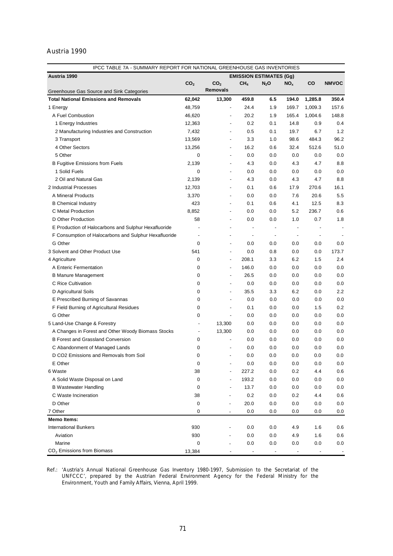# Austria 1990

| IPCC TABLE 7A - SUMMARY REPORT FOR NATIONAL GREENHOUSE GAS INVENTORIES |                 |                          |                                |                          |                          |                          |              |  |
|------------------------------------------------------------------------|-----------------|--------------------------|--------------------------------|--------------------------|--------------------------|--------------------------|--------------|--|
| Austria 1990                                                           |                 |                          | <b>EMISSION ESTIMATES (Gg)</b> |                          |                          |                          |              |  |
|                                                                        | CO <sub>2</sub> | CO <sub>2</sub>          | CH <sub>4</sub>                | $N_2$ O                  | NO <sub>x</sub>          | CO                       | <b>NMVOC</b> |  |
| Greenhouse Gas Source and Sink Categories                              |                 | <b>Removals</b>          |                                |                          |                          |                          |              |  |
| <b>Total National Emissions and Removals</b>                           | 62,042          | 13,300                   | 459.8                          | 6.5                      | 194.0                    | 1,285.8                  | 350.4        |  |
| 1 Energy                                                               | 48,759          | $\overline{a}$           | 24.4                           | 1.9                      | 169.7                    | 1,009.3                  | 157.6        |  |
| A Fuel Combustion                                                      | 46,620          | ÷,                       | 20.2                           | 1.9                      | 165.4                    | 1,004.6                  | 148.8        |  |
| 1 Energy Industries                                                    | 12,363          | $\overline{\phantom{a}}$ | 0.2                            | 0.1                      | 14.8                     | 0.9                      | 0.4          |  |
| 2 Manufacturing Industries and Construction                            | 7,432           | $\overline{\phantom{a}}$ | 0.5                            | 0.1                      | 19.7                     | 6.7                      | 1.2          |  |
| 3 Transport                                                            | 13,569          | $\overline{\phantom{a}}$ | 3.3                            | 1.0                      | 98.6                     | 484.3                    | 96.2         |  |
| 4 Other Sectors                                                        | 13,256          |                          | 16.2                           | 0.6                      | 32.4                     | 512.6                    | 51.0         |  |
| 5 Other                                                                | 0               |                          | 0.0                            | 0.0                      | 0.0                      | 0.0                      | 0.0          |  |
| <b>B Fugitive Emissions from Fuels</b>                                 | 2,139           |                          | 4.3                            | 0.0                      | 4.3                      | 4.7                      | 8.8          |  |
| 1 Solid Fuels                                                          | $\mathbf 0$     | $\overline{\phantom{a}}$ | 0.0                            | 0.0                      | 0.0                      | 0.0                      | 0.0          |  |
| 2 Oil and Natural Gas                                                  | 2,139           | $\overline{\phantom{a}}$ | 4.3                            | 0.0                      | 4.3                      | 4.7                      | 8.8          |  |
| 2 Industrial Processes                                                 | 12,703          | $\overline{\phantom{a}}$ | 0.1                            | 0.6                      | 17.9                     | 270.6                    | 16.1         |  |
| A Mineral Products                                                     | 3,370           | $\overline{\phantom{a}}$ | 0.0                            | 0.0                      | 7.6                      | 20.6                     | 5.5          |  |
| <b>B</b> Chemical Industry                                             | 423             | $\overline{\phantom{a}}$ | 0.1                            | 0.6                      | 4.1                      | 12.5                     | 8.3          |  |
| C Metal Production                                                     | 8,852           | $\overline{\phantom{a}}$ | 0.0                            | 0.0                      | 5.2                      | 236.7                    | 0.6          |  |
| D Other Production                                                     | 58              | $\overline{\phantom{a}}$ | 0.0                            | 0.0                      | 1.0                      | 0.7                      | 1.8          |  |
| E Production of Halocarbons and Sulphur Hexafluoride                   |                 | $\overline{\phantom{a}}$ | $\overline{\phantom{a}}$       | $\overline{\phantom{a}}$ |                          |                          | ٠            |  |
| F Consumption of Halocarbons and Sulphur Hexafluoride                  | $\overline{a}$  | $\overline{\phantom{0}}$ | $\overline{\phantom{a}}$       | $\overline{\phantom{a}}$ | $\overline{\phantom{a}}$ | $\overline{\phantom{a}}$ |              |  |
| G Other                                                                | $\mathbf 0$     | $\overline{\phantom{a}}$ | 0.0                            | 0.0                      | 0.0                      | 0.0                      | 0.0          |  |
| 3 Solvent and Other Product Use                                        | 541             | $\overline{\phantom{a}}$ | 0.0                            | 0.8                      | 0.0                      | 0.0                      | 173.7        |  |
| 4 Agriculture                                                          | 0               |                          | 208.1                          | 3.3                      | 6.2                      | 1.5                      | 2.4          |  |
| A Enteric Fermentation                                                 | 0               | ÷,                       | 146.0                          | 0.0                      | 0.0                      | 0.0                      | 0.0          |  |
| <b>B Manure Management</b>                                             | 0               | ÷,                       | 26.5                           | 0.0                      | 0.0                      | 0.0                      | 0.0          |  |
| C Rice Cultivation                                                     | 0               | $\overline{\phantom{a}}$ | 0.0                            | 0.0                      | 0.0                      | 0.0                      | 0.0          |  |
| D Agricultural Soils                                                   | 0               | ÷,                       | 35.5                           | 3.3                      | 6.2                      | 0.0                      | 2.2          |  |
| E Prescribed Burning of Savannas                                       | 0               | $\overline{a}$           | 0.0                            | 0.0                      | 0.0                      | 0.0                      | 0.0          |  |
| F Field Burning of Agricultural Residues                               | 0               | ÷,                       | 0.1                            | 0.0                      | 0.0                      | 1.5                      | 0.2          |  |
| G Other                                                                | 0               | $\overline{\phantom{a}}$ | 0.0                            | 0.0                      | 0.0                      | 0.0                      | 0.0          |  |
| 5 Land-Use Change & Forestry                                           | $\overline{a}$  | 13,300                   | 0.0                            | 0.0                      | 0.0                      | 0.0                      | 0.0          |  |
| A Changes in Forest and Other Woody Biomass Stocks                     | $\overline{a}$  | 13,300                   | 0.0                            | 0.0                      | 0.0                      | 0.0                      | 0.0          |  |
| <b>B Forest and Grassland Conversion</b>                               | 0               | $\overline{\phantom{a}}$ | 0.0                            | 0.0                      | 0.0                      | 0.0                      | 0.0          |  |
| C Abandonment of Managed Lands                                         | 0               |                          | 0.0                            | 0.0                      | 0.0                      | 0.0                      | 0.0          |  |
| D CO2 Emissions and Removals from Soil                                 | 0               | $\overline{\phantom{0}}$ | 0.0                            | 0.0                      | 0.0                      | 0.0                      | 0.0          |  |
| E Other                                                                | 0               |                          | 0.0                            | 0.0                      | 0.0                      | 0.0                      | 0.0          |  |
| 6 Waste                                                                | 38              |                          | 227.2                          | 0.0                      | 0.2                      | 4.4                      | 0.6          |  |
| A Solid Waste Disposal on Land                                         | 0               |                          | 193.2                          | 0.0                      | 0.0                      | 0.0                      | 0.0          |  |
| <b>B</b> Wastewater Handling                                           | 0               |                          | 13.7                           | 0.0                      | 0.0                      | 0.0                      | 0.0          |  |
| C Waste Incineration                                                   | 38              |                          | 0.2                            | 0.0                      | 0.2                      | 4.4                      | 0.6          |  |
| D Other                                                                | 0               |                          | 20.0                           | 0.0                      | 0.0                      | 0.0                      | 0.0          |  |
| 7 Other                                                                | 0               |                          | 0.0                            | 0.0                      | 0.0                      | 0.0                      | 0.0          |  |
| <b>Memo Items:</b>                                                     |                 |                          |                                |                          |                          |                          |              |  |
| <b>International Bunkers</b>                                           | 930             |                          | 0.0                            | 0.0                      | 4.9                      | 1.6                      | 0.6          |  |
| Aviation                                                               | 930             |                          | 0.0                            | 0.0                      | 4.9                      | 1.6                      | 0.6          |  |
| Marine                                                                 | 0               |                          | 0.0                            | 0.0                      | 0.0                      | 0.0                      | 0.0          |  |
| $CO2$ Emissions from Biomass                                           | 13,384          |                          |                                |                          |                          |                          |              |  |

Ref.: *'Austria's Annual National Greenhouse Gas Inventory 1980-1997, Submission to the Secretariat of the UNFCCC',* prepared by the Austrian Federal Environment Agency for the Federal Ministry for the Environment, Youth and Family Affairs, Vienna, April 1999.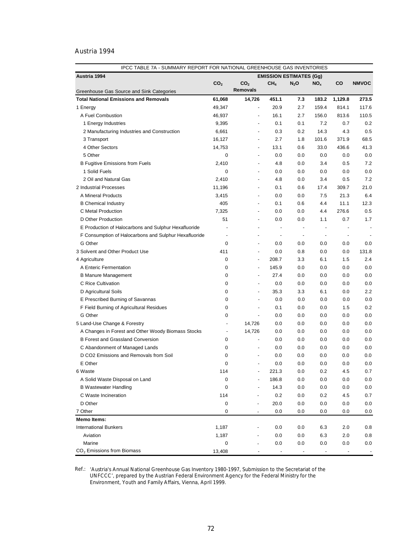# Austria 1994

| Austria 1994<br><b>EMISSION ESTIMATES (Gg)</b><br>CO <sub>2</sub><br>CO <sub>2</sub><br>CH <sub>4</sub><br>CO<br><b>NMVOC</b><br>$N_2$ O<br>NO <sub>x</sub><br><b>Removals</b><br>Greenhouse Gas Source and Sink Categories<br>451.1<br>183.2<br>1,129.8<br><b>Total National Emissions and Removals</b><br>61,068<br>14,726<br>7.3<br>273.5<br>159.4<br>20.9<br>2.7<br>814.1<br>117.6<br>49,347<br>1 Energy<br>$\overline{\phantom{a}}$<br>A Fuel Combustion<br>16.1<br>2.7<br>156.0<br>813.6<br>110.5<br>46,937<br>$\overline{a}$<br>0.1<br>7.2<br>0.7<br>0.2<br>1 Energy Industries<br>9,395<br>0.1<br>$\overline{a}$<br>0.5<br>14.3<br>4.3<br>2 Manufacturing Industries and Construction<br>6,661<br>0.3<br>0.2<br>$\overline{\phantom{a}}$<br>68.5<br>16,127<br>2.7<br>101.6<br>371.9<br>3 Transport<br>1.8<br>$\overline{\phantom{a}}$<br>4 Other Sectors<br>13.1<br>0.6<br>33.0<br>436.6<br>41.3<br>14,753<br>$\overline{\phantom{a}}$<br>5 Other<br>0.0<br>0.0<br>0.0<br>0.0<br>0<br>0.0<br>$\overline{\phantom{a}}$<br>2,410<br>4.8<br>3.4<br>0.5<br>7.2<br><b>B Fugitive Emissions from Fuels</b><br>0.0<br>$\overline{a}$<br>1 Solid Fuels<br>0<br>0.0<br>0.0<br>0.0<br>0.0<br>0.0<br>$\overline{\phantom{a}}$<br>7.2<br>2 Oil and Natural Gas<br>2,410<br>4.8<br>3.4<br>0.5<br>0.0<br>$\overline{\phantom{a}}$<br>2 Industrial Processes<br>11,196<br>0.1<br>17.4<br>309.7<br>21.0<br>0.6<br>$\overline{a}$<br>A Mineral Products<br>21.3<br>6.4<br>3,415<br>0.0<br>0.0<br>7.5<br>$\overline{\phantom{a}}$<br>405<br>0.1<br>11.1<br>12.3<br><b>B</b> Chemical Industry<br>0.6<br>4.4<br>$\overline{\phantom{a}}$<br>C Metal Production<br>7,325<br>276.6<br>0.5<br>0.0<br>0.0<br>4.4<br>$\overline{\phantom{a}}$<br>1.7<br>D Other Production<br>51<br>0.7<br>0.0<br>0.0<br>1.1<br>$\blacksquare$<br>E Production of Halocarbons and Sulphur Hexafluoride<br>$\overline{\phantom{a}}$<br>$\overline{\phantom{a}}$<br>$\overline{\phantom{a}}$<br>$\overline{a}$<br>$\overline{\phantom{a}}$<br>$\overline{\phantom{a}}$<br>F Consumption of Halocarbons and Sulphur Hexafluoride<br>$\overline{\phantom{a}}$<br>$\overline{\phantom{a}}$<br>$\overline{\phantom{a}}$<br>$\blacksquare$<br>$\overline{a}$<br>$\overline{\phantom{a}}$<br>G Other<br>0<br>0.0<br>0.0<br>0.0<br>0.0<br>0.0<br>$\blacksquare$<br>3 Solvent and Other Product Use<br>411<br>0.0<br>0.0<br>131.8<br>0.8<br>0.0<br>$\overline{\phantom{a}}$<br>0<br>208.7<br>3.3<br>6.1<br>2.4<br>4 Agriculture<br>1.5<br>$\blacksquare$<br>A Enteric Fermentation<br>0<br>145.9<br>0.0<br>0.0<br>0.0<br>0.0<br>$\overline{\phantom{a}}$<br>0<br>27.4<br>0.0<br>0.0<br>0.0<br><b>B Manure Management</b><br>0.0<br>$\overline{\phantom{a}}$<br>C Rice Cultivation<br>0<br>0.0<br>0.0<br>0.0<br>0.0<br>0.0<br>$\overline{\phantom{a}}$<br>2.2<br>0<br>35.3<br>3.3<br>6.1<br>0.0<br>D Agricultural Soils<br>$\overline{\phantom{a}}$<br>0.0<br>0<br>0.0<br>0.0<br>E Prescribed Burning of Savannas<br>0.0<br>0.0<br>$\blacksquare$<br>0.2<br>0<br>0.0<br>1.5<br>F Field Burning of Agricultural Residues<br>0.1<br>0.0<br>$\overline{a}$<br>G Other<br>0.0<br>0<br>0.0<br>0.0<br>0.0<br>0.0<br>$\overline{\phantom{a}}$<br>14,726<br>0.0<br>0.0<br>5 Land-Use Change & Forestry<br>0.0<br>0.0<br>0.0<br>$\overline{a}$<br>A Changes in Forest and Other Woody Biomass Stocks<br>14,726<br>0.0<br>0.0<br>0.0<br>0.0<br>0.0<br>$\overline{\phantom{a}}$<br><b>B Forest and Grassland Conversion</b><br>0.0<br>0<br>0.0<br>0.0<br>0.0<br>0.0<br>÷,<br>0<br>0.0<br>C Abandonment of Managed Lands<br>0.0<br>0.0<br>0.0<br>0.0<br>$\overline{\phantom{a}}$<br>D CO2 Emissions and Removals from Soil<br>0<br>0.0<br>0.0<br>0.0<br>0.0<br>0.0<br>$\blacksquare$<br>E Other<br>0<br>0.0<br>0.0<br>0.0<br>0.0<br>0.0<br>114<br>221.3<br>0.2<br>4.5<br>0.7<br>6 Waste<br>0.0<br>186.8<br>0.0<br>A Solid Waste Disposal on Land<br>0<br>0.0<br>0.0<br>0.0<br><b>B Wastewater Handling</b><br>0<br>14.3<br>0.0<br>0.0<br>0.0<br>0.0<br>C Waste Incineration<br>114<br>0.2<br>0.0<br>0.2<br>4.5<br>0.7<br>D Other<br>0<br>20.0<br>0.0<br>0.0<br>0.0<br>0.0<br>7 Other<br>0<br>0.0<br>0.0<br>0.0<br>0.0<br>0.0<br>$\overline{\phantom{a}}$<br>Memo Items:<br><b>International Bunkers</b><br>1,187<br>0.0<br>0.0<br>6.3<br>2.0<br>0.8<br>1,187<br>0.0<br>6.3<br>2.0<br>0.8<br>Aviation<br>0.0<br>Marine<br>0<br>0.0<br>0.0<br>0.0<br>0.0<br>$0.0\,$<br>CO <sub>2</sub> Emissions from Biomass<br>13,408 | IPCC TABLE 7A - SUMMARY REPORT FOR NATIONAL GREENHOUSE GAS INVENTORIES |  |  |  |  |  |  |  |  |  |
|----------------------------------------------------------------------------------------------------------------------------------------------------------------------------------------------------------------------------------------------------------------------------------------------------------------------------------------------------------------------------------------------------------------------------------------------------------------------------------------------------------------------------------------------------------------------------------------------------------------------------------------------------------------------------------------------------------------------------------------------------------------------------------------------------------------------------------------------------------------------------------------------------------------------------------------------------------------------------------------------------------------------------------------------------------------------------------------------------------------------------------------------------------------------------------------------------------------------------------------------------------------------------------------------------------------------------------------------------------------------------------------------------------------------------------------------------------------------------------------------------------------------------------------------------------------------------------------------------------------------------------------------------------------------------------------------------------------------------------------------------------------------------------------------------------------------------------------------------------------------------------------------------------------------------------------------------------------------------------------------------------------------------------------------------------------------------------------------------------------------------------------------------------------------------------------------------------------------------------------------------------------------------------------------------------------------------------------------------------------------------------------------------------------------------------------------------------------------------------------------------------------------------------------------------------------------------------------------------------------------------------------------------------------------------------------------------------------------------------------------------------------------------------------------------------------------------------------------------------------------------------------------------------------------------------------------------------------------------------------------------------------------------------------------------------------------------------------------------------------------------------------------------------------------------------------------------------------------------------------------------------------------------------------------------------------------------------------------------------------------------------------------------------------------------------------------------------------------------------------------------------------------------------------------------------------------------------------------------------------------------------------------------------------------------------------------------------------------------------------------------------------------------------------------------------------------------------------------------------------------------------------------------------------------------------------------------------------------------------------------------------------------------------------------------------------------------------------------------------------------------------------------------------------------------------------------------------------------------------------------------------------------------------------------------------------------------------------------------------------------------------------------------------------------------------------------------------------|------------------------------------------------------------------------|--|--|--|--|--|--|--|--|--|
|                                                                                                                                                                                                                                                                                                                                                                                                                                                                                                                                                                                                                                                                                                                                                                                                                                                                                                                                                                                                                                                                                                                                                                                                                                                                                                                                                                                                                                                                                                                                                                                                                                                                                                                                                                                                                                                                                                                                                                                                                                                                                                                                                                                                                                                                                                                                                                                                                                                                                                                                                                                                                                                                                                                                                                                                                                                                                                                                                                                                                                                                                                                                                                                                                                                                                                                                                                                                                                                                                                                                                                                                                                                                                                                                                                                                                                                                                                                                                                                                                                                                                                                                                                                                                                                                                                                                                                                                                                                                |                                                                        |  |  |  |  |  |  |  |  |  |
|                                                                                                                                                                                                                                                                                                                                                                                                                                                                                                                                                                                                                                                                                                                                                                                                                                                                                                                                                                                                                                                                                                                                                                                                                                                                                                                                                                                                                                                                                                                                                                                                                                                                                                                                                                                                                                                                                                                                                                                                                                                                                                                                                                                                                                                                                                                                                                                                                                                                                                                                                                                                                                                                                                                                                                                                                                                                                                                                                                                                                                                                                                                                                                                                                                                                                                                                                                                                                                                                                                                                                                                                                                                                                                                                                                                                                                                                                                                                                                                                                                                                                                                                                                                                                                                                                                                                                                                                                                                                |                                                                        |  |  |  |  |  |  |  |  |  |
|                                                                                                                                                                                                                                                                                                                                                                                                                                                                                                                                                                                                                                                                                                                                                                                                                                                                                                                                                                                                                                                                                                                                                                                                                                                                                                                                                                                                                                                                                                                                                                                                                                                                                                                                                                                                                                                                                                                                                                                                                                                                                                                                                                                                                                                                                                                                                                                                                                                                                                                                                                                                                                                                                                                                                                                                                                                                                                                                                                                                                                                                                                                                                                                                                                                                                                                                                                                                                                                                                                                                                                                                                                                                                                                                                                                                                                                                                                                                                                                                                                                                                                                                                                                                                                                                                                                                                                                                                                                                |                                                                        |  |  |  |  |  |  |  |  |  |
|                                                                                                                                                                                                                                                                                                                                                                                                                                                                                                                                                                                                                                                                                                                                                                                                                                                                                                                                                                                                                                                                                                                                                                                                                                                                                                                                                                                                                                                                                                                                                                                                                                                                                                                                                                                                                                                                                                                                                                                                                                                                                                                                                                                                                                                                                                                                                                                                                                                                                                                                                                                                                                                                                                                                                                                                                                                                                                                                                                                                                                                                                                                                                                                                                                                                                                                                                                                                                                                                                                                                                                                                                                                                                                                                                                                                                                                                                                                                                                                                                                                                                                                                                                                                                                                                                                                                                                                                                                                                |                                                                        |  |  |  |  |  |  |  |  |  |
|                                                                                                                                                                                                                                                                                                                                                                                                                                                                                                                                                                                                                                                                                                                                                                                                                                                                                                                                                                                                                                                                                                                                                                                                                                                                                                                                                                                                                                                                                                                                                                                                                                                                                                                                                                                                                                                                                                                                                                                                                                                                                                                                                                                                                                                                                                                                                                                                                                                                                                                                                                                                                                                                                                                                                                                                                                                                                                                                                                                                                                                                                                                                                                                                                                                                                                                                                                                                                                                                                                                                                                                                                                                                                                                                                                                                                                                                                                                                                                                                                                                                                                                                                                                                                                                                                                                                                                                                                                                                |                                                                        |  |  |  |  |  |  |  |  |  |
|                                                                                                                                                                                                                                                                                                                                                                                                                                                                                                                                                                                                                                                                                                                                                                                                                                                                                                                                                                                                                                                                                                                                                                                                                                                                                                                                                                                                                                                                                                                                                                                                                                                                                                                                                                                                                                                                                                                                                                                                                                                                                                                                                                                                                                                                                                                                                                                                                                                                                                                                                                                                                                                                                                                                                                                                                                                                                                                                                                                                                                                                                                                                                                                                                                                                                                                                                                                                                                                                                                                                                                                                                                                                                                                                                                                                                                                                                                                                                                                                                                                                                                                                                                                                                                                                                                                                                                                                                                                                |                                                                        |  |  |  |  |  |  |  |  |  |
|                                                                                                                                                                                                                                                                                                                                                                                                                                                                                                                                                                                                                                                                                                                                                                                                                                                                                                                                                                                                                                                                                                                                                                                                                                                                                                                                                                                                                                                                                                                                                                                                                                                                                                                                                                                                                                                                                                                                                                                                                                                                                                                                                                                                                                                                                                                                                                                                                                                                                                                                                                                                                                                                                                                                                                                                                                                                                                                                                                                                                                                                                                                                                                                                                                                                                                                                                                                                                                                                                                                                                                                                                                                                                                                                                                                                                                                                                                                                                                                                                                                                                                                                                                                                                                                                                                                                                                                                                                                                |                                                                        |  |  |  |  |  |  |  |  |  |
|                                                                                                                                                                                                                                                                                                                                                                                                                                                                                                                                                                                                                                                                                                                                                                                                                                                                                                                                                                                                                                                                                                                                                                                                                                                                                                                                                                                                                                                                                                                                                                                                                                                                                                                                                                                                                                                                                                                                                                                                                                                                                                                                                                                                                                                                                                                                                                                                                                                                                                                                                                                                                                                                                                                                                                                                                                                                                                                                                                                                                                                                                                                                                                                                                                                                                                                                                                                                                                                                                                                                                                                                                                                                                                                                                                                                                                                                                                                                                                                                                                                                                                                                                                                                                                                                                                                                                                                                                                                                |                                                                        |  |  |  |  |  |  |  |  |  |
|                                                                                                                                                                                                                                                                                                                                                                                                                                                                                                                                                                                                                                                                                                                                                                                                                                                                                                                                                                                                                                                                                                                                                                                                                                                                                                                                                                                                                                                                                                                                                                                                                                                                                                                                                                                                                                                                                                                                                                                                                                                                                                                                                                                                                                                                                                                                                                                                                                                                                                                                                                                                                                                                                                                                                                                                                                                                                                                                                                                                                                                                                                                                                                                                                                                                                                                                                                                                                                                                                                                                                                                                                                                                                                                                                                                                                                                                                                                                                                                                                                                                                                                                                                                                                                                                                                                                                                                                                                                                |                                                                        |  |  |  |  |  |  |  |  |  |
|                                                                                                                                                                                                                                                                                                                                                                                                                                                                                                                                                                                                                                                                                                                                                                                                                                                                                                                                                                                                                                                                                                                                                                                                                                                                                                                                                                                                                                                                                                                                                                                                                                                                                                                                                                                                                                                                                                                                                                                                                                                                                                                                                                                                                                                                                                                                                                                                                                                                                                                                                                                                                                                                                                                                                                                                                                                                                                                                                                                                                                                                                                                                                                                                                                                                                                                                                                                                                                                                                                                                                                                                                                                                                                                                                                                                                                                                                                                                                                                                                                                                                                                                                                                                                                                                                                                                                                                                                                                                |                                                                        |  |  |  |  |  |  |  |  |  |
|                                                                                                                                                                                                                                                                                                                                                                                                                                                                                                                                                                                                                                                                                                                                                                                                                                                                                                                                                                                                                                                                                                                                                                                                                                                                                                                                                                                                                                                                                                                                                                                                                                                                                                                                                                                                                                                                                                                                                                                                                                                                                                                                                                                                                                                                                                                                                                                                                                                                                                                                                                                                                                                                                                                                                                                                                                                                                                                                                                                                                                                                                                                                                                                                                                                                                                                                                                                                                                                                                                                                                                                                                                                                                                                                                                                                                                                                                                                                                                                                                                                                                                                                                                                                                                                                                                                                                                                                                                                                |                                                                        |  |  |  |  |  |  |  |  |  |
|                                                                                                                                                                                                                                                                                                                                                                                                                                                                                                                                                                                                                                                                                                                                                                                                                                                                                                                                                                                                                                                                                                                                                                                                                                                                                                                                                                                                                                                                                                                                                                                                                                                                                                                                                                                                                                                                                                                                                                                                                                                                                                                                                                                                                                                                                                                                                                                                                                                                                                                                                                                                                                                                                                                                                                                                                                                                                                                                                                                                                                                                                                                                                                                                                                                                                                                                                                                                                                                                                                                                                                                                                                                                                                                                                                                                                                                                                                                                                                                                                                                                                                                                                                                                                                                                                                                                                                                                                                                                |                                                                        |  |  |  |  |  |  |  |  |  |
|                                                                                                                                                                                                                                                                                                                                                                                                                                                                                                                                                                                                                                                                                                                                                                                                                                                                                                                                                                                                                                                                                                                                                                                                                                                                                                                                                                                                                                                                                                                                                                                                                                                                                                                                                                                                                                                                                                                                                                                                                                                                                                                                                                                                                                                                                                                                                                                                                                                                                                                                                                                                                                                                                                                                                                                                                                                                                                                                                                                                                                                                                                                                                                                                                                                                                                                                                                                                                                                                                                                                                                                                                                                                                                                                                                                                                                                                                                                                                                                                                                                                                                                                                                                                                                                                                                                                                                                                                                                                |                                                                        |  |  |  |  |  |  |  |  |  |
|                                                                                                                                                                                                                                                                                                                                                                                                                                                                                                                                                                                                                                                                                                                                                                                                                                                                                                                                                                                                                                                                                                                                                                                                                                                                                                                                                                                                                                                                                                                                                                                                                                                                                                                                                                                                                                                                                                                                                                                                                                                                                                                                                                                                                                                                                                                                                                                                                                                                                                                                                                                                                                                                                                                                                                                                                                                                                                                                                                                                                                                                                                                                                                                                                                                                                                                                                                                                                                                                                                                                                                                                                                                                                                                                                                                                                                                                                                                                                                                                                                                                                                                                                                                                                                                                                                                                                                                                                                                                |                                                                        |  |  |  |  |  |  |  |  |  |
|                                                                                                                                                                                                                                                                                                                                                                                                                                                                                                                                                                                                                                                                                                                                                                                                                                                                                                                                                                                                                                                                                                                                                                                                                                                                                                                                                                                                                                                                                                                                                                                                                                                                                                                                                                                                                                                                                                                                                                                                                                                                                                                                                                                                                                                                                                                                                                                                                                                                                                                                                                                                                                                                                                                                                                                                                                                                                                                                                                                                                                                                                                                                                                                                                                                                                                                                                                                                                                                                                                                                                                                                                                                                                                                                                                                                                                                                                                                                                                                                                                                                                                                                                                                                                                                                                                                                                                                                                                                                |                                                                        |  |  |  |  |  |  |  |  |  |
|                                                                                                                                                                                                                                                                                                                                                                                                                                                                                                                                                                                                                                                                                                                                                                                                                                                                                                                                                                                                                                                                                                                                                                                                                                                                                                                                                                                                                                                                                                                                                                                                                                                                                                                                                                                                                                                                                                                                                                                                                                                                                                                                                                                                                                                                                                                                                                                                                                                                                                                                                                                                                                                                                                                                                                                                                                                                                                                                                                                                                                                                                                                                                                                                                                                                                                                                                                                                                                                                                                                                                                                                                                                                                                                                                                                                                                                                                                                                                                                                                                                                                                                                                                                                                                                                                                                                                                                                                                                                |                                                                        |  |  |  |  |  |  |  |  |  |
|                                                                                                                                                                                                                                                                                                                                                                                                                                                                                                                                                                                                                                                                                                                                                                                                                                                                                                                                                                                                                                                                                                                                                                                                                                                                                                                                                                                                                                                                                                                                                                                                                                                                                                                                                                                                                                                                                                                                                                                                                                                                                                                                                                                                                                                                                                                                                                                                                                                                                                                                                                                                                                                                                                                                                                                                                                                                                                                                                                                                                                                                                                                                                                                                                                                                                                                                                                                                                                                                                                                                                                                                                                                                                                                                                                                                                                                                                                                                                                                                                                                                                                                                                                                                                                                                                                                                                                                                                                                                |                                                                        |  |  |  |  |  |  |  |  |  |
|                                                                                                                                                                                                                                                                                                                                                                                                                                                                                                                                                                                                                                                                                                                                                                                                                                                                                                                                                                                                                                                                                                                                                                                                                                                                                                                                                                                                                                                                                                                                                                                                                                                                                                                                                                                                                                                                                                                                                                                                                                                                                                                                                                                                                                                                                                                                                                                                                                                                                                                                                                                                                                                                                                                                                                                                                                                                                                                                                                                                                                                                                                                                                                                                                                                                                                                                                                                                                                                                                                                                                                                                                                                                                                                                                                                                                                                                                                                                                                                                                                                                                                                                                                                                                                                                                                                                                                                                                                                                |                                                                        |  |  |  |  |  |  |  |  |  |
|                                                                                                                                                                                                                                                                                                                                                                                                                                                                                                                                                                                                                                                                                                                                                                                                                                                                                                                                                                                                                                                                                                                                                                                                                                                                                                                                                                                                                                                                                                                                                                                                                                                                                                                                                                                                                                                                                                                                                                                                                                                                                                                                                                                                                                                                                                                                                                                                                                                                                                                                                                                                                                                                                                                                                                                                                                                                                                                                                                                                                                                                                                                                                                                                                                                                                                                                                                                                                                                                                                                                                                                                                                                                                                                                                                                                                                                                                                                                                                                                                                                                                                                                                                                                                                                                                                                                                                                                                                                                |                                                                        |  |  |  |  |  |  |  |  |  |
|                                                                                                                                                                                                                                                                                                                                                                                                                                                                                                                                                                                                                                                                                                                                                                                                                                                                                                                                                                                                                                                                                                                                                                                                                                                                                                                                                                                                                                                                                                                                                                                                                                                                                                                                                                                                                                                                                                                                                                                                                                                                                                                                                                                                                                                                                                                                                                                                                                                                                                                                                                                                                                                                                                                                                                                                                                                                                                                                                                                                                                                                                                                                                                                                                                                                                                                                                                                                                                                                                                                                                                                                                                                                                                                                                                                                                                                                                                                                                                                                                                                                                                                                                                                                                                                                                                                                                                                                                                                                |                                                                        |  |  |  |  |  |  |  |  |  |
|                                                                                                                                                                                                                                                                                                                                                                                                                                                                                                                                                                                                                                                                                                                                                                                                                                                                                                                                                                                                                                                                                                                                                                                                                                                                                                                                                                                                                                                                                                                                                                                                                                                                                                                                                                                                                                                                                                                                                                                                                                                                                                                                                                                                                                                                                                                                                                                                                                                                                                                                                                                                                                                                                                                                                                                                                                                                                                                                                                                                                                                                                                                                                                                                                                                                                                                                                                                                                                                                                                                                                                                                                                                                                                                                                                                                                                                                                                                                                                                                                                                                                                                                                                                                                                                                                                                                                                                                                                                                |                                                                        |  |  |  |  |  |  |  |  |  |
|                                                                                                                                                                                                                                                                                                                                                                                                                                                                                                                                                                                                                                                                                                                                                                                                                                                                                                                                                                                                                                                                                                                                                                                                                                                                                                                                                                                                                                                                                                                                                                                                                                                                                                                                                                                                                                                                                                                                                                                                                                                                                                                                                                                                                                                                                                                                                                                                                                                                                                                                                                                                                                                                                                                                                                                                                                                                                                                                                                                                                                                                                                                                                                                                                                                                                                                                                                                                                                                                                                                                                                                                                                                                                                                                                                                                                                                                                                                                                                                                                                                                                                                                                                                                                                                                                                                                                                                                                                                                |                                                                        |  |  |  |  |  |  |  |  |  |
|                                                                                                                                                                                                                                                                                                                                                                                                                                                                                                                                                                                                                                                                                                                                                                                                                                                                                                                                                                                                                                                                                                                                                                                                                                                                                                                                                                                                                                                                                                                                                                                                                                                                                                                                                                                                                                                                                                                                                                                                                                                                                                                                                                                                                                                                                                                                                                                                                                                                                                                                                                                                                                                                                                                                                                                                                                                                                                                                                                                                                                                                                                                                                                                                                                                                                                                                                                                                                                                                                                                                                                                                                                                                                                                                                                                                                                                                                                                                                                                                                                                                                                                                                                                                                                                                                                                                                                                                                                                                |                                                                        |  |  |  |  |  |  |  |  |  |
|                                                                                                                                                                                                                                                                                                                                                                                                                                                                                                                                                                                                                                                                                                                                                                                                                                                                                                                                                                                                                                                                                                                                                                                                                                                                                                                                                                                                                                                                                                                                                                                                                                                                                                                                                                                                                                                                                                                                                                                                                                                                                                                                                                                                                                                                                                                                                                                                                                                                                                                                                                                                                                                                                                                                                                                                                                                                                                                                                                                                                                                                                                                                                                                                                                                                                                                                                                                                                                                                                                                                                                                                                                                                                                                                                                                                                                                                                                                                                                                                                                                                                                                                                                                                                                                                                                                                                                                                                                                                |                                                                        |  |  |  |  |  |  |  |  |  |
|                                                                                                                                                                                                                                                                                                                                                                                                                                                                                                                                                                                                                                                                                                                                                                                                                                                                                                                                                                                                                                                                                                                                                                                                                                                                                                                                                                                                                                                                                                                                                                                                                                                                                                                                                                                                                                                                                                                                                                                                                                                                                                                                                                                                                                                                                                                                                                                                                                                                                                                                                                                                                                                                                                                                                                                                                                                                                                                                                                                                                                                                                                                                                                                                                                                                                                                                                                                                                                                                                                                                                                                                                                                                                                                                                                                                                                                                                                                                                                                                                                                                                                                                                                                                                                                                                                                                                                                                                                                                |                                                                        |  |  |  |  |  |  |  |  |  |
|                                                                                                                                                                                                                                                                                                                                                                                                                                                                                                                                                                                                                                                                                                                                                                                                                                                                                                                                                                                                                                                                                                                                                                                                                                                                                                                                                                                                                                                                                                                                                                                                                                                                                                                                                                                                                                                                                                                                                                                                                                                                                                                                                                                                                                                                                                                                                                                                                                                                                                                                                                                                                                                                                                                                                                                                                                                                                                                                                                                                                                                                                                                                                                                                                                                                                                                                                                                                                                                                                                                                                                                                                                                                                                                                                                                                                                                                                                                                                                                                                                                                                                                                                                                                                                                                                                                                                                                                                                                                |                                                                        |  |  |  |  |  |  |  |  |  |
|                                                                                                                                                                                                                                                                                                                                                                                                                                                                                                                                                                                                                                                                                                                                                                                                                                                                                                                                                                                                                                                                                                                                                                                                                                                                                                                                                                                                                                                                                                                                                                                                                                                                                                                                                                                                                                                                                                                                                                                                                                                                                                                                                                                                                                                                                                                                                                                                                                                                                                                                                                                                                                                                                                                                                                                                                                                                                                                                                                                                                                                                                                                                                                                                                                                                                                                                                                                                                                                                                                                                                                                                                                                                                                                                                                                                                                                                                                                                                                                                                                                                                                                                                                                                                                                                                                                                                                                                                                                                |                                                                        |  |  |  |  |  |  |  |  |  |
|                                                                                                                                                                                                                                                                                                                                                                                                                                                                                                                                                                                                                                                                                                                                                                                                                                                                                                                                                                                                                                                                                                                                                                                                                                                                                                                                                                                                                                                                                                                                                                                                                                                                                                                                                                                                                                                                                                                                                                                                                                                                                                                                                                                                                                                                                                                                                                                                                                                                                                                                                                                                                                                                                                                                                                                                                                                                                                                                                                                                                                                                                                                                                                                                                                                                                                                                                                                                                                                                                                                                                                                                                                                                                                                                                                                                                                                                                                                                                                                                                                                                                                                                                                                                                                                                                                                                                                                                                                                                |                                                                        |  |  |  |  |  |  |  |  |  |
|                                                                                                                                                                                                                                                                                                                                                                                                                                                                                                                                                                                                                                                                                                                                                                                                                                                                                                                                                                                                                                                                                                                                                                                                                                                                                                                                                                                                                                                                                                                                                                                                                                                                                                                                                                                                                                                                                                                                                                                                                                                                                                                                                                                                                                                                                                                                                                                                                                                                                                                                                                                                                                                                                                                                                                                                                                                                                                                                                                                                                                                                                                                                                                                                                                                                                                                                                                                                                                                                                                                                                                                                                                                                                                                                                                                                                                                                                                                                                                                                                                                                                                                                                                                                                                                                                                                                                                                                                                                                |                                                                        |  |  |  |  |  |  |  |  |  |
|                                                                                                                                                                                                                                                                                                                                                                                                                                                                                                                                                                                                                                                                                                                                                                                                                                                                                                                                                                                                                                                                                                                                                                                                                                                                                                                                                                                                                                                                                                                                                                                                                                                                                                                                                                                                                                                                                                                                                                                                                                                                                                                                                                                                                                                                                                                                                                                                                                                                                                                                                                                                                                                                                                                                                                                                                                                                                                                                                                                                                                                                                                                                                                                                                                                                                                                                                                                                                                                                                                                                                                                                                                                                                                                                                                                                                                                                                                                                                                                                                                                                                                                                                                                                                                                                                                                                                                                                                                                                |                                                                        |  |  |  |  |  |  |  |  |  |
|                                                                                                                                                                                                                                                                                                                                                                                                                                                                                                                                                                                                                                                                                                                                                                                                                                                                                                                                                                                                                                                                                                                                                                                                                                                                                                                                                                                                                                                                                                                                                                                                                                                                                                                                                                                                                                                                                                                                                                                                                                                                                                                                                                                                                                                                                                                                                                                                                                                                                                                                                                                                                                                                                                                                                                                                                                                                                                                                                                                                                                                                                                                                                                                                                                                                                                                                                                                                                                                                                                                                                                                                                                                                                                                                                                                                                                                                                                                                                                                                                                                                                                                                                                                                                                                                                                                                                                                                                                                                |                                                                        |  |  |  |  |  |  |  |  |  |
|                                                                                                                                                                                                                                                                                                                                                                                                                                                                                                                                                                                                                                                                                                                                                                                                                                                                                                                                                                                                                                                                                                                                                                                                                                                                                                                                                                                                                                                                                                                                                                                                                                                                                                                                                                                                                                                                                                                                                                                                                                                                                                                                                                                                                                                                                                                                                                                                                                                                                                                                                                                                                                                                                                                                                                                                                                                                                                                                                                                                                                                                                                                                                                                                                                                                                                                                                                                                                                                                                                                                                                                                                                                                                                                                                                                                                                                                                                                                                                                                                                                                                                                                                                                                                                                                                                                                                                                                                                                                |                                                                        |  |  |  |  |  |  |  |  |  |
|                                                                                                                                                                                                                                                                                                                                                                                                                                                                                                                                                                                                                                                                                                                                                                                                                                                                                                                                                                                                                                                                                                                                                                                                                                                                                                                                                                                                                                                                                                                                                                                                                                                                                                                                                                                                                                                                                                                                                                                                                                                                                                                                                                                                                                                                                                                                                                                                                                                                                                                                                                                                                                                                                                                                                                                                                                                                                                                                                                                                                                                                                                                                                                                                                                                                                                                                                                                                                                                                                                                                                                                                                                                                                                                                                                                                                                                                                                                                                                                                                                                                                                                                                                                                                                                                                                                                                                                                                                                                |                                                                        |  |  |  |  |  |  |  |  |  |
|                                                                                                                                                                                                                                                                                                                                                                                                                                                                                                                                                                                                                                                                                                                                                                                                                                                                                                                                                                                                                                                                                                                                                                                                                                                                                                                                                                                                                                                                                                                                                                                                                                                                                                                                                                                                                                                                                                                                                                                                                                                                                                                                                                                                                                                                                                                                                                                                                                                                                                                                                                                                                                                                                                                                                                                                                                                                                                                                                                                                                                                                                                                                                                                                                                                                                                                                                                                                                                                                                                                                                                                                                                                                                                                                                                                                                                                                                                                                                                                                                                                                                                                                                                                                                                                                                                                                                                                                                                                                |                                                                        |  |  |  |  |  |  |  |  |  |
|                                                                                                                                                                                                                                                                                                                                                                                                                                                                                                                                                                                                                                                                                                                                                                                                                                                                                                                                                                                                                                                                                                                                                                                                                                                                                                                                                                                                                                                                                                                                                                                                                                                                                                                                                                                                                                                                                                                                                                                                                                                                                                                                                                                                                                                                                                                                                                                                                                                                                                                                                                                                                                                                                                                                                                                                                                                                                                                                                                                                                                                                                                                                                                                                                                                                                                                                                                                                                                                                                                                                                                                                                                                                                                                                                                                                                                                                                                                                                                                                                                                                                                                                                                                                                                                                                                                                                                                                                                                                |                                                                        |  |  |  |  |  |  |  |  |  |
|                                                                                                                                                                                                                                                                                                                                                                                                                                                                                                                                                                                                                                                                                                                                                                                                                                                                                                                                                                                                                                                                                                                                                                                                                                                                                                                                                                                                                                                                                                                                                                                                                                                                                                                                                                                                                                                                                                                                                                                                                                                                                                                                                                                                                                                                                                                                                                                                                                                                                                                                                                                                                                                                                                                                                                                                                                                                                                                                                                                                                                                                                                                                                                                                                                                                                                                                                                                                                                                                                                                                                                                                                                                                                                                                                                                                                                                                                                                                                                                                                                                                                                                                                                                                                                                                                                                                                                                                                                                                |                                                                        |  |  |  |  |  |  |  |  |  |
|                                                                                                                                                                                                                                                                                                                                                                                                                                                                                                                                                                                                                                                                                                                                                                                                                                                                                                                                                                                                                                                                                                                                                                                                                                                                                                                                                                                                                                                                                                                                                                                                                                                                                                                                                                                                                                                                                                                                                                                                                                                                                                                                                                                                                                                                                                                                                                                                                                                                                                                                                                                                                                                                                                                                                                                                                                                                                                                                                                                                                                                                                                                                                                                                                                                                                                                                                                                                                                                                                                                                                                                                                                                                                                                                                                                                                                                                                                                                                                                                                                                                                                                                                                                                                                                                                                                                                                                                                                                                |                                                                        |  |  |  |  |  |  |  |  |  |
|                                                                                                                                                                                                                                                                                                                                                                                                                                                                                                                                                                                                                                                                                                                                                                                                                                                                                                                                                                                                                                                                                                                                                                                                                                                                                                                                                                                                                                                                                                                                                                                                                                                                                                                                                                                                                                                                                                                                                                                                                                                                                                                                                                                                                                                                                                                                                                                                                                                                                                                                                                                                                                                                                                                                                                                                                                                                                                                                                                                                                                                                                                                                                                                                                                                                                                                                                                                                                                                                                                                                                                                                                                                                                                                                                                                                                                                                                                                                                                                                                                                                                                                                                                                                                                                                                                                                                                                                                                                                |                                                                        |  |  |  |  |  |  |  |  |  |
|                                                                                                                                                                                                                                                                                                                                                                                                                                                                                                                                                                                                                                                                                                                                                                                                                                                                                                                                                                                                                                                                                                                                                                                                                                                                                                                                                                                                                                                                                                                                                                                                                                                                                                                                                                                                                                                                                                                                                                                                                                                                                                                                                                                                                                                                                                                                                                                                                                                                                                                                                                                                                                                                                                                                                                                                                                                                                                                                                                                                                                                                                                                                                                                                                                                                                                                                                                                                                                                                                                                                                                                                                                                                                                                                                                                                                                                                                                                                                                                                                                                                                                                                                                                                                                                                                                                                                                                                                                                                |                                                                        |  |  |  |  |  |  |  |  |  |
|                                                                                                                                                                                                                                                                                                                                                                                                                                                                                                                                                                                                                                                                                                                                                                                                                                                                                                                                                                                                                                                                                                                                                                                                                                                                                                                                                                                                                                                                                                                                                                                                                                                                                                                                                                                                                                                                                                                                                                                                                                                                                                                                                                                                                                                                                                                                                                                                                                                                                                                                                                                                                                                                                                                                                                                                                                                                                                                                                                                                                                                                                                                                                                                                                                                                                                                                                                                                                                                                                                                                                                                                                                                                                                                                                                                                                                                                                                                                                                                                                                                                                                                                                                                                                                                                                                                                                                                                                                                                |                                                                        |  |  |  |  |  |  |  |  |  |
|                                                                                                                                                                                                                                                                                                                                                                                                                                                                                                                                                                                                                                                                                                                                                                                                                                                                                                                                                                                                                                                                                                                                                                                                                                                                                                                                                                                                                                                                                                                                                                                                                                                                                                                                                                                                                                                                                                                                                                                                                                                                                                                                                                                                                                                                                                                                                                                                                                                                                                                                                                                                                                                                                                                                                                                                                                                                                                                                                                                                                                                                                                                                                                                                                                                                                                                                                                                                                                                                                                                                                                                                                                                                                                                                                                                                                                                                                                                                                                                                                                                                                                                                                                                                                                                                                                                                                                                                                                                                |                                                                        |  |  |  |  |  |  |  |  |  |
|                                                                                                                                                                                                                                                                                                                                                                                                                                                                                                                                                                                                                                                                                                                                                                                                                                                                                                                                                                                                                                                                                                                                                                                                                                                                                                                                                                                                                                                                                                                                                                                                                                                                                                                                                                                                                                                                                                                                                                                                                                                                                                                                                                                                                                                                                                                                                                                                                                                                                                                                                                                                                                                                                                                                                                                                                                                                                                                                                                                                                                                                                                                                                                                                                                                                                                                                                                                                                                                                                                                                                                                                                                                                                                                                                                                                                                                                                                                                                                                                                                                                                                                                                                                                                                                                                                                                                                                                                                                                |                                                                        |  |  |  |  |  |  |  |  |  |
|                                                                                                                                                                                                                                                                                                                                                                                                                                                                                                                                                                                                                                                                                                                                                                                                                                                                                                                                                                                                                                                                                                                                                                                                                                                                                                                                                                                                                                                                                                                                                                                                                                                                                                                                                                                                                                                                                                                                                                                                                                                                                                                                                                                                                                                                                                                                                                                                                                                                                                                                                                                                                                                                                                                                                                                                                                                                                                                                                                                                                                                                                                                                                                                                                                                                                                                                                                                                                                                                                                                                                                                                                                                                                                                                                                                                                                                                                                                                                                                                                                                                                                                                                                                                                                                                                                                                                                                                                                                                |                                                                        |  |  |  |  |  |  |  |  |  |
|                                                                                                                                                                                                                                                                                                                                                                                                                                                                                                                                                                                                                                                                                                                                                                                                                                                                                                                                                                                                                                                                                                                                                                                                                                                                                                                                                                                                                                                                                                                                                                                                                                                                                                                                                                                                                                                                                                                                                                                                                                                                                                                                                                                                                                                                                                                                                                                                                                                                                                                                                                                                                                                                                                                                                                                                                                                                                                                                                                                                                                                                                                                                                                                                                                                                                                                                                                                                                                                                                                                                                                                                                                                                                                                                                                                                                                                                                                                                                                                                                                                                                                                                                                                                                                                                                                                                                                                                                                                                |                                                                        |  |  |  |  |  |  |  |  |  |
|                                                                                                                                                                                                                                                                                                                                                                                                                                                                                                                                                                                                                                                                                                                                                                                                                                                                                                                                                                                                                                                                                                                                                                                                                                                                                                                                                                                                                                                                                                                                                                                                                                                                                                                                                                                                                                                                                                                                                                                                                                                                                                                                                                                                                                                                                                                                                                                                                                                                                                                                                                                                                                                                                                                                                                                                                                                                                                                                                                                                                                                                                                                                                                                                                                                                                                                                                                                                                                                                                                                                                                                                                                                                                                                                                                                                                                                                                                                                                                                                                                                                                                                                                                                                                                                                                                                                                                                                                                                                |                                                                        |  |  |  |  |  |  |  |  |  |
|                                                                                                                                                                                                                                                                                                                                                                                                                                                                                                                                                                                                                                                                                                                                                                                                                                                                                                                                                                                                                                                                                                                                                                                                                                                                                                                                                                                                                                                                                                                                                                                                                                                                                                                                                                                                                                                                                                                                                                                                                                                                                                                                                                                                                                                                                                                                                                                                                                                                                                                                                                                                                                                                                                                                                                                                                                                                                                                                                                                                                                                                                                                                                                                                                                                                                                                                                                                                                                                                                                                                                                                                                                                                                                                                                                                                                                                                                                                                                                                                                                                                                                                                                                                                                                                                                                                                                                                                                                                                |                                                                        |  |  |  |  |  |  |  |  |  |
|                                                                                                                                                                                                                                                                                                                                                                                                                                                                                                                                                                                                                                                                                                                                                                                                                                                                                                                                                                                                                                                                                                                                                                                                                                                                                                                                                                                                                                                                                                                                                                                                                                                                                                                                                                                                                                                                                                                                                                                                                                                                                                                                                                                                                                                                                                                                                                                                                                                                                                                                                                                                                                                                                                                                                                                                                                                                                                                                                                                                                                                                                                                                                                                                                                                                                                                                                                                                                                                                                                                                                                                                                                                                                                                                                                                                                                                                                                                                                                                                                                                                                                                                                                                                                                                                                                                                                                                                                                                                |                                                                        |  |  |  |  |  |  |  |  |  |
|                                                                                                                                                                                                                                                                                                                                                                                                                                                                                                                                                                                                                                                                                                                                                                                                                                                                                                                                                                                                                                                                                                                                                                                                                                                                                                                                                                                                                                                                                                                                                                                                                                                                                                                                                                                                                                                                                                                                                                                                                                                                                                                                                                                                                                                                                                                                                                                                                                                                                                                                                                                                                                                                                                                                                                                                                                                                                                                                                                                                                                                                                                                                                                                                                                                                                                                                                                                                                                                                                                                                                                                                                                                                                                                                                                                                                                                                                                                                                                                                                                                                                                                                                                                                                                                                                                                                                                                                                                                                |                                                                        |  |  |  |  |  |  |  |  |  |

Ref.: *'Austria's Annual National Greenhouse Gas Inventory 1980-1997, Submission to the Secretariat of the UNFCCC',* prepared by the Austrian Federal Environment Agency for the Federal Ministry for the Environment, Youth and Family Affairs, Vienna, April 1999.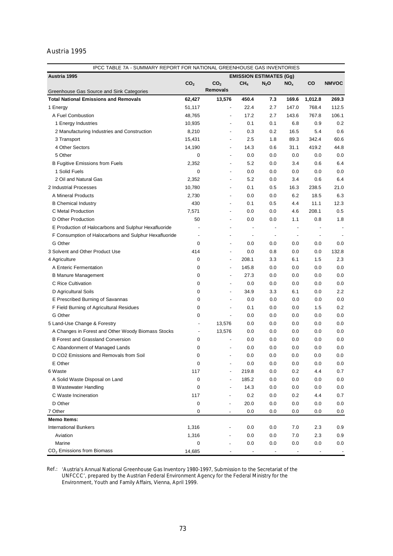# Austria 1995

| Austria 1995<br><b>EMISSION ESTIMATES (Gg)</b><br>CO <sub>2</sub><br>CO <sub>2</sub><br>CH <sub>4</sub><br>CO<br><b>NMVOC</b><br>$N_2$ O<br>NO <sub>x</sub><br><b>Removals</b><br>Greenhouse Gas Source and Sink Categories<br><b>Total National Emissions and Removals</b><br>13,576<br>450.4<br>62,427<br>7.3<br>169.6<br>1,012.8<br>269.3<br>22.4<br>147.0<br>768.4<br>112.5<br>1 Energy<br>51,117<br>2.7<br>$\overline{a}$<br>143.6<br>767.8<br>106.1<br>A Fuel Combustion<br>48,765<br>17.2<br>2.7<br>÷,<br>6.8<br>0.9<br>0.2<br>1 Energy Industries<br>10,935<br>0.1<br>0.1<br>$\overline{\phantom{a}}$<br>8,210<br>16.5<br>5.4<br>0.6<br>2 Manufacturing Industries and Construction<br>0.3<br>0.2<br>$\overline{\phantom{a}}$<br>2.5<br>89.3<br>342.4<br>60.6<br>3 Transport<br>15,431<br>1.8<br>$\overline{\phantom{a}}$<br>4 Other Sectors<br>14,190<br>14.3<br>31.1<br>419.2<br>44.8<br>0.6<br>5 Other<br>0.0<br>0.0<br>0.0<br>0.0<br>0.0<br>0<br>2,352<br>5.2<br>3.4<br>0.6<br>6.4<br><b>B Fugitive Emissions from Fuels</b><br>0.0<br>1 Solid Fuels<br>0<br>0.0<br>0.0<br>0.0<br>0.0<br>0.0<br>$\overline{\phantom{a}}$<br>2 Oil and Natural Gas<br>2,352<br>5.2<br>0.6<br>6.4<br>0.0<br>3.4<br>$\overline{\phantom{a}}$<br>10,780<br>2 Industrial Processes<br>16.3<br>238.5<br>21.0<br>0.1<br>0.5<br>$\overline{\phantom{a}}$<br>2,730<br>6.2<br>18.5<br>6.3<br>A Mineral Products<br>0.0<br>0.0<br>$\overline{\phantom{a}}$<br>430<br>11.1<br>12.3<br><b>B</b> Chemical Industry<br>0.1<br>0.5<br>4.4<br>$\overline{\phantom{a}}$<br>C Metal Production<br>7,571<br>208.1<br>0.5<br>0.0<br>0.0<br>4.6<br>$\overline{\phantom{a}}$<br>D Other Production<br>50<br>0.8<br>1.8<br>0.0<br>0.0<br>1.1<br>$\overline{\phantom{a}}$<br>E Production of Halocarbons and Sulphur Hexafluoride<br>$\overline{\phantom{a}}$<br>$\overline{\phantom{a}}$<br>$\centering \label{eq:reduced} \begin{minipage}{0.5\linewidth} \begin{tabular}{l} \includegraphics[width=0.5\linewidth]{pss-1} \end{tabular} \end{minipage} \caption{Example of the proposed method.} \label{fig:reduced}$<br>$\overline{\phantom{a}}$<br>$\overline{a}$<br>F Consumption of Halocarbons and Sulphur Hexafluoride<br>$\overline{\phantom{a}}$<br>$\overline{\phantom{a}}$<br>$\overline{\phantom{a}}$<br>$\overline{a}$<br>$\overline{\phantom{0}}$<br>$\overline{\phantom{a}}$<br>G Other<br>0<br>0.0<br>0.0<br>0.0<br>0.0<br>0.0<br>$\overline{\phantom{a}}$<br>3 Solvent and Other Product Use<br>414<br>0.0<br>0.0<br>0.0<br>132.8<br>0.8<br>$\overline{\phantom{a}}$<br>0<br>208.1<br>1.5<br>2.3<br>4 Agriculture<br>3.3<br>6.1<br>0<br>145.8<br>0.0<br>A Enteric Fermentation<br>0.0<br>0.0<br>0.0<br>÷,<br>0<br>27.3<br>0.0<br><b>B Manure Management</b><br>0.0<br>0.0<br>0.0<br>÷,<br>C Rice Cultivation<br>0<br>0.0<br>0.0<br>0.0<br>0.0<br>0.0<br>$\overline{\phantom{a}}$<br>2.2<br>0<br>34.9<br>D Agricultural Soils<br>3.3<br>6.1<br>0.0<br>÷,<br>0<br>0.0<br>0.0<br>0.0<br>E Prescribed Burning of Savannas<br>0.0<br>0.0<br>$\overline{\phantom{a}}$<br>0.2<br>F Field Burning of Agricultural Residues<br>0<br>0.1<br>0.0<br>0.0<br>1.5<br>÷,<br>G Other<br>0.0<br>0<br>0.0<br>0.0<br>0.0<br>0.0<br>$\overline{\phantom{a}}$<br>5 Land-Use Change & Forestry<br>13,576<br>0.0<br>0.0<br>0.0<br>0.0<br>0.0<br>$\overline{a}$<br>13,576<br>0.0<br>0.0<br>A Changes in Forest and Other Woody Biomass Stocks<br>0.0<br>0.0<br>0.0<br>$\overline{a}$<br>0.0<br><b>B Forest and Grassland Conversion</b><br>0<br>0.0<br>0.0<br>0.0<br>0.0<br>$\overline{\phantom{a}}$<br>0.0<br>0.0<br>C Abandonment of Managed Lands<br>0<br>0.0<br>0.0<br>0.0<br>D CO2 Emissions and Removals from Soil<br>0<br>0.0<br>0.0<br>0.0<br>0.0<br>0.0<br>$\overline{\phantom{0}}$<br>0<br>E Other<br>0.0<br>0.0<br>0.0<br>0.0<br>0.0<br>117<br>219.8<br>0.2<br>4.4<br>0.7<br>6 Waste<br>0.0<br>185.2<br>0.0<br>A Solid Waste Disposal on Land<br>0<br>0.0<br>0.0<br>0.0<br>0<br>14.3<br>0.0<br>0.0<br>0.0<br><b>B</b> Wastewater Handling<br>0.0<br>C Waste Incineration<br>117<br>0.2<br>0.2<br>4.4<br>0.7<br>0.0<br>D Other<br>0<br>20.0<br>0.0<br>0.0<br>0.0<br>0.0<br>7 Other<br>0<br>0.0<br>0.0<br>0.0<br>0.0<br>0.0<br><b>Memo Items:</b><br>1,316<br><b>International Bunkers</b><br>0.0<br>0.0<br>7.0<br>2.3<br>0.9<br>Aviation<br>1,316<br>0.0<br>7.0<br>2.3<br>0.9<br>0.0<br>Marine<br>0<br>0.0<br>0.0<br>0.0<br>0.0<br>0.0 | IPCC TABLE 7A - SUMMARY REPORT FOR NATIONAL GREENHOUSE GAS INVENTORIES |        |                          |                          |                                                                                                                                                                                                                            |  |
|---------------------------------------------------------------------------------------------------------------------------------------------------------------------------------------------------------------------------------------------------------------------------------------------------------------------------------------------------------------------------------------------------------------------------------------------------------------------------------------------------------------------------------------------------------------------------------------------------------------------------------------------------------------------------------------------------------------------------------------------------------------------------------------------------------------------------------------------------------------------------------------------------------------------------------------------------------------------------------------------------------------------------------------------------------------------------------------------------------------------------------------------------------------------------------------------------------------------------------------------------------------------------------------------------------------------------------------------------------------------------------------------------------------------------------------------------------------------------------------------------------------------------------------------------------------------------------------------------------------------------------------------------------------------------------------------------------------------------------------------------------------------------------------------------------------------------------------------------------------------------------------------------------------------------------------------------------------------------------------------------------------------------------------------------------------------------------------------------------------------------------------------------------------------------------------------------------------------------------------------------------------------------------------------------------------------------------------------------------------------------------------------------------------------------------------------------------------------------------------------------------------------------------------------------------------------------------------------------------------------------------------------------------------------------------------------------------------------------------------------------------------------------------------------------------------------------------------------------------------------------------------------------------------------------------------------------------------------------------------------------------------------------------------------------------------------------------------------------------------------------------------------------------------------------------------------------------------------------------------------------------------------------------------------------------------------------------------------------------------------------------------------------------------------------------------------------------------------------------------------------------------------------------------------------------------------------------------------------------------------------------------------------------------------------------------------------------------------------------------------------------------------------------------------------------------------------------------------------------------------------------------------------------------------------------------------------------------------------------------------------------------------------------------------------------------------------------------------------------------------------------------------------------------------------------------------------------------------------------------------------------------------------------------------------------------------------------------------------------------------------------------------------------------|------------------------------------------------------------------------|--------|--------------------------|--------------------------|----------------------------------------------------------------------------------------------------------------------------------------------------------------------------------------------------------------------------|--|
|                                                                                                                                                                                                                                                                                                                                                                                                                                                                                                                                                                                                                                                                                                                                                                                                                                                                                                                                                                                                                                                                                                                                                                                                                                                                                                                                                                                                                                                                                                                                                                                                                                                                                                                                                                                                                                                                                                                                                                                                                                                                                                                                                                                                                                                                                                                                                                                                                                                                                                                                                                                                                                                                                                                                                                                                                                                                                                                                                                                                                                                                                                                                                                                                                                                                                                                                                                                                                                                                                                                                                                                                                                                                                                                                                                                                                                                                                                                                                                                                                                                                                                                                                                                                                                                                                                                                                                                                               |                                                                        |        |                          |                          |                                                                                                                                                                                                                            |  |
|                                                                                                                                                                                                                                                                                                                                                                                                                                                                                                                                                                                                                                                                                                                                                                                                                                                                                                                                                                                                                                                                                                                                                                                                                                                                                                                                                                                                                                                                                                                                                                                                                                                                                                                                                                                                                                                                                                                                                                                                                                                                                                                                                                                                                                                                                                                                                                                                                                                                                                                                                                                                                                                                                                                                                                                                                                                                                                                                                                                                                                                                                                                                                                                                                                                                                                                                                                                                                                                                                                                                                                                                                                                                                                                                                                                                                                                                                                                                                                                                                                                                                                                                                                                                                                                                                                                                                                                                               |                                                                        |        |                          |                          |                                                                                                                                                                                                                            |  |
|                                                                                                                                                                                                                                                                                                                                                                                                                                                                                                                                                                                                                                                                                                                                                                                                                                                                                                                                                                                                                                                                                                                                                                                                                                                                                                                                                                                                                                                                                                                                                                                                                                                                                                                                                                                                                                                                                                                                                                                                                                                                                                                                                                                                                                                                                                                                                                                                                                                                                                                                                                                                                                                                                                                                                                                                                                                                                                                                                                                                                                                                                                                                                                                                                                                                                                                                                                                                                                                                                                                                                                                                                                                                                                                                                                                                                                                                                                                                                                                                                                                                                                                                                                                                                                                                                                                                                                                                               |                                                                        |        |                          |                          |                                                                                                                                                                                                                            |  |
|                                                                                                                                                                                                                                                                                                                                                                                                                                                                                                                                                                                                                                                                                                                                                                                                                                                                                                                                                                                                                                                                                                                                                                                                                                                                                                                                                                                                                                                                                                                                                                                                                                                                                                                                                                                                                                                                                                                                                                                                                                                                                                                                                                                                                                                                                                                                                                                                                                                                                                                                                                                                                                                                                                                                                                                                                                                                                                                                                                                                                                                                                                                                                                                                                                                                                                                                                                                                                                                                                                                                                                                                                                                                                                                                                                                                                                                                                                                                                                                                                                                                                                                                                                                                                                                                                                                                                                                                               |                                                                        |        |                          |                          |                                                                                                                                                                                                                            |  |
|                                                                                                                                                                                                                                                                                                                                                                                                                                                                                                                                                                                                                                                                                                                                                                                                                                                                                                                                                                                                                                                                                                                                                                                                                                                                                                                                                                                                                                                                                                                                                                                                                                                                                                                                                                                                                                                                                                                                                                                                                                                                                                                                                                                                                                                                                                                                                                                                                                                                                                                                                                                                                                                                                                                                                                                                                                                                                                                                                                                                                                                                                                                                                                                                                                                                                                                                                                                                                                                                                                                                                                                                                                                                                                                                                                                                                                                                                                                                                                                                                                                                                                                                                                                                                                                                                                                                                                                                               |                                                                        |        |                          |                          |                                                                                                                                                                                                                            |  |
|                                                                                                                                                                                                                                                                                                                                                                                                                                                                                                                                                                                                                                                                                                                                                                                                                                                                                                                                                                                                                                                                                                                                                                                                                                                                                                                                                                                                                                                                                                                                                                                                                                                                                                                                                                                                                                                                                                                                                                                                                                                                                                                                                                                                                                                                                                                                                                                                                                                                                                                                                                                                                                                                                                                                                                                                                                                                                                                                                                                                                                                                                                                                                                                                                                                                                                                                                                                                                                                                                                                                                                                                                                                                                                                                                                                                                                                                                                                                                                                                                                                                                                                                                                                                                                                                                                                                                                                                               |                                                                        |        |                          |                          |                                                                                                                                                                                                                            |  |
|                                                                                                                                                                                                                                                                                                                                                                                                                                                                                                                                                                                                                                                                                                                                                                                                                                                                                                                                                                                                                                                                                                                                                                                                                                                                                                                                                                                                                                                                                                                                                                                                                                                                                                                                                                                                                                                                                                                                                                                                                                                                                                                                                                                                                                                                                                                                                                                                                                                                                                                                                                                                                                                                                                                                                                                                                                                                                                                                                                                                                                                                                                                                                                                                                                                                                                                                                                                                                                                                                                                                                                                                                                                                                                                                                                                                                                                                                                                                                                                                                                                                                                                                                                                                                                                                                                                                                                                                               |                                                                        |        |                          |                          |                                                                                                                                                                                                                            |  |
|                                                                                                                                                                                                                                                                                                                                                                                                                                                                                                                                                                                                                                                                                                                                                                                                                                                                                                                                                                                                                                                                                                                                                                                                                                                                                                                                                                                                                                                                                                                                                                                                                                                                                                                                                                                                                                                                                                                                                                                                                                                                                                                                                                                                                                                                                                                                                                                                                                                                                                                                                                                                                                                                                                                                                                                                                                                                                                                                                                                                                                                                                                                                                                                                                                                                                                                                                                                                                                                                                                                                                                                                                                                                                                                                                                                                                                                                                                                                                                                                                                                                                                                                                                                                                                                                                                                                                                                                               |                                                                        |        |                          |                          |                                                                                                                                                                                                                            |  |
|                                                                                                                                                                                                                                                                                                                                                                                                                                                                                                                                                                                                                                                                                                                                                                                                                                                                                                                                                                                                                                                                                                                                                                                                                                                                                                                                                                                                                                                                                                                                                                                                                                                                                                                                                                                                                                                                                                                                                                                                                                                                                                                                                                                                                                                                                                                                                                                                                                                                                                                                                                                                                                                                                                                                                                                                                                                                                                                                                                                                                                                                                                                                                                                                                                                                                                                                                                                                                                                                                                                                                                                                                                                                                                                                                                                                                                                                                                                                                                                                                                                                                                                                                                                                                                                                                                                                                                                                               |                                                                        |        |                          |                          |                                                                                                                                                                                                                            |  |
|                                                                                                                                                                                                                                                                                                                                                                                                                                                                                                                                                                                                                                                                                                                                                                                                                                                                                                                                                                                                                                                                                                                                                                                                                                                                                                                                                                                                                                                                                                                                                                                                                                                                                                                                                                                                                                                                                                                                                                                                                                                                                                                                                                                                                                                                                                                                                                                                                                                                                                                                                                                                                                                                                                                                                                                                                                                                                                                                                                                                                                                                                                                                                                                                                                                                                                                                                                                                                                                                                                                                                                                                                                                                                                                                                                                                                                                                                                                                                                                                                                                                                                                                                                                                                                                                                                                                                                                                               |                                                                        |        |                          |                          |                                                                                                                                                                                                                            |  |
|                                                                                                                                                                                                                                                                                                                                                                                                                                                                                                                                                                                                                                                                                                                                                                                                                                                                                                                                                                                                                                                                                                                                                                                                                                                                                                                                                                                                                                                                                                                                                                                                                                                                                                                                                                                                                                                                                                                                                                                                                                                                                                                                                                                                                                                                                                                                                                                                                                                                                                                                                                                                                                                                                                                                                                                                                                                                                                                                                                                                                                                                                                                                                                                                                                                                                                                                                                                                                                                                                                                                                                                                                                                                                                                                                                                                                                                                                                                                                                                                                                                                                                                                                                                                                                                                                                                                                                                                               |                                                                        |        |                          |                          |                                                                                                                                                                                                                            |  |
|                                                                                                                                                                                                                                                                                                                                                                                                                                                                                                                                                                                                                                                                                                                                                                                                                                                                                                                                                                                                                                                                                                                                                                                                                                                                                                                                                                                                                                                                                                                                                                                                                                                                                                                                                                                                                                                                                                                                                                                                                                                                                                                                                                                                                                                                                                                                                                                                                                                                                                                                                                                                                                                                                                                                                                                                                                                                                                                                                                                                                                                                                                                                                                                                                                                                                                                                                                                                                                                                                                                                                                                                                                                                                                                                                                                                                                                                                                                                                                                                                                                                                                                                                                                                                                                                                                                                                                                                               |                                                                        |        |                          |                          |                                                                                                                                                                                                                            |  |
|                                                                                                                                                                                                                                                                                                                                                                                                                                                                                                                                                                                                                                                                                                                                                                                                                                                                                                                                                                                                                                                                                                                                                                                                                                                                                                                                                                                                                                                                                                                                                                                                                                                                                                                                                                                                                                                                                                                                                                                                                                                                                                                                                                                                                                                                                                                                                                                                                                                                                                                                                                                                                                                                                                                                                                                                                                                                                                                                                                                                                                                                                                                                                                                                                                                                                                                                                                                                                                                                                                                                                                                                                                                                                                                                                                                                                                                                                                                                                                                                                                                                                                                                                                                                                                                                                                                                                                                                               |                                                                        |        |                          |                          |                                                                                                                                                                                                                            |  |
|                                                                                                                                                                                                                                                                                                                                                                                                                                                                                                                                                                                                                                                                                                                                                                                                                                                                                                                                                                                                                                                                                                                                                                                                                                                                                                                                                                                                                                                                                                                                                                                                                                                                                                                                                                                                                                                                                                                                                                                                                                                                                                                                                                                                                                                                                                                                                                                                                                                                                                                                                                                                                                                                                                                                                                                                                                                                                                                                                                                                                                                                                                                                                                                                                                                                                                                                                                                                                                                                                                                                                                                                                                                                                                                                                                                                                                                                                                                                                                                                                                                                                                                                                                                                                                                                                                                                                                                                               |                                                                        |        |                          |                          |                                                                                                                                                                                                                            |  |
|                                                                                                                                                                                                                                                                                                                                                                                                                                                                                                                                                                                                                                                                                                                                                                                                                                                                                                                                                                                                                                                                                                                                                                                                                                                                                                                                                                                                                                                                                                                                                                                                                                                                                                                                                                                                                                                                                                                                                                                                                                                                                                                                                                                                                                                                                                                                                                                                                                                                                                                                                                                                                                                                                                                                                                                                                                                                                                                                                                                                                                                                                                                                                                                                                                                                                                                                                                                                                                                                                                                                                                                                                                                                                                                                                                                                                                                                                                                                                                                                                                                                                                                                                                                                                                                                                                                                                                                                               |                                                                        |        |                          |                          |                                                                                                                                                                                                                            |  |
|                                                                                                                                                                                                                                                                                                                                                                                                                                                                                                                                                                                                                                                                                                                                                                                                                                                                                                                                                                                                                                                                                                                                                                                                                                                                                                                                                                                                                                                                                                                                                                                                                                                                                                                                                                                                                                                                                                                                                                                                                                                                                                                                                                                                                                                                                                                                                                                                                                                                                                                                                                                                                                                                                                                                                                                                                                                                                                                                                                                                                                                                                                                                                                                                                                                                                                                                                                                                                                                                                                                                                                                                                                                                                                                                                                                                                                                                                                                                                                                                                                                                                                                                                                                                                                                                                                                                                                                                               |                                                                        |        |                          |                          |                                                                                                                                                                                                                            |  |
|                                                                                                                                                                                                                                                                                                                                                                                                                                                                                                                                                                                                                                                                                                                                                                                                                                                                                                                                                                                                                                                                                                                                                                                                                                                                                                                                                                                                                                                                                                                                                                                                                                                                                                                                                                                                                                                                                                                                                                                                                                                                                                                                                                                                                                                                                                                                                                                                                                                                                                                                                                                                                                                                                                                                                                                                                                                                                                                                                                                                                                                                                                                                                                                                                                                                                                                                                                                                                                                                                                                                                                                                                                                                                                                                                                                                                                                                                                                                                                                                                                                                                                                                                                                                                                                                                                                                                                                                               |                                                                        |        |                          |                          |                                                                                                                                                                                                                            |  |
|                                                                                                                                                                                                                                                                                                                                                                                                                                                                                                                                                                                                                                                                                                                                                                                                                                                                                                                                                                                                                                                                                                                                                                                                                                                                                                                                                                                                                                                                                                                                                                                                                                                                                                                                                                                                                                                                                                                                                                                                                                                                                                                                                                                                                                                                                                                                                                                                                                                                                                                                                                                                                                                                                                                                                                                                                                                                                                                                                                                                                                                                                                                                                                                                                                                                                                                                                                                                                                                                                                                                                                                                                                                                                                                                                                                                                                                                                                                                                                                                                                                                                                                                                                                                                                                                                                                                                                                                               |                                                                        |        |                          |                          |                                                                                                                                                                                                                            |  |
|                                                                                                                                                                                                                                                                                                                                                                                                                                                                                                                                                                                                                                                                                                                                                                                                                                                                                                                                                                                                                                                                                                                                                                                                                                                                                                                                                                                                                                                                                                                                                                                                                                                                                                                                                                                                                                                                                                                                                                                                                                                                                                                                                                                                                                                                                                                                                                                                                                                                                                                                                                                                                                                                                                                                                                                                                                                                                                                                                                                                                                                                                                                                                                                                                                                                                                                                                                                                                                                                                                                                                                                                                                                                                                                                                                                                                                                                                                                                                                                                                                                                                                                                                                                                                                                                                                                                                                                                               |                                                                        |        |                          |                          |                                                                                                                                                                                                                            |  |
|                                                                                                                                                                                                                                                                                                                                                                                                                                                                                                                                                                                                                                                                                                                                                                                                                                                                                                                                                                                                                                                                                                                                                                                                                                                                                                                                                                                                                                                                                                                                                                                                                                                                                                                                                                                                                                                                                                                                                                                                                                                                                                                                                                                                                                                                                                                                                                                                                                                                                                                                                                                                                                                                                                                                                                                                                                                                                                                                                                                                                                                                                                                                                                                                                                                                                                                                                                                                                                                                                                                                                                                                                                                                                                                                                                                                                                                                                                                                                                                                                                                                                                                                                                                                                                                                                                                                                                                                               |                                                                        |        |                          |                          |                                                                                                                                                                                                                            |  |
|                                                                                                                                                                                                                                                                                                                                                                                                                                                                                                                                                                                                                                                                                                                                                                                                                                                                                                                                                                                                                                                                                                                                                                                                                                                                                                                                                                                                                                                                                                                                                                                                                                                                                                                                                                                                                                                                                                                                                                                                                                                                                                                                                                                                                                                                                                                                                                                                                                                                                                                                                                                                                                                                                                                                                                                                                                                                                                                                                                                                                                                                                                                                                                                                                                                                                                                                                                                                                                                                                                                                                                                                                                                                                                                                                                                                                                                                                                                                                                                                                                                                                                                                                                                                                                                                                                                                                                                                               |                                                                        |        |                          |                          |                                                                                                                                                                                                                            |  |
|                                                                                                                                                                                                                                                                                                                                                                                                                                                                                                                                                                                                                                                                                                                                                                                                                                                                                                                                                                                                                                                                                                                                                                                                                                                                                                                                                                                                                                                                                                                                                                                                                                                                                                                                                                                                                                                                                                                                                                                                                                                                                                                                                                                                                                                                                                                                                                                                                                                                                                                                                                                                                                                                                                                                                                                                                                                                                                                                                                                                                                                                                                                                                                                                                                                                                                                                                                                                                                                                                                                                                                                                                                                                                                                                                                                                                                                                                                                                                                                                                                                                                                                                                                                                                                                                                                                                                                                                               |                                                                        |        |                          |                          |                                                                                                                                                                                                                            |  |
|                                                                                                                                                                                                                                                                                                                                                                                                                                                                                                                                                                                                                                                                                                                                                                                                                                                                                                                                                                                                                                                                                                                                                                                                                                                                                                                                                                                                                                                                                                                                                                                                                                                                                                                                                                                                                                                                                                                                                                                                                                                                                                                                                                                                                                                                                                                                                                                                                                                                                                                                                                                                                                                                                                                                                                                                                                                                                                                                                                                                                                                                                                                                                                                                                                                                                                                                                                                                                                                                                                                                                                                                                                                                                                                                                                                                                                                                                                                                                                                                                                                                                                                                                                                                                                                                                                                                                                                                               |                                                                        |        |                          |                          |                                                                                                                                                                                                                            |  |
|                                                                                                                                                                                                                                                                                                                                                                                                                                                                                                                                                                                                                                                                                                                                                                                                                                                                                                                                                                                                                                                                                                                                                                                                                                                                                                                                                                                                                                                                                                                                                                                                                                                                                                                                                                                                                                                                                                                                                                                                                                                                                                                                                                                                                                                                                                                                                                                                                                                                                                                                                                                                                                                                                                                                                                                                                                                                                                                                                                                                                                                                                                                                                                                                                                                                                                                                                                                                                                                                                                                                                                                                                                                                                                                                                                                                                                                                                                                                                                                                                                                                                                                                                                                                                                                                                                                                                                                                               |                                                                        |        |                          |                          |                                                                                                                                                                                                                            |  |
|                                                                                                                                                                                                                                                                                                                                                                                                                                                                                                                                                                                                                                                                                                                                                                                                                                                                                                                                                                                                                                                                                                                                                                                                                                                                                                                                                                                                                                                                                                                                                                                                                                                                                                                                                                                                                                                                                                                                                                                                                                                                                                                                                                                                                                                                                                                                                                                                                                                                                                                                                                                                                                                                                                                                                                                                                                                                                                                                                                                                                                                                                                                                                                                                                                                                                                                                                                                                                                                                                                                                                                                                                                                                                                                                                                                                                                                                                                                                                                                                                                                                                                                                                                                                                                                                                                                                                                                                               |                                                                        |        |                          |                          |                                                                                                                                                                                                                            |  |
|                                                                                                                                                                                                                                                                                                                                                                                                                                                                                                                                                                                                                                                                                                                                                                                                                                                                                                                                                                                                                                                                                                                                                                                                                                                                                                                                                                                                                                                                                                                                                                                                                                                                                                                                                                                                                                                                                                                                                                                                                                                                                                                                                                                                                                                                                                                                                                                                                                                                                                                                                                                                                                                                                                                                                                                                                                                                                                                                                                                                                                                                                                                                                                                                                                                                                                                                                                                                                                                                                                                                                                                                                                                                                                                                                                                                                                                                                                                                                                                                                                                                                                                                                                                                                                                                                                                                                                                                               |                                                                        |        |                          |                          |                                                                                                                                                                                                                            |  |
|                                                                                                                                                                                                                                                                                                                                                                                                                                                                                                                                                                                                                                                                                                                                                                                                                                                                                                                                                                                                                                                                                                                                                                                                                                                                                                                                                                                                                                                                                                                                                                                                                                                                                                                                                                                                                                                                                                                                                                                                                                                                                                                                                                                                                                                                                                                                                                                                                                                                                                                                                                                                                                                                                                                                                                                                                                                                                                                                                                                                                                                                                                                                                                                                                                                                                                                                                                                                                                                                                                                                                                                                                                                                                                                                                                                                                                                                                                                                                                                                                                                                                                                                                                                                                                                                                                                                                                                                               |                                                                        |        |                          |                          |                                                                                                                                                                                                                            |  |
|                                                                                                                                                                                                                                                                                                                                                                                                                                                                                                                                                                                                                                                                                                                                                                                                                                                                                                                                                                                                                                                                                                                                                                                                                                                                                                                                                                                                                                                                                                                                                                                                                                                                                                                                                                                                                                                                                                                                                                                                                                                                                                                                                                                                                                                                                                                                                                                                                                                                                                                                                                                                                                                                                                                                                                                                                                                                                                                                                                                                                                                                                                                                                                                                                                                                                                                                                                                                                                                                                                                                                                                                                                                                                                                                                                                                                                                                                                                                                                                                                                                                                                                                                                                                                                                                                                                                                                                                               |                                                                        |        |                          |                          |                                                                                                                                                                                                                            |  |
|                                                                                                                                                                                                                                                                                                                                                                                                                                                                                                                                                                                                                                                                                                                                                                                                                                                                                                                                                                                                                                                                                                                                                                                                                                                                                                                                                                                                                                                                                                                                                                                                                                                                                                                                                                                                                                                                                                                                                                                                                                                                                                                                                                                                                                                                                                                                                                                                                                                                                                                                                                                                                                                                                                                                                                                                                                                                                                                                                                                                                                                                                                                                                                                                                                                                                                                                                                                                                                                                                                                                                                                                                                                                                                                                                                                                                                                                                                                                                                                                                                                                                                                                                                                                                                                                                                                                                                                                               |                                                                        |        |                          |                          |                                                                                                                                                                                                                            |  |
|                                                                                                                                                                                                                                                                                                                                                                                                                                                                                                                                                                                                                                                                                                                                                                                                                                                                                                                                                                                                                                                                                                                                                                                                                                                                                                                                                                                                                                                                                                                                                                                                                                                                                                                                                                                                                                                                                                                                                                                                                                                                                                                                                                                                                                                                                                                                                                                                                                                                                                                                                                                                                                                                                                                                                                                                                                                                                                                                                                                                                                                                                                                                                                                                                                                                                                                                                                                                                                                                                                                                                                                                                                                                                                                                                                                                                                                                                                                                                                                                                                                                                                                                                                                                                                                                                                                                                                                                               |                                                                        |        |                          |                          |                                                                                                                                                                                                                            |  |
|                                                                                                                                                                                                                                                                                                                                                                                                                                                                                                                                                                                                                                                                                                                                                                                                                                                                                                                                                                                                                                                                                                                                                                                                                                                                                                                                                                                                                                                                                                                                                                                                                                                                                                                                                                                                                                                                                                                                                                                                                                                                                                                                                                                                                                                                                                                                                                                                                                                                                                                                                                                                                                                                                                                                                                                                                                                                                                                                                                                                                                                                                                                                                                                                                                                                                                                                                                                                                                                                                                                                                                                                                                                                                                                                                                                                                                                                                                                                                                                                                                                                                                                                                                                                                                                                                                                                                                                                               |                                                                        |        |                          |                          |                                                                                                                                                                                                                            |  |
|                                                                                                                                                                                                                                                                                                                                                                                                                                                                                                                                                                                                                                                                                                                                                                                                                                                                                                                                                                                                                                                                                                                                                                                                                                                                                                                                                                                                                                                                                                                                                                                                                                                                                                                                                                                                                                                                                                                                                                                                                                                                                                                                                                                                                                                                                                                                                                                                                                                                                                                                                                                                                                                                                                                                                                                                                                                                                                                                                                                                                                                                                                                                                                                                                                                                                                                                                                                                                                                                                                                                                                                                                                                                                                                                                                                                                                                                                                                                                                                                                                                                                                                                                                                                                                                                                                                                                                                                               |                                                                        |        |                          |                          |                                                                                                                                                                                                                            |  |
|                                                                                                                                                                                                                                                                                                                                                                                                                                                                                                                                                                                                                                                                                                                                                                                                                                                                                                                                                                                                                                                                                                                                                                                                                                                                                                                                                                                                                                                                                                                                                                                                                                                                                                                                                                                                                                                                                                                                                                                                                                                                                                                                                                                                                                                                                                                                                                                                                                                                                                                                                                                                                                                                                                                                                                                                                                                                                                                                                                                                                                                                                                                                                                                                                                                                                                                                                                                                                                                                                                                                                                                                                                                                                                                                                                                                                                                                                                                                                                                                                                                                                                                                                                                                                                                                                                                                                                                                               |                                                                        |        |                          |                          |                                                                                                                                                                                                                            |  |
|                                                                                                                                                                                                                                                                                                                                                                                                                                                                                                                                                                                                                                                                                                                                                                                                                                                                                                                                                                                                                                                                                                                                                                                                                                                                                                                                                                                                                                                                                                                                                                                                                                                                                                                                                                                                                                                                                                                                                                                                                                                                                                                                                                                                                                                                                                                                                                                                                                                                                                                                                                                                                                                                                                                                                                                                                                                                                                                                                                                                                                                                                                                                                                                                                                                                                                                                                                                                                                                                                                                                                                                                                                                                                                                                                                                                                                                                                                                                                                                                                                                                                                                                                                                                                                                                                                                                                                                                               |                                                                        |        |                          |                          |                                                                                                                                                                                                                            |  |
|                                                                                                                                                                                                                                                                                                                                                                                                                                                                                                                                                                                                                                                                                                                                                                                                                                                                                                                                                                                                                                                                                                                                                                                                                                                                                                                                                                                                                                                                                                                                                                                                                                                                                                                                                                                                                                                                                                                                                                                                                                                                                                                                                                                                                                                                                                                                                                                                                                                                                                                                                                                                                                                                                                                                                                                                                                                                                                                                                                                                                                                                                                                                                                                                                                                                                                                                                                                                                                                                                                                                                                                                                                                                                                                                                                                                                                                                                                                                                                                                                                                                                                                                                                                                                                                                                                                                                                                                               |                                                                        |        |                          |                          |                                                                                                                                                                                                                            |  |
|                                                                                                                                                                                                                                                                                                                                                                                                                                                                                                                                                                                                                                                                                                                                                                                                                                                                                                                                                                                                                                                                                                                                                                                                                                                                                                                                                                                                                                                                                                                                                                                                                                                                                                                                                                                                                                                                                                                                                                                                                                                                                                                                                                                                                                                                                                                                                                                                                                                                                                                                                                                                                                                                                                                                                                                                                                                                                                                                                                                                                                                                                                                                                                                                                                                                                                                                                                                                                                                                                                                                                                                                                                                                                                                                                                                                                                                                                                                                                                                                                                                                                                                                                                                                                                                                                                                                                                                                               |                                                                        |        |                          |                          |                                                                                                                                                                                                                            |  |
|                                                                                                                                                                                                                                                                                                                                                                                                                                                                                                                                                                                                                                                                                                                                                                                                                                                                                                                                                                                                                                                                                                                                                                                                                                                                                                                                                                                                                                                                                                                                                                                                                                                                                                                                                                                                                                                                                                                                                                                                                                                                                                                                                                                                                                                                                                                                                                                                                                                                                                                                                                                                                                                                                                                                                                                                                                                                                                                                                                                                                                                                                                                                                                                                                                                                                                                                                                                                                                                                                                                                                                                                                                                                                                                                                                                                                                                                                                                                                                                                                                                                                                                                                                                                                                                                                                                                                                                                               |                                                                        |        |                          |                          |                                                                                                                                                                                                                            |  |
|                                                                                                                                                                                                                                                                                                                                                                                                                                                                                                                                                                                                                                                                                                                                                                                                                                                                                                                                                                                                                                                                                                                                                                                                                                                                                                                                                                                                                                                                                                                                                                                                                                                                                                                                                                                                                                                                                                                                                                                                                                                                                                                                                                                                                                                                                                                                                                                                                                                                                                                                                                                                                                                                                                                                                                                                                                                                                                                                                                                                                                                                                                                                                                                                                                                                                                                                                                                                                                                                                                                                                                                                                                                                                                                                                                                                                                                                                                                                                                                                                                                                                                                                                                                                                                                                                                                                                                                                               |                                                                        |        |                          |                          |                                                                                                                                                                                                                            |  |
|                                                                                                                                                                                                                                                                                                                                                                                                                                                                                                                                                                                                                                                                                                                                                                                                                                                                                                                                                                                                                                                                                                                                                                                                                                                                                                                                                                                                                                                                                                                                                                                                                                                                                                                                                                                                                                                                                                                                                                                                                                                                                                                                                                                                                                                                                                                                                                                                                                                                                                                                                                                                                                                                                                                                                                                                                                                                                                                                                                                                                                                                                                                                                                                                                                                                                                                                                                                                                                                                                                                                                                                                                                                                                                                                                                                                                                                                                                                                                                                                                                                                                                                                                                                                                                                                                                                                                                                                               |                                                                        |        |                          |                          |                                                                                                                                                                                                                            |  |
|                                                                                                                                                                                                                                                                                                                                                                                                                                                                                                                                                                                                                                                                                                                                                                                                                                                                                                                                                                                                                                                                                                                                                                                                                                                                                                                                                                                                                                                                                                                                                                                                                                                                                                                                                                                                                                                                                                                                                                                                                                                                                                                                                                                                                                                                                                                                                                                                                                                                                                                                                                                                                                                                                                                                                                                                                                                                                                                                                                                                                                                                                                                                                                                                                                                                                                                                                                                                                                                                                                                                                                                                                                                                                                                                                                                                                                                                                                                                                                                                                                                                                                                                                                                                                                                                                                                                                                                                               |                                                                        |        |                          |                          |                                                                                                                                                                                                                            |  |
|                                                                                                                                                                                                                                                                                                                                                                                                                                                                                                                                                                                                                                                                                                                                                                                                                                                                                                                                                                                                                                                                                                                                                                                                                                                                                                                                                                                                                                                                                                                                                                                                                                                                                                                                                                                                                                                                                                                                                                                                                                                                                                                                                                                                                                                                                                                                                                                                                                                                                                                                                                                                                                                                                                                                                                                                                                                                                                                                                                                                                                                                                                                                                                                                                                                                                                                                                                                                                                                                                                                                                                                                                                                                                                                                                                                                                                                                                                                                                                                                                                                                                                                                                                                                                                                                                                                                                                                                               |                                                                        |        |                          |                          |                                                                                                                                                                                                                            |  |
|                                                                                                                                                                                                                                                                                                                                                                                                                                                                                                                                                                                                                                                                                                                                                                                                                                                                                                                                                                                                                                                                                                                                                                                                                                                                                                                                                                                                                                                                                                                                                                                                                                                                                                                                                                                                                                                                                                                                                                                                                                                                                                                                                                                                                                                                                                                                                                                                                                                                                                                                                                                                                                                                                                                                                                                                                                                                                                                                                                                                                                                                                                                                                                                                                                                                                                                                                                                                                                                                                                                                                                                                                                                                                                                                                                                                                                                                                                                                                                                                                                                                                                                                                                                                                                                                                                                                                                                                               |                                                                        |        |                          |                          |                                                                                                                                                                                                                            |  |
|                                                                                                                                                                                                                                                                                                                                                                                                                                                                                                                                                                                                                                                                                                                                                                                                                                                                                                                                                                                                                                                                                                                                                                                                                                                                                                                                                                                                                                                                                                                                                                                                                                                                                                                                                                                                                                                                                                                                                                                                                                                                                                                                                                                                                                                                                                                                                                                                                                                                                                                                                                                                                                                                                                                                                                                                                                                                                                                                                                                                                                                                                                                                                                                                                                                                                                                                                                                                                                                                                                                                                                                                                                                                                                                                                                                                                                                                                                                                                                                                                                                                                                                                                                                                                                                                                                                                                                                                               |                                                                        |        |                          |                          |                                                                                                                                                                                                                            |  |
|                                                                                                                                                                                                                                                                                                                                                                                                                                                                                                                                                                                                                                                                                                                                                                                                                                                                                                                                                                                                                                                                                                                                                                                                                                                                                                                                                                                                                                                                                                                                                                                                                                                                                                                                                                                                                                                                                                                                                                                                                                                                                                                                                                                                                                                                                                                                                                                                                                                                                                                                                                                                                                                                                                                                                                                                                                                                                                                                                                                                                                                                                                                                                                                                                                                                                                                                                                                                                                                                                                                                                                                                                                                                                                                                                                                                                                                                                                                                                                                                                                                                                                                                                                                                                                                                                                                                                                                                               |                                                                        |        |                          |                          |                                                                                                                                                                                                                            |  |
|                                                                                                                                                                                                                                                                                                                                                                                                                                                                                                                                                                                                                                                                                                                                                                                                                                                                                                                                                                                                                                                                                                                                                                                                                                                                                                                                                                                                                                                                                                                                                                                                                                                                                                                                                                                                                                                                                                                                                                                                                                                                                                                                                                                                                                                                                                                                                                                                                                                                                                                                                                                                                                                                                                                                                                                                                                                                                                                                                                                                                                                                                                                                                                                                                                                                                                                                                                                                                                                                                                                                                                                                                                                                                                                                                                                                                                                                                                                                                                                                                                                                                                                                                                                                                                                                                                                                                                                                               |                                                                        |        |                          |                          |                                                                                                                                                                                                                            |  |
|                                                                                                                                                                                                                                                                                                                                                                                                                                                                                                                                                                                                                                                                                                                                                                                                                                                                                                                                                                                                                                                                                                                                                                                                                                                                                                                                                                                                                                                                                                                                                                                                                                                                                                                                                                                                                                                                                                                                                                                                                                                                                                                                                                                                                                                                                                                                                                                                                                                                                                                                                                                                                                                                                                                                                                                                                                                                                                                                                                                                                                                                                                                                                                                                                                                                                                                                                                                                                                                                                                                                                                                                                                                                                                                                                                                                                                                                                                                                                                                                                                                                                                                                                                                                                                                                                                                                                                                                               |                                                                        |        |                          |                          |                                                                                                                                                                                                                            |  |
|                                                                                                                                                                                                                                                                                                                                                                                                                                                                                                                                                                                                                                                                                                                                                                                                                                                                                                                                                                                                                                                                                                                                                                                                                                                                                                                                                                                                                                                                                                                                                                                                                                                                                                                                                                                                                                                                                                                                                                                                                                                                                                                                                                                                                                                                                                                                                                                                                                                                                                                                                                                                                                                                                                                                                                                                                                                                                                                                                                                                                                                                                                                                                                                                                                                                                                                                                                                                                                                                                                                                                                                                                                                                                                                                                                                                                                                                                                                                                                                                                                                                                                                                                                                                                                                                                                                                                                                                               |                                                                        |        |                          |                          |                                                                                                                                                                                                                            |  |
|                                                                                                                                                                                                                                                                                                                                                                                                                                                                                                                                                                                                                                                                                                                                                                                                                                                                                                                                                                                                                                                                                                                                                                                                                                                                                                                                                                                                                                                                                                                                                                                                                                                                                                                                                                                                                                                                                                                                                                                                                                                                                                                                                                                                                                                                                                                                                                                                                                                                                                                                                                                                                                                                                                                                                                                                                                                                                                                                                                                                                                                                                                                                                                                                                                                                                                                                                                                                                                                                                                                                                                                                                                                                                                                                                                                                                                                                                                                                                                                                                                                                                                                                                                                                                                                                                                                                                                                                               | CO <sub>2</sub> Emissions from Biomass                                 | 14,685 | $\overline{\phantom{a}}$ | $\overline{\phantom{a}}$ | $\centering \label{eq:reduced} \begin{minipage}{0.5\linewidth} \begin{tabular}{l} \includegraphics[width=0.5\linewidth]{pss-1} \end{tabular} \end{minipage} \caption{Example of the proposed method.} \label{fig:reduced}$ |  |

Ref.: *'Austria's Annual National Greenhouse Gas Inventory 1980-1997, Submission to the Secretariat of the UNFCCC',* prepared by the Austrian Federal Environment Agency for the Federal Ministry for the Environment, Youth and Family Affairs, Vienna, April 1999.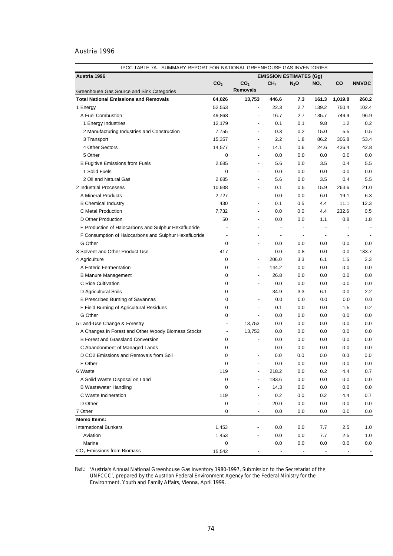## Austria 1996

| IPCC TABLE 7A - SUMMARY REPORT FOR NATIONAL GREENHOUSE GAS INVENTORIES |                          |                                                                                                                                                                                                                                                                                                                                                                                                                                                     |                          |                                                                                                                                                                                                                            |                          |                          |                |
|------------------------------------------------------------------------|--------------------------|-----------------------------------------------------------------------------------------------------------------------------------------------------------------------------------------------------------------------------------------------------------------------------------------------------------------------------------------------------------------------------------------------------------------------------------------------------|--------------------------|----------------------------------------------------------------------------------------------------------------------------------------------------------------------------------------------------------------------------|--------------------------|--------------------------|----------------|
| Austria 1996                                                           |                          |                                                                                                                                                                                                                                                                                                                                                                                                                                                     |                          | <b>EMISSION ESTIMATES (Gg)</b>                                                                                                                                                                                             |                          |                          |                |
|                                                                        | CO <sub>2</sub>          | CO <sub>2</sub>                                                                                                                                                                                                                                                                                                                                                                                                                                     | CH <sub>4</sub>          | $N_2$ O                                                                                                                                                                                                                    | NO <sub>x</sub>          | CO                       | <b>NMVOC</b>   |
| Greenhouse Gas Source and Sink Categories                              |                          | <b>Removals</b>                                                                                                                                                                                                                                                                                                                                                                                                                                     |                          |                                                                                                                                                                                                                            |                          |                          |                |
| <b>Total National Emissions and Removals</b>                           | 64,026                   | 13,753                                                                                                                                                                                                                                                                                                                                                                                                                                              | 446.6                    | 7.3                                                                                                                                                                                                                        | 161.3                    | 1,019.8                  | 260.2          |
| 1 Energy                                                               | 52,553                   | $\overline{\phantom{a}}$                                                                                                                                                                                                                                                                                                                                                                                                                            | 22.3                     | 2.7                                                                                                                                                                                                                        | 139.2                    | 750.4                    | 102.4          |
| A Fuel Combustion                                                      | 49,868                   | ÷,                                                                                                                                                                                                                                                                                                                                                                                                                                                  | 16.7                     | 2.7                                                                                                                                                                                                                        | 135.7                    | 749.9                    | 96.9           |
| 1 Energy Industries                                                    | 12,179                   |                                                                                                                                                                                                                                                                                                                                                                                                                                                     | 0.1                      | 0.1                                                                                                                                                                                                                        | 9.8                      | 1.2                      | 0.2            |
| 2 Manufacturing Industries and Construction                            | 7,755                    | ÷,                                                                                                                                                                                                                                                                                                                                                                                                                                                  | 0.3                      | 0.2                                                                                                                                                                                                                        | 15.0                     | 5.5                      | 0.5            |
| 3 Transport                                                            | 15,357                   | $\overline{a}$                                                                                                                                                                                                                                                                                                                                                                                                                                      | 2.2                      | 1.8                                                                                                                                                                                                                        | 86.2                     | 306.8                    | 53.4           |
| 4 Other Sectors                                                        | 14,577                   | ÷,                                                                                                                                                                                                                                                                                                                                                                                                                                                  | 14.1                     | 0.6                                                                                                                                                                                                                        | 24.6                     | 436.4                    | 42.8           |
| 5 Other                                                                | 0                        |                                                                                                                                                                                                                                                                                                                                                                                                                                                     | 0.0                      | 0.0                                                                                                                                                                                                                        | 0.0                      | 0.0                      | 0.0            |
| <b>B Fugitive Emissions from Fuels</b>                                 | 2,685                    |                                                                                                                                                                                                                                                                                                                                                                                                                                                     | 5.6                      | 0.0                                                                                                                                                                                                                        | 3.5                      | 0.4                      | 5.5            |
| 1 Solid Fuels                                                          | 0                        | $\overline{\phantom{a}}$                                                                                                                                                                                                                                                                                                                                                                                                                            | 0.0                      | 0.0                                                                                                                                                                                                                        | 0.0                      | 0.0                      | 0.0            |
| 2 Oil and Natural Gas                                                  | 2,685                    | $\overline{\phantom{a}}$                                                                                                                                                                                                                                                                                                                                                                                                                            | 5.6                      | 0.0                                                                                                                                                                                                                        | 3.5                      | 0.4                      | 5.5            |
| 2 Industrial Processes                                                 | 10,938                   | $\overline{\phantom{a}}$                                                                                                                                                                                                                                                                                                                                                                                                                            | 0.1                      | 0.5                                                                                                                                                                                                                        | 15.9                     | 263.6                    | 21.0           |
| A Mineral Products                                                     | 2,727                    |                                                                                                                                                                                                                                                                                                                                                                                                                                                     | 0.0                      | 0.0                                                                                                                                                                                                                        | 6.0                      | 19.1                     | 6.3            |
| <b>B</b> Chemical Industry                                             | 430                      | $\overline{\phantom{a}}$                                                                                                                                                                                                                                                                                                                                                                                                                            | 0.1                      | 0.5                                                                                                                                                                                                                        | 4.4                      | 11.1                     | 12.3           |
| C Metal Production                                                     | 7,732                    | $\overline{\phantom{a}}$                                                                                                                                                                                                                                                                                                                                                                                                                            | 0.0                      | 0.0                                                                                                                                                                                                                        | 4.4                      | 232.6                    | 0.5            |
| D Other Production                                                     | 50                       | $\overline{\phantom{a}}$                                                                                                                                                                                                                                                                                                                                                                                                                            | 0.0                      | 0.0                                                                                                                                                                                                                        | 1.1                      | 0.8                      | 1.8            |
| E Production of Halocarbons and Sulphur Hexafluoride                   |                          | $\overline{a}$                                                                                                                                                                                                                                                                                                                                                                                                                                      | $\overline{\phantom{a}}$ | $\centering \label{eq:reduced} \begin{minipage}{0.5\linewidth} \begin{tabular}{l} \includegraphics[width=0.5\linewidth]{pss-1} \end{tabular} \end{minipage} \caption{Example of the proposed method.} \label{fig:reduced}$ | $\overline{\phantom{a}}$ | $\overline{a}$           | $\overline{a}$ |
| F Consumption of Halocarbons and Sulphur Hexafluoride                  | $\blacksquare$           | $\overline{\phantom{a}}$                                                                                                                                                                                                                                                                                                                                                                                                                            | $\overline{\phantom{a}}$ | $\overline{\phantom{a}}$                                                                                                                                                                                                   | $\overline{\phantom{a}}$ | $\overline{\phantom{a}}$ |                |
| G Other                                                                | 0                        | $\overline{\phantom{a}}$                                                                                                                                                                                                                                                                                                                                                                                                                            | 0.0                      | 0.0                                                                                                                                                                                                                        | 0.0                      | 0.0                      | 0.0            |
| 3 Solvent and Other Product Use                                        | 417                      | $\blacksquare$                                                                                                                                                                                                                                                                                                                                                                                                                                      | 0.0                      | 0.8                                                                                                                                                                                                                        | 0.0                      | 0.0                      | 133.7          |
| 4 Agriculture                                                          | 0                        | $\blacksquare$                                                                                                                                                                                                                                                                                                                                                                                                                                      | 206.0                    | 3.3                                                                                                                                                                                                                        | 6.1                      | 1.5                      | 2.3            |
| A Enteric Fermentation                                                 | 0                        | $\blacksquare$                                                                                                                                                                                                                                                                                                                                                                                                                                      | 144.2                    | 0.0                                                                                                                                                                                                                        | 0.0                      | 0.0                      | 0.0            |
| <b>B Manure Management</b>                                             | 0                        | $\blacksquare$                                                                                                                                                                                                                                                                                                                                                                                                                                      | 26.8                     | 0.0                                                                                                                                                                                                                        | 0.0                      | 0.0                      | 0.0            |
| C Rice Cultivation                                                     | 0                        | $\overline{\phantom{a}}$                                                                                                                                                                                                                                                                                                                                                                                                                            | 0.0                      | 0.0                                                                                                                                                                                                                        | 0.0                      | 0.0                      | 0.0            |
| D Agricultural Soils                                                   | 0                        | $\overline{a}$                                                                                                                                                                                                                                                                                                                                                                                                                                      | 34.9                     | 3.3                                                                                                                                                                                                                        | 6.1                      | 0.0                      | 2.2            |
| E Prescribed Burning of Savannas                                       | 0                        | $\overline{\phantom{a}}$                                                                                                                                                                                                                                                                                                                                                                                                                            | 0.0                      | 0.0                                                                                                                                                                                                                        | 0.0                      | 0.0                      | 0.0            |
| F Field Burning of Agricultural Residues                               | 0                        | $\centering \label{eq:reduced} \begin{minipage}{0.5\linewidth} \begin{tabular}{l} \multicolumn{3}{c}{\textbf{1} & \textbf{1} & \textbf{1} & \textbf{1} & \textbf{1} & \textbf{1} & \textbf{1} & \textbf{1} & \textbf{1} & \textbf{1} & \textbf{1} & \textbf{1} & \textbf{1} & \textbf{1} & \textbf{1} & \textbf{1} & \textbf{1} & \textbf{1} & \textbf{1} & \textbf{1} & \textbf{1} & \textbf{1} & \textbf{1} & \textbf{1} & \textbf{1} & \textbf{$ | 0.1                      | 0.0                                                                                                                                                                                                                        | 0.0                      | 1.5                      | 0.2            |
| G Other                                                                | 0                        | $\overline{\phantom{a}}$                                                                                                                                                                                                                                                                                                                                                                                                                            | 0.0                      | 0.0                                                                                                                                                                                                                        | 0.0                      | 0.0                      | 0.0            |
| 5 Land-Use Change & Forestry                                           | $\blacksquare$           | 13,753                                                                                                                                                                                                                                                                                                                                                                                                                                              | 0.0                      | 0.0                                                                                                                                                                                                                        | 0.0                      | 0.0                      | 0.0            |
| A Changes in Forest and Other Woody Biomass Stocks                     | $\overline{\phantom{a}}$ | 13,753                                                                                                                                                                                                                                                                                                                                                                                                                                              | 0.0                      | 0.0                                                                                                                                                                                                                        | 0.0                      | 0.0                      | 0.0            |
| <b>B Forest and Grassland Conversion</b>                               | 0                        | ÷,                                                                                                                                                                                                                                                                                                                                                                                                                                                  | 0.0                      | 0.0                                                                                                                                                                                                                        | 0.0                      | 0.0                      | 0.0            |
| C Abandonment of Managed Lands                                         | 0                        | ÷,                                                                                                                                                                                                                                                                                                                                                                                                                                                  | 0.0                      | 0.0                                                                                                                                                                                                                        | 0.0                      | 0.0                      | 0.0            |
| D CO2 Emissions and Removals from Soil                                 | 0                        | $\overline{a}$                                                                                                                                                                                                                                                                                                                                                                                                                                      | 0.0                      | 0.0                                                                                                                                                                                                                        | 0.0                      | 0.0                      | 0.0            |
| E Other                                                                | 0                        |                                                                                                                                                                                                                                                                                                                                                                                                                                                     | 0.0                      | 0.0                                                                                                                                                                                                                        | $0.0\,$                  | 0.0                      | 0.0            |
| 6 Waste                                                                | 119                      |                                                                                                                                                                                                                                                                                                                                                                                                                                                     | 218.2                    | 0.0                                                                                                                                                                                                                        | 0.2                      | 4.4                      | 0.7            |
| A Solid Waste Disposal on Land                                         | 0                        |                                                                                                                                                                                                                                                                                                                                                                                                                                                     | 183.6                    | 0.0                                                                                                                                                                                                                        | 0.0                      | 0.0                      | 0.0            |
| <b>B Wastewater Handling</b>                                           | 0                        |                                                                                                                                                                                                                                                                                                                                                                                                                                                     | 14.3                     | 0.0                                                                                                                                                                                                                        | 0.0                      | 0.0                      | 0.0            |
| C Waste Incineration                                                   | 119                      |                                                                                                                                                                                                                                                                                                                                                                                                                                                     | 0.2                      | 0.0                                                                                                                                                                                                                        | 0.2                      | 4.4                      | 0.7            |
| D Other                                                                | 0                        |                                                                                                                                                                                                                                                                                                                                                                                                                                                     | 20.0                     | 0.0                                                                                                                                                                                                                        | 0.0                      | 0.0                      | 0.0            |
| 7 Other                                                                | 0                        |                                                                                                                                                                                                                                                                                                                                                                                                                                                     | 0.0                      | 0.0                                                                                                                                                                                                                        | 0.0                      | 0.0                      | 0.0            |
| <b>Memo Items:</b>                                                     |                          |                                                                                                                                                                                                                                                                                                                                                                                                                                                     |                          |                                                                                                                                                                                                                            |                          |                          |                |
| <b>International Bunkers</b>                                           | 1,453                    |                                                                                                                                                                                                                                                                                                                                                                                                                                                     | 0.0                      | 0.0                                                                                                                                                                                                                        | 7.7                      | 2.5                      | 1.0            |
| Aviation                                                               | 1,453                    |                                                                                                                                                                                                                                                                                                                                                                                                                                                     | 0.0                      | 0.0                                                                                                                                                                                                                        | 7.7                      | 2.5                      | 1.0            |
| Marine                                                                 | 0                        |                                                                                                                                                                                                                                                                                                                                                                                                                                                     | 0.0                      | 0.0                                                                                                                                                                                                                        | 0.0                      | 0.0                      | 0.0            |
| $CO2$ Emissions from Biomass                                           | 15,542                   |                                                                                                                                                                                                                                                                                                                                                                                                                                                     |                          |                                                                                                                                                                                                                            |                          |                          |                |

Ref.: *'Austria's Annual National Greenhouse Gas Inventory 1980-1997, Submission to the Secretariat of the UNFCCC',* prepared by the Austrian Federal Environment Agency for the Federal Ministry for the Environment, Youth and Family Affairs, Vienna, April 1999.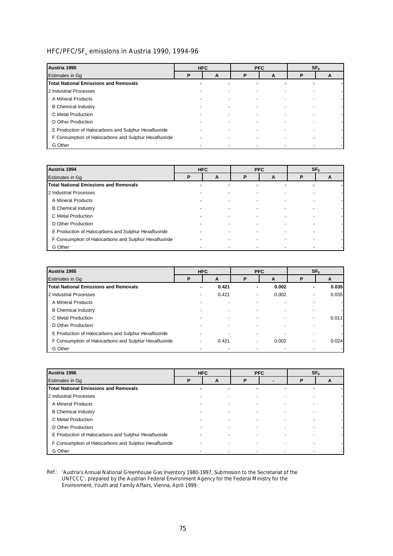# HFC/PFC/SF<sub>6</sub> emissions in Austria 1990, 1994-96

| Austria 1990                                          | <b>HFC</b> |                          |   | <b>PFC</b> | SF <sub>6</sub> |   |  |
|-------------------------------------------------------|------------|--------------------------|---|------------|-----------------|---|--|
| <b>Estimates in Gg</b>                                | D          | A                        | Р | A          | P               | A |  |
| <b>Total National Emissions and Removals</b>          | ۰          |                          |   |            |                 |   |  |
| 2 Industrial Processes                                |            |                          |   |            |                 |   |  |
| A Mineral Products                                    |            | ٠                        |   |            |                 |   |  |
| <b>B</b> Chemical Industry                            |            | $\blacksquare$           |   |            |                 |   |  |
| C Metal Production                                    |            | $\overline{\phantom{0}}$ |   |            |                 |   |  |
| D Other Production                                    |            |                          |   |            |                 |   |  |
| E Production of Halocarbons and Sulphur Hexafluoride  |            | $\overline{\phantom{0}}$ |   |            |                 |   |  |
| F Consumption of Halocarbons and Sulphur Hexafluoride |            | $\overline{\phantom{a}}$ |   |            |                 |   |  |
| G Other                                               |            |                          |   |            |                 |   |  |

| Austria 1994                                          | <b>HFC</b><br><b>PFC</b> |   |   |   | SF <sub>6</sub> |   |
|-------------------------------------------------------|--------------------------|---|---|---|-----------------|---|
| <b>Estimates in Gq</b>                                | P                        | A | P | A | P               | A |
| <b>Total National Emissions and Removals</b>          |                          |   | ۰ |   | ۰               |   |
| 2 Industrial Processes                                |                          |   |   |   |                 |   |
| A Mineral Products                                    |                          |   |   |   |                 |   |
| <b>B</b> Chemical Industry                            |                          |   |   |   |                 |   |
| C Metal Production                                    |                          |   |   |   |                 |   |
| D Other Production                                    |                          |   |   |   |                 |   |
| E Production of Halocarbons and Sulphur Hexafluoride  |                          |   |   |   |                 |   |
| F Consumption of Halocarbons and Sulphur Hexafluoride |                          |   |   |   |                 |   |
| G Other                                               |                          |   |   |   |                 |   |

| Austria 1995                                          |   | <b>HFC</b> |   | <b>PFC</b> | SF <sub>6</sub> |       |  |
|-------------------------------------------------------|---|------------|---|------------|-----------------|-------|--|
| Estimates in Gq                                       | P | A          | P | A          | P               | A     |  |
| <b>Total National Emissions and Removals</b>          |   | 0.421      | ۰ | 0.002      | ۰               | 0.035 |  |
| 2 Industrial Processes                                |   | 0.421      | - | 0.002      |                 | 0.035 |  |
| A Mineral Products                                    |   |            |   |            |                 |       |  |
| <b>B</b> Chemical Industry                            |   |            |   |            |                 |       |  |
| C Metal Production                                    |   |            |   |            |                 | 0.011 |  |
| D Other Production                                    |   |            |   |            |                 |       |  |
| E Production of Halocarbons and Sulphur Hexafluoride  |   |            |   |            |                 |       |  |
| F Consumption of Halocarbons and Sulphur Hexafluoride |   | 0.421      | - | 0.002      |                 | 0.024 |  |
| G Other                                               |   |            |   |            |                 |       |  |

| Austria 1996                                          |    | <b>HFC</b> |        | <b>PFC</b> |                          | SF <sub>6</sub> |
|-------------------------------------------------------|----|------------|--------|------------|--------------------------|-----------------|
| Estimates in Gq                                       | P  | A          | P      |            | P                        | A               |
| <b>Total National Emissions and Removals</b>          | ۰. |            | ٠<br>۰ |            | -                        |                 |
| 2 Industrial Processes                                |    |            |        |            |                          |                 |
| A Mineral Products                                    |    |            |        |            |                          |                 |
| <b>B</b> Chemical Industry                            |    |            |        | ۰          |                          |                 |
| C Metal Production                                    |    |            |        |            |                          |                 |
| D Other Production                                    |    |            |        |            |                          |                 |
| E Production of Halocarbons and Sulphur Hexafluoride  |    |            | ٠      |            | $\overline{\phantom{a}}$ |                 |
| F Consumption of Halocarbons and Sulphur Hexafluoride |    |            |        |            |                          |                 |
| G Other                                               |    |            |        |            |                          |                 |

Ref.: *'Austria's Annual National Greenhouse Gas Inventory 1980-1997, Submission to the Secretariat of the UNFCCC',* prepared by the Austrian Federal Environment Agency for the Federal Ministry for the Environment, Youth and Family Affairs, Vienna, April 1999.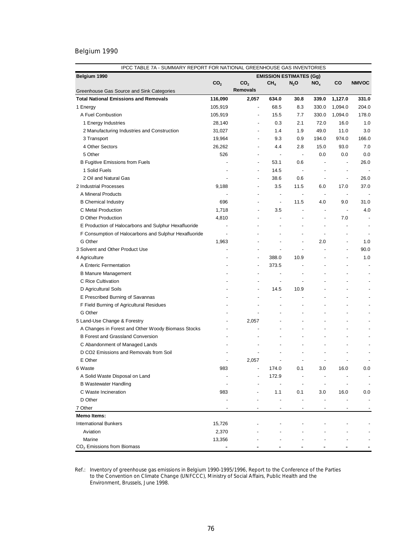| IPCC TABLE 7A - SUMMARY REPORT FOR NATIONAL GREENHOUSE GAS INVENTORIES |                          |                          |                          |                                |                          |                          |                          |
|------------------------------------------------------------------------|--------------------------|--------------------------|--------------------------|--------------------------------|--------------------------|--------------------------|--------------------------|
| Belgium 1990                                                           |                          |                          |                          | <b>EMISSION ESTIMATES (Gg)</b> |                          |                          |                          |
|                                                                        | CO <sub>2</sub>          | CO <sub>2</sub>          | CH <sub>4</sub>          | $N_2$ O                        | $NO_{x}$                 | co                       | <b>NMVOC</b>             |
| Greenhouse Gas Source and Sink Categories                              |                          | <b>Removals</b>          |                          |                                |                          |                          |                          |
| <b>Total National Emissions and Removals</b>                           | 116,090                  | 2,057                    | 634.0                    | 30.8                           | 339.0                    | 1,127.0                  | 331.0                    |
| 1 Energy                                                               | 105,919                  | $\overline{\phantom{a}}$ | 68.5                     | 8.3                            | 330.0                    | 1,094.0                  | 204.0                    |
| A Fuel Combustion                                                      | 105,919                  | $\overline{a}$           | 15.5                     | 7.7                            | 330.0                    | 1,094.0                  | 178.0                    |
| 1 Energy Industries                                                    | 28,140                   | $\overline{\phantom{a}}$ | 0.3                      | 2.1                            | 72.0                     | 16.0                     | 1.0                      |
| 2 Manufacturing Industries and Construction                            | 31,027                   | $\overline{\phantom{a}}$ | 1.4                      | 1.9                            | 49.0                     | 11.0                     | 3.0                      |
| 3 Transport                                                            | 19,964                   | $\overline{\phantom{a}}$ | 9.3                      | 0.9                            | 194.0                    | 974.0                    | 166.0                    |
| 4 Other Sectors                                                        | 26,262                   | $\overline{\phantom{a}}$ | 4.4                      | 2.8                            | 15.0                     | 93.0                     | 7.0                      |
| 5 Other                                                                | 526                      | $\overline{\phantom{a}}$ | $\overline{\phantom{a}}$ | $\overline{\phantom{a}}$       | 0.0                      | 0.0                      | 0.0                      |
| <b>B Fugitive Emissions from Fuels</b>                                 |                          | $\overline{\phantom{a}}$ | 53.1                     | 0.6                            | $\overline{a}$           | $\overline{\phantom{a}}$ | 26.0                     |
| 1 Solid Fuels                                                          |                          | $\overline{\phantom{a}}$ | 14.5                     | $\overline{\phantom{a}}$       | $\overline{a}$           | $\overline{\phantom{a}}$ |                          |
| 2 Oil and Natural Gas                                                  |                          | $\overline{\phantom{a}}$ | 38.6                     | 0.6                            | $\overline{\phantom{a}}$ | $\overline{\phantom{a}}$ | 26.0                     |
| 2 Industrial Processes                                                 | 9,188                    | $\overline{\phantom{a}}$ | 3.5                      | 11.5                           | 6.0                      | 17.0                     | 37.0                     |
| A Mineral Products                                                     |                          |                          | $\overline{\phantom{a}}$ | $\overline{\phantom{a}}$       | $\overline{\phantom{a}}$ | $\overline{\phantom{a}}$ |                          |
| <b>B</b> Chemical Industry                                             | 696                      |                          | $\overline{\phantom{a}}$ | 11.5                           | 4.0                      | 9.0                      | 31.0                     |
| C Metal Production                                                     | 1,718                    |                          | 3.5                      | $\blacksquare$                 | $\overline{\phantom{a}}$ | $\overline{\phantom{a}}$ | 4.0                      |
| D Other Production                                                     | 4,810                    |                          | $\overline{a}$           |                                | $\overline{a}$           | 7.0                      |                          |
| E Production of Halocarbons and Sulphur Hexafluoride                   |                          |                          |                          |                                | $\overline{a}$           |                          |                          |
| F Consumption of Halocarbons and Sulphur Hexafluoride                  | $\overline{\phantom{a}}$ |                          |                          | $\overline{a}$                 | $\overline{a}$           |                          |                          |
| G Other                                                                | 1,963                    |                          |                          | $\overline{a}$                 | 2.0                      |                          | 1.0                      |
| 3 Solvent and Other Product Use                                        |                          |                          |                          | $\overline{a}$                 |                          | $\overline{a}$           | 90.0                     |
| 4 Agriculture                                                          |                          | $\overline{\phantom{a}}$ | 388.0                    | 10.9                           |                          |                          | 1.0                      |
| A Enteric Fermentation                                                 |                          |                          | 373.5                    |                                |                          |                          |                          |
| <b>B Manure Management</b>                                             |                          |                          |                          | $\overline{\phantom{a}}$       |                          |                          |                          |
| C Rice Cultivation                                                     |                          |                          | $\overline{\phantom{a}}$ | $\overline{\phantom{a}}$       |                          |                          |                          |
| D Agricultural Soils                                                   |                          |                          | 14.5                     | 10.9                           |                          |                          |                          |
| E Prescribed Burning of Savannas                                       |                          |                          | $\overline{a}$           |                                |                          |                          |                          |
| F Field Burning of Agricultural Residues                               |                          |                          |                          | $\overline{a}$                 |                          |                          |                          |
| G Other                                                                |                          |                          |                          | $\overline{a}$                 |                          |                          |                          |
| 5 Land-Use Change & Forestry                                           |                          | 2,057                    |                          | $\overline{a}$                 |                          |                          |                          |
| A Changes in Forest and Other Woody Biomass Stocks                     |                          |                          |                          |                                |                          |                          |                          |
| <b>B Forest and Grassland Conversion</b>                               |                          |                          |                          |                                |                          |                          |                          |
| C Abandonment of Managed Lands                                         |                          |                          |                          |                                |                          |                          |                          |
|                                                                        |                          |                          |                          |                                |                          |                          |                          |
| D CO2 Emissions and Removals from Soil                                 |                          |                          |                          |                                |                          |                          |                          |
| E Other                                                                |                          | 2,057                    |                          |                                |                          |                          |                          |
| 6 Waste                                                                | 983                      |                          | 174.0                    | 0.1                            | 3.0                      | 16.0                     | 0.0                      |
| A Solid Waste Disposal on Land                                         |                          |                          | 172.9                    |                                |                          |                          | $\overline{\phantom{a}}$ |
| <b>B Wastewater Handling</b>                                           |                          |                          |                          | $\overline{a}$                 |                          |                          | $\overline{\phantom{a}}$ |
| C Waste Incineration                                                   | 983                      |                          | 1.1                      | 0.1                            | 3.0                      | 16.0                     | 0.0                      |
| D Other                                                                |                          |                          |                          |                                |                          |                          |                          |
| 7 Other                                                                |                          |                          | $\blacksquare$           | $\overline{\phantom{a}}$       | $\overline{\phantom{a}}$ | $\overline{\phantom{a}}$ |                          |
| <b>Memo Items:</b>                                                     |                          |                          |                          |                                |                          |                          |                          |
| <b>International Bunkers</b>                                           | 15,726                   |                          |                          |                                |                          |                          |                          |
| Aviation                                                               | 2,370                    |                          |                          |                                |                          |                          |                          |
| Marine                                                                 | 13,356                   |                          |                          |                                |                          |                          |                          |
| $CO2$ Emissions from Biomass                                           |                          |                          |                          |                                |                          |                          |                          |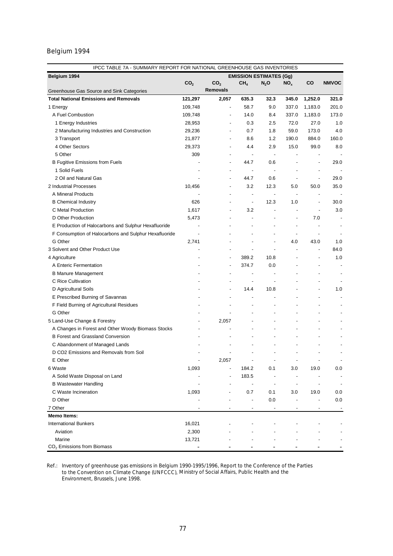| IPCC TABLE 7A - SUMMARY REPORT FOR NATIONAL GREENHOUSE GAS INVENTORIES |                 |                          |                                |                                 |                          |                |                          |
|------------------------------------------------------------------------|-----------------|--------------------------|--------------------------------|---------------------------------|--------------------------|----------------|--------------------------|
| Belgium 1994                                                           |                 |                          | <b>EMISSION ESTIMATES (Gg)</b> |                                 |                          |                |                          |
|                                                                        | CO <sub>2</sub> | CO <sub>2</sub>          | CH <sub>4</sub>                | $N_2$ O                         | NO <sub>x</sub>          | CO             | <b>NMVOC</b>             |
| Greenhouse Gas Source and Sink Categories                              |                 | <b>Removals</b>          |                                |                                 |                          |                |                          |
| <b>Total National Emissions and Removals</b>                           | 121,297         | 2,057                    | 635.3                          | 32.3                            | 345.0                    | 1,252.0        | 321.0                    |
| 1 Energy                                                               | 109,748         | ÷,                       | 58.7                           | 9.0                             | 337.0                    | 1,183.0        | 201.0                    |
| A Fuel Combustion                                                      | 109,748         | ÷                        | 14.0                           | 8.4                             | 337.0                    | 1,183.0        | 173.0                    |
| 1 Energy Industries                                                    | 28,953          |                          | 0.3                            | 2.5                             | 72.0                     | 27.0           | 1.0                      |
| 2 Manufacturing Industries and Construction                            | 29,236          |                          | 0.7                            | 1.8                             | 59.0                     | 173.0          | 4.0                      |
| 3 Transport                                                            | 21,877          | $\overline{\phantom{a}}$ | 8.6                            | 1.2                             | 190.0                    | 884.0          | 160.0                    |
| 4 Other Sectors                                                        | 29,373          |                          | 4.4                            | 2.9                             | 15.0                     | 99.0           | 8.0                      |
| 5 Other                                                                | 309             |                          |                                | $\overline{\phantom{a}}$        |                          |                |                          |
| <b>B Fugitive Emissions from Fuels</b>                                 |                 |                          | 44.7                           | 0.6                             |                          |                | 29.0                     |
| 1 Solid Fuels                                                          |                 |                          |                                | $\overline{\phantom{a}}$        |                          | ÷,             |                          |
| 2 Oil and Natural Gas                                                  |                 |                          | 44.7                           | 0.6                             | ÷,                       | ÷,             | 29.0                     |
| 2 Industrial Processes                                                 | 10,456          |                          | 3.2                            | 12.3                            | 5.0                      | 50.0           | 35.0                     |
| A Mineral Products                                                     |                 |                          | ÷,                             |                                 | $\overline{\phantom{a}}$ |                |                          |
| <b>B</b> Chemical Industry                                             | 626             |                          | $\overline{\phantom{a}}$       | 12.3                            | 1.0                      | $\overline{a}$ | 30.0                     |
| C Metal Production                                                     | 1,617           |                          | 3.2                            | $\centering \label{eq:reduced}$ |                          |                | 3.0                      |
| D Other Production                                                     | 5,473           |                          |                                |                                 |                          | 7.0            |                          |
| E Production of Halocarbons and Sulphur Hexafluoride                   |                 |                          |                                |                                 |                          |                |                          |
| F Consumption of Halocarbons and Sulphur Hexafluoride                  |                 |                          |                                |                                 |                          |                |                          |
| G Other                                                                | 2,741           |                          |                                | ÷,                              | 4.0                      | 43.0           | 1.0                      |
| 3 Solvent and Other Product Use                                        |                 |                          |                                |                                 |                          |                | 84.0                     |
| 4 Agriculture                                                          |                 |                          | 389.2                          | 10.8                            |                          |                | 1.0                      |
| A Enteric Fermentation                                                 |                 |                          | 374.7                          | 0.0                             |                          |                |                          |
| <b>B Manure Management</b>                                             |                 |                          | $\overline{\phantom{a}}$       |                                 |                          |                |                          |
| C Rice Cultivation                                                     |                 |                          | $\overline{\phantom{a}}$       |                                 |                          |                |                          |
| D Agricultural Soils                                                   |                 |                          | 14.4                           | 10.8                            |                          |                | 1.0                      |
| E Prescribed Burning of Savannas                                       |                 |                          |                                |                                 |                          |                |                          |
| F Field Burning of Agricultural Residues                               |                 |                          |                                |                                 |                          |                |                          |
| G Other                                                                |                 |                          |                                |                                 |                          |                |                          |
|                                                                        |                 | 2,057                    |                                |                                 |                          |                |                          |
| 5 Land-Use Change & Forestry                                           |                 |                          |                                |                                 |                          |                |                          |
| A Changes in Forest and Other Woody Biomass Stocks                     |                 |                          |                                |                                 |                          |                |                          |
| <b>B Forest and Grassland Conversion</b>                               |                 |                          |                                |                                 |                          |                |                          |
| C Abandonment of Managed Lands                                         |                 |                          |                                |                                 |                          |                |                          |
| D CO2 Emissions and Removals from Soil                                 |                 |                          |                                |                                 |                          |                |                          |
| E Other                                                                |                 | 2,057                    | $\overline{\phantom{a}}$       | $\overline{\phantom{a}}$        | $\overline{\phantom{a}}$ |                | $\overline{\phantom{a}}$ |
| 6 Waste                                                                | 1,093           |                          | 184.2                          | 0.1                             | 3.0                      | 19.0           | 0.0                      |
| A Solid Waste Disposal on Land                                         |                 |                          | 183.5                          |                                 |                          |                | ÷,                       |
| <b>B</b> Wastewater Handling                                           |                 |                          |                                | $\overline{\phantom{m}}$        |                          |                | ÷,                       |
| C Waste Incineration                                                   | 1,093           |                          | 0.7                            | 0.1                             | 3.0                      | 19.0           | 0.0                      |
| D Other                                                                |                 |                          |                                | 0.0                             |                          |                | 0.0                      |
| 7 Other                                                                |                 |                          |                                | ÷,                              |                          |                |                          |
| <b>Memo Items:</b>                                                     |                 |                          |                                |                                 |                          |                |                          |
| <b>International Bunkers</b>                                           | 16,021          |                          |                                |                                 |                          |                |                          |
| Aviation                                                               | 2,300           |                          |                                |                                 |                          |                |                          |
| Marine                                                                 | 13,721          |                          |                                |                                 |                          |                |                          |
| CO <sub>2</sub> Emissions from Biomass                                 |                 |                          |                                |                                 |                          |                |                          |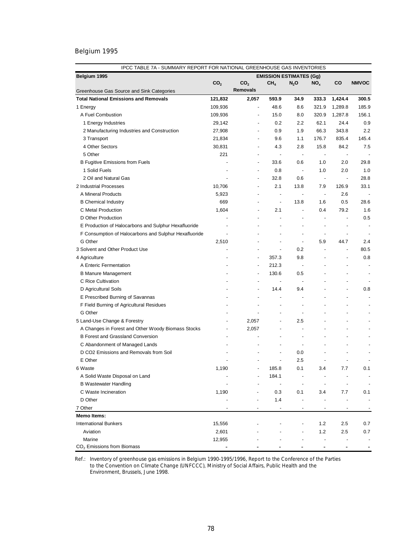| Belgium 1995<br><b>EMISSION ESTIMATES (Gg)</b><br>CO <sub>2</sub><br>CO <sub>2</sub><br>CH <sub>4</sub><br>CO<br><b>NMVOC</b><br>$N_2$ O<br>NO <sub>x</sub><br><b>Removals</b><br>Greenhouse Gas Source and Sink Categories<br><b>Total National Emissions and Removals</b><br>1,424.4<br>300.5<br>121,832<br>2,057<br>593.9<br>34.9<br>333.3<br>48.6<br>8.6<br>321.9<br>1,289.8<br>185.9<br>1 Energy<br>109,936<br>$\overline{\phantom{a}}$<br>A Fuel Combustion<br>109,936<br>15.0<br>8.0<br>320.9<br>1,287.8<br>156.1<br>÷,<br>1 Energy Industries<br>29,142<br>0.2<br>2.2<br>62.1<br>24.4<br>0.9<br>$\overline{\phantom{a}}$<br>27,908<br>0.9<br>1.9<br>66.3<br>343.8<br>2.2<br>2 Manufacturing Industries and Construction<br>$\overline{\phantom{a}}$<br>3 Transport<br>21,834<br>9.6<br>1.1<br>176.7<br>835.4<br>145.4<br>$\overline{\phantom{a}}$<br>4 Other Sectors<br>30,831<br>4.3<br>15.8<br>84.2<br>7.5<br>2.8<br>$\overline{\phantom{a}}$<br>5 Other<br>221<br>$\overline{\phantom{a}}$<br>$\overline{a}$<br>$\overline{\phantom{a}}$<br>$\overline{a}$<br>$\overline{\phantom{a}}$<br><b>B Fugitive Emissions from Fuels</b><br>33.6<br>1.0<br>2.0<br>29.8<br>0.6<br>$\overline{\phantom{a}}$<br>1.0<br>1 Solid Fuels<br>0.8<br>2.0<br>1.0<br>$\overline{\phantom{a}}$<br>$\overline{a}$<br>2 Oil and Natural Gas<br>32.8<br>0.6<br>28.8<br>$\overline{\phantom{a}}$<br>$\overline{\phantom{a}}$<br>$\overline{a}$<br>2 Industrial Processes<br>10,706<br>2.1<br>13.8<br>7.9<br>126.9<br>33.1<br>$\overline{a}$<br>A Mineral Products<br>5,923<br>2.6<br>$\overline{\phantom{a}}$<br>$\overline{a}$<br>$\overline{\phantom{a}}$<br>$\overline{a}$<br>669<br>13.8<br>1.6<br>0.5<br>28.6<br><b>B</b> Chemical Industry<br>$\blacksquare$<br>1.6<br>C Metal Production<br>1,604<br>2.1<br>79.2<br>0.4<br>$\overline{\phantom{a}}$<br>0.5<br>D Other Production<br>$\overline{a}$<br>$\overline{a}$<br>$\overline{\phantom{a}}$<br>$\overline{a}$<br>E Production of Halocarbons and Sulphur Hexafluoride<br>$\overline{\phantom{a}}$<br>$\overline{\phantom{a}}$<br>$\overline{\phantom{a}}$<br>F Consumption of Halocarbons and Sulphur Hexafluoride<br>$\overline{\phantom{a}}$<br>$\overline{a}$<br>G Other<br>2,510<br>5.9<br>44.7<br>2.4<br>$\centering \label{eq:reduced} \begin{minipage}{0.5\linewidth} \begin{tabular}{l} \multicolumn{3}{c}{\textbf{1} & \textbf{1} & \textbf{1} & \textbf{1} & \textbf{1} & \textbf{1} & \textbf{1} & \textbf{1} & \textbf{1} & \textbf{1} & \textbf{1} & \textbf{1} & \textbf{1} & \textbf{1} & \textbf{1} & \textbf{1} & \textbf{1} & \textbf{1} & \textbf{1} & \textbf{1} & \textbf{1} & \textbf{1} & \textbf{1} & \textbf{1} & \textbf{1} & \textbf{$<br>$\overline{a}$<br>3 Solvent and Other Product Use<br>0.2<br>80.5<br>$\overline{a}$<br>$\overline{\phantom{a}}$<br>$\overline{a}$<br>0.8<br>4 Agriculture<br>357.3<br>9.8<br>$\overline{a}$<br>$\overline{\phantom{a}}$<br>212.3<br>A Enteric Fermentation<br>$\overline{\phantom{a}}$<br>$\overline{a}$<br>130.6<br>0.5<br><b>B Manure Management</b><br>$\overline{a}$<br>C Rice Cultivation<br>$\overline{\phantom{a}}$<br>$\blacksquare$<br>D Agricultural Soils<br>14.4<br>9.4<br>0.8<br>E Prescribed Burning of Savannas<br>$\overline{a}$<br>$\overline{a}$<br>F Field Burning of Agricultural Residues<br>$\overline{a}$<br>$\overline{a}$<br>G Other<br>$\overline{a}$<br>5 Land-Use Change & Forestry<br>2,057<br>2.5<br>$\overline{\phantom{a}}$<br>A Changes in Forest and Other Woody Biomass Stocks<br>2,057<br>$\overline{a}$<br>$\overline{a}$<br><b>B Forest and Grassland Conversion</b><br>$\overline{a}$<br>C Abandonment of Managed Lands<br>$\overline{a}$<br>D CO2 Emissions and Removals from Soil<br>0.0<br>E Other<br>2.5<br>6 Waste<br>185.8<br>0.1<br>1,190<br>0.1<br>3.4<br>7.7<br>A Solid Waste Disposal on Land<br>184.1<br><b>B Wastewater Handling</b><br>C Waste Incineration<br>1,190<br>0.3<br>$7.7\,$<br>0.1<br>3.4<br>0.1<br>D Other<br>1.4<br>7 Other<br>$\overline{\phantom{a}}$<br>$\overline{\phantom{a}}$<br>$\overline{a}$<br><b>Memo Items:</b><br><b>International Bunkers</b><br>15,556<br>1.2<br>0.7<br>2.5<br>Aviation<br>2,601<br>1.2<br>2.5<br>0.7<br>Marine<br>12,955 | IPCC TABLE 7A - SUMMARY REPORT FOR NATIONAL GREENHOUSE GAS INVENTORIES |  |  |  |  |  |                              |  |  |
|----------------------------------------------------------------------------------------------------------------------------------------------------------------------------------------------------------------------------------------------------------------------------------------------------------------------------------------------------------------------------------------------------------------------------------------------------------------------------------------------------------------------------------------------------------------------------------------------------------------------------------------------------------------------------------------------------------------------------------------------------------------------------------------------------------------------------------------------------------------------------------------------------------------------------------------------------------------------------------------------------------------------------------------------------------------------------------------------------------------------------------------------------------------------------------------------------------------------------------------------------------------------------------------------------------------------------------------------------------------------------------------------------------------------------------------------------------------------------------------------------------------------------------------------------------------------------------------------------------------------------------------------------------------------------------------------------------------------------------------------------------------------------------------------------------------------------------------------------------------------------------------------------------------------------------------------------------------------------------------------------------------------------------------------------------------------------------------------------------------------------------------------------------------------------------------------------------------------------------------------------------------------------------------------------------------------------------------------------------------------------------------------------------------------------------------------------------------------------------------------------------------------------------------------------------------------------------------------------------------------------------------------------------------------------------------------------------------------------------------------------------------------------------------------------------------------------------------------------------------------------------------------------------------------------------------------------------------------------------------------------------------------------------------------------------------------------------------------------------------------------------------------------------------------------------------------------------------------------------------------------------------------------------------------------------------------------------------------------------------------------------------------------------------------------------------------------------------------------------------------------------------------------------------------------------------------------------------------------------------------------------------------------------------------------------------------------------------------------------------------------------------------------------------------------------------------------------------------------------------------------------------------------------------------------------------------------------------------------------------------------------------------------------------------------------------------------------------------------------------------------------------------------------------------------------------------------------------------------------------------|------------------------------------------------------------------------|--|--|--|--|--|------------------------------|--|--|
|                                                                                                                                                                                                                                                                                                                                                                                                                                                                                                                                                                                                                                                                                                                                                                                                                                                                                                                                                                                                                                                                                                                                                                                                                                                                                                                                                                                                                                                                                                                                                                                                                                                                                                                                                                                                                                                                                                                                                                                                                                                                                                                                                                                                                                                                                                                                                                                                                                                                                                                                                                                                                                                                                                                                                                                                                                                                                                                                                                                                                                                                                                                                                                                                                                                                                                                                                                                                                                                                                                                                                                                                                                                                                                                                                                                                                                                                                                                                                                                                                                                                                                                                                                                                                                              |                                                                        |  |  |  |  |  |                              |  |  |
|                                                                                                                                                                                                                                                                                                                                                                                                                                                                                                                                                                                                                                                                                                                                                                                                                                                                                                                                                                                                                                                                                                                                                                                                                                                                                                                                                                                                                                                                                                                                                                                                                                                                                                                                                                                                                                                                                                                                                                                                                                                                                                                                                                                                                                                                                                                                                                                                                                                                                                                                                                                                                                                                                                                                                                                                                                                                                                                                                                                                                                                                                                                                                                                                                                                                                                                                                                                                                                                                                                                                                                                                                                                                                                                                                                                                                                                                                                                                                                                                                                                                                                                                                                                                                                              |                                                                        |  |  |  |  |  |                              |  |  |
|                                                                                                                                                                                                                                                                                                                                                                                                                                                                                                                                                                                                                                                                                                                                                                                                                                                                                                                                                                                                                                                                                                                                                                                                                                                                                                                                                                                                                                                                                                                                                                                                                                                                                                                                                                                                                                                                                                                                                                                                                                                                                                                                                                                                                                                                                                                                                                                                                                                                                                                                                                                                                                                                                                                                                                                                                                                                                                                                                                                                                                                                                                                                                                                                                                                                                                                                                                                                                                                                                                                                                                                                                                                                                                                                                                                                                                                                                                                                                                                                                                                                                                                                                                                                                                              |                                                                        |  |  |  |  |  |                              |  |  |
|                                                                                                                                                                                                                                                                                                                                                                                                                                                                                                                                                                                                                                                                                                                                                                                                                                                                                                                                                                                                                                                                                                                                                                                                                                                                                                                                                                                                                                                                                                                                                                                                                                                                                                                                                                                                                                                                                                                                                                                                                                                                                                                                                                                                                                                                                                                                                                                                                                                                                                                                                                                                                                                                                                                                                                                                                                                                                                                                                                                                                                                                                                                                                                                                                                                                                                                                                                                                                                                                                                                                                                                                                                                                                                                                                                                                                                                                                                                                                                                                                                                                                                                                                                                                                                              |                                                                        |  |  |  |  |  |                              |  |  |
|                                                                                                                                                                                                                                                                                                                                                                                                                                                                                                                                                                                                                                                                                                                                                                                                                                                                                                                                                                                                                                                                                                                                                                                                                                                                                                                                                                                                                                                                                                                                                                                                                                                                                                                                                                                                                                                                                                                                                                                                                                                                                                                                                                                                                                                                                                                                                                                                                                                                                                                                                                                                                                                                                                                                                                                                                                                                                                                                                                                                                                                                                                                                                                                                                                                                                                                                                                                                                                                                                                                                                                                                                                                                                                                                                                                                                                                                                                                                                                                                                                                                                                                                                                                                                                              |                                                                        |  |  |  |  |  |                              |  |  |
|                                                                                                                                                                                                                                                                                                                                                                                                                                                                                                                                                                                                                                                                                                                                                                                                                                                                                                                                                                                                                                                                                                                                                                                                                                                                                                                                                                                                                                                                                                                                                                                                                                                                                                                                                                                                                                                                                                                                                                                                                                                                                                                                                                                                                                                                                                                                                                                                                                                                                                                                                                                                                                                                                                                                                                                                                                                                                                                                                                                                                                                                                                                                                                                                                                                                                                                                                                                                                                                                                                                                                                                                                                                                                                                                                                                                                                                                                                                                                                                                                                                                                                                                                                                                                                              |                                                                        |  |  |  |  |  |                              |  |  |
|                                                                                                                                                                                                                                                                                                                                                                                                                                                                                                                                                                                                                                                                                                                                                                                                                                                                                                                                                                                                                                                                                                                                                                                                                                                                                                                                                                                                                                                                                                                                                                                                                                                                                                                                                                                                                                                                                                                                                                                                                                                                                                                                                                                                                                                                                                                                                                                                                                                                                                                                                                                                                                                                                                                                                                                                                                                                                                                                                                                                                                                                                                                                                                                                                                                                                                                                                                                                                                                                                                                                                                                                                                                                                                                                                                                                                                                                                                                                                                                                                                                                                                                                                                                                                                              |                                                                        |  |  |  |  |  |                              |  |  |
|                                                                                                                                                                                                                                                                                                                                                                                                                                                                                                                                                                                                                                                                                                                                                                                                                                                                                                                                                                                                                                                                                                                                                                                                                                                                                                                                                                                                                                                                                                                                                                                                                                                                                                                                                                                                                                                                                                                                                                                                                                                                                                                                                                                                                                                                                                                                                                                                                                                                                                                                                                                                                                                                                                                                                                                                                                                                                                                                                                                                                                                                                                                                                                                                                                                                                                                                                                                                                                                                                                                                                                                                                                                                                                                                                                                                                                                                                                                                                                                                                                                                                                                                                                                                                                              |                                                                        |  |  |  |  |  |                              |  |  |
|                                                                                                                                                                                                                                                                                                                                                                                                                                                                                                                                                                                                                                                                                                                                                                                                                                                                                                                                                                                                                                                                                                                                                                                                                                                                                                                                                                                                                                                                                                                                                                                                                                                                                                                                                                                                                                                                                                                                                                                                                                                                                                                                                                                                                                                                                                                                                                                                                                                                                                                                                                                                                                                                                                                                                                                                                                                                                                                                                                                                                                                                                                                                                                                                                                                                                                                                                                                                                                                                                                                                                                                                                                                                                                                                                                                                                                                                                                                                                                                                                                                                                                                                                                                                                                              |                                                                        |  |  |  |  |  |                              |  |  |
|                                                                                                                                                                                                                                                                                                                                                                                                                                                                                                                                                                                                                                                                                                                                                                                                                                                                                                                                                                                                                                                                                                                                                                                                                                                                                                                                                                                                                                                                                                                                                                                                                                                                                                                                                                                                                                                                                                                                                                                                                                                                                                                                                                                                                                                                                                                                                                                                                                                                                                                                                                                                                                                                                                                                                                                                                                                                                                                                                                                                                                                                                                                                                                                                                                                                                                                                                                                                                                                                                                                                                                                                                                                                                                                                                                                                                                                                                                                                                                                                                                                                                                                                                                                                                                              |                                                                        |  |  |  |  |  |                              |  |  |
|                                                                                                                                                                                                                                                                                                                                                                                                                                                                                                                                                                                                                                                                                                                                                                                                                                                                                                                                                                                                                                                                                                                                                                                                                                                                                                                                                                                                                                                                                                                                                                                                                                                                                                                                                                                                                                                                                                                                                                                                                                                                                                                                                                                                                                                                                                                                                                                                                                                                                                                                                                                                                                                                                                                                                                                                                                                                                                                                                                                                                                                                                                                                                                                                                                                                                                                                                                                                                                                                                                                                                                                                                                                                                                                                                                                                                                                                                                                                                                                                                                                                                                                                                                                                                                              |                                                                        |  |  |  |  |  |                              |  |  |
|                                                                                                                                                                                                                                                                                                                                                                                                                                                                                                                                                                                                                                                                                                                                                                                                                                                                                                                                                                                                                                                                                                                                                                                                                                                                                                                                                                                                                                                                                                                                                                                                                                                                                                                                                                                                                                                                                                                                                                                                                                                                                                                                                                                                                                                                                                                                                                                                                                                                                                                                                                                                                                                                                                                                                                                                                                                                                                                                                                                                                                                                                                                                                                                                                                                                                                                                                                                                                                                                                                                                                                                                                                                                                                                                                                                                                                                                                                                                                                                                                                                                                                                                                                                                                                              |                                                                        |  |  |  |  |  |                              |  |  |
|                                                                                                                                                                                                                                                                                                                                                                                                                                                                                                                                                                                                                                                                                                                                                                                                                                                                                                                                                                                                                                                                                                                                                                                                                                                                                                                                                                                                                                                                                                                                                                                                                                                                                                                                                                                                                                                                                                                                                                                                                                                                                                                                                                                                                                                                                                                                                                                                                                                                                                                                                                                                                                                                                                                                                                                                                                                                                                                                                                                                                                                                                                                                                                                                                                                                                                                                                                                                                                                                                                                                                                                                                                                                                                                                                                                                                                                                                                                                                                                                                                                                                                                                                                                                                                              |                                                                        |  |  |  |  |  |                              |  |  |
|                                                                                                                                                                                                                                                                                                                                                                                                                                                                                                                                                                                                                                                                                                                                                                                                                                                                                                                                                                                                                                                                                                                                                                                                                                                                                                                                                                                                                                                                                                                                                                                                                                                                                                                                                                                                                                                                                                                                                                                                                                                                                                                                                                                                                                                                                                                                                                                                                                                                                                                                                                                                                                                                                                                                                                                                                                                                                                                                                                                                                                                                                                                                                                                                                                                                                                                                                                                                                                                                                                                                                                                                                                                                                                                                                                                                                                                                                                                                                                                                                                                                                                                                                                                                                                              |                                                                        |  |  |  |  |  |                              |  |  |
|                                                                                                                                                                                                                                                                                                                                                                                                                                                                                                                                                                                                                                                                                                                                                                                                                                                                                                                                                                                                                                                                                                                                                                                                                                                                                                                                                                                                                                                                                                                                                                                                                                                                                                                                                                                                                                                                                                                                                                                                                                                                                                                                                                                                                                                                                                                                                                                                                                                                                                                                                                                                                                                                                                                                                                                                                                                                                                                                                                                                                                                                                                                                                                                                                                                                                                                                                                                                                                                                                                                                                                                                                                                                                                                                                                                                                                                                                                                                                                                                                                                                                                                                                                                                                                              |                                                                        |  |  |  |  |  |                              |  |  |
|                                                                                                                                                                                                                                                                                                                                                                                                                                                                                                                                                                                                                                                                                                                                                                                                                                                                                                                                                                                                                                                                                                                                                                                                                                                                                                                                                                                                                                                                                                                                                                                                                                                                                                                                                                                                                                                                                                                                                                                                                                                                                                                                                                                                                                                                                                                                                                                                                                                                                                                                                                                                                                                                                                                                                                                                                                                                                                                                                                                                                                                                                                                                                                                                                                                                                                                                                                                                                                                                                                                                                                                                                                                                                                                                                                                                                                                                                                                                                                                                                                                                                                                                                                                                                                              |                                                                        |  |  |  |  |  |                              |  |  |
|                                                                                                                                                                                                                                                                                                                                                                                                                                                                                                                                                                                                                                                                                                                                                                                                                                                                                                                                                                                                                                                                                                                                                                                                                                                                                                                                                                                                                                                                                                                                                                                                                                                                                                                                                                                                                                                                                                                                                                                                                                                                                                                                                                                                                                                                                                                                                                                                                                                                                                                                                                                                                                                                                                                                                                                                                                                                                                                                                                                                                                                                                                                                                                                                                                                                                                                                                                                                                                                                                                                                                                                                                                                                                                                                                                                                                                                                                                                                                                                                                                                                                                                                                                                                                                              |                                                                        |  |  |  |  |  |                              |  |  |
|                                                                                                                                                                                                                                                                                                                                                                                                                                                                                                                                                                                                                                                                                                                                                                                                                                                                                                                                                                                                                                                                                                                                                                                                                                                                                                                                                                                                                                                                                                                                                                                                                                                                                                                                                                                                                                                                                                                                                                                                                                                                                                                                                                                                                                                                                                                                                                                                                                                                                                                                                                                                                                                                                                                                                                                                                                                                                                                                                                                                                                                                                                                                                                                                                                                                                                                                                                                                                                                                                                                                                                                                                                                                                                                                                                                                                                                                                                                                                                                                                                                                                                                                                                                                                                              |                                                                        |  |  |  |  |  |                              |  |  |
|                                                                                                                                                                                                                                                                                                                                                                                                                                                                                                                                                                                                                                                                                                                                                                                                                                                                                                                                                                                                                                                                                                                                                                                                                                                                                                                                                                                                                                                                                                                                                                                                                                                                                                                                                                                                                                                                                                                                                                                                                                                                                                                                                                                                                                                                                                                                                                                                                                                                                                                                                                                                                                                                                                                                                                                                                                                                                                                                                                                                                                                                                                                                                                                                                                                                                                                                                                                                                                                                                                                                                                                                                                                                                                                                                                                                                                                                                                                                                                                                                                                                                                                                                                                                                                              |                                                                        |  |  |  |  |  |                              |  |  |
|                                                                                                                                                                                                                                                                                                                                                                                                                                                                                                                                                                                                                                                                                                                                                                                                                                                                                                                                                                                                                                                                                                                                                                                                                                                                                                                                                                                                                                                                                                                                                                                                                                                                                                                                                                                                                                                                                                                                                                                                                                                                                                                                                                                                                                                                                                                                                                                                                                                                                                                                                                                                                                                                                                                                                                                                                                                                                                                                                                                                                                                                                                                                                                                                                                                                                                                                                                                                                                                                                                                                                                                                                                                                                                                                                                                                                                                                                                                                                                                                                                                                                                                                                                                                                                              |                                                                        |  |  |  |  |  |                              |  |  |
|                                                                                                                                                                                                                                                                                                                                                                                                                                                                                                                                                                                                                                                                                                                                                                                                                                                                                                                                                                                                                                                                                                                                                                                                                                                                                                                                                                                                                                                                                                                                                                                                                                                                                                                                                                                                                                                                                                                                                                                                                                                                                                                                                                                                                                                                                                                                                                                                                                                                                                                                                                                                                                                                                                                                                                                                                                                                                                                                                                                                                                                                                                                                                                                                                                                                                                                                                                                                                                                                                                                                                                                                                                                                                                                                                                                                                                                                                                                                                                                                                                                                                                                                                                                                                                              |                                                                        |  |  |  |  |  |                              |  |  |
|                                                                                                                                                                                                                                                                                                                                                                                                                                                                                                                                                                                                                                                                                                                                                                                                                                                                                                                                                                                                                                                                                                                                                                                                                                                                                                                                                                                                                                                                                                                                                                                                                                                                                                                                                                                                                                                                                                                                                                                                                                                                                                                                                                                                                                                                                                                                                                                                                                                                                                                                                                                                                                                                                                                                                                                                                                                                                                                                                                                                                                                                                                                                                                                                                                                                                                                                                                                                                                                                                                                                                                                                                                                                                                                                                                                                                                                                                                                                                                                                                                                                                                                                                                                                                                              |                                                                        |  |  |  |  |  |                              |  |  |
|                                                                                                                                                                                                                                                                                                                                                                                                                                                                                                                                                                                                                                                                                                                                                                                                                                                                                                                                                                                                                                                                                                                                                                                                                                                                                                                                                                                                                                                                                                                                                                                                                                                                                                                                                                                                                                                                                                                                                                                                                                                                                                                                                                                                                                                                                                                                                                                                                                                                                                                                                                                                                                                                                                                                                                                                                                                                                                                                                                                                                                                                                                                                                                                                                                                                                                                                                                                                                                                                                                                                                                                                                                                                                                                                                                                                                                                                                                                                                                                                                                                                                                                                                                                                                                              |                                                                        |  |  |  |  |  |                              |  |  |
|                                                                                                                                                                                                                                                                                                                                                                                                                                                                                                                                                                                                                                                                                                                                                                                                                                                                                                                                                                                                                                                                                                                                                                                                                                                                                                                                                                                                                                                                                                                                                                                                                                                                                                                                                                                                                                                                                                                                                                                                                                                                                                                                                                                                                                                                                                                                                                                                                                                                                                                                                                                                                                                                                                                                                                                                                                                                                                                                                                                                                                                                                                                                                                                                                                                                                                                                                                                                                                                                                                                                                                                                                                                                                                                                                                                                                                                                                                                                                                                                                                                                                                                                                                                                                                              |                                                                        |  |  |  |  |  |                              |  |  |
|                                                                                                                                                                                                                                                                                                                                                                                                                                                                                                                                                                                                                                                                                                                                                                                                                                                                                                                                                                                                                                                                                                                                                                                                                                                                                                                                                                                                                                                                                                                                                                                                                                                                                                                                                                                                                                                                                                                                                                                                                                                                                                                                                                                                                                                                                                                                                                                                                                                                                                                                                                                                                                                                                                                                                                                                                                                                                                                                                                                                                                                                                                                                                                                                                                                                                                                                                                                                                                                                                                                                                                                                                                                                                                                                                                                                                                                                                                                                                                                                                                                                                                                                                                                                                                              |                                                                        |  |  |  |  |  |                              |  |  |
|                                                                                                                                                                                                                                                                                                                                                                                                                                                                                                                                                                                                                                                                                                                                                                                                                                                                                                                                                                                                                                                                                                                                                                                                                                                                                                                                                                                                                                                                                                                                                                                                                                                                                                                                                                                                                                                                                                                                                                                                                                                                                                                                                                                                                                                                                                                                                                                                                                                                                                                                                                                                                                                                                                                                                                                                                                                                                                                                                                                                                                                                                                                                                                                                                                                                                                                                                                                                                                                                                                                                                                                                                                                                                                                                                                                                                                                                                                                                                                                                                                                                                                                                                                                                                                              |                                                                        |  |  |  |  |  |                              |  |  |
|                                                                                                                                                                                                                                                                                                                                                                                                                                                                                                                                                                                                                                                                                                                                                                                                                                                                                                                                                                                                                                                                                                                                                                                                                                                                                                                                                                                                                                                                                                                                                                                                                                                                                                                                                                                                                                                                                                                                                                                                                                                                                                                                                                                                                                                                                                                                                                                                                                                                                                                                                                                                                                                                                                                                                                                                                                                                                                                                                                                                                                                                                                                                                                                                                                                                                                                                                                                                                                                                                                                                                                                                                                                                                                                                                                                                                                                                                                                                                                                                                                                                                                                                                                                                                                              |                                                                        |  |  |  |  |  |                              |  |  |
|                                                                                                                                                                                                                                                                                                                                                                                                                                                                                                                                                                                                                                                                                                                                                                                                                                                                                                                                                                                                                                                                                                                                                                                                                                                                                                                                                                                                                                                                                                                                                                                                                                                                                                                                                                                                                                                                                                                                                                                                                                                                                                                                                                                                                                                                                                                                                                                                                                                                                                                                                                                                                                                                                                                                                                                                                                                                                                                                                                                                                                                                                                                                                                                                                                                                                                                                                                                                                                                                                                                                                                                                                                                                                                                                                                                                                                                                                                                                                                                                                                                                                                                                                                                                                                              |                                                                        |  |  |  |  |  |                              |  |  |
|                                                                                                                                                                                                                                                                                                                                                                                                                                                                                                                                                                                                                                                                                                                                                                                                                                                                                                                                                                                                                                                                                                                                                                                                                                                                                                                                                                                                                                                                                                                                                                                                                                                                                                                                                                                                                                                                                                                                                                                                                                                                                                                                                                                                                                                                                                                                                                                                                                                                                                                                                                                                                                                                                                                                                                                                                                                                                                                                                                                                                                                                                                                                                                                                                                                                                                                                                                                                                                                                                                                                                                                                                                                                                                                                                                                                                                                                                                                                                                                                                                                                                                                                                                                                                                              |                                                                        |  |  |  |  |  |                              |  |  |
|                                                                                                                                                                                                                                                                                                                                                                                                                                                                                                                                                                                                                                                                                                                                                                                                                                                                                                                                                                                                                                                                                                                                                                                                                                                                                                                                                                                                                                                                                                                                                                                                                                                                                                                                                                                                                                                                                                                                                                                                                                                                                                                                                                                                                                                                                                                                                                                                                                                                                                                                                                                                                                                                                                                                                                                                                                                                                                                                                                                                                                                                                                                                                                                                                                                                                                                                                                                                                                                                                                                                                                                                                                                                                                                                                                                                                                                                                                                                                                                                                                                                                                                                                                                                                                              |                                                                        |  |  |  |  |  |                              |  |  |
|                                                                                                                                                                                                                                                                                                                                                                                                                                                                                                                                                                                                                                                                                                                                                                                                                                                                                                                                                                                                                                                                                                                                                                                                                                                                                                                                                                                                                                                                                                                                                                                                                                                                                                                                                                                                                                                                                                                                                                                                                                                                                                                                                                                                                                                                                                                                                                                                                                                                                                                                                                                                                                                                                                                                                                                                                                                                                                                                                                                                                                                                                                                                                                                                                                                                                                                                                                                                                                                                                                                                                                                                                                                                                                                                                                                                                                                                                                                                                                                                                                                                                                                                                                                                                                              |                                                                        |  |  |  |  |  |                              |  |  |
|                                                                                                                                                                                                                                                                                                                                                                                                                                                                                                                                                                                                                                                                                                                                                                                                                                                                                                                                                                                                                                                                                                                                                                                                                                                                                                                                                                                                                                                                                                                                                                                                                                                                                                                                                                                                                                                                                                                                                                                                                                                                                                                                                                                                                                                                                                                                                                                                                                                                                                                                                                                                                                                                                                                                                                                                                                                                                                                                                                                                                                                                                                                                                                                                                                                                                                                                                                                                                                                                                                                                                                                                                                                                                                                                                                                                                                                                                                                                                                                                                                                                                                                                                                                                                                              |                                                                        |  |  |  |  |  |                              |  |  |
|                                                                                                                                                                                                                                                                                                                                                                                                                                                                                                                                                                                                                                                                                                                                                                                                                                                                                                                                                                                                                                                                                                                                                                                                                                                                                                                                                                                                                                                                                                                                                                                                                                                                                                                                                                                                                                                                                                                                                                                                                                                                                                                                                                                                                                                                                                                                                                                                                                                                                                                                                                                                                                                                                                                                                                                                                                                                                                                                                                                                                                                                                                                                                                                                                                                                                                                                                                                                                                                                                                                                                                                                                                                                                                                                                                                                                                                                                                                                                                                                                                                                                                                                                                                                                                              |                                                                        |  |  |  |  |  |                              |  |  |
|                                                                                                                                                                                                                                                                                                                                                                                                                                                                                                                                                                                                                                                                                                                                                                                                                                                                                                                                                                                                                                                                                                                                                                                                                                                                                                                                                                                                                                                                                                                                                                                                                                                                                                                                                                                                                                                                                                                                                                                                                                                                                                                                                                                                                                                                                                                                                                                                                                                                                                                                                                                                                                                                                                                                                                                                                                                                                                                                                                                                                                                                                                                                                                                                                                                                                                                                                                                                                                                                                                                                                                                                                                                                                                                                                                                                                                                                                                                                                                                                                                                                                                                                                                                                                                              |                                                                        |  |  |  |  |  |                              |  |  |
|                                                                                                                                                                                                                                                                                                                                                                                                                                                                                                                                                                                                                                                                                                                                                                                                                                                                                                                                                                                                                                                                                                                                                                                                                                                                                                                                                                                                                                                                                                                                                                                                                                                                                                                                                                                                                                                                                                                                                                                                                                                                                                                                                                                                                                                                                                                                                                                                                                                                                                                                                                                                                                                                                                                                                                                                                                                                                                                                                                                                                                                                                                                                                                                                                                                                                                                                                                                                                                                                                                                                                                                                                                                                                                                                                                                                                                                                                                                                                                                                                                                                                                                                                                                                                                              |                                                                        |  |  |  |  |  |                              |  |  |
|                                                                                                                                                                                                                                                                                                                                                                                                                                                                                                                                                                                                                                                                                                                                                                                                                                                                                                                                                                                                                                                                                                                                                                                                                                                                                                                                                                                                                                                                                                                                                                                                                                                                                                                                                                                                                                                                                                                                                                                                                                                                                                                                                                                                                                                                                                                                                                                                                                                                                                                                                                                                                                                                                                                                                                                                                                                                                                                                                                                                                                                                                                                                                                                                                                                                                                                                                                                                                                                                                                                                                                                                                                                                                                                                                                                                                                                                                                                                                                                                                                                                                                                                                                                                                                              |                                                                        |  |  |  |  |  |                              |  |  |
|                                                                                                                                                                                                                                                                                                                                                                                                                                                                                                                                                                                                                                                                                                                                                                                                                                                                                                                                                                                                                                                                                                                                                                                                                                                                                                                                                                                                                                                                                                                                                                                                                                                                                                                                                                                                                                                                                                                                                                                                                                                                                                                                                                                                                                                                                                                                                                                                                                                                                                                                                                                                                                                                                                                                                                                                                                                                                                                                                                                                                                                                                                                                                                                                                                                                                                                                                                                                                                                                                                                                                                                                                                                                                                                                                                                                                                                                                                                                                                                                                                                                                                                                                                                                                                              |                                                                        |  |  |  |  |  |                              |  |  |
|                                                                                                                                                                                                                                                                                                                                                                                                                                                                                                                                                                                                                                                                                                                                                                                                                                                                                                                                                                                                                                                                                                                                                                                                                                                                                                                                                                                                                                                                                                                                                                                                                                                                                                                                                                                                                                                                                                                                                                                                                                                                                                                                                                                                                                                                                                                                                                                                                                                                                                                                                                                                                                                                                                                                                                                                                                                                                                                                                                                                                                                                                                                                                                                                                                                                                                                                                                                                                                                                                                                                                                                                                                                                                                                                                                                                                                                                                                                                                                                                                                                                                                                                                                                                                                              |                                                                        |  |  |  |  |  |                              |  |  |
|                                                                                                                                                                                                                                                                                                                                                                                                                                                                                                                                                                                                                                                                                                                                                                                                                                                                                                                                                                                                                                                                                                                                                                                                                                                                                                                                                                                                                                                                                                                                                                                                                                                                                                                                                                                                                                                                                                                                                                                                                                                                                                                                                                                                                                                                                                                                                                                                                                                                                                                                                                                                                                                                                                                                                                                                                                                                                                                                                                                                                                                                                                                                                                                                                                                                                                                                                                                                                                                                                                                                                                                                                                                                                                                                                                                                                                                                                                                                                                                                                                                                                                                                                                                                                                              |                                                                        |  |  |  |  |  |                              |  |  |
|                                                                                                                                                                                                                                                                                                                                                                                                                                                                                                                                                                                                                                                                                                                                                                                                                                                                                                                                                                                                                                                                                                                                                                                                                                                                                                                                                                                                                                                                                                                                                                                                                                                                                                                                                                                                                                                                                                                                                                                                                                                                                                                                                                                                                                                                                                                                                                                                                                                                                                                                                                                                                                                                                                                                                                                                                                                                                                                                                                                                                                                                                                                                                                                                                                                                                                                                                                                                                                                                                                                                                                                                                                                                                                                                                                                                                                                                                                                                                                                                                                                                                                                                                                                                                                              |                                                                        |  |  |  |  |  |                              |  |  |
|                                                                                                                                                                                                                                                                                                                                                                                                                                                                                                                                                                                                                                                                                                                                                                                                                                                                                                                                                                                                                                                                                                                                                                                                                                                                                                                                                                                                                                                                                                                                                                                                                                                                                                                                                                                                                                                                                                                                                                                                                                                                                                                                                                                                                                                                                                                                                                                                                                                                                                                                                                                                                                                                                                                                                                                                                                                                                                                                                                                                                                                                                                                                                                                                                                                                                                                                                                                                                                                                                                                                                                                                                                                                                                                                                                                                                                                                                                                                                                                                                                                                                                                                                                                                                                              |                                                                        |  |  |  |  |  |                              |  |  |
|                                                                                                                                                                                                                                                                                                                                                                                                                                                                                                                                                                                                                                                                                                                                                                                                                                                                                                                                                                                                                                                                                                                                                                                                                                                                                                                                                                                                                                                                                                                                                                                                                                                                                                                                                                                                                                                                                                                                                                                                                                                                                                                                                                                                                                                                                                                                                                                                                                                                                                                                                                                                                                                                                                                                                                                                                                                                                                                                                                                                                                                                                                                                                                                                                                                                                                                                                                                                                                                                                                                                                                                                                                                                                                                                                                                                                                                                                                                                                                                                                                                                                                                                                                                                                                              |                                                                        |  |  |  |  |  |                              |  |  |
|                                                                                                                                                                                                                                                                                                                                                                                                                                                                                                                                                                                                                                                                                                                                                                                                                                                                                                                                                                                                                                                                                                                                                                                                                                                                                                                                                                                                                                                                                                                                                                                                                                                                                                                                                                                                                                                                                                                                                                                                                                                                                                                                                                                                                                                                                                                                                                                                                                                                                                                                                                                                                                                                                                                                                                                                                                                                                                                                                                                                                                                                                                                                                                                                                                                                                                                                                                                                                                                                                                                                                                                                                                                                                                                                                                                                                                                                                                                                                                                                                                                                                                                                                                                                                                              |                                                                        |  |  |  |  |  |                              |  |  |
|                                                                                                                                                                                                                                                                                                                                                                                                                                                                                                                                                                                                                                                                                                                                                                                                                                                                                                                                                                                                                                                                                                                                                                                                                                                                                                                                                                                                                                                                                                                                                                                                                                                                                                                                                                                                                                                                                                                                                                                                                                                                                                                                                                                                                                                                                                                                                                                                                                                                                                                                                                                                                                                                                                                                                                                                                                                                                                                                                                                                                                                                                                                                                                                                                                                                                                                                                                                                                                                                                                                                                                                                                                                                                                                                                                                                                                                                                                                                                                                                                                                                                                                                                                                                                                              |                                                                        |  |  |  |  |  |                              |  |  |
|                                                                                                                                                                                                                                                                                                                                                                                                                                                                                                                                                                                                                                                                                                                                                                                                                                                                                                                                                                                                                                                                                                                                                                                                                                                                                                                                                                                                                                                                                                                                                                                                                                                                                                                                                                                                                                                                                                                                                                                                                                                                                                                                                                                                                                                                                                                                                                                                                                                                                                                                                                                                                                                                                                                                                                                                                                                                                                                                                                                                                                                                                                                                                                                                                                                                                                                                                                                                                                                                                                                                                                                                                                                                                                                                                                                                                                                                                                                                                                                                                                                                                                                                                                                                                                              |                                                                        |  |  |  |  |  |                              |  |  |
|                                                                                                                                                                                                                                                                                                                                                                                                                                                                                                                                                                                                                                                                                                                                                                                                                                                                                                                                                                                                                                                                                                                                                                                                                                                                                                                                                                                                                                                                                                                                                                                                                                                                                                                                                                                                                                                                                                                                                                                                                                                                                                                                                                                                                                                                                                                                                                                                                                                                                                                                                                                                                                                                                                                                                                                                                                                                                                                                                                                                                                                                                                                                                                                                                                                                                                                                                                                                                                                                                                                                                                                                                                                                                                                                                                                                                                                                                                                                                                                                                                                                                                                                                                                                                                              |                                                                        |  |  |  |  |  |                              |  |  |
|                                                                                                                                                                                                                                                                                                                                                                                                                                                                                                                                                                                                                                                                                                                                                                                                                                                                                                                                                                                                                                                                                                                                                                                                                                                                                                                                                                                                                                                                                                                                                                                                                                                                                                                                                                                                                                                                                                                                                                                                                                                                                                                                                                                                                                                                                                                                                                                                                                                                                                                                                                                                                                                                                                                                                                                                                                                                                                                                                                                                                                                                                                                                                                                                                                                                                                                                                                                                                                                                                                                                                                                                                                                                                                                                                                                                                                                                                                                                                                                                                                                                                                                                                                                                                                              |                                                                        |  |  |  |  |  |                              |  |  |
|                                                                                                                                                                                                                                                                                                                                                                                                                                                                                                                                                                                                                                                                                                                                                                                                                                                                                                                                                                                                                                                                                                                                                                                                                                                                                                                                                                                                                                                                                                                                                                                                                                                                                                                                                                                                                                                                                                                                                                                                                                                                                                                                                                                                                                                                                                                                                                                                                                                                                                                                                                                                                                                                                                                                                                                                                                                                                                                                                                                                                                                                                                                                                                                                                                                                                                                                                                                                                                                                                                                                                                                                                                                                                                                                                                                                                                                                                                                                                                                                                                                                                                                                                                                                                                              | CO <sub>2</sub> Emissions from Biomass                                 |  |  |  |  |  | $\qquad \qquad \blacksquare$ |  |  |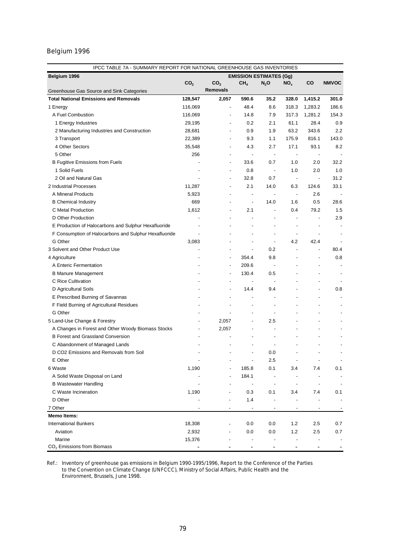| IPCC TABLE 7A - SUMMARY REPORT FOR NATIONAL GREENHOUSE GAS INVENTORIES |                 |                          |                                |                          |                          |                |                          |
|------------------------------------------------------------------------|-----------------|--------------------------|--------------------------------|--------------------------|--------------------------|----------------|--------------------------|
| Belgium 1996                                                           |                 |                          | <b>EMISSION ESTIMATES (Gg)</b> |                          |                          |                |                          |
|                                                                        | CO <sub>2</sub> | CO <sub>2</sub>          | CH <sub>4</sub>                | $N_2$ O                  | NO <sub>x</sub>          | CO             | <b>NMVOC</b>             |
| Greenhouse Gas Source and Sink Categories                              |                 | <b>Removals</b>          |                                |                          |                          |                |                          |
| <b>Total National Emissions and Removals</b>                           | 128,547         | 2,057                    | 590.6                          | 35.2                     | 328.0                    | 1,415.2        | 301.0                    |
| 1 Energy                                                               | 116,069         | $\overline{\phantom{a}}$ | 48.4                           | 8.6                      | 318.3                    | 1,283.2        | 186.6                    |
| A Fuel Combustion                                                      | 116,069         |                          | 14.8                           | 7.9                      | 317.3                    | 1,281.2        | 154.3                    |
| 1 Energy Industries                                                    | 29,195          | $\overline{\phantom{a}}$ | 0.2                            | 2.1                      | 61.1                     | 28.4           | 0.9                      |
| 2 Manufacturing Industries and Construction                            | 28,681          | $\blacksquare$           | 0.9                            | 1.9                      | 63.2                     | 343.6          | 2.2                      |
| 3 Transport                                                            | 22,389          | $\overline{\phantom{a}}$ | 9.3                            | 1.1                      | 175.9                    | 816.1          | 143.0                    |
| 4 Other Sectors                                                        | 35,548          | $\overline{\phantom{a}}$ | 4.3                            | 2.7                      | 17.1                     | 93.1           | 8.2                      |
| 5 Other                                                                | 256             |                          | $\overline{a}$                 | $\overline{\phantom{a}}$ | $\overline{\phantom{a}}$ | $\overline{a}$ |                          |
| <b>B Fugitive Emissions from Fuels</b>                                 |                 | $\blacksquare$           | 33.6                           | 0.7                      | 1.0                      | 2.0            | 32.2                     |
| 1 Solid Fuels                                                          |                 |                          | 0.8                            | $\overline{\phantom{a}}$ | 1.0                      | 2.0            | 1.0                      |
| 2 Oil and Natural Gas                                                  |                 | ٠                        | 32.8                           | 0.7                      | $\overline{\phantom{a}}$ | $\overline{a}$ | 31.2                     |
| 2 Industrial Processes                                                 | 11,287          | ٠                        | 2.1                            | 14.0                     | 6.3                      | 124.6          | 33.1                     |
| A Mineral Products                                                     | 5,923           | $\overline{a}$           | $\overline{\phantom{a}}$       |                          | $\overline{\phantom{a}}$ | 2.6            |                          |
| <b>B</b> Chemical Industry                                             | 669             | $\overline{\phantom{a}}$ | $\overline{\phantom{a}}$       | 14.0                     | 1.6                      | 0.5            | 28.6                     |
| C Metal Production                                                     | 1,612           | $\overline{a}$           | 2.1                            | $\overline{\phantom{a}}$ | 0.4                      | 79.2           | 1.5                      |
| D Other Production                                                     |                 |                          |                                | $\overline{a}$           | $\overline{\phantom{a}}$ |                | 2.9                      |
| E Production of Halocarbons and Sulphur Hexafluoride                   |                 |                          |                                |                          | $\overline{a}$           |                |                          |
| F Consumption of Halocarbons and Sulphur Hexafluoride                  |                 |                          |                                | $\overline{a}$           | $\overline{a}$           |                |                          |
| G Other                                                                | 3,083           |                          |                                | $\overline{\phantom{a}}$ | 4.2                      | 42.4           |                          |
| 3 Solvent and Other Product Use                                        |                 |                          |                                | 0.2                      | $\overline{a}$           | ÷,             | 80.4                     |
| 4 Agriculture                                                          |                 | $\overline{a}$           | 354.4                          | 9.8                      |                          |                | 0.8                      |
| A Enteric Fermentation                                                 |                 |                          | 209.6                          | $\blacksquare$           |                          |                |                          |
| <b>B Manure Management</b>                                             |                 | $\blacksquare$           | 130.4                          | 0.5                      |                          |                |                          |
| C Rice Cultivation                                                     |                 |                          |                                |                          |                          |                |                          |
| D Agricultural Soils                                                   |                 | ٠                        | 14.4                           | 9.4                      |                          |                | 0.8                      |
| E Prescribed Burning of Savannas                                       |                 |                          | $\overline{\phantom{a}}$       | $\overline{a}$           |                          |                |                          |
| F Field Burning of Agricultural Residues                               |                 |                          |                                | $\overline{a}$           |                          |                |                          |
| G Other                                                                |                 |                          |                                | $\overline{\phantom{a}}$ |                          |                |                          |
| 5 Land-Use Change & Forestry                                           |                 | 2,057                    |                                | 2.5                      |                          |                |                          |
| A Changes in Forest and Other Woody Biomass Stocks                     |                 | 2,057                    |                                | $\overline{a}$           |                          |                |                          |
| <b>B Forest and Grassland Conversion</b>                               |                 |                          |                                | $\overline{\phantom{a}}$ |                          |                |                          |
| C Abandonment of Managed Lands                                         |                 |                          |                                |                          |                          |                |                          |
| D CO2 Emissions and Removals from Soil                                 |                 |                          |                                | 0.0                      |                          |                |                          |
| E Other                                                                |                 |                          |                                | 2.5                      |                          |                | $\overline{\phantom{a}}$ |
| 6 Waste                                                                | 1,190           |                          | 185.8                          | 0.1                      | 3.4                      | 7.4            | 0.1                      |
| A Solid Waste Disposal on Land                                         |                 |                          | 184.1                          |                          |                          |                |                          |
| <b>B</b> Wastewater Handling                                           |                 |                          |                                | $\overline{a}$           |                          |                |                          |
| C Waste Incineration                                                   | 1,190           |                          | 0.3                            | 0.1                      | 3.4                      | 7.4            | 0.1                      |
| D Other                                                                |                 |                          | 1.4                            |                          |                          |                |                          |
| 7 Other                                                                |                 |                          |                                | $\overline{a}$           | $\overline{a}$           |                |                          |
| <b>Memo Items:</b>                                                     |                 |                          |                                |                          |                          |                |                          |
| <b>International Bunkers</b>                                           | 18,308          |                          | 0.0                            | 0.0                      | 1.2                      | 2.5            | 0.7                      |
| Aviation                                                               | 2,932           |                          | 0.0                            | 0.0                      | 1.2                      | 2.5            | 0.7                      |
| Marine                                                                 | 15,376          |                          |                                |                          |                          | -              |                          |
| CO <sub>2</sub> Emissions from Biomass                                 |                 |                          | $\overline{a}$                 |                          |                          | $\overline{a}$ |                          |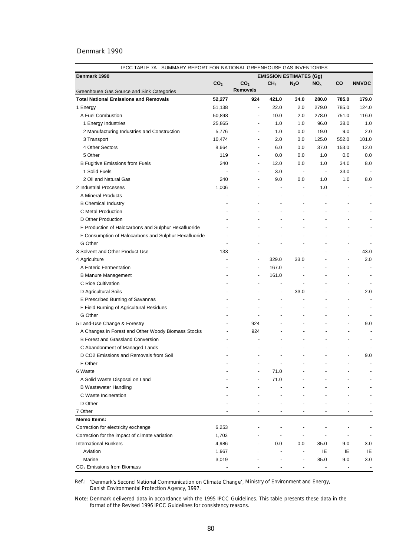| IPCC TABLE 7A - SUMMARY REPORT FOR NATIONAL GREENHOUSE GAS INVENTORIES |                          |                          |                          |                                |                          |                          |                          |
|------------------------------------------------------------------------|--------------------------|--------------------------|--------------------------|--------------------------------|--------------------------|--------------------------|--------------------------|
| Denmark 1990                                                           |                          |                          |                          | <b>EMISSION ESTIMATES (Gg)</b> |                          |                          |                          |
|                                                                        | CO <sub>2</sub>          | CO <sub>2</sub>          | CH <sub>4</sub>          | $N_2$ O                        | NO <sub>x</sub>          | <b>CO</b>                | <b>NMVOC</b>             |
| Greenhouse Gas Source and Sink Categories                              |                          | <b>Removals</b>          |                          |                                |                          |                          |                          |
| <b>Total National Emissions and Removals</b>                           | 52,277                   | 924                      | 421.0                    | 34.0                           | 280.0                    | 785.0                    | 179.0                    |
| 1 Energy                                                               | 51,138                   | $\blacksquare$           | 22.0                     | 2.0                            | 279.0                    | 785.0                    | 124.0                    |
| A Fuel Combustion                                                      | 50,898                   |                          | 10.0                     | 2.0                            | 278.0                    | 751.0                    | 116.0                    |
| 1 Energy Industries                                                    | 25,865                   | ÷,                       | 1.0                      | 1.0                            | 96.0                     | 38.0                     | 1.0                      |
| 2 Manufacturing Industries and Construction                            | 5,776                    | $\overline{\phantom{a}}$ | 1.0                      | 0.0                            | 19.0                     | 9.0                      | 2.0                      |
| 3 Transport                                                            | 10,474                   | ÷,                       | 2.0                      | 0.0                            | 125.0                    | 552.0                    | 101.0                    |
| 4 Other Sectors                                                        | 8,664                    | $\overline{\phantom{a}}$ | 6.0                      | 0.0                            | 37.0                     | 153.0                    | 12.0                     |
| 5 Other                                                                | 119                      | $\overline{\phantom{a}}$ | 0.0                      | 0.0                            | 1.0                      | 0.0                      | 0.0                      |
| <b>B Fugitive Emissions from Fuels</b>                                 | 240                      | $\overline{\phantom{a}}$ | 12.0                     | 0.0                            | 1.0                      | 34.0                     | 8.0                      |
| 1 Solid Fuels                                                          |                          | $\overline{a}$           | 3.0                      | $\overline{\phantom{a}}$       | $\overline{\phantom{a}}$ | 33.0                     |                          |
| 2 Oil and Natural Gas                                                  | 240                      | $\overline{a}$           | 9.0                      | 0.0                            | 1.0                      | 1.0                      | 8.0                      |
| 2 Industrial Processes                                                 | 1,006                    | $\overline{a}$           | $\overline{\phantom{a}}$ | $\overline{\phantom{a}}$       | 1.0                      |                          |                          |
| A Mineral Products                                                     |                          | $\overline{\phantom{a}}$ | $\overline{\phantom{a}}$ | $\overline{\phantom{a}}$       |                          | $\overline{\phantom{a}}$ |                          |
| <b>B Chemical Industry</b>                                             |                          |                          |                          | $\overline{\phantom{a}}$       |                          |                          |                          |
| C Metal Production                                                     |                          |                          | $\overline{\phantom{a}}$ | ٠                              | ÷                        |                          |                          |
| D Other Production                                                     |                          |                          |                          |                                |                          |                          |                          |
| E Production of Halocarbons and Sulphur Hexafluoride                   |                          |                          |                          |                                |                          |                          | $\blacksquare$           |
| F Consumption of Halocarbons and Sulphur Hexafluoride                  | $\overline{a}$           |                          |                          |                                |                          |                          | $\overline{\phantom{a}}$ |
| G Other                                                                | $\overline{\phantom{a}}$ |                          | $\overline{\phantom{a}}$ | $\overline{a}$                 | $\overline{a}$           | $\overline{\phantom{a}}$ | $\overline{\phantom{a}}$ |
| 3 Solvent and Other Product Use                                        | 133                      | $\overline{\phantom{a}}$ | $\overline{\phantom{a}}$ | $\overline{\phantom{a}}$       | $\overline{a}$           | $\overline{a}$           | 43.0                     |
| 4 Agriculture                                                          | $\overline{\phantom{a}}$ | $\overline{\phantom{a}}$ | 329.0                    | 33.0                           |                          | $\overline{a}$           | 2.0                      |
| A Enteric Fermentation                                                 |                          | $\overline{\phantom{a}}$ | 167.0                    | ÷,                             |                          |                          | $\overline{\phantom{a}}$ |
| <b>B Manure Management</b>                                             |                          | $\overline{\phantom{a}}$ | 161.0                    | ٠                              | $\overline{a}$           |                          | $\overline{\phantom{a}}$ |
| C Rice Cultivation                                                     |                          |                          | ÷,                       | L,                             | $\overline{a}$           | $\overline{\phantom{a}}$ | $\overline{\phantom{a}}$ |
| D Agricultural Soils                                                   |                          |                          | $\overline{\phantom{a}}$ | 33.0                           |                          | $\overline{a}$           | 2.0                      |
| E Prescribed Burning of Savannas                                       |                          |                          | ÷,                       |                                |                          |                          |                          |
| F Field Burning of Agricultural Residues                               |                          | ÷,                       | ÷,                       |                                |                          |                          | $\overline{\phantom{a}}$ |
| G Other                                                                |                          | ÷,                       |                          |                                |                          | ÷,                       |                          |
| 5 Land-Use Change & Forestry                                           |                          | 924                      |                          | $\overline{\phantom{a}}$       | $\overline{a}$           | ÷,                       | 9.0                      |
| A Changes in Forest and Other Woody Biomass Stocks                     |                          | 924                      |                          | L,                             |                          | $\overline{\phantom{a}}$ |                          |
| <b>B Forest and Grassland Conversion</b>                               |                          |                          |                          | $\overline{\phantom{a}}$       | $\overline{a}$           |                          | ٠                        |
|                                                                        |                          |                          |                          |                                |                          |                          |                          |
| C Abandonment of Managed Lands                                         |                          |                          | ٠                        | $\overline{a}$                 | $\overline{a}$           | ÷,                       |                          |
| D CO2 Emissions and Removals from Soil                                 |                          |                          |                          |                                |                          |                          | 9.0                      |
| E Other                                                                |                          |                          |                          |                                |                          |                          |                          |
| 6 Waste                                                                |                          |                          | 71.0                     |                                |                          |                          |                          |
| A Solid Waste Disposal on Land                                         |                          |                          | 71.0                     |                                |                          |                          |                          |
| <b>B</b> Wastewater Handling                                           |                          |                          |                          |                                |                          |                          |                          |
| C Waste Incineration                                                   |                          |                          |                          |                                |                          |                          |                          |
| D Other                                                                |                          |                          |                          |                                |                          |                          |                          |
| 7 Other                                                                |                          |                          |                          |                                |                          |                          |                          |
| <b>Memo Items:</b>                                                     |                          |                          |                          |                                |                          |                          |                          |
| Correction for electricity exchange                                    | 6,253                    |                          |                          |                                |                          |                          |                          |
| Correction for the impact of climate variation                         | 1,703                    |                          |                          |                                |                          |                          |                          |
| <b>International Bunkers</b>                                           | 4,986                    |                          | 0.0                      | 0.0                            | 85.0                     | 9.0                      | 3.0                      |
| Aviation                                                               | 1,967                    |                          | $\overline{\phantom{a}}$ |                                | IE                       | IE                       | IE                       |
| Marine                                                                 | 3,019                    |                          |                          |                                | 85.0                     | 9.0                      | 3.0                      |
| CO <sub>2</sub> Emissions from Biomass                                 |                          |                          |                          |                                |                          |                          |                          |

Ref.: *'Denmark's Second National Communication on Climate Change',* Ministry of Environment and Energy, Danish Environmental Protection Agency, 1997.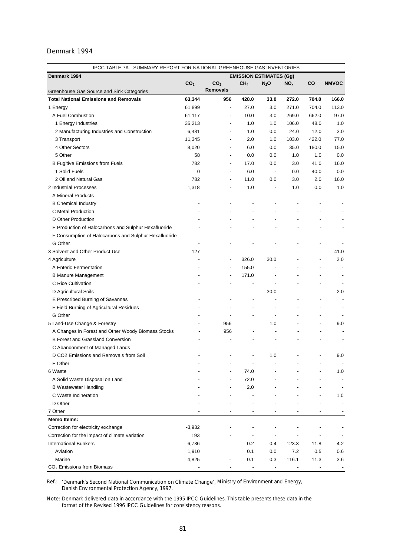| IPCC TABLE 7A - SUMMARY REPORT FOR NATIONAL GREENHOUSE GAS INVENTORIES |                 |                          |                                |                          |                 |                          |                          |
|------------------------------------------------------------------------|-----------------|--------------------------|--------------------------------|--------------------------|-----------------|--------------------------|--------------------------|
| Denmark 1994                                                           |                 |                          | <b>EMISSION ESTIMATES (Gg)</b> |                          |                 |                          |                          |
|                                                                        | CO <sub>2</sub> | CO <sub>2</sub>          | CH <sub>4</sub>                | $N_2$ O                  | NO <sub>x</sub> | CO                       | <b>NMVOC</b>             |
| Greenhouse Gas Source and Sink Categories                              |                 | <b>Removals</b>          |                                |                          |                 |                          |                          |
| <b>Total National Emissions and Removals</b>                           | 63,344          | 956                      | 428.0                          | 33.0                     | 272.0           | 704.0                    | 166.0                    |
| 1 Energy                                                               | 61,899          | $\overline{\phantom{a}}$ | 27.0                           | 3.0                      | 271.0           | 704.0                    | 113.0                    |
| A Fuel Combustion                                                      | 61,117          |                          | 10.0                           | 3.0                      | 269.0           | 662.0                    | 97.0                     |
| 1 Energy Industries                                                    | 35,213          | $\overline{\phantom{a}}$ | 1.0                            | 1.0                      | 106.0           | 48.0                     | 1.0                      |
| 2 Manufacturing Industries and Construction                            | 6,481           | $\overline{\phantom{a}}$ | 1.0                            | 0.0                      | 24.0            | 12.0                     | 3.0                      |
| 3 Transport                                                            | 11,345          | $\overline{\phantom{a}}$ | 2.0                            | 1.0                      | 103.0           | 422.0                    | 77.0                     |
| 4 Other Sectors                                                        | 8,020           | $\overline{\phantom{a}}$ | 6.0                            | 0.0                      | 35.0            | 180.0                    | 15.0                     |
| 5 Other                                                                | 58              | $\overline{\phantom{a}}$ | 0.0                            | 0.0                      | 1.0             | 1.0                      | 0.0                      |
| <b>B Fugitive Emissions from Fuels</b>                                 | 782             | $\overline{\phantom{a}}$ | 17.0                           | 0.0                      | 3.0             | 41.0                     | 16.0                     |
| 1 Solid Fuels                                                          | 0               | $\overline{\phantom{a}}$ | 6.0                            | $\overline{\phantom{a}}$ | 0.0             | 40.0                     | 0.0                      |
| 2 Oil and Natural Gas                                                  | 782             | $\overline{\phantom{a}}$ | 11.0                           | 0.0                      | 3.0             | 2.0                      | 16.0                     |
| 2 Industrial Processes                                                 | 1,318           | $\overline{\phantom{a}}$ | 1.0                            |                          | 1.0             | 0.0                      | 1.0                      |
| A Mineral Products                                                     |                 |                          | ÷,                             |                          | $\overline{a}$  |                          | $\overline{\phantom{a}}$ |
| <b>B Chemical Industry</b>                                             |                 |                          | ÷                              |                          |                 | $\overline{a}$           | $\blacksquare$           |
| C Metal Production                                                     |                 |                          | ٠                              |                          |                 |                          | $\overline{\phantom{a}}$ |
| D Other Production                                                     |                 |                          |                                |                          |                 |                          |                          |
| E Production of Halocarbons and Sulphur Hexafluoride                   |                 |                          |                                |                          |                 |                          |                          |
| F Consumption of Halocarbons and Sulphur Hexafluoride                  |                 |                          |                                |                          |                 |                          |                          |
| G Other                                                                |                 |                          |                                |                          |                 |                          |                          |
| 3 Solvent and Other Product Use                                        | 127             | $\overline{\phantom{a}}$ | ÷,                             |                          |                 | $\overline{a}$           | 41.0                     |
| 4 Agriculture                                                          |                 | $\blacksquare$           | 326.0                          | 30.0                     |                 | $\overline{a}$           | 2.0                      |
| A Enteric Fermentation                                                 |                 | $\overline{a}$           | 155.0                          |                          |                 | $\overline{\phantom{0}}$ | ٠                        |
| <b>B Manure Management</b>                                             |                 | $\overline{\phantom{a}}$ | 171.0                          | $\overline{\phantom{a}}$ |                 | $\overline{a}$           | ٠                        |
| C Rice Cultivation                                                     |                 | $\overline{\phantom{a}}$ |                                | $\overline{\phantom{a}}$ |                 |                          |                          |
| D Agricultural Soils                                                   |                 |                          | $\overline{a}$                 | 30.0                     |                 |                          | 2.0                      |
| E Prescribed Burning of Savannas                                       |                 |                          | $\overline{a}$                 |                          |                 | $\overline{a}$           |                          |
| F Field Burning of Agricultural Residues                               |                 | $\overline{a}$           | ÷,                             |                          |                 |                          |                          |
| G Other                                                                |                 | ÷,                       | L,                             | $\overline{\phantom{a}}$ |                 |                          |                          |
| 5 Land-Use Change & Forestry                                           |                 | 956                      |                                | 1.0                      |                 | $\overline{a}$           | 9.0                      |
| A Changes in Forest and Other Woody Biomass Stocks                     |                 | 956                      | $\overline{\phantom{a}}$       |                          |                 | $\overline{a}$           |                          |
| <b>B Forest and Grassland Conversion</b>                               |                 |                          | $\overline{\phantom{a}}$       | $\overline{\phantom{a}}$ |                 |                          |                          |
| C Abandonment of Managed Lands                                         |                 |                          |                                |                          |                 |                          |                          |
| D CO2 Emissions and Removals from Soil                                 |                 |                          | ÷,                             | 1.0                      |                 |                          | 9.0                      |
| E Other                                                                |                 |                          |                                |                          |                 |                          | $\overline{\phantom{a}}$ |
| 6 Waste                                                                |                 |                          | 74.0                           |                          |                 |                          | 1.0                      |
| A Solid Waste Disposal on Land                                         |                 |                          | 72.0                           |                          |                 |                          |                          |
| <b>B</b> Wastewater Handling                                           |                 |                          | 2.0                            |                          |                 |                          | $\overline{\phantom{a}}$ |
| C Waste Incineration                                                   |                 |                          |                                |                          |                 |                          | 1.0                      |
| D Other                                                                |                 |                          |                                |                          |                 |                          |                          |
| 7 Other                                                                |                 |                          |                                |                          |                 |                          |                          |
| <b>Memo Items:</b>                                                     |                 |                          |                                |                          |                 |                          |                          |
| Correction for electricity exchange                                    | $-3,932$        |                          |                                |                          |                 |                          |                          |
| Correction for the impact of climate variation                         | 193             |                          |                                |                          |                 |                          |                          |
| <b>International Bunkers</b>                                           | 6,736           |                          | 0.2                            | 0.4                      | 123.3           | 11.8                     | 4.2                      |
| Aviation                                                               | 1,910           |                          | 0.1                            | 0.0                      | 7.2             | 0.5                      | 0.6                      |
| Marine                                                                 | 4,825           |                          | 0.1                            | 0.3                      | 116.1           | 11.3                     | 3.6                      |
| CO <sub>2</sub> Emissions from Biomass                                 |                 |                          |                                |                          |                 |                          |                          |

Ref.: *'Denmark's Second National Communication on Climate Change',* Ministry of Environment and Energy, Danish Environmental Protection Agency, 1997.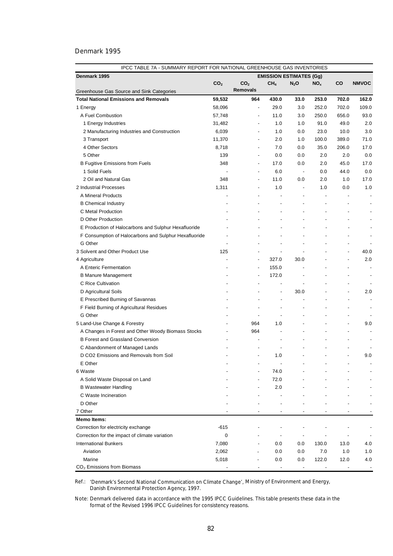| IPCC TABLE 7A - SUMMARY REPORT FOR NATIONAL GREENHOUSE GAS INVENTORIES |                 |                          |                          |                                |                          |                          |                          |  |
|------------------------------------------------------------------------|-----------------|--------------------------|--------------------------|--------------------------------|--------------------------|--------------------------|--------------------------|--|
| Denmark 1995                                                           |                 |                          |                          | <b>EMISSION ESTIMATES (Gg)</b> |                          |                          |                          |  |
|                                                                        | CO <sub>2</sub> | CO <sub>2</sub>          | CH <sub>4</sub>          | $N_2$ O                        | NO <sub>x</sub>          | CO                       | <b>NMVOC</b>             |  |
| Greenhouse Gas Source and Sink Categories                              |                 | <b>Removals</b>          |                          |                                |                          |                          |                          |  |
| <b>Total National Emissions and Removals</b>                           | 59,532          | 964                      | 430.0                    | 33.0                           | 253.0                    | 702.0                    | 162.0                    |  |
| 1 Energy                                                               | 58,096          | $\blacksquare$           | 29.0                     | 3.0                            | 252.0                    | 702.0                    | 109.0                    |  |
| A Fuel Combustion                                                      | 57,748          | $\overline{\phantom{a}}$ | 11.0                     | 3.0                            | 250.0                    | 656.0                    | 93.0                     |  |
| 1 Energy Industries                                                    | 31,482          | ÷,                       | 1.0                      | 1.0                            | 91.0                     | 49.0                     | 2.0                      |  |
| 2 Manufacturing Industries and Construction                            | 6,039           | $\overline{\phantom{a}}$ | 1.0                      | 0.0                            | 23.0                     | 10.0                     | 3.0                      |  |
| 3 Transport                                                            | 11,370          | $\overline{\phantom{a}}$ | 2.0                      | 1.0                            | 100.0                    | 389.0                    | 71.0                     |  |
| 4 Other Sectors                                                        | 8,718           | ÷,                       | 7.0                      | 0.0                            | 35.0                     | 206.0                    | 17.0                     |  |
| 5 Other                                                                | 139             | $\overline{a}$           | 0.0                      | 0.0                            | 2.0                      | 2.0                      | 0.0                      |  |
| <b>B Fugitive Emissions from Fuels</b>                                 | 348             | $\overline{\phantom{a}}$ | 17.0                     | 0.0                            | 2.0                      | 45.0                     | 17.0                     |  |
| 1 Solid Fuels                                                          |                 | $\overline{\phantom{a}}$ | 6.0                      | $\overline{\phantom{a}}$       | 0.0                      | 44.0                     | 0.0                      |  |
| 2 Oil and Natural Gas                                                  | 348             | $\overline{\phantom{a}}$ | 11.0                     | 0.0                            | 2.0                      | 1.0                      | 17.0                     |  |
| 2 Industrial Processes                                                 | 1,311           | $\overline{\phantom{a}}$ | 1.0                      | $\overline{\phantom{a}}$       | 1.0                      | 0.0                      | 1.0                      |  |
| A Mineral Products                                                     |                 |                          | ÷,                       | ÷,                             |                          |                          |                          |  |
| <b>B Chemical Industry</b>                                             |                 |                          |                          |                                |                          |                          |                          |  |
| C Metal Production                                                     |                 |                          |                          |                                |                          |                          |                          |  |
| D Other Production                                                     |                 |                          |                          |                                | $\overline{a}$           |                          |                          |  |
| E Production of Halocarbons and Sulphur Hexafluoride                   |                 |                          |                          | $\overline{a}$                 |                          |                          |                          |  |
| F Consumption of Halocarbons and Sulphur Hexafluoride                  |                 |                          |                          |                                |                          |                          | $\overline{\phantom{a}}$ |  |
| G Other                                                                |                 |                          |                          |                                |                          | $\overline{\phantom{a}}$ |                          |  |
| 3 Solvent and Other Product Use                                        | 125             | $\overline{\phantom{a}}$ | $\overline{\phantom{a}}$ |                                |                          | $\overline{\phantom{a}}$ | 40.0                     |  |
| 4 Agriculture                                                          | $\overline{a}$  | $\blacksquare$           | 327.0                    | 30.0                           |                          | $\blacksquare$           | 2.0                      |  |
| A Enteric Fermentation                                                 | $\blacksquare$  | $\blacksquare$           | 155.0                    | $\overline{\phantom{a}}$       | $\overline{a}$           |                          | $\overline{\phantom{a}}$ |  |
| <b>B Manure Management</b>                                             | $\blacksquare$  | $\overline{\phantom{a}}$ | 172.0                    | $\overline{\phantom{a}}$       | $\overline{\phantom{0}}$ |                          | $\overline{\phantom{a}}$ |  |
| C Rice Cultivation                                                     |                 |                          | $\overline{\phantom{a}}$ | $\overline{\phantom{a}}$       | $\overline{a}$           |                          | ٠                        |  |
| D Agricultural Soils                                                   |                 |                          | -                        | 30.0                           | -                        |                          | 2.0                      |  |
| E Prescribed Burning of Savannas                                       |                 |                          | $\overline{\phantom{a}}$ | $\overline{a}$                 |                          | ٠                        | $\blacksquare$           |  |
| F Field Burning of Agricultural Residues                               |                 | $\overline{\phantom{a}}$ | ÷                        | ٠                              | -                        |                          | $\overline{\phantom{a}}$ |  |
| G Other                                                                |                 | ÷,                       | ÷,                       | $\overline{\phantom{a}}$       |                          |                          |                          |  |
| 5 Land-Use Change & Forestry                                           |                 | 964                      | 1.0                      | $\overline{a}$                 |                          | $\overline{a}$           | 9.0                      |  |
| A Changes in Forest and Other Woody Biomass Stocks                     |                 | 964                      | ÷,                       |                                |                          | $\overline{a}$           |                          |  |
| <b>B Forest and Grassland Conversion</b>                               |                 |                          |                          |                                |                          |                          |                          |  |
| C Abandonment of Managed Lands                                         |                 |                          |                          |                                |                          |                          |                          |  |
| D CO2 Emissions and Removals from Soil                                 |                 | $\overline{a}$           | 1.0                      |                                |                          | $\blacksquare$           | 9.0                      |  |
| E Other                                                                |                 |                          |                          |                                |                          |                          |                          |  |
| 6 Waste                                                                |                 |                          | 74.0                     |                                |                          |                          |                          |  |
| A Solid Waste Disposal on Land                                         |                 |                          | 72.0                     |                                |                          |                          |                          |  |
| <b>B Wastewater Handling</b>                                           |                 |                          | 2.0                      |                                |                          |                          |                          |  |
| C Waste Incineration                                                   |                 |                          |                          |                                |                          |                          |                          |  |
| D Other                                                                |                 |                          |                          |                                |                          |                          |                          |  |
| 7 Other                                                                |                 |                          |                          |                                |                          |                          |                          |  |
| <b>Memo Items:</b>                                                     |                 |                          |                          |                                |                          |                          |                          |  |
| Correction for electricity exchange                                    | $-615$          |                          |                          |                                |                          |                          |                          |  |
| Correction for the impact of climate variation                         | 0               |                          |                          |                                |                          |                          |                          |  |
| <b>International Bunkers</b>                                           | 7,080           |                          | 0.0                      | $0.0\,$                        | 130.0                    | 13.0                     | 4.0                      |  |
| Aviation                                                               | 2,062           |                          | 0.0                      | 0.0                            | 7.0                      | 1.0                      | 1.0                      |  |
| Marine                                                                 | 5,018           |                          | 0.0                      | 0.0                            | 122.0                    | 12.0                     | 4.0                      |  |
| CO <sub>2</sub> Emissions from Biomass                                 |                 |                          |                          | $\overline{\phantom{a}}$       |                          |                          |                          |  |

Ref.: *'Denmark's Second National Communication on Climate Change',* Ministry of Environment and Energy, Danish Environmental Protection Agency, 1997.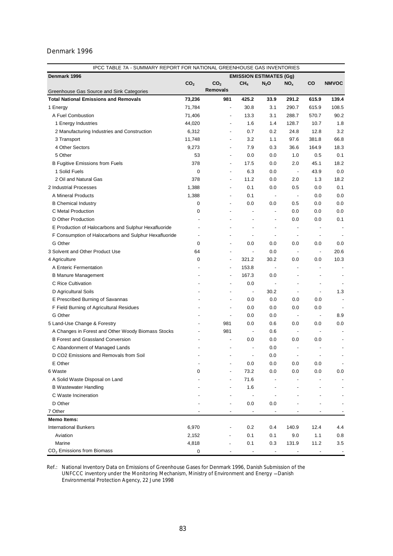|                                                       | IPCC TABLE 7A - SUMMARY REPORT FOR NATIONAL GREENHOUSE GAS INVENTORIES |                          |                                |                          |                          |                          |                          |
|-------------------------------------------------------|------------------------------------------------------------------------|--------------------------|--------------------------------|--------------------------|--------------------------|--------------------------|--------------------------|
| Denmark 1996                                          |                                                                        |                          | <b>EMISSION ESTIMATES (Gg)</b> |                          |                          |                          |                          |
|                                                       | CO <sub>2</sub>                                                        | CO <sub>2</sub>          | CH <sub>4</sub>                | $N_2$ O                  | $NO_{x}$                 | CO                       | <b>NMVOC</b>             |
| Greenhouse Gas Source and Sink Categories             |                                                                        | <b>Removals</b>          |                                |                          |                          |                          |                          |
| <b>Total National Emissions and Removals</b>          | 73,236                                                                 | 981                      | 425.2                          | 33.9                     | 291.2                    | 615.9                    | 139.4                    |
| 1 Energy                                              | 71,784                                                                 | $\overline{\phantom{a}}$ | 30.8                           | 3.1                      | 290.7                    | 615.9                    | 108.5                    |
| A Fuel Combustion                                     | 71,406                                                                 |                          | 13.3                           | 3.1                      | 288.7                    | 570.7                    | 90.2                     |
| 1 Energy Industries                                   | 44,020                                                                 | $\overline{\phantom{a}}$ | 1.6                            | 1.4                      | 128.7                    | 10.7                     | 1.8                      |
| 2 Manufacturing Industries and Construction           | 6,312                                                                  | $\overline{\phantom{a}}$ | 0.7                            | 0.2                      | 24.8                     | 12.8                     | 3.2                      |
| 3 Transport                                           | 11,748                                                                 | $\overline{\phantom{a}}$ | 3.2                            | 1.1                      | 97.6                     | 381.8                    | 66.8                     |
| 4 Other Sectors                                       | 9,273                                                                  | $\overline{\phantom{a}}$ | 7.9                            | 0.3                      | 36.6                     | 164.9                    | 18.3                     |
| 5 Other                                               | 53                                                                     | $\overline{\phantom{a}}$ | 0.0                            | 0.0                      | 1.0                      | 0.5                      | 0.1                      |
| <b>B Fugitive Emissions from Fuels</b>                | 378                                                                    | $\overline{\phantom{a}}$ | 17.5                           | 0.0                      | 2.0                      | 45.1                     | 18.2                     |
| 1 Solid Fuels                                         | 0                                                                      | $\overline{\phantom{a}}$ | 6.3                            | 0.0                      | $\overline{\phantom{a}}$ | 43.9                     | 0.0                      |
| 2 Oil and Natural Gas                                 | 378                                                                    | $\overline{\phantom{a}}$ | 11.2                           | 0.0                      | 2.0                      | 1.3                      | 18.2                     |
| 2 Industrial Processes                                | 1,388                                                                  | $\overline{\phantom{a}}$ | 0.1                            | 0.0                      | 0.5                      | 0.0                      | 0.1                      |
| A Mineral Products                                    | 1,388                                                                  | $\overline{a}$           | 0.1                            | $\overline{\phantom{a}}$ | $\overline{\phantom{a}}$ | 0.0                      | 0.0                      |
| <b>B Chemical Industry</b>                            | 0                                                                      |                          | 0.0                            | 0.0                      | 0.5                      | 0.0                      | 0.0                      |
| C Metal Production                                    | 0                                                                      |                          | $\overline{a}$                 | $\overline{\phantom{a}}$ | 0.0                      | 0.0                      | 0.0                      |
| D Other Production                                    |                                                                        | $\overline{\phantom{a}}$ | ÷,                             | $\overline{\phantom{a}}$ | 0.0                      | 0.0                      | 0.1                      |
| E Production of Halocarbons and Sulphur Hexafluoride  |                                                                        |                          | ÷,                             | $\overline{a}$           |                          | $\overline{\phantom{0}}$ | ÷,                       |
| F Consumption of Halocarbons and Sulphur Hexafluoride | ÷,                                                                     | ÷                        | $\overline{\phantom{a}}$       | $\overline{\phantom{a}}$ | $\overline{\phantom{a}}$ | $\overline{a}$           |                          |
| G Other                                               | 0                                                                      | ÷,                       | 0.0                            | 0.0                      | 0.0                      | 0.0                      | 0.0                      |
| 3 Solvent and Other Product Use                       | 64                                                                     | $\overline{\phantom{a}}$ | $\overline{a}$                 | 0.0                      | $\overline{\phantom{a}}$ | $\overline{\phantom{a}}$ | 20.6                     |
| 4 Agriculture                                         | 0                                                                      | $\overline{\phantom{a}}$ | 321.2                          | 30.2                     | 0.0                      | 0.0                      | 10.3                     |
| A Enteric Fermentation                                |                                                                        |                          | 153.8                          | $\overline{\phantom{a}}$ | $\overline{\phantom{a}}$ | $\overline{\phantom{0}}$ |                          |
| <b>B Manure Management</b>                            |                                                                        | $\overline{\phantom{a}}$ | 167.3                          | 0.0                      | $\overline{\phantom{a}}$ | $\overline{a}$           | $\overline{\phantom{a}}$ |
| C Rice Cultivation                                    |                                                                        | $\overline{\phantom{a}}$ | 0.0                            | $\overline{\phantom{a}}$ | $\overline{\phantom{a}}$ | $\overline{a}$           |                          |
| D Agricultural Soils                                  |                                                                        |                          | $\overline{\phantom{a}}$       | 30.2                     | $\overline{\phantom{a}}$ | $\frac{1}{2}$            | 1.3                      |
| E Prescribed Burning of Savannas                      |                                                                        | ÷,                       | 0.0                            | 0.0                      | 0.0                      | 0.0                      | $\overline{\phantom{a}}$ |
| F Field Burning of Agricultural Residues              |                                                                        | ÷,                       | 0.0                            | 0.0                      | 0.0                      | 0.0                      |                          |
| G Other                                               |                                                                        | $\overline{a}$           | 0.0                            | 0.0                      | $\overline{\phantom{a}}$ | $\overline{\phantom{a}}$ | 8.9                      |
| 5 Land-Use Change & Forestry                          |                                                                        | 981                      | 0.0                            | 0.6                      | 0.0                      | 0.0                      | 0.0                      |
| A Changes in Forest and Other Woody Biomass Stocks    |                                                                        | 981                      | $\overline{\phantom{a}}$       | 0.6                      | $\overline{\phantom{a}}$ | $\overline{\phantom{a}}$ |                          |
| <b>B Forest and Grassland Conversion</b>              |                                                                        | ÷,                       | 0.0                            | 0.0                      | 0.0                      | 0.0                      |                          |
| C Abandonment of Managed Lands                        |                                                                        |                          | ÷,                             | 0.0                      | $\overline{a}$           |                          |                          |
| D CO2 Emissions and Removals from Soil                |                                                                        |                          | ÷,                             | 0.0                      | $\overline{\phantom{a}}$ |                          |                          |
| E Other                                               |                                                                        |                          | 0.0                            | 0.0                      | 0.0                      | 0.0                      | $\overline{\phantom{a}}$ |
| 6 Waste                                               |                                                                        |                          |                                |                          |                          |                          |                          |
|                                                       | 0                                                                      |                          | 73.2                           | 0.0                      | 0.0                      | 0.0                      | 0.0                      |
| A Solid Waste Disposal on Land                        |                                                                        |                          | 71.6                           |                          |                          |                          |                          |
| <b>B Wastewater Handling</b>                          |                                                                        |                          | 1.6                            |                          |                          |                          |                          |
| C Waste Incineration                                  |                                                                        |                          | $\overline{\phantom{a}}$       |                          |                          |                          |                          |
| D Other                                               |                                                                        |                          | 0.0                            | 0.0                      |                          |                          |                          |
| 7 Other                                               |                                                                        |                          | $\overline{\phantom{a}}$       |                          |                          |                          |                          |
| <b>Memo Items:</b>                                    |                                                                        |                          |                                |                          |                          |                          |                          |
| <b>International Bunkers</b>                          | 6,970                                                                  |                          | 0.2                            | 0.4                      | 140.9                    | 12.4                     | 4.4                      |
| Aviation                                              | 2,152                                                                  |                          | 0.1                            | 0.1                      | 9.0                      | 1.1                      | 0.8                      |
| Marine                                                | 4,818                                                                  |                          | 0.1                            | 0.3                      | 131.9                    | 11.2                     | 3.5                      |
| CO <sub>2</sub> Emissions from Biomass                | 0                                                                      |                          |                                |                          |                          |                          |                          |

Ref.: National Inventory Data on Emissions of Greenhouse Gases for Denmark 1996, Danish Submission of the UNFCCC inventory under the Monitoring Mechanism, Ministry of Environment and Energy − Danish Environmental Protection Agency, 22 June 1998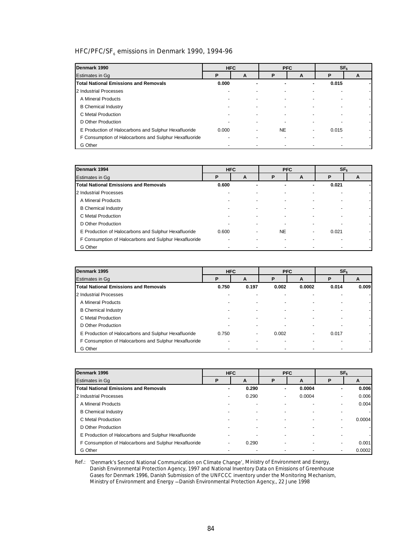# HFC/PFC/SF<sub>6</sub> emissions in Denmark 1990, 1994-96

| Denmark 1990                                          | <b>HFC</b> |   |           | <b>PFC</b> | SF <sub>6</sub> |   |  |
|-------------------------------------------------------|------------|---|-----------|------------|-----------------|---|--|
| <b>Estimates in Gq</b>                                | P          | A | P         | A          | P               | A |  |
| <b>Total National Emissions and Removals</b>          | 0.000      |   | ۰         | ۰          | 0.015           |   |  |
| 2 Industrial Processes                                |            |   |           |            |                 |   |  |
| A Mineral Products                                    |            |   |           |            |                 |   |  |
| <b>B</b> Chemical Industry                            |            |   |           |            |                 |   |  |
| C Metal Production                                    |            |   |           |            |                 |   |  |
| D Other Production                                    |            |   |           |            |                 |   |  |
| E Production of Halocarbons and Sulphur Hexafluoride  | 0.000      |   | <b>NE</b> | -          | 0.015           |   |  |
| F Consumption of Halocarbons and Sulphur Hexafluoride |            |   |           |            |                 |   |  |
| G Other                                               |            |   |           |            |                 |   |  |

| Denmark 1994                                          |       | <b>HFC</b> |    | <b>PFC</b>               |       | SF <sub>6</sub> |
|-------------------------------------------------------|-------|------------|----|--------------------------|-------|-----------------|
| Estimates in Gq                                       | Р     | A          | D  | A                        | Р     | A               |
| <b>Total National Emissions and Removals</b>          | 0.600 |            |    |                          | 0.021 |                 |
| 2 Industrial Processes                                |       |            |    |                          |       |                 |
| A Mineral Products                                    |       |            |    |                          |       |                 |
| <b>B</b> Chemical Industry                            |       |            |    |                          |       |                 |
| C Metal Production                                    |       |            |    |                          |       |                 |
| D Other Production                                    |       |            |    |                          |       |                 |
| E Production of Halocarbons and Sulphur Hexafluoride  | 0.600 |            | NE | $\overline{\phantom{a}}$ | 0.021 |                 |
| F Consumption of Halocarbons and Sulphur Hexafluoride |       |            |    |                          |       |                 |
| G Other                                               |       |            |    |                          |       |                 |

| Denmark 1995                                          | <b>HFC</b> |       |       | <b>PFC</b> |       | SF <sub>6</sub> |
|-------------------------------------------------------|------------|-------|-------|------------|-------|-----------------|
| Estimates in Gg                                       | P          | A     | P     | A          | P     | A               |
| <b>Total National Emissions and Removals</b>          | 0.750      | 0.197 | 0.002 | 0.0002     | 0.014 | 0.009           |
| 2 Industrial Processes                                |            |       |       |            |       |                 |
| A Mineral Products                                    |            |       |       |            |       |                 |
| <b>B</b> Chemical Industry                            |            |       |       |            |       |                 |
| C Metal Production                                    |            |       |       |            |       |                 |
| D Other Production                                    |            |       |       |            |       |                 |
| E Production of Halocarbons and Sulphur Hexafluoride  | 0.750      |       | 0.002 |            | 0.017 |                 |
| F Consumption of Halocarbons and Sulphur Hexafluoride |            |       |       |            |       |                 |
| G Other                                               |            |       |       |            |       |                 |

| Denmark 1996                                          |   | <b>HFC</b> |   | <b>PFC</b> | SF <sub>6</sub> |        |
|-------------------------------------------------------|---|------------|---|------------|-----------------|--------|
| Estimates in Gq                                       | P | A          | P | A          | P               | A      |
| <b>Total National Emissions and Removals</b>          |   | 0.290      |   | 0.0004     |                 | 0.006  |
| 2 Industrial Processes                                |   | 0.290      |   | 0.0004     |                 | 0.006  |
| A Mineral Products                                    |   |            |   |            |                 | 0.004  |
| <b>B</b> Chemical Industry                            |   |            |   |            |                 |        |
| C Metal Production                                    |   |            |   |            |                 | 0.0004 |
| D Other Production                                    |   |            |   |            |                 |        |
| E Production of Halocarbons and Sulphur Hexafluoride  |   |            |   |            |                 |        |
| F Consumption of Halocarbons and Sulphur Hexafluoride |   | 0.290      |   |            |                 | 0.001  |
| G Other                                               |   |            |   |            |                 | 0.0002 |

Ref.: *'Denmark's Second National Communication on Climate Change',* Ministry of Environment and Energy, Danish Environmental Protection Agency, 1997 and National Inventory Data on Emissions of Greenhouse Gases for Denmark 1996, Danish Submission of the UNFCCC inventory under the Monitoring Mechanism, Ministry of Environment and Energy − Danish Environmental Protection Agency,, 22 June 1998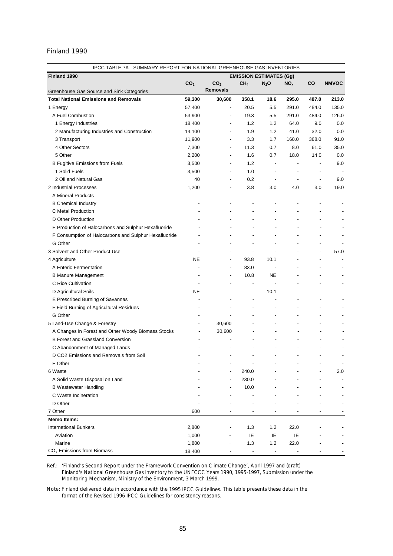| IPCC TABLE 7A - SUMMARY REPORT FOR NATIONAL GREENHOUSE GAS INVENTORIES   |                 |                          |                                |                                 |                          |                |                          |
|--------------------------------------------------------------------------|-----------------|--------------------------|--------------------------------|---------------------------------|--------------------------|----------------|--------------------------|
| Finland 1990                                                             |                 |                          | <b>EMISSION ESTIMATES (Gg)</b> |                                 |                          |                |                          |
|                                                                          | CO <sub>2</sub> | CO <sub>2</sub>          | CH <sub>4</sub>                | $N_2$ O                         | $NO_{x}$                 | CO             | <b>NMVOC</b>             |
| Greenhouse Gas Source and Sink Categories                                |                 | <b>Removals</b>          |                                |                                 |                          |                |                          |
| <b>Total National Emissions and Removals</b>                             | 59,300          | 30,600                   | 358.1                          | 18.6                            | 295.0                    | 487.0          | 213.0                    |
| 1 Energy                                                                 | 57,400          | $\overline{a}$           | 20.5                           | 5.5                             | 291.0                    | 484.0          | 135.0                    |
| A Fuel Combustion                                                        | 53,900          | $\overline{\phantom{a}}$ | 19.3                           | 5.5                             | 291.0                    | 484.0          | 126.0                    |
| 1 Energy Industries                                                      | 18,400          |                          | 1.2                            | 1.2                             | 64.0                     | 9.0            | 0.0                      |
| 2 Manufacturing Industries and Construction                              | 14,100          |                          | 1.9                            | 1.2                             | 41.0                     | 32.0           | 0.0                      |
| 3 Transport                                                              | 11,900          |                          | 3.3                            | 1.7                             | 160.0                    | 368.0          | 91.0                     |
| 4 Other Sectors                                                          | 7,300           | $\overline{\phantom{a}}$ | 11.3                           | 0.7                             | 8.0                      | 61.0           | 35.0                     |
| 5 Other                                                                  | 2,200           | $\overline{\phantom{a}}$ | 1.6                            | 0.7                             | 18.0                     | 14.0           | 0.0                      |
| <b>B Fugitive Emissions from Fuels</b>                                   | 3,500           | $\overline{\phantom{a}}$ | 1.2                            | $\overline{\phantom{a}}$        | ÷,                       | $\overline{a}$ | 9.0                      |
| 1 Solid Fuels                                                            | 3,500           | $\overline{\phantom{a}}$ | 1.0                            | $\overline{\phantom{m}}$        | $\overline{\phantom{a}}$ | $\overline{a}$ |                          |
| 2 Oil and Natural Gas                                                    | 40              | $\overline{\phantom{a}}$ | 0.2                            | $\overline{\phantom{a}}$        |                          | $\overline{a}$ | 9.0                      |
| 2 Industrial Processes                                                   | 1,200           | $\overline{\phantom{a}}$ | 3.8                            | 3.0                             | 4.0                      | 3.0            | 19.0                     |
| A Mineral Products                                                       |                 | $\overline{\phantom{a}}$ | $\blacksquare$                 | $\overline{a}$                  | $\overline{a}$           |                |                          |
| <b>B</b> Chemical Industry                                               |                 | $\overline{a}$           | $\overline{\phantom{a}}$       | $\overline{a}$                  |                          | $\overline{a}$ |                          |
| C Metal Production                                                       |                 |                          | $\overline{\phantom{a}}$       |                                 |                          | $\overline{a}$ |                          |
| D Other Production                                                       |                 |                          |                                |                                 |                          |                |                          |
| E Production of Halocarbons and Sulphur Hexafluoride                     |                 |                          |                                |                                 | $\overline{a}$           |                |                          |
| F Consumption of Halocarbons and Sulphur Hexafluoride                    |                 |                          |                                |                                 |                          |                | ٠                        |
| G Other                                                                  |                 |                          |                                |                                 |                          |                |                          |
| 3 Solvent and Other Product Use                                          |                 |                          | L,                             |                                 |                          | -              | 57.0                     |
| 4 Agriculture                                                            | <b>NE</b>       | $\overline{a}$           | 93.8                           | 10.1                            |                          | $\overline{a}$ |                          |
| A Enteric Fermentation                                                   |                 | $\overline{a}$           | 83.0                           | $\overline{\phantom{a}}$        |                          |                |                          |
| <b>B Manure Management</b>                                               |                 | ÷,                       | 10.8                           | NE.                             |                          |                |                          |
| C Rice Cultivation                                                       |                 |                          | $\overline{a}$                 |                                 |                          |                |                          |
| D Agricultural Soils                                                     | NE              | $\overline{\phantom{a}}$ | $\overline{a}$                 | 10.1                            |                          | $\overline{a}$ |                          |
| E Prescribed Burning of Savannas                                         |                 |                          | $\blacksquare$                 |                                 |                          |                |                          |
| F Field Burning of Agricultural Residues                                 |                 | $\overline{\phantom{a}}$ | $\overline{a}$                 |                                 |                          |                |                          |
| G Other                                                                  |                 | $\overline{a}$           |                                | $\overline{a}$                  |                          | $\overline{a}$ |                          |
| 5 Land-Use Change & Forestry                                             |                 | 30,600                   |                                |                                 |                          |                |                          |
| A Changes in Forest and Other Woody Biomass Stocks                       |                 | 30,600                   |                                | ÷,                              |                          |                |                          |
| <b>B Forest and Grassland Conversion</b>                                 |                 |                          |                                |                                 |                          |                |                          |
|                                                                          |                 |                          |                                |                                 |                          |                |                          |
| C Abandonment of Managed Lands<br>D CO2 Emissions and Removals from Soil |                 |                          |                                |                                 |                          |                |                          |
| E Other                                                                  |                 |                          |                                |                                 |                          |                | $\overline{\phantom{a}}$ |
|                                                                          |                 |                          |                                |                                 |                          |                |                          |
| 6 Waste                                                                  |                 |                          | 240.0                          |                                 |                          |                | 2.0                      |
| A Solid Waste Disposal on Land                                           |                 |                          | 230.0                          |                                 |                          |                |                          |
| <b>B</b> Wastewater Handling                                             |                 |                          | 10.0                           |                                 |                          |                |                          |
| C Waste Incineration                                                     |                 |                          |                                |                                 |                          |                |                          |
| D Other                                                                  |                 |                          |                                |                                 |                          |                |                          |
| 7 Other                                                                  | 600             |                          |                                |                                 |                          |                |                          |
| <b>Memo Items:</b>                                                       |                 |                          |                                |                                 |                          |                |                          |
| <b>International Bunkers</b>                                             | 2,800           |                          | 1.3                            | 1.2                             | 22.0                     |                |                          |
| Aviation                                                                 | 1,000           |                          | IE                             | IE                              | IE                       |                |                          |
| Marine                                                                   | 1,800           |                          | 1.3                            | 1.2                             | 22.0                     |                |                          |
| CO <sub>2</sub> Emissions from Biomass                                   | 18,400          |                          | $\overline{\phantom{a}}$       | $\centering \label{eq:reduced}$ |                          |                |                          |

Ref.: '*Finland's Second Report under the Framework Convention on Climate Change*', April 1997 and (draft) Finland's National Greenhouse Gas inventory to the UNFCCC Years 1990, 1995-1997, Submission under the Monitoring Mechanism, Ministry of the Environment, 3 March 1999.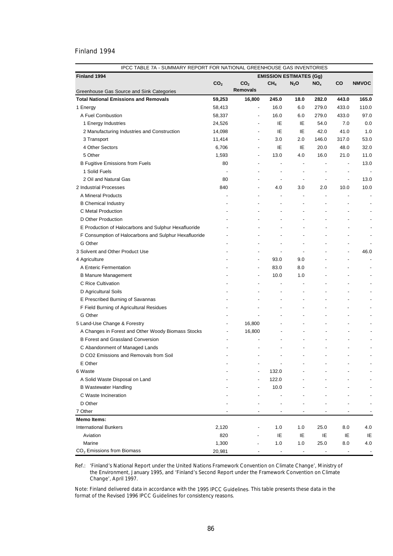|                                                       | IPCC TABLE 7A - SUMMARY REPORT FOR NATIONAL GREENHOUSE GAS INVENTORIES |                          |                          |                                |                          |                          |              |  |  |
|-------------------------------------------------------|------------------------------------------------------------------------|--------------------------|--------------------------|--------------------------------|--------------------------|--------------------------|--------------|--|--|
| Finland 1994                                          |                                                                        |                          |                          | <b>EMISSION ESTIMATES (Gg)</b> |                          |                          |              |  |  |
|                                                       | CO <sub>2</sub>                                                        | CO <sub>2</sub>          | CH <sub>4</sub>          | $N_2O$                         | NO <sub>x</sub>          | co                       | <b>NMVOC</b> |  |  |
| Greenhouse Gas Source and Sink Categories             |                                                                        | <b>Removals</b>          |                          |                                |                          |                          |              |  |  |
| <b>Total National Emissions and Removals</b>          | 59,253                                                                 | 16,800                   | 245.0                    | 18.0                           | 282.0                    | 443.0                    | 165.0        |  |  |
| 1 Energy                                              | 58,413                                                                 | $\overline{\phantom{a}}$ | 16.0                     | 6.0                            | 279.0                    | 433.0                    | 110.0        |  |  |
| A Fuel Combustion                                     | 58,337                                                                 | $\overline{\phantom{a}}$ | 16.0                     | 6.0                            | 279.0                    | 433.0                    | 97.0         |  |  |
| 1 Energy Industries                                   | 24,526                                                                 | $\overline{a}$           | ΙE                       | ΙE                             | 54.0                     | 7.0                      | 0.0          |  |  |
| 2 Manufacturing Industries and Construction           | 14,098                                                                 | ÷,                       | IE                       | IE                             | 42.0                     | 41.0                     | 1.0          |  |  |
| 3 Transport                                           | 11,414                                                                 | $\overline{\phantom{a}}$ | 3.0                      | 2.0                            | 146.0                    | 317.0                    | 53.0         |  |  |
| 4 Other Sectors                                       | 6,706                                                                  | ÷,                       | ΙE                       | IE                             | 20.0                     | 48.0                     | 32.0         |  |  |
| 5 Other                                               | 1,593                                                                  | $\overline{\phantom{a}}$ | 13.0                     | 4.0                            | 16.0                     | 21.0                     | 11.0         |  |  |
| <b>B Fugitive Emissions from Fuels</b>                | 80                                                                     |                          |                          |                                |                          |                          | 13.0         |  |  |
| 1 Solid Fuels                                         |                                                                        |                          |                          |                                | $\overline{a}$           | $\overline{\phantom{a}}$ |              |  |  |
| 2 Oil and Natural Gas                                 | 80                                                                     |                          |                          | $\overline{\phantom{a}}$       | $\overline{\phantom{a}}$ | ÷,                       | 13.0         |  |  |
| 2 Industrial Processes                                | 840                                                                    |                          | 4.0                      | 3.0                            | 2.0                      | 10.0                     | 10.0         |  |  |
| A Mineral Products                                    |                                                                        |                          | $\overline{a}$           | $\overline{a}$                 |                          |                          |              |  |  |
| <b>B</b> Chemical Industry                            |                                                                        |                          | $\overline{a}$           |                                |                          |                          |              |  |  |
| C Metal Production                                    |                                                                        |                          |                          |                                |                          |                          |              |  |  |
| D Other Production                                    |                                                                        |                          |                          |                                |                          |                          |              |  |  |
| E Production of Halocarbons and Sulphur Hexafluoride  |                                                                        |                          |                          |                                |                          |                          |              |  |  |
| F Consumption of Halocarbons and Sulphur Hexafluoride |                                                                        |                          |                          |                                |                          |                          |              |  |  |
| G Other                                               |                                                                        |                          |                          |                                |                          |                          |              |  |  |
| 3 Solvent and Other Product Use                       |                                                                        |                          |                          | ÷,                             |                          | $\overline{\phantom{a}}$ | 46.0         |  |  |
| 4 Agriculture                                         |                                                                        | $\overline{\phantom{a}}$ | 93.0                     | 9.0                            |                          |                          |              |  |  |
| A Enteric Fermentation                                |                                                                        | $\overline{\phantom{a}}$ | 83.0                     | 8.0                            |                          |                          |              |  |  |
| <b>B Manure Management</b>                            |                                                                        | $\overline{\phantom{a}}$ | 10.0                     | 1.0                            |                          |                          |              |  |  |
| C Rice Cultivation                                    |                                                                        |                          | $\overline{a}$           | L,                             |                          |                          |              |  |  |
| D Agricultural Soils                                  |                                                                        |                          | ÷                        | $\overline{a}$                 | $\overline{a}$           | $\overline{\phantom{a}}$ |              |  |  |
| E Prescribed Burning of Savannas                      |                                                                        |                          | $\overline{\phantom{a}}$ | $\overline{\phantom{a}}$       | $\overline{a}$           | $\overline{\phantom{a}}$ |              |  |  |
| F Field Burning of Agricultural Residues              |                                                                        |                          | ÷                        | $\blacksquare$                 |                          | $\overline{\phantom{a}}$ |              |  |  |
| G Other                                               |                                                                        | $\overline{\phantom{a}}$ |                          | $\overline{\phantom{a}}$       | $\overline{a}$           | $\overline{\phantom{a}}$ |              |  |  |
| 5 Land-Use Change & Forestry                          | $\overline{a}$                                                         | 16,800                   |                          |                                | -                        | $\overline{\phantom{a}}$ |              |  |  |
| A Changes in Forest and Other Woody Biomass Stocks    |                                                                        | 16,800                   |                          | $\overline{a}$                 |                          | $\overline{\phantom{a}}$ |              |  |  |
| <b>B Forest and Grassland Conversion</b>              |                                                                        |                          |                          |                                |                          | ٠                        |              |  |  |
| C Abandonment of Managed Lands                        |                                                                        |                          |                          |                                |                          |                          |              |  |  |
| D CO2 Emissions and Removals from Soil                |                                                                        |                          |                          |                                | $\overline{a}$           | $\overline{\phantom{a}}$ |              |  |  |
| E Other                                               |                                                                        |                          |                          |                                |                          |                          |              |  |  |
| 6 Waste                                               |                                                                        |                          | 132.0                    |                                |                          |                          |              |  |  |
| A Solid Waste Disposal on Land                        |                                                                        |                          | 122.0                    |                                |                          |                          |              |  |  |
| <b>B Wastewater Handling</b>                          |                                                                        |                          | 10.0                     |                                |                          |                          |              |  |  |
| C Waste Incineration                                  |                                                                        |                          |                          |                                |                          |                          |              |  |  |
| D Other                                               |                                                                        |                          |                          |                                |                          |                          |              |  |  |
| 7 Other                                               |                                                                        |                          |                          |                                |                          |                          |              |  |  |
| <b>Memo Items:</b>                                    |                                                                        |                          |                          |                                |                          |                          |              |  |  |
| <b>International Bunkers</b>                          | 2,120                                                                  |                          | 1.0                      | 1.0                            | 25.0                     | 8.0                      | 4.0          |  |  |
| Aviation                                              | 820                                                                    |                          | IE                       | ΙE                             | IE                       | IE                       | IE           |  |  |
| Marine                                                | 1,300                                                                  |                          | 1.0                      | 1.0                            | 25.0                     | 8.0                      | 4.0          |  |  |
| CO <sub>2</sub> Emissions from Biomass                | 20,981                                                                 |                          | $\overline{\phantom{a}}$ | $\overline{a}$                 |                          |                          |              |  |  |

Ref.: '*Finland's National Report under the United Nations Framework Convention on Climate Change*', Ministry of the Environment, January 1995, and 'Finland's Second Report under the Framework Convention on Climate Change', April 1997.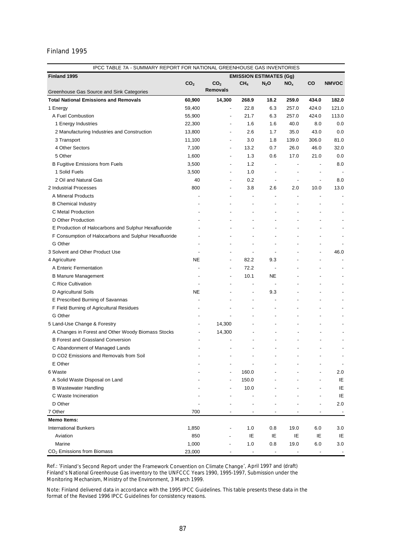| Finland 1995<br><b>EMISSION ESTIMATES (Gg)</b><br>CO <sub>2</sub><br>CO <sub>2</sub><br>CH <sub>4</sub><br>CO<br><b>NMVOC</b><br>$N_2$ O<br>NO <sub>x</sub><br><b>Removals</b><br>Greenhouse Gas Source and Sink Categories<br><b>Total National Emissions and Removals</b><br>60,900<br>14,300<br>268.9<br>18.2<br>259.0<br>434.0<br>182.0<br>22.8<br>6.3<br>257.0<br>424.0<br>121.0<br>59,400<br>1 Energy<br>$\overline{\phantom{a}}$<br>21.7<br>6.3<br>257.0<br>424.0<br>113.0<br>A Fuel Combustion<br>55,900<br>$\overline{\phantom{0}}$<br>1.6<br>40.0<br>8.0<br>0.0<br>1 Energy Industries<br>22,300<br>1.6<br>$\overline{\phantom{0}}$<br>2.6<br>1.7<br>35.0<br>43.0<br>0.0<br>2 Manufacturing Industries and Construction<br>13,800<br>$\overline{\phantom{0}}$<br>3.0<br>139.0<br>306.0<br>81.0<br>3 Transport<br>11,100<br>1.8<br>$\overline{\phantom{0}}$<br>46.0<br>4 Other Sectors<br>0.7<br>26.0<br>32.0<br>7,100<br>13.2<br>$\blacksquare$<br>5 Other<br>1,600<br>1.3<br>17.0<br>21.0<br>0.0<br>0.6<br>$\overline{\phantom{a}}$<br>3,500<br>1.2<br>8.0<br><b>B Fugitive Emissions from Fuels</b><br>$\overline{\phantom{a}}$<br>$\blacksquare$<br>$\overline{\phantom{a}}$<br>$\overline{\phantom{0}}$<br>1 Solid Fuels<br>3,500<br>1.0<br>$\overline{\phantom{0}}$<br>$\overline{\phantom{a}}$<br>$\overline{\phantom{a}}$<br>$\overline{a}$<br>2 Oil and Natural Gas<br>40<br>0.2<br>8.0<br>$\overline{\phantom{a}}$<br>$\overline{\phantom{a}}$<br>$\overline{\phantom{0}}$<br>$\overline{a}$<br>2 Industrial Processes<br>800<br>3.8<br>13.0<br>2.6<br>2.0<br>10.0<br>$\overline{\phantom{0}}$<br>A Mineral Products<br>$\overline{a}$<br>$\overline{\phantom{a}}$<br>$\overline{a}$<br>$\overline{a}$<br>$\overline{\phantom{0}}$<br><b>B Chemical Industry</b><br>$\overline{a}$<br>٠<br>$\overline{a}$<br>C Metal Production<br>٠<br>$\overline{\phantom{a}}$<br>D Other Production<br>$\overline{a}$<br>E Production of Halocarbons and Sulphur Hexafluoride<br>$\overline{a}$<br>F Consumption of Halocarbons and Sulphur Hexafluoride<br>G Other<br>÷,<br>$\overline{a}$<br>$\overline{a}$<br>3 Solvent and Other Product Use<br>46.0<br>L,<br>$\overline{a}$<br>$\overline{\phantom{a}}$<br>$\overline{a}$<br><b>NE</b><br>4 Agriculture<br>82.2<br>9.3<br>$\overline{\phantom{a}}$<br>$\overline{\phantom{a}}$<br>72.2<br>A Enteric Fermentation<br>$\overline{\phantom{a}}$<br>$\overline{\phantom{a}}$<br>10.1<br><b>NE</b><br><b>B Manure Management</b><br>$\overline{\phantom{0}}$<br>C Rice Cultivation<br>$\blacksquare$<br>$\overline{\phantom{0}}$<br>$\overline{a}$<br>NE<br>9.3<br>D Agricultural Soils<br>$\overline{\phantom{a}}$<br>$\overline{a}$<br>$\overline{a}$<br>E Prescribed Burning of Savannas<br>÷,<br>$\overline{a}$<br>F Field Burning of Agricultural Residues<br>$\overline{a}$<br>÷,<br>÷,<br>G Other<br>$\overline{a}$<br>$\overline{a}$<br>$\overline{a}$<br>٠<br>14,300<br>5 Land-Use Change & Forestry<br>$\overline{\phantom{a}}$<br>$\overline{\phantom{a}}$<br>14,300<br>A Changes in Forest and Other Woody Biomass Stocks<br>$\overline{a}$<br>$\overline{a}$<br><b>B Forest and Grassland Conversion</b><br>C Abandonment of Managed Lands<br>D CO2 Emissions and Removals from Soil<br>E Other<br>$\overline{\phantom{m}}$<br>160.0<br>6 Waste<br>2.0<br>150.0<br>A Solid Waste Disposal on Land<br>IE<br>IE<br><b>B Wastewater Handling</b><br>10.0<br>IE<br>C Waste Incineration<br>D Other<br>2.0<br>7 Other<br>700<br><b>Memo Items:</b><br>1.0<br><b>International Bunkers</b><br>1,850<br>0.8<br>19.0<br>6.0<br>3.0<br>850<br>IE<br>IE<br>IE<br>IE<br>Aviation<br>IE<br>Marine<br>1,000<br>1.0<br>0.8<br>19.0<br>6.0<br>3.0 |                                        | IPCC TABLE 7A - SUMMARY REPORT FOR NATIONAL GREENHOUSE GAS INVENTORIES |  |  |  |  |  |  |
|-------------------------------------------------------------------------------------------------------------------------------------------------------------------------------------------------------------------------------------------------------------------------------------------------------------------------------------------------------------------------------------------------------------------------------------------------------------------------------------------------------------------------------------------------------------------------------------------------------------------------------------------------------------------------------------------------------------------------------------------------------------------------------------------------------------------------------------------------------------------------------------------------------------------------------------------------------------------------------------------------------------------------------------------------------------------------------------------------------------------------------------------------------------------------------------------------------------------------------------------------------------------------------------------------------------------------------------------------------------------------------------------------------------------------------------------------------------------------------------------------------------------------------------------------------------------------------------------------------------------------------------------------------------------------------------------------------------------------------------------------------------------------------------------------------------------------------------------------------------------------------------------------------------------------------------------------------------------------------------------------------------------------------------------------------------------------------------------------------------------------------------------------------------------------------------------------------------------------------------------------------------------------------------------------------------------------------------------------------------------------------------------------------------------------------------------------------------------------------------------------------------------------------------------------------------------------------------------------------------------------------------------------------------------------------------------------------------------------------------------------------------------------------------------------------------------------------------------------------------------------------------------------------------------------------------------------------------------------------------------------------------------------------------------------------------------------------------------------------------------------------------------------------------------------------------------------------------------------------------------------------------------------------------------------------------------------------------------------------------------------------------------------------------------------------------------------------------------------------------------------------------------------------------------------------------------------------------------------------------------------------------------------------------------------------------------------------|----------------------------------------|------------------------------------------------------------------------|--|--|--|--|--|--|
|                                                                                                                                                                                                                                                                                                                                                                                                                                                                                                                                                                                                                                                                                                                                                                                                                                                                                                                                                                                                                                                                                                                                                                                                                                                                                                                                                                                                                                                                                                                                                                                                                                                                                                                                                                                                                                                                                                                                                                                                                                                                                                                                                                                                                                                                                                                                                                                                                                                                                                                                                                                                                                                                                                                                                                                                                                                                                                                                                                                                                                                                                                                                                                                                                                                                                                                                                                                                                                                                                                                                                                                                                                                                                                       |                                        |                                                                        |  |  |  |  |  |  |
|                                                                                                                                                                                                                                                                                                                                                                                                                                                                                                                                                                                                                                                                                                                                                                                                                                                                                                                                                                                                                                                                                                                                                                                                                                                                                                                                                                                                                                                                                                                                                                                                                                                                                                                                                                                                                                                                                                                                                                                                                                                                                                                                                                                                                                                                                                                                                                                                                                                                                                                                                                                                                                                                                                                                                                                                                                                                                                                                                                                                                                                                                                                                                                                                                                                                                                                                                                                                                                                                                                                                                                                                                                                                                                       |                                        |                                                                        |  |  |  |  |  |  |
|                                                                                                                                                                                                                                                                                                                                                                                                                                                                                                                                                                                                                                                                                                                                                                                                                                                                                                                                                                                                                                                                                                                                                                                                                                                                                                                                                                                                                                                                                                                                                                                                                                                                                                                                                                                                                                                                                                                                                                                                                                                                                                                                                                                                                                                                                                                                                                                                                                                                                                                                                                                                                                                                                                                                                                                                                                                                                                                                                                                                                                                                                                                                                                                                                                                                                                                                                                                                                                                                                                                                                                                                                                                                                                       |                                        |                                                                        |  |  |  |  |  |  |
|                                                                                                                                                                                                                                                                                                                                                                                                                                                                                                                                                                                                                                                                                                                                                                                                                                                                                                                                                                                                                                                                                                                                                                                                                                                                                                                                                                                                                                                                                                                                                                                                                                                                                                                                                                                                                                                                                                                                                                                                                                                                                                                                                                                                                                                                                                                                                                                                                                                                                                                                                                                                                                                                                                                                                                                                                                                                                                                                                                                                                                                                                                                                                                                                                                                                                                                                                                                                                                                                                                                                                                                                                                                                                                       |                                        |                                                                        |  |  |  |  |  |  |
|                                                                                                                                                                                                                                                                                                                                                                                                                                                                                                                                                                                                                                                                                                                                                                                                                                                                                                                                                                                                                                                                                                                                                                                                                                                                                                                                                                                                                                                                                                                                                                                                                                                                                                                                                                                                                                                                                                                                                                                                                                                                                                                                                                                                                                                                                                                                                                                                                                                                                                                                                                                                                                                                                                                                                                                                                                                                                                                                                                                                                                                                                                                                                                                                                                                                                                                                                                                                                                                                                                                                                                                                                                                                                                       |                                        |                                                                        |  |  |  |  |  |  |
|                                                                                                                                                                                                                                                                                                                                                                                                                                                                                                                                                                                                                                                                                                                                                                                                                                                                                                                                                                                                                                                                                                                                                                                                                                                                                                                                                                                                                                                                                                                                                                                                                                                                                                                                                                                                                                                                                                                                                                                                                                                                                                                                                                                                                                                                                                                                                                                                                                                                                                                                                                                                                                                                                                                                                                                                                                                                                                                                                                                                                                                                                                                                                                                                                                                                                                                                                                                                                                                                                                                                                                                                                                                                                                       |                                        |                                                                        |  |  |  |  |  |  |
|                                                                                                                                                                                                                                                                                                                                                                                                                                                                                                                                                                                                                                                                                                                                                                                                                                                                                                                                                                                                                                                                                                                                                                                                                                                                                                                                                                                                                                                                                                                                                                                                                                                                                                                                                                                                                                                                                                                                                                                                                                                                                                                                                                                                                                                                                                                                                                                                                                                                                                                                                                                                                                                                                                                                                                                                                                                                                                                                                                                                                                                                                                                                                                                                                                                                                                                                                                                                                                                                                                                                                                                                                                                                                                       |                                        |                                                                        |  |  |  |  |  |  |
|                                                                                                                                                                                                                                                                                                                                                                                                                                                                                                                                                                                                                                                                                                                                                                                                                                                                                                                                                                                                                                                                                                                                                                                                                                                                                                                                                                                                                                                                                                                                                                                                                                                                                                                                                                                                                                                                                                                                                                                                                                                                                                                                                                                                                                                                                                                                                                                                                                                                                                                                                                                                                                                                                                                                                                                                                                                                                                                                                                                                                                                                                                                                                                                                                                                                                                                                                                                                                                                                                                                                                                                                                                                                                                       |                                        |                                                                        |  |  |  |  |  |  |
|                                                                                                                                                                                                                                                                                                                                                                                                                                                                                                                                                                                                                                                                                                                                                                                                                                                                                                                                                                                                                                                                                                                                                                                                                                                                                                                                                                                                                                                                                                                                                                                                                                                                                                                                                                                                                                                                                                                                                                                                                                                                                                                                                                                                                                                                                                                                                                                                                                                                                                                                                                                                                                                                                                                                                                                                                                                                                                                                                                                                                                                                                                                                                                                                                                                                                                                                                                                                                                                                                                                                                                                                                                                                                                       |                                        |                                                                        |  |  |  |  |  |  |
|                                                                                                                                                                                                                                                                                                                                                                                                                                                                                                                                                                                                                                                                                                                                                                                                                                                                                                                                                                                                                                                                                                                                                                                                                                                                                                                                                                                                                                                                                                                                                                                                                                                                                                                                                                                                                                                                                                                                                                                                                                                                                                                                                                                                                                                                                                                                                                                                                                                                                                                                                                                                                                                                                                                                                                                                                                                                                                                                                                                                                                                                                                                                                                                                                                                                                                                                                                                                                                                                                                                                                                                                                                                                                                       |                                        |                                                                        |  |  |  |  |  |  |
|                                                                                                                                                                                                                                                                                                                                                                                                                                                                                                                                                                                                                                                                                                                                                                                                                                                                                                                                                                                                                                                                                                                                                                                                                                                                                                                                                                                                                                                                                                                                                                                                                                                                                                                                                                                                                                                                                                                                                                                                                                                                                                                                                                                                                                                                                                                                                                                                                                                                                                                                                                                                                                                                                                                                                                                                                                                                                                                                                                                                                                                                                                                                                                                                                                                                                                                                                                                                                                                                                                                                                                                                                                                                                                       |                                        |                                                                        |  |  |  |  |  |  |
|                                                                                                                                                                                                                                                                                                                                                                                                                                                                                                                                                                                                                                                                                                                                                                                                                                                                                                                                                                                                                                                                                                                                                                                                                                                                                                                                                                                                                                                                                                                                                                                                                                                                                                                                                                                                                                                                                                                                                                                                                                                                                                                                                                                                                                                                                                                                                                                                                                                                                                                                                                                                                                                                                                                                                                                                                                                                                                                                                                                                                                                                                                                                                                                                                                                                                                                                                                                                                                                                                                                                                                                                                                                                                                       |                                        |                                                                        |  |  |  |  |  |  |
|                                                                                                                                                                                                                                                                                                                                                                                                                                                                                                                                                                                                                                                                                                                                                                                                                                                                                                                                                                                                                                                                                                                                                                                                                                                                                                                                                                                                                                                                                                                                                                                                                                                                                                                                                                                                                                                                                                                                                                                                                                                                                                                                                                                                                                                                                                                                                                                                                                                                                                                                                                                                                                                                                                                                                                                                                                                                                                                                                                                                                                                                                                                                                                                                                                                                                                                                                                                                                                                                                                                                                                                                                                                                                                       |                                        |                                                                        |  |  |  |  |  |  |
|                                                                                                                                                                                                                                                                                                                                                                                                                                                                                                                                                                                                                                                                                                                                                                                                                                                                                                                                                                                                                                                                                                                                                                                                                                                                                                                                                                                                                                                                                                                                                                                                                                                                                                                                                                                                                                                                                                                                                                                                                                                                                                                                                                                                                                                                                                                                                                                                                                                                                                                                                                                                                                                                                                                                                                                                                                                                                                                                                                                                                                                                                                                                                                                                                                                                                                                                                                                                                                                                                                                                                                                                                                                                                                       |                                        |                                                                        |  |  |  |  |  |  |
|                                                                                                                                                                                                                                                                                                                                                                                                                                                                                                                                                                                                                                                                                                                                                                                                                                                                                                                                                                                                                                                                                                                                                                                                                                                                                                                                                                                                                                                                                                                                                                                                                                                                                                                                                                                                                                                                                                                                                                                                                                                                                                                                                                                                                                                                                                                                                                                                                                                                                                                                                                                                                                                                                                                                                                                                                                                                                                                                                                                                                                                                                                                                                                                                                                                                                                                                                                                                                                                                                                                                                                                                                                                                                                       |                                        |                                                                        |  |  |  |  |  |  |
|                                                                                                                                                                                                                                                                                                                                                                                                                                                                                                                                                                                                                                                                                                                                                                                                                                                                                                                                                                                                                                                                                                                                                                                                                                                                                                                                                                                                                                                                                                                                                                                                                                                                                                                                                                                                                                                                                                                                                                                                                                                                                                                                                                                                                                                                                                                                                                                                                                                                                                                                                                                                                                                                                                                                                                                                                                                                                                                                                                                                                                                                                                                                                                                                                                                                                                                                                                                                                                                                                                                                                                                                                                                                                                       |                                        |                                                                        |  |  |  |  |  |  |
|                                                                                                                                                                                                                                                                                                                                                                                                                                                                                                                                                                                                                                                                                                                                                                                                                                                                                                                                                                                                                                                                                                                                                                                                                                                                                                                                                                                                                                                                                                                                                                                                                                                                                                                                                                                                                                                                                                                                                                                                                                                                                                                                                                                                                                                                                                                                                                                                                                                                                                                                                                                                                                                                                                                                                                                                                                                                                                                                                                                                                                                                                                                                                                                                                                                                                                                                                                                                                                                                                                                                                                                                                                                                                                       |                                        |                                                                        |  |  |  |  |  |  |
|                                                                                                                                                                                                                                                                                                                                                                                                                                                                                                                                                                                                                                                                                                                                                                                                                                                                                                                                                                                                                                                                                                                                                                                                                                                                                                                                                                                                                                                                                                                                                                                                                                                                                                                                                                                                                                                                                                                                                                                                                                                                                                                                                                                                                                                                                                                                                                                                                                                                                                                                                                                                                                                                                                                                                                                                                                                                                                                                                                                                                                                                                                                                                                                                                                                                                                                                                                                                                                                                                                                                                                                                                                                                                                       |                                        |                                                                        |  |  |  |  |  |  |
|                                                                                                                                                                                                                                                                                                                                                                                                                                                                                                                                                                                                                                                                                                                                                                                                                                                                                                                                                                                                                                                                                                                                                                                                                                                                                                                                                                                                                                                                                                                                                                                                                                                                                                                                                                                                                                                                                                                                                                                                                                                                                                                                                                                                                                                                                                                                                                                                                                                                                                                                                                                                                                                                                                                                                                                                                                                                                                                                                                                                                                                                                                                                                                                                                                                                                                                                                                                                                                                                                                                                                                                                                                                                                                       |                                        |                                                                        |  |  |  |  |  |  |
|                                                                                                                                                                                                                                                                                                                                                                                                                                                                                                                                                                                                                                                                                                                                                                                                                                                                                                                                                                                                                                                                                                                                                                                                                                                                                                                                                                                                                                                                                                                                                                                                                                                                                                                                                                                                                                                                                                                                                                                                                                                                                                                                                                                                                                                                                                                                                                                                                                                                                                                                                                                                                                                                                                                                                                                                                                                                                                                                                                                                                                                                                                                                                                                                                                                                                                                                                                                                                                                                                                                                                                                                                                                                                                       |                                        |                                                                        |  |  |  |  |  |  |
|                                                                                                                                                                                                                                                                                                                                                                                                                                                                                                                                                                                                                                                                                                                                                                                                                                                                                                                                                                                                                                                                                                                                                                                                                                                                                                                                                                                                                                                                                                                                                                                                                                                                                                                                                                                                                                                                                                                                                                                                                                                                                                                                                                                                                                                                                                                                                                                                                                                                                                                                                                                                                                                                                                                                                                                                                                                                                                                                                                                                                                                                                                                                                                                                                                                                                                                                                                                                                                                                                                                                                                                                                                                                                                       |                                        |                                                                        |  |  |  |  |  |  |
|                                                                                                                                                                                                                                                                                                                                                                                                                                                                                                                                                                                                                                                                                                                                                                                                                                                                                                                                                                                                                                                                                                                                                                                                                                                                                                                                                                                                                                                                                                                                                                                                                                                                                                                                                                                                                                                                                                                                                                                                                                                                                                                                                                                                                                                                                                                                                                                                                                                                                                                                                                                                                                                                                                                                                                                                                                                                                                                                                                                                                                                                                                                                                                                                                                                                                                                                                                                                                                                                                                                                                                                                                                                                                                       |                                        |                                                                        |  |  |  |  |  |  |
|                                                                                                                                                                                                                                                                                                                                                                                                                                                                                                                                                                                                                                                                                                                                                                                                                                                                                                                                                                                                                                                                                                                                                                                                                                                                                                                                                                                                                                                                                                                                                                                                                                                                                                                                                                                                                                                                                                                                                                                                                                                                                                                                                                                                                                                                                                                                                                                                                                                                                                                                                                                                                                                                                                                                                                                                                                                                                                                                                                                                                                                                                                                                                                                                                                                                                                                                                                                                                                                                                                                                                                                                                                                                                                       |                                        |                                                                        |  |  |  |  |  |  |
|                                                                                                                                                                                                                                                                                                                                                                                                                                                                                                                                                                                                                                                                                                                                                                                                                                                                                                                                                                                                                                                                                                                                                                                                                                                                                                                                                                                                                                                                                                                                                                                                                                                                                                                                                                                                                                                                                                                                                                                                                                                                                                                                                                                                                                                                                                                                                                                                                                                                                                                                                                                                                                                                                                                                                                                                                                                                                                                                                                                                                                                                                                                                                                                                                                                                                                                                                                                                                                                                                                                                                                                                                                                                                                       |                                        |                                                                        |  |  |  |  |  |  |
|                                                                                                                                                                                                                                                                                                                                                                                                                                                                                                                                                                                                                                                                                                                                                                                                                                                                                                                                                                                                                                                                                                                                                                                                                                                                                                                                                                                                                                                                                                                                                                                                                                                                                                                                                                                                                                                                                                                                                                                                                                                                                                                                                                                                                                                                                                                                                                                                                                                                                                                                                                                                                                                                                                                                                                                                                                                                                                                                                                                                                                                                                                                                                                                                                                                                                                                                                                                                                                                                                                                                                                                                                                                                                                       |                                        |                                                                        |  |  |  |  |  |  |
|                                                                                                                                                                                                                                                                                                                                                                                                                                                                                                                                                                                                                                                                                                                                                                                                                                                                                                                                                                                                                                                                                                                                                                                                                                                                                                                                                                                                                                                                                                                                                                                                                                                                                                                                                                                                                                                                                                                                                                                                                                                                                                                                                                                                                                                                                                                                                                                                                                                                                                                                                                                                                                                                                                                                                                                                                                                                                                                                                                                                                                                                                                                                                                                                                                                                                                                                                                                                                                                                                                                                                                                                                                                                                                       |                                        |                                                                        |  |  |  |  |  |  |
|                                                                                                                                                                                                                                                                                                                                                                                                                                                                                                                                                                                                                                                                                                                                                                                                                                                                                                                                                                                                                                                                                                                                                                                                                                                                                                                                                                                                                                                                                                                                                                                                                                                                                                                                                                                                                                                                                                                                                                                                                                                                                                                                                                                                                                                                                                                                                                                                                                                                                                                                                                                                                                                                                                                                                                                                                                                                                                                                                                                                                                                                                                                                                                                                                                                                                                                                                                                                                                                                                                                                                                                                                                                                                                       |                                        |                                                                        |  |  |  |  |  |  |
|                                                                                                                                                                                                                                                                                                                                                                                                                                                                                                                                                                                                                                                                                                                                                                                                                                                                                                                                                                                                                                                                                                                                                                                                                                                                                                                                                                                                                                                                                                                                                                                                                                                                                                                                                                                                                                                                                                                                                                                                                                                                                                                                                                                                                                                                                                                                                                                                                                                                                                                                                                                                                                                                                                                                                                                                                                                                                                                                                                                                                                                                                                                                                                                                                                                                                                                                                                                                                                                                                                                                                                                                                                                                                                       |                                        |                                                                        |  |  |  |  |  |  |
|                                                                                                                                                                                                                                                                                                                                                                                                                                                                                                                                                                                                                                                                                                                                                                                                                                                                                                                                                                                                                                                                                                                                                                                                                                                                                                                                                                                                                                                                                                                                                                                                                                                                                                                                                                                                                                                                                                                                                                                                                                                                                                                                                                                                                                                                                                                                                                                                                                                                                                                                                                                                                                                                                                                                                                                                                                                                                                                                                                                                                                                                                                                                                                                                                                                                                                                                                                                                                                                                                                                                                                                                                                                                                                       |                                        |                                                                        |  |  |  |  |  |  |
|                                                                                                                                                                                                                                                                                                                                                                                                                                                                                                                                                                                                                                                                                                                                                                                                                                                                                                                                                                                                                                                                                                                                                                                                                                                                                                                                                                                                                                                                                                                                                                                                                                                                                                                                                                                                                                                                                                                                                                                                                                                                                                                                                                                                                                                                                                                                                                                                                                                                                                                                                                                                                                                                                                                                                                                                                                                                                                                                                                                                                                                                                                                                                                                                                                                                                                                                                                                                                                                                                                                                                                                                                                                                                                       |                                        |                                                                        |  |  |  |  |  |  |
|                                                                                                                                                                                                                                                                                                                                                                                                                                                                                                                                                                                                                                                                                                                                                                                                                                                                                                                                                                                                                                                                                                                                                                                                                                                                                                                                                                                                                                                                                                                                                                                                                                                                                                                                                                                                                                                                                                                                                                                                                                                                                                                                                                                                                                                                                                                                                                                                                                                                                                                                                                                                                                                                                                                                                                                                                                                                                                                                                                                                                                                                                                                                                                                                                                                                                                                                                                                                                                                                                                                                                                                                                                                                                                       |                                        |                                                                        |  |  |  |  |  |  |
|                                                                                                                                                                                                                                                                                                                                                                                                                                                                                                                                                                                                                                                                                                                                                                                                                                                                                                                                                                                                                                                                                                                                                                                                                                                                                                                                                                                                                                                                                                                                                                                                                                                                                                                                                                                                                                                                                                                                                                                                                                                                                                                                                                                                                                                                                                                                                                                                                                                                                                                                                                                                                                                                                                                                                                                                                                                                                                                                                                                                                                                                                                                                                                                                                                                                                                                                                                                                                                                                                                                                                                                                                                                                                                       |                                        |                                                                        |  |  |  |  |  |  |
|                                                                                                                                                                                                                                                                                                                                                                                                                                                                                                                                                                                                                                                                                                                                                                                                                                                                                                                                                                                                                                                                                                                                                                                                                                                                                                                                                                                                                                                                                                                                                                                                                                                                                                                                                                                                                                                                                                                                                                                                                                                                                                                                                                                                                                                                                                                                                                                                                                                                                                                                                                                                                                                                                                                                                                                                                                                                                                                                                                                                                                                                                                                                                                                                                                                                                                                                                                                                                                                                                                                                                                                                                                                                                                       |                                        |                                                                        |  |  |  |  |  |  |
|                                                                                                                                                                                                                                                                                                                                                                                                                                                                                                                                                                                                                                                                                                                                                                                                                                                                                                                                                                                                                                                                                                                                                                                                                                                                                                                                                                                                                                                                                                                                                                                                                                                                                                                                                                                                                                                                                                                                                                                                                                                                                                                                                                                                                                                                                                                                                                                                                                                                                                                                                                                                                                                                                                                                                                                                                                                                                                                                                                                                                                                                                                                                                                                                                                                                                                                                                                                                                                                                                                                                                                                                                                                                                                       |                                        |                                                                        |  |  |  |  |  |  |
|                                                                                                                                                                                                                                                                                                                                                                                                                                                                                                                                                                                                                                                                                                                                                                                                                                                                                                                                                                                                                                                                                                                                                                                                                                                                                                                                                                                                                                                                                                                                                                                                                                                                                                                                                                                                                                                                                                                                                                                                                                                                                                                                                                                                                                                                                                                                                                                                                                                                                                                                                                                                                                                                                                                                                                                                                                                                                                                                                                                                                                                                                                                                                                                                                                                                                                                                                                                                                                                                                                                                                                                                                                                                                                       |                                        |                                                                        |  |  |  |  |  |  |
|                                                                                                                                                                                                                                                                                                                                                                                                                                                                                                                                                                                                                                                                                                                                                                                                                                                                                                                                                                                                                                                                                                                                                                                                                                                                                                                                                                                                                                                                                                                                                                                                                                                                                                                                                                                                                                                                                                                                                                                                                                                                                                                                                                                                                                                                                                                                                                                                                                                                                                                                                                                                                                                                                                                                                                                                                                                                                                                                                                                                                                                                                                                                                                                                                                                                                                                                                                                                                                                                                                                                                                                                                                                                                                       |                                        |                                                                        |  |  |  |  |  |  |
|                                                                                                                                                                                                                                                                                                                                                                                                                                                                                                                                                                                                                                                                                                                                                                                                                                                                                                                                                                                                                                                                                                                                                                                                                                                                                                                                                                                                                                                                                                                                                                                                                                                                                                                                                                                                                                                                                                                                                                                                                                                                                                                                                                                                                                                                                                                                                                                                                                                                                                                                                                                                                                                                                                                                                                                                                                                                                                                                                                                                                                                                                                                                                                                                                                                                                                                                                                                                                                                                                                                                                                                                                                                                                                       |                                        |                                                                        |  |  |  |  |  |  |
|                                                                                                                                                                                                                                                                                                                                                                                                                                                                                                                                                                                                                                                                                                                                                                                                                                                                                                                                                                                                                                                                                                                                                                                                                                                                                                                                                                                                                                                                                                                                                                                                                                                                                                                                                                                                                                                                                                                                                                                                                                                                                                                                                                                                                                                                                                                                                                                                                                                                                                                                                                                                                                                                                                                                                                                                                                                                                                                                                                                                                                                                                                                                                                                                                                                                                                                                                                                                                                                                                                                                                                                                                                                                                                       |                                        |                                                                        |  |  |  |  |  |  |
|                                                                                                                                                                                                                                                                                                                                                                                                                                                                                                                                                                                                                                                                                                                                                                                                                                                                                                                                                                                                                                                                                                                                                                                                                                                                                                                                                                                                                                                                                                                                                                                                                                                                                                                                                                                                                                                                                                                                                                                                                                                                                                                                                                                                                                                                                                                                                                                                                                                                                                                                                                                                                                                                                                                                                                                                                                                                                                                                                                                                                                                                                                                                                                                                                                                                                                                                                                                                                                                                                                                                                                                                                                                                                                       |                                        |                                                                        |  |  |  |  |  |  |
|                                                                                                                                                                                                                                                                                                                                                                                                                                                                                                                                                                                                                                                                                                                                                                                                                                                                                                                                                                                                                                                                                                                                                                                                                                                                                                                                                                                                                                                                                                                                                                                                                                                                                                                                                                                                                                                                                                                                                                                                                                                                                                                                                                                                                                                                                                                                                                                                                                                                                                                                                                                                                                                                                                                                                                                                                                                                                                                                                                                                                                                                                                                                                                                                                                                                                                                                                                                                                                                                                                                                                                                                                                                                                                       |                                        |                                                                        |  |  |  |  |  |  |
|                                                                                                                                                                                                                                                                                                                                                                                                                                                                                                                                                                                                                                                                                                                                                                                                                                                                                                                                                                                                                                                                                                                                                                                                                                                                                                                                                                                                                                                                                                                                                                                                                                                                                                                                                                                                                                                                                                                                                                                                                                                                                                                                                                                                                                                                                                                                                                                                                                                                                                                                                                                                                                                                                                                                                                                                                                                                                                                                                                                                                                                                                                                                                                                                                                                                                                                                                                                                                                                                                                                                                                                                                                                                                                       |                                        |                                                                        |  |  |  |  |  |  |
|                                                                                                                                                                                                                                                                                                                                                                                                                                                                                                                                                                                                                                                                                                                                                                                                                                                                                                                                                                                                                                                                                                                                                                                                                                                                                                                                                                                                                                                                                                                                                                                                                                                                                                                                                                                                                                                                                                                                                                                                                                                                                                                                                                                                                                                                                                                                                                                                                                                                                                                                                                                                                                                                                                                                                                                                                                                                                                                                                                                                                                                                                                                                                                                                                                                                                                                                                                                                                                                                                                                                                                                                                                                                                                       |                                        |                                                                        |  |  |  |  |  |  |
|                                                                                                                                                                                                                                                                                                                                                                                                                                                                                                                                                                                                                                                                                                                                                                                                                                                                                                                                                                                                                                                                                                                                                                                                                                                                                                                                                                                                                                                                                                                                                                                                                                                                                                                                                                                                                                                                                                                                                                                                                                                                                                                                                                                                                                                                                                                                                                                                                                                                                                                                                                                                                                                                                                                                                                                                                                                                                                                                                                                                                                                                                                                                                                                                                                                                                                                                                                                                                                                                                                                                                                                                                                                                                                       |                                        |                                                                        |  |  |  |  |  |  |
|                                                                                                                                                                                                                                                                                                                                                                                                                                                                                                                                                                                                                                                                                                                                                                                                                                                                                                                                                                                                                                                                                                                                                                                                                                                                                                                                                                                                                                                                                                                                                                                                                                                                                                                                                                                                                                                                                                                                                                                                                                                                                                                                                                                                                                                                                                                                                                                                                                                                                                                                                                                                                                                                                                                                                                                                                                                                                                                                                                                                                                                                                                                                                                                                                                                                                                                                                                                                                                                                                                                                                                                                                                                                                                       |                                        |                                                                        |  |  |  |  |  |  |
|                                                                                                                                                                                                                                                                                                                                                                                                                                                                                                                                                                                                                                                                                                                                                                                                                                                                                                                                                                                                                                                                                                                                                                                                                                                                                                                                                                                                                                                                                                                                                                                                                                                                                                                                                                                                                                                                                                                                                                                                                                                                                                                                                                                                                                                                                                                                                                                                                                                                                                                                                                                                                                                                                                                                                                                                                                                                                                                                                                                                                                                                                                                                                                                                                                                                                                                                                                                                                                                                                                                                                                                                                                                                                                       |                                        |                                                                        |  |  |  |  |  |  |
|                                                                                                                                                                                                                                                                                                                                                                                                                                                                                                                                                                                                                                                                                                                                                                                                                                                                                                                                                                                                                                                                                                                                                                                                                                                                                                                                                                                                                                                                                                                                                                                                                                                                                                                                                                                                                                                                                                                                                                                                                                                                                                                                                                                                                                                                                                                                                                                                                                                                                                                                                                                                                                                                                                                                                                                                                                                                                                                                                                                                                                                                                                                                                                                                                                                                                                                                                                                                                                                                                                                                                                                                                                                                                                       |                                        |                                                                        |  |  |  |  |  |  |
|                                                                                                                                                                                                                                                                                                                                                                                                                                                                                                                                                                                                                                                                                                                                                                                                                                                                                                                                                                                                                                                                                                                                                                                                                                                                                                                                                                                                                                                                                                                                                                                                                                                                                                                                                                                                                                                                                                                                                                                                                                                                                                                                                                                                                                                                                                                                                                                                                                                                                                                                                                                                                                                                                                                                                                                                                                                                                                                                                                                                                                                                                                                                                                                                                                                                                                                                                                                                                                                                                                                                                                                                                                                                                                       |                                        |                                                                        |  |  |  |  |  |  |
| 23,000                                                                                                                                                                                                                                                                                                                                                                                                                                                                                                                                                                                                                                                                                                                                                                                                                                                                                                                                                                                                                                                                                                                                                                                                                                                                                                                                                                                                                                                                                                                                                                                                                                                                                                                                                                                                                                                                                                                                                                                                                                                                                                                                                                                                                                                                                                                                                                                                                                                                                                                                                                                                                                                                                                                                                                                                                                                                                                                                                                                                                                                                                                                                                                                                                                                                                                                                                                                                                                                                                                                                                                                                                                                                                                | CO <sub>2</sub> Emissions from Biomass |                                                                        |  |  |  |  |  |  |

Ref.: '*Finland's Second Report under the Framework Convention on Climate Change*', April 1997 and (draft) Finland's National Greenhouse Gas inventory to the UNFCCC Years 1990, 1995-1997, Submission under the Monitoring Mechanism, Ministry of the Environment, 3 March 1999.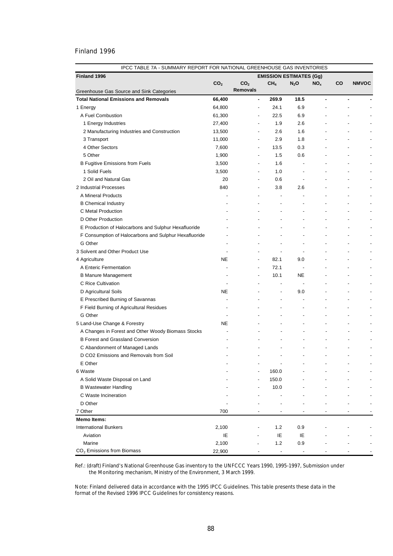| IPCC TABLE 7A - SUMMARY REPORT FOR NATIONAL GREENHOUSE GAS INVENTORIES |                 |                          |                                |                          |                 |                          |              |
|------------------------------------------------------------------------|-----------------|--------------------------|--------------------------------|--------------------------|-----------------|--------------------------|--------------|
| Finland 1996                                                           |                 |                          | <b>EMISSION ESTIMATES (Gg)</b> |                          |                 |                          |              |
|                                                                        | CO <sub>2</sub> | CO <sub>2</sub>          | CH <sub>4</sub>                | $N_2$ O                  | NO <sub>x</sub> | CO                       | <b>NMVOC</b> |
| Greenhouse Gas Source and Sink Categories                              |                 | <b>Removals</b>          |                                |                          |                 |                          |              |
| <b>Total National Emissions and Removals</b>                           | 66,400          | $\blacksquare$           | 269.9                          | 18.5                     | ä,              |                          |              |
| 1 Energy                                                               | 64,800          | $\overline{\phantom{0}}$ | 24.1                           | 6.9                      |                 |                          |              |
| A Fuel Combustion                                                      | 61,300          | $\overline{\phantom{a}}$ | 22.5                           | 6.9                      |                 |                          |              |
| 1 Energy Industries                                                    | 27,400          | $\overline{\phantom{a}}$ | 1.9                            | 2.6                      |                 |                          |              |
| 2 Manufacturing Industries and Construction                            | 13,500          | $\overline{\phantom{a}}$ | 2.6                            | 1.6                      |                 |                          |              |
| 3 Transport                                                            | 11,000          | $\overline{\phantom{0}}$ | 2.9                            | 1.8                      |                 |                          |              |
| 4 Other Sectors                                                        | 7,600           | ٠                        | 13.5                           | 0.3                      |                 |                          |              |
| 5 Other                                                                | 1,900           | ٠                        | 1.5                            | 0.6                      |                 |                          |              |
| <b>B Fugitive Emissions from Fuels</b>                                 | 3,500           | $\overline{a}$           | 1.6                            |                          |                 |                          |              |
| 1 Solid Fuels                                                          | 3,500           | $\overline{a}$           | 1.0                            | $\overline{a}$           |                 |                          |              |
| 2 Oil and Natural Gas                                                  | 20              | $\overline{a}$           | 0.6                            | $\overline{\phantom{a}}$ |                 |                          |              |
| 2 Industrial Processes                                                 | 840             |                          | 3.8                            | 2.6                      |                 |                          |              |
| A Mineral Products                                                     |                 | $\overline{a}$           | $\overline{\phantom{a}}$       |                          |                 |                          |              |
| <b>B</b> Chemical Industry                                             |                 |                          |                                |                          |                 |                          |              |
| C Metal Production                                                     |                 |                          |                                |                          |                 |                          |              |
| D Other Production                                                     |                 |                          |                                |                          |                 |                          |              |
| E Production of Halocarbons and Sulphur Hexafluoride                   |                 |                          |                                |                          |                 |                          |              |
| F Consumption of Halocarbons and Sulphur Hexafluoride                  |                 |                          |                                |                          |                 |                          |              |
| G Other                                                                |                 |                          |                                | $\overline{a}$           |                 |                          |              |
| 3 Solvent and Other Product Use                                        |                 |                          |                                | ÷,                       |                 |                          |              |
| 4 Agriculture                                                          | <b>NE</b>       | $\overline{\phantom{a}}$ | 82.1                           | 9.0                      |                 |                          |              |
| A Enteric Fermentation                                                 |                 | $\overline{\phantom{a}}$ | 72.1                           | $\overline{\phantom{a}}$ |                 |                          |              |
| <b>B Manure Management</b>                                             |                 | $\overline{\phantom{a}}$ | 10.1                           | <b>NE</b>                |                 |                          |              |
| C Rice Cultivation                                                     |                 | $\overline{\phantom{a}}$ |                                | $\overline{\phantom{a}}$ |                 |                          |              |
| D Agricultural Soils                                                   | <b>NE</b>       | $\overline{\phantom{a}}$ | $\overline{a}$                 | 9.0                      |                 | $\blacksquare$           |              |
| E Prescribed Burning of Savannas                                       |                 | $\overline{\phantom{0}}$ | $\overline{\phantom{a}}$       | ÷,                       |                 | $\overline{a}$           |              |
| F Field Burning of Agricultural Residues                               |                 |                          | $\overline{\phantom{a}}$       | $\overline{\phantom{a}}$ |                 | $\overline{\phantom{a}}$ |              |
| G Other                                                                |                 |                          |                                | $\overline{a}$           |                 | $\overline{\phantom{a}}$ |              |
| 5 Land-Use Change & Forestry                                           | <b>NE</b>       |                          |                                | $\overline{a}$           |                 | $\overline{\phantom{a}}$ |              |
| A Changes in Forest and Other Woody Biomass Stocks                     |                 |                          | $\overline{a}$                 |                          |                 | $\overline{\phantom{a}}$ |              |
| <b>B Forest and Grassland Conversion</b>                               |                 |                          |                                |                          |                 | ٠                        |              |
| C Abandonment of Managed Lands                                         |                 |                          |                                |                          |                 |                          |              |
| D CO2 Emissions and Removals from Soil                                 |                 |                          |                                | $\overline{a}$           |                 |                          |              |
| E Other                                                                |                 |                          |                                |                          |                 |                          |              |
|                                                                        |                 |                          |                                |                          |                 |                          |              |
| 6 Waste<br>A Solid Waste Disposal on Land                              |                 |                          | 160.0                          |                          |                 |                          |              |
|                                                                        |                 |                          | 150.0                          |                          |                 |                          |              |
| <b>B Wastewater Handling</b>                                           |                 |                          | 10.0                           |                          |                 |                          |              |
| C Waste Incineration                                                   |                 |                          |                                |                          |                 |                          |              |
| D Other                                                                |                 |                          |                                |                          |                 |                          |              |
| 7 Other                                                                | 700             |                          |                                |                          |                 |                          |              |
| <b>Memo Items:</b>                                                     |                 |                          |                                |                          |                 |                          |              |
| <b>International Bunkers</b>                                           | 2,100           |                          | 1.2                            | 0.9                      |                 |                          |              |
| Aviation                                                               | IE              |                          | IE                             | IE                       |                 |                          |              |
| Marine                                                                 | 2,100           |                          | $1.2$                          | 0.9                      |                 |                          |              |
| CO <sub>2</sub> Emissions from Biomass                                 | 22,900          |                          | $\overline{\phantom{a}}$       |                          |                 |                          |              |

Ref.: (draft) Finland's National Greenhouse Gas inventory to the UNFCCC Years 1990, 1995-1997, Submission under the Monitoring mechanism, Ministry of the Environment, 3 March 1999.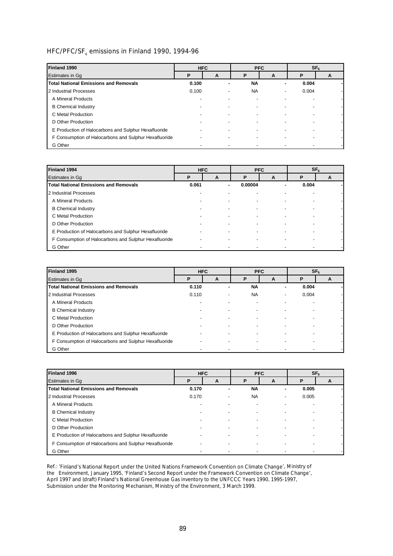# HFC/PFC/SF $_{6}$  emissions in Finland 1990, 1994-96

| Finland 1990                                          | <b>HFC</b>     |                          |           | <b>PFC</b> | SF <sub>6</sub> |   |  |
|-------------------------------------------------------|----------------|--------------------------|-----------|------------|-----------------|---|--|
| <b>Estimates in Gq</b>                                | D              | A                        | D         | A          | Р               | A |  |
| <b>Total National Emissions and Removals</b>          | 0.100          | ۰                        | <b>NA</b> |            | 0.004           |   |  |
| 2 Industrial Processes                                | 0.100          | ٠                        | <b>NA</b> |            | 0.004           |   |  |
| A Mineral Products                                    | -              |                          |           |            |                 |   |  |
| <b>B</b> Chemical Industry                            |                |                          |           |            |                 |   |  |
| C Metal Production                                    |                |                          |           |            |                 |   |  |
| D Other Production                                    |                |                          |           |            |                 |   |  |
| E Production of Halocarbons and Sulphur Hexafluoride  | $\overline{a}$ | ٠                        |           |            |                 |   |  |
| F Consumption of Halocarbons and Sulphur Hexafluoride | ۰              | $\overline{\phantom{0}}$ |           |            |                 |   |  |
| G Other                                               |                |                          |           |            |                 |   |  |

| Finland 1994                                          | <b>HFC</b><br><b>PFC</b> |   | SF <sub>6</sub> |       |   |   |
|-------------------------------------------------------|--------------------------|---|-----------------|-------|---|---|
| Estimates in Gq                                       | P                        | A | Р               | A     | Р | A |
| <b>Total National Emissions and Removals</b>          | 0.061                    | ۰ | 0.00004         | 0.004 |   |   |
| 2 Industrial Processes                                | ٠                        |   |                 |       |   |   |
| A Mineral Products                                    |                          |   |                 |       |   |   |
| <b>B</b> Chemical Industry                            |                          |   |                 |       |   |   |
| C Metal Production                                    |                          |   |                 |       |   |   |
| D Other Production                                    |                          |   |                 |       |   |   |
| E Production of Halocarbons and Sulphur Hexafluoride  |                          |   |                 |       |   |   |
| F Consumption of Halocarbons and Sulphur Hexafluoride |                          |   |                 |       |   |   |
| G Other                                               |                          |   |                 |       |   |   |

| Finland 1995                                          | <b>HFC</b> |             | <b>PFC</b> |   |       | SF <sub>6</sub> |
|-------------------------------------------------------|------------|-------------|------------|---|-------|-----------------|
| Estimates in Gq                                       | Р          | P<br>A<br>A |            | P | A     |                 |
| <b>Total National Emissions and Removals</b>          | 0.110      | ۰           | <b>NA</b>  |   | 0.004 |                 |
| 2 Industrial Processes                                | 0.110      | ٠           | <b>NA</b>  |   | 0.004 |                 |
| A Mineral Products                                    |            |             |            |   |       |                 |
| <b>B Chemical Industry</b>                            |            |             |            |   |       |                 |
| C Metal Production                                    |            |             |            |   |       |                 |
| D Other Production                                    |            |             |            |   |       |                 |
| E Production of Halocarbons and Sulphur Hexafluoride  |            |             |            |   |       |                 |
| F Consumption of Halocarbons and Sulphur Hexafluoride |            |             |            |   |       |                 |
| G Other                                               |            |             |            |   |       |                 |

| Finland 1996                                          | <b>HFC</b><br><b>PFC</b> |   | SF <sub>6</sub> |                          |       |  |
|-------------------------------------------------------|--------------------------|---|-----------------|--------------------------|-------|--|
| <b>Estimates in Gq</b>                                | Р<br>D<br>A<br>A         |   | P               | A                        |       |  |
| <b>Total National Emissions and Removals</b>          | 0.170                    | ٠ | <b>NA</b>       | ٠                        | 0.005 |  |
| 2 Industrial Processes                                | 0.170                    | ٠ | <b>NA</b>       | $\overline{\phantom{0}}$ | 0.005 |  |
| A Mineral Products                                    | $\overline{a}$           |   |                 |                          |       |  |
| <b>B</b> Chemical Industry                            |                          |   |                 |                          |       |  |
| C Metal Production                                    |                          |   |                 |                          |       |  |
| D Other Production                                    |                          |   |                 |                          |       |  |
| E Production of Halocarbons and Sulphur Hexafluoride  | ۰                        |   |                 |                          |       |  |
| F Consumption of Halocarbons and Sulphur Hexafluoride |                          | - |                 |                          |       |  |
| G Other                                               | $\blacksquare$           |   |                 |                          |       |  |

Ref.: '*Finland's National Report under the United Nations Framework Convention on Climate Change*', Ministry of the Environment, January 1995, '*Finland's Second Report under the Framework Convention on Climate Change*', April 1997 and (draft) Finland's National Greenhouse Gas inventory to the UNFCCC Years 1990, 1995-1997, Submission under the Monitoring Mechanism, Ministry of the Environment, 3 March 1999.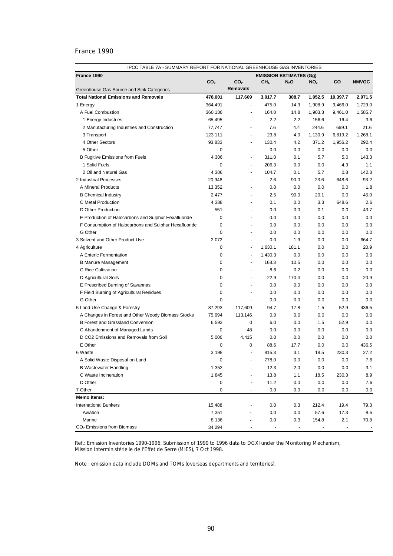| France 1990<br><b>EMISSION ESTIMATES (Gq)</b><br>CO <sub>2</sub><br>CO <sub>2</sub><br>CH <sub>4</sub><br>$N_2O$<br>NO <sub>x</sub><br>CO<br><b>NMVOC</b><br><b>Removals</b><br>Greenhouse Gas Source and Sink Categories<br>117,609<br>2,971.5<br><b>Total National Emissions and Removals</b><br>478,001<br>3,017.7<br>308.7<br>1,952.5<br>10,397.7<br>364,491<br>475.0<br>14.9<br>1,908.9<br>9,466.0<br>1,729.0<br>1 Energy<br>$\blacksquare$<br>A Fuel Combustion<br>360,186<br>164.0<br>14.8<br>1,903.3<br>1,585.7<br>9,461.0<br>$\overline{\phantom{m}}$<br>1 Energy Industries<br>2.2<br>2.2<br>156.6<br>16.4<br>3.6<br>65,495<br>7.6<br>21.6<br>77,747<br>4.4<br>244.6<br>669.1<br>2 Manufacturing Industries and Construction<br>ä,<br>3 Transport<br>123,111<br>23.8<br>4.0<br>1,130.9<br>6,819.2<br>1,268.1<br>٠<br>4 Other Sectors<br>93,833<br>130.4<br>4.2<br>371.2<br>1,956.2<br>292.4<br>٠<br>$\mathbf 0$<br>5 Other<br>0.0<br>0.0<br>0.0<br>0.0<br>0.0<br>٠<br><b>B Fugitive Emissions from Fuels</b><br>4,306<br>311.0<br>0.1<br>5.7<br>5.0<br>143.3<br>٠<br>1 Solid Fuels<br>0<br>206.3<br>0.0<br>4.3<br>1.1<br>0.0<br>142.3<br>2 Oil and Natural Gas<br>4,306<br>104.7<br>0.1<br>5.7<br>0.8<br>$\overline{\phantom{m}}$<br>93.2<br>2 Industrial Processes<br>20,948<br>2.6<br>90.0<br>23.6<br>648.6<br>$\overline{\phantom{0}}$<br>A Mineral Products<br>13,352<br>0.0<br>0.0<br>0.0<br>0.0<br>1.8<br><b>B</b> Chemical Industry<br>2,477<br>2.5<br>90.0<br>20.1<br>0.0<br>45.0<br>648.6<br>2.6<br>C Metal Production<br>4,388<br>0.1<br>0.0<br>3.3<br>ä,<br>551<br>D Other Production<br>0.0<br>0.0<br>0.1<br>0.0<br>43.7<br>٠<br>0.0<br>E Production of Halocarbons and Sulphur Hexafluoride<br>0<br>0.0<br>0.0<br>0.0<br>0.0<br>٠<br>$\mathbf 0$<br>0.0<br>F Consumption of Halocarbons and Sulphur Hexafluoride<br>0.0<br>0.0<br>0.0<br>0.0<br>÷ | IPCC TABLE 7A - SUMMARY REPORT FOR NATIONAL GREENHOUSE GAS INVENTORIES |  |  |  |  |  |       |  |
|--------------------------------------------------------------------------------------------------------------------------------------------------------------------------------------------------------------------------------------------------------------------------------------------------------------------------------------------------------------------------------------------------------------------------------------------------------------------------------------------------------------------------------------------------------------------------------------------------------------------------------------------------------------------------------------------------------------------------------------------------------------------------------------------------------------------------------------------------------------------------------------------------------------------------------------------------------------------------------------------------------------------------------------------------------------------------------------------------------------------------------------------------------------------------------------------------------------------------------------------------------------------------------------------------------------------------------------------------------------------------------------------------------------------------------------------------------------------------------------------------------------------------------------------------------------------------------------------------------------------------------------------------------------------------------------------------------------------------------------------------------------------------------------------------------------------------------------------------------------------------|------------------------------------------------------------------------|--|--|--|--|--|-------|--|
|                                                                                                                                                                                                                                                                                                                                                                                                                                                                                                                                                                                                                                                                                                                                                                                                                                                                                                                                                                                                                                                                                                                                                                                                                                                                                                                                                                                                                                                                                                                                                                                                                                                                                                                                                                                                                                                                          |                                                                        |  |  |  |  |  |       |  |
|                                                                                                                                                                                                                                                                                                                                                                                                                                                                                                                                                                                                                                                                                                                                                                                                                                                                                                                                                                                                                                                                                                                                                                                                                                                                                                                                                                                                                                                                                                                                                                                                                                                                                                                                                                                                                                                                          |                                                                        |  |  |  |  |  |       |  |
|                                                                                                                                                                                                                                                                                                                                                                                                                                                                                                                                                                                                                                                                                                                                                                                                                                                                                                                                                                                                                                                                                                                                                                                                                                                                                                                                                                                                                                                                                                                                                                                                                                                                                                                                                                                                                                                                          |                                                                        |  |  |  |  |  |       |  |
|                                                                                                                                                                                                                                                                                                                                                                                                                                                                                                                                                                                                                                                                                                                                                                                                                                                                                                                                                                                                                                                                                                                                                                                                                                                                                                                                                                                                                                                                                                                                                                                                                                                                                                                                                                                                                                                                          |                                                                        |  |  |  |  |  |       |  |
|                                                                                                                                                                                                                                                                                                                                                                                                                                                                                                                                                                                                                                                                                                                                                                                                                                                                                                                                                                                                                                                                                                                                                                                                                                                                                                                                                                                                                                                                                                                                                                                                                                                                                                                                                                                                                                                                          |                                                                        |  |  |  |  |  |       |  |
|                                                                                                                                                                                                                                                                                                                                                                                                                                                                                                                                                                                                                                                                                                                                                                                                                                                                                                                                                                                                                                                                                                                                                                                                                                                                                                                                                                                                                                                                                                                                                                                                                                                                                                                                                                                                                                                                          |                                                                        |  |  |  |  |  |       |  |
|                                                                                                                                                                                                                                                                                                                                                                                                                                                                                                                                                                                                                                                                                                                                                                                                                                                                                                                                                                                                                                                                                                                                                                                                                                                                                                                                                                                                                                                                                                                                                                                                                                                                                                                                                                                                                                                                          |                                                                        |  |  |  |  |  |       |  |
|                                                                                                                                                                                                                                                                                                                                                                                                                                                                                                                                                                                                                                                                                                                                                                                                                                                                                                                                                                                                                                                                                                                                                                                                                                                                                                                                                                                                                                                                                                                                                                                                                                                                                                                                                                                                                                                                          |                                                                        |  |  |  |  |  |       |  |
|                                                                                                                                                                                                                                                                                                                                                                                                                                                                                                                                                                                                                                                                                                                                                                                                                                                                                                                                                                                                                                                                                                                                                                                                                                                                                                                                                                                                                                                                                                                                                                                                                                                                                                                                                                                                                                                                          |                                                                        |  |  |  |  |  |       |  |
|                                                                                                                                                                                                                                                                                                                                                                                                                                                                                                                                                                                                                                                                                                                                                                                                                                                                                                                                                                                                                                                                                                                                                                                                                                                                                                                                                                                                                                                                                                                                                                                                                                                                                                                                                                                                                                                                          |                                                                        |  |  |  |  |  |       |  |
|                                                                                                                                                                                                                                                                                                                                                                                                                                                                                                                                                                                                                                                                                                                                                                                                                                                                                                                                                                                                                                                                                                                                                                                                                                                                                                                                                                                                                                                                                                                                                                                                                                                                                                                                                                                                                                                                          |                                                                        |  |  |  |  |  |       |  |
|                                                                                                                                                                                                                                                                                                                                                                                                                                                                                                                                                                                                                                                                                                                                                                                                                                                                                                                                                                                                                                                                                                                                                                                                                                                                                                                                                                                                                                                                                                                                                                                                                                                                                                                                                                                                                                                                          |                                                                        |  |  |  |  |  |       |  |
|                                                                                                                                                                                                                                                                                                                                                                                                                                                                                                                                                                                                                                                                                                                                                                                                                                                                                                                                                                                                                                                                                                                                                                                                                                                                                                                                                                                                                                                                                                                                                                                                                                                                                                                                                                                                                                                                          |                                                                        |  |  |  |  |  |       |  |
|                                                                                                                                                                                                                                                                                                                                                                                                                                                                                                                                                                                                                                                                                                                                                                                                                                                                                                                                                                                                                                                                                                                                                                                                                                                                                                                                                                                                                                                                                                                                                                                                                                                                                                                                                                                                                                                                          |                                                                        |  |  |  |  |  |       |  |
|                                                                                                                                                                                                                                                                                                                                                                                                                                                                                                                                                                                                                                                                                                                                                                                                                                                                                                                                                                                                                                                                                                                                                                                                                                                                                                                                                                                                                                                                                                                                                                                                                                                                                                                                                                                                                                                                          |                                                                        |  |  |  |  |  |       |  |
|                                                                                                                                                                                                                                                                                                                                                                                                                                                                                                                                                                                                                                                                                                                                                                                                                                                                                                                                                                                                                                                                                                                                                                                                                                                                                                                                                                                                                                                                                                                                                                                                                                                                                                                                                                                                                                                                          |                                                                        |  |  |  |  |  |       |  |
|                                                                                                                                                                                                                                                                                                                                                                                                                                                                                                                                                                                                                                                                                                                                                                                                                                                                                                                                                                                                                                                                                                                                                                                                                                                                                                                                                                                                                                                                                                                                                                                                                                                                                                                                                                                                                                                                          |                                                                        |  |  |  |  |  |       |  |
|                                                                                                                                                                                                                                                                                                                                                                                                                                                                                                                                                                                                                                                                                                                                                                                                                                                                                                                                                                                                                                                                                                                                                                                                                                                                                                                                                                                                                                                                                                                                                                                                                                                                                                                                                                                                                                                                          |                                                                        |  |  |  |  |  |       |  |
|                                                                                                                                                                                                                                                                                                                                                                                                                                                                                                                                                                                                                                                                                                                                                                                                                                                                                                                                                                                                                                                                                                                                                                                                                                                                                                                                                                                                                                                                                                                                                                                                                                                                                                                                                                                                                                                                          |                                                                        |  |  |  |  |  |       |  |
|                                                                                                                                                                                                                                                                                                                                                                                                                                                                                                                                                                                                                                                                                                                                                                                                                                                                                                                                                                                                                                                                                                                                                                                                                                                                                                                                                                                                                                                                                                                                                                                                                                                                                                                                                                                                                                                                          |                                                                        |  |  |  |  |  |       |  |
|                                                                                                                                                                                                                                                                                                                                                                                                                                                                                                                                                                                                                                                                                                                                                                                                                                                                                                                                                                                                                                                                                                                                                                                                                                                                                                                                                                                                                                                                                                                                                                                                                                                                                                                                                                                                                                                                          |                                                                        |  |  |  |  |  |       |  |
| G Other<br>$\mathbf 0$<br>0.0<br>0.0<br>0.0<br>0.0<br>0.0<br>ä,                                                                                                                                                                                                                                                                                                                                                                                                                                                                                                                                                                                                                                                                                                                                                                                                                                                                                                                                                                                                                                                                                                                                                                                                                                                                                                                                                                                                                                                                                                                                                                                                                                                                                                                                                                                                          |                                                                        |  |  |  |  |  |       |  |
| 3 Solvent and Other Product Use<br>2,072<br>0.0<br>1.9<br>0.0<br>0.0<br>664.7<br>÷                                                                                                                                                                                                                                                                                                                                                                                                                                                                                                                                                                                                                                                                                                                                                                                                                                                                                                                                                                                                                                                                                                                                                                                                                                                                                                                                                                                                                                                                                                                                                                                                                                                                                                                                                                                       |                                                                        |  |  |  |  |  |       |  |
| 20.9<br>4 Agriculture<br>0<br>1,630.1<br>181.1<br>0.0<br>0.0<br>$\overline{\phantom{a}}$                                                                                                                                                                                                                                                                                                                                                                                                                                                                                                                                                                                                                                                                                                                                                                                                                                                                                                                                                                                                                                                                                                                                                                                                                                                                                                                                                                                                                                                                                                                                                                                                                                                                                                                                                                                 |                                                                        |  |  |  |  |  |       |  |
| 0.0<br>A Enteric Fermentation<br>0<br>1,430.3<br>0.0<br>0.0<br>0.0<br>٠                                                                                                                                                                                                                                                                                                                                                                                                                                                                                                                                                                                                                                                                                                                                                                                                                                                                                                                                                                                                                                                                                                                                                                                                                                                                                                                                                                                                                                                                                                                                                                                                                                                                                                                                                                                                  |                                                                        |  |  |  |  |  |       |  |
| <b>B Manure Management</b><br>0<br>168.3<br>10.5<br>0.0<br>0.0<br>0.0<br>٠                                                                                                                                                                                                                                                                                                                                                                                                                                                                                                                                                                                                                                                                                                                                                                                                                                                                                                                                                                                                                                                                                                                                                                                                                                                                                                                                                                                                                                                                                                                                                                                                                                                                                                                                                                                               |                                                                        |  |  |  |  |  |       |  |
| 0.0<br>C Rice Cultivation<br>0<br>8.6<br>0.2<br>0.0<br>0.0                                                                                                                                                                                                                                                                                                                                                                                                                                                                                                                                                                                                                                                                                                                                                                                                                                                                                                                                                                                                                                                                                                                                                                                                                                                                                                                                                                                                                                                                                                                                                                                                                                                                                                                                                                                                               |                                                                        |  |  |  |  |  |       |  |
| $\mathbf 0$<br>22.9<br>170.4<br>20.9<br>D Agricultural Soils<br>0.0<br>0.0                                                                                                                                                                                                                                                                                                                                                                                                                                                                                                                                                                                                                                                                                                                                                                                                                                                                                                                                                                                                                                                                                                                                                                                                                                                                                                                                                                                                                                                                                                                                                                                                                                                                                                                                                                                               |                                                                        |  |  |  |  |  |       |  |
| 0.0<br>E Prescribed Burning of Savannas<br>0<br>0.0<br>0.0<br>0.0<br>0.0<br>٠                                                                                                                                                                                                                                                                                                                                                                                                                                                                                                                                                                                                                                                                                                                                                                                                                                                                                                                                                                                                                                                                                                                                                                                                                                                                                                                                                                                                                                                                                                                                                                                                                                                                                                                                                                                            |                                                                        |  |  |  |  |  |       |  |
| $\mathbf 0$<br>F Field Burning of Agricultural Residues<br>0.0<br>0.0<br>0.0<br>0.0<br>0.0                                                                                                                                                                                                                                                                                                                                                                                                                                                                                                                                                                                                                                                                                                                                                                                                                                                                                                                                                                                                                                                                                                                                                                                                                                                                                                                                                                                                                                                                                                                                                                                                                                                                                                                                                                               |                                                                        |  |  |  |  |  |       |  |
| G Other<br>0<br>0.0<br>0.0<br>0.0<br>0.0<br>0.0<br>$\blacksquare$                                                                                                                                                                                                                                                                                                                                                                                                                                                                                                                                                                                                                                                                                                                                                                                                                                                                                                                                                                                                                                                                                                                                                                                                                                                                                                                                                                                                                                                                                                                                                                                                                                                                                                                                                                                                        |                                                                        |  |  |  |  |  |       |  |
| 5 Land-Use Change & Forestry<br>87,293<br>117,609<br>94.7<br>17.8<br>52.9<br>436.5<br>1.5                                                                                                                                                                                                                                                                                                                                                                                                                                                                                                                                                                                                                                                                                                                                                                                                                                                                                                                                                                                                                                                                                                                                                                                                                                                                                                                                                                                                                                                                                                                                                                                                                                                                                                                                                                                |                                                                        |  |  |  |  |  |       |  |
| 0.0<br>A Changes in Forest and Other Woody Biomass Stocks<br>75,694<br>113,146<br>0.0<br>0.0<br>0.0<br>0.0                                                                                                                                                                                                                                                                                                                                                                                                                                                                                                                                                                                                                                                                                                                                                                                                                                                                                                                                                                                                                                                                                                                                                                                                                                                                                                                                                                                                                                                                                                                                                                                                                                                                                                                                                               |                                                                        |  |  |  |  |  |       |  |
| 0.0<br>B Forest and Grassland Conversion<br>6,593<br>0<br>6.0<br>0.0<br>1.5<br>52.9                                                                                                                                                                                                                                                                                                                                                                                                                                                                                                                                                                                                                                                                                                                                                                                                                                                                                                                                                                                                                                                                                                                                                                                                                                                                                                                                                                                                                                                                                                                                                                                                                                                                                                                                                                                      |                                                                        |  |  |  |  |  |       |  |
| C Abandonment of Managed Lands<br>0<br>48<br>0.0<br>0.0<br>0.0<br>0.0<br>0.0                                                                                                                                                                                                                                                                                                                                                                                                                                                                                                                                                                                                                                                                                                                                                                                                                                                                                                                                                                                                                                                                                                                                                                                                                                                                                                                                                                                                                                                                                                                                                                                                                                                                                                                                                                                             |                                                                        |  |  |  |  |  |       |  |
| D CO2 Emissions and Removals from Soil<br>5,006<br>4,415<br>0.0<br>0.0<br>0.0<br>0.0<br>0.0                                                                                                                                                                                                                                                                                                                                                                                                                                                                                                                                                                                                                                                                                                                                                                                                                                                                                                                                                                                                                                                                                                                                                                                                                                                                                                                                                                                                                                                                                                                                                                                                                                                                                                                                                                              |                                                                        |  |  |  |  |  |       |  |
| E Other<br>88.6<br>$\mathbf 0$<br>0<br>17.7<br>0.0<br>0.0                                                                                                                                                                                                                                                                                                                                                                                                                                                                                                                                                                                                                                                                                                                                                                                                                                                                                                                                                                                                                                                                                                                                                                                                                                                                                                                                                                                                                                                                                                                                                                                                                                                                                                                                                                                                                |                                                                        |  |  |  |  |  | 436.5 |  |
| 3,198<br>815.3<br>3.1<br>18.5<br>230.3<br>27.2<br>6 Waste<br>$\ddot{\phantom{1}}$                                                                                                                                                                                                                                                                                                                                                                                                                                                                                                                                                                                                                                                                                                                                                                                                                                                                                                                                                                                                                                                                                                                                                                                                                                                                                                                                                                                                                                                                                                                                                                                                                                                                                                                                                                                        |                                                                        |  |  |  |  |  |       |  |
| 778.0<br>$0.0\,$<br>$0.0\,$<br>A Solid Waste Disposal on Land<br>0                                                                                                                                                                                                                                                                                                                                                                                                                                                                                                                                                                                                                                                                                                                                                                                                                                                                                                                                                                                                                                                                                                                                                                                                                                                                                                                                                                                                                                                                                                                                                                                                                                                                                                                                                                                                       |                                                                        |  |  |  |  |  | 7.6   |  |
| 0.0<br><b>B Wastewater Handling</b><br>1,352                                                                                                                                                                                                                                                                                                                                                                                                                                                                                                                                                                                                                                                                                                                                                                                                                                                                                                                                                                                                                                                                                                                                                                                                                                                                                                                                                                                                                                                                                                                                                                                                                                                                                                                                                                                                                             |                                                                        |  |  |  |  |  | 3.1   |  |
| 12.3<br>2.0<br>0.0<br>0.0                                                                                                                                                                                                                                                                                                                                                                                                                                                                                                                                                                                                                                                                                                                                                                                                                                                                                                                                                                                                                                                                                                                                                                                                                                                                                                                                                                                                                                                                                                                                                                                                                                                                                                                                                                                                                                                |                                                                        |  |  |  |  |  |       |  |
| 1,845<br>13.8<br>C Waste Incineration<br>1.1<br>18.5<br>230.3<br>D Other<br>0<br>11.2<br>$0.0\,$<br>$0.0\,$                                                                                                                                                                                                                                                                                                                                                                                                                                                                                                                                                                                                                                                                                                                                                                                                                                                                                                                                                                                                                                                                                                                                                                                                                                                                                                                                                                                                                                                                                                                                                                                                                                                                                                                                                              |                                                                        |  |  |  |  |  | 8.9   |  |
| 0.0<br>0                                                                                                                                                                                                                                                                                                                                                                                                                                                                                                                                                                                                                                                                                                                                                                                                                                                                                                                                                                                                                                                                                                                                                                                                                                                                                                                                                                                                                                                                                                                                                                                                                                                                                                                                                                                                                                                                 |                                                                        |  |  |  |  |  | 7.6   |  |
| 7 Other<br>0.0<br>0.0<br>0.0<br>0.0<br>$\overline{\phantom{a}}$<br><b>Memo Items:</b>                                                                                                                                                                                                                                                                                                                                                                                                                                                                                                                                                                                                                                                                                                                                                                                                                                                                                                                                                                                                                                                                                                                                                                                                                                                                                                                                                                                                                                                                                                                                                                                                                                                                                                                                                                                    |                                                                        |  |  |  |  |  | 0.0   |  |
| <b>International Bunkers</b><br>15,488<br>0.0<br>19.4                                                                                                                                                                                                                                                                                                                                                                                                                                                                                                                                                                                                                                                                                                                                                                                                                                                                                                                                                                                                                                                                                                                                                                                                                                                                                                                                                                                                                                                                                                                                                                                                                                                                                                                                                                                                                    |                                                                        |  |  |  |  |  | 79.3  |  |
| 0.3<br>212.4<br>Aviation                                                                                                                                                                                                                                                                                                                                                                                                                                                                                                                                                                                                                                                                                                                                                                                                                                                                                                                                                                                                                                                                                                                                                                                                                                                                                                                                                                                                                                                                                                                                                                                                                                                                                                                                                                                                                                                 |                                                                        |  |  |  |  |  |       |  |
| 7,351<br>0.0<br>0.0<br>57.6<br>17.3<br>Marine<br>8,136<br>2.1                                                                                                                                                                                                                                                                                                                                                                                                                                                                                                                                                                                                                                                                                                                                                                                                                                                                                                                                                                                                                                                                                                                                                                                                                                                                                                                                                                                                                                                                                                                                                                                                                                                                                                                                                                                                            |                                                                        |  |  |  |  |  | 8.5   |  |
| 0.0<br>0.3<br>154.8<br>CO <sub>2</sub> Emissions from Biomass<br>34,294                                                                                                                                                                                                                                                                                                                                                                                                                                                                                                                                                                                                                                                                                                                                                                                                                                                                                                                                                                                                                                                                                                                                                                                                                                                                                                                                                                                                                                                                                                                                                                                                                                                                                                                                                                                                  |                                                                        |  |  |  |  |  | 70.8  |  |

Ref.: Emission Inventories 1990-1996, Submission of 1990 to 1996 data to DGXI under the Monitoring Mechanism, Mission Interministérielle de l'Effet de Serre (MIES), 7 Oct 1998.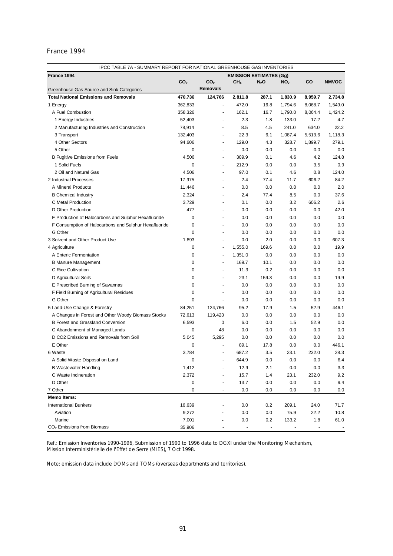|                                                       |                 |                          | IPCC TABLE 7A - SUMMARY REPORT FOR NATIONAL GREENHOUSE GAS INVENTORIES |                |                 |                |              |  |
|-------------------------------------------------------|-----------------|--------------------------|------------------------------------------------------------------------|----------------|-----------------|----------------|--------------|--|
| France 1994                                           |                 |                          | <b>EMISSION ESTIMATES (Gg)</b>                                         |                |                 |                |              |  |
|                                                       | CO <sub>2</sub> | CO <sub>2</sub>          | CH <sub>4</sub>                                                        | $N_2O$         | NO <sub>x</sub> | CO             | <b>NMVOC</b> |  |
| Greenhouse Gas Source and Sink Categories             |                 | <b>Removals</b>          |                                                                        |                |                 |                |              |  |
| <b>Total National Emissions and Removals</b>          | 470,736         | 124,766                  | 2,811.8                                                                | 287.1          | 1,830.9         | 8,959.7        | 2,734.8      |  |
| 1 Energy                                              | 362,833         | $\blacksquare$           | 472.0                                                                  | 16.8           | 1,794.6         | 8,068.7        | 1,549.0      |  |
| A Fuel Combustion                                     | 358,326         | $\blacksquare$           | 162.1                                                                  | 16.7           | 1,790.0         | 8,064.4        | 1,424.2      |  |
| 1 Energy Industries                                   | 52,403          |                          | 2.3                                                                    | 1.8            | 133.0           | 17.2           | 4.7          |  |
| 2 Manufacturing Industries and Construction           | 78,914          | ٠                        | 8.5                                                                    | 4.5            | 241.0           | 634.0          | 22.2         |  |
| 3 Transport                                           | 132,403         | ä,                       | 22.3                                                                   | 6.1            | 1,087.4         | 5,513.6        | 1,118.3      |  |
| 4 Other Sectors                                       | 94,606          | $\overline{\phantom{a}}$ | 129.0                                                                  | 4.3            | 328.7           | 1,899.7        | 279.1        |  |
| 5 Other                                               | 0               | $\blacksquare$           | 0.0                                                                    | 0.0            | 0.0             | 0.0            | 0.0          |  |
| <b>B Fugitive Emissions from Fuels</b>                | 4,506           | ÷                        | 309.9                                                                  | 0.1            | 4.6             | 4.2            | 124.8        |  |
| 1 Solid Fuels                                         | 0               | $\blacksquare$           | 212.9                                                                  | 0.0            | 0.0             | 3.5            | 0.9          |  |
| 2 Oil and Natural Gas                                 | 4,506           | $\blacksquare$           | 97.0                                                                   | 0.1            | 4.6             | 0.8            | 124.0        |  |
| 2 Industrial Processes                                | 17,975          | $\overline{\phantom{a}}$ | 2.4                                                                    | 77.4           | 11.7            | 606.2          | 84.2         |  |
| A Mineral Products                                    | 11,446          | $\blacksquare$           | 0.0                                                                    | 0.0            | 0.0             | 0.0            | 2.0          |  |
| <b>B</b> Chemical Industry                            | 2,324           |                          | 2.4                                                                    | 77.4           | 8.5             | 0.0            | 37.6         |  |
| C Metal Production                                    | 3,729           |                          | 0.1                                                                    | 0.0            | 3.2             | 606.2          | 2.6          |  |
| D Other Production                                    | 477             | $\blacksquare$           | 0.0                                                                    | 0.0            | 0.0             | 0.0            | 42.0         |  |
| E Production of Halocarbons and Sulphur Hexafluoride  | 0               | $\sim$                   | 0.0                                                                    | 0.0            | 0.0             | 0.0            | 0.0          |  |
| F Consumption of Halocarbons and Sulphur Hexafluoride | 0               |                          | 0.0                                                                    | 0.0            | 0.0             | 0.0            | 0.0          |  |
| G Other                                               | 0               |                          | 0.0                                                                    | 0.0            | 0.0             | 0.0            | 0.0          |  |
| 3 Solvent and Other Product Use                       | 1,893           | ÷,                       | 0.0                                                                    | 2.0            | 0.0             | 0.0            | 607.3        |  |
| 4 Agriculture                                         | 0               | $\overline{a}$           | 1,555.0                                                                | 169.6          | 0.0             | 0.0            | 19.9         |  |
| A Enteric Fermentation                                | 0               | $\overline{\phantom{a}}$ | 1,351.0                                                                | 0.0            | 0.0             | 0.0            | 0.0          |  |
| <b>B Manure Management</b>                            | 0               | $\overline{\phantom{a}}$ | 169.7                                                                  | 10.1           | 0.0             | 0.0            | 0.0          |  |
| C Rice Cultivation                                    | 0               | $\blacksquare$           | 11.3                                                                   | 0.2            | 0.0             | 0.0            | 0.0          |  |
| D Agricultural Soils                                  | 0               |                          | 23.1                                                                   | 159.3          | 0.0             | 0.0            | 19.9         |  |
| E Prescribed Burning of Savannas                      | 0               |                          | 0.0                                                                    | 0.0            | 0.0             | 0.0            | 0.0          |  |
| F Field Burning of Agricultural Residues              | 0               | $\blacksquare$           | 0.0                                                                    | 0.0            | 0.0             | 0.0            | 0.0          |  |
| G Other                                               | 0               | $\blacksquare$           | 0.0                                                                    | 0.0            | 0.0             | 0.0            | 0.0          |  |
| 5 Land-Use Change & Forestry                          | 84,251          | 124,766                  | 95.2                                                                   | 17.9           | 1.5             | 52.9           | 446.1        |  |
| A Changes in Forest and Other Woody Biomass Stocks    | 72,613          | 119,423                  | 0.0                                                                    | 0.0            | 0.0             | 0.0            | 0.0          |  |
| <b>B Forest and Grassland Conversion</b>              | 6,593           | 0                        | 6.0                                                                    | 0.0            | 1.5             | 52.9           | 0.0          |  |
| C Abandonment of Managed Lands                        | 0               | 48                       | 0.0                                                                    | 0.0            | 0.0             | 0.0            | 0.0          |  |
| D CO2 Emissions and Removals from Soil                | 5,045           | 5,295                    | 0.0                                                                    | 0.0            | 0.0             | 0.0            | 0.0          |  |
| E Other                                               | 0               |                          | 89.1                                                                   | 17.8           | 0.0             | 0.0            | 446.1        |  |
| 6 Waste                                               | 3,784           |                          | 687.2                                                                  | 3.5            | 23.1            | 232.0          | 28.3         |  |
| A Solid Waste Disposal on Land                        |                 |                          | 644.9                                                                  | 0.0            | 0.0             | 0.0            | 6.4          |  |
| <b>B Wastewater Handling</b>                          | U<br>1,412      | ÷                        | 12.9                                                                   | 2.1            | 0.0             | 0.0            | 3.3          |  |
| C Waste Incineration                                  | 2,372           |                          | 15.7                                                                   |                | 23.1            | 232.0          |              |  |
|                                                       |                 | $\blacksquare$           |                                                                        | 1.4            |                 |                | 9.2          |  |
| D Other<br>7 Other                                    | 0               |                          | 13.7                                                                   | 0.0            | 0.0             | 0.0            | 9.4          |  |
|                                                       | 0               | $\overline{\phantom{a}}$ | 0.0                                                                    | 0.0            | 0.0             | 0.0            | 0.0          |  |
| Memo Items:                                           |                 |                          |                                                                        |                |                 |                |              |  |
| <b>International Bunkers</b><br>Aviation              | 16,639          |                          | 0.0                                                                    | $0.2\,$        | 209.1           | 24.0           | 71.7         |  |
|                                                       | 9,272           |                          | 0.0                                                                    | 0.0            | 75.9            | 22.2           | 10.8         |  |
| Marine                                                | 7,001           |                          | 0.0                                                                    | 0.2            | 133.2           | 1.8            | 61.0         |  |
| $CO2$ Emissions from Biomass                          | 35,906          |                          |                                                                        | $\blacksquare$ |                 | $\blacksquare$ |              |  |

Ref.: Emission Inventories 1990-1996, Submission of 1990 to 1996 data to DGXI under the Monitoring Mechanism, Mission Interministérielle de l'Effet de Serre (MIES), 7 Oct 1998.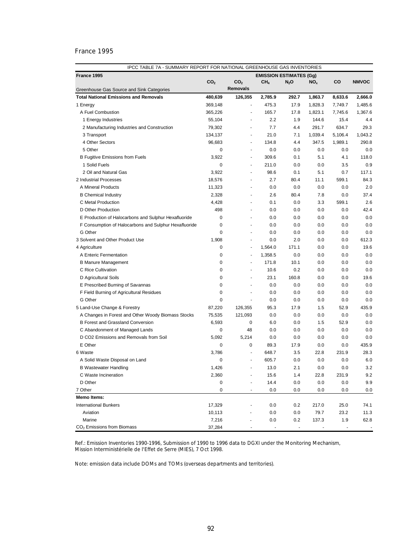| France 1995<br><b>EMISSION ESTIMATES (Gg)</b><br>CO <sub>2</sub><br>CO <sub>2</sub><br>CH <sub>4</sub><br>$N_2O$<br>NO <sub>x</sub><br>CO<br><b>NMVOC</b><br><b>Removals</b><br>Greenhouse Gas Source and Sink Categories<br>126,355<br><b>Total National Emissions and Removals</b><br>480,639<br>2,785.9<br>292.7<br>1,863.7<br>8,633.6<br>2,666.0<br>369,148<br>475.3<br>17.9<br>1,828.3<br>7,749.7<br>1,485.6<br>1 Energy<br>$\blacksquare$<br>A Fuel Combustion<br>365,226<br>165.7<br>17.8<br>1,823.1<br>1,367.6<br>7,745.6<br>$\overline{\phantom{m}}$<br>1 Energy Industries<br>55,104<br>2.2<br>1.9<br>144.6<br>15.4<br>4.4<br>٠<br>7.7<br>79,302<br>4.4<br>291.7<br>634.7<br>29.3<br>2 Manufacturing Industries and Construction<br>ä,<br>3 Transport<br>134,137<br>21.0<br>7.1<br>1,039.4<br>5,106.4<br>1,043.2<br>٠<br>4 Other Sectors<br>96,683<br>134.8<br>4.4<br>347.5<br>1,989.1<br>290.8<br>٠<br>$\mathbf 0$<br>5 Other<br>0.0<br>0.0<br>0.0<br>0.0<br>0.0<br>٠<br><b>B Fugitive Emissions from Fuels</b><br>3,922<br>309.6<br>0.1<br>5.1<br>4.1<br>118.0<br>٠<br>1 Solid Fuels<br>0<br>211.0<br>0.0<br>0.0<br>0.9<br>3.5<br>2 Oil and Natural Gas<br>3,922<br>98.6<br>0.1<br>5.1<br>0.7<br>117.1<br>٠<br>2.7<br>84.3<br>2 Industrial Processes<br>18,576<br>80.4<br>11.1<br>599.1<br>$\overline{\phantom{0}}$<br>A Mineral Products<br>11,323<br>0.0<br>0.0<br>0.0<br>0.0<br>2.0<br><b>B</b> Chemical Industry<br>2,328<br>2.6<br>80.4<br>7.8<br>0.0<br>37.4<br>٠<br>599.1<br>2.6<br>C Metal Production<br>4,428<br>0.1<br>0.0<br>3.3<br>٠<br>D Other Production<br>498<br>0.0<br>0.0<br>0.0<br>0.0<br>42.4<br>٠<br>0.0<br>E Production of Halocarbons and Sulphur Hexafluoride<br>0<br>0.0<br>0.0<br>0.0<br>0.0<br>٠<br>$\mathbf 0$<br>0.0<br>F Consumption of Halocarbons and Sulphur Hexafluoride<br>0.0<br>0.0<br>0.0<br>0.0<br>÷<br>G Other<br>0.0<br>$\mathbf 0$<br>0.0<br>0.0<br>0.0<br>0.0<br>ä,<br>612.3<br>3 Solvent and Other Product Use<br>1.908<br>0.0<br>2.0<br>0.0<br>0.0<br>÷<br>19.6<br>4 Agriculture<br>0<br>1,564.0<br>171.1<br>0.0<br>0.0<br>$\blacksquare$<br>0.0<br>A Enteric Fermentation<br>0<br>1,358.5<br>0.0<br>0.0<br>0.0<br>٠<br><b>B Manure Management</b><br>0<br>171.8<br>10.1<br>0.0<br>0.0<br>0.0<br>٠<br>0.0<br>C Rice Cultivation<br>0<br>10.6<br>0.2<br>0.0<br>0.0<br>$\mathbf 0$<br>23.1<br>160.8<br>D Agricultural Soils<br>0.0<br>0.0<br>19.6<br>0.0<br>E Prescribed Burning of Savannas<br>0<br>0.0<br>0.0<br>0.0<br>0.0<br>٠<br>$\mathbf 0$<br>F Field Burning of Agricultural Residues<br>0.0<br>0.0<br>0.0<br>0.0<br>0.0<br>G Other<br>0<br>0.0<br>0.0<br>0.0<br>0.0<br>0.0<br>$\blacksquare$<br>5 Land-Use Change & Forestry<br>87,220<br>126,355<br>95.3<br>17.9<br>52.9<br>435.9<br>1.5<br>0.0<br>A Changes in Forest and Other Woody Biomass Stocks<br>75,535<br>121,093<br>0.0<br>0.0<br>0.0<br>0.0<br>0.0<br>B Forest and Grassland Conversion<br>6,593<br>0<br>6.0<br>0.0<br>1.5<br>52.9<br>C Abandonment of Managed Lands<br>0<br>48<br>0.0<br>0.0<br>0.0<br>0.0<br>0.0<br>D CO2 Emissions and Removals from Soil<br>5,092<br>5,214<br>0.0<br>0.0<br>0.0<br>0.0<br>0.0<br>E Other<br>89.3<br>435.9<br>0<br>0<br>17.9<br>0.0<br>0.0<br>3,786<br>648.7<br>3.5<br>22.8<br>231.9<br>28.3<br>6 Waste<br>$\blacksquare$<br>605.7<br>$0.0\,$<br>$0.0\,$<br>$6.0\,$<br>A Solid Waste Disposal on Land<br>0.0<br><b>B Wastewater Handling</b><br>1,426<br>13.0<br>2.1<br>0.0<br>0.0<br>3.2<br>2,360<br>15.6<br>1.4<br>22.8<br>9.2<br>C Waste Incineration<br>231.9<br>D Other<br>0<br>14.4<br>$0.0\,$<br>$0.0\,$<br>0.0<br>9.9<br>7 Other<br>0<br>0.0<br>0.0<br>0.0<br>0.0<br>0.0<br>$\overline{\phantom{a}}$<br><b>Memo Items:</b><br>17,329<br><b>International Bunkers</b><br>0.0<br>0.2<br>217.0<br>25.0<br>74.1<br>79.7<br>23.2<br>Aviation<br>10,113<br>0.0<br>0.0<br>11.3 | IPCC TABLE 7A - SUMMARY REPORT FOR NATIONAL GREENHOUSE GAS INVENTORIES |  |  |  |  |  |  |  |  |
|------------------------------------------------------------------------------------------------------------------------------------------------------------------------------------------------------------------------------------------------------------------------------------------------------------------------------------------------------------------------------------------------------------------------------------------------------------------------------------------------------------------------------------------------------------------------------------------------------------------------------------------------------------------------------------------------------------------------------------------------------------------------------------------------------------------------------------------------------------------------------------------------------------------------------------------------------------------------------------------------------------------------------------------------------------------------------------------------------------------------------------------------------------------------------------------------------------------------------------------------------------------------------------------------------------------------------------------------------------------------------------------------------------------------------------------------------------------------------------------------------------------------------------------------------------------------------------------------------------------------------------------------------------------------------------------------------------------------------------------------------------------------------------------------------------------------------------------------------------------------------------------------------------------------------------------------------------------------------------------------------------------------------------------------------------------------------------------------------------------------------------------------------------------------------------------------------------------------------------------------------------------------------------------------------------------------------------------------------------------------------------------------------------------------------------------------------------------------------------------------------------------------------------------------------------------------------------------------------------------------------------------------------------------------------------------------------------------------------------------------------------------------------------------------------------------------------------------------------------------------------------------------------------------------------------------------------------------------------------------------------------------------------------------------------------------------------------------------------------------------------------------------------------------------------------------------------------------------------------------------------------------------------------------------------------------------------------------------------------------------------------------------------------------------------------------------------------------------------------------------------------------------------------------------------------------------------------------------------------------------------------------------------------------------------------------------------------------------------------------------------------------------------------------------------------------------------------------------|------------------------------------------------------------------------|--|--|--|--|--|--|--|--|
|                                                                                                                                                                                                                                                                                                                                                                                                                                                                                                                                                                                                                                                                                                                                                                                                                                                                                                                                                                                                                                                                                                                                                                                                                                                                                                                                                                                                                                                                                                                                                                                                                                                                                                                                                                                                                                                                                                                                                                                                                                                                                                                                                                                                                                                                                                                                                                                                                                                                                                                                                                                                                                                                                                                                                                                                                                                                                                                                                                                                                                                                                                                                                                                                                                                                                                                                                                                                                                                                                                                                                                                                                                                                                                                                                                                                                                                |                                                                        |  |  |  |  |  |  |  |  |
|                                                                                                                                                                                                                                                                                                                                                                                                                                                                                                                                                                                                                                                                                                                                                                                                                                                                                                                                                                                                                                                                                                                                                                                                                                                                                                                                                                                                                                                                                                                                                                                                                                                                                                                                                                                                                                                                                                                                                                                                                                                                                                                                                                                                                                                                                                                                                                                                                                                                                                                                                                                                                                                                                                                                                                                                                                                                                                                                                                                                                                                                                                                                                                                                                                                                                                                                                                                                                                                                                                                                                                                                                                                                                                                                                                                                                                                |                                                                        |  |  |  |  |  |  |  |  |
|                                                                                                                                                                                                                                                                                                                                                                                                                                                                                                                                                                                                                                                                                                                                                                                                                                                                                                                                                                                                                                                                                                                                                                                                                                                                                                                                                                                                                                                                                                                                                                                                                                                                                                                                                                                                                                                                                                                                                                                                                                                                                                                                                                                                                                                                                                                                                                                                                                                                                                                                                                                                                                                                                                                                                                                                                                                                                                                                                                                                                                                                                                                                                                                                                                                                                                                                                                                                                                                                                                                                                                                                                                                                                                                                                                                                                                                |                                                                        |  |  |  |  |  |  |  |  |
|                                                                                                                                                                                                                                                                                                                                                                                                                                                                                                                                                                                                                                                                                                                                                                                                                                                                                                                                                                                                                                                                                                                                                                                                                                                                                                                                                                                                                                                                                                                                                                                                                                                                                                                                                                                                                                                                                                                                                                                                                                                                                                                                                                                                                                                                                                                                                                                                                                                                                                                                                                                                                                                                                                                                                                                                                                                                                                                                                                                                                                                                                                                                                                                                                                                                                                                                                                                                                                                                                                                                                                                                                                                                                                                                                                                                                                                |                                                                        |  |  |  |  |  |  |  |  |
|                                                                                                                                                                                                                                                                                                                                                                                                                                                                                                                                                                                                                                                                                                                                                                                                                                                                                                                                                                                                                                                                                                                                                                                                                                                                                                                                                                                                                                                                                                                                                                                                                                                                                                                                                                                                                                                                                                                                                                                                                                                                                                                                                                                                                                                                                                                                                                                                                                                                                                                                                                                                                                                                                                                                                                                                                                                                                                                                                                                                                                                                                                                                                                                                                                                                                                                                                                                                                                                                                                                                                                                                                                                                                                                                                                                                                                                |                                                                        |  |  |  |  |  |  |  |  |
|                                                                                                                                                                                                                                                                                                                                                                                                                                                                                                                                                                                                                                                                                                                                                                                                                                                                                                                                                                                                                                                                                                                                                                                                                                                                                                                                                                                                                                                                                                                                                                                                                                                                                                                                                                                                                                                                                                                                                                                                                                                                                                                                                                                                                                                                                                                                                                                                                                                                                                                                                                                                                                                                                                                                                                                                                                                                                                                                                                                                                                                                                                                                                                                                                                                                                                                                                                                                                                                                                                                                                                                                                                                                                                                                                                                                                                                |                                                                        |  |  |  |  |  |  |  |  |
|                                                                                                                                                                                                                                                                                                                                                                                                                                                                                                                                                                                                                                                                                                                                                                                                                                                                                                                                                                                                                                                                                                                                                                                                                                                                                                                                                                                                                                                                                                                                                                                                                                                                                                                                                                                                                                                                                                                                                                                                                                                                                                                                                                                                                                                                                                                                                                                                                                                                                                                                                                                                                                                                                                                                                                                                                                                                                                                                                                                                                                                                                                                                                                                                                                                                                                                                                                                                                                                                                                                                                                                                                                                                                                                                                                                                                                                |                                                                        |  |  |  |  |  |  |  |  |
|                                                                                                                                                                                                                                                                                                                                                                                                                                                                                                                                                                                                                                                                                                                                                                                                                                                                                                                                                                                                                                                                                                                                                                                                                                                                                                                                                                                                                                                                                                                                                                                                                                                                                                                                                                                                                                                                                                                                                                                                                                                                                                                                                                                                                                                                                                                                                                                                                                                                                                                                                                                                                                                                                                                                                                                                                                                                                                                                                                                                                                                                                                                                                                                                                                                                                                                                                                                                                                                                                                                                                                                                                                                                                                                                                                                                                                                |                                                                        |  |  |  |  |  |  |  |  |
|                                                                                                                                                                                                                                                                                                                                                                                                                                                                                                                                                                                                                                                                                                                                                                                                                                                                                                                                                                                                                                                                                                                                                                                                                                                                                                                                                                                                                                                                                                                                                                                                                                                                                                                                                                                                                                                                                                                                                                                                                                                                                                                                                                                                                                                                                                                                                                                                                                                                                                                                                                                                                                                                                                                                                                                                                                                                                                                                                                                                                                                                                                                                                                                                                                                                                                                                                                                                                                                                                                                                                                                                                                                                                                                                                                                                                                                |                                                                        |  |  |  |  |  |  |  |  |
|                                                                                                                                                                                                                                                                                                                                                                                                                                                                                                                                                                                                                                                                                                                                                                                                                                                                                                                                                                                                                                                                                                                                                                                                                                                                                                                                                                                                                                                                                                                                                                                                                                                                                                                                                                                                                                                                                                                                                                                                                                                                                                                                                                                                                                                                                                                                                                                                                                                                                                                                                                                                                                                                                                                                                                                                                                                                                                                                                                                                                                                                                                                                                                                                                                                                                                                                                                                                                                                                                                                                                                                                                                                                                                                                                                                                                                                |                                                                        |  |  |  |  |  |  |  |  |
|                                                                                                                                                                                                                                                                                                                                                                                                                                                                                                                                                                                                                                                                                                                                                                                                                                                                                                                                                                                                                                                                                                                                                                                                                                                                                                                                                                                                                                                                                                                                                                                                                                                                                                                                                                                                                                                                                                                                                                                                                                                                                                                                                                                                                                                                                                                                                                                                                                                                                                                                                                                                                                                                                                                                                                                                                                                                                                                                                                                                                                                                                                                                                                                                                                                                                                                                                                                                                                                                                                                                                                                                                                                                                                                                                                                                                                                |                                                                        |  |  |  |  |  |  |  |  |
|                                                                                                                                                                                                                                                                                                                                                                                                                                                                                                                                                                                                                                                                                                                                                                                                                                                                                                                                                                                                                                                                                                                                                                                                                                                                                                                                                                                                                                                                                                                                                                                                                                                                                                                                                                                                                                                                                                                                                                                                                                                                                                                                                                                                                                                                                                                                                                                                                                                                                                                                                                                                                                                                                                                                                                                                                                                                                                                                                                                                                                                                                                                                                                                                                                                                                                                                                                                                                                                                                                                                                                                                                                                                                                                                                                                                                                                |                                                                        |  |  |  |  |  |  |  |  |
|                                                                                                                                                                                                                                                                                                                                                                                                                                                                                                                                                                                                                                                                                                                                                                                                                                                                                                                                                                                                                                                                                                                                                                                                                                                                                                                                                                                                                                                                                                                                                                                                                                                                                                                                                                                                                                                                                                                                                                                                                                                                                                                                                                                                                                                                                                                                                                                                                                                                                                                                                                                                                                                                                                                                                                                                                                                                                                                                                                                                                                                                                                                                                                                                                                                                                                                                                                                                                                                                                                                                                                                                                                                                                                                                                                                                                                                |                                                                        |  |  |  |  |  |  |  |  |
|                                                                                                                                                                                                                                                                                                                                                                                                                                                                                                                                                                                                                                                                                                                                                                                                                                                                                                                                                                                                                                                                                                                                                                                                                                                                                                                                                                                                                                                                                                                                                                                                                                                                                                                                                                                                                                                                                                                                                                                                                                                                                                                                                                                                                                                                                                                                                                                                                                                                                                                                                                                                                                                                                                                                                                                                                                                                                                                                                                                                                                                                                                                                                                                                                                                                                                                                                                                                                                                                                                                                                                                                                                                                                                                                                                                                                                                |                                                                        |  |  |  |  |  |  |  |  |
|                                                                                                                                                                                                                                                                                                                                                                                                                                                                                                                                                                                                                                                                                                                                                                                                                                                                                                                                                                                                                                                                                                                                                                                                                                                                                                                                                                                                                                                                                                                                                                                                                                                                                                                                                                                                                                                                                                                                                                                                                                                                                                                                                                                                                                                                                                                                                                                                                                                                                                                                                                                                                                                                                                                                                                                                                                                                                                                                                                                                                                                                                                                                                                                                                                                                                                                                                                                                                                                                                                                                                                                                                                                                                                                                                                                                                                                |                                                                        |  |  |  |  |  |  |  |  |
|                                                                                                                                                                                                                                                                                                                                                                                                                                                                                                                                                                                                                                                                                                                                                                                                                                                                                                                                                                                                                                                                                                                                                                                                                                                                                                                                                                                                                                                                                                                                                                                                                                                                                                                                                                                                                                                                                                                                                                                                                                                                                                                                                                                                                                                                                                                                                                                                                                                                                                                                                                                                                                                                                                                                                                                                                                                                                                                                                                                                                                                                                                                                                                                                                                                                                                                                                                                                                                                                                                                                                                                                                                                                                                                                                                                                                                                |                                                                        |  |  |  |  |  |  |  |  |
|                                                                                                                                                                                                                                                                                                                                                                                                                                                                                                                                                                                                                                                                                                                                                                                                                                                                                                                                                                                                                                                                                                                                                                                                                                                                                                                                                                                                                                                                                                                                                                                                                                                                                                                                                                                                                                                                                                                                                                                                                                                                                                                                                                                                                                                                                                                                                                                                                                                                                                                                                                                                                                                                                                                                                                                                                                                                                                                                                                                                                                                                                                                                                                                                                                                                                                                                                                                                                                                                                                                                                                                                                                                                                                                                                                                                                                                |                                                                        |  |  |  |  |  |  |  |  |
|                                                                                                                                                                                                                                                                                                                                                                                                                                                                                                                                                                                                                                                                                                                                                                                                                                                                                                                                                                                                                                                                                                                                                                                                                                                                                                                                                                                                                                                                                                                                                                                                                                                                                                                                                                                                                                                                                                                                                                                                                                                                                                                                                                                                                                                                                                                                                                                                                                                                                                                                                                                                                                                                                                                                                                                                                                                                                                                                                                                                                                                                                                                                                                                                                                                                                                                                                                                                                                                                                                                                                                                                                                                                                                                                                                                                                                                |                                                                        |  |  |  |  |  |  |  |  |
|                                                                                                                                                                                                                                                                                                                                                                                                                                                                                                                                                                                                                                                                                                                                                                                                                                                                                                                                                                                                                                                                                                                                                                                                                                                                                                                                                                                                                                                                                                                                                                                                                                                                                                                                                                                                                                                                                                                                                                                                                                                                                                                                                                                                                                                                                                                                                                                                                                                                                                                                                                                                                                                                                                                                                                                                                                                                                                                                                                                                                                                                                                                                                                                                                                                                                                                                                                                                                                                                                                                                                                                                                                                                                                                                                                                                                                                |                                                                        |  |  |  |  |  |  |  |  |
|                                                                                                                                                                                                                                                                                                                                                                                                                                                                                                                                                                                                                                                                                                                                                                                                                                                                                                                                                                                                                                                                                                                                                                                                                                                                                                                                                                                                                                                                                                                                                                                                                                                                                                                                                                                                                                                                                                                                                                                                                                                                                                                                                                                                                                                                                                                                                                                                                                                                                                                                                                                                                                                                                                                                                                                                                                                                                                                                                                                                                                                                                                                                                                                                                                                                                                                                                                                                                                                                                                                                                                                                                                                                                                                                                                                                                                                |                                                                        |  |  |  |  |  |  |  |  |
|                                                                                                                                                                                                                                                                                                                                                                                                                                                                                                                                                                                                                                                                                                                                                                                                                                                                                                                                                                                                                                                                                                                                                                                                                                                                                                                                                                                                                                                                                                                                                                                                                                                                                                                                                                                                                                                                                                                                                                                                                                                                                                                                                                                                                                                                                                                                                                                                                                                                                                                                                                                                                                                                                                                                                                                                                                                                                                                                                                                                                                                                                                                                                                                                                                                                                                                                                                                                                                                                                                                                                                                                                                                                                                                                                                                                                                                |                                                                        |  |  |  |  |  |  |  |  |
|                                                                                                                                                                                                                                                                                                                                                                                                                                                                                                                                                                                                                                                                                                                                                                                                                                                                                                                                                                                                                                                                                                                                                                                                                                                                                                                                                                                                                                                                                                                                                                                                                                                                                                                                                                                                                                                                                                                                                                                                                                                                                                                                                                                                                                                                                                                                                                                                                                                                                                                                                                                                                                                                                                                                                                                                                                                                                                                                                                                                                                                                                                                                                                                                                                                                                                                                                                                                                                                                                                                                                                                                                                                                                                                                                                                                                                                |                                                                        |  |  |  |  |  |  |  |  |
|                                                                                                                                                                                                                                                                                                                                                                                                                                                                                                                                                                                                                                                                                                                                                                                                                                                                                                                                                                                                                                                                                                                                                                                                                                                                                                                                                                                                                                                                                                                                                                                                                                                                                                                                                                                                                                                                                                                                                                                                                                                                                                                                                                                                                                                                                                                                                                                                                                                                                                                                                                                                                                                                                                                                                                                                                                                                                                                                                                                                                                                                                                                                                                                                                                                                                                                                                                                                                                                                                                                                                                                                                                                                                                                                                                                                                                                |                                                                        |  |  |  |  |  |  |  |  |
|                                                                                                                                                                                                                                                                                                                                                                                                                                                                                                                                                                                                                                                                                                                                                                                                                                                                                                                                                                                                                                                                                                                                                                                                                                                                                                                                                                                                                                                                                                                                                                                                                                                                                                                                                                                                                                                                                                                                                                                                                                                                                                                                                                                                                                                                                                                                                                                                                                                                                                                                                                                                                                                                                                                                                                                                                                                                                                                                                                                                                                                                                                                                                                                                                                                                                                                                                                                                                                                                                                                                                                                                                                                                                                                                                                                                                                                |                                                                        |  |  |  |  |  |  |  |  |
|                                                                                                                                                                                                                                                                                                                                                                                                                                                                                                                                                                                                                                                                                                                                                                                                                                                                                                                                                                                                                                                                                                                                                                                                                                                                                                                                                                                                                                                                                                                                                                                                                                                                                                                                                                                                                                                                                                                                                                                                                                                                                                                                                                                                                                                                                                                                                                                                                                                                                                                                                                                                                                                                                                                                                                                                                                                                                                                                                                                                                                                                                                                                                                                                                                                                                                                                                                                                                                                                                                                                                                                                                                                                                                                                                                                                                                                |                                                                        |  |  |  |  |  |  |  |  |
|                                                                                                                                                                                                                                                                                                                                                                                                                                                                                                                                                                                                                                                                                                                                                                                                                                                                                                                                                                                                                                                                                                                                                                                                                                                                                                                                                                                                                                                                                                                                                                                                                                                                                                                                                                                                                                                                                                                                                                                                                                                                                                                                                                                                                                                                                                                                                                                                                                                                                                                                                                                                                                                                                                                                                                                                                                                                                                                                                                                                                                                                                                                                                                                                                                                                                                                                                                                                                                                                                                                                                                                                                                                                                                                                                                                                                                                |                                                                        |  |  |  |  |  |  |  |  |
|                                                                                                                                                                                                                                                                                                                                                                                                                                                                                                                                                                                                                                                                                                                                                                                                                                                                                                                                                                                                                                                                                                                                                                                                                                                                                                                                                                                                                                                                                                                                                                                                                                                                                                                                                                                                                                                                                                                                                                                                                                                                                                                                                                                                                                                                                                                                                                                                                                                                                                                                                                                                                                                                                                                                                                                                                                                                                                                                                                                                                                                                                                                                                                                                                                                                                                                                                                                                                                                                                                                                                                                                                                                                                                                                                                                                                                                |                                                                        |  |  |  |  |  |  |  |  |
|                                                                                                                                                                                                                                                                                                                                                                                                                                                                                                                                                                                                                                                                                                                                                                                                                                                                                                                                                                                                                                                                                                                                                                                                                                                                                                                                                                                                                                                                                                                                                                                                                                                                                                                                                                                                                                                                                                                                                                                                                                                                                                                                                                                                                                                                                                                                                                                                                                                                                                                                                                                                                                                                                                                                                                                                                                                                                                                                                                                                                                                                                                                                                                                                                                                                                                                                                                                                                                                                                                                                                                                                                                                                                                                                                                                                                                                |                                                                        |  |  |  |  |  |  |  |  |
|                                                                                                                                                                                                                                                                                                                                                                                                                                                                                                                                                                                                                                                                                                                                                                                                                                                                                                                                                                                                                                                                                                                                                                                                                                                                                                                                                                                                                                                                                                                                                                                                                                                                                                                                                                                                                                                                                                                                                                                                                                                                                                                                                                                                                                                                                                                                                                                                                                                                                                                                                                                                                                                                                                                                                                                                                                                                                                                                                                                                                                                                                                                                                                                                                                                                                                                                                                                                                                                                                                                                                                                                                                                                                                                                                                                                                                                |                                                                        |  |  |  |  |  |  |  |  |
|                                                                                                                                                                                                                                                                                                                                                                                                                                                                                                                                                                                                                                                                                                                                                                                                                                                                                                                                                                                                                                                                                                                                                                                                                                                                                                                                                                                                                                                                                                                                                                                                                                                                                                                                                                                                                                                                                                                                                                                                                                                                                                                                                                                                                                                                                                                                                                                                                                                                                                                                                                                                                                                                                                                                                                                                                                                                                                                                                                                                                                                                                                                                                                                                                                                                                                                                                                                                                                                                                                                                                                                                                                                                                                                                                                                                                                                |                                                                        |  |  |  |  |  |  |  |  |
|                                                                                                                                                                                                                                                                                                                                                                                                                                                                                                                                                                                                                                                                                                                                                                                                                                                                                                                                                                                                                                                                                                                                                                                                                                                                                                                                                                                                                                                                                                                                                                                                                                                                                                                                                                                                                                                                                                                                                                                                                                                                                                                                                                                                                                                                                                                                                                                                                                                                                                                                                                                                                                                                                                                                                                                                                                                                                                                                                                                                                                                                                                                                                                                                                                                                                                                                                                                                                                                                                                                                                                                                                                                                                                                                                                                                                                                |                                                                        |  |  |  |  |  |  |  |  |
|                                                                                                                                                                                                                                                                                                                                                                                                                                                                                                                                                                                                                                                                                                                                                                                                                                                                                                                                                                                                                                                                                                                                                                                                                                                                                                                                                                                                                                                                                                                                                                                                                                                                                                                                                                                                                                                                                                                                                                                                                                                                                                                                                                                                                                                                                                                                                                                                                                                                                                                                                                                                                                                                                                                                                                                                                                                                                                                                                                                                                                                                                                                                                                                                                                                                                                                                                                                                                                                                                                                                                                                                                                                                                                                                                                                                                                                |                                                                        |  |  |  |  |  |  |  |  |
|                                                                                                                                                                                                                                                                                                                                                                                                                                                                                                                                                                                                                                                                                                                                                                                                                                                                                                                                                                                                                                                                                                                                                                                                                                                                                                                                                                                                                                                                                                                                                                                                                                                                                                                                                                                                                                                                                                                                                                                                                                                                                                                                                                                                                                                                                                                                                                                                                                                                                                                                                                                                                                                                                                                                                                                                                                                                                                                                                                                                                                                                                                                                                                                                                                                                                                                                                                                                                                                                                                                                                                                                                                                                                                                                                                                                                                                |                                                                        |  |  |  |  |  |  |  |  |
|                                                                                                                                                                                                                                                                                                                                                                                                                                                                                                                                                                                                                                                                                                                                                                                                                                                                                                                                                                                                                                                                                                                                                                                                                                                                                                                                                                                                                                                                                                                                                                                                                                                                                                                                                                                                                                                                                                                                                                                                                                                                                                                                                                                                                                                                                                                                                                                                                                                                                                                                                                                                                                                                                                                                                                                                                                                                                                                                                                                                                                                                                                                                                                                                                                                                                                                                                                                                                                                                                                                                                                                                                                                                                                                                                                                                                                                |                                                                        |  |  |  |  |  |  |  |  |
|                                                                                                                                                                                                                                                                                                                                                                                                                                                                                                                                                                                                                                                                                                                                                                                                                                                                                                                                                                                                                                                                                                                                                                                                                                                                                                                                                                                                                                                                                                                                                                                                                                                                                                                                                                                                                                                                                                                                                                                                                                                                                                                                                                                                                                                                                                                                                                                                                                                                                                                                                                                                                                                                                                                                                                                                                                                                                                                                                                                                                                                                                                                                                                                                                                                                                                                                                                                                                                                                                                                                                                                                                                                                                                                                                                                                                                                |                                                                        |  |  |  |  |  |  |  |  |
|                                                                                                                                                                                                                                                                                                                                                                                                                                                                                                                                                                                                                                                                                                                                                                                                                                                                                                                                                                                                                                                                                                                                                                                                                                                                                                                                                                                                                                                                                                                                                                                                                                                                                                                                                                                                                                                                                                                                                                                                                                                                                                                                                                                                                                                                                                                                                                                                                                                                                                                                                                                                                                                                                                                                                                                                                                                                                                                                                                                                                                                                                                                                                                                                                                                                                                                                                                                                                                                                                                                                                                                                                                                                                                                                                                                                                                                |                                                                        |  |  |  |  |  |  |  |  |
|                                                                                                                                                                                                                                                                                                                                                                                                                                                                                                                                                                                                                                                                                                                                                                                                                                                                                                                                                                                                                                                                                                                                                                                                                                                                                                                                                                                                                                                                                                                                                                                                                                                                                                                                                                                                                                                                                                                                                                                                                                                                                                                                                                                                                                                                                                                                                                                                                                                                                                                                                                                                                                                                                                                                                                                                                                                                                                                                                                                                                                                                                                                                                                                                                                                                                                                                                                                                                                                                                                                                                                                                                                                                                                                                                                                                                                                |                                                                        |  |  |  |  |  |  |  |  |
|                                                                                                                                                                                                                                                                                                                                                                                                                                                                                                                                                                                                                                                                                                                                                                                                                                                                                                                                                                                                                                                                                                                                                                                                                                                                                                                                                                                                                                                                                                                                                                                                                                                                                                                                                                                                                                                                                                                                                                                                                                                                                                                                                                                                                                                                                                                                                                                                                                                                                                                                                                                                                                                                                                                                                                                                                                                                                                                                                                                                                                                                                                                                                                                                                                                                                                                                                                                                                                                                                                                                                                                                                                                                                                                                                                                                                                                |                                                                        |  |  |  |  |  |  |  |  |
|                                                                                                                                                                                                                                                                                                                                                                                                                                                                                                                                                                                                                                                                                                                                                                                                                                                                                                                                                                                                                                                                                                                                                                                                                                                                                                                                                                                                                                                                                                                                                                                                                                                                                                                                                                                                                                                                                                                                                                                                                                                                                                                                                                                                                                                                                                                                                                                                                                                                                                                                                                                                                                                                                                                                                                                                                                                                                                                                                                                                                                                                                                                                                                                                                                                                                                                                                                                                                                                                                                                                                                                                                                                                                                                                                                                                                                                |                                                                        |  |  |  |  |  |  |  |  |
|                                                                                                                                                                                                                                                                                                                                                                                                                                                                                                                                                                                                                                                                                                                                                                                                                                                                                                                                                                                                                                                                                                                                                                                                                                                                                                                                                                                                                                                                                                                                                                                                                                                                                                                                                                                                                                                                                                                                                                                                                                                                                                                                                                                                                                                                                                                                                                                                                                                                                                                                                                                                                                                                                                                                                                                                                                                                                                                                                                                                                                                                                                                                                                                                                                                                                                                                                                                                                                                                                                                                                                                                                                                                                                                                                                                                                                                |                                                                        |  |  |  |  |  |  |  |  |
|                                                                                                                                                                                                                                                                                                                                                                                                                                                                                                                                                                                                                                                                                                                                                                                                                                                                                                                                                                                                                                                                                                                                                                                                                                                                                                                                                                                                                                                                                                                                                                                                                                                                                                                                                                                                                                                                                                                                                                                                                                                                                                                                                                                                                                                                                                                                                                                                                                                                                                                                                                                                                                                                                                                                                                                                                                                                                                                                                                                                                                                                                                                                                                                                                                                                                                                                                                                                                                                                                                                                                                                                                                                                                                                                                                                                                                                |                                                                        |  |  |  |  |  |  |  |  |
|                                                                                                                                                                                                                                                                                                                                                                                                                                                                                                                                                                                                                                                                                                                                                                                                                                                                                                                                                                                                                                                                                                                                                                                                                                                                                                                                                                                                                                                                                                                                                                                                                                                                                                                                                                                                                                                                                                                                                                                                                                                                                                                                                                                                                                                                                                                                                                                                                                                                                                                                                                                                                                                                                                                                                                                                                                                                                                                                                                                                                                                                                                                                                                                                                                                                                                                                                                                                                                                                                                                                                                                                                                                                                                                                                                                                                                                |                                                                        |  |  |  |  |  |  |  |  |
|                                                                                                                                                                                                                                                                                                                                                                                                                                                                                                                                                                                                                                                                                                                                                                                                                                                                                                                                                                                                                                                                                                                                                                                                                                                                                                                                                                                                                                                                                                                                                                                                                                                                                                                                                                                                                                                                                                                                                                                                                                                                                                                                                                                                                                                                                                                                                                                                                                                                                                                                                                                                                                                                                                                                                                                                                                                                                                                                                                                                                                                                                                                                                                                                                                                                                                                                                                                                                                                                                                                                                                                                                                                                                                                                                                                                                                                |                                                                        |  |  |  |  |  |  |  |  |
|                                                                                                                                                                                                                                                                                                                                                                                                                                                                                                                                                                                                                                                                                                                                                                                                                                                                                                                                                                                                                                                                                                                                                                                                                                                                                                                                                                                                                                                                                                                                                                                                                                                                                                                                                                                                                                                                                                                                                                                                                                                                                                                                                                                                                                                                                                                                                                                                                                                                                                                                                                                                                                                                                                                                                                                                                                                                                                                                                                                                                                                                                                                                                                                                                                                                                                                                                                                                                                                                                                                                                                                                                                                                                                                                                                                                                                                |                                                                        |  |  |  |  |  |  |  |  |
|                                                                                                                                                                                                                                                                                                                                                                                                                                                                                                                                                                                                                                                                                                                                                                                                                                                                                                                                                                                                                                                                                                                                                                                                                                                                                                                                                                                                                                                                                                                                                                                                                                                                                                                                                                                                                                                                                                                                                                                                                                                                                                                                                                                                                                                                                                                                                                                                                                                                                                                                                                                                                                                                                                                                                                                                                                                                                                                                                                                                                                                                                                                                                                                                                                                                                                                                                                                                                                                                                                                                                                                                                                                                                                                                                                                                                                                |                                                                        |  |  |  |  |  |  |  |  |
|                                                                                                                                                                                                                                                                                                                                                                                                                                                                                                                                                                                                                                                                                                                                                                                                                                                                                                                                                                                                                                                                                                                                                                                                                                                                                                                                                                                                                                                                                                                                                                                                                                                                                                                                                                                                                                                                                                                                                                                                                                                                                                                                                                                                                                                                                                                                                                                                                                                                                                                                                                                                                                                                                                                                                                                                                                                                                                                                                                                                                                                                                                                                                                                                                                                                                                                                                                                                                                                                                                                                                                                                                                                                                                                                                                                                                                                |                                                                        |  |  |  |  |  |  |  |  |
|                                                                                                                                                                                                                                                                                                                                                                                                                                                                                                                                                                                                                                                                                                                                                                                                                                                                                                                                                                                                                                                                                                                                                                                                                                                                                                                                                                                                                                                                                                                                                                                                                                                                                                                                                                                                                                                                                                                                                                                                                                                                                                                                                                                                                                                                                                                                                                                                                                                                                                                                                                                                                                                                                                                                                                                                                                                                                                                                                                                                                                                                                                                                                                                                                                                                                                                                                                                                                                                                                                                                                                                                                                                                                                                                                                                                                                                |                                                                        |  |  |  |  |  |  |  |  |
| Marine<br>7,216<br>1.9<br>62.8<br>0.0<br>0.2<br>137.3<br>CO <sub>2</sub> Emissions from Biomass<br>37,284                                                                                                                                                                                                                                                                                                                                                                                                                                                                                                                                                                                                                                                                                                                                                                                                                                                                                                                                                                                                                                                                                                                                                                                                                                                                                                                                                                                                                                                                                                                                                                                                                                                                                                                                                                                                                                                                                                                                                                                                                                                                                                                                                                                                                                                                                                                                                                                                                                                                                                                                                                                                                                                                                                                                                                                                                                                                                                                                                                                                                                                                                                                                                                                                                                                                                                                                                                                                                                                                                                                                                                                                                                                                                                                                      |                                                                        |  |  |  |  |  |  |  |  |

Ref.: Emission Inventories 1990-1996, Submission of 1990 to 1996 data to DGXI under the Monitoring Mechanism, Mission Interministérielle de l'Effet de Serre (MIES), 7 Oct 1998.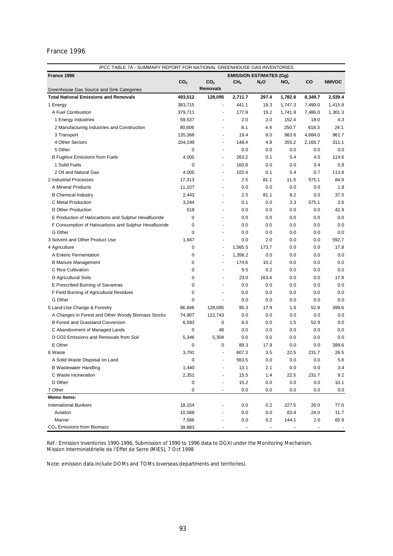| France 1996<br><b>EMISSION ESTIMATES (Gg)</b><br>CO <sub>2</sub><br>CO <sub>2</sub><br>CH <sub>4</sub><br>$N_2O$<br>NO <sub>x</sub><br>CO<br><b>NMVOC</b><br><b>Removals</b><br>Greenhouse Gas Source and Sink Categories<br>493,512<br>128,095<br>2,539.4<br><b>Total National Emissions and Removals</b><br>2,711.7<br>297.4<br>1,782.8<br>8,349.7<br>383,715<br>441.1<br>19.3<br>1,747.3<br>7,490.0<br>1,415.9<br>1 Energy<br>$\blacksquare$<br>A Fuel Combustion<br>379,711<br>177.9<br>19.2<br>7,486.0<br>1,301.3<br>1,741.9<br>$\overline{\phantom{a}}$<br>1 Energy Industries<br>59,537<br>2.0<br>2.0<br>152.4<br>18.0<br>4.3<br>٠<br>8.1<br>250.7<br>24.1<br>4.4<br>618.3<br>2 Manufacturing Industries and Construction<br>80,606<br>ä,<br>3 Transport<br>135,368<br>19.4<br>8.0<br>983.6<br>4,684.0<br>961.7<br>$\blacksquare$<br>4 Other Sectors<br>104,199<br>148.4<br>4.8<br>355.2<br>2,165.7<br>311.1<br>$\blacksquare$<br>5 Other<br>0<br>0.0<br>0.0<br>0.0<br>0.0<br>0.0<br>$\overline{\phantom{a}}$<br><b>B Fugitive Emissions from Fuels</b><br>4,005<br>263.2<br>0.1<br>5.4<br>4.0<br>114.6<br>$\blacksquare$<br>1 Solid Fuels<br>0<br>160.8<br>0.0<br>0.0<br>3.4<br>0.8<br>$\frac{1}{2}$<br>102.4<br>2 Oil and Natural Gas<br>4,005<br>0.1<br>5.4<br>0.7<br>113.8<br>$\overline{\phantom{a}}$<br>84.9<br>2 Industrial Processes<br>17,313<br>2.5<br>81.1<br>11.5<br>575.1<br>$\frac{1}{2}$<br>A Mineral Products<br>11,107<br>0.0<br>0.0<br>0.0<br>0.0<br>1.9<br>$\overline{\phantom{a}}$<br><b>B</b> Chemical Industry<br>2,443<br>2.5<br>81.1<br>8.2<br>0.0<br>37.5<br>575.1<br>2.6<br>C Metal Production<br>3,244<br>0.1<br>0.0<br>3.3<br>٠<br>D Other Production<br>519<br>0.0<br>0.0<br>0.0<br>0.0<br>42.9<br>$\blacksquare$<br>0.0<br>E Production of Halocarbons and Sulphur Hexafluoride<br>0<br>0.0<br>0.0<br>0.0<br>0.0<br>$\blacksquare$<br>0<br>F Consumption of Halocarbons and Sulphur Hexafluoride<br>0.0<br>0.0<br>0.0<br>0.0<br>0.0<br>$\blacksquare$<br>G Other<br>0<br>0.0<br>0.0<br>0.0<br>0.0<br>0.0<br>$\blacksquare$<br>592.7<br>3 Solvent and Other Product Use<br>1,847<br>0.0<br>2.0<br>0.0<br>0.0<br>$\overline{\phantom{a}}$<br>17.8<br>4 Agriculture<br>0<br>1,565.5<br>173.7<br>0.0<br>0.0<br>$\blacksquare$<br>0.0<br>A Enteric Fermentation<br>$\mathbf 0$<br>1,358.2<br>0.0<br>0.0<br>0.0<br>$\overline{\phantom{a}}$<br>0.0<br><b>B Manure Management</b><br>0<br>174.6<br>10.2<br>0.0<br>0.0<br>$\blacksquare$<br>0<br>0.0<br>C Rice Cultivation<br>9.5<br>0.2<br>0.0<br>0.0<br>ä,<br>0<br>23.0<br>163.4<br>17.8<br>D Agricultural Soils<br>0.0<br>0.0<br>٠<br>0.0<br>E Prescribed Burning of Savannas<br>0<br>0.0<br>0.0<br>0.0<br>0.0<br>$\blacksquare$<br>0<br>F Field Burning of Agricultural Residues<br>0.0<br>0.0<br>0.0<br>0.0<br>0.0<br>0<br>G Other<br>0.0<br>0.0<br>0.0<br>0.0<br>0.0<br>÷,<br>5 Land-Use Change & Forestry<br>128,095<br>95.3<br>17.9<br>52.9<br>399.6<br>86,846<br>1.5<br>A Changes in Forest and Other Woody Biomass Stocks<br>74,907<br>122,743<br>0.0<br>0.0<br>0.0<br>0.0<br>0.0<br>0.0<br><b>B Forest and Grassland Conversion</b><br>6,593<br>0<br>6.0<br>0.0<br>1.5<br>52.9<br>C Abandonment of Managed Lands<br>$\mathbf 0$<br>48<br>0.0<br>0.0<br>0.0<br>0.0<br>0.0<br>D CO2 Emissions and Removals from Soil<br>5,346<br>5,304<br>0.0<br>0.0<br>0.0<br>0.0<br>0.0<br>E Other<br>89.3<br>399.6<br>0<br>0<br>17.9<br>0.0<br>0.0<br>3,791<br>607.3<br>3.5<br>22.5<br>231.7<br>28.5<br>6 Waste<br>$\overline{a}$<br>$0.0\,$<br>$0.0\,$<br>$5.6\,$<br>A Solid Waste Disposal on Land<br>563.5<br>0.0<br><b>B Wastewater Handling</b><br>1,440<br>13.1<br>2.1<br>0.0<br>0.0<br>3.4<br>2,351<br>15.5<br>22.5<br>9.2<br>C Waste Incineration<br>1.4<br>231.7<br>D Other<br>$\pmb{0}$<br>15.2<br>0.0<br>0.0<br>0.0<br>10.1<br>7 Other<br>0<br>0.0<br>0.0<br>0.0<br>0.0<br>0.0<br>$\overline{\phantom{a}}$<br><b>Memo Items:</b><br><b>International Bunkers</b><br>18,154<br>0.0<br>0.2<br>227.5<br>26.0<br>77.6<br>83.4<br>Aviation<br>10,588<br>0.0<br>0.0<br>24.0<br>11.7<br>Marine<br>7,566<br>144.1<br>2.0<br>0.0<br>0.2<br>65.9 | IPCC TABLE 7A - SUMMARY REPORT FOR NATIONAL GREENHOUSE GAS INVENTORIES |        |  |  |  |  |  |  |
|----------------------------------------------------------------------------------------------------------------------------------------------------------------------------------------------------------------------------------------------------------------------------------------------------------------------------------------------------------------------------------------------------------------------------------------------------------------------------------------------------------------------------------------------------------------------------------------------------------------------------------------------------------------------------------------------------------------------------------------------------------------------------------------------------------------------------------------------------------------------------------------------------------------------------------------------------------------------------------------------------------------------------------------------------------------------------------------------------------------------------------------------------------------------------------------------------------------------------------------------------------------------------------------------------------------------------------------------------------------------------------------------------------------------------------------------------------------------------------------------------------------------------------------------------------------------------------------------------------------------------------------------------------------------------------------------------------------------------------------------------------------------------------------------------------------------------------------------------------------------------------------------------------------------------------------------------------------------------------------------------------------------------------------------------------------------------------------------------------------------------------------------------------------------------------------------------------------------------------------------------------------------------------------------------------------------------------------------------------------------------------------------------------------------------------------------------------------------------------------------------------------------------------------------------------------------------------------------------------------------------------------------------------------------------------------------------------------------------------------------------------------------------------------------------------------------------------------------------------------------------------------------------------------------------------------------------------------------------------------------------------------------------------------------------------------------------------------------------------------------------------------------------------------------------------------------------------------------------------------------------------------------------------------------------------------------------------------------------------------------------------------------------------------------------------------------------------------------------------------------------------------------------------------------------------------------------------------------------------------------------------------------------------------------------------------------------------------------------------------------------------------------------------------------------------------------------------------------------------------------------------------------------------------------------------------------------------------------------------------------------------------------------------------------------------------------------------------------------------------------------|------------------------------------------------------------------------|--------|--|--|--|--|--|--|
|                                                                                                                                                                                                                                                                                                                                                                                                                                                                                                                                                                                                                                                                                                                                                                                                                                                                                                                                                                                                                                                                                                                                                                                                                                                                                                                                                                                                                                                                                                                                                                                                                                                                                                                                                                                                                                                                                                                                                                                                                                                                                                                                                                                                                                                                                                                                                                                                                                                                                                                                                                                                                                                                                                                                                                                                                                                                                                                                                                                                                                                                                                                                                                                                                                                                                                                                                                                                                                                                                                                                                                                                                                                                                                                                                                                                                                                                                                                                                                                                                                                                                                                            |                                                                        |        |  |  |  |  |  |  |
|                                                                                                                                                                                                                                                                                                                                                                                                                                                                                                                                                                                                                                                                                                                                                                                                                                                                                                                                                                                                                                                                                                                                                                                                                                                                                                                                                                                                                                                                                                                                                                                                                                                                                                                                                                                                                                                                                                                                                                                                                                                                                                                                                                                                                                                                                                                                                                                                                                                                                                                                                                                                                                                                                                                                                                                                                                                                                                                                                                                                                                                                                                                                                                                                                                                                                                                                                                                                                                                                                                                                                                                                                                                                                                                                                                                                                                                                                                                                                                                                                                                                                                                            |                                                                        |        |  |  |  |  |  |  |
|                                                                                                                                                                                                                                                                                                                                                                                                                                                                                                                                                                                                                                                                                                                                                                                                                                                                                                                                                                                                                                                                                                                                                                                                                                                                                                                                                                                                                                                                                                                                                                                                                                                                                                                                                                                                                                                                                                                                                                                                                                                                                                                                                                                                                                                                                                                                                                                                                                                                                                                                                                                                                                                                                                                                                                                                                                                                                                                                                                                                                                                                                                                                                                                                                                                                                                                                                                                                                                                                                                                                                                                                                                                                                                                                                                                                                                                                                                                                                                                                                                                                                                                            |                                                                        |        |  |  |  |  |  |  |
|                                                                                                                                                                                                                                                                                                                                                                                                                                                                                                                                                                                                                                                                                                                                                                                                                                                                                                                                                                                                                                                                                                                                                                                                                                                                                                                                                                                                                                                                                                                                                                                                                                                                                                                                                                                                                                                                                                                                                                                                                                                                                                                                                                                                                                                                                                                                                                                                                                                                                                                                                                                                                                                                                                                                                                                                                                                                                                                                                                                                                                                                                                                                                                                                                                                                                                                                                                                                                                                                                                                                                                                                                                                                                                                                                                                                                                                                                                                                                                                                                                                                                                                            |                                                                        |        |  |  |  |  |  |  |
|                                                                                                                                                                                                                                                                                                                                                                                                                                                                                                                                                                                                                                                                                                                                                                                                                                                                                                                                                                                                                                                                                                                                                                                                                                                                                                                                                                                                                                                                                                                                                                                                                                                                                                                                                                                                                                                                                                                                                                                                                                                                                                                                                                                                                                                                                                                                                                                                                                                                                                                                                                                                                                                                                                                                                                                                                                                                                                                                                                                                                                                                                                                                                                                                                                                                                                                                                                                                                                                                                                                                                                                                                                                                                                                                                                                                                                                                                                                                                                                                                                                                                                                            |                                                                        |        |  |  |  |  |  |  |
|                                                                                                                                                                                                                                                                                                                                                                                                                                                                                                                                                                                                                                                                                                                                                                                                                                                                                                                                                                                                                                                                                                                                                                                                                                                                                                                                                                                                                                                                                                                                                                                                                                                                                                                                                                                                                                                                                                                                                                                                                                                                                                                                                                                                                                                                                                                                                                                                                                                                                                                                                                                                                                                                                                                                                                                                                                                                                                                                                                                                                                                                                                                                                                                                                                                                                                                                                                                                                                                                                                                                                                                                                                                                                                                                                                                                                                                                                                                                                                                                                                                                                                                            |                                                                        |        |  |  |  |  |  |  |
|                                                                                                                                                                                                                                                                                                                                                                                                                                                                                                                                                                                                                                                                                                                                                                                                                                                                                                                                                                                                                                                                                                                                                                                                                                                                                                                                                                                                                                                                                                                                                                                                                                                                                                                                                                                                                                                                                                                                                                                                                                                                                                                                                                                                                                                                                                                                                                                                                                                                                                                                                                                                                                                                                                                                                                                                                                                                                                                                                                                                                                                                                                                                                                                                                                                                                                                                                                                                                                                                                                                                                                                                                                                                                                                                                                                                                                                                                                                                                                                                                                                                                                                            |                                                                        |        |  |  |  |  |  |  |
|                                                                                                                                                                                                                                                                                                                                                                                                                                                                                                                                                                                                                                                                                                                                                                                                                                                                                                                                                                                                                                                                                                                                                                                                                                                                                                                                                                                                                                                                                                                                                                                                                                                                                                                                                                                                                                                                                                                                                                                                                                                                                                                                                                                                                                                                                                                                                                                                                                                                                                                                                                                                                                                                                                                                                                                                                                                                                                                                                                                                                                                                                                                                                                                                                                                                                                                                                                                                                                                                                                                                                                                                                                                                                                                                                                                                                                                                                                                                                                                                                                                                                                                            |                                                                        |        |  |  |  |  |  |  |
|                                                                                                                                                                                                                                                                                                                                                                                                                                                                                                                                                                                                                                                                                                                                                                                                                                                                                                                                                                                                                                                                                                                                                                                                                                                                                                                                                                                                                                                                                                                                                                                                                                                                                                                                                                                                                                                                                                                                                                                                                                                                                                                                                                                                                                                                                                                                                                                                                                                                                                                                                                                                                                                                                                                                                                                                                                                                                                                                                                                                                                                                                                                                                                                                                                                                                                                                                                                                                                                                                                                                                                                                                                                                                                                                                                                                                                                                                                                                                                                                                                                                                                                            |                                                                        |        |  |  |  |  |  |  |
|                                                                                                                                                                                                                                                                                                                                                                                                                                                                                                                                                                                                                                                                                                                                                                                                                                                                                                                                                                                                                                                                                                                                                                                                                                                                                                                                                                                                                                                                                                                                                                                                                                                                                                                                                                                                                                                                                                                                                                                                                                                                                                                                                                                                                                                                                                                                                                                                                                                                                                                                                                                                                                                                                                                                                                                                                                                                                                                                                                                                                                                                                                                                                                                                                                                                                                                                                                                                                                                                                                                                                                                                                                                                                                                                                                                                                                                                                                                                                                                                                                                                                                                            |                                                                        |        |  |  |  |  |  |  |
|                                                                                                                                                                                                                                                                                                                                                                                                                                                                                                                                                                                                                                                                                                                                                                                                                                                                                                                                                                                                                                                                                                                                                                                                                                                                                                                                                                                                                                                                                                                                                                                                                                                                                                                                                                                                                                                                                                                                                                                                                                                                                                                                                                                                                                                                                                                                                                                                                                                                                                                                                                                                                                                                                                                                                                                                                                                                                                                                                                                                                                                                                                                                                                                                                                                                                                                                                                                                                                                                                                                                                                                                                                                                                                                                                                                                                                                                                                                                                                                                                                                                                                                            |                                                                        |        |  |  |  |  |  |  |
|                                                                                                                                                                                                                                                                                                                                                                                                                                                                                                                                                                                                                                                                                                                                                                                                                                                                                                                                                                                                                                                                                                                                                                                                                                                                                                                                                                                                                                                                                                                                                                                                                                                                                                                                                                                                                                                                                                                                                                                                                                                                                                                                                                                                                                                                                                                                                                                                                                                                                                                                                                                                                                                                                                                                                                                                                                                                                                                                                                                                                                                                                                                                                                                                                                                                                                                                                                                                                                                                                                                                                                                                                                                                                                                                                                                                                                                                                                                                                                                                                                                                                                                            |                                                                        |        |  |  |  |  |  |  |
|                                                                                                                                                                                                                                                                                                                                                                                                                                                                                                                                                                                                                                                                                                                                                                                                                                                                                                                                                                                                                                                                                                                                                                                                                                                                                                                                                                                                                                                                                                                                                                                                                                                                                                                                                                                                                                                                                                                                                                                                                                                                                                                                                                                                                                                                                                                                                                                                                                                                                                                                                                                                                                                                                                                                                                                                                                                                                                                                                                                                                                                                                                                                                                                                                                                                                                                                                                                                                                                                                                                                                                                                                                                                                                                                                                                                                                                                                                                                                                                                                                                                                                                            |                                                                        |        |  |  |  |  |  |  |
|                                                                                                                                                                                                                                                                                                                                                                                                                                                                                                                                                                                                                                                                                                                                                                                                                                                                                                                                                                                                                                                                                                                                                                                                                                                                                                                                                                                                                                                                                                                                                                                                                                                                                                                                                                                                                                                                                                                                                                                                                                                                                                                                                                                                                                                                                                                                                                                                                                                                                                                                                                                                                                                                                                                                                                                                                                                                                                                                                                                                                                                                                                                                                                                                                                                                                                                                                                                                                                                                                                                                                                                                                                                                                                                                                                                                                                                                                                                                                                                                                                                                                                                            |                                                                        |        |  |  |  |  |  |  |
|                                                                                                                                                                                                                                                                                                                                                                                                                                                                                                                                                                                                                                                                                                                                                                                                                                                                                                                                                                                                                                                                                                                                                                                                                                                                                                                                                                                                                                                                                                                                                                                                                                                                                                                                                                                                                                                                                                                                                                                                                                                                                                                                                                                                                                                                                                                                                                                                                                                                                                                                                                                                                                                                                                                                                                                                                                                                                                                                                                                                                                                                                                                                                                                                                                                                                                                                                                                                                                                                                                                                                                                                                                                                                                                                                                                                                                                                                                                                                                                                                                                                                                                            |                                                                        |        |  |  |  |  |  |  |
|                                                                                                                                                                                                                                                                                                                                                                                                                                                                                                                                                                                                                                                                                                                                                                                                                                                                                                                                                                                                                                                                                                                                                                                                                                                                                                                                                                                                                                                                                                                                                                                                                                                                                                                                                                                                                                                                                                                                                                                                                                                                                                                                                                                                                                                                                                                                                                                                                                                                                                                                                                                                                                                                                                                                                                                                                                                                                                                                                                                                                                                                                                                                                                                                                                                                                                                                                                                                                                                                                                                                                                                                                                                                                                                                                                                                                                                                                                                                                                                                                                                                                                                            |                                                                        |        |  |  |  |  |  |  |
|                                                                                                                                                                                                                                                                                                                                                                                                                                                                                                                                                                                                                                                                                                                                                                                                                                                                                                                                                                                                                                                                                                                                                                                                                                                                                                                                                                                                                                                                                                                                                                                                                                                                                                                                                                                                                                                                                                                                                                                                                                                                                                                                                                                                                                                                                                                                                                                                                                                                                                                                                                                                                                                                                                                                                                                                                                                                                                                                                                                                                                                                                                                                                                                                                                                                                                                                                                                                                                                                                                                                                                                                                                                                                                                                                                                                                                                                                                                                                                                                                                                                                                                            |                                                                        |        |  |  |  |  |  |  |
|                                                                                                                                                                                                                                                                                                                                                                                                                                                                                                                                                                                                                                                                                                                                                                                                                                                                                                                                                                                                                                                                                                                                                                                                                                                                                                                                                                                                                                                                                                                                                                                                                                                                                                                                                                                                                                                                                                                                                                                                                                                                                                                                                                                                                                                                                                                                                                                                                                                                                                                                                                                                                                                                                                                                                                                                                                                                                                                                                                                                                                                                                                                                                                                                                                                                                                                                                                                                                                                                                                                                                                                                                                                                                                                                                                                                                                                                                                                                                                                                                                                                                                                            |                                                                        |        |  |  |  |  |  |  |
|                                                                                                                                                                                                                                                                                                                                                                                                                                                                                                                                                                                                                                                                                                                                                                                                                                                                                                                                                                                                                                                                                                                                                                                                                                                                                                                                                                                                                                                                                                                                                                                                                                                                                                                                                                                                                                                                                                                                                                                                                                                                                                                                                                                                                                                                                                                                                                                                                                                                                                                                                                                                                                                                                                                                                                                                                                                                                                                                                                                                                                                                                                                                                                                                                                                                                                                                                                                                                                                                                                                                                                                                                                                                                                                                                                                                                                                                                                                                                                                                                                                                                                                            |                                                                        |        |  |  |  |  |  |  |
|                                                                                                                                                                                                                                                                                                                                                                                                                                                                                                                                                                                                                                                                                                                                                                                                                                                                                                                                                                                                                                                                                                                                                                                                                                                                                                                                                                                                                                                                                                                                                                                                                                                                                                                                                                                                                                                                                                                                                                                                                                                                                                                                                                                                                                                                                                                                                                                                                                                                                                                                                                                                                                                                                                                                                                                                                                                                                                                                                                                                                                                                                                                                                                                                                                                                                                                                                                                                                                                                                                                                                                                                                                                                                                                                                                                                                                                                                                                                                                                                                                                                                                                            |                                                                        |        |  |  |  |  |  |  |
|                                                                                                                                                                                                                                                                                                                                                                                                                                                                                                                                                                                                                                                                                                                                                                                                                                                                                                                                                                                                                                                                                                                                                                                                                                                                                                                                                                                                                                                                                                                                                                                                                                                                                                                                                                                                                                                                                                                                                                                                                                                                                                                                                                                                                                                                                                                                                                                                                                                                                                                                                                                                                                                                                                                                                                                                                                                                                                                                                                                                                                                                                                                                                                                                                                                                                                                                                                                                                                                                                                                                                                                                                                                                                                                                                                                                                                                                                                                                                                                                                                                                                                                            |                                                                        |        |  |  |  |  |  |  |
|                                                                                                                                                                                                                                                                                                                                                                                                                                                                                                                                                                                                                                                                                                                                                                                                                                                                                                                                                                                                                                                                                                                                                                                                                                                                                                                                                                                                                                                                                                                                                                                                                                                                                                                                                                                                                                                                                                                                                                                                                                                                                                                                                                                                                                                                                                                                                                                                                                                                                                                                                                                                                                                                                                                                                                                                                                                                                                                                                                                                                                                                                                                                                                                                                                                                                                                                                                                                                                                                                                                                                                                                                                                                                                                                                                                                                                                                                                                                                                                                                                                                                                                            |                                                                        |        |  |  |  |  |  |  |
|                                                                                                                                                                                                                                                                                                                                                                                                                                                                                                                                                                                                                                                                                                                                                                                                                                                                                                                                                                                                                                                                                                                                                                                                                                                                                                                                                                                                                                                                                                                                                                                                                                                                                                                                                                                                                                                                                                                                                                                                                                                                                                                                                                                                                                                                                                                                                                                                                                                                                                                                                                                                                                                                                                                                                                                                                                                                                                                                                                                                                                                                                                                                                                                                                                                                                                                                                                                                                                                                                                                                                                                                                                                                                                                                                                                                                                                                                                                                                                                                                                                                                                                            |                                                                        |        |  |  |  |  |  |  |
|                                                                                                                                                                                                                                                                                                                                                                                                                                                                                                                                                                                                                                                                                                                                                                                                                                                                                                                                                                                                                                                                                                                                                                                                                                                                                                                                                                                                                                                                                                                                                                                                                                                                                                                                                                                                                                                                                                                                                                                                                                                                                                                                                                                                                                                                                                                                                                                                                                                                                                                                                                                                                                                                                                                                                                                                                                                                                                                                                                                                                                                                                                                                                                                                                                                                                                                                                                                                                                                                                                                                                                                                                                                                                                                                                                                                                                                                                                                                                                                                                                                                                                                            |                                                                        |        |  |  |  |  |  |  |
|                                                                                                                                                                                                                                                                                                                                                                                                                                                                                                                                                                                                                                                                                                                                                                                                                                                                                                                                                                                                                                                                                                                                                                                                                                                                                                                                                                                                                                                                                                                                                                                                                                                                                                                                                                                                                                                                                                                                                                                                                                                                                                                                                                                                                                                                                                                                                                                                                                                                                                                                                                                                                                                                                                                                                                                                                                                                                                                                                                                                                                                                                                                                                                                                                                                                                                                                                                                                                                                                                                                                                                                                                                                                                                                                                                                                                                                                                                                                                                                                                                                                                                                            |                                                                        |        |  |  |  |  |  |  |
|                                                                                                                                                                                                                                                                                                                                                                                                                                                                                                                                                                                                                                                                                                                                                                                                                                                                                                                                                                                                                                                                                                                                                                                                                                                                                                                                                                                                                                                                                                                                                                                                                                                                                                                                                                                                                                                                                                                                                                                                                                                                                                                                                                                                                                                                                                                                                                                                                                                                                                                                                                                                                                                                                                                                                                                                                                                                                                                                                                                                                                                                                                                                                                                                                                                                                                                                                                                                                                                                                                                                                                                                                                                                                                                                                                                                                                                                                                                                                                                                                                                                                                                            |                                                                        |        |  |  |  |  |  |  |
|                                                                                                                                                                                                                                                                                                                                                                                                                                                                                                                                                                                                                                                                                                                                                                                                                                                                                                                                                                                                                                                                                                                                                                                                                                                                                                                                                                                                                                                                                                                                                                                                                                                                                                                                                                                                                                                                                                                                                                                                                                                                                                                                                                                                                                                                                                                                                                                                                                                                                                                                                                                                                                                                                                                                                                                                                                                                                                                                                                                                                                                                                                                                                                                                                                                                                                                                                                                                                                                                                                                                                                                                                                                                                                                                                                                                                                                                                                                                                                                                                                                                                                                            |                                                                        |        |  |  |  |  |  |  |
|                                                                                                                                                                                                                                                                                                                                                                                                                                                                                                                                                                                                                                                                                                                                                                                                                                                                                                                                                                                                                                                                                                                                                                                                                                                                                                                                                                                                                                                                                                                                                                                                                                                                                                                                                                                                                                                                                                                                                                                                                                                                                                                                                                                                                                                                                                                                                                                                                                                                                                                                                                                                                                                                                                                                                                                                                                                                                                                                                                                                                                                                                                                                                                                                                                                                                                                                                                                                                                                                                                                                                                                                                                                                                                                                                                                                                                                                                                                                                                                                                                                                                                                            |                                                                        |        |  |  |  |  |  |  |
|                                                                                                                                                                                                                                                                                                                                                                                                                                                                                                                                                                                                                                                                                                                                                                                                                                                                                                                                                                                                                                                                                                                                                                                                                                                                                                                                                                                                                                                                                                                                                                                                                                                                                                                                                                                                                                                                                                                                                                                                                                                                                                                                                                                                                                                                                                                                                                                                                                                                                                                                                                                                                                                                                                                                                                                                                                                                                                                                                                                                                                                                                                                                                                                                                                                                                                                                                                                                                                                                                                                                                                                                                                                                                                                                                                                                                                                                                                                                                                                                                                                                                                                            |                                                                        |        |  |  |  |  |  |  |
|                                                                                                                                                                                                                                                                                                                                                                                                                                                                                                                                                                                                                                                                                                                                                                                                                                                                                                                                                                                                                                                                                                                                                                                                                                                                                                                                                                                                                                                                                                                                                                                                                                                                                                                                                                                                                                                                                                                                                                                                                                                                                                                                                                                                                                                                                                                                                                                                                                                                                                                                                                                                                                                                                                                                                                                                                                                                                                                                                                                                                                                                                                                                                                                                                                                                                                                                                                                                                                                                                                                                                                                                                                                                                                                                                                                                                                                                                                                                                                                                                                                                                                                            |                                                                        |        |  |  |  |  |  |  |
|                                                                                                                                                                                                                                                                                                                                                                                                                                                                                                                                                                                                                                                                                                                                                                                                                                                                                                                                                                                                                                                                                                                                                                                                                                                                                                                                                                                                                                                                                                                                                                                                                                                                                                                                                                                                                                                                                                                                                                                                                                                                                                                                                                                                                                                                                                                                                                                                                                                                                                                                                                                                                                                                                                                                                                                                                                                                                                                                                                                                                                                                                                                                                                                                                                                                                                                                                                                                                                                                                                                                                                                                                                                                                                                                                                                                                                                                                                                                                                                                                                                                                                                            |                                                                        |        |  |  |  |  |  |  |
|                                                                                                                                                                                                                                                                                                                                                                                                                                                                                                                                                                                                                                                                                                                                                                                                                                                                                                                                                                                                                                                                                                                                                                                                                                                                                                                                                                                                                                                                                                                                                                                                                                                                                                                                                                                                                                                                                                                                                                                                                                                                                                                                                                                                                                                                                                                                                                                                                                                                                                                                                                                                                                                                                                                                                                                                                                                                                                                                                                                                                                                                                                                                                                                                                                                                                                                                                                                                                                                                                                                                                                                                                                                                                                                                                                                                                                                                                                                                                                                                                                                                                                                            |                                                                        |        |  |  |  |  |  |  |
|                                                                                                                                                                                                                                                                                                                                                                                                                                                                                                                                                                                                                                                                                                                                                                                                                                                                                                                                                                                                                                                                                                                                                                                                                                                                                                                                                                                                                                                                                                                                                                                                                                                                                                                                                                                                                                                                                                                                                                                                                                                                                                                                                                                                                                                                                                                                                                                                                                                                                                                                                                                                                                                                                                                                                                                                                                                                                                                                                                                                                                                                                                                                                                                                                                                                                                                                                                                                                                                                                                                                                                                                                                                                                                                                                                                                                                                                                                                                                                                                                                                                                                                            |                                                                        |        |  |  |  |  |  |  |
|                                                                                                                                                                                                                                                                                                                                                                                                                                                                                                                                                                                                                                                                                                                                                                                                                                                                                                                                                                                                                                                                                                                                                                                                                                                                                                                                                                                                                                                                                                                                                                                                                                                                                                                                                                                                                                                                                                                                                                                                                                                                                                                                                                                                                                                                                                                                                                                                                                                                                                                                                                                                                                                                                                                                                                                                                                                                                                                                                                                                                                                                                                                                                                                                                                                                                                                                                                                                                                                                                                                                                                                                                                                                                                                                                                                                                                                                                                                                                                                                                                                                                                                            |                                                                        |        |  |  |  |  |  |  |
|                                                                                                                                                                                                                                                                                                                                                                                                                                                                                                                                                                                                                                                                                                                                                                                                                                                                                                                                                                                                                                                                                                                                                                                                                                                                                                                                                                                                                                                                                                                                                                                                                                                                                                                                                                                                                                                                                                                                                                                                                                                                                                                                                                                                                                                                                                                                                                                                                                                                                                                                                                                                                                                                                                                                                                                                                                                                                                                                                                                                                                                                                                                                                                                                                                                                                                                                                                                                                                                                                                                                                                                                                                                                                                                                                                                                                                                                                                                                                                                                                                                                                                                            |                                                                        |        |  |  |  |  |  |  |
|                                                                                                                                                                                                                                                                                                                                                                                                                                                                                                                                                                                                                                                                                                                                                                                                                                                                                                                                                                                                                                                                                                                                                                                                                                                                                                                                                                                                                                                                                                                                                                                                                                                                                                                                                                                                                                                                                                                                                                                                                                                                                                                                                                                                                                                                                                                                                                                                                                                                                                                                                                                                                                                                                                                                                                                                                                                                                                                                                                                                                                                                                                                                                                                                                                                                                                                                                                                                                                                                                                                                                                                                                                                                                                                                                                                                                                                                                                                                                                                                                                                                                                                            |                                                                        |        |  |  |  |  |  |  |
|                                                                                                                                                                                                                                                                                                                                                                                                                                                                                                                                                                                                                                                                                                                                                                                                                                                                                                                                                                                                                                                                                                                                                                                                                                                                                                                                                                                                                                                                                                                                                                                                                                                                                                                                                                                                                                                                                                                                                                                                                                                                                                                                                                                                                                                                                                                                                                                                                                                                                                                                                                                                                                                                                                                                                                                                                                                                                                                                                                                                                                                                                                                                                                                                                                                                                                                                                                                                                                                                                                                                                                                                                                                                                                                                                                                                                                                                                                                                                                                                                                                                                                                            |                                                                        |        |  |  |  |  |  |  |
|                                                                                                                                                                                                                                                                                                                                                                                                                                                                                                                                                                                                                                                                                                                                                                                                                                                                                                                                                                                                                                                                                                                                                                                                                                                                                                                                                                                                                                                                                                                                                                                                                                                                                                                                                                                                                                                                                                                                                                                                                                                                                                                                                                                                                                                                                                                                                                                                                                                                                                                                                                                                                                                                                                                                                                                                                                                                                                                                                                                                                                                                                                                                                                                                                                                                                                                                                                                                                                                                                                                                                                                                                                                                                                                                                                                                                                                                                                                                                                                                                                                                                                                            |                                                                        |        |  |  |  |  |  |  |
|                                                                                                                                                                                                                                                                                                                                                                                                                                                                                                                                                                                                                                                                                                                                                                                                                                                                                                                                                                                                                                                                                                                                                                                                                                                                                                                                                                                                                                                                                                                                                                                                                                                                                                                                                                                                                                                                                                                                                                                                                                                                                                                                                                                                                                                                                                                                                                                                                                                                                                                                                                                                                                                                                                                                                                                                                                                                                                                                                                                                                                                                                                                                                                                                                                                                                                                                                                                                                                                                                                                                                                                                                                                                                                                                                                                                                                                                                                                                                                                                                                                                                                                            |                                                                        |        |  |  |  |  |  |  |
|                                                                                                                                                                                                                                                                                                                                                                                                                                                                                                                                                                                                                                                                                                                                                                                                                                                                                                                                                                                                                                                                                                                                                                                                                                                                                                                                                                                                                                                                                                                                                                                                                                                                                                                                                                                                                                                                                                                                                                                                                                                                                                                                                                                                                                                                                                                                                                                                                                                                                                                                                                                                                                                                                                                                                                                                                                                                                                                                                                                                                                                                                                                                                                                                                                                                                                                                                                                                                                                                                                                                                                                                                                                                                                                                                                                                                                                                                                                                                                                                                                                                                                                            |                                                                        |        |  |  |  |  |  |  |
|                                                                                                                                                                                                                                                                                                                                                                                                                                                                                                                                                                                                                                                                                                                                                                                                                                                                                                                                                                                                                                                                                                                                                                                                                                                                                                                                                                                                                                                                                                                                                                                                                                                                                                                                                                                                                                                                                                                                                                                                                                                                                                                                                                                                                                                                                                                                                                                                                                                                                                                                                                                                                                                                                                                                                                                                                                                                                                                                                                                                                                                                                                                                                                                                                                                                                                                                                                                                                                                                                                                                                                                                                                                                                                                                                                                                                                                                                                                                                                                                                                                                                                                            |                                                                        |        |  |  |  |  |  |  |
|                                                                                                                                                                                                                                                                                                                                                                                                                                                                                                                                                                                                                                                                                                                                                                                                                                                                                                                                                                                                                                                                                                                                                                                                                                                                                                                                                                                                                                                                                                                                                                                                                                                                                                                                                                                                                                                                                                                                                                                                                                                                                                                                                                                                                                                                                                                                                                                                                                                                                                                                                                                                                                                                                                                                                                                                                                                                                                                                                                                                                                                                                                                                                                                                                                                                                                                                                                                                                                                                                                                                                                                                                                                                                                                                                                                                                                                                                                                                                                                                                                                                                                                            |                                                                        |        |  |  |  |  |  |  |
|                                                                                                                                                                                                                                                                                                                                                                                                                                                                                                                                                                                                                                                                                                                                                                                                                                                                                                                                                                                                                                                                                                                                                                                                                                                                                                                                                                                                                                                                                                                                                                                                                                                                                                                                                                                                                                                                                                                                                                                                                                                                                                                                                                                                                                                                                                                                                                                                                                                                                                                                                                                                                                                                                                                                                                                                                                                                                                                                                                                                                                                                                                                                                                                                                                                                                                                                                                                                                                                                                                                                                                                                                                                                                                                                                                                                                                                                                                                                                                                                                                                                                                                            |                                                                        |        |  |  |  |  |  |  |
|                                                                                                                                                                                                                                                                                                                                                                                                                                                                                                                                                                                                                                                                                                                                                                                                                                                                                                                                                                                                                                                                                                                                                                                                                                                                                                                                                                                                                                                                                                                                                                                                                                                                                                                                                                                                                                                                                                                                                                                                                                                                                                                                                                                                                                                                                                                                                                                                                                                                                                                                                                                                                                                                                                                                                                                                                                                                                                                                                                                                                                                                                                                                                                                                                                                                                                                                                                                                                                                                                                                                                                                                                                                                                                                                                                                                                                                                                                                                                                                                                                                                                                                            |                                                                        |        |  |  |  |  |  |  |
|                                                                                                                                                                                                                                                                                                                                                                                                                                                                                                                                                                                                                                                                                                                                                                                                                                                                                                                                                                                                                                                                                                                                                                                                                                                                                                                                                                                                                                                                                                                                                                                                                                                                                                                                                                                                                                                                                                                                                                                                                                                                                                                                                                                                                                                                                                                                                                                                                                                                                                                                                                                                                                                                                                                                                                                                                                                                                                                                                                                                                                                                                                                                                                                                                                                                                                                                                                                                                                                                                                                                                                                                                                                                                                                                                                                                                                                                                                                                                                                                                                                                                                                            |                                                                        |        |  |  |  |  |  |  |
|                                                                                                                                                                                                                                                                                                                                                                                                                                                                                                                                                                                                                                                                                                                                                                                                                                                                                                                                                                                                                                                                                                                                                                                                                                                                                                                                                                                                                                                                                                                                                                                                                                                                                                                                                                                                                                                                                                                                                                                                                                                                                                                                                                                                                                                                                                                                                                                                                                                                                                                                                                                                                                                                                                                                                                                                                                                                                                                                                                                                                                                                                                                                                                                                                                                                                                                                                                                                                                                                                                                                                                                                                                                                                                                                                                                                                                                                                                                                                                                                                                                                                                                            |                                                                        |        |  |  |  |  |  |  |
|                                                                                                                                                                                                                                                                                                                                                                                                                                                                                                                                                                                                                                                                                                                                                                                                                                                                                                                                                                                                                                                                                                                                                                                                                                                                                                                                                                                                                                                                                                                                                                                                                                                                                                                                                                                                                                                                                                                                                                                                                                                                                                                                                                                                                                                                                                                                                                                                                                                                                                                                                                                                                                                                                                                                                                                                                                                                                                                                                                                                                                                                                                                                                                                                                                                                                                                                                                                                                                                                                                                                                                                                                                                                                                                                                                                                                                                                                                                                                                                                                                                                                                                            |                                                                        |        |  |  |  |  |  |  |
|                                                                                                                                                                                                                                                                                                                                                                                                                                                                                                                                                                                                                                                                                                                                                                                                                                                                                                                                                                                                                                                                                                                                                                                                                                                                                                                                                                                                                                                                                                                                                                                                                                                                                                                                                                                                                                                                                                                                                                                                                                                                                                                                                                                                                                                                                                                                                                                                                                                                                                                                                                                                                                                                                                                                                                                                                                                                                                                                                                                                                                                                                                                                                                                                                                                                                                                                                                                                                                                                                                                                                                                                                                                                                                                                                                                                                                                                                                                                                                                                                                                                                                                            | CO <sub>2</sub> Emissions from Biomass                                 | 39,883 |  |  |  |  |  |  |

Ref.: Emission Inventories 1990-1996, Submission of 1990 to 1996 data to DGXI under the Monitoring Mechanism, Mission Interministérielle de l'Effet de Serre (MIES), 7 Oct 1998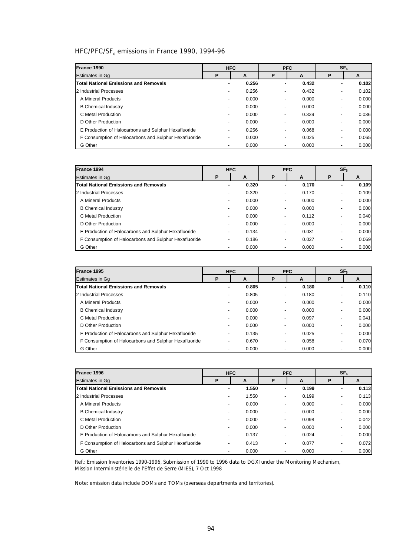# HFC/PFC/SF<sub>6</sub> emissions in France 1990, 1994-96

| France 1990                                           |                          | <b>HFC</b> |    | <b>PFC</b> |                          | SF <sub>6</sub> |
|-------------------------------------------------------|--------------------------|------------|----|------------|--------------------------|-----------------|
| <b>Estimates in Ga</b>                                | P                        | A          | P  | A          | P                        | A               |
| <b>Total National Emissions and Removals</b>          |                          | 0.256      | ۰  | 0.432      | ۰                        | 0.102           |
| 2 Industrial Processes                                | $\overline{\phantom{a}}$ | 0.256      |    | 0.432      | $\overline{\phantom{a}}$ | 0.102           |
| A Mineral Products                                    |                          | 0.000      |    | 0.000      | $\overline{\phantom{a}}$ | 0.000           |
| <b>B</b> Chemical Industry                            | $\overline{\phantom{0}}$ | 0.000      | ٠  | 0.000      | ٠                        | 0.000           |
| C Metal Production                                    | $\overline{\phantom{a}}$ | 0.000      | ۰. | 0.339      | $\overline{\phantom{a}}$ | 0.036           |
| D Other Production                                    | $\overline{\phantom{0}}$ | 0.000      | ۰. | 0.000      | $\overline{\phantom{a}}$ | 0.000           |
| E Production of Halocarbons and Sulphur Hexafluoride  | $\overline{\phantom{0}}$ | 0.256      |    | 0.068      | $\overline{\phantom{a}}$ | 0.000           |
| F Consumption of Halocarbons and Sulphur Hexafluoride | $\overline{\phantom{a}}$ | 0.000      |    | 0.025      | $\overline{\phantom{a}}$ | 0.065           |
| G Other                                               |                          | 0.000      |    | 0.000      |                          | 0.000           |

| France 1994                                           | <b>HFC</b><br><b>PFC</b> |       |                          |       | SF <sub>6</sub>          |       |
|-------------------------------------------------------|--------------------------|-------|--------------------------|-------|--------------------------|-------|
| <b>Estimates in Gq</b>                                | D                        | A     | P                        | A     | Р                        | A     |
| <b>Total National Emissions and Removals</b>          | ۰                        | 0.320 | ۰                        | 0.170 | ۰                        | 0.109 |
| 2 Industrial Processes                                | $\overline{\phantom{a}}$ | 0.320 | ۰.                       | 0.170 |                          | 0.109 |
| A Mineral Products                                    | $\overline{\phantom{a}}$ | 0.000 | -                        | 0.000 |                          | 0.000 |
| <b>B</b> Chemical Industry                            | ٠                        | 0.000 |                          | 0.000 | ٠                        | 0.000 |
| C Metal Production                                    | ٠                        | 0.000 | $\overline{\phantom{a}}$ | 0.112 | ۰.                       | 0.040 |
| D Other Production                                    | $\overline{\phantom{0}}$ | 0.000 | $\overline{\phantom{a}}$ | 0.000 | ۰.                       | 0.000 |
| E Production of Halocarbons and Sulphur Hexafluoride  |                          | 0.134 | -                        | 0.031 |                          | 0.000 |
| F Consumption of Halocarbons and Sulphur Hexafluoride | ۰.                       | 0.186 | ۰.                       | 0.027 | $\overline{\phantom{a}}$ | 0.069 |
| G Other                                               |                          | 0.000 | $\overline{\phantom{a}}$ | 0.000 | $\overline{\phantom{0}}$ | 0.000 |

| France 1995                                           |                          | <b>HFC</b> |                          | <b>PFC</b> | SF <sub>6</sub>          |       |
|-------------------------------------------------------|--------------------------|------------|--------------------------|------------|--------------------------|-------|
| <b>Estimates in Gq</b>                                | P                        | A          | P                        | A          | P                        | A     |
| <b>Total National Emissions and Removals</b>          |                          | 0.805      | ۰                        | 0.180      | ۰                        | 0.110 |
| 2 Industrial Processes                                | $\overline{\phantom{a}}$ | 0.805      | -                        | 0.180      | -                        | 0.110 |
| A Mineral Products                                    | $\overline{\phantom{0}}$ | 0.000      | $\overline{\phantom{0}}$ | 0.000      |                          | 0.000 |
| <b>B</b> Chemical Industry                            | $\overline{\phantom{0}}$ | 0.000      | ۰                        | 0.000      | ۰                        | 0.000 |
| C Metal Production                                    | $\overline{\phantom{a}}$ | 0.000      | ٠                        | 0.097      | ۰.                       | 0.041 |
| D Other Production                                    | $\overline{\phantom{0}}$ | 0.000      | ٠                        | 0.000      | ۰.                       | 0.000 |
| E Production of Halocarbons and Sulphur Hexafluoride  |                          | 0.135      | ۰.                       | 0.025      | $\overline{\phantom{a}}$ | 0.000 |
| F Consumption of Halocarbons and Sulphur Hexafluoride |                          | 0.670      | ۰.                       | 0.058      | $\overline{\phantom{a}}$ | 0.070 |
| G Other                                               |                          | 0.000      |                          | 0.000      |                          | 0.000 |

| France 1996                                           |                          | <b>HFC</b> | <b>PFC</b>               |       | SF <sub>6</sub>          |        |
|-------------------------------------------------------|--------------------------|------------|--------------------------|-------|--------------------------|--------|
| <b>Estimates in Gq</b>                                | P                        | A          | P                        | A     | P                        | A      |
| <b>Total National Emissions and Removals</b>          | ۰                        | 1.550      | ۰                        | 0.199 | ۰                        | 0.113  |
| 2 Industrial Processes                                | $\overline{\phantom{a}}$ | 1.550      | $\overline{\phantom{a}}$ | 0.199 | ۰.                       | 0.113  |
| A Mineral Products                                    | $\overline{\phantom{0}}$ | 0.000      |                          | 0.000 | ۰.                       | 0.000  |
| <b>B</b> Chemical Industry                            | $\overline{\phantom{0}}$ | 0.000      | $\overline{\phantom{a}}$ | 0.000 | -                        | 0.000  |
| C Metal Production                                    | $\overline{\phantom{0}}$ | 0.000      | $\overline{\phantom{a}}$ | 0.098 | -                        | 0.042  |
| D Other Production                                    | $\overline{\phantom{a}}$ | 0.000      | $\overline{\phantom{a}}$ | 0.000 | ۰.                       | 0.0001 |
| E Production of Halocarbons and Sulphur Hexafluoride  |                          | 0.137      |                          | 0.024 | ۰.                       | 0.000  |
| F Consumption of Halocarbons and Sulphur Hexafluoride | -                        | 0.413      | $\overline{\phantom{a}}$ | 0.077 | $\overline{\phantom{0}}$ | 0.072  |
| G Other                                               |                          | 0.000      |                          | 0.000 |                          | 0.000  |

Ref.: Emission Inventories 1990-1996, Submission of 1990 to 1996 data to DGXI under the Monitoring Mechanism, Mission Interministérielle de l'Effet de Serre (MIES), 7 Oct 1998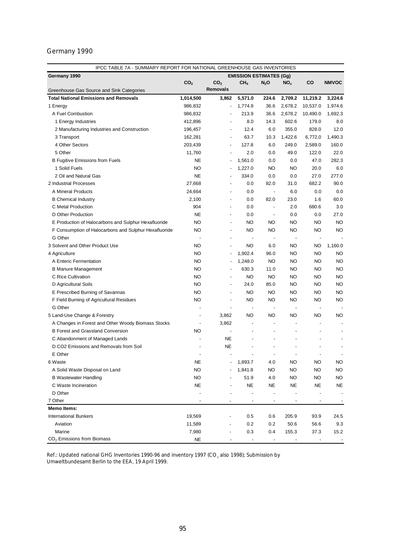| IPCC TABLE 7A - SUMMARY REPORT FOR NATIONAL GREENHOUSE GAS INVENTORIES |                 |                          |                                |                          |                 |                          |              |
|------------------------------------------------------------------------|-----------------|--------------------------|--------------------------------|--------------------------|-----------------|--------------------------|--------------|
| Germany 1990                                                           |                 |                          | <b>EMISSION ESTIMATES (Gg)</b> |                          |                 |                          |              |
|                                                                        | CO <sub>2</sub> | CO <sub>2</sub>          | CH <sub>4</sub>                | $N_2$ O                  | NO <sub>x</sub> | CO                       | <b>NMVOC</b> |
| Greenhouse Gas Source and Sink Categories                              |                 | <b>Removals</b>          |                                |                          |                 |                          |              |
| <b>Total National Emissions and Removals</b>                           | 1,014,500       | 3,862                    | 5,571.0                        | 224.6                    | 2,709.2         | 11,219.2                 | 3,224.6      |
| 1 Energy                                                               | 986,832         | $\overline{\phantom{a}}$ | 1,774.9                        | 36.6                     | 2,678.2         | 10,537.0                 | 1,974.6      |
| A Fuel Combustion                                                      | 986,832         |                          | 213.9                          | 36.6                     | 2,678.2         | 10,490.0                 | 1,692.3      |
| 1 Energy Industries                                                    | 412,896         | $\overline{\phantom{a}}$ | 8.0                            | 14.3                     | 602.6           | 179.0                    | 8.0          |
| 2 Manufacturing Industries and Construction                            | 196,457         | $\blacksquare$           | 12.4                           | 6.0                      | 355.0           | 828.0                    | 12.0         |
| 3 Transport                                                            | 162,281         | $\overline{\phantom{a}}$ | 63.7                           | 10.3                     | 1,422.6         | 6,772.0                  | 1,490.3      |
| 4 Other Sectors                                                        | 203,439         | $\overline{\phantom{a}}$ | 127.8                          | 6.0                      | 249.0           | 2,589.0                  | 160.0        |
| 5 Other                                                                | 11,760          | $\overline{\phantom{a}}$ | 2.0                            | 0.0                      | 49.0            | 122.0                    | 22.0         |
| <b>B Fugitive Emissions from Fuels</b>                                 | <b>NE</b>       |                          | 1,561.0                        | 0.0                      | 0.0             | 47.0                     | 282.3        |
| 1 Solid Fuels                                                          | <b>NO</b>       |                          | 1,227.0                        | NO                       | <b>NO</b>       | 20.0                     | 6.0          |
| 2 Oil and Natural Gas                                                  | <b>NE</b>       |                          | 334.0                          | 0.0                      | 0.0             | 27.0                     | 277.0        |
| 2 Industrial Processes                                                 | 27,668          | $\overline{\phantom{a}}$ | 0.0                            | 82.0                     | 31.0            | 682.2                    | 90.0         |
| A Mineral Products                                                     | 24,664          | $\overline{\phantom{a}}$ | 0.0                            | $\overline{\phantom{a}}$ | 6.0             | 0.0                      | 0.0          |
| <b>B</b> Chemical Industry                                             | 2,100           | $\overline{\phantom{m}}$ | 0.0                            | 82.0                     | 23.0            | 1.6                      | 60.0         |
| C Metal Production                                                     | 904             | $\overline{\phantom{a}}$ | 0.0                            | $\blacksquare$           | 2.0             | 680.6                    | 3.0          |
| D Other Production                                                     | NE              | $\frac{1}{2}$            | 0.0                            | $\overline{\phantom{a}}$ | 0.0             | 0.0                      | 27.0         |
| E Production of Halocarbons and Sulphur Hexafluoride                   | <b>NO</b>       | $\overline{\phantom{a}}$ | NO                             | NO                       | <b>NO</b>       | <b>NO</b>                | <b>NO</b>    |
| F Consumption of Halocarbons and Sulphur Hexafluoride                  | <b>NO</b>       | $\overline{a}$           | <b>NO</b>                      | <b>NO</b>                | <b>NO</b>       | <b>NO</b>                | <b>NO</b>    |
| G Other                                                                |                 | $\overline{\phantom{0}}$ | $\overline{\phantom{a}}$       | $\overline{\phantom{a}}$ | $\overline{a}$  | $\overline{\phantom{a}}$ |              |
| 3 Solvent and Other Product Use                                        | NO              | $\overline{\phantom{a}}$ | NO                             | 6.0                      | NO              | NO                       | 1,160.0      |
| 4 Agriculture                                                          | <b>NO</b>       | $\overline{\phantom{a}}$ | 1,902.4                        | 96.0                     | <b>NO</b>       | <b>NO</b>                | <b>NO</b>    |
| A Enteric Fermentation                                                 | <b>NO</b>       |                          | 1,248.0                        | <b>NO</b>                | <b>NO</b>       | <b>NO</b>                | <b>NO</b>    |
| <b>B Manure Management</b>                                             | <b>NO</b>       |                          | 630.3                          | 11.0                     | <b>NO</b>       | <b>NO</b>                | <b>NO</b>    |
| C Rice Cultivation                                                     | <b>NO</b>       | $\overline{\phantom{a}}$ | <b>NO</b>                      | <b>NO</b>                | <b>NO</b>       | <b>NO</b>                | <b>NO</b>    |
| D Agricultural Soils                                                   | <b>NO</b>       | $\overline{\phantom{a}}$ | 24.0                           | 85.0                     | <b>NO</b>       | <b>NO</b>                | <b>NO</b>    |
| E Prescribed Burning of Savannas                                       | <b>NO</b>       | $\overline{\phantom{a}}$ | <b>NO</b>                      | NO                       | <b>NO</b>       | <b>NO</b>                | <b>NO</b>    |
| F Field Burning of Agricultural Residues                               | <b>NO</b>       | $\overline{\phantom{a}}$ | <b>NO</b>                      | NO                       | NO              | <b>NO</b>                | <b>NO</b>    |
| G Other                                                                | $\overline{a}$  | $\overline{\phantom{a}}$ | $\overline{\phantom{a}}$       | $\blacksquare$           | $\overline{a}$  | $\overline{\phantom{a}}$ |              |
| 5 Land-Use Change & Forestry                                           | ÷               | 3,862                    | <b>NO</b>                      | NO                       | NO              | NO                       | NO           |
| A Changes in Forest and Other Woody Biomass Stocks                     |                 | 3,862                    | $\overline{\phantom{a}}$       | $\overline{\phantom{a}}$ |                 | $\overline{\phantom{m}}$ |              |
| <b>B Forest and Grassland Conversion</b>                               | NO              | $\overline{\phantom{a}}$ | $\overline{a}$                 | ٠                        |                 | ٠                        |              |
| C Abandonment of Managed Lands                                         |                 | NE.                      |                                |                          |                 |                          |              |
| D CO2 Emissions and Removals from Soil                                 |                 | NE                       |                                |                          |                 |                          |              |
| E Other                                                                |                 |                          |                                | ÷,                       |                 | ÷                        |              |
| 6 Waste                                                                | NE              |                          | 1,893.7                        |                          | <b>NO</b>       | <b>NO</b>                | <b>NO</b>    |
|                                                                        |                 |                          |                                | 4.0                      |                 |                          |              |
| A Solid Waste Disposal on Land                                         | <b>NO</b>       |                          | 1,841.8                        | NO                       | NO              | <b>NO</b>                | <b>NO</b>    |
| <b>B</b> Wastewater Handling                                           | <b>NO</b>       |                          | 51.9                           | 4.0                      | <b>NO</b>       | <b>NO</b>                | <b>NO</b>    |
| C Waste Incineration                                                   | NE              |                          | NE                             | NE                       | NE              | NE                       | NE           |
| D Other                                                                |                 |                          | $\overline{\phantom{a}}$       | ÷                        |                 |                          |              |
| 7 Other                                                                |                 | $\overline{\phantom{m}}$ | $\overline{\phantom{a}}$       | $\overline{\phantom{m}}$ | $\overline{a}$  | $\overline{\phantom{m}}$ |              |
| <b>Memo Items:</b>                                                     |                 |                          |                                |                          |                 |                          |              |
| <b>International Bunkers</b>                                           | 19,569          |                          | 0.5                            | 0.6                      | 205.9           | 93.9                     | 24.5         |
| Aviation                                                               | 11,589          |                          | 0.2                            | 0.2                      | 50.6            | 56.6                     | 9.3          |
| Marine                                                                 | 7,980           |                          | 0.3                            | 0.4                      | 155.3           | 37.3                     | 15.2         |
| CO <sub>2</sub> Emissions from Biomass                                 | NE              |                          |                                |                          |                 |                          |              |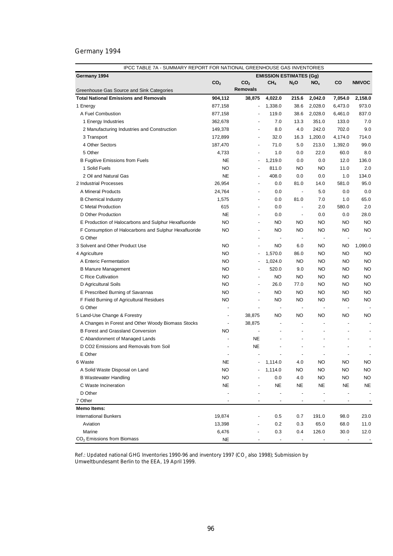| IPCC TABLE 7A - SUMMARY REPORT FOR NATIONAL GREENHOUSE GAS INVENTORIES   |                          |                          |                                |                          |                          |                          |              |  |
|--------------------------------------------------------------------------|--------------------------|--------------------------|--------------------------------|--------------------------|--------------------------|--------------------------|--------------|--|
| Germany 1994                                                             |                          |                          | <b>EMISSION ESTIMATES (Gg)</b> |                          |                          |                          |              |  |
|                                                                          | CO <sub>2</sub>          | CO <sub>2</sub>          | CH <sub>4</sub>                | $N_2O$                   | NO <sub>x</sub>          | CO                       | <b>NMVOC</b> |  |
| Greenhouse Gas Source and Sink Categories                                |                          | <b>Removals</b>          |                                |                          |                          |                          |              |  |
| <b>Total National Emissions and Removals</b>                             | 904,112                  | 38,875                   | 4,022.0                        | 215.6                    | 2,042.0                  | 7,054.0                  | 2,158.0      |  |
| 1 Energy                                                                 | 877,158                  | $\overline{\phantom{a}}$ | 1,338.0                        | 38.6                     | 2,028.0                  | 6,473.0                  | 973.0        |  |
| A Fuel Combustion                                                        | 877,158                  |                          | 119.0                          | 38.6                     | 2,028.0                  | 6,461.0                  | 837.0        |  |
| 1 Energy Industries                                                      | 362,678                  |                          | 7.0                            | 13.3                     | 351.0                    | 133.0                    | 7.0          |  |
| 2 Manufacturing Industries and Construction                              | 149,378                  | $\blacksquare$           | 8.0                            | 4.0                      | 242.0                    | 702.0                    | 9.0          |  |
| 3 Transport                                                              | 172,899                  | $\overline{\phantom{a}}$ | 32.0                           | 16.3                     | 1,200.0                  | 4,174.0                  | 714.0        |  |
| 4 Other Sectors                                                          | 187,470                  | $\overline{\phantom{a}}$ | 71.0                           | 5.0                      | 213.0                    | 1,392.0                  | 99.0         |  |
| 5 Other                                                                  | 4,733                    | $\blacksquare$           | 1.0                            | 0.0                      | 22.0                     | 60.0                     | 8.0          |  |
| <b>B Fugitive Emissions from Fuels</b>                                   | NE.                      | ٠                        | 1,219.0                        | 0.0                      | 0.0                      | 12.0                     | 136.0        |  |
| 1 Solid Fuels                                                            | <b>NO</b>                | $\overline{\phantom{a}}$ | 811.0                          | <b>NO</b>                | <b>NO</b>                | 11.0                     | 2.0          |  |
| 2 Oil and Natural Gas                                                    | <b>NE</b>                | $\overline{\phantom{m}}$ | 408.0                          | 0.0                      | 0.0                      | 1.0                      | 134.0        |  |
| 2 Industrial Processes                                                   | 26,954                   | $\overline{\phantom{a}}$ | 0.0                            | 81.0                     | 14.0                     | 581.0                    | 95.0         |  |
| A Mineral Products                                                       | 24,764                   | $\overline{\phantom{a}}$ | 0.0                            | $\overline{\phantom{a}}$ | 5.0                      | 0.0                      | 0.0          |  |
| <b>B</b> Chemical Industry                                               | 1,575                    | $\overline{\phantom{a}}$ | 0.0                            | 81.0                     | 7.0                      | 1.0                      | 65.0         |  |
| C Metal Production                                                       | 615                      | $\overline{\phantom{m}}$ | 0.0                            | $\overline{\phantom{a}}$ | 2.0                      | 580.0                    | 2.0          |  |
| D Other Production                                                       | <b>NE</b>                | $\overline{a}$           | 0.0                            | $\overline{\phantom{a}}$ | 0.0                      | 0.0                      | 28.0         |  |
| E Production of Halocarbons and Sulphur Hexafluoride                     | <b>NO</b>                | $\blacksquare$           | ΝO                             | NO                       | <b>NO</b>                | NO                       | <b>NO</b>    |  |
| F Consumption of Halocarbons and Sulphur Hexafluoride                    | <b>NO</b>                | ÷                        | NO                             | NO                       | <b>NO</b>                | <b>NO</b>                | <b>NO</b>    |  |
| G Other                                                                  |                          | $\overline{\phantom{a}}$ | $\overline{a}$                 | $\overline{\phantom{a}}$ | $\overline{\phantom{a}}$ | $\blacksquare$           |              |  |
| 3 Solvent and Other Product Use                                          | NO                       | $\blacksquare$           | NO                             | 6.0                      | NO                       | NO                       | 1,090.0      |  |
| 4 Agriculture                                                            | <b>NO</b>                | $\overline{\phantom{a}}$ | 1,570.0                        | 86.0                     | <b>NO</b>                | NO                       | <b>NO</b>    |  |
| A Enteric Fermentation                                                   | <b>NO</b>                | $\overline{a}$           | 1,024.0                        | NO                       | NO                       | NO                       | <b>NO</b>    |  |
| <b>B Manure Management</b>                                               | NO                       |                          | 520.0                          | 9.0                      | NO                       | NO                       | <b>NO</b>    |  |
| C Rice Cultivation                                                       | NO                       | $\overline{a}$           | NO                             | NO                       | NO.                      | NO                       | <b>NO</b>    |  |
| D Agricultural Soils                                                     | <b>NO</b>                | ÷                        | 26.0                           | 77.0                     | <b>NO</b>                | <b>NO</b>                | <b>NO</b>    |  |
| E Prescribed Burning of Savannas                                         | <b>NO</b>                | ÷,                       | <b>NO</b>                      | NO                       | NO                       | NO                       | <b>NO</b>    |  |
| F Field Burning of Agricultural Residues                                 | <b>NO</b>                | $\overline{a}$           | NO                             | NO                       | NO.                      | <b>NO</b>                | <b>NO</b>    |  |
| G Other                                                                  |                          | ÷,                       | $\blacksquare$                 | $\blacksquare$           |                          | $\overline{a}$           |              |  |
| 5 Land-Use Change & Forestry                                             | $\overline{\phantom{a}}$ | 38,875                   | NO                             | NO                       | NO.                      | NO                       | NO           |  |
| A Changes in Forest and Other Woody Biomass Stocks                       | $\frac{1}{2}$            | 38,875                   |                                |                          |                          | $\overline{\phantom{a}}$ |              |  |
| <b>B Forest and Grassland Conversion</b>                                 | <b>NO</b>                | ÷,                       |                                |                          |                          | $\overline{\phantom{a}}$ |              |  |
|                                                                          | $\overline{\phantom{a}}$ | <b>NE</b>                |                                | $\overline{\phantom{a}}$ | $\overline{\phantom{a}}$ | $\overline{a}$           |              |  |
| C Abandonment of Managed Lands<br>D CO2 Emissions and Removals from Soil |                          | <b>NE</b>                |                                |                          |                          |                          |              |  |
| E Other                                                                  |                          |                          |                                |                          |                          |                          |              |  |
|                                                                          |                          |                          |                                |                          |                          |                          |              |  |
| 6 Waste                                                                  | NE                       |                          | 1,114.0                        | 4.0                      | NO                       | <b>NO</b>                | <b>NO</b>    |  |
| A Solid Waste Disposal on Land                                           | <b>NO</b>                |                          | 1,114.0                        | <b>NO</b>                | <b>NO</b>                | <b>NO</b>                | <b>NO</b>    |  |
| <b>B Wastewater Handling</b>                                             | <b>NO</b>                |                          | 0.0                            | 4.0                      | <b>NO</b>                | NO                       | <b>NO</b>    |  |
| C Waste Incineration                                                     | <b>NE</b>                |                          | NE                             | NE                       | NE                       | <b>NE</b>                | <b>NE</b>    |  |
| D Other                                                                  |                          |                          |                                |                          |                          |                          |              |  |
| 7 Other                                                                  |                          |                          |                                |                          |                          |                          |              |  |
| <b>Memo Items:</b>                                                       |                          |                          |                                |                          |                          |                          |              |  |
| <b>International Bunkers</b>                                             | 19,874                   |                          | 0.5                            | 0.7                      | 191.0                    | 98.0                     | 23.0         |  |
| Aviation                                                                 | 13,398                   |                          | 0.2                            | 0.3                      | 65.0                     | 68.0                     | 11.0         |  |
| Marine                                                                   | 6,476                    | Ĭ.                       | 0.3                            | 0.4                      | 126.0                    | 30.0                     | 12.0         |  |
| $CO2$ Emissions from Biomass                                             | NE                       |                          | $\overline{\phantom{a}}$       |                          |                          |                          |              |  |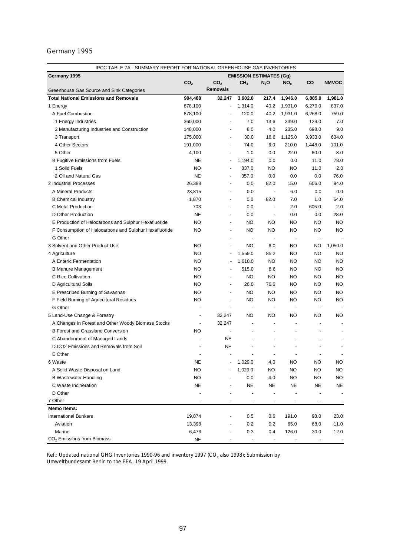| Germany 1995<br><b>EMISSION ESTIMATES (Gg)</b><br>CO <sub>2</sub><br>CO <sub>2</sub><br>CO<br><b>NMVOC</b><br>CH <sub>4</sub><br>$N_2$ O<br>NO <sub>x</sub><br><b>Removals</b><br>Greenhouse Gas Source and Sink Categories<br><b>Total National Emissions and Removals</b><br>904,488<br>3,902.0<br>217.4<br>1,981.0<br>32,247<br>1,946.0<br>6,885.0<br>878,100<br>1,314.0<br>40.2<br>1,931.0<br>6,279.0<br>837.0<br>1 Energy<br>$\overline{\phantom{a}}$<br>120.0<br>759.0<br>A Fuel Combustion<br>878,100<br>40.2<br>1,931.0<br>6,268.0<br>$\overline{\phantom{a}}$<br>7.0<br>129.0<br>7.0<br>1 Energy Industries<br>360,000<br>13.6<br>339.0<br>8.0<br>4.0<br>235.0<br>698.0<br>9.0<br>2 Manufacturing Industries and Construction<br>148,000<br>634.0<br>3 Transport<br>175,000<br>30.0<br>16.6<br>1,125.0<br>3,933.0<br>$\blacksquare$<br>4 Other Sectors<br>6.0<br>210.0<br>101.0<br>191,000<br>74.0<br>1,448.0<br>$\blacksquare$<br>5 Other<br>22.0<br>60.0<br>8.0<br>4,100<br>1.0<br>0.0<br>$\blacksquare$<br><b>NE</b><br>1,194.0<br>78.0<br><b>B Fugitive Emissions from Fuels</b><br>0.0<br>0.0<br>11.0<br>$\blacksquare$<br>1 Solid Fuels<br><b>NO</b><br>837.0<br>NO<br><b>NO</b><br>11.0<br>2.0<br>$\overline{a}$<br>2 Oil and Natural Gas<br><b>NE</b><br>357.0<br>0.0<br>76.0<br>0.0<br>0.0<br>$\overline{\phantom{m}}$<br>2 Industrial Processes<br>26,388<br>82.0<br>606.0<br>94.0<br>0.0<br>15.0<br>$\overline{\phantom{a}}$<br>0.0<br>A Mineral Products<br>23,815<br>0.0<br>6.0<br>0.0<br>$\overline{\phantom{a}}$<br>$\overline{\phantom{a}}$<br>82.0<br>64.0<br><b>B</b> Chemical Industry<br>1,870<br>0.0<br>7.0<br>1.0<br>$\overline{\phantom{a}}$<br>703<br>605.0<br>2.0<br>C Metal Production<br>0.0<br>2.0<br>$\blacksquare$<br>$\overline{\phantom{a}}$<br>D Other Production<br><b>NE</b><br>28.0<br>0.0<br>0.0<br>0.0<br>$\overline{\phantom{a}}$<br>$\overline{\phantom{m}}$<br><b>NO</b><br><b>NO</b><br><b>NO</b><br>NO<br><b>NO</b><br><b>NO</b><br>E Production of Halocarbons and Sulphur Hexafluoride<br>$\overline{\phantom{a}}$<br><b>NO</b><br><b>NO</b><br><b>NO</b><br><b>NO</b><br><b>NO</b><br>F Consumption of Halocarbons and Sulphur Hexafluoride<br>NO<br>$\overline{\phantom{m}}$<br>G Other<br>÷,<br>÷,<br>$\overline{\phantom{a}}$<br>$\overline{\phantom{a}}$<br>$\overline{a}$<br>3 Solvent and Other Product Use<br><b>NO</b><br>1,050.0<br>NO<br>6.0<br>NO<br>NO<br>$\overline{\phantom{a}}$<br><b>NO</b><br>1,559.0<br>85.2<br><b>NO</b><br><b>NO</b><br><b>NO</b><br>4 Agriculture<br>÷,<br><b>NO</b><br>1,018.0<br><b>NO</b><br><b>NO</b><br><b>NO</b><br><b>NO</b><br>A Enteric Fermentation<br><b>NO</b><br>515.0<br><b>NO</b><br><b>NO</b><br><b>NO</b><br><b>B Manure Management</b><br>8.6<br>٠<br><b>NO</b><br>NO<br><b>NO</b><br><b>NO</b><br><b>NO</b><br><b>NO</b><br>C Rice Cultivation<br>$\overline{\phantom{a}}$<br><b>NO</b><br>26.0<br><b>NO</b><br><b>NO</b><br><b>NO</b><br>D Agricultural Soils<br>76.6<br>$\overline{\phantom{a}}$<br><b>NO</b><br>NO<br><b>NO</b><br><b>NO</b><br>E Prescribed Burning of Savannas<br>NO<br>NO<br>$\overline{\phantom{a}}$<br><b>NO</b><br><b>NO</b><br><b>NO</b><br><b>NO</b><br><b>NO</b><br><b>NO</b><br>F Field Burning of Agricultural Residues<br>$\overline{\phantom{a}}$<br>G Other<br>$\overline{\phantom{a}}$<br>$\overline{\phantom{a}}$<br>$\overline{a}$<br>$\overline{\phantom{a}}$<br>$\overline{a}$<br>5 Land-Use Change & Forestry<br>32,247<br>NO<br>NO<br>NO<br>NO<br>NO<br>٠<br>A Changes in Forest and Other Woody Biomass Stocks<br>32,247<br>٠<br>$\overline{\phantom{a}}$<br>$\overline{\phantom{a}}$<br>٠<br>$\blacksquare$<br><b>B Forest and Grassland Conversion</b><br>NO<br>÷,<br>÷,<br>÷,<br>NE<br>C Abandonment of Managed Lands<br>D CO2 Emissions and Removals from Soil<br><b>NE</b><br>÷,<br>÷,<br>E Other<br>÷,<br>٠<br>÷,<br>1,029.0<br>4.0<br><b>NO</b><br><b>NO</b><br>6 Waste<br>NE<br>NO<br>A Solid Waste Disposal on Land<br><b>NO</b><br>1,029.0<br><b>NO</b><br><b>NO</b><br><b>NO</b><br><b>NO</b><br><b>NO</b><br>4.0<br><b>NO</b><br><b>NO</b><br><b>NO</b><br><b>B Wastewater Handling</b><br>0.0<br>NE<br><b>NE</b><br>NE<br><b>NE</b><br>C Waste Incineration<br>NE<br>NE<br>D Other<br>$\overline{\phantom{a}}$<br>7 Other<br>$\overline{\phantom{a}}$<br><b>Memo Items:</b><br><b>International Bunkers</b><br>19,874<br>0.5<br>0.6<br>191.0<br>98.0<br>23.0<br>-<br>0.2<br>65.0<br>Aviation<br>13,398<br>0.2<br>68.0<br>11.0<br>Marine<br>6,476<br>0.3<br>0.4<br>126.0<br>30.0<br>12.0 | IPCC TABLE 7A - SUMMARY REPORT FOR NATIONAL GREENHOUSE GAS INVENTORIES |           |  |                          |  |  |  |  |  |  |  |  |
|--------------------------------------------------------------------------------------------------------------------------------------------------------------------------------------------------------------------------------------------------------------------------------------------------------------------------------------------------------------------------------------------------------------------------------------------------------------------------------------------------------------------------------------------------------------------------------------------------------------------------------------------------------------------------------------------------------------------------------------------------------------------------------------------------------------------------------------------------------------------------------------------------------------------------------------------------------------------------------------------------------------------------------------------------------------------------------------------------------------------------------------------------------------------------------------------------------------------------------------------------------------------------------------------------------------------------------------------------------------------------------------------------------------------------------------------------------------------------------------------------------------------------------------------------------------------------------------------------------------------------------------------------------------------------------------------------------------------------------------------------------------------------------------------------------------------------------------------------------------------------------------------------------------------------------------------------------------------------------------------------------------------------------------------------------------------------------------------------------------------------------------------------------------------------------------------------------------------------------------------------------------------------------------------------------------------------------------------------------------------------------------------------------------------------------------------------------------------------------------------------------------------------------------------------------------------------------------------------------------------------------------------------------------------------------------------------------------------------------------------------------------------------------------------------------------------------------------------------------------------------------------------------------------------------------------------------------------------------------------------------------------------------------------------------------------------------------------------------------------------------------------------------------------------------------------------------------------------------------------------------------------------------------------------------------------------------------------------------------------------------------------------------------------------------------------------------------------------------------------------------------------------------------------------------------------------------------------------------------------------------------------------------------------------------------------------------------------------------------------------------------------------------------------------------------------------------------------------------------------------------------------------------------------------------------------------------------------------------------------------------------------------------------------------------------------------------------------------------------------------------------------------------------------------------------------------------------------------------------------------------------------------------------------------------------------------------------------------------------------------------------------------------------------------------------------------------------------------------------------------------------------------------------------------------------------|------------------------------------------------------------------------|-----------|--|--------------------------|--|--|--|--|--|--|--|--|
|                                                                                                                                                                                                                                                                                                                                                                                                                                                                                                                                                                                                                                                                                                                                                                                                                                                                                                                                                                                                                                                                                                                                                                                                                                                                                                                                                                                                                                                                                                                                                                                                                                                                                                                                                                                                                                                                                                                                                                                                                                                                                                                                                                                                                                                                                                                                                                                                                                                                                                                                                                                                                                                                                                                                                                                                                                                                                                                                                                                                                                                                                                                                                                                                                                                                                                                                                                                                                                                                                                                                                                                                                                                                                                                                                                                                                                                                                                                                                                                                                                                                                                                                                                                                                                                                                                                                                                                                                                                                                                                                                              |                                                                        |           |  |                          |  |  |  |  |  |  |  |  |
|                                                                                                                                                                                                                                                                                                                                                                                                                                                                                                                                                                                                                                                                                                                                                                                                                                                                                                                                                                                                                                                                                                                                                                                                                                                                                                                                                                                                                                                                                                                                                                                                                                                                                                                                                                                                                                                                                                                                                                                                                                                                                                                                                                                                                                                                                                                                                                                                                                                                                                                                                                                                                                                                                                                                                                                                                                                                                                                                                                                                                                                                                                                                                                                                                                                                                                                                                                                                                                                                                                                                                                                                                                                                                                                                                                                                                                                                                                                                                                                                                                                                                                                                                                                                                                                                                                                                                                                                                                                                                                                                                              |                                                                        |           |  |                          |  |  |  |  |  |  |  |  |
|                                                                                                                                                                                                                                                                                                                                                                                                                                                                                                                                                                                                                                                                                                                                                                                                                                                                                                                                                                                                                                                                                                                                                                                                                                                                                                                                                                                                                                                                                                                                                                                                                                                                                                                                                                                                                                                                                                                                                                                                                                                                                                                                                                                                                                                                                                                                                                                                                                                                                                                                                                                                                                                                                                                                                                                                                                                                                                                                                                                                                                                                                                                                                                                                                                                                                                                                                                                                                                                                                                                                                                                                                                                                                                                                                                                                                                                                                                                                                                                                                                                                                                                                                                                                                                                                                                                                                                                                                                                                                                                                                              |                                                                        |           |  |                          |  |  |  |  |  |  |  |  |
|                                                                                                                                                                                                                                                                                                                                                                                                                                                                                                                                                                                                                                                                                                                                                                                                                                                                                                                                                                                                                                                                                                                                                                                                                                                                                                                                                                                                                                                                                                                                                                                                                                                                                                                                                                                                                                                                                                                                                                                                                                                                                                                                                                                                                                                                                                                                                                                                                                                                                                                                                                                                                                                                                                                                                                                                                                                                                                                                                                                                                                                                                                                                                                                                                                                                                                                                                                                                                                                                                                                                                                                                                                                                                                                                                                                                                                                                                                                                                                                                                                                                                                                                                                                                                                                                                                                                                                                                                                                                                                                                                              |                                                                        |           |  |                          |  |  |  |  |  |  |  |  |
|                                                                                                                                                                                                                                                                                                                                                                                                                                                                                                                                                                                                                                                                                                                                                                                                                                                                                                                                                                                                                                                                                                                                                                                                                                                                                                                                                                                                                                                                                                                                                                                                                                                                                                                                                                                                                                                                                                                                                                                                                                                                                                                                                                                                                                                                                                                                                                                                                                                                                                                                                                                                                                                                                                                                                                                                                                                                                                                                                                                                                                                                                                                                                                                                                                                                                                                                                                                                                                                                                                                                                                                                                                                                                                                                                                                                                                                                                                                                                                                                                                                                                                                                                                                                                                                                                                                                                                                                                                                                                                                                                              |                                                                        |           |  |                          |  |  |  |  |  |  |  |  |
|                                                                                                                                                                                                                                                                                                                                                                                                                                                                                                                                                                                                                                                                                                                                                                                                                                                                                                                                                                                                                                                                                                                                                                                                                                                                                                                                                                                                                                                                                                                                                                                                                                                                                                                                                                                                                                                                                                                                                                                                                                                                                                                                                                                                                                                                                                                                                                                                                                                                                                                                                                                                                                                                                                                                                                                                                                                                                                                                                                                                                                                                                                                                                                                                                                                                                                                                                                                                                                                                                                                                                                                                                                                                                                                                                                                                                                                                                                                                                                                                                                                                                                                                                                                                                                                                                                                                                                                                                                                                                                                                                              |                                                                        |           |  |                          |  |  |  |  |  |  |  |  |
|                                                                                                                                                                                                                                                                                                                                                                                                                                                                                                                                                                                                                                                                                                                                                                                                                                                                                                                                                                                                                                                                                                                                                                                                                                                                                                                                                                                                                                                                                                                                                                                                                                                                                                                                                                                                                                                                                                                                                                                                                                                                                                                                                                                                                                                                                                                                                                                                                                                                                                                                                                                                                                                                                                                                                                                                                                                                                                                                                                                                                                                                                                                                                                                                                                                                                                                                                                                                                                                                                                                                                                                                                                                                                                                                                                                                                                                                                                                                                                                                                                                                                                                                                                                                                                                                                                                                                                                                                                                                                                                                                              |                                                                        |           |  |                          |  |  |  |  |  |  |  |  |
|                                                                                                                                                                                                                                                                                                                                                                                                                                                                                                                                                                                                                                                                                                                                                                                                                                                                                                                                                                                                                                                                                                                                                                                                                                                                                                                                                                                                                                                                                                                                                                                                                                                                                                                                                                                                                                                                                                                                                                                                                                                                                                                                                                                                                                                                                                                                                                                                                                                                                                                                                                                                                                                                                                                                                                                                                                                                                                                                                                                                                                                                                                                                                                                                                                                                                                                                                                                                                                                                                                                                                                                                                                                                                                                                                                                                                                                                                                                                                                                                                                                                                                                                                                                                                                                                                                                                                                                                                                                                                                                                                              |                                                                        |           |  |                          |  |  |  |  |  |  |  |  |
|                                                                                                                                                                                                                                                                                                                                                                                                                                                                                                                                                                                                                                                                                                                                                                                                                                                                                                                                                                                                                                                                                                                                                                                                                                                                                                                                                                                                                                                                                                                                                                                                                                                                                                                                                                                                                                                                                                                                                                                                                                                                                                                                                                                                                                                                                                                                                                                                                                                                                                                                                                                                                                                                                                                                                                                                                                                                                                                                                                                                                                                                                                                                                                                                                                                                                                                                                                                                                                                                                                                                                                                                                                                                                                                                                                                                                                                                                                                                                                                                                                                                                                                                                                                                                                                                                                                                                                                                                                                                                                                                                              |                                                                        |           |  |                          |  |  |  |  |  |  |  |  |
|                                                                                                                                                                                                                                                                                                                                                                                                                                                                                                                                                                                                                                                                                                                                                                                                                                                                                                                                                                                                                                                                                                                                                                                                                                                                                                                                                                                                                                                                                                                                                                                                                                                                                                                                                                                                                                                                                                                                                                                                                                                                                                                                                                                                                                                                                                                                                                                                                                                                                                                                                                                                                                                                                                                                                                                                                                                                                                                                                                                                                                                                                                                                                                                                                                                                                                                                                                                                                                                                                                                                                                                                                                                                                                                                                                                                                                                                                                                                                                                                                                                                                                                                                                                                                                                                                                                                                                                                                                                                                                                                                              |                                                                        |           |  |                          |  |  |  |  |  |  |  |  |
|                                                                                                                                                                                                                                                                                                                                                                                                                                                                                                                                                                                                                                                                                                                                                                                                                                                                                                                                                                                                                                                                                                                                                                                                                                                                                                                                                                                                                                                                                                                                                                                                                                                                                                                                                                                                                                                                                                                                                                                                                                                                                                                                                                                                                                                                                                                                                                                                                                                                                                                                                                                                                                                                                                                                                                                                                                                                                                                                                                                                                                                                                                                                                                                                                                                                                                                                                                                                                                                                                                                                                                                                                                                                                                                                                                                                                                                                                                                                                                                                                                                                                                                                                                                                                                                                                                                                                                                                                                                                                                                                                              |                                                                        |           |  |                          |  |  |  |  |  |  |  |  |
|                                                                                                                                                                                                                                                                                                                                                                                                                                                                                                                                                                                                                                                                                                                                                                                                                                                                                                                                                                                                                                                                                                                                                                                                                                                                                                                                                                                                                                                                                                                                                                                                                                                                                                                                                                                                                                                                                                                                                                                                                                                                                                                                                                                                                                                                                                                                                                                                                                                                                                                                                                                                                                                                                                                                                                                                                                                                                                                                                                                                                                                                                                                                                                                                                                                                                                                                                                                                                                                                                                                                                                                                                                                                                                                                                                                                                                                                                                                                                                                                                                                                                                                                                                                                                                                                                                                                                                                                                                                                                                                                                              |                                                                        |           |  |                          |  |  |  |  |  |  |  |  |
|                                                                                                                                                                                                                                                                                                                                                                                                                                                                                                                                                                                                                                                                                                                                                                                                                                                                                                                                                                                                                                                                                                                                                                                                                                                                                                                                                                                                                                                                                                                                                                                                                                                                                                                                                                                                                                                                                                                                                                                                                                                                                                                                                                                                                                                                                                                                                                                                                                                                                                                                                                                                                                                                                                                                                                                                                                                                                                                                                                                                                                                                                                                                                                                                                                                                                                                                                                                                                                                                                                                                                                                                                                                                                                                                                                                                                                                                                                                                                                                                                                                                                                                                                                                                                                                                                                                                                                                                                                                                                                                                                              |                                                                        |           |  |                          |  |  |  |  |  |  |  |  |
|                                                                                                                                                                                                                                                                                                                                                                                                                                                                                                                                                                                                                                                                                                                                                                                                                                                                                                                                                                                                                                                                                                                                                                                                                                                                                                                                                                                                                                                                                                                                                                                                                                                                                                                                                                                                                                                                                                                                                                                                                                                                                                                                                                                                                                                                                                                                                                                                                                                                                                                                                                                                                                                                                                                                                                                                                                                                                                                                                                                                                                                                                                                                                                                                                                                                                                                                                                                                                                                                                                                                                                                                                                                                                                                                                                                                                                                                                                                                                                                                                                                                                                                                                                                                                                                                                                                                                                                                                                                                                                                                                              |                                                                        |           |  |                          |  |  |  |  |  |  |  |  |
|                                                                                                                                                                                                                                                                                                                                                                                                                                                                                                                                                                                                                                                                                                                                                                                                                                                                                                                                                                                                                                                                                                                                                                                                                                                                                                                                                                                                                                                                                                                                                                                                                                                                                                                                                                                                                                                                                                                                                                                                                                                                                                                                                                                                                                                                                                                                                                                                                                                                                                                                                                                                                                                                                                                                                                                                                                                                                                                                                                                                                                                                                                                                                                                                                                                                                                                                                                                                                                                                                                                                                                                                                                                                                                                                                                                                                                                                                                                                                                                                                                                                                                                                                                                                                                                                                                                                                                                                                                                                                                                                                              |                                                                        |           |  |                          |  |  |  |  |  |  |  |  |
|                                                                                                                                                                                                                                                                                                                                                                                                                                                                                                                                                                                                                                                                                                                                                                                                                                                                                                                                                                                                                                                                                                                                                                                                                                                                                                                                                                                                                                                                                                                                                                                                                                                                                                                                                                                                                                                                                                                                                                                                                                                                                                                                                                                                                                                                                                                                                                                                                                                                                                                                                                                                                                                                                                                                                                                                                                                                                                                                                                                                                                                                                                                                                                                                                                                                                                                                                                                                                                                                                                                                                                                                                                                                                                                                                                                                                                                                                                                                                                                                                                                                                                                                                                                                                                                                                                                                                                                                                                                                                                                                                              |                                                                        |           |  |                          |  |  |  |  |  |  |  |  |
|                                                                                                                                                                                                                                                                                                                                                                                                                                                                                                                                                                                                                                                                                                                                                                                                                                                                                                                                                                                                                                                                                                                                                                                                                                                                                                                                                                                                                                                                                                                                                                                                                                                                                                                                                                                                                                                                                                                                                                                                                                                                                                                                                                                                                                                                                                                                                                                                                                                                                                                                                                                                                                                                                                                                                                                                                                                                                                                                                                                                                                                                                                                                                                                                                                                                                                                                                                                                                                                                                                                                                                                                                                                                                                                                                                                                                                                                                                                                                                                                                                                                                                                                                                                                                                                                                                                                                                                                                                                                                                                                                              |                                                                        |           |  |                          |  |  |  |  |  |  |  |  |
|                                                                                                                                                                                                                                                                                                                                                                                                                                                                                                                                                                                                                                                                                                                                                                                                                                                                                                                                                                                                                                                                                                                                                                                                                                                                                                                                                                                                                                                                                                                                                                                                                                                                                                                                                                                                                                                                                                                                                                                                                                                                                                                                                                                                                                                                                                                                                                                                                                                                                                                                                                                                                                                                                                                                                                                                                                                                                                                                                                                                                                                                                                                                                                                                                                                                                                                                                                                                                                                                                                                                                                                                                                                                                                                                                                                                                                                                                                                                                                                                                                                                                                                                                                                                                                                                                                                                                                                                                                                                                                                                                              |                                                                        |           |  |                          |  |  |  |  |  |  |  |  |
|                                                                                                                                                                                                                                                                                                                                                                                                                                                                                                                                                                                                                                                                                                                                                                                                                                                                                                                                                                                                                                                                                                                                                                                                                                                                                                                                                                                                                                                                                                                                                                                                                                                                                                                                                                                                                                                                                                                                                                                                                                                                                                                                                                                                                                                                                                                                                                                                                                                                                                                                                                                                                                                                                                                                                                                                                                                                                                                                                                                                                                                                                                                                                                                                                                                                                                                                                                                                                                                                                                                                                                                                                                                                                                                                                                                                                                                                                                                                                                                                                                                                                                                                                                                                                                                                                                                                                                                                                                                                                                                                                              |                                                                        |           |  |                          |  |  |  |  |  |  |  |  |
|                                                                                                                                                                                                                                                                                                                                                                                                                                                                                                                                                                                                                                                                                                                                                                                                                                                                                                                                                                                                                                                                                                                                                                                                                                                                                                                                                                                                                                                                                                                                                                                                                                                                                                                                                                                                                                                                                                                                                                                                                                                                                                                                                                                                                                                                                                                                                                                                                                                                                                                                                                                                                                                                                                                                                                                                                                                                                                                                                                                                                                                                                                                                                                                                                                                                                                                                                                                                                                                                                                                                                                                                                                                                                                                                                                                                                                                                                                                                                                                                                                                                                                                                                                                                                                                                                                                                                                                                                                                                                                                                                              |                                                                        |           |  |                          |  |  |  |  |  |  |  |  |
|                                                                                                                                                                                                                                                                                                                                                                                                                                                                                                                                                                                                                                                                                                                                                                                                                                                                                                                                                                                                                                                                                                                                                                                                                                                                                                                                                                                                                                                                                                                                                                                                                                                                                                                                                                                                                                                                                                                                                                                                                                                                                                                                                                                                                                                                                                                                                                                                                                                                                                                                                                                                                                                                                                                                                                                                                                                                                                                                                                                                                                                                                                                                                                                                                                                                                                                                                                                                                                                                                                                                                                                                                                                                                                                                                                                                                                                                                                                                                                                                                                                                                                                                                                                                                                                                                                                                                                                                                                                                                                                                                              |                                                                        |           |  |                          |  |  |  |  |  |  |  |  |
|                                                                                                                                                                                                                                                                                                                                                                                                                                                                                                                                                                                                                                                                                                                                                                                                                                                                                                                                                                                                                                                                                                                                                                                                                                                                                                                                                                                                                                                                                                                                                                                                                                                                                                                                                                                                                                                                                                                                                                                                                                                                                                                                                                                                                                                                                                                                                                                                                                                                                                                                                                                                                                                                                                                                                                                                                                                                                                                                                                                                                                                                                                                                                                                                                                                                                                                                                                                                                                                                                                                                                                                                                                                                                                                                                                                                                                                                                                                                                                                                                                                                                                                                                                                                                                                                                                                                                                                                                                                                                                                                                              |                                                                        |           |  |                          |  |  |  |  |  |  |  |  |
|                                                                                                                                                                                                                                                                                                                                                                                                                                                                                                                                                                                                                                                                                                                                                                                                                                                                                                                                                                                                                                                                                                                                                                                                                                                                                                                                                                                                                                                                                                                                                                                                                                                                                                                                                                                                                                                                                                                                                                                                                                                                                                                                                                                                                                                                                                                                                                                                                                                                                                                                                                                                                                                                                                                                                                                                                                                                                                                                                                                                                                                                                                                                                                                                                                                                                                                                                                                                                                                                                                                                                                                                                                                                                                                                                                                                                                                                                                                                                                                                                                                                                                                                                                                                                                                                                                                                                                                                                                                                                                                                                              |                                                                        |           |  |                          |  |  |  |  |  |  |  |  |
|                                                                                                                                                                                                                                                                                                                                                                                                                                                                                                                                                                                                                                                                                                                                                                                                                                                                                                                                                                                                                                                                                                                                                                                                                                                                                                                                                                                                                                                                                                                                                                                                                                                                                                                                                                                                                                                                                                                                                                                                                                                                                                                                                                                                                                                                                                                                                                                                                                                                                                                                                                                                                                                                                                                                                                                                                                                                                                                                                                                                                                                                                                                                                                                                                                                                                                                                                                                                                                                                                                                                                                                                                                                                                                                                                                                                                                                                                                                                                                                                                                                                                                                                                                                                                                                                                                                                                                                                                                                                                                                                                              |                                                                        |           |  |                          |  |  |  |  |  |  |  |  |
|                                                                                                                                                                                                                                                                                                                                                                                                                                                                                                                                                                                                                                                                                                                                                                                                                                                                                                                                                                                                                                                                                                                                                                                                                                                                                                                                                                                                                                                                                                                                                                                                                                                                                                                                                                                                                                                                                                                                                                                                                                                                                                                                                                                                                                                                                                                                                                                                                                                                                                                                                                                                                                                                                                                                                                                                                                                                                                                                                                                                                                                                                                                                                                                                                                                                                                                                                                                                                                                                                                                                                                                                                                                                                                                                                                                                                                                                                                                                                                                                                                                                                                                                                                                                                                                                                                                                                                                                                                                                                                                                                              |                                                                        |           |  |                          |  |  |  |  |  |  |  |  |
|                                                                                                                                                                                                                                                                                                                                                                                                                                                                                                                                                                                                                                                                                                                                                                                                                                                                                                                                                                                                                                                                                                                                                                                                                                                                                                                                                                                                                                                                                                                                                                                                                                                                                                                                                                                                                                                                                                                                                                                                                                                                                                                                                                                                                                                                                                                                                                                                                                                                                                                                                                                                                                                                                                                                                                                                                                                                                                                                                                                                                                                                                                                                                                                                                                                                                                                                                                                                                                                                                                                                                                                                                                                                                                                                                                                                                                                                                                                                                                                                                                                                                                                                                                                                                                                                                                                                                                                                                                                                                                                                                              |                                                                        |           |  |                          |  |  |  |  |  |  |  |  |
|                                                                                                                                                                                                                                                                                                                                                                                                                                                                                                                                                                                                                                                                                                                                                                                                                                                                                                                                                                                                                                                                                                                                                                                                                                                                                                                                                                                                                                                                                                                                                                                                                                                                                                                                                                                                                                                                                                                                                                                                                                                                                                                                                                                                                                                                                                                                                                                                                                                                                                                                                                                                                                                                                                                                                                                                                                                                                                                                                                                                                                                                                                                                                                                                                                                                                                                                                                                                                                                                                                                                                                                                                                                                                                                                                                                                                                                                                                                                                                                                                                                                                                                                                                                                                                                                                                                                                                                                                                                                                                                                                              |                                                                        |           |  |                          |  |  |  |  |  |  |  |  |
|                                                                                                                                                                                                                                                                                                                                                                                                                                                                                                                                                                                                                                                                                                                                                                                                                                                                                                                                                                                                                                                                                                                                                                                                                                                                                                                                                                                                                                                                                                                                                                                                                                                                                                                                                                                                                                                                                                                                                                                                                                                                                                                                                                                                                                                                                                                                                                                                                                                                                                                                                                                                                                                                                                                                                                                                                                                                                                                                                                                                                                                                                                                                                                                                                                                                                                                                                                                                                                                                                                                                                                                                                                                                                                                                                                                                                                                                                                                                                                                                                                                                                                                                                                                                                                                                                                                                                                                                                                                                                                                                                              |                                                                        |           |  |                          |  |  |  |  |  |  |  |  |
|                                                                                                                                                                                                                                                                                                                                                                                                                                                                                                                                                                                                                                                                                                                                                                                                                                                                                                                                                                                                                                                                                                                                                                                                                                                                                                                                                                                                                                                                                                                                                                                                                                                                                                                                                                                                                                                                                                                                                                                                                                                                                                                                                                                                                                                                                                                                                                                                                                                                                                                                                                                                                                                                                                                                                                                                                                                                                                                                                                                                                                                                                                                                                                                                                                                                                                                                                                                                                                                                                                                                                                                                                                                                                                                                                                                                                                                                                                                                                                                                                                                                                                                                                                                                                                                                                                                                                                                                                                                                                                                                                              |                                                                        |           |  |                          |  |  |  |  |  |  |  |  |
|                                                                                                                                                                                                                                                                                                                                                                                                                                                                                                                                                                                                                                                                                                                                                                                                                                                                                                                                                                                                                                                                                                                                                                                                                                                                                                                                                                                                                                                                                                                                                                                                                                                                                                                                                                                                                                                                                                                                                                                                                                                                                                                                                                                                                                                                                                                                                                                                                                                                                                                                                                                                                                                                                                                                                                                                                                                                                                                                                                                                                                                                                                                                                                                                                                                                                                                                                                                                                                                                                                                                                                                                                                                                                                                                                                                                                                                                                                                                                                                                                                                                                                                                                                                                                                                                                                                                                                                                                                                                                                                                                              |                                                                        |           |  |                          |  |  |  |  |  |  |  |  |
|                                                                                                                                                                                                                                                                                                                                                                                                                                                                                                                                                                                                                                                                                                                                                                                                                                                                                                                                                                                                                                                                                                                                                                                                                                                                                                                                                                                                                                                                                                                                                                                                                                                                                                                                                                                                                                                                                                                                                                                                                                                                                                                                                                                                                                                                                                                                                                                                                                                                                                                                                                                                                                                                                                                                                                                                                                                                                                                                                                                                                                                                                                                                                                                                                                                                                                                                                                                                                                                                                                                                                                                                                                                                                                                                                                                                                                                                                                                                                                                                                                                                                                                                                                                                                                                                                                                                                                                                                                                                                                                                                              |                                                                        |           |  |                          |  |  |  |  |  |  |  |  |
|                                                                                                                                                                                                                                                                                                                                                                                                                                                                                                                                                                                                                                                                                                                                                                                                                                                                                                                                                                                                                                                                                                                                                                                                                                                                                                                                                                                                                                                                                                                                                                                                                                                                                                                                                                                                                                                                                                                                                                                                                                                                                                                                                                                                                                                                                                                                                                                                                                                                                                                                                                                                                                                                                                                                                                                                                                                                                                                                                                                                                                                                                                                                                                                                                                                                                                                                                                                                                                                                                                                                                                                                                                                                                                                                                                                                                                                                                                                                                                                                                                                                                                                                                                                                                                                                                                                                                                                                                                                                                                                                                              |                                                                        |           |  |                          |  |  |  |  |  |  |  |  |
|                                                                                                                                                                                                                                                                                                                                                                                                                                                                                                                                                                                                                                                                                                                                                                                                                                                                                                                                                                                                                                                                                                                                                                                                                                                                                                                                                                                                                                                                                                                                                                                                                                                                                                                                                                                                                                                                                                                                                                                                                                                                                                                                                                                                                                                                                                                                                                                                                                                                                                                                                                                                                                                                                                                                                                                                                                                                                                                                                                                                                                                                                                                                                                                                                                                                                                                                                                                                                                                                                                                                                                                                                                                                                                                                                                                                                                                                                                                                                                                                                                                                                                                                                                                                                                                                                                                                                                                                                                                                                                                                                              |                                                                        |           |  |                          |  |  |  |  |  |  |  |  |
|                                                                                                                                                                                                                                                                                                                                                                                                                                                                                                                                                                                                                                                                                                                                                                                                                                                                                                                                                                                                                                                                                                                                                                                                                                                                                                                                                                                                                                                                                                                                                                                                                                                                                                                                                                                                                                                                                                                                                                                                                                                                                                                                                                                                                                                                                                                                                                                                                                                                                                                                                                                                                                                                                                                                                                                                                                                                                                                                                                                                                                                                                                                                                                                                                                                                                                                                                                                                                                                                                                                                                                                                                                                                                                                                                                                                                                                                                                                                                                                                                                                                                                                                                                                                                                                                                                                                                                                                                                                                                                                                                              |                                                                        |           |  |                          |  |  |  |  |  |  |  |  |
|                                                                                                                                                                                                                                                                                                                                                                                                                                                                                                                                                                                                                                                                                                                                                                                                                                                                                                                                                                                                                                                                                                                                                                                                                                                                                                                                                                                                                                                                                                                                                                                                                                                                                                                                                                                                                                                                                                                                                                                                                                                                                                                                                                                                                                                                                                                                                                                                                                                                                                                                                                                                                                                                                                                                                                                                                                                                                                                                                                                                                                                                                                                                                                                                                                                                                                                                                                                                                                                                                                                                                                                                                                                                                                                                                                                                                                                                                                                                                                                                                                                                                                                                                                                                                                                                                                                                                                                                                                                                                                                                                              |                                                                        |           |  |                          |  |  |  |  |  |  |  |  |
|                                                                                                                                                                                                                                                                                                                                                                                                                                                                                                                                                                                                                                                                                                                                                                                                                                                                                                                                                                                                                                                                                                                                                                                                                                                                                                                                                                                                                                                                                                                                                                                                                                                                                                                                                                                                                                                                                                                                                                                                                                                                                                                                                                                                                                                                                                                                                                                                                                                                                                                                                                                                                                                                                                                                                                                                                                                                                                                                                                                                                                                                                                                                                                                                                                                                                                                                                                                                                                                                                                                                                                                                                                                                                                                                                                                                                                                                                                                                                                                                                                                                                                                                                                                                                                                                                                                                                                                                                                                                                                                                                              |                                                                        |           |  |                          |  |  |  |  |  |  |  |  |
|                                                                                                                                                                                                                                                                                                                                                                                                                                                                                                                                                                                                                                                                                                                                                                                                                                                                                                                                                                                                                                                                                                                                                                                                                                                                                                                                                                                                                                                                                                                                                                                                                                                                                                                                                                                                                                                                                                                                                                                                                                                                                                                                                                                                                                                                                                                                                                                                                                                                                                                                                                                                                                                                                                                                                                                                                                                                                                                                                                                                                                                                                                                                                                                                                                                                                                                                                                                                                                                                                                                                                                                                                                                                                                                                                                                                                                                                                                                                                                                                                                                                                                                                                                                                                                                                                                                                                                                                                                                                                                                                                              |                                                                        |           |  |                          |  |  |  |  |  |  |  |  |
|                                                                                                                                                                                                                                                                                                                                                                                                                                                                                                                                                                                                                                                                                                                                                                                                                                                                                                                                                                                                                                                                                                                                                                                                                                                                                                                                                                                                                                                                                                                                                                                                                                                                                                                                                                                                                                                                                                                                                                                                                                                                                                                                                                                                                                                                                                                                                                                                                                                                                                                                                                                                                                                                                                                                                                                                                                                                                                                                                                                                                                                                                                                                                                                                                                                                                                                                                                                                                                                                                                                                                                                                                                                                                                                                                                                                                                                                                                                                                                                                                                                                                                                                                                                                                                                                                                                                                                                                                                                                                                                                                              |                                                                        |           |  |                          |  |  |  |  |  |  |  |  |
|                                                                                                                                                                                                                                                                                                                                                                                                                                                                                                                                                                                                                                                                                                                                                                                                                                                                                                                                                                                                                                                                                                                                                                                                                                                                                                                                                                                                                                                                                                                                                                                                                                                                                                                                                                                                                                                                                                                                                                                                                                                                                                                                                                                                                                                                                                                                                                                                                                                                                                                                                                                                                                                                                                                                                                                                                                                                                                                                                                                                                                                                                                                                                                                                                                                                                                                                                                                                                                                                                                                                                                                                                                                                                                                                                                                                                                                                                                                                                                                                                                                                                                                                                                                                                                                                                                                                                                                                                                                                                                                                                              |                                                                        |           |  |                          |  |  |  |  |  |  |  |  |
|                                                                                                                                                                                                                                                                                                                                                                                                                                                                                                                                                                                                                                                                                                                                                                                                                                                                                                                                                                                                                                                                                                                                                                                                                                                                                                                                                                                                                                                                                                                                                                                                                                                                                                                                                                                                                                                                                                                                                                                                                                                                                                                                                                                                                                                                                                                                                                                                                                                                                                                                                                                                                                                                                                                                                                                                                                                                                                                                                                                                                                                                                                                                                                                                                                                                                                                                                                                                                                                                                                                                                                                                                                                                                                                                                                                                                                                                                                                                                                                                                                                                                                                                                                                                                                                                                                                                                                                                                                                                                                                                                              |                                                                        |           |  |                          |  |  |  |  |  |  |  |  |
|                                                                                                                                                                                                                                                                                                                                                                                                                                                                                                                                                                                                                                                                                                                                                                                                                                                                                                                                                                                                                                                                                                                                                                                                                                                                                                                                                                                                                                                                                                                                                                                                                                                                                                                                                                                                                                                                                                                                                                                                                                                                                                                                                                                                                                                                                                                                                                                                                                                                                                                                                                                                                                                                                                                                                                                                                                                                                                                                                                                                                                                                                                                                                                                                                                                                                                                                                                                                                                                                                                                                                                                                                                                                                                                                                                                                                                                                                                                                                                                                                                                                                                                                                                                                                                                                                                                                                                                                                                                                                                                                                              |                                                                        |           |  |                          |  |  |  |  |  |  |  |  |
|                                                                                                                                                                                                                                                                                                                                                                                                                                                                                                                                                                                                                                                                                                                                                                                                                                                                                                                                                                                                                                                                                                                                                                                                                                                                                                                                                                                                                                                                                                                                                                                                                                                                                                                                                                                                                                                                                                                                                                                                                                                                                                                                                                                                                                                                                                                                                                                                                                                                                                                                                                                                                                                                                                                                                                                                                                                                                                                                                                                                                                                                                                                                                                                                                                                                                                                                                                                                                                                                                                                                                                                                                                                                                                                                                                                                                                                                                                                                                                                                                                                                                                                                                                                                                                                                                                                                                                                                                                                                                                                                                              |                                                                        |           |  |                          |  |  |  |  |  |  |  |  |
|                                                                                                                                                                                                                                                                                                                                                                                                                                                                                                                                                                                                                                                                                                                                                                                                                                                                                                                                                                                                                                                                                                                                                                                                                                                                                                                                                                                                                                                                                                                                                                                                                                                                                                                                                                                                                                                                                                                                                                                                                                                                                                                                                                                                                                                                                                                                                                                                                                                                                                                                                                                                                                                                                                                                                                                                                                                                                                                                                                                                                                                                                                                                                                                                                                                                                                                                                                                                                                                                                                                                                                                                                                                                                                                                                                                                                                                                                                                                                                                                                                                                                                                                                                                                                                                                                                                                                                                                                                                                                                                                                              |                                                                        |           |  |                          |  |  |  |  |  |  |  |  |
|                                                                                                                                                                                                                                                                                                                                                                                                                                                                                                                                                                                                                                                                                                                                                                                                                                                                                                                                                                                                                                                                                                                                                                                                                                                                                                                                                                                                                                                                                                                                                                                                                                                                                                                                                                                                                                                                                                                                                                                                                                                                                                                                                                                                                                                                                                                                                                                                                                                                                                                                                                                                                                                                                                                                                                                                                                                                                                                                                                                                                                                                                                                                                                                                                                                                                                                                                                                                                                                                                                                                                                                                                                                                                                                                                                                                                                                                                                                                                                                                                                                                                                                                                                                                                                                                                                                                                                                                                                                                                                                                                              |                                                                        |           |  |                          |  |  |  |  |  |  |  |  |
|                                                                                                                                                                                                                                                                                                                                                                                                                                                                                                                                                                                                                                                                                                                                                                                                                                                                                                                                                                                                                                                                                                                                                                                                                                                                                                                                                                                                                                                                                                                                                                                                                                                                                                                                                                                                                                                                                                                                                                                                                                                                                                                                                                                                                                                                                                                                                                                                                                                                                                                                                                                                                                                                                                                                                                                                                                                                                                                                                                                                                                                                                                                                                                                                                                                                                                                                                                                                                                                                                                                                                                                                                                                                                                                                                                                                                                                                                                                                                                                                                                                                                                                                                                                                                                                                                                                                                                                                                                                                                                                                                              |                                                                        |           |  |                          |  |  |  |  |  |  |  |  |
|                                                                                                                                                                                                                                                                                                                                                                                                                                                                                                                                                                                                                                                                                                                                                                                                                                                                                                                                                                                                                                                                                                                                                                                                                                                                                                                                                                                                                                                                                                                                                                                                                                                                                                                                                                                                                                                                                                                                                                                                                                                                                                                                                                                                                                                                                                                                                                                                                                                                                                                                                                                                                                                                                                                                                                                                                                                                                                                                                                                                                                                                                                                                                                                                                                                                                                                                                                                                                                                                                                                                                                                                                                                                                                                                                                                                                                                                                                                                                                                                                                                                                                                                                                                                                                                                                                                                                                                                                                                                                                                                                              |                                                                        |           |  |                          |  |  |  |  |  |  |  |  |
|                                                                                                                                                                                                                                                                                                                                                                                                                                                                                                                                                                                                                                                                                                                                                                                                                                                                                                                                                                                                                                                                                                                                                                                                                                                                                                                                                                                                                                                                                                                                                                                                                                                                                                                                                                                                                                                                                                                                                                                                                                                                                                                                                                                                                                                                                                                                                                                                                                                                                                                                                                                                                                                                                                                                                                                                                                                                                                                                                                                                                                                                                                                                                                                                                                                                                                                                                                                                                                                                                                                                                                                                                                                                                                                                                                                                                                                                                                                                                                                                                                                                                                                                                                                                                                                                                                                                                                                                                                                                                                                                                              |                                                                        |           |  |                          |  |  |  |  |  |  |  |  |
|                                                                                                                                                                                                                                                                                                                                                                                                                                                                                                                                                                                                                                                                                                                                                                                                                                                                                                                                                                                                                                                                                                                                                                                                                                                                                                                                                                                                                                                                                                                                                                                                                                                                                                                                                                                                                                                                                                                                                                                                                                                                                                                                                                                                                                                                                                                                                                                                                                                                                                                                                                                                                                                                                                                                                                                                                                                                                                                                                                                                                                                                                                                                                                                                                                                                                                                                                                                                                                                                                                                                                                                                                                                                                                                                                                                                                                                                                                                                                                                                                                                                                                                                                                                                                                                                                                                                                                                                                                                                                                                                                              | $CO2$ Emissions from Biomass                                           | <b>NE</b> |  | $\overline{\phantom{a}}$ |  |  |  |  |  |  |  |  |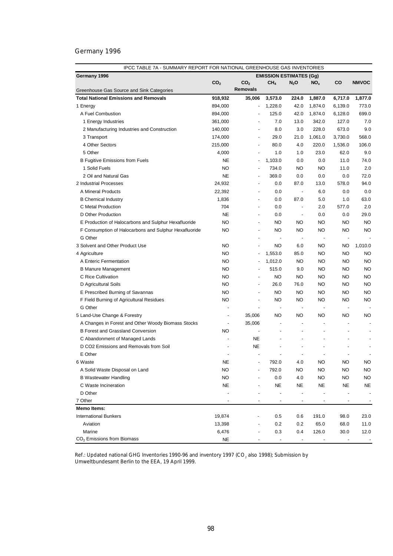| Germany 1996<br><b>EMISSION ESTIMATES (Gg)</b><br>CO<br>CO <sub>2</sub><br>CO <sub>2</sub><br>CH <sub>4</sub><br>$N_2O$<br>NO <sub>x</sub><br><b>NMVOC</b><br><b>Removals</b><br>Greenhouse Gas Source and Sink Categories<br><b>Total National Emissions and Removals</b><br>918,932<br>1,887.0<br>1,877.0<br>35,006<br>3,573.0<br>224.0<br>6,717.0<br>42.0<br>894,000<br>1,228.0<br>1,874.0<br>6,139.0<br>773.0<br>1 Energy<br>$\overline{\phantom{a}}$<br>A Fuel Combustion<br>125.0<br>42.0<br>699.0<br>894,000<br>1,874.0<br>6,128.0<br>7.0<br>342.0<br>7.0<br>1 Energy Industries<br>361,000<br>13.0<br>127.0<br>$\blacksquare$<br>8.0<br>228.0<br>9.0<br>2 Manufacturing Industries and Construction<br>140,000<br>3.0<br>673.0<br>$\blacksquare$<br>568.0<br>3 Transport<br>174,000<br>29.0<br>21.0<br>1,061.0<br>3,730.0<br>$\blacksquare$<br>4 Other Sectors<br>80.0<br>4.0<br>220.0<br>1,536.0<br>106.0<br>215,000<br>÷,<br>5 Other<br>4,000<br>1.0<br>23.0<br>62.0<br>9.0<br>1.0<br>$\overline{\phantom{a}}$<br>NE<br>1,103.0<br>0.0<br>11.0<br>74.0<br><b>B Fugitive Emissions from Fuels</b><br>0.0<br>÷<br>1 Solid Fuels<br><b>NO</b><br>734.0<br><b>NO</b><br>11.0<br>2.0<br>NO<br>$\blacksquare$<br>72.0<br>2 Oil and Natural Gas<br><b>NE</b><br>369.0<br>0.0<br>0.0<br>0.0<br>$\overline{a}$<br>2 Industrial Processes<br>87.0<br>94.0<br>24,932<br>0.0<br>13.0<br>578.0<br>$\blacksquare$<br>22,392<br>0.0<br>A Mineral Products<br>0.0<br>6.0<br>0.0<br>$\blacksquare$<br>$\overline{\phantom{a}}$<br>1,836<br>87.0<br>63.0<br><b>B</b> Chemical Industry<br>0.0<br>5.0<br>1.0<br>$\overline{\phantom{a}}$<br>C Metal Production<br>704<br>577.0<br>2.0<br>0.0<br>2.0<br>$\overline{\phantom{a}}$<br>$\overline{\phantom{a}}$<br>D Other Production<br><b>NE</b><br>29.0<br>0.0<br>0.0<br>0.0<br>$\overline{\phantom{a}}$<br>$\overline{\phantom{a}}$<br><b>NO</b><br><b>NO</b><br><b>NO</b><br><b>NO</b><br>NO<br><b>NO</b><br>E Production of Halocarbons and Sulphur Hexafluoride<br>$\overline{\phantom{a}}$<br><b>NO</b><br><b>NO</b><br><b>NO</b><br><b>NO</b><br><b>NO</b><br>F Consumption of Halocarbons and Sulphur Hexafluoride<br>NO<br>$\overline{a}$<br>G Other<br>$\overline{\phantom{a}}$<br>$\overline{\phantom{a}}$<br>3 Solvent and Other Product Use<br><b>NO</b><br><b>NO</b><br><b>NO</b><br><b>NO</b><br>1,010.0<br>6.0<br>$\overline{\phantom{a}}$<br><b>NO</b><br>1,553.0<br>85.0<br><b>NO</b><br>NO<br><b>NO</b><br>4 Agriculture<br>$\frac{1}{2}$<br><b>NO</b><br>1,012.0<br><b>NO</b><br><b>NO</b><br><b>NO</b><br>A Enteric Fermentation<br>NO<br>$\overline{\phantom{a}}$<br><b>NO</b><br><b>NO</b><br><b>B Manure Management</b><br>515.0<br>9.0<br>NO<br>NO<br>$\overline{\phantom{a}}$<br>NO<br><b>NO</b><br>C Rice Cultivation<br>NO<br>NO<br>NO<br>NO<br>$\overline{\phantom{a}}$<br><b>NO</b><br>26.0<br>76.0<br><b>NO</b><br><b>NO</b><br>D Agricultural Soils<br>NO<br>$\overline{\phantom{a}}$<br><b>NO</b><br><b>NO</b><br>NO<br><b>NO</b><br>E Prescribed Burning of Savannas<br>NO<br>NO<br>÷,<br><b>NO</b><br><b>NO</b><br>NO<br><b>NO</b><br>F Field Burning of Agricultural Residues<br>NO<br>NO<br>÷,<br>G Other<br>$\overline{a}$<br>$\overline{\phantom{a}}$<br>$\overline{\phantom{m}}$<br>$\blacksquare$<br>$\overline{\phantom{m}}$<br>5 Land-Use Change & Forestry<br>35,006<br>NO<br>NO<br>NO<br>NO<br>NO<br>$\overline{a}$<br>A Changes in Forest and Other Woody Biomass Stocks<br>35,006<br>$\overline{a}$<br><b>NO</b><br><b>B Forest and Grassland Conversion</b><br><b>NE</b><br>C Abandonment of Managed Lands<br>÷,<br>D CO2 Emissions and Removals from Soil<br><b>NE</b><br>$\overline{a}$<br>÷<br>$\overline{\phantom{a}}$<br>$\overline{\phantom{a}}$<br>E Other<br>$\overline{\phantom{a}}$<br>$\overline{a}$<br><b>NO</b><br>6 Waste<br>792.0<br>4.0<br>NO<br>NO<br>NE<br><b>NO</b><br>792.0<br><b>NO</b><br>NO<br><b>NO</b><br>A Solid Waste Disposal on Land<br>NO.<br><b>NO</b><br>0.0<br><b>NO</b><br>NO<br><b>NO</b><br><b>B Wastewater Handling</b><br>4.0<br><b>NE</b><br><b>NE</b><br><b>NE</b><br><b>NE</b><br>C Waste Incineration<br>NE<br>NE<br>D Other<br>7 Other<br>$\overline{a}$<br>Memo Items:<br><b>International Bunkers</b><br>19,874<br>0.5<br>0.6<br>191.0<br>98.0<br>23.0<br>0.2<br>65.0<br>Aviation<br>13,398<br>0.2<br>68.0<br>11.0 | IPCC TABLE 7A - SUMMARY REPORT FOR NATIONAL GREENHOUSE GAS INVENTORIES |       |     |     |       |      |      |
|------------------------------------------------------------------------------------------------------------------------------------------------------------------------------------------------------------------------------------------------------------------------------------------------------------------------------------------------------------------------------------------------------------------------------------------------------------------------------------------------------------------------------------------------------------------------------------------------------------------------------------------------------------------------------------------------------------------------------------------------------------------------------------------------------------------------------------------------------------------------------------------------------------------------------------------------------------------------------------------------------------------------------------------------------------------------------------------------------------------------------------------------------------------------------------------------------------------------------------------------------------------------------------------------------------------------------------------------------------------------------------------------------------------------------------------------------------------------------------------------------------------------------------------------------------------------------------------------------------------------------------------------------------------------------------------------------------------------------------------------------------------------------------------------------------------------------------------------------------------------------------------------------------------------------------------------------------------------------------------------------------------------------------------------------------------------------------------------------------------------------------------------------------------------------------------------------------------------------------------------------------------------------------------------------------------------------------------------------------------------------------------------------------------------------------------------------------------------------------------------------------------------------------------------------------------------------------------------------------------------------------------------------------------------------------------------------------------------------------------------------------------------------------------------------------------------------------------------------------------------------------------------------------------------------------------------------------------------------------------------------------------------------------------------------------------------------------------------------------------------------------------------------------------------------------------------------------------------------------------------------------------------------------------------------------------------------------------------------------------------------------------------------------------------------------------------------------------------------------------------------------------------------------------------------------------------------------------------------------------------------------------------------------------------------------------------------------------------------------------------------------------------------------------------------------------------------------------------------------------------------------------------------------------------------------------------------------------------------------------------------------------------------------------------------------------------------------------------------------------------------------------------------------------------------------------------------------------------------------------------------------------------------------------------------------------------------------------------------|------------------------------------------------------------------------|-------|-----|-----|-------|------|------|
|                                                                                                                                                                                                                                                                                                                                                                                                                                                                                                                                                                                                                                                                                                                                                                                                                                                                                                                                                                                                                                                                                                                                                                                                                                                                                                                                                                                                                                                                                                                                                                                                                                                                                                                                                                                                                                                                                                                                                                                                                                                                                                                                                                                                                                                                                                                                                                                                                                                                                                                                                                                                                                                                                                                                                                                                                                                                                                                                                                                                                                                                                                                                                                                                                                                                                                                                                                                                                                                                                                                                                                                                                                                                                                                                                                                                                                                                                                                                                                                                                                                                                                                                                                                                                                                                                                                                                      |                                                                        |       |     |     |       |      |      |
|                                                                                                                                                                                                                                                                                                                                                                                                                                                                                                                                                                                                                                                                                                                                                                                                                                                                                                                                                                                                                                                                                                                                                                                                                                                                                                                                                                                                                                                                                                                                                                                                                                                                                                                                                                                                                                                                                                                                                                                                                                                                                                                                                                                                                                                                                                                                                                                                                                                                                                                                                                                                                                                                                                                                                                                                                                                                                                                                                                                                                                                                                                                                                                                                                                                                                                                                                                                                                                                                                                                                                                                                                                                                                                                                                                                                                                                                                                                                                                                                                                                                                                                                                                                                                                                                                                                                                      |                                                                        |       |     |     |       |      |      |
|                                                                                                                                                                                                                                                                                                                                                                                                                                                                                                                                                                                                                                                                                                                                                                                                                                                                                                                                                                                                                                                                                                                                                                                                                                                                                                                                                                                                                                                                                                                                                                                                                                                                                                                                                                                                                                                                                                                                                                                                                                                                                                                                                                                                                                                                                                                                                                                                                                                                                                                                                                                                                                                                                                                                                                                                                                                                                                                                                                                                                                                                                                                                                                                                                                                                                                                                                                                                                                                                                                                                                                                                                                                                                                                                                                                                                                                                                                                                                                                                                                                                                                                                                                                                                                                                                                                                                      |                                                                        |       |     |     |       |      |      |
|                                                                                                                                                                                                                                                                                                                                                                                                                                                                                                                                                                                                                                                                                                                                                                                                                                                                                                                                                                                                                                                                                                                                                                                                                                                                                                                                                                                                                                                                                                                                                                                                                                                                                                                                                                                                                                                                                                                                                                                                                                                                                                                                                                                                                                                                                                                                                                                                                                                                                                                                                                                                                                                                                                                                                                                                                                                                                                                                                                                                                                                                                                                                                                                                                                                                                                                                                                                                                                                                                                                                                                                                                                                                                                                                                                                                                                                                                                                                                                                                                                                                                                                                                                                                                                                                                                                                                      |                                                                        |       |     |     |       |      |      |
|                                                                                                                                                                                                                                                                                                                                                                                                                                                                                                                                                                                                                                                                                                                                                                                                                                                                                                                                                                                                                                                                                                                                                                                                                                                                                                                                                                                                                                                                                                                                                                                                                                                                                                                                                                                                                                                                                                                                                                                                                                                                                                                                                                                                                                                                                                                                                                                                                                                                                                                                                                                                                                                                                                                                                                                                                                                                                                                                                                                                                                                                                                                                                                                                                                                                                                                                                                                                                                                                                                                                                                                                                                                                                                                                                                                                                                                                                                                                                                                                                                                                                                                                                                                                                                                                                                                                                      |                                                                        |       |     |     |       |      |      |
|                                                                                                                                                                                                                                                                                                                                                                                                                                                                                                                                                                                                                                                                                                                                                                                                                                                                                                                                                                                                                                                                                                                                                                                                                                                                                                                                                                                                                                                                                                                                                                                                                                                                                                                                                                                                                                                                                                                                                                                                                                                                                                                                                                                                                                                                                                                                                                                                                                                                                                                                                                                                                                                                                                                                                                                                                                                                                                                                                                                                                                                                                                                                                                                                                                                                                                                                                                                                                                                                                                                                                                                                                                                                                                                                                                                                                                                                                                                                                                                                                                                                                                                                                                                                                                                                                                                                                      |                                                                        |       |     |     |       |      |      |
|                                                                                                                                                                                                                                                                                                                                                                                                                                                                                                                                                                                                                                                                                                                                                                                                                                                                                                                                                                                                                                                                                                                                                                                                                                                                                                                                                                                                                                                                                                                                                                                                                                                                                                                                                                                                                                                                                                                                                                                                                                                                                                                                                                                                                                                                                                                                                                                                                                                                                                                                                                                                                                                                                                                                                                                                                                                                                                                                                                                                                                                                                                                                                                                                                                                                                                                                                                                                                                                                                                                                                                                                                                                                                                                                                                                                                                                                                                                                                                                                                                                                                                                                                                                                                                                                                                                                                      |                                                                        |       |     |     |       |      |      |
|                                                                                                                                                                                                                                                                                                                                                                                                                                                                                                                                                                                                                                                                                                                                                                                                                                                                                                                                                                                                                                                                                                                                                                                                                                                                                                                                                                                                                                                                                                                                                                                                                                                                                                                                                                                                                                                                                                                                                                                                                                                                                                                                                                                                                                                                                                                                                                                                                                                                                                                                                                                                                                                                                                                                                                                                                                                                                                                                                                                                                                                                                                                                                                                                                                                                                                                                                                                                                                                                                                                                                                                                                                                                                                                                                                                                                                                                                                                                                                                                                                                                                                                                                                                                                                                                                                                                                      |                                                                        |       |     |     |       |      |      |
|                                                                                                                                                                                                                                                                                                                                                                                                                                                                                                                                                                                                                                                                                                                                                                                                                                                                                                                                                                                                                                                                                                                                                                                                                                                                                                                                                                                                                                                                                                                                                                                                                                                                                                                                                                                                                                                                                                                                                                                                                                                                                                                                                                                                                                                                                                                                                                                                                                                                                                                                                                                                                                                                                                                                                                                                                                                                                                                                                                                                                                                                                                                                                                                                                                                                                                                                                                                                                                                                                                                                                                                                                                                                                                                                                                                                                                                                                                                                                                                                                                                                                                                                                                                                                                                                                                                                                      |                                                                        |       |     |     |       |      |      |
|                                                                                                                                                                                                                                                                                                                                                                                                                                                                                                                                                                                                                                                                                                                                                                                                                                                                                                                                                                                                                                                                                                                                                                                                                                                                                                                                                                                                                                                                                                                                                                                                                                                                                                                                                                                                                                                                                                                                                                                                                                                                                                                                                                                                                                                                                                                                                                                                                                                                                                                                                                                                                                                                                                                                                                                                                                                                                                                                                                                                                                                                                                                                                                                                                                                                                                                                                                                                                                                                                                                                                                                                                                                                                                                                                                                                                                                                                                                                                                                                                                                                                                                                                                                                                                                                                                                                                      |                                                                        |       |     |     |       |      |      |
|                                                                                                                                                                                                                                                                                                                                                                                                                                                                                                                                                                                                                                                                                                                                                                                                                                                                                                                                                                                                                                                                                                                                                                                                                                                                                                                                                                                                                                                                                                                                                                                                                                                                                                                                                                                                                                                                                                                                                                                                                                                                                                                                                                                                                                                                                                                                                                                                                                                                                                                                                                                                                                                                                                                                                                                                                                                                                                                                                                                                                                                                                                                                                                                                                                                                                                                                                                                                                                                                                                                                                                                                                                                                                                                                                                                                                                                                                                                                                                                                                                                                                                                                                                                                                                                                                                                                                      |                                                                        |       |     |     |       |      |      |
|                                                                                                                                                                                                                                                                                                                                                                                                                                                                                                                                                                                                                                                                                                                                                                                                                                                                                                                                                                                                                                                                                                                                                                                                                                                                                                                                                                                                                                                                                                                                                                                                                                                                                                                                                                                                                                                                                                                                                                                                                                                                                                                                                                                                                                                                                                                                                                                                                                                                                                                                                                                                                                                                                                                                                                                                                                                                                                                                                                                                                                                                                                                                                                                                                                                                                                                                                                                                                                                                                                                                                                                                                                                                                                                                                                                                                                                                                                                                                                                                                                                                                                                                                                                                                                                                                                                                                      |                                                                        |       |     |     |       |      |      |
|                                                                                                                                                                                                                                                                                                                                                                                                                                                                                                                                                                                                                                                                                                                                                                                                                                                                                                                                                                                                                                                                                                                                                                                                                                                                                                                                                                                                                                                                                                                                                                                                                                                                                                                                                                                                                                                                                                                                                                                                                                                                                                                                                                                                                                                                                                                                                                                                                                                                                                                                                                                                                                                                                                                                                                                                                                                                                                                                                                                                                                                                                                                                                                                                                                                                                                                                                                                                                                                                                                                                                                                                                                                                                                                                                                                                                                                                                                                                                                                                                                                                                                                                                                                                                                                                                                                                                      |                                                                        |       |     |     |       |      |      |
|                                                                                                                                                                                                                                                                                                                                                                                                                                                                                                                                                                                                                                                                                                                                                                                                                                                                                                                                                                                                                                                                                                                                                                                                                                                                                                                                                                                                                                                                                                                                                                                                                                                                                                                                                                                                                                                                                                                                                                                                                                                                                                                                                                                                                                                                                                                                                                                                                                                                                                                                                                                                                                                                                                                                                                                                                                                                                                                                                                                                                                                                                                                                                                                                                                                                                                                                                                                                                                                                                                                                                                                                                                                                                                                                                                                                                                                                                                                                                                                                                                                                                                                                                                                                                                                                                                                                                      |                                                                        |       |     |     |       |      |      |
|                                                                                                                                                                                                                                                                                                                                                                                                                                                                                                                                                                                                                                                                                                                                                                                                                                                                                                                                                                                                                                                                                                                                                                                                                                                                                                                                                                                                                                                                                                                                                                                                                                                                                                                                                                                                                                                                                                                                                                                                                                                                                                                                                                                                                                                                                                                                                                                                                                                                                                                                                                                                                                                                                                                                                                                                                                                                                                                                                                                                                                                                                                                                                                                                                                                                                                                                                                                                                                                                                                                                                                                                                                                                                                                                                                                                                                                                                                                                                                                                                                                                                                                                                                                                                                                                                                                                                      |                                                                        |       |     |     |       |      |      |
|                                                                                                                                                                                                                                                                                                                                                                                                                                                                                                                                                                                                                                                                                                                                                                                                                                                                                                                                                                                                                                                                                                                                                                                                                                                                                                                                                                                                                                                                                                                                                                                                                                                                                                                                                                                                                                                                                                                                                                                                                                                                                                                                                                                                                                                                                                                                                                                                                                                                                                                                                                                                                                                                                                                                                                                                                                                                                                                                                                                                                                                                                                                                                                                                                                                                                                                                                                                                                                                                                                                                                                                                                                                                                                                                                                                                                                                                                                                                                                                                                                                                                                                                                                                                                                                                                                                                                      |                                                                        |       |     |     |       |      |      |
|                                                                                                                                                                                                                                                                                                                                                                                                                                                                                                                                                                                                                                                                                                                                                                                                                                                                                                                                                                                                                                                                                                                                                                                                                                                                                                                                                                                                                                                                                                                                                                                                                                                                                                                                                                                                                                                                                                                                                                                                                                                                                                                                                                                                                                                                                                                                                                                                                                                                                                                                                                                                                                                                                                                                                                                                                                                                                                                                                                                                                                                                                                                                                                                                                                                                                                                                                                                                                                                                                                                                                                                                                                                                                                                                                                                                                                                                                                                                                                                                                                                                                                                                                                                                                                                                                                                                                      |                                                                        |       |     |     |       |      |      |
|                                                                                                                                                                                                                                                                                                                                                                                                                                                                                                                                                                                                                                                                                                                                                                                                                                                                                                                                                                                                                                                                                                                                                                                                                                                                                                                                                                                                                                                                                                                                                                                                                                                                                                                                                                                                                                                                                                                                                                                                                                                                                                                                                                                                                                                                                                                                                                                                                                                                                                                                                                                                                                                                                                                                                                                                                                                                                                                                                                                                                                                                                                                                                                                                                                                                                                                                                                                                                                                                                                                                                                                                                                                                                                                                                                                                                                                                                                                                                                                                                                                                                                                                                                                                                                                                                                                                                      |                                                                        |       |     |     |       |      |      |
|                                                                                                                                                                                                                                                                                                                                                                                                                                                                                                                                                                                                                                                                                                                                                                                                                                                                                                                                                                                                                                                                                                                                                                                                                                                                                                                                                                                                                                                                                                                                                                                                                                                                                                                                                                                                                                                                                                                                                                                                                                                                                                                                                                                                                                                                                                                                                                                                                                                                                                                                                                                                                                                                                                                                                                                                                                                                                                                                                                                                                                                                                                                                                                                                                                                                                                                                                                                                                                                                                                                                                                                                                                                                                                                                                                                                                                                                                                                                                                                                                                                                                                                                                                                                                                                                                                                                                      |                                                                        |       |     |     |       |      |      |
|                                                                                                                                                                                                                                                                                                                                                                                                                                                                                                                                                                                                                                                                                                                                                                                                                                                                                                                                                                                                                                                                                                                                                                                                                                                                                                                                                                                                                                                                                                                                                                                                                                                                                                                                                                                                                                                                                                                                                                                                                                                                                                                                                                                                                                                                                                                                                                                                                                                                                                                                                                                                                                                                                                                                                                                                                                                                                                                                                                                                                                                                                                                                                                                                                                                                                                                                                                                                                                                                                                                                                                                                                                                                                                                                                                                                                                                                                                                                                                                                                                                                                                                                                                                                                                                                                                                                                      |                                                                        |       |     |     |       |      |      |
|                                                                                                                                                                                                                                                                                                                                                                                                                                                                                                                                                                                                                                                                                                                                                                                                                                                                                                                                                                                                                                                                                                                                                                                                                                                                                                                                                                                                                                                                                                                                                                                                                                                                                                                                                                                                                                                                                                                                                                                                                                                                                                                                                                                                                                                                                                                                                                                                                                                                                                                                                                                                                                                                                                                                                                                                                                                                                                                                                                                                                                                                                                                                                                                                                                                                                                                                                                                                                                                                                                                                                                                                                                                                                                                                                                                                                                                                                                                                                                                                                                                                                                                                                                                                                                                                                                                                                      |                                                                        |       |     |     |       |      |      |
|                                                                                                                                                                                                                                                                                                                                                                                                                                                                                                                                                                                                                                                                                                                                                                                                                                                                                                                                                                                                                                                                                                                                                                                                                                                                                                                                                                                                                                                                                                                                                                                                                                                                                                                                                                                                                                                                                                                                                                                                                                                                                                                                                                                                                                                                                                                                                                                                                                                                                                                                                                                                                                                                                                                                                                                                                                                                                                                                                                                                                                                                                                                                                                                                                                                                                                                                                                                                                                                                                                                                                                                                                                                                                                                                                                                                                                                                                                                                                                                                                                                                                                                                                                                                                                                                                                                                                      |                                                                        |       |     |     |       |      |      |
|                                                                                                                                                                                                                                                                                                                                                                                                                                                                                                                                                                                                                                                                                                                                                                                                                                                                                                                                                                                                                                                                                                                                                                                                                                                                                                                                                                                                                                                                                                                                                                                                                                                                                                                                                                                                                                                                                                                                                                                                                                                                                                                                                                                                                                                                                                                                                                                                                                                                                                                                                                                                                                                                                                                                                                                                                                                                                                                                                                                                                                                                                                                                                                                                                                                                                                                                                                                                                                                                                                                                                                                                                                                                                                                                                                                                                                                                                                                                                                                                                                                                                                                                                                                                                                                                                                                                                      |                                                                        |       |     |     |       |      |      |
|                                                                                                                                                                                                                                                                                                                                                                                                                                                                                                                                                                                                                                                                                                                                                                                                                                                                                                                                                                                                                                                                                                                                                                                                                                                                                                                                                                                                                                                                                                                                                                                                                                                                                                                                                                                                                                                                                                                                                                                                                                                                                                                                                                                                                                                                                                                                                                                                                                                                                                                                                                                                                                                                                                                                                                                                                                                                                                                                                                                                                                                                                                                                                                                                                                                                                                                                                                                                                                                                                                                                                                                                                                                                                                                                                                                                                                                                                                                                                                                                                                                                                                                                                                                                                                                                                                                                                      |                                                                        |       |     |     |       |      |      |
|                                                                                                                                                                                                                                                                                                                                                                                                                                                                                                                                                                                                                                                                                                                                                                                                                                                                                                                                                                                                                                                                                                                                                                                                                                                                                                                                                                                                                                                                                                                                                                                                                                                                                                                                                                                                                                                                                                                                                                                                                                                                                                                                                                                                                                                                                                                                                                                                                                                                                                                                                                                                                                                                                                                                                                                                                                                                                                                                                                                                                                                                                                                                                                                                                                                                                                                                                                                                                                                                                                                                                                                                                                                                                                                                                                                                                                                                                                                                                                                                                                                                                                                                                                                                                                                                                                                                                      |                                                                        |       |     |     |       |      |      |
|                                                                                                                                                                                                                                                                                                                                                                                                                                                                                                                                                                                                                                                                                                                                                                                                                                                                                                                                                                                                                                                                                                                                                                                                                                                                                                                                                                                                                                                                                                                                                                                                                                                                                                                                                                                                                                                                                                                                                                                                                                                                                                                                                                                                                                                                                                                                                                                                                                                                                                                                                                                                                                                                                                                                                                                                                                                                                                                                                                                                                                                                                                                                                                                                                                                                                                                                                                                                                                                                                                                                                                                                                                                                                                                                                                                                                                                                                                                                                                                                                                                                                                                                                                                                                                                                                                                                                      |                                                                        |       |     |     |       |      |      |
|                                                                                                                                                                                                                                                                                                                                                                                                                                                                                                                                                                                                                                                                                                                                                                                                                                                                                                                                                                                                                                                                                                                                                                                                                                                                                                                                                                                                                                                                                                                                                                                                                                                                                                                                                                                                                                                                                                                                                                                                                                                                                                                                                                                                                                                                                                                                                                                                                                                                                                                                                                                                                                                                                                                                                                                                                                                                                                                                                                                                                                                                                                                                                                                                                                                                                                                                                                                                                                                                                                                                                                                                                                                                                                                                                                                                                                                                                                                                                                                                                                                                                                                                                                                                                                                                                                                                                      |                                                                        |       |     |     |       |      |      |
|                                                                                                                                                                                                                                                                                                                                                                                                                                                                                                                                                                                                                                                                                                                                                                                                                                                                                                                                                                                                                                                                                                                                                                                                                                                                                                                                                                                                                                                                                                                                                                                                                                                                                                                                                                                                                                                                                                                                                                                                                                                                                                                                                                                                                                                                                                                                                                                                                                                                                                                                                                                                                                                                                                                                                                                                                                                                                                                                                                                                                                                                                                                                                                                                                                                                                                                                                                                                                                                                                                                                                                                                                                                                                                                                                                                                                                                                                                                                                                                                                                                                                                                                                                                                                                                                                                                                                      |                                                                        |       |     |     |       |      |      |
|                                                                                                                                                                                                                                                                                                                                                                                                                                                                                                                                                                                                                                                                                                                                                                                                                                                                                                                                                                                                                                                                                                                                                                                                                                                                                                                                                                                                                                                                                                                                                                                                                                                                                                                                                                                                                                                                                                                                                                                                                                                                                                                                                                                                                                                                                                                                                                                                                                                                                                                                                                                                                                                                                                                                                                                                                                                                                                                                                                                                                                                                                                                                                                                                                                                                                                                                                                                                                                                                                                                                                                                                                                                                                                                                                                                                                                                                                                                                                                                                                                                                                                                                                                                                                                                                                                                                                      |                                                                        |       |     |     |       |      |      |
|                                                                                                                                                                                                                                                                                                                                                                                                                                                                                                                                                                                                                                                                                                                                                                                                                                                                                                                                                                                                                                                                                                                                                                                                                                                                                                                                                                                                                                                                                                                                                                                                                                                                                                                                                                                                                                                                                                                                                                                                                                                                                                                                                                                                                                                                                                                                                                                                                                                                                                                                                                                                                                                                                                                                                                                                                                                                                                                                                                                                                                                                                                                                                                                                                                                                                                                                                                                                                                                                                                                                                                                                                                                                                                                                                                                                                                                                                                                                                                                                                                                                                                                                                                                                                                                                                                                                                      |                                                                        |       |     |     |       |      |      |
|                                                                                                                                                                                                                                                                                                                                                                                                                                                                                                                                                                                                                                                                                                                                                                                                                                                                                                                                                                                                                                                                                                                                                                                                                                                                                                                                                                                                                                                                                                                                                                                                                                                                                                                                                                                                                                                                                                                                                                                                                                                                                                                                                                                                                                                                                                                                                                                                                                                                                                                                                                                                                                                                                                                                                                                                                                                                                                                                                                                                                                                                                                                                                                                                                                                                                                                                                                                                                                                                                                                                                                                                                                                                                                                                                                                                                                                                                                                                                                                                                                                                                                                                                                                                                                                                                                                                                      |                                                                        |       |     |     |       |      |      |
|                                                                                                                                                                                                                                                                                                                                                                                                                                                                                                                                                                                                                                                                                                                                                                                                                                                                                                                                                                                                                                                                                                                                                                                                                                                                                                                                                                                                                                                                                                                                                                                                                                                                                                                                                                                                                                                                                                                                                                                                                                                                                                                                                                                                                                                                                                                                                                                                                                                                                                                                                                                                                                                                                                                                                                                                                                                                                                                                                                                                                                                                                                                                                                                                                                                                                                                                                                                                                                                                                                                                                                                                                                                                                                                                                                                                                                                                                                                                                                                                                                                                                                                                                                                                                                                                                                                                                      |                                                                        |       |     |     |       |      |      |
|                                                                                                                                                                                                                                                                                                                                                                                                                                                                                                                                                                                                                                                                                                                                                                                                                                                                                                                                                                                                                                                                                                                                                                                                                                                                                                                                                                                                                                                                                                                                                                                                                                                                                                                                                                                                                                                                                                                                                                                                                                                                                                                                                                                                                                                                                                                                                                                                                                                                                                                                                                                                                                                                                                                                                                                                                                                                                                                                                                                                                                                                                                                                                                                                                                                                                                                                                                                                                                                                                                                                                                                                                                                                                                                                                                                                                                                                                                                                                                                                                                                                                                                                                                                                                                                                                                                                                      |                                                                        |       |     |     |       |      |      |
|                                                                                                                                                                                                                                                                                                                                                                                                                                                                                                                                                                                                                                                                                                                                                                                                                                                                                                                                                                                                                                                                                                                                                                                                                                                                                                                                                                                                                                                                                                                                                                                                                                                                                                                                                                                                                                                                                                                                                                                                                                                                                                                                                                                                                                                                                                                                                                                                                                                                                                                                                                                                                                                                                                                                                                                                                                                                                                                                                                                                                                                                                                                                                                                                                                                                                                                                                                                                                                                                                                                                                                                                                                                                                                                                                                                                                                                                                                                                                                                                                                                                                                                                                                                                                                                                                                                                                      |                                                                        |       |     |     |       |      |      |
|                                                                                                                                                                                                                                                                                                                                                                                                                                                                                                                                                                                                                                                                                                                                                                                                                                                                                                                                                                                                                                                                                                                                                                                                                                                                                                                                                                                                                                                                                                                                                                                                                                                                                                                                                                                                                                                                                                                                                                                                                                                                                                                                                                                                                                                                                                                                                                                                                                                                                                                                                                                                                                                                                                                                                                                                                                                                                                                                                                                                                                                                                                                                                                                                                                                                                                                                                                                                                                                                                                                                                                                                                                                                                                                                                                                                                                                                                                                                                                                                                                                                                                                                                                                                                                                                                                                                                      |                                                                        |       |     |     |       |      |      |
|                                                                                                                                                                                                                                                                                                                                                                                                                                                                                                                                                                                                                                                                                                                                                                                                                                                                                                                                                                                                                                                                                                                                                                                                                                                                                                                                                                                                                                                                                                                                                                                                                                                                                                                                                                                                                                                                                                                                                                                                                                                                                                                                                                                                                                                                                                                                                                                                                                                                                                                                                                                                                                                                                                                                                                                                                                                                                                                                                                                                                                                                                                                                                                                                                                                                                                                                                                                                                                                                                                                                                                                                                                                                                                                                                                                                                                                                                                                                                                                                                                                                                                                                                                                                                                                                                                                                                      |                                                                        |       |     |     |       |      |      |
|                                                                                                                                                                                                                                                                                                                                                                                                                                                                                                                                                                                                                                                                                                                                                                                                                                                                                                                                                                                                                                                                                                                                                                                                                                                                                                                                                                                                                                                                                                                                                                                                                                                                                                                                                                                                                                                                                                                                                                                                                                                                                                                                                                                                                                                                                                                                                                                                                                                                                                                                                                                                                                                                                                                                                                                                                                                                                                                                                                                                                                                                                                                                                                                                                                                                                                                                                                                                                                                                                                                                                                                                                                                                                                                                                                                                                                                                                                                                                                                                                                                                                                                                                                                                                                                                                                                                                      |                                                                        |       |     |     |       |      |      |
|                                                                                                                                                                                                                                                                                                                                                                                                                                                                                                                                                                                                                                                                                                                                                                                                                                                                                                                                                                                                                                                                                                                                                                                                                                                                                                                                                                                                                                                                                                                                                                                                                                                                                                                                                                                                                                                                                                                                                                                                                                                                                                                                                                                                                                                                                                                                                                                                                                                                                                                                                                                                                                                                                                                                                                                                                                                                                                                                                                                                                                                                                                                                                                                                                                                                                                                                                                                                                                                                                                                                                                                                                                                                                                                                                                                                                                                                                                                                                                                                                                                                                                                                                                                                                                                                                                                                                      |                                                                        |       |     |     |       |      |      |
|                                                                                                                                                                                                                                                                                                                                                                                                                                                                                                                                                                                                                                                                                                                                                                                                                                                                                                                                                                                                                                                                                                                                                                                                                                                                                                                                                                                                                                                                                                                                                                                                                                                                                                                                                                                                                                                                                                                                                                                                                                                                                                                                                                                                                                                                                                                                                                                                                                                                                                                                                                                                                                                                                                                                                                                                                                                                                                                                                                                                                                                                                                                                                                                                                                                                                                                                                                                                                                                                                                                                                                                                                                                                                                                                                                                                                                                                                                                                                                                                                                                                                                                                                                                                                                                                                                                                                      |                                                                        |       |     |     |       |      |      |
|                                                                                                                                                                                                                                                                                                                                                                                                                                                                                                                                                                                                                                                                                                                                                                                                                                                                                                                                                                                                                                                                                                                                                                                                                                                                                                                                                                                                                                                                                                                                                                                                                                                                                                                                                                                                                                                                                                                                                                                                                                                                                                                                                                                                                                                                                                                                                                                                                                                                                                                                                                                                                                                                                                                                                                                                                                                                                                                                                                                                                                                                                                                                                                                                                                                                                                                                                                                                                                                                                                                                                                                                                                                                                                                                                                                                                                                                                                                                                                                                                                                                                                                                                                                                                                                                                                                                                      |                                                                        |       |     |     |       |      |      |
|                                                                                                                                                                                                                                                                                                                                                                                                                                                                                                                                                                                                                                                                                                                                                                                                                                                                                                                                                                                                                                                                                                                                                                                                                                                                                                                                                                                                                                                                                                                                                                                                                                                                                                                                                                                                                                                                                                                                                                                                                                                                                                                                                                                                                                                                                                                                                                                                                                                                                                                                                                                                                                                                                                                                                                                                                                                                                                                                                                                                                                                                                                                                                                                                                                                                                                                                                                                                                                                                                                                                                                                                                                                                                                                                                                                                                                                                                                                                                                                                                                                                                                                                                                                                                                                                                                                                                      |                                                                        |       |     |     |       |      |      |
|                                                                                                                                                                                                                                                                                                                                                                                                                                                                                                                                                                                                                                                                                                                                                                                                                                                                                                                                                                                                                                                                                                                                                                                                                                                                                                                                                                                                                                                                                                                                                                                                                                                                                                                                                                                                                                                                                                                                                                                                                                                                                                                                                                                                                                                                                                                                                                                                                                                                                                                                                                                                                                                                                                                                                                                                                                                                                                                                                                                                                                                                                                                                                                                                                                                                                                                                                                                                                                                                                                                                                                                                                                                                                                                                                                                                                                                                                                                                                                                                                                                                                                                                                                                                                                                                                                                                                      |                                                                        |       |     |     |       |      |      |
|                                                                                                                                                                                                                                                                                                                                                                                                                                                                                                                                                                                                                                                                                                                                                                                                                                                                                                                                                                                                                                                                                                                                                                                                                                                                                                                                                                                                                                                                                                                                                                                                                                                                                                                                                                                                                                                                                                                                                                                                                                                                                                                                                                                                                                                                                                                                                                                                                                                                                                                                                                                                                                                                                                                                                                                                                                                                                                                                                                                                                                                                                                                                                                                                                                                                                                                                                                                                                                                                                                                                                                                                                                                                                                                                                                                                                                                                                                                                                                                                                                                                                                                                                                                                                                                                                                                                                      |                                                                        |       |     |     |       |      |      |
|                                                                                                                                                                                                                                                                                                                                                                                                                                                                                                                                                                                                                                                                                                                                                                                                                                                                                                                                                                                                                                                                                                                                                                                                                                                                                                                                                                                                                                                                                                                                                                                                                                                                                                                                                                                                                                                                                                                                                                                                                                                                                                                                                                                                                                                                                                                                                                                                                                                                                                                                                                                                                                                                                                                                                                                                                                                                                                                                                                                                                                                                                                                                                                                                                                                                                                                                                                                                                                                                                                                                                                                                                                                                                                                                                                                                                                                                                                                                                                                                                                                                                                                                                                                                                                                                                                                                                      |                                                                        |       |     |     |       |      |      |
|                                                                                                                                                                                                                                                                                                                                                                                                                                                                                                                                                                                                                                                                                                                                                                                                                                                                                                                                                                                                                                                                                                                                                                                                                                                                                                                                                                                                                                                                                                                                                                                                                                                                                                                                                                                                                                                                                                                                                                                                                                                                                                                                                                                                                                                                                                                                                                                                                                                                                                                                                                                                                                                                                                                                                                                                                                                                                                                                                                                                                                                                                                                                                                                                                                                                                                                                                                                                                                                                                                                                                                                                                                                                                                                                                                                                                                                                                                                                                                                                                                                                                                                                                                                                                                                                                                                                                      |                                                                        |       |     |     |       |      |      |
|                                                                                                                                                                                                                                                                                                                                                                                                                                                                                                                                                                                                                                                                                                                                                                                                                                                                                                                                                                                                                                                                                                                                                                                                                                                                                                                                                                                                                                                                                                                                                                                                                                                                                                                                                                                                                                                                                                                                                                                                                                                                                                                                                                                                                                                                                                                                                                                                                                                                                                                                                                                                                                                                                                                                                                                                                                                                                                                                                                                                                                                                                                                                                                                                                                                                                                                                                                                                                                                                                                                                                                                                                                                                                                                                                                                                                                                                                                                                                                                                                                                                                                                                                                                                                                                                                                                                                      |                                                                        |       |     |     |       |      |      |
|                                                                                                                                                                                                                                                                                                                                                                                                                                                                                                                                                                                                                                                                                                                                                                                                                                                                                                                                                                                                                                                                                                                                                                                                                                                                                                                                                                                                                                                                                                                                                                                                                                                                                                                                                                                                                                                                                                                                                                                                                                                                                                                                                                                                                                                                                                                                                                                                                                                                                                                                                                                                                                                                                                                                                                                                                                                                                                                                                                                                                                                                                                                                                                                                                                                                                                                                                                                                                                                                                                                                                                                                                                                                                                                                                                                                                                                                                                                                                                                                                                                                                                                                                                                                                                                                                                                                                      | Marine                                                                 | 6,476 | 0.3 | 0.4 | 126.0 | 30.0 | 12.0 |
| CO <sub>2</sub> Emissions from Biomass<br>NE<br>$\overline{a}$<br>$\overline{\phantom{a}}$                                                                                                                                                                                                                                                                                                                                                                                                                                                                                                                                                                                                                                                                                                                                                                                                                                                                                                                                                                                                                                                                                                                                                                                                                                                                                                                                                                                                                                                                                                                                                                                                                                                                                                                                                                                                                                                                                                                                                                                                                                                                                                                                                                                                                                                                                                                                                                                                                                                                                                                                                                                                                                                                                                                                                                                                                                                                                                                                                                                                                                                                                                                                                                                                                                                                                                                                                                                                                                                                                                                                                                                                                                                                                                                                                                                                                                                                                                                                                                                                                                                                                                                                                                                                                                                           |                                                                        |       |     |     |       |      |      |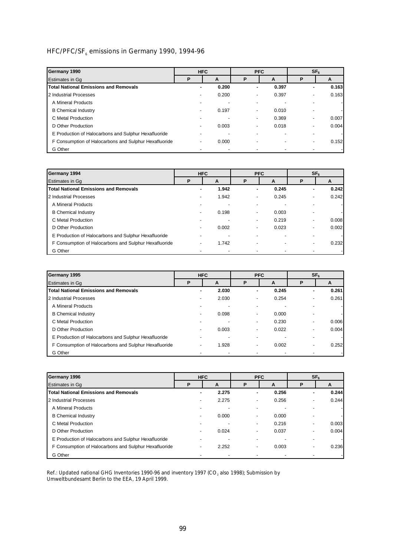# HFC/PFC/SF<sub>6</sub> emissions in Germany 1990, 1994-96

| Germany 1990                                          |   | <b>HFC</b> |                          | <b>PFC</b> |                          | SF <sub>6</sub> |
|-------------------------------------------------------|---|------------|--------------------------|------------|--------------------------|-----------------|
| Estimates in Gq                                       | P | A          | P                        | A          | P                        | A               |
| <b>Total National Emissions and Removals</b>          |   | 0.200      | ۰                        | 0.397      | ۰                        | 0.163           |
| 2 Industrial Processes                                |   | 0.200      | $\overline{\phantom{0}}$ | 0.397      | $\overline{\phantom{0}}$ | 0.163           |
| A Mineral Products                                    |   |            |                          |            |                          |                 |
| <b>B</b> Chemical Industry                            |   | 0.197      | $\overline{\phantom{0}}$ | 0.010      |                          |                 |
| C Metal Production                                    |   |            | $\blacksquare$           | 0.369      | $\overline{\phantom{0}}$ | 0.007           |
| D Other Production                                    |   | 0.003      |                          | 0.018      | -                        | 0.004           |
| E Production of Halocarbons and Sulphur Hexafluoride  |   |            |                          |            |                          |                 |
| F Consumption of Halocarbons and Sulphur Hexafluoride | - | 0.000      | ٠                        |            | $\overline{\phantom{0}}$ | 0.152           |
| G Other                                               |   |            |                          |            |                          |                 |

| Germany 1994                                          |   | <b>HFC</b> |                | <b>PFC</b> |                          | SF <sub>6</sub> |
|-------------------------------------------------------|---|------------|----------------|------------|--------------------------|-----------------|
| Estimates in Gq                                       | P | A          | P              | A          | P                        | A               |
| <b>Total National Emissions and Removals</b>          | ۰ | 1.942      | ۰              | 0.245      | ۰                        | 0.242           |
| 2 Industrial Processes                                |   | 1.942      | -              | 0.245      | $\overline{\phantom{0}}$ | 0.242           |
| A Mineral Products                                    |   |            |                |            |                          |                 |
| <b>B</b> Chemical Industry                            |   | 0.198      | $\blacksquare$ | 0.003      |                          |                 |
| C Metal Production                                    |   |            | ۰.             | 0.219      | $\overline{\phantom{a}}$ | 0.008           |
| D Other Production                                    |   | 0.002      | ۰.             | 0.023      | $\overline{\phantom{0}}$ | 0.002           |
| E Production of Halocarbons and Sulphur Hexafluoride  |   |            |                |            |                          |                 |
| F Consumption of Halocarbons and Sulphur Hexafluoride |   | 1.742      |                |            | $\overline{\phantom{0}}$ | 0.232           |
| G Other                                               |   |            |                |            |                          |                 |

| Germany 1995                                          |   | <b>HFC</b> |                          | <b>PFC</b> |                          | SF <sub>6</sub> |
|-------------------------------------------------------|---|------------|--------------------------|------------|--------------------------|-----------------|
| Estimates in Gq                                       | P | A          | P                        | A          | P                        | A               |
| <b>Total National Emissions and Removals</b>          | ٠ | 2.030      | ۰                        | 0.245      | ۰                        | 0.261           |
| 2 Industrial Processes                                |   | 2.030      | $\overline{\phantom{0}}$ | 0.254      | $\overline{\phantom{0}}$ | 0.261           |
| A Mineral Products                                    |   |            |                          |            |                          |                 |
| <b>B</b> Chemical Industry                            |   | 0.098      | $\overline{\phantom{0}}$ | 0.000      | ٠                        |                 |
| C Metal Production                                    |   |            | $\overline{\phantom{0}}$ | 0.230      | $\overline{\phantom{0}}$ | 0.006           |
| D Other Production                                    |   | 0.003      | ۰.                       | 0.022      | $\overline{\phantom{0}}$ | 0.004           |
| E Production of Halocarbons and Sulphur Hexafluoride  |   |            |                          |            |                          |                 |
| F Consumption of Halocarbons and Sulphur Hexafluoride | - | 1.928      | $\overline{\phantom{0}}$ | 0.002      | -                        | 0.252           |
| G Other                                               |   |            |                          |            |                          |                 |

| Germany 1996                                          |    | <b>HFC</b> |    | <b>PFC</b> |                          | SF <sub>6</sub> |
|-------------------------------------------------------|----|------------|----|------------|--------------------------|-----------------|
| Estimates in Gq                                       | P  | A          | P  | A          | Ρ                        | A               |
| <b>Total National Emissions and Removals</b>          | ۰. | 2.275      | ٠  | 0.256      | ۰                        | 0.244           |
| 2 Industrial Processes                                |    | 2.275      | -  | 0.256      | $\blacksquare$           | 0.244           |
| A Mineral Products                                    |    |            | -  |            |                          |                 |
| <b>B</b> Chemical Industry                            |    | 0.000      | ۰. | 0.000      |                          |                 |
| C Metal Production                                    |    |            | -  | 0.216      | $\overline{\phantom{0}}$ | 0.003           |
| D Other Production                                    |    | 0.024      | -  | 0.037      | -                        | 0.004           |
| E Production of Halocarbons and Sulphur Hexafluoride  |    |            |    |            |                          |                 |
| F Consumption of Halocarbons and Sulphur Hexafluoride |    | 2.252      | -  | 0.003      | -                        | 0.236           |
| G Other                                               |    |            |    |            |                          |                 |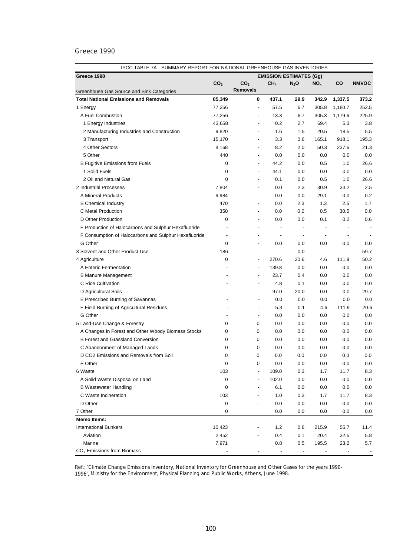| IPCC TABLE 7A - SUMMARY REPORT FOR NATIONAL GREENHOUSE GAS INVENTORIES |                 |                 |                          |                          |                                |                          |                          |                          |  |  |
|------------------------------------------------------------------------|-----------------|-----------------|--------------------------|--------------------------|--------------------------------|--------------------------|--------------------------|--------------------------|--|--|
| Greece 1990                                                            |                 |                 |                          |                          | <b>EMISSION ESTIMATES (Gg)</b> |                          |                          |                          |  |  |
|                                                                        | CO <sub>2</sub> | CO <sub>2</sub> |                          | CH <sub>4</sub>          | $N_2$ O                        | NO <sub>x</sub>          | CO                       | <b>NMVOC</b>             |  |  |
| Greenhouse Gas Source and Sink Categories                              |                 | <b>Removals</b> |                          |                          |                                |                          |                          |                          |  |  |
| <b>Total National Emissions and Removals</b>                           | 85,349          |                 | 0                        | 437.1                    | 29.9                           | 342.9                    | 1,337.5                  | 373.2                    |  |  |
| 1 Energy                                                               | 77,256          |                 | $\overline{\phantom{a}}$ | 57.5                     | 6.7                            | 305.8                    | 1,180.7                  | 252.5                    |  |  |
| A Fuel Combustion                                                      | 77,256          |                 | $\overline{\phantom{a}}$ | 13.3                     | 6.7                            | 305.3                    | 1,179.6                  | 225.9                    |  |  |
| 1 Energy Industries                                                    | 43,658          |                 | ÷,                       | 0.2                      | 2.7                            | 69.4                     | 5.3                      | 3.8                      |  |  |
| 2 Manufacturing Industries and Construction                            | 9,820           |                 | ÷,                       | 1.6                      | 1.5                            | 20.5                     | 18.5                     | 5.5                      |  |  |
| 3 Transport                                                            | 15,170          |                 | ÷,                       | 3.3                      | 0.6                            | 165.1                    | 918.1                    | 195.3                    |  |  |
| 4 Other Sectors                                                        | 8,168           |                 | $\overline{\phantom{a}}$ | 8.2                      | 2.0                            | 50.3                     | 237.6                    | 21.3                     |  |  |
| 5 Other                                                                | 440             |                 | $\overline{\phantom{a}}$ | 0.0                      | 0.0                            | 0.0                      | 0.0                      | 0.0                      |  |  |
| <b>B Fugitive Emissions from Fuels</b>                                 | 0               |                 | $\overline{\phantom{a}}$ | 44.2                     | 0.0                            | 0.5                      | 1.0                      | 26.6                     |  |  |
| 1 Solid Fuels                                                          | 0               |                 |                          | 44.1                     | 0.0                            | 0.0                      | 0.0                      | 0.0                      |  |  |
| 2 Oil and Natural Gas                                                  | 0               |                 |                          | 0.1                      | 0.0                            | 0.5                      | 1.0                      | 26.6                     |  |  |
| 2 Industrial Processes                                                 | 7,804           |                 | $\overline{a}$           | 0.0                      | 2.3                            | 30.9                     | 33.2                     | 2.5                      |  |  |
| A Mineral Products                                                     | 6,984           |                 | $\overline{\phantom{a}}$ | 0.0                      | 0.0                            | 29.1                     | 0.0                      | 0.2                      |  |  |
| <b>B</b> Chemical Industry                                             | 470             |                 | $\overline{\phantom{a}}$ | 0.0                      | 2.3                            | 1.3                      | 2.5                      | 1.7                      |  |  |
| C Metal Production                                                     | 350             |                 | $\overline{\phantom{a}}$ | 0.0                      | 0.0                            | 0.5                      | 30.5                     | 0.0                      |  |  |
| D Other Production                                                     | 0               |                 | $\overline{\phantom{a}}$ | 0.0                      | 0.0                            | 0.1                      | 0.2                      | 0.6                      |  |  |
| E Production of Halocarbons and Sulphur Hexafluoride                   |                 |                 | $\overline{\phantom{a}}$ | $\blacksquare$           | $\overline{\phantom{a}}$       | $\overline{\phantom{a}}$ | $\overline{a}$           | $\overline{\phantom{a}}$ |  |  |
| F Consumption of Halocarbons and Sulphur Hexafluoride                  | $\blacksquare$  |                 | $\overline{\phantom{a}}$ | $\blacksquare$           | $\overline{\phantom{a}}$       | $\blacksquare$           | $\blacksquare$           |                          |  |  |
| G Other                                                                | 0               |                 | $\blacksquare$           | 0.0                      | 0.0                            | 0.0                      | 0.0                      | 0.0                      |  |  |
| 3 Solvent and Other Product Use                                        | 186             |                 | $\blacksquare$           | $\overline{\phantom{a}}$ | 0.0                            | $\overline{\phantom{a}}$ | $\overline{\phantom{a}}$ | 59.7                     |  |  |
| 4 Agriculture                                                          | 0               |                 | $\blacksquare$           | 270.6                    | 20.6                           | 4.6                      | 111.9                    | 50.2                     |  |  |
| A Enteric Fermentation                                                 |                 |                 | $\overline{\phantom{a}}$ | 139.8                    | 0.0                            | 0.0                      | 0.0                      | 0.0                      |  |  |
| <b>B Manure Management</b>                                             |                 |                 | $\overline{\phantom{a}}$ | 23.7                     | 0.4                            | 0.0                      | 0.0                      | 0.0                      |  |  |
| C Rice Cultivation                                                     |                 |                 | $\blacksquare$           | 4.8                      | 0.1                            | 0.0                      | 0.0                      | 0.0                      |  |  |
| D Agricultural Soils                                                   |                 |                 | $\overline{\phantom{a}}$ | 97.0                     | 20.0                           | 0.0                      | 0.0                      | 29.7                     |  |  |
| E Prescribed Burning of Savannas                                       |                 |                 | $\blacksquare$           | 0.0                      | 0.0                            | 0.0                      | 0.0                      | 0.0                      |  |  |
| F Field Burning of Agricultural Residues                               |                 |                 | $\overline{\phantom{a}}$ | 5.3                      | 0.1                            | 4.6                      | 111.9                    | 20.6                     |  |  |
| G Other                                                                |                 |                 | $\overline{\phantom{a}}$ | 0.0                      | 0.0                            | 0.0                      | 0.0                      | 0.0                      |  |  |
| 5 Land-Use Change & Forestry                                           | 0               |                 | 0                        | 0.0                      | 0.0                            | 0.0                      | 0.0                      | 0.0                      |  |  |
| A Changes in Forest and Other Woody Biomass Stocks                     | 0               |                 | 0                        | 0.0                      | 0.0                            | 0.0                      | 0.0                      | 0.0                      |  |  |
| <b>B Forest and Grassland Conversion</b>                               | 0               |                 | 0                        | 0.0                      | 0.0                            | 0.0                      | 0.0                      | 0.0                      |  |  |
| C Abandonment of Managed Lands                                         | 0               |                 | 0                        | 0.0                      | 0.0                            | 0.0                      | 0.0                      | 0.0                      |  |  |
| D CO2 Emissions and Removals from Soil                                 | 0               |                 | 0                        | 0.0                      | 0.0                            | 0.0                      | 0.0                      | 0.0                      |  |  |
| E Other                                                                | 0               |                 | 0                        | 0.0                      | 0.0                            | 0.0                      | 0.0                      | 0.0                      |  |  |
| 6 Waste                                                                | 103             |                 | $\overline{\phantom{a}}$ | 109.0                    | 0.3                            | 1.7                      | 11.7                     | 8.3                      |  |  |
| A Solid Waste Disposal on Land                                         | 0               |                 |                          | 102.0                    | 0.0                            | 0.0                      | 0.0                      | 0.0                      |  |  |
| <b>B Wastewater Handling</b>                                           | 0               |                 |                          | 6.1                      | 0.0                            | 0.0                      | 0.0                      | 0.0                      |  |  |
| C Waste Incineration                                                   | 103             |                 |                          | 1.0                      | 0.3                            | 1.7                      | 11.7                     | 8.3                      |  |  |
| D Other                                                                | 0               |                 |                          | 0.0                      | 0.0                            | 0.0                      | 0.0                      | 0.0                      |  |  |
| 7 Other                                                                | 0               |                 |                          | 0.0                      | 0.0                            | 0.0                      | 0.0                      | 0.0                      |  |  |
| <b>Memo Items:</b>                                                     |                 |                 |                          |                          |                                |                          |                          |                          |  |  |
| <b>International Bunkers</b>                                           | 10,423          |                 |                          | 1.2                      | 0.6                            | 215.9                    | 55.7                     | 11.4                     |  |  |
| Aviation                                                               | 2,452           |                 |                          | 0.4                      | 0.1                            | 20.4                     | 32.5                     | 5.8                      |  |  |
| Marine                                                                 | 7,971           |                 |                          | 0.8                      | 0.5                            | 195.5                    | 23.2                     | 5.7                      |  |  |
| CO <sub>2</sub> Emissions from Biomass                                 |                 |                 |                          |                          |                                |                          |                          |                          |  |  |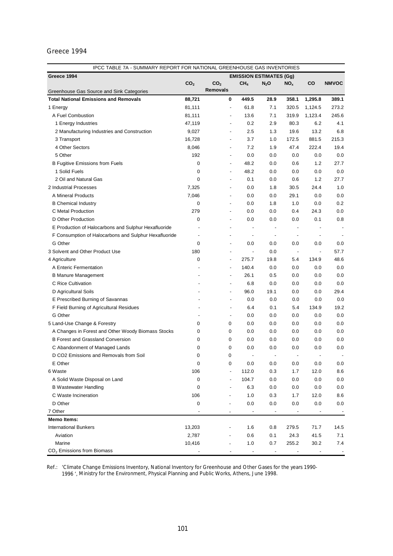| IPCC TABLE 7A - SUMMARY REPORT FOR NATIONAL GREENHOUSE GAS INVENTORIES |                 |                 |                          |                                |                          |                          |                          |              |  |  |
|------------------------------------------------------------------------|-----------------|-----------------|--------------------------|--------------------------------|--------------------------|--------------------------|--------------------------|--------------|--|--|
| Greece 1994                                                            |                 |                 |                          | <b>EMISSION ESTIMATES (Gg)</b> |                          |                          |                          |              |  |  |
|                                                                        | CO <sub>2</sub> | CO <sub>2</sub> |                          | CH <sub>4</sub>                | $N_2$ O                  | NO <sub>x</sub>          | CO                       | <b>NMVOC</b> |  |  |
| Greenhouse Gas Source and Sink Categories                              |                 | <b>Removals</b> |                          |                                |                          |                          |                          |              |  |  |
| <b>Total National Emissions and Removals</b>                           | 88,721          |                 | 0                        | 449.5                          | 28.9                     | 358.1                    | 1,295.8                  | 389.1        |  |  |
| 1 Energy                                                               | 81,111          |                 | $\overline{\phantom{a}}$ | 61.8                           | 7.1                      | 320.5                    | 1,124.5                  | 273.2        |  |  |
| A Fuel Combustion                                                      | 81,111          |                 | $\overline{\phantom{a}}$ | 13.6                           | 7.1                      | 319.9                    | 1,123.4                  | 245.6        |  |  |
| 1 Energy Industries                                                    | 47,119          |                 |                          | 0.2                            | 2.9                      | 80.3                     | 6.2                      | 4.1          |  |  |
| 2 Manufacturing Industries and Construction                            | 9,027           |                 |                          | 2.5                            | 1.3                      | 19.6                     | 13.2                     | 6.8          |  |  |
| 3 Transport                                                            | 16,728          |                 |                          | 3.7                            | 1.0                      | 172.5                    | 881.5                    | 215.3        |  |  |
| 4 Other Sectors                                                        | 8,046           |                 | $\overline{\phantom{a}}$ | 7.2                            | 1.9                      | 47.4                     | 222.4                    | 19.4         |  |  |
| 5 Other                                                                | 192             |                 | $\overline{\phantom{a}}$ | 0.0                            | 0.0                      | 0.0                      | 0.0                      | 0.0          |  |  |
| <b>B Fugitive Emissions from Fuels</b>                                 | 0               |                 | $\overline{\phantom{a}}$ | 48.2                           | 0.0                      | 0.6                      | 1.2                      | 27.7         |  |  |
| 1 Solid Fuels                                                          | 0               |                 | $\overline{\phantom{a}}$ | 48.2                           | 0.0                      | 0.0                      | 0.0                      | 0.0          |  |  |
| 2 Oil and Natural Gas                                                  | 0               |                 | $\overline{\phantom{a}}$ | 0.1                            | 0.0                      | 0.6                      | 1.2                      | 27.7         |  |  |
| 2 Industrial Processes                                                 | 7,325           |                 | $\overline{\phantom{a}}$ | 0.0                            | 1.8                      | 30.5                     | 24.4                     | 1.0          |  |  |
| A Mineral Products                                                     | 7,046           |                 | $\overline{\phantom{a}}$ | 0.0                            | 0.0                      | 29.1                     | 0.0                      | 0.0          |  |  |
| <b>B</b> Chemical Industry                                             | 0               |                 | $\overline{a}$           | 0.0                            | 1.8                      | 1.0                      | 0.0                      | 0.2          |  |  |
| C Metal Production                                                     | 279             |                 | $\overline{a}$           | 0.0                            | 0.0                      | 0.4                      | 24.3                     | 0.0          |  |  |
| D Other Production                                                     | $\mathbf 0$     |                 | $\overline{a}$           | 0.0                            | 0.0                      | 0.0                      | 0.1                      | 0.8          |  |  |
| E Production of Halocarbons and Sulphur Hexafluoride                   |                 |                 | $\overline{\phantom{a}}$ | $\overline{a}$                 |                          | $\overline{a}$           |                          | ٠            |  |  |
| F Consumption of Halocarbons and Sulphur Hexafluoride                  | $\overline{a}$  |                 | $\overline{\phantom{0}}$ | $\overline{\phantom{a}}$       | $\overline{\phantom{a}}$ | $\overline{\phantom{a}}$ |                          |              |  |  |
| G Other                                                                | $\mathbf 0$     |                 | $\overline{a}$           | 0.0                            | 0.0                      | 0.0                      | 0.0                      | 0.0          |  |  |
| 3 Solvent and Other Product Use                                        | 180             |                 | $\overline{\phantom{a}}$ | $\overline{a}$                 | 0.0                      | $\overline{\phantom{a}}$ | $\overline{\phantom{a}}$ | 57.7         |  |  |
| 4 Agriculture                                                          | 0               |                 | $\overline{a}$           | 275.7                          | 19.8                     | 5.4                      | 134.9                    | 48.6         |  |  |
| A Enteric Fermentation                                                 |                 |                 | $\blacksquare$           | 140.4                          | 0.0                      | 0.0                      | 0.0                      | 0.0          |  |  |
| <b>B Manure Management</b>                                             |                 |                 | ÷,                       | 26.1                           | 0.5                      | 0.0                      | 0.0                      | 0.0          |  |  |
| C Rice Cultivation                                                     |                 |                 | $\overline{\phantom{a}}$ | 6.8                            | 0.0                      | 0.0                      | 0.0                      | 0.0          |  |  |
| D Agricultural Soils                                                   |                 |                 | $\overline{\phantom{a}}$ | 96.0                           | 19.1                     | 0.0                      | 0.0                      | 29.4         |  |  |
| E Prescribed Burning of Savannas                                       |                 |                 | $\blacksquare$           | 0.0                            | 0.0                      | 0.0                      | 0.0                      | 0.0          |  |  |
| F Field Burning of Agricultural Residues                               |                 |                 | $\overline{\phantom{a}}$ | 6.4                            | 0.1                      | 5.4                      | 134.9                    | 19.2         |  |  |
| G Other                                                                |                 |                 | $\overline{\phantom{a}}$ | 0.0                            | 0.0                      | 0.0                      | 0.0                      | 0.0          |  |  |
| 5 Land-Use Change & Forestry                                           | 0               |                 | 0                        | 0.0                            | 0.0                      | $0.0\,$                  | 0.0                      | 0.0          |  |  |
| A Changes in Forest and Other Woody Biomass Stocks                     | 0               |                 | 0                        | 0.0                            | 0.0                      | 0.0                      | 0.0                      | 0.0          |  |  |
| <b>B Forest and Grassland Conversion</b>                               | 0               |                 | 0                        | 0.0                            | 0.0                      | 0.0                      | 0.0                      | 0.0          |  |  |
| C Abandonment of Managed Lands                                         | 0               |                 | 0                        | 0.0                            | 0.0                      | 0.0                      | 0.0                      | 0.0          |  |  |
| D CO2 Emissions and Removals from Soil                                 | 0               |                 | 0                        |                                | $\overline{a}$           | $\overline{\phantom{a}}$ | $\overline{a}$           |              |  |  |
| E Other                                                                | 0               |                 | 0                        | 0.0                            | 0.0                      | 0.0                      | 0.0                      | 0.0          |  |  |
| 6 Waste                                                                | 106             |                 | $\frac{1}{2}$            | 112.0                          | 0.3                      | 1.7                      | 12.0                     | 8.6          |  |  |
| A Solid Waste Disposal on Land                                         | 0               |                 |                          | 104.7                          | 0.0                      | 0.0                      | 0.0                      | 0.0          |  |  |
|                                                                        | 0               |                 |                          |                                |                          |                          |                          |              |  |  |
| <b>B</b> Wastewater Handling                                           |                 |                 |                          | 6.3                            | 0.0                      | 0.0                      | 0.0                      | 0.0          |  |  |
| C Waste Incineration                                                   | 106             |                 |                          | 1.0                            | 0.3                      | 1.7                      | 12.0                     | 8.6          |  |  |
| D Other                                                                | 0               |                 |                          | 0.0                            | 0.0                      | 0.0                      | 0.0                      | 0.0          |  |  |
| 7 Other                                                                |                 |                 |                          | $\overline{\phantom{a}}$       |                          |                          |                          |              |  |  |
| <b>Memo Items:</b>                                                     |                 |                 |                          |                                |                          |                          |                          |              |  |  |
| <b>International Bunkers</b>                                           | 13,203          |                 |                          | 1.6                            | 0.8                      | 279.5                    | 71.7                     | 14.5         |  |  |
| Aviation                                                               | 2,787           |                 |                          | 0.6                            | 0.1                      | 24.3                     | 41.5                     | 7.1          |  |  |
| Marine                                                                 | 10,416          |                 |                          | 1.0                            | 0.7                      | 255.2                    | 30.2                     | 7.4          |  |  |
| CO <sub>2</sub> Emissions from Biomass                                 |                 |                 |                          | $\overline{\phantom{a}}$       | $\overline{\phantom{a}}$ |                          |                          |              |  |  |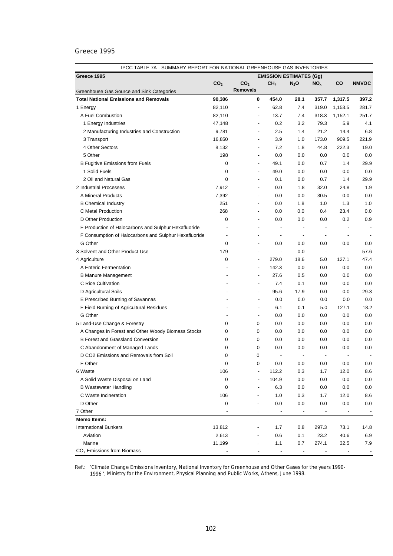| IPCC TABLE 7A - SUMMARY REPORT FOR NATIONAL GREENHOUSE GAS INVENTORIES |                 |                 |                          |                          |                                |                          |                          |                          |  |  |
|------------------------------------------------------------------------|-----------------|-----------------|--------------------------|--------------------------|--------------------------------|--------------------------|--------------------------|--------------------------|--|--|
| Greece 1995                                                            |                 |                 |                          |                          | <b>EMISSION ESTIMATES (Gg)</b> |                          |                          |                          |  |  |
|                                                                        | CO <sub>2</sub> | CO <sub>2</sub> |                          | CH <sub>4</sub>          | $N_2$ O                        | NO <sub>x</sub>          | CO                       | <b>NMVOC</b>             |  |  |
| Greenhouse Gas Source and Sink Categories                              |                 | <b>Removals</b> |                          |                          |                                |                          |                          |                          |  |  |
| <b>Total National Emissions and Removals</b>                           | 90,306          |                 | 0                        | 454.0                    | 28.1                           | 357.7                    | 1,317.5                  | 397.2                    |  |  |
| 1 Energy                                                               | 82,110          |                 | $\overline{\phantom{a}}$ | 62.8                     | 7.4                            | 319.0                    | 1,153.5                  | 281.7                    |  |  |
| A Fuel Combustion                                                      | 82,110          |                 |                          | 13.7                     | 7.4                            | 318.3                    | 1,152.1                  | 251.7                    |  |  |
| 1 Energy Industries                                                    | 47,148          |                 |                          | 0.2                      | 3.2                            | 79.3                     | 5.9                      | 4.1                      |  |  |
| 2 Manufacturing Industries and Construction                            | 9,781           |                 | ÷,                       | 2.5                      | 1.4                            | 21.2                     | 14.4                     | 6.8                      |  |  |
| 3 Transport                                                            | 16,850          |                 |                          | 3.9                      | 1.0                            | 173.0                    | 909.5                    | 221.9                    |  |  |
| 4 Other Sectors                                                        | 8,132           |                 | $\overline{\phantom{a}}$ | 7.2                      | 1.8                            | 44.8                     | 222.3                    | 19.0                     |  |  |
| 5 Other                                                                | 198             |                 |                          | 0.0                      | 0.0                            | 0.0                      | 0.0                      | 0.0                      |  |  |
| <b>B Fugitive Emissions from Fuels</b>                                 | 0               |                 | $\overline{\phantom{a}}$ | 49.1                     | 0.0                            | 0.7                      | 1.4                      | 29.9                     |  |  |
| 1 Solid Fuels                                                          | 0               |                 |                          | 49.0                     | 0.0                            | 0.0                      | 0.0                      | 0.0                      |  |  |
| 2 Oil and Natural Gas                                                  | 0               |                 |                          | 0.1                      | 0.0                            | 0.7                      | 1.4                      | 29.9                     |  |  |
| 2 Industrial Processes                                                 | 7,912           |                 |                          | 0.0                      | 1.8                            | 32.0                     | 24.8                     | 1.9                      |  |  |
| A Mineral Products                                                     | 7,392           |                 | $\overline{\phantom{a}}$ | 0.0                      | 0.0                            | 30.5                     | 0.0                      | 0.0                      |  |  |
| <b>B</b> Chemical Industry                                             | 251             |                 | $\overline{\phantom{a}}$ | 0.0                      | 1.8                            | 1.0                      | 1.3                      | 1.0                      |  |  |
| C Metal Production                                                     | 268             |                 | $\overline{\phantom{a}}$ | 0.0                      | 0.0                            | 0.4                      | 23.4                     | 0.0                      |  |  |
| D Other Production                                                     | 0               |                 | $\overline{\phantom{a}}$ | 0.0                      | 0.0                            | 0.0                      | 0.2                      | 0.9                      |  |  |
| E Production of Halocarbons and Sulphur Hexafluoride                   |                 |                 | $\overline{\phantom{a}}$ | $\blacksquare$           | $\overline{\phantom{a}}$       | $\overline{\phantom{a}}$ | $\overline{a}$           | $\overline{\phantom{a}}$ |  |  |
| F Consumption of Halocarbons and Sulphur Hexafluoride                  | $\blacksquare$  |                 | $\overline{\phantom{a}}$ | $\blacksquare$           | $\overline{\phantom{a}}$       | $\blacksquare$           | $\blacksquare$           |                          |  |  |
| G Other                                                                | 0               |                 | $\overline{\phantom{a}}$ | 0.0                      | 0.0                            | 0.0                      | 0.0                      | 0.0                      |  |  |
| 3 Solvent and Other Product Use                                        | 179             |                 | $\blacksquare$           | $\overline{\phantom{a}}$ | 0.0                            | $\overline{\phantom{a}}$ | $\overline{\phantom{a}}$ | 57.6                     |  |  |
| 4 Agriculture                                                          | 0               |                 | $\blacksquare$           | 279.0                    | 18.6                           | 5.0                      | 127.1                    | 47.4                     |  |  |
| A Enteric Fermentation                                                 |                 |                 | $\overline{\phantom{a}}$ | 142.3                    | 0.0                            | 0.0                      | 0.0                      | 0.0                      |  |  |
| <b>B Manure Management</b>                                             |                 |                 | $\overline{\phantom{a}}$ | 27.6                     | 0.5                            | 0.0                      | 0.0                      | 0.0                      |  |  |
| C Rice Cultivation                                                     |                 |                 | $\blacksquare$           | 7.4                      | 0.1                            | 0.0                      | 0.0                      | 0.0                      |  |  |
| D Agricultural Soils                                                   |                 |                 | $\overline{\phantom{a}}$ | 95.6                     | 17.9                           | 0.0                      | 0.0                      | 29.3                     |  |  |
| E Prescribed Burning of Savannas                                       |                 |                 | $\blacksquare$           | 0.0                      | 0.0                            | 0.0                      | 0.0                      | 0.0                      |  |  |
| F Field Burning of Agricultural Residues                               |                 |                 | $\overline{\phantom{a}}$ | 6.1                      | 0.1                            | 5.0                      | 127.1                    | 18.2                     |  |  |
| G Other                                                                |                 |                 | $\overline{\phantom{a}}$ | 0.0                      | 0.0                            | 0.0                      | 0.0                      | 0.0                      |  |  |
| 5 Land-Use Change & Forestry                                           | 0               |                 | 0                        | 0.0                      | 0.0                            | 0.0                      | 0.0                      | 0.0                      |  |  |
| A Changes in Forest and Other Woody Biomass Stocks                     | 0               |                 | 0                        | 0.0                      | 0.0                            | 0.0                      | 0.0                      | 0.0                      |  |  |
| <b>B Forest and Grassland Conversion</b>                               | 0               |                 | 0                        | 0.0                      | 0.0                            | 0.0                      | 0.0                      | 0.0                      |  |  |
| C Abandonment of Managed Lands                                         | 0               |                 | 0                        | 0.0                      | 0.0                            | 0.0                      | 0.0                      | 0.0                      |  |  |
| D CO2 Emissions and Removals from Soil                                 | 0               |                 | 0                        | $\blacksquare$           | $\overline{\phantom{a}}$       | $\blacksquare$           | $\blacksquare$           | $\overline{\phantom{a}}$ |  |  |
| E Other                                                                | 0               |                 | 0                        | 0.0                      | 0.0                            | 0.0                      | 0.0                      | 0.0                      |  |  |
| 6 Waste                                                                | 106             |                 | $\overline{\phantom{a}}$ | 112.2                    | 0.3                            | 1.7                      | 12.0                     | 8.6                      |  |  |
| A Solid Waste Disposal on Land                                         | 0               |                 |                          | 104.9                    | 0.0                            | 0.0                      | 0.0                      | 0.0                      |  |  |
| <b>B Wastewater Handling</b>                                           | 0               |                 |                          | 6.3                      | 0.0                            | 0.0                      | 0.0                      | 0.0                      |  |  |
| C Waste Incineration                                                   | 106             |                 |                          | 1.0                      | 0.3                            | 1.7                      | 12.0                     | 8.6                      |  |  |
| D Other                                                                | 0               |                 |                          | 0.0                      | 0.0                            | 0.0                      | 0.0                      | 0.0                      |  |  |
| 7 Other                                                                |                 |                 |                          |                          |                                |                          |                          |                          |  |  |
| <b>Memo Items:</b>                                                     |                 |                 |                          |                          |                                |                          |                          |                          |  |  |
| <b>International Bunkers</b>                                           | 13,812          |                 |                          | 1.7                      | 0.8                            | 297.3                    | 73.1                     | 14.8                     |  |  |
| Aviation                                                               | 2,613           |                 |                          | 0.6                      | 0.1                            | 23.2                     | 40.6                     | 6.9                      |  |  |
| Marine                                                                 | 11,199          |                 |                          | 1.1                      | 0.7                            | 274.1                    | 32.5                     | 7.9                      |  |  |
| CO <sub>2</sub> Emissions from Biomass                                 |                 |                 |                          |                          |                                |                          |                          |                          |  |  |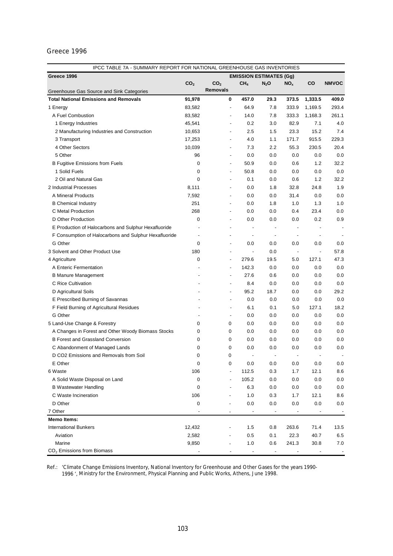| IPCC TABLE 7A - SUMMARY REPORT FOR NATIONAL GREENHOUSE GAS INVENTORIES   |                 |                 |                          |                                |                          |                                 |                          |              |  |
|--------------------------------------------------------------------------|-----------------|-----------------|--------------------------|--------------------------------|--------------------------|---------------------------------|--------------------------|--------------|--|
| Greece 1996                                                              |                 |                 |                          | <b>EMISSION ESTIMATES (Gg)</b> |                          |                                 |                          |              |  |
|                                                                          | CO <sub>2</sub> | CO <sub>2</sub> |                          | CH <sub>4</sub>                | $N_2$ O                  | NO <sub>x</sub>                 | CO                       | <b>NMVOC</b> |  |
| Greenhouse Gas Source and Sink Categories                                |                 | <b>Removals</b> |                          |                                |                          |                                 |                          |              |  |
| <b>Total National Emissions and Removals</b>                             | 91,978          |                 | 0                        | 457.0                          | 29.3                     | 373.5                           | 1,333.5                  | 409.0        |  |
| 1 Energy                                                                 | 83,582          |                 | $\overline{\phantom{a}}$ | 64.9                           | 7.8                      | 333.9                           | 1,169.5                  | 293.4        |  |
| A Fuel Combustion                                                        | 83,582          |                 |                          | 14.0                           | 7.8                      | 333.3                           | 1,168.3                  | 261.1        |  |
| 1 Energy Industries                                                      | 45,541          |                 | $\overline{\phantom{0}}$ | 0.2                            | 3.0                      | 82.9                            | 7.1                      | 4.0          |  |
| 2 Manufacturing Industries and Construction                              | 10,653          |                 | $\overline{\phantom{0}}$ | 2.5                            | 1.5                      | 23.3                            | 15.2                     | 7.4          |  |
| 3 Transport                                                              | 17,253          |                 | $\overline{\phantom{0}}$ | 4.0                            | 1.1                      | 171.7                           | 915.5                    | 229.3        |  |
| 4 Other Sectors                                                          | 10,039          |                 | $\overline{\phantom{0}}$ | 7.3                            | 2.2                      | 55.3                            | 230.5                    | 20.4         |  |
| 5 Other                                                                  | 96              |                 | $\overline{\phantom{0}}$ | 0.0                            | 0.0                      | 0.0                             | 0.0                      | 0.0          |  |
| <b>B Fugitive Emissions from Fuels</b>                                   | 0               |                 | $\overline{\phantom{0}}$ | 50.9                           | 0.0                      | 0.6                             | 1.2                      | 32.2         |  |
| 1 Solid Fuels                                                            | 0               |                 | $\overline{\phantom{0}}$ | 50.8                           | 0.0                      | 0.0                             | 0.0                      | 0.0          |  |
| 2 Oil and Natural Gas                                                    | 0               |                 | $\overline{\phantom{0}}$ | 0.1                            | 0.0                      | 0.6                             | 1.2                      | 32.2         |  |
| 2 Industrial Processes                                                   | 8,111           |                 | $\overline{\phantom{0}}$ | 0.0                            | 1.8                      | 32.8                            | 24.8                     | 1.9          |  |
| A Mineral Products                                                       | 7,592           |                 | $\overline{\phantom{0}}$ | 0.0                            | 0.0                      | 31.4                            | 0.0                      | 0.0          |  |
| <b>B</b> Chemical Industry                                               | 251             |                 | $\overline{\phantom{a}}$ | 0.0                            | 1.8                      | 1.0                             | 1.3                      | 1.0          |  |
| C Metal Production                                                       | 268             |                 | -                        | 0.0                            | 0.0                      | 0.4                             | 23.4                     | 0.0          |  |
| D Other Production                                                       | 0               |                 | $\overline{\phantom{0}}$ | 0.0                            | 0.0                      | 0.0                             | 0.2                      | 0.9          |  |
| E Production of Halocarbons and Sulphur Hexafluoride                     |                 |                 | $\overline{a}$           |                                | $\blacksquare$           |                                 |                          |              |  |
| F Consumption of Halocarbons and Sulphur Hexafluoride                    | $\overline{a}$  |                 | $\overline{\phantom{0}}$ | $\overline{\phantom{a}}$       | $\overline{\phantom{a}}$ | $\blacksquare$                  |                          |              |  |
| G Other                                                                  | 0               |                 | $\blacksquare$           | 0.0                            | 0.0                      | 0.0                             | 0.0                      | 0.0          |  |
| 3 Solvent and Other Product Use                                          | 180             |                 | $\blacksquare$           | $\overline{a}$                 | 0.0                      | $\overline{\phantom{a}}$        | $\overline{\phantom{a}}$ | 57.8         |  |
| 4 Agriculture                                                            | 0               |                 | $\blacksquare$           | 279.6                          | 19.5                     | 5.0                             | 127.1                    | 47.3         |  |
| A Enteric Fermentation                                                   |                 |                 | $\overline{\phantom{0}}$ | 142.3                          | 0.0                      | 0.0                             | 0.0                      | 0.0          |  |
| <b>B Manure Management</b>                                               |                 |                 | $\overline{\phantom{0}}$ | 27.6                           | 0.6                      | 0.0                             | 0.0                      | 0.0          |  |
| C Rice Cultivation                                                       |                 |                 | $\overline{\phantom{0}}$ | 8.4                            | 0.0                      | 0.0                             | 0.0                      | 0.0          |  |
| D Agricultural Soils                                                     |                 |                 | $\overline{\phantom{0}}$ | 95.2                           | 18.7                     | 0.0                             | 0.0                      | 29.2         |  |
| E Prescribed Burning of Savannas                                         |                 |                 | $\overline{a}$           | 0.0                            | 0.0                      | $0.0\,$                         | 0.0                      | 0.0          |  |
| F Field Burning of Agricultural Residues                                 |                 |                 | $\overline{a}$           | 6.1                            | 0.1                      | 5.0                             | 127.1                    | 18.2         |  |
| G Other                                                                  |                 |                 | $\overline{\phantom{0}}$ | 0.0                            | 0.0                      | 0.0                             | 0.0                      | 0.0          |  |
| 5 Land-Use Change & Forestry                                             | 0               |                 | 0                        | 0.0                            | 0.0                      | 0.0                             | 0.0                      | 0.0          |  |
| A Changes in Forest and Other Woody Biomass Stocks                       | 0               |                 | 0                        | 0.0                            | 0.0                      | 0.0                             | 0.0                      | 0.0          |  |
| <b>B Forest and Grassland Conversion</b>                                 | 0               |                 | 0                        | 0.0                            | 0.0                      | 0.0                             | 0.0                      | 0.0          |  |
|                                                                          | 0               |                 | 0                        | 0.0                            |                          |                                 |                          | 0.0          |  |
| C Abandonment of Managed Lands<br>D CO2 Emissions and Removals from Soil | 0               |                 | 0                        | ÷,                             | 0.0<br>$\blacksquare$    | 0.0<br>$\overline{\phantom{a}}$ | 0.0<br>$\overline{a}$    |              |  |
| E Other                                                                  | $\pmb{0}$       |                 |                          |                                |                          |                                 |                          |              |  |
|                                                                          |                 |                 | 0                        | 0.0                            | 0.0                      | 0.0                             | 0.0                      | 0.0          |  |
| 6 Waste                                                                  | 106             |                 |                          | 112.5                          | 0.3                      | 1.7                             | 12.1                     | 8.6          |  |
| A Solid Waste Disposal on Land                                           | 0               |                 |                          | 105.2                          | 0.0                      | 0.0                             | 0.0                      | 0.0          |  |
| <b>B Wastewater Handling</b>                                             | 0               |                 |                          | 6.3                            | 0.0                      | 0.0                             | 0.0                      | 0.0          |  |
| C Waste Incineration                                                     | 106             |                 |                          | 1.0                            | 0.3                      | 1.7                             | 12.1                     | 8.6          |  |
| D Other                                                                  | $\pmb{0}$       |                 |                          | 0.0                            | 0.0                      | 0.0                             | 0.0                      | 0.0          |  |
| 7 Other                                                                  | $\overline{a}$  |                 |                          | $\overline{\phantom{a}}$       |                          |                                 |                          |              |  |
| <b>Memo Items:</b>                                                       |                 |                 |                          |                                |                          |                                 |                          |              |  |
| <b>International Bunkers</b>                                             | 12,432          |                 |                          | $1.5$                          | 0.8                      | 263.6                           | 71.4                     | 13.5         |  |
| Aviation                                                                 | 2,582           |                 |                          | 0.5                            | 0.1                      | 22.3                            | 40.7                     | 6.5          |  |
| Marine                                                                   | 9,850           |                 |                          | 1.0                            | 0.6                      | 241.3                           | 30.8                     | 7.0          |  |
| $CO2$ Emissions from Biomass                                             |                 |                 |                          | $\overline{\phantom{a}}$       |                          |                                 |                          |              |  |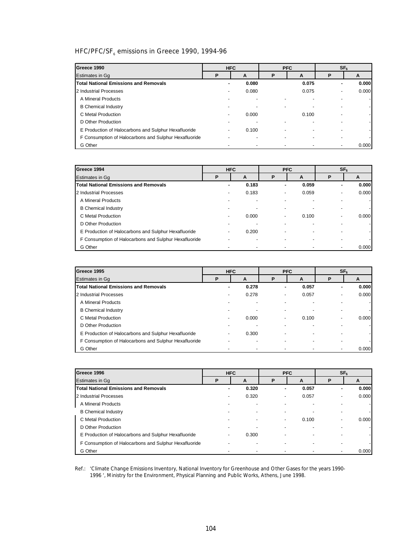# HFC/PFC/SF<sub>6</sub> emissions in Greece 1990, 1994-96

| Greece 1990                                           |   | <b>HFC</b> |   | <b>PFC</b> |                          | SF <sub>6</sub> |
|-------------------------------------------------------|---|------------|---|------------|--------------------------|-----------------|
| Estimates in Gq                                       | P | A          | Р | A          | P                        | A               |
| <b>Total National Emissions and Removals</b>          |   | 0.080      |   | 0.075      |                          | 0.000           |
| 2 Industrial Processes                                |   | 0.080      |   | 0.075      | $\overline{\phantom{a}}$ | 0.000           |
| A Mineral Products                                    |   |            |   |            |                          |                 |
| <b>B</b> Chemical Industry                            |   |            |   |            |                          |                 |
| C Metal Production                                    |   | 0.000      |   | 0.100      |                          |                 |
| D Other Production                                    |   |            |   |            |                          |                 |
| E Production of Halocarbons and Sulphur Hexafluoride  |   | 0.100      |   |            |                          |                 |
| F Consumption of Halocarbons and Sulphur Hexafluoride |   |            |   |            | $\overline{\phantom{0}}$ |                 |
| G Other                                               |   |            |   |            |                          | 0.000           |

| Greece 1994                                           |   | <b>HFC</b> |                          | <b>PFC</b> |   | SF <sub>6</sub> |
|-------------------------------------------------------|---|------------|--------------------------|------------|---|-----------------|
| <b>Estimates in Gq</b>                                | Ρ | A          | P                        | A          | Р | A               |
| Total National Emissions and Removals                 |   | 0.183      | ۰                        | 0.059      |   | 0.000           |
| 2 Industrial Processes                                |   | 0.183      | -                        | 0.059      |   | 0.000           |
| A Mineral Products                                    |   |            |                          |            |   |                 |
| <b>B</b> Chemical Industry                            |   |            |                          |            |   |                 |
| C Metal Production                                    |   | 0.000      | $\overline{\phantom{0}}$ | 0.100      |   | 0.000           |
| D Other Production                                    |   |            |                          |            |   |                 |
| E Production of Halocarbons and Sulphur Hexafluoride  |   | 0.200      |                          |            |   |                 |
| F Consumption of Halocarbons and Sulphur Hexafluoride |   |            |                          |            |   |                 |
| G Other                                               |   |            |                          |            |   | 0.000           |

| Greece 1995                                           | <b>HFC</b>               |       |   | <b>PFC</b> |                | SF <sub>6</sub> |  |  |
|-------------------------------------------------------|--------------------------|-------|---|------------|----------------|-----------------|--|--|
| <b>Estimates in Gq</b>                                | P                        | A     | P | A          | P              | A               |  |  |
| <b>Total National Emissions and Removals</b>          |                          | 0.278 |   | 0.057      |                | 0.000           |  |  |
| 2 Industrial Processes                                |                          | 0.278 | - | 0.057      | $\blacksquare$ | 0.000           |  |  |
| A Mineral Products                                    |                          |       |   |            |                |                 |  |  |
| <b>B</b> Chemical Industry                            |                          |       |   |            |                |                 |  |  |
| C Metal Production                                    |                          | 0.000 |   | 0.100      |                | 0.000           |  |  |
| D Other Production                                    |                          |       |   |            |                |                 |  |  |
| E Production of Halocarbons and Sulphur Hexafluoride  | $\overline{\phantom{a}}$ | 0.300 |   |            |                |                 |  |  |
| F Consumption of Halocarbons and Sulphur Hexafluoride |                          |       |   |            |                |                 |  |  |
| G Other                                               |                          |       |   |            |                | 0.000           |  |  |

| Greece 1996                                           |   | <b>HFC</b> | <b>PFC</b> |       | SF <sub>6</sub> |       |  |
|-------------------------------------------------------|---|------------|------------|-------|-----------------|-------|--|
| Estimates in Gq                                       | P | A          | P          | A     | P               | A     |  |
| <b>Total National Emissions and Removals</b>          |   | 0.320      | ۰          | 0.057 | ۰.              | 0.000 |  |
| 2 Industrial Processes                                |   | 0.320      |            | 0.057 |                 | 0.000 |  |
| A Mineral Products                                    |   |            |            |       |                 |       |  |
| <b>B</b> Chemical Industry                            |   |            |            |       |                 |       |  |
| C Metal Production                                    |   |            |            | 0.100 |                 | 0.000 |  |
| D Other Production                                    |   |            |            |       |                 |       |  |
| E Production of Halocarbons and Sulphur Hexafluoride  |   | 0.300      |            |       |                 |       |  |
| F Consumption of Halocarbons and Sulphur Hexafluoride |   |            |            |       |                 |       |  |
| G Other                                               |   |            |            |       |                 | 0.000 |  |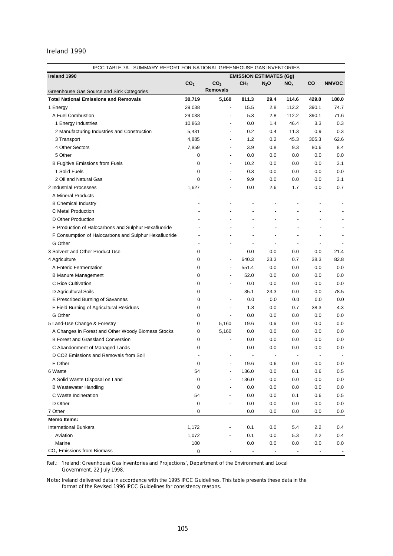| IPCC TABLE 7A - SUMMARY REPORT FOR NATIONAL GREENHOUSE GAS INVENTORIES |                 |                 |                                   |                          |                          |                |                |
|------------------------------------------------------------------------|-----------------|-----------------|-----------------------------------|--------------------------|--------------------------|----------------|----------------|
| Ireland 1990                                                           |                 |                 | <b>EMISSION ESTIMATES (Gg)</b>    |                          |                          |                |                |
|                                                                        | CO <sub>2</sub> | CO <sub>2</sub> | CH <sub>4</sub>                   | $N_2$ O                  | NO <sub>x</sub>          | CO             | <b>NMVOC</b>   |
| Greenhouse Gas Source and Sink Categories                              |                 | <b>Removals</b> |                                   |                          |                          |                |                |
| <b>Total National Emissions and Removals</b>                           | 30,719          | 5,160           | 811.3                             | 29.4                     | 114.6                    | 429.0          | 180.0          |
| 1 Energy                                                               | 29,038          |                 | 15.5<br>$\overline{\phantom{0}}$  | 2.8                      | 112.2                    | 390.1          | 74.7           |
| A Fuel Combustion                                                      | 29,038          |                 | 5.3<br>$\overline{a}$             | 2.8                      | 112.2                    | 390.1          | 71.6           |
| 1 Energy Industries                                                    | 10,863          |                 | 0.0<br>$\overline{\phantom{0}}$   | 1.4                      | 46.4                     | 3.3            | 0.3            |
| 2 Manufacturing Industries and Construction                            | 5,431           |                 | 0.2<br>$\overline{\phantom{0}}$   | 0.4                      | 11.3                     | 0.9            | 0.3            |
| 3 Transport                                                            | 4,885           |                 | 1.2<br>$\overline{\phantom{0}}$   | 0.2                      | 45.3                     | 305.3          | 62.6           |
| 4 Other Sectors                                                        | 7,859           |                 | 3.9                               | 0.8                      | 9.3                      | 80.6           | 8.4            |
| 5 Other                                                                | 0               |                 | 0.0                               | 0.0                      | 0.0                      | 0.0            | 0.0            |
| <b>B Fugitive Emissions from Fuels</b>                                 | 0               |                 | 10.2<br>$\overline{\phantom{0}}$  | 0.0                      | 0.0                      | 0.0            | 3.1            |
| 1 Solid Fuels                                                          | 0               |                 | 0.3<br>$\overline{\phantom{0}}$   | 0.0                      | 0.0                      | 0.0            | 0.0            |
| 2 Oil and Natural Gas                                                  | 0               |                 | 9.9<br>$\overline{\phantom{0}}$   | 0.0                      | 0.0                      | 0.0            | 3.1            |
| 2 Industrial Processes                                                 | 1,627           |                 | 0.0<br>$\overline{\phantom{0}}$   | 2.6                      | 1.7                      | 0.0            | 0.7            |
| A Mineral Products                                                     |                 |                 | ÷,<br>$\overline{\phantom{0}}$    | $\overline{a}$           |                          | $\overline{a}$ |                |
| <b>B</b> Chemical Industry                                             |                 |                 | $\overline{a}$                    | $\overline{\phantom{a}}$ |                          |                |                |
| C Metal Production                                                     |                 |                 | $\overline{\phantom{a}}$          | ٠                        |                          |                |                |
| D Other Production                                                     |                 |                 | $\overline{\phantom{a}}$          | $\overline{a}$           |                          |                |                |
| E Production of Halocarbons and Sulphur Hexafluoride                   |                 |                 | $\overline{a}$                    |                          |                          |                |                |
| F Consumption of Halocarbons and Sulphur Hexafluoride                  |                 |                 | $\overline{\phantom{a}}$          | ٠                        | $\overline{\phantom{a}}$ |                |                |
| G Other                                                                |                 |                 | $\overline{\phantom{a}}$          |                          | $\overline{\phantom{a}}$ |                |                |
| 3 Solvent and Other Product Use                                        | 0               |                 | 0.0<br>$\overline{\phantom{0}}$   | 0.0                      | 0.0                      | 0.0            | 21.4           |
| 4 Agriculture                                                          | 0               |                 | 640.3<br>$\overline{\phantom{0}}$ | 23.3                     | 0.7                      | 38.3           | 82.8           |
| A Enteric Fermentation                                                 | 0               |                 | 551.4<br>$\overline{\phantom{0}}$ | 0.0                      | 0.0                      | 0.0            | 0.0            |
| <b>B Manure Management</b>                                             | 0               |                 | 52.0<br>$\overline{\phantom{0}}$  | 0.0                      | 0.0                      | 0.0            | 0.0            |
| C Rice Cultivation                                                     | 0               |                 | 0.0<br>$\overline{\phantom{0}}$   | 0.0                      | 0.0                      | 0.0            | 0.0            |
| D Agricultural Soils                                                   | 0               |                 | 35.1<br>$\overline{\phantom{0}}$  | 23.3                     | 0.0                      | 0.0            | 78.5           |
| E Prescribed Burning of Savannas                                       | 0               |                 | 0.0<br>$\overline{\phantom{a}}$   | 0.0                      | 0.0                      | 0.0            | 0.0            |
| F Field Burning of Agricultural Residues                               | 0               |                 | 1.8<br>$\overline{a}$             | 0.0                      | 0.7                      | 38.3           | 4.3            |
| G Other                                                                | 0               |                 | 0.0<br>$\overline{\phantom{a}}$   | 0.0                      | 0.0                      | 0.0            | 0.0            |
| 5 Land-Use Change & Forestry                                           | 0               | 5,160           | 19.6                              | 0.6                      | 0.0                      | 0.0            | 0.0            |
| A Changes in Forest and Other Woody Biomass Stocks                     | 0               | 5,160           | 0.0                               | 0.0                      | 0.0                      | 0.0            | 0.0            |
| <b>B Forest and Grassland Conversion</b>                               | 0               |                 | 0.0<br>$\overline{\phantom{0}}$   | 0.0                      | 0.0                      | 0.0            | 0.0            |
| C Abandonment of Managed Lands                                         | 0               |                 | 0.0                               | 0.0                      | $0.0\,$                  | 0.0            | 0.0            |
| D CO2 Emissions and Removals from Soil                                 |                 |                 | $\overline{a}$<br>÷,              | $\blacksquare$           | $\overline{\phantom{a}}$ | $\overline{a}$ |                |
| E Other                                                                | 0               |                 | 19.6                              | 0.6                      | 0.0                      | $0.0\,$        | 0.0            |
|                                                                        |                 |                 |                                   |                          |                          | 0.6            |                |
| 6 Waste<br>A Solid Waste Disposal on Land                              | 54              |                 | 136.0                             | 0.0                      | 0.1                      | 0.0            | $0.5\,$<br>0.0 |
|                                                                        | 0               |                 | 136.0                             | 0.0                      | 0.0                      |                |                |
| <b>B Wastewater Handling</b><br>C Waste Incineration                   | 0               |                 | 0.0                               | 0.0                      | 0.0                      | 0.0            | 0.0            |
|                                                                        | 54              |                 | 0.0                               | 0.0                      | 0.1                      | 0.6            | 0.5            |
| D Other                                                                | 0               |                 | 0.0                               | 0.0                      | 0.0                      | 0.0            | 0.0            |
| 7 Other                                                                | 0               |                 | 0.0                               | 0.0                      | 0.0                      | 0.0            | 0.0            |
| <b>Memo Items:</b>                                                     |                 |                 |                                   |                          |                          |                |                |
| <b>International Bunkers</b>                                           | 1,172           |                 | 0.1                               | 0.0                      | 5.4                      | 2.2            | 0.4            |
| Aviation                                                               | 1,072           |                 | 0.1                               | 0.0                      | 5.3                      | 2.2            | 0.4            |
| Marine                                                                 | 100             |                 | 0.0                               | 0.0                      | 0.0                      | 0.0            | $0.0\,$        |
| CO <sub>2</sub> Emissions from Biomass                                 | 0               |                 |                                   |                          |                          |                |                |

Ref.: '*Ireland: Greenhouse Gas Inventories and Projections*', Department of the Environment and Local Government, 22 July 1998.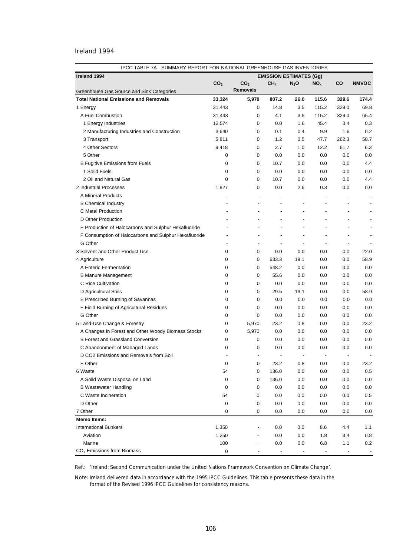| IPCC TABLE 7A - SUMMARY REPORT FOR NATIONAL GREENHOUSE GAS INVENTORIES |                 |                          |                                |                          |                          |                          |                          |
|------------------------------------------------------------------------|-----------------|--------------------------|--------------------------------|--------------------------|--------------------------|--------------------------|--------------------------|
| Ireland 1994                                                           |                 |                          | <b>EMISSION ESTIMATES (Gg)</b> |                          |                          |                          |                          |
|                                                                        | CO <sub>2</sub> | CO <sub>2</sub>          | CH <sub>4</sub>                | $N_2O$                   | NO <sub>x</sub>          | CO                       | <b>NMVOC</b>             |
| Greenhouse Gas Source and Sink Categories                              |                 | <b>Removals</b>          |                                |                          |                          |                          |                          |
| <b>Total National Emissions and Removals</b>                           | 33,324          | 5,970                    | 807.2                          | 26.0                     | 115.6                    | 329.6                    | 174.4                    |
| 1 Energy                                                               | 31,443          | 0                        | 14.8                           | 3.5                      | 115.2                    | 329.0                    | 69.8                     |
| A Fuel Combustion                                                      | 31,443          | 0                        | 4.1                            | 3.5                      | 115.2                    | 329.0                    | 65.4                     |
| 1 Energy Industries                                                    | 12,574          | 0                        | 0.0                            | 1.6                      | 45.4                     | 3.4                      | 0.3                      |
| 2 Manufacturing Industries and Construction                            | 3,640           | 0                        | 0.1                            | 0.4                      | 9.9                      | 1.6                      | 0.2                      |
| 3 Transport                                                            | 5,811           | 0                        | 1.2                            | 0.5                      | 47.7                     | 262.3                    | 58.7                     |
| 4 Other Sectors                                                        | 9,418           | 0                        | 2.7                            | 1.0                      | 12.2                     | 61.7                     | 6.3                      |
| 5 Other                                                                | 0               | 0                        | 0.0                            | 0.0                      | 0.0                      | 0.0                      | 0.0                      |
| <b>B Fugitive Emissions from Fuels</b>                                 | 0               | 0                        | 10.7                           | 0.0                      | 0.0                      | 0.0                      | 4.4                      |
| 1 Solid Fuels                                                          | 0               | 0                        | 0.0                            | 0.0                      | 0.0                      | 0.0                      | 0.0                      |
| 2 Oil and Natural Gas                                                  | 0               | 0                        | 10.7                           | 0.0                      | 0.0                      | 0.0                      | 4.4                      |
| 2 Industrial Processes                                                 | 1,827           | 0                        | 0.0                            | 2.6                      | 0.3                      | 0.0                      | 0.0                      |
| A Mineral Products                                                     |                 | $\blacksquare$           | ÷,                             | $\overline{\phantom{a}}$ |                          |                          | $\blacksquare$           |
| <b>B</b> Chemical Industry                                             |                 | $\overline{\phantom{a}}$ | $\overline{a}$                 | ÷,                       |                          | $\overline{a}$           | $\overline{\phantom{a}}$ |
| C Metal Production                                                     |                 |                          |                                | $\overline{a}$           |                          | $\overline{\phantom{a}}$ |                          |
| D Other Production                                                     |                 |                          |                                | $\overline{a}$           |                          | $\overline{\phantom{a}}$ |                          |
| E Production of Halocarbons and Sulphur Hexafluoride                   |                 |                          |                                | $\overline{a}$           |                          | $\overline{\phantom{a}}$ |                          |
| F Consumption of Halocarbons and Sulphur Hexafluoride                  |                 | $\blacksquare$           |                                | $\overline{a}$           | $\overline{\phantom{0}}$ | $\overline{\phantom{a}}$ | $\overline{\phantom{a}}$ |
| G Other                                                                |                 | $\overline{\phantom{a}}$ |                                | $\overline{a}$           | $\overline{\phantom{a}}$ | $\blacksquare$           |                          |
| 3 Solvent and Other Product Use                                        | 0               | 0                        | 0.0                            | 0.0                      | 0.0                      | 0.0                      | 22.0                     |
| 4 Agriculture                                                          | 0               | 0                        | 633.3                          | 19.1                     | 0.0                      | 0.0                      | 58.9                     |
| A Enteric Fermentation                                                 | 0               | 0                        | 548.2                          | 0.0                      | 0.0                      | 0.0                      | 0.0                      |
| <b>B Manure Management</b>                                             | 0               | $\mathbf 0$              | 55.6                           | 0.0                      | 0.0                      | 0.0                      | 0.0                      |
| C Rice Cultivation                                                     | 0               | 0                        | 0.0                            | 0.0                      | 0.0                      | 0.0                      | 0.0                      |
| D Agricultural Soils                                                   | 0               | 0                        | 29.5                           | 19.1                     | 0.0                      | 0.0                      | 58.9                     |
| E Prescribed Burning of Savannas                                       | 0               | 0                        | 0.0                            | 0.0                      | 0.0                      | 0.0                      | 0.0                      |
| F Field Burning of Agricultural Residues                               | 0               | 0                        | 0.0                            | 0.0                      | 0.0                      | 0.0                      | 0.0                      |
| G Other                                                                | 0               | 0                        | 0.0                            | 0.0                      | 0.0                      | 0.0                      | 0.0                      |
| 5 Land-Use Change & Forestry                                           | 0               | 5,970                    | 23.2                           | 0.8                      | 0.0                      | 0.0                      | 23.2                     |
| A Changes in Forest and Other Woody Biomass Stocks                     | 0               | 5,970                    | 0.0                            | 0.0                      | 0.0                      | 0.0                      | 0.0                      |
| <b>B Forest and Grassland Conversion</b>                               | 0               | 0                        | 0.0                            | 0.0                      | 0.0                      | 0.0                      | 0.0                      |
| C Abandonment of Managed Lands                                         | 0               | 0                        | 0.0                            | 0.0                      | 0.0                      | 0.0                      | 0.0                      |
| D CO2 Emissions and Removals from Soil                                 |                 |                          |                                | $\overline{\phantom{a}}$ | $\overline{\phantom{a}}$ | $\overline{\phantom{a}}$ |                          |
| E Other                                                                | 0               | 0                        | 23.2                           | 0.8                      | $0.0\,$                  | $0.0\,$                  | 23.2                     |
| 6 Waste                                                                | 54              | 0                        | 136.0                          | 0.0                      | 0.0                      | 0.0                      | 0.5                      |
| A Solid Waste Disposal on Land                                         | 0               | 0                        | 136.0                          | 0.0                      | 0.0                      | 0.0                      | 0.0                      |
| <b>B Wastewater Handling</b>                                           | 0               | 0                        | 0.0                            | 0.0                      | 0.0                      | 0.0                      | 0.0                      |
| C Waste Incineration                                                   | 54              | 0                        | 0.0                            | 0.0                      | 0.0                      | 0.0                      | 0.5                      |
| D Other                                                                | 0               | 0                        | 0.0                            | 0.0                      | 0.0                      | 0.0                      | 0.0                      |
| 7 Other                                                                | 0               | 0                        | 0.0                            | 0.0                      | 0.0                      | 0.0                      | 0.0                      |
| <b>Memo Items:</b>                                                     |                 |                          |                                |                          |                          |                          |                          |
| <b>International Bunkers</b>                                           | 1,350           |                          | 0.0                            | 0.0                      | 8.6                      | 4.4                      | 1.1                      |
| Aviation                                                               | 1,250           |                          | 0.0                            | 0.0                      | 1.8                      | 3.4                      | 0.8                      |
| Marine                                                                 | 100             |                          | 0.0                            | 0.0                      | 6.8                      | 1.1                      | 0.2                      |
| CO <sub>2</sub> Emissions from Biomass                                 | 0               |                          |                                |                          |                          |                          |                          |

Ref.: '*Ireland: Second Communication under the United Nations Framework Convention on Climate Change*'.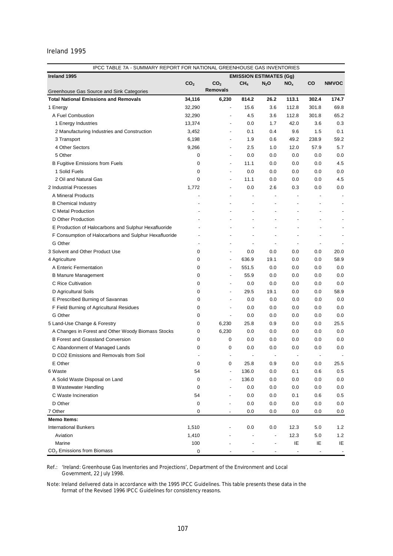| IPCC TABLE 7A - SUMMARY REPORT FOR NATIONAL GREENHOUSE GAS INVENTORIES |                 |                 |                                                      |                          |                          |                                |              |
|------------------------------------------------------------------------|-----------------|-----------------|------------------------------------------------------|--------------------------|--------------------------|--------------------------------|--------------|
| Ireland 1995                                                           |                 |                 | <b>EMISSION ESTIMATES (Gg)</b>                       |                          |                          |                                |              |
|                                                                        | CO <sub>2</sub> | CO <sub>2</sub> | CH <sub>4</sub>                                      | $N_2$ O                  | NO <sub>x</sub>          | CO                             | <b>NMVOC</b> |
| Greenhouse Gas Source and Sink Categories                              |                 | <b>Removals</b> |                                                      |                          |                          |                                |              |
| <b>Total National Emissions and Removals</b>                           | 34,116          | 6,230           | 814.2                                                | 26.2                     | 113.1                    | 302.4                          | 174.7        |
| 1 Energy                                                               | 32,290          |                 | 15.6<br>$\overline{\phantom{0}}$                     | 3.6                      | 112.8                    | 301.8                          | 69.8         |
| A Fuel Combustion                                                      | 32,290          |                 | 4.5<br>$\overline{a}$                                | 3.6                      | 112.8                    | 301.8                          | 65.2         |
| 1 Energy Industries                                                    | 13,374          |                 | 0.0                                                  | 1.7                      | 42.0                     | 3.6                            | 0.3          |
| 2 Manufacturing Industries and Construction                            | 3,452           |                 | 0.1                                                  | 0.4                      | 9.6                      | 1.5                            | 0.1          |
| 3 Transport                                                            | 6,198           |                 | 1.9                                                  | 0.6                      | 49.2                     | 238.9                          | 59.2         |
| 4 Other Sectors                                                        | 9,266           |                 | 2.5<br>$\overline{\phantom{0}}$                      | 1.0                      | 12.0                     | 57.9                           | 5.7          |
| 5 Other                                                                | 0               |                 | 0.0<br>$\overline{\phantom{0}}$                      | 0.0                      | 0.0                      | 0.0                            | 0.0          |
| <b>B Fugitive Emissions from Fuels</b>                                 | 0               |                 | 11.1<br>$\overline{\phantom{0}}$                     | 0.0                      | 0.0                      | 0.0                            | 4.5          |
| 1 Solid Fuels                                                          | 0               |                 | 0.0<br>-                                             | 0.0                      | 0.0                      | 0.0                            | 0.0          |
| 2 Oil and Natural Gas                                                  | 0               |                 | 11.1<br>$\overline{\phantom{0}}$                     | 0.0                      | 0.0                      | 0.0                            | 4.5          |
| 2 Industrial Processes                                                 | 1,772           |                 | 0.0<br>$\overline{\phantom{0}}$                      | 2.6                      | 0.3                      | 0.0                            | 0.0          |
| A Mineral Products                                                     |                 |                 | $\overline{\phantom{a}}$<br>$\overline{\phantom{0}}$ | $\overline{a}$           |                          |                                |              |
| <b>B</b> Chemical Industry                                             |                 |                 | $\overline{\phantom{a}}$<br>$\overline{\phantom{0}}$ | $\overline{\phantom{a}}$ |                          | $\overline{a}$                 |              |
| C Metal Production                                                     |                 |                 | $\overline{\phantom{a}}$                             |                          |                          | $\overline{\phantom{0}}$       |              |
| D Other Production                                                     |                 |                 |                                                      |                          |                          |                                |              |
| E Production of Halocarbons and Sulphur Hexafluoride                   |                 |                 |                                                      |                          |                          |                                |              |
| F Consumption of Halocarbons and Sulphur Hexafluoride                  |                 |                 |                                                      |                          | $\overline{a}$           |                                |              |
| G Other                                                                |                 |                 |                                                      | $\overline{a}$           | $\overline{\phantom{a}}$ |                                |              |
| 3 Solvent and Other Product Use                                        | 0               |                 | 0.0<br>$\overline{\phantom{0}}$                      | 0.0                      | 0.0                      | 0.0                            | 20.0         |
| 4 Agriculture                                                          | 0               |                 | 636.9<br>$\overline{\phantom{0}}$                    | 19.1                     | 0.0                      | 0.0                            | 58.9         |
| A Enteric Fermentation                                                 | 0               |                 | 551.5<br>$\overline{a}$                              | 0.0                      | 0.0                      | 0.0                            | 0.0          |
| <b>B Manure Management</b>                                             | 0               |                 | 55.9<br>$\overline{a}$                               | 0.0                      | 0.0                      | 0.0                            | 0.0          |
| C Rice Cultivation                                                     | 0               |                 | 0.0<br>$\overline{\phantom{0}}$                      | 0.0                      | 0.0                      | 0.0                            | 0.0          |
| D Agricultural Soils                                                   | 0               |                 | 29.5<br>$\overline{\phantom{0}}$                     | 19.1                     | 0.0                      | 0.0                            | 58.9         |
| E Prescribed Burning of Savannas                                       | 0               |                 | 0.0<br>$\overline{a}$                                | 0.0                      | 0.0                      | 0.0                            | 0.0          |
| F Field Burning of Agricultural Residues                               | 0               |                 | 0.0<br>$\overline{\phantom{0}}$                      | 0.0                      | 0.0                      | 0.0                            | 0.0          |
| G Other                                                                | 0               |                 | 0.0<br>$\overline{\phantom{0}}$                      | 0.0                      | 0.0                      | 0.0                            | 0.0          |
| 5 Land-Use Change & Forestry                                           | 0               | 6,230           | 25.8                                                 | 0.9                      | 0.0                      | 0.0                            | 25.5         |
| A Changes in Forest and Other Woody Biomass Stocks                     | 0               | 6,230           | 0.0                                                  | 0.0                      | 0.0                      | 0.0                            | 0.0          |
| <b>B Forest and Grassland Conversion</b>                               | 0               |                 | 0<br>0.0                                             | 0.0                      | 0.0                      | 0.0                            | 0.0          |
| C Abandonment of Managed Lands                                         | 0               |                 | 0<br>0.0                                             | 0.0                      | 0.0                      | 0.0                            | 0.0          |
| D CO2 Emissions and Removals from Soil                                 |                 |                 | $\overline{\phantom{a}}$                             | $\blacksquare$           | $\overline{\phantom{a}}$ |                                |              |
| E Other                                                                | 0               |                 | 0<br>25.8                                            | 0.9                      | 0.0                      | 0.0                            | 25.5         |
| 6 Waste                                                                | 54              |                 | 136.0                                                | 0.0                      | 0.1                      | 0.6                            | 0.5          |
| A Solid Waste Disposal on Land                                         | 0               |                 | 136.0                                                | 0.0                      | 0.0                      | 0.0                            | 0.0          |
| <b>B Wastewater Handling</b>                                           | 0               |                 | 0.0                                                  | 0.0                      | 0.0                      | 0.0                            | 0.0          |
| C Waste Incineration                                                   | 54              |                 | 0.0                                                  | 0.0                      | 0.1                      | 0.6                            | 0.5          |
|                                                                        |                 |                 |                                                      |                          |                          |                                |              |
| D Other                                                                | 0               |                 | 0.0                                                  | 0.0                      | 0.0                      | 0.0                            | 0.0          |
| 7 Other                                                                | 0               |                 | 0.0                                                  | 0.0                      | 0.0                      | 0.0                            | 0.0          |
| <b>Memo Items:</b>                                                     |                 |                 |                                                      |                          |                          |                                |              |
| <b>International Bunkers</b>                                           | 1,510           |                 | 0.0                                                  | 0.0                      | 12.3                     | 5.0                            | 1.2          |
| Aviation<br>Marine                                                     | 1,410           |                 | $\overline{\phantom{a}}$                             |                          | 12.3                     | 5.0                            | 1.2          |
| CO <sub>2</sub> Emissions from Biomass                                 | 100             |                 |                                                      |                          | IE                       | ΙE<br>$\overline{\phantom{a}}$ | IE           |
|                                                                        | 0               |                 |                                                      |                          |                          |                                |              |

Ref.: '*Ireland: Greenhouse Gas Inventories and Projections*', Department of the Environment and Local Government, 22 July 1998.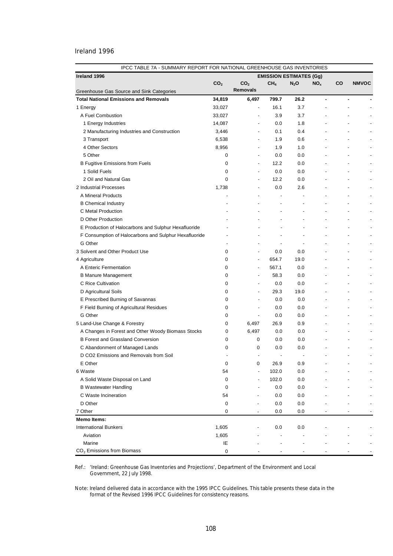| Ireland 1996                                          | <b>EMISSION ESTIMATES (Gg)</b> |                          |                 |                          |                 |                          |                          |
|-------------------------------------------------------|--------------------------------|--------------------------|-----------------|--------------------------|-----------------|--------------------------|--------------------------|
|                                                       | CO <sub>2</sub>                | CO <sub>2</sub>          | CH <sub>4</sub> | $N_2O$                   | NO <sub>x</sub> | <b>CO</b>                | <b>NMVOC</b>             |
| Greenhouse Gas Source and Sink Categories             |                                | <b>Removals</b>          |                 |                          |                 |                          |                          |
| <b>Total National Emissions and Removals</b>          | 34,819                         | 6,497                    | 799.7           | 26.2                     | ۰               | ٠                        |                          |
| 1 Energy                                              | 33,027                         | $\overline{\phantom{a}}$ | 16.1            | 3.7                      |                 |                          |                          |
| A Fuel Combustion                                     | 33,027                         | $\overline{\phantom{0}}$ | 3.9             | 3.7                      |                 |                          |                          |
| 1 Energy Industries                                   | 14,087                         | $\overline{\phantom{0}}$ | 0.0             | 1.8                      |                 |                          |                          |
| 2 Manufacturing Industries and Construction           | 3,446                          | $\overline{\phantom{0}}$ | 0.1             | 0.4                      |                 |                          |                          |
| 3 Transport                                           | 6,538                          | $\overline{\phantom{0}}$ | 1.9             | 0.6                      |                 |                          |                          |
| 4 Other Sectors                                       | 8,956                          | $\overline{\phantom{0}}$ | 1.9             | 1.0                      |                 |                          |                          |
| 5 Other                                               | 0                              | $\overline{\phantom{0}}$ | 0.0             | 0.0                      |                 |                          |                          |
| <b>B Fugitive Emissions from Fuels</b>                | 0                              | $\overline{\phantom{a}}$ | 12.2            | 0.0                      |                 |                          |                          |
| 1 Solid Fuels                                         | 0                              | $\overline{\phantom{a}}$ | 0.0             | 0.0                      |                 |                          |                          |
| 2 Oil and Natural Gas                                 | 0                              | $\overline{\phantom{0}}$ | 12.2            | 0.0                      |                 |                          |                          |
| 2 Industrial Processes                                | 1,738                          | $\overline{\phantom{0}}$ | 0.0             | 2.6                      |                 |                          |                          |
| A Mineral Products                                    |                                |                          | ÷,              |                          |                 |                          |                          |
| <b>B</b> Chemical Industry                            |                                |                          |                 |                          |                 |                          |                          |
| C Metal Production                                    |                                |                          |                 |                          |                 |                          |                          |
| D Other Production                                    |                                |                          |                 | $\overline{a}$           |                 |                          | $\overline{a}$           |
| E Production of Halocarbons and Sulphur Hexafluoride  |                                |                          |                 |                          |                 |                          |                          |
| F Consumption of Halocarbons and Sulphur Hexafluoride |                                |                          |                 | $\overline{\phantom{a}}$ |                 |                          | $\overline{a}$           |
| G Other                                               |                                |                          |                 | $\blacksquare$           |                 | $\overline{a}$           |                          |
| 3 Solvent and Other Product Use                       | 0                              | $\overline{\phantom{a}}$ | 0.0             | 0.0                      |                 |                          | $\overline{\phantom{a}}$ |
| 4 Agriculture                                         | 0                              | $\overline{\phantom{a}}$ | 654.7           | 19.0                     |                 | $\overline{\phantom{a}}$ |                          |
| A Enteric Fermentation                                | 0                              | $\overline{\phantom{a}}$ | 567.1           | 0.0                      |                 | $\overline{\phantom{a}}$ |                          |
| <b>B Manure Management</b>                            | 0                              | -                        | 58.3            | 0.0                      |                 |                          | $\overline{\phantom{a}}$ |
| C Rice Cultivation                                    | 0                              | -                        | 0.0             | 0.0                      |                 |                          | $\overline{\phantom{a}}$ |
| D Agricultural Soils                                  | 0                              | $\overline{\phantom{0}}$ | 29.3            | 19.0                     |                 |                          | $\overline{a}$           |
| E Prescribed Burning of Savannas                      | 0                              | $\overline{\phantom{0}}$ | 0.0             | 0.0                      |                 |                          | $\overline{a}$           |
| F Field Burning of Agricultural Residues              | 0                              |                          | 0.0             | 0.0                      |                 |                          | $\overline{\phantom{a}}$ |
| G Other                                               | 0                              | $\overline{\phantom{a}}$ | 0.0             | 0.0                      |                 |                          | $\overline{\phantom{a}}$ |
| 5 Land-Use Change & Forestry                          | 0                              | 6,497                    | 26.9            | 0.9                      |                 |                          | ÷,                       |
| A Changes in Forest and Other Woody Biomass Stocks    | 0                              | 6,497                    | 0.0             | 0.0                      |                 |                          | $\overline{a}$           |
| <b>B Forest and Grassland Conversion</b>              | 0                              | 0                        | 0.0             | 0.0                      |                 |                          |                          |
| C Abandonment of Managed Lands                        | 0                              | 0                        | 0.0             | 0.0                      |                 |                          |                          |
| D CO2 Emissions and Removals from Soil                |                                | $\overline{a}$           | $\overline{a}$  | $\overline{\phantom{a}}$ |                 | $\overline{a}$           |                          |
| E Other                                               | 0                              | 0                        | 26.9            | 0.9                      |                 |                          |                          |
| 6 Waste                                               | 54                             | $\overline{\phantom{a}}$ | 102.0           | 0.0                      |                 |                          |                          |
| A Solid Waste Disposal on Land                        | 0                              |                          | 102.0           | 0.0                      |                 |                          |                          |
| <b>B Wastewater Handling</b>                          | 0                              |                          | 0.0             | 0.0                      |                 |                          |                          |
| C Waste Incineration                                  | 54                             |                          | 0.0             | 0.0                      |                 |                          |                          |
| D Other                                               | 0                              |                          | 0.0             | 0.0                      |                 |                          |                          |
| 7 Other                                               | 0                              |                          | 0.0             | 0.0                      |                 |                          |                          |
| <b>Memo Items:</b>                                    |                                |                          |                 |                          |                 |                          |                          |
| <b>International Bunkers</b>                          | 1,605                          |                          | 0.0             | 0.0                      |                 |                          |                          |
| Aviation                                              | 1,605                          |                          |                 |                          |                 |                          |                          |
| Marine                                                | IE                             |                          |                 |                          |                 |                          |                          |
| CO <sub>2</sub> Emissions from Biomass                | 0                              |                          |                 |                          |                 |                          |                          |

Ref.: '*Ireland: Greenhouse Gas Inventories and Projections*', Department of the Environment and Local Government, 22 July 1998.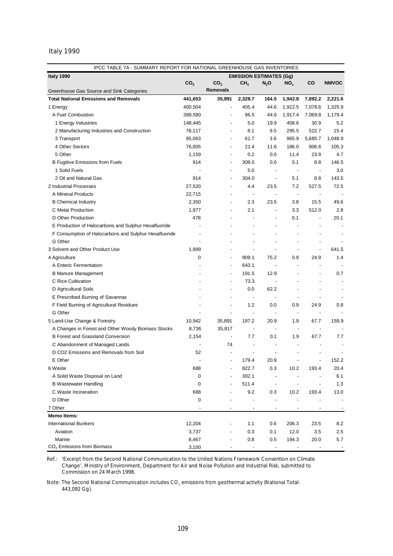# Italy 1990

| IPCC TABLE 7A - SUMMARY REPORT FOR NATIONAL GREENHOUSE GAS INVENTORIES                         |                 |                 |                                |                                                                                                                                                                                                                                                                                                                                                                                                                                                     |                          |                          |              |  |  |  |
|------------------------------------------------------------------------------------------------|-----------------|-----------------|--------------------------------|-----------------------------------------------------------------------------------------------------------------------------------------------------------------------------------------------------------------------------------------------------------------------------------------------------------------------------------------------------------------------------------------------------------------------------------------------------|--------------------------|--------------------------|--------------|--|--|--|
| Italy 1990                                                                                     |                 |                 | <b>EMISSION ESTIMATES (Gg)</b> |                                                                                                                                                                                                                                                                                                                                                                                                                                                     |                          |                          |              |  |  |  |
|                                                                                                | CO <sub>2</sub> | CO <sub>2</sub> | CH <sub>4</sub>                | $N_2$ O                                                                                                                                                                                                                                                                                                                                                                                                                                             | NO <sub>x</sub>          | CO                       | <b>NMVOC</b> |  |  |  |
| Greenhouse Gas Source and Sink Categories                                                      |                 | <b>Removals</b> |                                |                                                                                                                                                                                                                                                                                                                                                                                                                                                     |                          |                          |              |  |  |  |
| <b>Total National Emissions and Removals</b>                                                   | 441,653         | 35,891          | 2,328.7                        | 164.5                                                                                                                                                                                                                                                                                                                                                                                                                                               | 1,942.8                  | 7,892.2                  | 2,221.6      |  |  |  |
| 1 Energy                                                                                       | 400,504         |                 | 405.4                          | 44.6                                                                                                                                                                                                                                                                                                                                                                                                                                                | 1,922.5                  | 7,078.6                  | 1,325.9      |  |  |  |
| A Fuel Combustion                                                                              | 399,590         |                 | 96.5                           | 44.6                                                                                                                                                                                                                                                                                                                                                                                                                                                | 1,917.4                  | 7,069.8                  | 1,179.4      |  |  |  |
| 1 Energy Industries                                                                            | 148,445         |                 | 5.0                            | 19.9                                                                                                                                                                                                                                                                                                                                                                                                                                                | 458.6                    | 30.9                     | 5.2          |  |  |  |
| 2 Manufacturing Industries and Construction                                                    | 78,117          |                 | 8.1                            | 9.5                                                                                                                                                                                                                                                                                                                                                                                                                                                 | 295.5                    | 522.7                    | 15.4         |  |  |  |
| 3 Transport                                                                                    | 95,063          |                 | 61.7                           | 3.6                                                                                                                                                                                                                                                                                                                                                                                                                                                 | 965.9                    | 5,685.7                  | 1,048.9      |  |  |  |
| 4 Other Sectors                                                                                | 76,805          |                 | 21.4                           | 11.6                                                                                                                                                                                                                                                                                                                                                                                                                                                | 186.0                    | 806.6                    | 105.3        |  |  |  |
| 5 Other                                                                                        | 1,159           |                 | 0.2                            | 0.0                                                                                                                                                                                                                                                                                                                                                                                                                                                 | 11.4                     | 23.9                     | 4.7          |  |  |  |
| <b>B Fugitive Emissions from Fuels</b>                                                         | 914             |                 | 309.0                          | 0.0                                                                                                                                                                                                                                                                                                                                                                                                                                                 | 5.1                      | 8.8                      | 146.5        |  |  |  |
| 1 Solid Fuels                                                                                  |                 |                 | 5.0                            | $\overline{\phantom{a}}$                                                                                                                                                                                                                                                                                                                                                                                                                            | $\overline{\phantom{a}}$ | $\overline{\phantom{a}}$ | 3.0          |  |  |  |
| 2 Oil and Natural Gas                                                                          | 914             |                 | 304.0                          | $\overline{\phantom{a}}$                                                                                                                                                                                                                                                                                                                                                                                                                            | 5.1                      | 8.8                      | 143.5        |  |  |  |
| 2 Industrial Processes                                                                         | 27,520          |                 | 4.4                            | 23.5                                                                                                                                                                                                                                                                                                                                                                                                                                                | 7.2                      | 527.5                    | 72.5         |  |  |  |
| A Mineral Products                                                                             | 22,715          |                 | ÷,                             | $\centering \label{eq:reduced}$                                                                                                                                                                                                                                                                                                                                                                                                                     | $\overline{\phantom{a}}$ |                          |              |  |  |  |
| <b>B</b> Chemical Industry                                                                     | 2,350           |                 | 2.3                            | 23.5                                                                                                                                                                                                                                                                                                                                                                                                                                                | 3.8                      | 15.5                     | 49.6         |  |  |  |
| C Metal Production                                                                             | 1,977           |                 | 2.1                            | $\overline{\phantom{a}}$                                                                                                                                                                                                                                                                                                                                                                                                                            | 3.3                      | 512.0                    | 2.8          |  |  |  |
| D Other Production                                                                             | 478             |                 |                                | L,                                                                                                                                                                                                                                                                                                                                                                                                                                                  | 0.1                      |                          | 20.1         |  |  |  |
| E Production of Halocarbons and Sulphur Hexafluoride                                           |                 |                 |                                |                                                                                                                                                                                                                                                                                                                                                                                                                                                     |                          |                          |              |  |  |  |
| F Consumption of Halocarbons and Sulphur Hexafluoride                                          |                 |                 |                                |                                                                                                                                                                                                                                                                                                                                                                                                                                                     |                          |                          |              |  |  |  |
| G Other                                                                                        |                 |                 |                                |                                                                                                                                                                                                                                                                                                                                                                                                                                                     |                          |                          |              |  |  |  |
| 3 Solvent and Other Product Use                                                                | 1,999           |                 |                                |                                                                                                                                                                                                                                                                                                                                                                                                                                                     |                          | ÷,                       | 641.5        |  |  |  |
| 4 Agriculture                                                                                  | $\mathbf 0$     |                 | 909.1                          | 75.2                                                                                                                                                                                                                                                                                                                                                                                                                                                | 0.9                      | 24.9                     | 1.4          |  |  |  |
| A Enteric Fermentation                                                                         |                 |                 | 643.1                          | $\overline{\phantom{a}}$                                                                                                                                                                                                                                                                                                                                                                                                                            |                          |                          |              |  |  |  |
| <b>B Manure Management</b>                                                                     |                 |                 | 191.5                          | 12.9                                                                                                                                                                                                                                                                                                                                                                                                                                                |                          |                          | 0.7          |  |  |  |
| C Rice Cultivation                                                                             |                 |                 | 73.3                           |                                                                                                                                                                                                                                                                                                                                                                                                                                                     |                          |                          |              |  |  |  |
| D Agricultural Soils                                                                           |                 |                 | 0.0                            | 62.2                                                                                                                                                                                                                                                                                                                                                                                                                                                |                          |                          |              |  |  |  |
| E Prescribed Burning of Savannas                                                               |                 |                 |                                |                                                                                                                                                                                                                                                                                                                                                                                                                                                     |                          |                          |              |  |  |  |
| F Field Burning of Agricultural Residues                                                       |                 |                 | 1.2                            | 0.0                                                                                                                                                                                                                                                                                                                                                                                                                                                 | 0.9                      | 24.9                     | 0.8          |  |  |  |
| G Other                                                                                        |                 |                 |                                | $\overline{a}$                                                                                                                                                                                                                                                                                                                                                                                                                                      | $\overline{\phantom{a}}$ |                          |              |  |  |  |
| 5 Land-Use Change & Forestry                                                                   | 10,942          | 35,891          | 187.2                          | 20.9                                                                                                                                                                                                                                                                                                                                                                                                                                                | 1.9                      | 67.7                     | 159.9        |  |  |  |
|                                                                                                | 8,736           | 35,817          |                                |                                                                                                                                                                                                                                                                                                                                                                                                                                                     | $\overline{\phantom{a}}$ |                          |              |  |  |  |
| A Changes in Forest and Other Woody Biomass Stocks<br><b>B Forest and Grassland Conversion</b> | 2,154           |                 | 7.7                            | 0.1                                                                                                                                                                                                                                                                                                                                                                                                                                                 | 1.9                      | 67.7                     | 7.7          |  |  |  |
|                                                                                                |                 | 74              |                                |                                                                                                                                                                                                                                                                                                                                                                                                                                                     |                          |                          |              |  |  |  |
| C Abandonment of Managed Lands<br>D CO2 Emissions and Removals from Soil                       |                 |                 |                                |                                                                                                                                                                                                                                                                                                                                                                                                                                                     |                          |                          |              |  |  |  |
|                                                                                                | 52              |                 |                                |                                                                                                                                                                                                                                                                                                                                                                                                                                                     |                          |                          |              |  |  |  |
| E Other                                                                                        |                 |                 | 179.4                          | 20.9                                                                                                                                                                                                                                                                                                                                                                                                                                                |                          |                          | 152.2        |  |  |  |
| 6 Waste                                                                                        | 688             |                 | 822.7                          | 0.3                                                                                                                                                                                                                                                                                                                                                                                                                                                 | 10.2                     | 193.4                    | 20.4         |  |  |  |
| A Solid Waste Disposal on Land                                                                 | 0               |                 | 302.1                          | $\centering \label{eq:reduced} \begin{minipage}{0.5\linewidth} \begin{tabular}{l} \multicolumn{3}{c}{\textbf{1} & \textbf{1} & \textbf{1} & \textbf{1} & \textbf{1} & \textbf{1} & \textbf{1} & \textbf{1} & \textbf{1} & \textbf{1} & \textbf{1} & \textbf{1} & \textbf{1} & \textbf{1} & \textbf{1} & \textbf{1} & \textbf{1} & \textbf{1} & \textbf{1} & \textbf{1} & \textbf{1} & \textbf{1} & \textbf{1} & \textbf{1} & \textbf{1} & \textbf{$ |                          |                          | 6.1          |  |  |  |
| <b>B Wastewater Handling</b>                                                                   | 0               |                 | 511.4                          | $\overline{\phantom{a}}$                                                                                                                                                                                                                                                                                                                                                                                                                            |                          |                          | 1.3          |  |  |  |
| C Waste Incineration                                                                           | 688             |                 | 9.2                            | 0.3                                                                                                                                                                                                                                                                                                                                                                                                                                                 | 10.2                     | 193.4                    | 13.0         |  |  |  |
| D Other                                                                                        | 0               |                 |                                |                                                                                                                                                                                                                                                                                                                                                                                                                                                     |                          |                          |              |  |  |  |
| 7 Other                                                                                        |                 |                 |                                | $\overline{a}$                                                                                                                                                                                                                                                                                                                                                                                                                                      |                          |                          |              |  |  |  |
| <b>Memo Items:</b>                                                                             |                 |                 |                                |                                                                                                                                                                                                                                                                                                                                                                                                                                                     |                          |                          |              |  |  |  |
| <b>International Bunkers</b>                                                                   | 12,204          |                 | 1.1                            | 0.6                                                                                                                                                                                                                                                                                                                                                                                                                                                 | 206.3                    | 23.5                     | 8.2          |  |  |  |
| Aviation                                                                                       | 3,737           |                 | 0.3                            | 0.1                                                                                                                                                                                                                                                                                                                                                                                                                                                 | 12.0                     | 3.5                      | 2.5          |  |  |  |
| Marine                                                                                         | 8,467           |                 | 0.8                            | 0.5                                                                                                                                                                                                                                                                                                                                                                                                                                                 | 194.3                    | 20.0                     | 5.7          |  |  |  |
| $CO2$ Emissions from Biomass                                                                   | 3,100           |                 |                                |                                                                                                                                                                                                                                                                                                                                                                                                                                                     |                          |                          |              |  |  |  |

Ref.: *'Excerpt from the Second National Communication to the United Nations Framework Convention on Climate Change',* Ministry of Environment, Department for Air and Noise Pollution and Industrial Risk, submitted to Commission on 24 March 1998.

Note: The Second National Communication includes  $CO<sub>2</sub>$  emissions from geothermal activity (National Total: 443,092 Gg).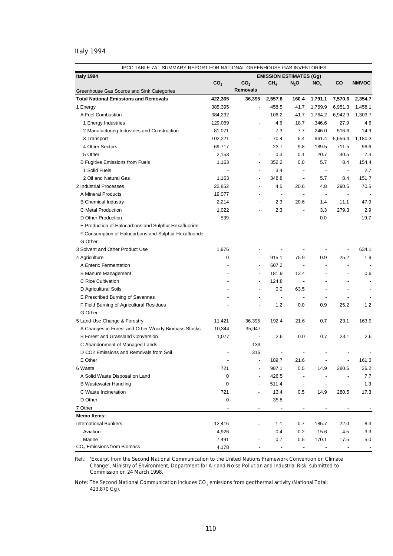# Italy 1994

| Italy 1994<br><b>EMISSION ESTIMATES (Gg)</b><br>CO <sub>2</sub><br>CO <sub>2</sub><br>CH <sub>4</sub><br>CO<br><b>NMVOC</b><br>$N_2$ O<br>NO <sub>x</sub><br><b>Removals</b><br>Greenhouse Gas Source and Sink Categories<br><b>Total National Emissions and Removals</b><br>2,354.7<br>422,365<br>36,395<br>2,557.6<br>160.4<br>1,791.1<br>7,570.6<br>458.5<br>41.7<br>1,769.9<br>6,951.3<br>1,458.1<br>1 Energy<br>385,395<br>÷,<br>A Fuel Combustion<br>384,232<br>106.2<br>41.7<br>1,764.2<br>6,942.9<br>1,303.7<br>129,069<br>4.6<br>18.7<br>346.6<br>27.9<br>4.6<br>1 Energy Industries<br>81,071<br>7.3<br>246.0<br>516.6<br>14.9<br>2 Manufacturing Industries and Construction<br>7.7<br>$\overline{\phantom{a}}$<br>3 Transport<br>102,221<br>70.4<br>5.4<br>961.4<br>5,656.4<br>1,180.3<br>$\overline{\phantom{a}}$<br>4 Other Sectors<br>69,717<br>23.7<br>9.8<br>189.5<br>711.5<br>96.6<br>$\overline{\phantom{a}}$<br>5 Other<br>2,153<br>0.3<br>0.1<br>20.7<br>30.5<br>7.3<br>$\overline{\phantom{a}}$<br><b>B Fugitive Emissions from Fuels</b><br>1,163<br>352.2<br>0.0<br>5.7<br>8.4<br>154.4<br>$\overline{\phantom{a}}$<br>1 Solid Fuels<br>3.4<br>2.7<br>$\overline{\phantom{a}}$<br>$\overline{\phantom{a}}$<br>$\overline{\phantom{a}}$<br>$\overline{\phantom{a}}$<br>2 Oil and Natural Gas<br>1,163<br>348.8<br>5.7<br>8.4<br>151.7<br>$\blacksquare$<br>÷,<br>2 Industrial Processes<br>22,852<br>4.5<br>20.6<br>290.5<br>70.5<br>4.8<br>A Mineral Products<br>19,077<br>$\overline{\phantom{a}}$<br>$\overline{\phantom{a}}$<br>$\overline{\phantom{a}}$<br>$\overline{a}$<br><b>B</b> Chemical Industry<br>2,214<br>2.3<br>20.6<br>1.4<br>11.1<br>47.9<br>÷,<br>C Metal Production<br>1,022<br>2.3<br>3.3<br>279.3<br>2.9<br>$\overline{\phantom{a}}$<br>÷,<br>539<br>D Other Production<br>0.0<br>19.7<br>$\overline{a}$<br>÷,<br>$\overline{a}$<br>E Production of Halocarbons and Sulphur Hexafluoride<br>L,<br>F Consumption of Halocarbons and Sulphur Hexafluoride<br>÷,<br>G Other<br>÷,<br>$\overline{a}$<br>634.1<br>3 Solvent and Other Product Use<br>1,976<br>÷,<br>$\overline{a}$<br>$\overline{a}$<br>4 Agriculture<br>0<br>915.1<br>75.9<br>0.9<br>25.2<br>1.9<br>$\overline{\phantom{a}}$<br>A Enteric Fermentation<br>607.2<br>$\overline{\phantom{a}}$<br>$\overline{\phantom{a}}$<br>$\overline{a}$<br>181.9<br>12.4<br>0.6<br><b>B Manure Management</b><br>C Rice Cultivation<br>124.8<br>$\overline{\phantom{a}}$<br>D Agricultural Soils<br>0.0<br>63.5<br>$\overline{a}$<br>E Prescribed Burning of Savannas<br>$\overline{a}$<br>$\blacksquare$<br>$\overline{a}$<br>F Field Burning of Agricultural Residues<br>1.2<br>0.0<br>0.9<br>25.2<br>1.2<br>G Other<br>÷,<br>$\overline{a}$<br>$\blacksquare$<br>$\overline{\phantom{a}}$<br>5 Land-Use Change & Forestry<br>11,421<br>36,395<br>192.4<br>21.6<br>0.7<br>23.1<br>163.9<br>A Changes in Forest and Other Woody Biomass Stocks<br>10,344<br>35,947<br>$\blacksquare$<br>$\overline{\phantom{a}}$<br>$\overline{\phantom{a}}$<br>÷,<br><b>B Forest and Grassland Conversion</b><br>1,077<br>2.6<br>0.0<br>0.7<br>23.1<br>2.6<br>$\overline{\phantom{a}}$<br>C Abandonment of Managed Lands<br>133<br>$\overline{a}$<br>D CO2 Emissions and Removals from Soil<br>316<br>÷,<br>E Other<br>161.3<br>21.6<br>189.7<br>6 Waste<br>721<br>987.1<br>26.2<br>0.5<br>14.9<br>280.5<br>426.5<br>A Solid Waste Disposal on Land<br>0<br>7.7<br><b>B Wastewater Handling</b><br>0<br>511.4<br>1.3<br>$\overline{\phantom{a}}$<br>C Waste Incineration<br>721<br>13.4<br>280.5<br>0.5<br>14.9<br>17.3<br>D Other<br>0<br>35.8<br>7 Other<br>$\overline{a}$<br><b>Memo Items:</b><br><b>International Bunkers</b><br>12,416<br>1.1<br>185.7<br>22.0<br>0.7<br>8.3<br>Aviation<br>4,926<br>0.4<br>0.2<br>15.6<br>4.5<br>3.3<br>Marine<br>0.7<br>0.5<br>170.1<br>17.5<br>7,491<br>5.0 | IPCC TABLE 7A - SUMMARY REPORT FOR NATIONAL GREENHOUSE GAS INVENTORIES |       |  |  |  |  |  |  |  |  |  |
|-----------------------------------------------------------------------------------------------------------------------------------------------------------------------------------------------------------------------------------------------------------------------------------------------------------------------------------------------------------------------------------------------------------------------------------------------------------------------------------------------------------------------------------------------------------------------------------------------------------------------------------------------------------------------------------------------------------------------------------------------------------------------------------------------------------------------------------------------------------------------------------------------------------------------------------------------------------------------------------------------------------------------------------------------------------------------------------------------------------------------------------------------------------------------------------------------------------------------------------------------------------------------------------------------------------------------------------------------------------------------------------------------------------------------------------------------------------------------------------------------------------------------------------------------------------------------------------------------------------------------------------------------------------------------------------------------------------------------------------------------------------------------------------------------------------------------------------------------------------------------------------------------------------------------------------------------------------------------------------------------------------------------------------------------------------------------------------------------------------------------------------------------------------------------------------------------------------------------------------------------------------------------------------------------------------------------------------------------------------------------------------------------------------------------------------------------------------------------------------------------------------------------------------------------------------------------------------------------------------------------------------------------------------------------------------------------------------------------------------------------------------------------------------------------------------------------------------------------------------------------------------------------------------------------------------------------------------------------------------------------------------------------------------------------------------------------------------------------------------------------------------------------------------------------------------------------------------------------------------------------------------------------------------------------------------------------------------------------------------------------------------------------------------------------------------------------------------------------------------------------------------------------------------------------------------------------------------------------------------------------------------------------------------------------------------------------------------------------------------------------------------------------------------------------------------------------------------------------------------------------------------|------------------------------------------------------------------------|-------|--|--|--|--|--|--|--|--|--|
|                                                                                                                                                                                                                                                                                                                                                                                                                                                                                                                                                                                                                                                                                                                                                                                                                                                                                                                                                                                                                                                                                                                                                                                                                                                                                                                                                                                                                                                                                                                                                                                                                                                                                                                                                                                                                                                                                                                                                                                                                                                                                                                                                                                                                                                                                                                                                                                                                                                                                                                                                                                                                                                                                                                                                                                                                                                                                                                                                                                                                                                                                                                                                                                                                                                                                                                                                                                                                                                                                                                                                                                                                                                                                                                                                                                                                                                                                   |                                                                        |       |  |  |  |  |  |  |  |  |  |
|                                                                                                                                                                                                                                                                                                                                                                                                                                                                                                                                                                                                                                                                                                                                                                                                                                                                                                                                                                                                                                                                                                                                                                                                                                                                                                                                                                                                                                                                                                                                                                                                                                                                                                                                                                                                                                                                                                                                                                                                                                                                                                                                                                                                                                                                                                                                                                                                                                                                                                                                                                                                                                                                                                                                                                                                                                                                                                                                                                                                                                                                                                                                                                                                                                                                                                                                                                                                                                                                                                                                                                                                                                                                                                                                                                                                                                                                                   |                                                                        |       |  |  |  |  |  |  |  |  |  |
|                                                                                                                                                                                                                                                                                                                                                                                                                                                                                                                                                                                                                                                                                                                                                                                                                                                                                                                                                                                                                                                                                                                                                                                                                                                                                                                                                                                                                                                                                                                                                                                                                                                                                                                                                                                                                                                                                                                                                                                                                                                                                                                                                                                                                                                                                                                                                                                                                                                                                                                                                                                                                                                                                                                                                                                                                                                                                                                                                                                                                                                                                                                                                                                                                                                                                                                                                                                                                                                                                                                                                                                                                                                                                                                                                                                                                                                                                   |                                                                        |       |  |  |  |  |  |  |  |  |  |
|                                                                                                                                                                                                                                                                                                                                                                                                                                                                                                                                                                                                                                                                                                                                                                                                                                                                                                                                                                                                                                                                                                                                                                                                                                                                                                                                                                                                                                                                                                                                                                                                                                                                                                                                                                                                                                                                                                                                                                                                                                                                                                                                                                                                                                                                                                                                                                                                                                                                                                                                                                                                                                                                                                                                                                                                                                                                                                                                                                                                                                                                                                                                                                                                                                                                                                                                                                                                                                                                                                                                                                                                                                                                                                                                                                                                                                                                                   |                                                                        |       |  |  |  |  |  |  |  |  |  |
|                                                                                                                                                                                                                                                                                                                                                                                                                                                                                                                                                                                                                                                                                                                                                                                                                                                                                                                                                                                                                                                                                                                                                                                                                                                                                                                                                                                                                                                                                                                                                                                                                                                                                                                                                                                                                                                                                                                                                                                                                                                                                                                                                                                                                                                                                                                                                                                                                                                                                                                                                                                                                                                                                                                                                                                                                                                                                                                                                                                                                                                                                                                                                                                                                                                                                                                                                                                                                                                                                                                                                                                                                                                                                                                                                                                                                                                                                   |                                                                        |       |  |  |  |  |  |  |  |  |  |
|                                                                                                                                                                                                                                                                                                                                                                                                                                                                                                                                                                                                                                                                                                                                                                                                                                                                                                                                                                                                                                                                                                                                                                                                                                                                                                                                                                                                                                                                                                                                                                                                                                                                                                                                                                                                                                                                                                                                                                                                                                                                                                                                                                                                                                                                                                                                                                                                                                                                                                                                                                                                                                                                                                                                                                                                                                                                                                                                                                                                                                                                                                                                                                                                                                                                                                                                                                                                                                                                                                                                                                                                                                                                                                                                                                                                                                                                                   |                                                                        |       |  |  |  |  |  |  |  |  |  |
|                                                                                                                                                                                                                                                                                                                                                                                                                                                                                                                                                                                                                                                                                                                                                                                                                                                                                                                                                                                                                                                                                                                                                                                                                                                                                                                                                                                                                                                                                                                                                                                                                                                                                                                                                                                                                                                                                                                                                                                                                                                                                                                                                                                                                                                                                                                                                                                                                                                                                                                                                                                                                                                                                                                                                                                                                                                                                                                                                                                                                                                                                                                                                                                                                                                                                                                                                                                                                                                                                                                                                                                                                                                                                                                                                                                                                                                                                   |                                                                        |       |  |  |  |  |  |  |  |  |  |
|                                                                                                                                                                                                                                                                                                                                                                                                                                                                                                                                                                                                                                                                                                                                                                                                                                                                                                                                                                                                                                                                                                                                                                                                                                                                                                                                                                                                                                                                                                                                                                                                                                                                                                                                                                                                                                                                                                                                                                                                                                                                                                                                                                                                                                                                                                                                                                                                                                                                                                                                                                                                                                                                                                                                                                                                                                                                                                                                                                                                                                                                                                                                                                                                                                                                                                                                                                                                                                                                                                                                                                                                                                                                                                                                                                                                                                                                                   |                                                                        |       |  |  |  |  |  |  |  |  |  |
|                                                                                                                                                                                                                                                                                                                                                                                                                                                                                                                                                                                                                                                                                                                                                                                                                                                                                                                                                                                                                                                                                                                                                                                                                                                                                                                                                                                                                                                                                                                                                                                                                                                                                                                                                                                                                                                                                                                                                                                                                                                                                                                                                                                                                                                                                                                                                                                                                                                                                                                                                                                                                                                                                                                                                                                                                                                                                                                                                                                                                                                                                                                                                                                                                                                                                                                                                                                                                                                                                                                                                                                                                                                                                                                                                                                                                                                                                   |                                                                        |       |  |  |  |  |  |  |  |  |  |
|                                                                                                                                                                                                                                                                                                                                                                                                                                                                                                                                                                                                                                                                                                                                                                                                                                                                                                                                                                                                                                                                                                                                                                                                                                                                                                                                                                                                                                                                                                                                                                                                                                                                                                                                                                                                                                                                                                                                                                                                                                                                                                                                                                                                                                                                                                                                                                                                                                                                                                                                                                                                                                                                                                                                                                                                                                                                                                                                                                                                                                                                                                                                                                                                                                                                                                                                                                                                                                                                                                                                                                                                                                                                                                                                                                                                                                                                                   |                                                                        |       |  |  |  |  |  |  |  |  |  |
|                                                                                                                                                                                                                                                                                                                                                                                                                                                                                                                                                                                                                                                                                                                                                                                                                                                                                                                                                                                                                                                                                                                                                                                                                                                                                                                                                                                                                                                                                                                                                                                                                                                                                                                                                                                                                                                                                                                                                                                                                                                                                                                                                                                                                                                                                                                                                                                                                                                                                                                                                                                                                                                                                                                                                                                                                                                                                                                                                                                                                                                                                                                                                                                                                                                                                                                                                                                                                                                                                                                                                                                                                                                                                                                                                                                                                                                                                   |                                                                        |       |  |  |  |  |  |  |  |  |  |
|                                                                                                                                                                                                                                                                                                                                                                                                                                                                                                                                                                                                                                                                                                                                                                                                                                                                                                                                                                                                                                                                                                                                                                                                                                                                                                                                                                                                                                                                                                                                                                                                                                                                                                                                                                                                                                                                                                                                                                                                                                                                                                                                                                                                                                                                                                                                                                                                                                                                                                                                                                                                                                                                                                                                                                                                                                                                                                                                                                                                                                                                                                                                                                                                                                                                                                                                                                                                                                                                                                                                                                                                                                                                                                                                                                                                                                                                                   |                                                                        |       |  |  |  |  |  |  |  |  |  |
|                                                                                                                                                                                                                                                                                                                                                                                                                                                                                                                                                                                                                                                                                                                                                                                                                                                                                                                                                                                                                                                                                                                                                                                                                                                                                                                                                                                                                                                                                                                                                                                                                                                                                                                                                                                                                                                                                                                                                                                                                                                                                                                                                                                                                                                                                                                                                                                                                                                                                                                                                                                                                                                                                                                                                                                                                                                                                                                                                                                                                                                                                                                                                                                                                                                                                                                                                                                                                                                                                                                                                                                                                                                                                                                                                                                                                                                                                   |                                                                        |       |  |  |  |  |  |  |  |  |  |
|                                                                                                                                                                                                                                                                                                                                                                                                                                                                                                                                                                                                                                                                                                                                                                                                                                                                                                                                                                                                                                                                                                                                                                                                                                                                                                                                                                                                                                                                                                                                                                                                                                                                                                                                                                                                                                                                                                                                                                                                                                                                                                                                                                                                                                                                                                                                                                                                                                                                                                                                                                                                                                                                                                                                                                                                                                                                                                                                                                                                                                                                                                                                                                                                                                                                                                                                                                                                                                                                                                                                                                                                                                                                                                                                                                                                                                                                                   |                                                                        |       |  |  |  |  |  |  |  |  |  |
|                                                                                                                                                                                                                                                                                                                                                                                                                                                                                                                                                                                                                                                                                                                                                                                                                                                                                                                                                                                                                                                                                                                                                                                                                                                                                                                                                                                                                                                                                                                                                                                                                                                                                                                                                                                                                                                                                                                                                                                                                                                                                                                                                                                                                                                                                                                                                                                                                                                                                                                                                                                                                                                                                                                                                                                                                                                                                                                                                                                                                                                                                                                                                                                                                                                                                                                                                                                                                                                                                                                                                                                                                                                                                                                                                                                                                                                                                   |                                                                        |       |  |  |  |  |  |  |  |  |  |
|                                                                                                                                                                                                                                                                                                                                                                                                                                                                                                                                                                                                                                                                                                                                                                                                                                                                                                                                                                                                                                                                                                                                                                                                                                                                                                                                                                                                                                                                                                                                                                                                                                                                                                                                                                                                                                                                                                                                                                                                                                                                                                                                                                                                                                                                                                                                                                                                                                                                                                                                                                                                                                                                                                                                                                                                                                                                                                                                                                                                                                                                                                                                                                                                                                                                                                                                                                                                                                                                                                                                                                                                                                                                                                                                                                                                                                                                                   |                                                                        |       |  |  |  |  |  |  |  |  |  |
|                                                                                                                                                                                                                                                                                                                                                                                                                                                                                                                                                                                                                                                                                                                                                                                                                                                                                                                                                                                                                                                                                                                                                                                                                                                                                                                                                                                                                                                                                                                                                                                                                                                                                                                                                                                                                                                                                                                                                                                                                                                                                                                                                                                                                                                                                                                                                                                                                                                                                                                                                                                                                                                                                                                                                                                                                                                                                                                                                                                                                                                                                                                                                                                                                                                                                                                                                                                                                                                                                                                                                                                                                                                                                                                                                                                                                                                                                   |                                                                        |       |  |  |  |  |  |  |  |  |  |
|                                                                                                                                                                                                                                                                                                                                                                                                                                                                                                                                                                                                                                                                                                                                                                                                                                                                                                                                                                                                                                                                                                                                                                                                                                                                                                                                                                                                                                                                                                                                                                                                                                                                                                                                                                                                                                                                                                                                                                                                                                                                                                                                                                                                                                                                                                                                                                                                                                                                                                                                                                                                                                                                                                                                                                                                                                                                                                                                                                                                                                                                                                                                                                                                                                                                                                                                                                                                                                                                                                                                                                                                                                                                                                                                                                                                                                                                                   |                                                                        |       |  |  |  |  |  |  |  |  |  |
|                                                                                                                                                                                                                                                                                                                                                                                                                                                                                                                                                                                                                                                                                                                                                                                                                                                                                                                                                                                                                                                                                                                                                                                                                                                                                                                                                                                                                                                                                                                                                                                                                                                                                                                                                                                                                                                                                                                                                                                                                                                                                                                                                                                                                                                                                                                                                                                                                                                                                                                                                                                                                                                                                                                                                                                                                                                                                                                                                                                                                                                                                                                                                                                                                                                                                                                                                                                                                                                                                                                                                                                                                                                                                                                                                                                                                                                                                   |                                                                        |       |  |  |  |  |  |  |  |  |  |
|                                                                                                                                                                                                                                                                                                                                                                                                                                                                                                                                                                                                                                                                                                                                                                                                                                                                                                                                                                                                                                                                                                                                                                                                                                                                                                                                                                                                                                                                                                                                                                                                                                                                                                                                                                                                                                                                                                                                                                                                                                                                                                                                                                                                                                                                                                                                                                                                                                                                                                                                                                                                                                                                                                                                                                                                                                                                                                                                                                                                                                                                                                                                                                                                                                                                                                                                                                                                                                                                                                                                                                                                                                                                                                                                                                                                                                                                                   |                                                                        |       |  |  |  |  |  |  |  |  |  |
|                                                                                                                                                                                                                                                                                                                                                                                                                                                                                                                                                                                                                                                                                                                                                                                                                                                                                                                                                                                                                                                                                                                                                                                                                                                                                                                                                                                                                                                                                                                                                                                                                                                                                                                                                                                                                                                                                                                                                                                                                                                                                                                                                                                                                                                                                                                                                                                                                                                                                                                                                                                                                                                                                                                                                                                                                                                                                                                                                                                                                                                                                                                                                                                                                                                                                                                                                                                                                                                                                                                                                                                                                                                                                                                                                                                                                                                                                   |                                                                        |       |  |  |  |  |  |  |  |  |  |
|                                                                                                                                                                                                                                                                                                                                                                                                                                                                                                                                                                                                                                                                                                                                                                                                                                                                                                                                                                                                                                                                                                                                                                                                                                                                                                                                                                                                                                                                                                                                                                                                                                                                                                                                                                                                                                                                                                                                                                                                                                                                                                                                                                                                                                                                                                                                                                                                                                                                                                                                                                                                                                                                                                                                                                                                                                                                                                                                                                                                                                                                                                                                                                                                                                                                                                                                                                                                                                                                                                                                                                                                                                                                                                                                                                                                                                                                                   |                                                                        |       |  |  |  |  |  |  |  |  |  |
|                                                                                                                                                                                                                                                                                                                                                                                                                                                                                                                                                                                                                                                                                                                                                                                                                                                                                                                                                                                                                                                                                                                                                                                                                                                                                                                                                                                                                                                                                                                                                                                                                                                                                                                                                                                                                                                                                                                                                                                                                                                                                                                                                                                                                                                                                                                                                                                                                                                                                                                                                                                                                                                                                                                                                                                                                                                                                                                                                                                                                                                                                                                                                                                                                                                                                                                                                                                                                                                                                                                                                                                                                                                                                                                                                                                                                                                                                   |                                                                        |       |  |  |  |  |  |  |  |  |  |
|                                                                                                                                                                                                                                                                                                                                                                                                                                                                                                                                                                                                                                                                                                                                                                                                                                                                                                                                                                                                                                                                                                                                                                                                                                                                                                                                                                                                                                                                                                                                                                                                                                                                                                                                                                                                                                                                                                                                                                                                                                                                                                                                                                                                                                                                                                                                                                                                                                                                                                                                                                                                                                                                                                                                                                                                                                                                                                                                                                                                                                                                                                                                                                                                                                                                                                                                                                                                                                                                                                                                                                                                                                                                                                                                                                                                                                                                                   |                                                                        |       |  |  |  |  |  |  |  |  |  |
|                                                                                                                                                                                                                                                                                                                                                                                                                                                                                                                                                                                                                                                                                                                                                                                                                                                                                                                                                                                                                                                                                                                                                                                                                                                                                                                                                                                                                                                                                                                                                                                                                                                                                                                                                                                                                                                                                                                                                                                                                                                                                                                                                                                                                                                                                                                                                                                                                                                                                                                                                                                                                                                                                                                                                                                                                                                                                                                                                                                                                                                                                                                                                                                                                                                                                                                                                                                                                                                                                                                                                                                                                                                                                                                                                                                                                                                                                   |                                                                        |       |  |  |  |  |  |  |  |  |  |
|                                                                                                                                                                                                                                                                                                                                                                                                                                                                                                                                                                                                                                                                                                                                                                                                                                                                                                                                                                                                                                                                                                                                                                                                                                                                                                                                                                                                                                                                                                                                                                                                                                                                                                                                                                                                                                                                                                                                                                                                                                                                                                                                                                                                                                                                                                                                                                                                                                                                                                                                                                                                                                                                                                                                                                                                                                                                                                                                                                                                                                                                                                                                                                                                                                                                                                                                                                                                                                                                                                                                                                                                                                                                                                                                                                                                                                                                                   |                                                                        |       |  |  |  |  |  |  |  |  |  |
|                                                                                                                                                                                                                                                                                                                                                                                                                                                                                                                                                                                                                                                                                                                                                                                                                                                                                                                                                                                                                                                                                                                                                                                                                                                                                                                                                                                                                                                                                                                                                                                                                                                                                                                                                                                                                                                                                                                                                                                                                                                                                                                                                                                                                                                                                                                                                                                                                                                                                                                                                                                                                                                                                                                                                                                                                                                                                                                                                                                                                                                                                                                                                                                                                                                                                                                                                                                                                                                                                                                                                                                                                                                                                                                                                                                                                                                                                   |                                                                        |       |  |  |  |  |  |  |  |  |  |
|                                                                                                                                                                                                                                                                                                                                                                                                                                                                                                                                                                                                                                                                                                                                                                                                                                                                                                                                                                                                                                                                                                                                                                                                                                                                                                                                                                                                                                                                                                                                                                                                                                                                                                                                                                                                                                                                                                                                                                                                                                                                                                                                                                                                                                                                                                                                                                                                                                                                                                                                                                                                                                                                                                                                                                                                                                                                                                                                                                                                                                                                                                                                                                                                                                                                                                                                                                                                                                                                                                                                                                                                                                                                                                                                                                                                                                                                                   |                                                                        |       |  |  |  |  |  |  |  |  |  |
|                                                                                                                                                                                                                                                                                                                                                                                                                                                                                                                                                                                                                                                                                                                                                                                                                                                                                                                                                                                                                                                                                                                                                                                                                                                                                                                                                                                                                                                                                                                                                                                                                                                                                                                                                                                                                                                                                                                                                                                                                                                                                                                                                                                                                                                                                                                                                                                                                                                                                                                                                                                                                                                                                                                                                                                                                                                                                                                                                                                                                                                                                                                                                                                                                                                                                                                                                                                                                                                                                                                                                                                                                                                                                                                                                                                                                                                                                   |                                                                        |       |  |  |  |  |  |  |  |  |  |
|                                                                                                                                                                                                                                                                                                                                                                                                                                                                                                                                                                                                                                                                                                                                                                                                                                                                                                                                                                                                                                                                                                                                                                                                                                                                                                                                                                                                                                                                                                                                                                                                                                                                                                                                                                                                                                                                                                                                                                                                                                                                                                                                                                                                                                                                                                                                                                                                                                                                                                                                                                                                                                                                                                                                                                                                                                                                                                                                                                                                                                                                                                                                                                                                                                                                                                                                                                                                                                                                                                                                                                                                                                                                                                                                                                                                                                                                                   |                                                                        |       |  |  |  |  |  |  |  |  |  |
|                                                                                                                                                                                                                                                                                                                                                                                                                                                                                                                                                                                                                                                                                                                                                                                                                                                                                                                                                                                                                                                                                                                                                                                                                                                                                                                                                                                                                                                                                                                                                                                                                                                                                                                                                                                                                                                                                                                                                                                                                                                                                                                                                                                                                                                                                                                                                                                                                                                                                                                                                                                                                                                                                                                                                                                                                                                                                                                                                                                                                                                                                                                                                                                                                                                                                                                                                                                                                                                                                                                                                                                                                                                                                                                                                                                                                                                                                   |                                                                        |       |  |  |  |  |  |  |  |  |  |
|                                                                                                                                                                                                                                                                                                                                                                                                                                                                                                                                                                                                                                                                                                                                                                                                                                                                                                                                                                                                                                                                                                                                                                                                                                                                                                                                                                                                                                                                                                                                                                                                                                                                                                                                                                                                                                                                                                                                                                                                                                                                                                                                                                                                                                                                                                                                                                                                                                                                                                                                                                                                                                                                                                                                                                                                                                                                                                                                                                                                                                                                                                                                                                                                                                                                                                                                                                                                                                                                                                                                                                                                                                                                                                                                                                                                                                                                                   |                                                                        |       |  |  |  |  |  |  |  |  |  |
|                                                                                                                                                                                                                                                                                                                                                                                                                                                                                                                                                                                                                                                                                                                                                                                                                                                                                                                                                                                                                                                                                                                                                                                                                                                                                                                                                                                                                                                                                                                                                                                                                                                                                                                                                                                                                                                                                                                                                                                                                                                                                                                                                                                                                                                                                                                                                                                                                                                                                                                                                                                                                                                                                                                                                                                                                                                                                                                                                                                                                                                                                                                                                                                                                                                                                                                                                                                                                                                                                                                                                                                                                                                                                                                                                                                                                                                                                   |                                                                        |       |  |  |  |  |  |  |  |  |  |
|                                                                                                                                                                                                                                                                                                                                                                                                                                                                                                                                                                                                                                                                                                                                                                                                                                                                                                                                                                                                                                                                                                                                                                                                                                                                                                                                                                                                                                                                                                                                                                                                                                                                                                                                                                                                                                                                                                                                                                                                                                                                                                                                                                                                                                                                                                                                                                                                                                                                                                                                                                                                                                                                                                                                                                                                                                                                                                                                                                                                                                                                                                                                                                                                                                                                                                                                                                                                                                                                                                                                                                                                                                                                                                                                                                                                                                                                                   |                                                                        |       |  |  |  |  |  |  |  |  |  |
|                                                                                                                                                                                                                                                                                                                                                                                                                                                                                                                                                                                                                                                                                                                                                                                                                                                                                                                                                                                                                                                                                                                                                                                                                                                                                                                                                                                                                                                                                                                                                                                                                                                                                                                                                                                                                                                                                                                                                                                                                                                                                                                                                                                                                                                                                                                                                                                                                                                                                                                                                                                                                                                                                                                                                                                                                                                                                                                                                                                                                                                                                                                                                                                                                                                                                                                                                                                                                                                                                                                                                                                                                                                                                                                                                                                                                                                                                   |                                                                        |       |  |  |  |  |  |  |  |  |  |
|                                                                                                                                                                                                                                                                                                                                                                                                                                                                                                                                                                                                                                                                                                                                                                                                                                                                                                                                                                                                                                                                                                                                                                                                                                                                                                                                                                                                                                                                                                                                                                                                                                                                                                                                                                                                                                                                                                                                                                                                                                                                                                                                                                                                                                                                                                                                                                                                                                                                                                                                                                                                                                                                                                                                                                                                                                                                                                                                                                                                                                                                                                                                                                                                                                                                                                                                                                                                                                                                                                                                                                                                                                                                                                                                                                                                                                                                                   |                                                                        |       |  |  |  |  |  |  |  |  |  |
|                                                                                                                                                                                                                                                                                                                                                                                                                                                                                                                                                                                                                                                                                                                                                                                                                                                                                                                                                                                                                                                                                                                                                                                                                                                                                                                                                                                                                                                                                                                                                                                                                                                                                                                                                                                                                                                                                                                                                                                                                                                                                                                                                                                                                                                                                                                                                                                                                                                                                                                                                                                                                                                                                                                                                                                                                                                                                                                                                                                                                                                                                                                                                                                                                                                                                                                                                                                                                                                                                                                                                                                                                                                                                                                                                                                                                                                                                   |                                                                        |       |  |  |  |  |  |  |  |  |  |
|                                                                                                                                                                                                                                                                                                                                                                                                                                                                                                                                                                                                                                                                                                                                                                                                                                                                                                                                                                                                                                                                                                                                                                                                                                                                                                                                                                                                                                                                                                                                                                                                                                                                                                                                                                                                                                                                                                                                                                                                                                                                                                                                                                                                                                                                                                                                                                                                                                                                                                                                                                                                                                                                                                                                                                                                                                                                                                                                                                                                                                                                                                                                                                                                                                                                                                                                                                                                                                                                                                                                                                                                                                                                                                                                                                                                                                                                                   |                                                                        |       |  |  |  |  |  |  |  |  |  |
|                                                                                                                                                                                                                                                                                                                                                                                                                                                                                                                                                                                                                                                                                                                                                                                                                                                                                                                                                                                                                                                                                                                                                                                                                                                                                                                                                                                                                                                                                                                                                                                                                                                                                                                                                                                                                                                                                                                                                                                                                                                                                                                                                                                                                                                                                                                                                                                                                                                                                                                                                                                                                                                                                                                                                                                                                                                                                                                                                                                                                                                                                                                                                                                                                                                                                                                                                                                                                                                                                                                                                                                                                                                                                                                                                                                                                                                                                   |                                                                        |       |  |  |  |  |  |  |  |  |  |
|                                                                                                                                                                                                                                                                                                                                                                                                                                                                                                                                                                                                                                                                                                                                                                                                                                                                                                                                                                                                                                                                                                                                                                                                                                                                                                                                                                                                                                                                                                                                                                                                                                                                                                                                                                                                                                                                                                                                                                                                                                                                                                                                                                                                                                                                                                                                                                                                                                                                                                                                                                                                                                                                                                                                                                                                                                                                                                                                                                                                                                                                                                                                                                                                                                                                                                                                                                                                                                                                                                                                                                                                                                                                                                                                                                                                                                                                                   |                                                                        |       |  |  |  |  |  |  |  |  |  |
|                                                                                                                                                                                                                                                                                                                                                                                                                                                                                                                                                                                                                                                                                                                                                                                                                                                                                                                                                                                                                                                                                                                                                                                                                                                                                                                                                                                                                                                                                                                                                                                                                                                                                                                                                                                                                                                                                                                                                                                                                                                                                                                                                                                                                                                                                                                                                                                                                                                                                                                                                                                                                                                                                                                                                                                                                                                                                                                                                                                                                                                                                                                                                                                                                                                                                                                                                                                                                                                                                                                                                                                                                                                                                                                                                                                                                                                                                   |                                                                        |       |  |  |  |  |  |  |  |  |  |
|                                                                                                                                                                                                                                                                                                                                                                                                                                                                                                                                                                                                                                                                                                                                                                                                                                                                                                                                                                                                                                                                                                                                                                                                                                                                                                                                                                                                                                                                                                                                                                                                                                                                                                                                                                                                                                                                                                                                                                                                                                                                                                                                                                                                                                                                                                                                                                                                                                                                                                                                                                                                                                                                                                                                                                                                                                                                                                                                                                                                                                                                                                                                                                                                                                                                                                                                                                                                                                                                                                                                                                                                                                                                                                                                                                                                                                                                                   |                                                                        |       |  |  |  |  |  |  |  |  |  |
|                                                                                                                                                                                                                                                                                                                                                                                                                                                                                                                                                                                                                                                                                                                                                                                                                                                                                                                                                                                                                                                                                                                                                                                                                                                                                                                                                                                                                                                                                                                                                                                                                                                                                                                                                                                                                                                                                                                                                                                                                                                                                                                                                                                                                                                                                                                                                                                                                                                                                                                                                                                                                                                                                                                                                                                                                                                                                                                                                                                                                                                                                                                                                                                                                                                                                                                                                                                                                                                                                                                                                                                                                                                                                                                                                                                                                                                                                   |                                                                        |       |  |  |  |  |  |  |  |  |  |
|                                                                                                                                                                                                                                                                                                                                                                                                                                                                                                                                                                                                                                                                                                                                                                                                                                                                                                                                                                                                                                                                                                                                                                                                                                                                                                                                                                                                                                                                                                                                                                                                                                                                                                                                                                                                                                                                                                                                                                                                                                                                                                                                                                                                                                                                                                                                                                                                                                                                                                                                                                                                                                                                                                                                                                                                                                                                                                                                                                                                                                                                                                                                                                                                                                                                                                                                                                                                                                                                                                                                                                                                                                                                                                                                                                                                                                                                                   |                                                                        |       |  |  |  |  |  |  |  |  |  |
|                                                                                                                                                                                                                                                                                                                                                                                                                                                                                                                                                                                                                                                                                                                                                                                                                                                                                                                                                                                                                                                                                                                                                                                                                                                                                                                                                                                                                                                                                                                                                                                                                                                                                                                                                                                                                                                                                                                                                                                                                                                                                                                                                                                                                                                                                                                                                                                                                                                                                                                                                                                                                                                                                                                                                                                                                                                                                                                                                                                                                                                                                                                                                                                                                                                                                                                                                                                                                                                                                                                                                                                                                                                                                                                                                                                                                                                                                   |                                                                        |       |  |  |  |  |  |  |  |  |  |
|                                                                                                                                                                                                                                                                                                                                                                                                                                                                                                                                                                                                                                                                                                                                                                                                                                                                                                                                                                                                                                                                                                                                                                                                                                                                                                                                                                                                                                                                                                                                                                                                                                                                                                                                                                                                                                                                                                                                                                                                                                                                                                                                                                                                                                                                                                                                                                                                                                                                                                                                                                                                                                                                                                                                                                                                                                                                                                                                                                                                                                                                                                                                                                                                                                                                                                                                                                                                                                                                                                                                                                                                                                                                                                                                                                                                                                                                                   |                                                                        |       |  |  |  |  |  |  |  |  |  |
|                                                                                                                                                                                                                                                                                                                                                                                                                                                                                                                                                                                                                                                                                                                                                                                                                                                                                                                                                                                                                                                                                                                                                                                                                                                                                                                                                                                                                                                                                                                                                                                                                                                                                                                                                                                                                                                                                                                                                                                                                                                                                                                                                                                                                                                                                                                                                                                                                                                                                                                                                                                                                                                                                                                                                                                                                                                                                                                                                                                                                                                                                                                                                                                                                                                                                                                                                                                                                                                                                                                                                                                                                                                                                                                                                                                                                                                                                   |                                                                        |       |  |  |  |  |  |  |  |  |  |
|                                                                                                                                                                                                                                                                                                                                                                                                                                                                                                                                                                                                                                                                                                                                                                                                                                                                                                                                                                                                                                                                                                                                                                                                                                                                                                                                                                                                                                                                                                                                                                                                                                                                                                                                                                                                                                                                                                                                                                                                                                                                                                                                                                                                                                                                                                                                                                                                                                                                                                                                                                                                                                                                                                                                                                                                                                                                                                                                                                                                                                                                                                                                                                                                                                                                                                                                                                                                                                                                                                                                                                                                                                                                                                                                                                                                                                                                                   | CO <sub>2</sub> Emissions from Biomass                                 | 4,178 |  |  |  |  |  |  |  |  |  |

Ref.: *'Excerpt from the Second National Communication to the United Nations Framework Convention on Climate Change',* Ministry of Environment, Department for Air and Noise Pollution and Industrial Risk, submitted to Commission on 24 March 1998.

Note: The Second National Communication includes  $CO<sub>2</sub>$  emissions from geothermal activity (National Total: 423,870 Gg).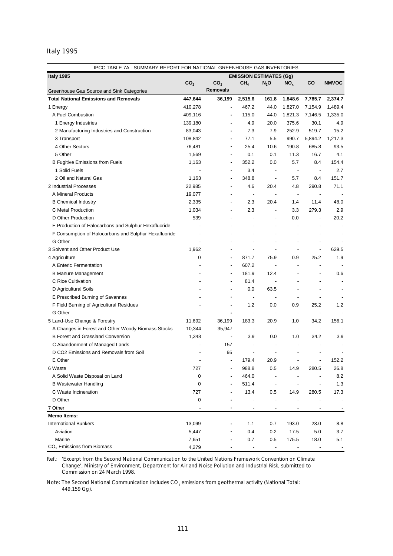# Italy 1995

| Italy 1995<br><b>EMISSION ESTIMATES (Gg)</b><br>co<br>CO <sub>2</sub><br>CO <sub>2</sub><br>CH <sub>4</sub><br><b>NMVOC</b><br>$N_2$ O<br>NO <sub>x</sub><br><b>Removals</b><br>Greenhouse Gas Source and Sink Categories<br><b>Total National Emissions and Removals</b><br>447,644<br>36,199<br>2,515.6<br>161.8<br>1,848.6<br>7,785.7<br>2,374.7<br>467.2<br>1,489.4<br>1 Energy<br>410,278<br>44.0<br>1,827.0<br>7,154.9<br>A Fuel Combustion<br>409,116<br>115.0<br>44.0<br>1,821.3<br>7,146.5<br>1,335.0<br>4.9<br>20.0<br>375.6<br>30.1<br>4.9<br>1 Energy Industries<br>139,180<br>7.3<br>7.9<br>252.9<br>519.7<br>15.2<br>2 Manufacturing Industries and Construction<br>83,043<br>108,842<br>77.1<br>5.5<br>990.7<br>5,894.2<br>1,217.3<br>3 Transport<br>4 Other Sectors<br>25.4<br>10.6<br>190.8<br>685.8<br>93.5<br>76,481<br>5 Other<br>1,569<br>0.1<br>0.1<br>11.3<br>16.7<br>4.1<br>352.2<br>0.0<br>5.7<br>8.4<br>154.4<br><b>B Fugitive Emissions from Fuels</b><br>1,163<br>1 Solid Fuels<br>3.4<br>2.7<br>$\overline{\phantom{a}}$<br>$\overline{\phantom{a}}$<br>$\overline{\phantom{a}}$<br>2 Oil and Natural Gas<br>1,163<br>348.8<br>5.7<br>8.4<br>151.7<br>$\overline{\phantom{a}}$<br>2 Industrial Processes<br>22,985<br>4.6<br>20.4<br>290.8<br>71.1<br>4.8<br>A Mineral Products<br>19,077<br>$\overline{\phantom{a}}$<br>$\blacksquare$<br>$\overline{\phantom{a}}$<br>$\overline{\phantom{a}}$<br>٠<br>2.3<br>20.4<br>11.4<br>48.0<br><b>B</b> Chemical Industry<br>2,335<br>1.4<br>$\overline{\phantom{a}}$<br>C Metal Production<br>1,034<br>2.3<br>279.3<br>2.9<br>3.3<br>$\overline{\phantom{a}}$<br>$\overline{\phantom{a}}$<br>539<br>D Other Production<br>0.0<br>20.2<br>÷,<br>$\overline{a}$<br>E Production of Halocarbons and Sulphur Hexafluoride<br>$\overline{a}$<br>F Consumption of Halocarbons and Sulphur Hexafluoride<br>$\overline{a}$<br>G Other<br>$\overline{a}$<br>٠<br>3 Solvent and Other Product Use<br>1,962<br>629.5<br>$\overline{a}$<br>÷,<br>$\overline{\phantom{a}}$<br>4 Agriculture<br>0<br>871.7<br>75.9<br>0.9<br>25.2<br>1.9<br>٠<br>607.2<br>A Enteric Fermentation<br>$\blacksquare$<br>181.9<br>12.4<br>0.6<br><b>B Manure Management</b><br>C Rice Cultivation<br>81.4<br>$\blacksquare$<br>0.0<br>63.5<br>D Agricultural Soils<br>E Prescribed Burning of Savannas<br>F Field Burning of Agricultural Residues<br>1.2<br>0.9<br>25.2<br>0.0<br>1.2<br>G Other<br>÷,<br>$\blacksquare$<br>$\overline{\phantom{a}}$<br>5 Land-Use Change & Forestry<br>11,692<br>36,199<br>183.3<br>20.9<br>34.2<br>156.1<br>1.0<br>10,344<br>35,947<br>A Changes in Forest and Other Woody Biomass Stocks<br>$\overline{a}$<br><b>B Forest and Grassland Conversion</b><br>1,348<br>3.9<br>0.0<br>1.0<br>34.2<br>3.9<br>$\centering \label{eq:reduced}$<br>C Abandonment of Managed Lands<br>157<br>$\overline{\phantom{a}}$<br>D CO2 Emissions and Removals from Soil<br>95<br>$\overline{a}$<br>E Other<br>179.4<br>20.9<br>152.2<br>727<br>988.8<br>6 Waste<br>0.5<br>14.9<br>280.5<br>26.8<br>464.0<br>A Solid Waste Disposal on Land<br>0<br>8.2<br>$\overline{\phantom{m}}$<br>511.4<br><b>B Wastewater Handling</b><br>1.3<br>0<br>$\overline{\phantom{a}}$<br>C Waste Incineration<br>727<br>13.4<br>280.5<br>17.3<br>0.5<br>14.9<br>D Other<br>0<br>7 Other<br>٠<br>$\overline{\phantom{a}}$<br>$\overline{\phantom{a}}$<br><b>Memo Items:</b><br>13,099<br>193.0<br>23.0<br>8.8<br><b>International Bunkers</b><br>1.1<br>0.7<br>0.4<br>0.2<br>17.5<br>5.0<br>3.7<br>Aviation<br>5,447<br>0.7<br>0.5<br>175.5<br>18.0<br>Marine<br>7,651<br>5.1<br>$CO2$ Emissions from Biomass<br>4,279<br>$\overline{\phantom{a}}$ | IPCC TABLE 7A - SUMMARY REPORT FOR NATIONAL GREENHOUSE GAS INVENTORIES |  |  |  |  |  |  |  |  |  |
|----------------------------------------------------------------------------------------------------------------------------------------------------------------------------------------------------------------------------------------------------------------------------------------------------------------------------------------------------------------------------------------------------------------------------------------------------------------------------------------------------------------------------------------------------------------------------------------------------------------------------------------------------------------------------------------------------------------------------------------------------------------------------------------------------------------------------------------------------------------------------------------------------------------------------------------------------------------------------------------------------------------------------------------------------------------------------------------------------------------------------------------------------------------------------------------------------------------------------------------------------------------------------------------------------------------------------------------------------------------------------------------------------------------------------------------------------------------------------------------------------------------------------------------------------------------------------------------------------------------------------------------------------------------------------------------------------------------------------------------------------------------------------------------------------------------------------------------------------------------------------------------------------------------------------------------------------------------------------------------------------------------------------------------------------------------------------------------------------------------------------------------------------------------------------------------------------------------------------------------------------------------------------------------------------------------------------------------------------------------------------------------------------------------------------------------------------------------------------------------------------------------------------------------------------------------------------------------------------------------------------------------------------------------------------------------------------------------------------------------------------------------------------------------------------------------------------------------------------------------------------------------------------------------------------------------------------------------------------------------------------------------------------------------------------------------------------------------------------------------------------------------------------------------------------------------------------------------------------------------------------------------------------------------------------------------------------------------------------------------------------------------------------------------------------------------------------------------------------------------------------------------------------------------------------------------------------------------------------------------------------------------------------------------------------------------|------------------------------------------------------------------------|--|--|--|--|--|--|--|--|--|
|                                                                                                                                                                                                                                                                                                                                                                                                                                                                                                                                                                                                                                                                                                                                                                                                                                                                                                                                                                                                                                                                                                                                                                                                                                                                                                                                                                                                                                                                                                                                                                                                                                                                                                                                                                                                                                                                                                                                                                                                                                                                                                                                                                                                                                                                                                                                                                                                                                                                                                                                                                                                                                                                                                                                                                                                                                                                                                                                                                                                                                                                                                                                                                                                                                                                                                                                                                                                                                                                                                                                                                                                                                                                                        |                                                                        |  |  |  |  |  |  |  |  |  |
|                                                                                                                                                                                                                                                                                                                                                                                                                                                                                                                                                                                                                                                                                                                                                                                                                                                                                                                                                                                                                                                                                                                                                                                                                                                                                                                                                                                                                                                                                                                                                                                                                                                                                                                                                                                                                                                                                                                                                                                                                                                                                                                                                                                                                                                                                                                                                                                                                                                                                                                                                                                                                                                                                                                                                                                                                                                                                                                                                                                                                                                                                                                                                                                                                                                                                                                                                                                                                                                                                                                                                                                                                                                                                        |                                                                        |  |  |  |  |  |  |  |  |  |
|                                                                                                                                                                                                                                                                                                                                                                                                                                                                                                                                                                                                                                                                                                                                                                                                                                                                                                                                                                                                                                                                                                                                                                                                                                                                                                                                                                                                                                                                                                                                                                                                                                                                                                                                                                                                                                                                                                                                                                                                                                                                                                                                                                                                                                                                                                                                                                                                                                                                                                                                                                                                                                                                                                                                                                                                                                                                                                                                                                                                                                                                                                                                                                                                                                                                                                                                                                                                                                                                                                                                                                                                                                                                                        |                                                                        |  |  |  |  |  |  |  |  |  |
|                                                                                                                                                                                                                                                                                                                                                                                                                                                                                                                                                                                                                                                                                                                                                                                                                                                                                                                                                                                                                                                                                                                                                                                                                                                                                                                                                                                                                                                                                                                                                                                                                                                                                                                                                                                                                                                                                                                                                                                                                                                                                                                                                                                                                                                                                                                                                                                                                                                                                                                                                                                                                                                                                                                                                                                                                                                                                                                                                                                                                                                                                                                                                                                                                                                                                                                                                                                                                                                                                                                                                                                                                                                                                        |                                                                        |  |  |  |  |  |  |  |  |  |
|                                                                                                                                                                                                                                                                                                                                                                                                                                                                                                                                                                                                                                                                                                                                                                                                                                                                                                                                                                                                                                                                                                                                                                                                                                                                                                                                                                                                                                                                                                                                                                                                                                                                                                                                                                                                                                                                                                                                                                                                                                                                                                                                                                                                                                                                                                                                                                                                                                                                                                                                                                                                                                                                                                                                                                                                                                                                                                                                                                                                                                                                                                                                                                                                                                                                                                                                                                                                                                                                                                                                                                                                                                                                                        |                                                                        |  |  |  |  |  |  |  |  |  |
|                                                                                                                                                                                                                                                                                                                                                                                                                                                                                                                                                                                                                                                                                                                                                                                                                                                                                                                                                                                                                                                                                                                                                                                                                                                                                                                                                                                                                                                                                                                                                                                                                                                                                                                                                                                                                                                                                                                                                                                                                                                                                                                                                                                                                                                                                                                                                                                                                                                                                                                                                                                                                                                                                                                                                                                                                                                                                                                                                                                                                                                                                                                                                                                                                                                                                                                                                                                                                                                                                                                                                                                                                                                                                        |                                                                        |  |  |  |  |  |  |  |  |  |
|                                                                                                                                                                                                                                                                                                                                                                                                                                                                                                                                                                                                                                                                                                                                                                                                                                                                                                                                                                                                                                                                                                                                                                                                                                                                                                                                                                                                                                                                                                                                                                                                                                                                                                                                                                                                                                                                                                                                                                                                                                                                                                                                                                                                                                                                                                                                                                                                                                                                                                                                                                                                                                                                                                                                                                                                                                                                                                                                                                                                                                                                                                                                                                                                                                                                                                                                                                                                                                                                                                                                                                                                                                                                                        |                                                                        |  |  |  |  |  |  |  |  |  |
|                                                                                                                                                                                                                                                                                                                                                                                                                                                                                                                                                                                                                                                                                                                                                                                                                                                                                                                                                                                                                                                                                                                                                                                                                                                                                                                                                                                                                                                                                                                                                                                                                                                                                                                                                                                                                                                                                                                                                                                                                                                                                                                                                                                                                                                                                                                                                                                                                                                                                                                                                                                                                                                                                                                                                                                                                                                                                                                                                                                                                                                                                                                                                                                                                                                                                                                                                                                                                                                                                                                                                                                                                                                                                        |                                                                        |  |  |  |  |  |  |  |  |  |
|                                                                                                                                                                                                                                                                                                                                                                                                                                                                                                                                                                                                                                                                                                                                                                                                                                                                                                                                                                                                                                                                                                                                                                                                                                                                                                                                                                                                                                                                                                                                                                                                                                                                                                                                                                                                                                                                                                                                                                                                                                                                                                                                                                                                                                                                                                                                                                                                                                                                                                                                                                                                                                                                                                                                                                                                                                                                                                                                                                                                                                                                                                                                                                                                                                                                                                                                                                                                                                                                                                                                                                                                                                                                                        |                                                                        |  |  |  |  |  |  |  |  |  |
|                                                                                                                                                                                                                                                                                                                                                                                                                                                                                                                                                                                                                                                                                                                                                                                                                                                                                                                                                                                                                                                                                                                                                                                                                                                                                                                                                                                                                                                                                                                                                                                                                                                                                                                                                                                                                                                                                                                                                                                                                                                                                                                                                                                                                                                                                                                                                                                                                                                                                                                                                                                                                                                                                                                                                                                                                                                                                                                                                                                                                                                                                                                                                                                                                                                                                                                                                                                                                                                                                                                                                                                                                                                                                        |                                                                        |  |  |  |  |  |  |  |  |  |
|                                                                                                                                                                                                                                                                                                                                                                                                                                                                                                                                                                                                                                                                                                                                                                                                                                                                                                                                                                                                                                                                                                                                                                                                                                                                                                                                                                                                                                                                                                                                                                                                                                                                                                                                                                                                                                                                                                                                                                                                                                                                                                                                                                                                                                                                                                                                                                                                                                                                                                                                                                                                                                                                                                                                                                                                                                                                                                                                                                                                                                                                                                                                                                                                                                                                                                                                                                                                                                                                                                                                                                                                                                                                                        |                                                                        |  |  |  |  |  |  |  |  |  |
|                                                                                                                                                                                                                                                                                                                                                                                                                                                                                                                                                                                                                                                                                                                                                                                                                                                                                                                                                                                                                                                                                                                                                                                                                                                                                                                                                                                                                                                                                                                                                                                                                                                                                                                                                                                                                                                                                                                                                                                                                                                                                                                                                                                                                                                                                                                                                                                                                                                                                                                                                                                                                                                                                                                                                                                                                                                                                                                                                                                                                                                                                                                                                                                                                                                                                                                                                                                                                                                                                                                                                                                                                                                                                        |                                                                        |  |  |  |  |  |  |  |  |  |
|                                                                                                                                                                                                                                                                                                                                                                                                                                                                                                                                                                                                                                                                                                                                                                                                                                                                                                                                                                                                                                                                                                                                                                                                                                                                                                                                                                                                                                                                                                                                                                                                                                                                                                                                                                                                                                                                                                                                                                                                                                                                                                                                                                                                                                                                                                                                                                                                                                                                                                                                                                                                                                                                                                                                                                                                                                                                                                                                                                                                                                                                                                                                                                                                                                                                                                                                                                                                                                                                                                                                                                                                                                                                                        |                                                                        |  |  |  |  |  |  |  |  |  |
|                                                                                                                                                                                                                                                                                                                                                                                                                                                                                                                                                                                                                                                                                                                                                                                                                                                                                                                                                                                                                                                                                                                                                                                                                                                                                                                                                                                                                                                                                                                                                                                                                                                                                                                                                                                                                                                                                                                                                                                                                                                                                                                                                                                                                                                                                                                                                                                                                                                                                                                                                                                                                                                                                                                                                                                                                                                                                                                                                                                                                                                                                                                                                                                                                                                                                                                                                                                                                                                                                                                                                                                                                                                                                        |                                                                        |  |  |  |  |  |  |  |  |  |
|                                                                                                                                                                                                                                                                                                                                                                                                                                                                                                                                                                                                                                                                                                                                                                                                                                                                                                                                                                                                                                                                                                                                                                                                                                                                                                                                                                                                                                                                                                                                                                                                                                                                                                                                                                                                                                                                                                                                                                                                                                                                                                                                                                                                                                                                                                                                                                                                                                                                                                                                                                                                                                                                                                                                                                                                                                                                                                                                                                                                                                                                                                                                                                                                                                                                                                                                                                                                                                                                                                                                                                                                                                                                                        |                                                                        |  |  |  |  |  |  |  |  |  |
|                                                                                                                                                                                                                                                                                                                                                                                                                                                                                                                                                                                                                                                                                                                                                                                                                                                                                                                                                                                                                                                                                                                                                                                                                                                                                                                                                                                                                                                                                                                                                                                                                                                                                                                                                                                                                                                                                                                                                                                                                                                                                                                                                                                                                                                                                                                                                                                                                                                                                                                                                                                                                                                                                                                                                                                                                                                                                                                                                                                                                                                                                                                                                                                                                                                                                                                                                                                                                                                                                                                                                                                                                                                                                        |                                                                        |  |  |  |  |  |  |  |  |  |
|                                                                                                                                                                                                                                                                                                                                                                                                                                                                                                                                                                                                                                                                                                                                                                                                                                                                                                                                                                                                                                                                                                                                                                                                                                                                                                                                                                                                                                                                                                                                                                                                                                                                                                                                                                                                                                                                                                                                                                                                                                                                                                                                                                                                                                                                                                                                                                                                                                                                                                                                                                                                                                                                                                                                                                                                                                                                                                                                                                                                                                                                                                                                                                                                                                                                                                                                                                                                                                                                                                                                                                                                                                                                                        |                                                                        |  |  |  |  |  |  |  |  |  |
|                                                                                                                                                                                                                                                                                                                                                                                                                                                                                                                                                                                                                                                                                                                                                                                                                                                                                                                                                                                                                                                                                                                                                                                                                                                                                                                                                                                                                                                                                                                                                                                                                                                                                                                                                                                                                                                                                                                                                                                                                                                                                                                                                                                                                                                                                                                                                                                                                                                                                                                                                                                                                                                                                                                                                                                                                                                                                                                                                                                                                                                                                                                                                                                                                                                                                                                                                                                                                                                                                                                                                                                                                                                                                        |                                                                        |  |  |  |  |  |  |  |  |  |
|                                                                                                                                                                                                                                                                                                                                                                                                                                                                                                                                                                                                                                                                                                                                                                                                                                                                                                                                                                                                                                                                                                                                                                                                                                                                                                                                                                                                                                                                                                                                                                                                                                                                                                                                                                                                                                                                                                                                                                                                                                                                                                                                                                                                                                                                                                                                                                                                                                                                                                                                                                                                                                                                                                                                                                                                                                                                                                                                                                                                                                                                                                                                                                                                                                                                                                                                                                                                                                                                                                                                                                                                                                                                                        |                                                                        |  |  |  |  |  |  |  |  |  |
|                                                                                                                                                                                                                                                                                                                                                                                                                                                                                                                                                                                                                                                                                                                                                                                                                                                                                                                                                                                                                                                                                                                                                                                                                                                                                                                                                                                                                                                                                                                                                                                                                                                                                                                                                                                                                                                                                                                                                                                                                                                                                                                                                                                                                                                                                                                                                                                                                                                                                                                                                                                                                                                                                                                                                                                                                                                                                                                                                                                                                                                                                                                                                                                                                                                                                                                                                                                                                                                                                                                                                                                                                                                                                        |                                                                        |  |  |  |  |  |  |  |  |  |
|                                                                                                                                                                                                                                                                                                                                                                                                                                                                                                                                                                                                                                                                                                                                                                                                                                                                                                                                                                                                                                                                                                                                                                                                                                                                                                                                                                                                                                                                                                                                                                                                                                                                                                                                                                                                                                                                                                                                                                                                                                                                                                                                                                                                                                                                                                                                                                                                                                                                                                                                                                                                                                                                                                                                                                                                                                                                                                                                                                                                                                                                                                                                                                                                                                                                                                                                                                                                                                                                                                                                                                                                                                                                                        |                                                                        |  |  |  |  |  |  |  |  |  |
|                                                                                                                                                                                                                                                                                                                                                                                                                                                                                                                                                                                                                                                                                                                                                                                                                                                                                                                                                                                                                                                                                                                                                                                                                                                                                                                                                                                                                                                                                                                                                                                                                                                                                                                                                                                                                                                                                                                                                                                                                                                                                                                                                                                                                                                                                                                                                                                                                                                                                                                                                                                                                                                                                                                                                                                                                                                                                                                                                                                                                                                                                                                                                                                                                                                                                                                                                                                                                                                                                                                                                                                                                                                                                        |                                                                        |  |  |  |  |  |  |  |  |  |
|                                                                                                                                                                                                                                                                                                                                                                                                                                                                                                                                                                                                                                                                                                                                                                                                                                                                                                                                                                                                                                                                                                                                                                                                                                                                                                                                                                                                                                                                                                                                                                                                                                                                                                                                                                                                                                                                                                                                                                                                                                                                                                                                                                                                                                                                                                                                                                                                                                                                                                                                                                                                                                                                                                                                                                                                                                                                                                                                                                                                                                                                                                                                                                                                                                                                                                                                                                                                                                                                                                                                                                                                                                                                                        |                                                                        |  |  |  |  |  |  |  |  |  |
|                                                                                                                                                                                                                                                                                                                                                                                                                                                                                                                                                                                                                                                                                                                                                                                                                                                                                                                                                                                                                                                                                                                                                                                                                                                                                                                                                                                                                                                                                                                                                                                                                                                                                                                                                                                                                                                                                                                                                                                                                                                                                                                                                                                                                                                                                                                                                                                                                                                                                                                                                                                                                                                                                                                                                                                                                                                                                                                                                                                                                                                                                                                                                                                                                                                                                                                                                                                                                                                                                                                                                                                                                                                                                        |                                                                        |  |  |  |  |  |  |  |  |  |
|                                                                                                                                                                                                                                                                                                                                                                                                                                                                                                                                                                                                                                                                                                                                                                                                                                                                                                                                                                                                                                                                                                                                                                                                                                                                                                                                                                                                                                                                                                                                                                                                                                                                                                                                                                                                                                                                                                                                                                                                                                                                                                                                                                                                                                                                                                                                                                                                                                                                                                                                                                                                                                                                                                                                                                                                                                                                                                                                                                                                                                                                                                                                                                                                                                                                                                                                                                                                                                                                                                                                                                                                                                                                                        |                                                                        |  |  |  |  |  |  |  |  |  |
|                                                                                                                                                                                                                                                                                                                                                                                                                                                                                                                                                                                                                                                                                                                                                                                                                                                                                                                                                                                                                                                                                                                                                                                                                                                                                                                                                                                                                                                                                                                                                                                                                                                                                                                                                                                                                                                                                                                                                                                                                                                                                                                                                                                                                                                                                                                                                                                                                                                                                                                                                                                                                                                                                                                                                                                                                                                                                                                                                                                                                                                                                                                                                                                                                                                                                                                                                                                                                                                                                                                                                                                                                                                                                        |                                                                        |  |  |  |  |  |  |  |  |  |
|                                                                                                                                                                                                                                                                                                                                                                                                                                                                                                                                                                                                                                                                                                                                                                                                                                                                                                                                                                                                                                                                                                                                                                                                                                                                                                                                                                                                                                                                                                                                                                                                                                                                                                                                                                                                                                                                                                                                                                                                                                                                                                                                                                                                                                                                                                                                                                                                                                                                                                                                                                                                                                                                                                                                                                                                                                                                                                                                                                                                                                                                                                                                                                                                                                                                                                                                                                                                                                                                                                                                                                                                                                                                                        |                                                                        |  |  |  |  |  |  |  |  |  |
|                                                                                                                                                                                                                                                                                                                                                                                                                                                                                                                                                                                                                                                                                                                                                                                                                                                                                                                                                                                                                                                                                                                                                                                                                                                                                                                                                                                                                                                                                                                                                                                                                                                                                                                                                                                                                                                                                                                                                                                                                                                                                                                                                                                                                                                                                                                                                                                                                                                                                                                                                                                                                                                                                                                                                                                                                                                                                                                                                                                                                                                                                                                                                                                                                                                                                                                                                                                                                                                                                                                                                                                                                                                                                        |                                                                        |  |  |  |  |  |  |  |  |  |
|                                                                                                                                                                                                                                                                                                                                                                                                                                                                                                                                                                                                                                                                                                                                                                                                                                                                                                                                                                                                                                                                                                                                                                                                                                                                                                                                                                                                                                                                                                                                                                                                                                                                                                                                                                                                                                                                                                                                                                                                                                                                                                                                                                                                                                                                                                                                                                                                                                                                                                                                                                                                                                                                                                                                                                                                                                                                                                                                                                                                                                                                                                                                                                                                                                                                                                                                                                                                                                                                                                                                                                                                                                                                                        |                                                                        |  |  |  |  |  |  |  |  |  |
|                                                                                                                                                                                                                                                                                                                                                                                                                                                                                                                                                                                                                                                                                                                                                                                                                                                                                                                                                                                                                                                                                                                                                                                                                                                                                                                                                                                                                                                                                                                                                                                                                                                                                                                                                                                                                                                                                                                                                                                                                                                                                                                                                                                                                                                                                                                                                                                                                                                                                                                                                                                                                                                                                                                                                                                                                                                                                                                                                                                                                                                                                                                                                                                                                                                                                                                                                                                                                                                                                                                                                                                                                                                                                        |                                                                        |  |  |  |  |  |  |  |  |  |
|                                                                                                                                                                                                                                                                                                                                                                                                                                                                                                                                                                                                                                                                                                                                                                                                                                                                                                                                                                                                                                                                                                                                                                                                                                                                                                                                                                                                                                                                                                                                                                                                                                                                                                                                                                                                                                                                                                                                                                                                                                                                                                                                                                                                                                                                                                                                                                                                                                                                                                                                                                                                                                                                                                                                                                                                                                                                                                                                                                                                                                                                                                                                                                                                                                                                                                                                                                                                                                                                                                                                                                                                                                                                                        |                                                                        |  |  |  |  |  |  |  |  |  |
|                                                                                                                                                                                                                                                                                                                                                                                                                                                                                                                                                                                                                                                                                                                                                                                                                                                                                                                                                                                                                                                                                                                                                                                                                                                                                                                                                                                                                                                                                                                                                                                                                                                                                                                                                                                                                                                                                                                                                                                                                                                                                                                                                                                                                                                                                                                                                                                                                                                                                                                                                                                                                                                                                                                                                                                                                                                                                                                                                                                                                                                                                                                                                                                                                                                                                                                                                                                                                                                                                                                                                                                                                                                                                        |                                                                        |  |  |  |  |  |  |  |  |  |
|                                                                                                                                                                                                                                                                                                                                                                                                                                                                                                                                                                                                                                                                                                                                                                                                                                                                                                                                                                                                                                                                                                                                                                                                                                                                                                                                                                                                                                                                                                                                                                                                                                                                                                                                                                                                                                                                                                                                                                                                                                                                                                                                                                                                                                                                                                                                                                                                                                                                                                                                                                                                                                                                                                                                                                                                                                                                                                                                                                                                                                                                                                                                                                                                                                                                                                                                                                                                                                                                                                                                                                                                                                                                                        |                                                                        |  |  |  |  |  |  |  |  |  |
|                                                                                                                                                                                                                                                                                                                                                                                                                                                                                                                                                                                                                                                                                                                                                                                                                                                                                                                                                                                                                                                                                                                                                                                                                                                                                                                                                                                                                                                                                                                                                                                                                                                                                                                                                                                                                                                                                                                                                                                                                                                                                                                                                                                                                                                                                                                                                                                                                                                                                                                                                                                                                                                                                                                                                                                                                                                                                                                                                                                                                                                                                                                                                                                                                                                                                                                                                                                                                                                                                                                                                                                                                                                                                        |                                                                        |  |  |  |  |  |  |  |  |  |
|                                                                                                                                                                                                                                                                                                                                                                                                                                                                                                                                                                                                                                                                                                                                                                                                                                                                                                                                                                                                                                                                                                                                                                                                                                                                                                                                                                                                                                                                                                                                                                                                                                                                                                                                                                                                                                                                                                                                                                                                                                                                                                                                                                                                                                                                                                                                                                                                                                                                                                                                                                                                                                                                                                                                                                                                                                                                                                                                                                                                                                                                                                                                                                                                                                                                                                                                                                                                                                                                                                                                                                                                                                                                                        |                                                                        |  |  |  |  |  |  |  |  |  |
|                                                                                                                                                                                                                                                                                                                                                                                                                                                                                                                                                                                                                                                                                                                                                                                                                                                                                                                                                                                                                                                                                                                                                                                                                                                                                                                                                                                                                                                                                                                                                                                                                                                                                                                                                                                                                                                                                                                                                                                                                                                                                                                                                                                                                                                                                                                                                                                                                                                                                                                                                                                                                                                                                                                                                                                                                                                                                                                                                                                                                                                                                                                                                                                                                                                                                                                                                                                                                                                                                                                                                                                                                                                                                        |                                                                        |  |  |  |  |  |  |  |  |  |
|                                                                                                                                                                                                                                                                                                                                                                                                                                                                                                                                                                                                                                                                                                                                                                                                                                                                                                                                                                                                                                                                                                                                                                                                                                                                                                                                                                                                                                                                                                                                                                                                                                                                                                                                                                                                                                                                                                                                                                                                                                                                                                                                                                                                                                                                                                                                                                                                                                                                                                                                                                                                                                                                                                                                                                                                                                                                                                                                                                                                                                                                                                                                                                                                                                                                                                                                                                                                                                                                                                                                                                                                                                                                                        |                                                                        |  |  |  |  |  |  |  |  |  |
|                                                                                                                                                                                                                                                                                                                                                                                                                                                                                                                                                                                                                                                                                                                                                                                                                                                                                                                                                                                                                                                                                                                                                                                                                                                                                                                                                                                                                                                                                                                                                                                                                                                                                                                                                                                                                                                                                                                                                                                                                                                                                                                                                                                                                                                                                                                                                                                                                                                                                                                                                                                                                                                                                                                                                                                                                                                                                                                                                                                                                                                                                                                                                                                                                                                                                                                                                                                                                                                                                                                                                                                                                                                                                        |                                                                        |  |  |  |  |  |  |  |  |  |
|                                                                                                                                                                                                                                                                                                                                                                                                                                                                                                                                                                                                                                                                                                                                                                                                                                                                                                                                                                                                                                                                                                                                                                                                                                                                                                                                                                                                                                                                                                                                                                                                                                                                                                                                                                                                                                                                                                                                                                                                                                                                                                                                                                                                                                                                                                                                                                                                                                                                                                                                                                                                                                                                                                                                                                                                                                                                                                                                                                                                                                                                                                                                                                                                                                                                                                                                                                                                                                                                                                                                                                                                                                                                                        |                                                                        |  |  |  |  |  |  |  |  |  |
|                                                                                                                                                                                                                                                                                                                                                                                                                                                                                                                                                                                                                                                                                                                                                                                                                                                                                                                                                                                                                                                                                                                                                                                                                                                                                                                                                                                                                                                                                                                                                                                                                                                                                                                                                                                                                                                                                                                                                                                                                                                                                                                                                                                                                                                                                                                                                                                                                                                                                                                                                                                                                                                                                                                                                                                                                                                                                                                                                                                                                                                                                                                                                                                                                                                                                                                                                                                                                                                                                                                                                                                                                                                                                        |                                                                        |  |  |  |  |  |  |  |  |  |
|                                                                                                                                                                                                                                                                                                                                                                                                                                                                                                                                                                                                                                                                                                                                                                                                                                                                                                                                                                                                                                                                                                                                                                                                                                                                                                                                                                                                                                                                                                                                                                                                                                                                                                                                                                                                                                                                                                                                                                                                                                                                                                                                                                                                                                                                                                                                                                                                                                                                                                                                                                                                                                                                                                                                                                                                                                                                                                                                                                                                                                                                                                                                                                                                                                                                                                                                                                                                                                                                                                                                                                                                                                                                                        |                                                                        |  |  |  |  |  |  |  |  |  |
|                                                                                                                                                                                                                                                                                                                                                                                                                                                                                                                                                                                                                                                                                                                                                                                                                                                                                                                                                                                                                                                                                                                                                                                                                                                                                                                                                                                                                                                                                                                                                                                                                                                                                                                                                                                                                                                                                                                                                                                                                                                                                                                                                                                                                                                                                                                                                                                                                                                                                                                                                                                                                                                                                                                                                                                                                                                                                                                                                                                                                                                                                                                                                                                                                                                                                                                                                                                                                                                                                                                                                                                                                                                                                        |                                                                        |  |  |  |  |  |  |  |  |  |
|                                                                                                                                                                                                                                                                                                                                                                                                                                                                                                                                                                                                                                                                                                                                                                                                                                                                                                                                                                                                                                                                                                                                                                                                                                                                                                                                                                                                                                                                                                                                                                                                                                                                                                                                                                                                                                                                                                                                                                                                                                                                                                                                                                                                                                                                                                                                                                                                                                                                                                                                                                                                                                                                                                                                                                                                                                                                                                                                                                                                                                                                                                                                                                                                                                                                                                                                                                                                                                                                                                                                                                                                                                                                                        |                                                                        |  |  |  |  |  |  |  |  |  |
|                                                                                                                                                                                                                                                                                                                                                                                                                                                                                                                                                                                                                                                                                                                                                                                                                                                                                                                                                                                                                                                                                                                                                                                                                                                                                                                                                                                                                                                                                                                                                                                                                                                                                                                                                                                                                                                                                                                                                                                                                                                                                                                                                                                                                                                                                                                                                                                                                                                                                                                                                                                                                                                                                                                                                                                                                                                                                                                                                                                                                                                                                                                                                                                                                                                                                                                                                                                                                                                                                                                                                                                                                                                                                        |                                                                        |  |  |  |  |  |  |  |  |  |
|                                                                                                                                                                                                                                                                                                                                                                                                                                                                                                                                                                                                                                                                                                                                                                                                                                                                                                                                                                                                                                                                                                                                                                                                                                                                                                                                                                                                                                                                                                                                                                                                                                                                                                                                                                                                                                                                                                                                                                                                                                                                                                                                                                                                                                                                                                                                                                                                                                                                                                                                                                                                                                                                                                                                                                                                                                                                                                                                                                                                                                                                                                                                                                                                                                                                                                                                                                                                                                                                                                                                                                                                                                                                                        |                                                                        |  |  |  |  |  |  |  |  |  |
|                                                                                                                                                                                                                                                                                                                                                                                                                                                                                                                                                                                                                                                                                                                                                                                                                                                                                                                                                                                                                                                                                                                                                                                                                                                                                                                                                                                                                                                                                                                                                                                                                                                                                                                                                                                                                                                                                                                                                                                                                                                                                                                                                                                                                                                                                                                                                                                                                                                                                                                                                                                                                                                                                                                                                                                                                                                                                                                                                                                                                                                                                                                                                                                                                                                                                                                                                                                                                                                                                                                                                                                                                                                                                        |                                                                        |  |  |  |  |  |  |  |  |  |
|                                                                                                                                                                                                                                                                                                                                                                                                                                                                                                                                                                                                                                                                                                                                                                                                                                                                                                                                                                                                                                                                                                                                                                                                                                                                                                                                                                                                                                                                                                                                                                                                                                                                                                                                                                                                                                                                                                                                                                                                                                                                                                                                                                                                                                                                                                                                                                                                                                                                                                                                                                                                                                                                                                                                                                                                                                                                                                                                                                                                                                                                                                                                                                                                                                                                                                                                                                                                                                                                                                                                                                                                                                                                                        |                                                                        |  |  |  |  |  |  |  |  |  |
|                                                                                                                                                                                                                                                                                                                                                                                                                                                                                                                                                                                                                                                                                                                                                                                                                                                                                                                                                                                                                                                                                                                                                                                                                                                                                                                                                                                                                                                                                                                                                                                                                                                                                                                                                                                                                                                                                                                                                                                                                                                                                                                                                                                                                                                                                                                                                                                                                                                                                                                                                                                                                                                                                                                                                                                                                                                                                                                                                                                                                                                                                                                                                                                                                                                                                                                                                                                                                                                                                                                                                                                                                                                                                        |                                                                        |  |  |  |  |  |  |  |  |  |

Ref.: *'Excerpt from the Second National Communication to the United Nations Framework Convention on Climate Change',* Ministry of Environment, Department for Air and Noise Pollution and Industrial Risk, submitted to Commission on 24 March 1998.

Note: The Second National Communication includes  $CO<sub>2</sub>$  emissions from geothermal activity (National Total: 449,159 Gg).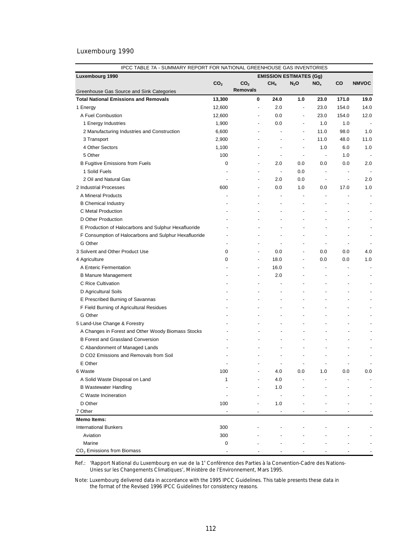| IPCC TABLE 7A - SUMMARY REPORT FOR NATIONAL GREENHOUSE GAS INVENTORIES |                 |                                |                                            |                          |                          |                          |                          |
|------------------------------------------------------------------------|-----------------|--------------------------------|--------------------------------------------|--------------------------|--------------------------|--------------------------|--------------------------|
| Luxembourg 1990                                                        |                 | <b>EMISSION ESTIMATES (Gg)</b> |                                            |                          |                          |                          |                          |
|                                                                        | CO <sub>2</sub> | CO <sub>2</sub>                | CH <sub>4</sub>                            | $N_2$ O                  | NO <sub>x</sub>          | CO                       | <b>NMVOC</b>             |
| Greenhouse Gas Source and Sink Categories                              |                 | <b>Removals</b>                |                                            |                          |                          |                          |                          |
| <b>Total National Emissions and Removals</b>                           | 13,300          | 0                              | 24.0                                       | 1.0                      | 23.0                     | 171.0                    | 19.0                     |
| 1 Energy                                                               | 12,600          |                                | 2.0<br>÷,                                  | $\overline{\phantom{a}}$ | 23.0                     | 154.0                    | 14.0                     |
| A Fuel Combustion                                                      | 12,600          |                                | 0.0                                        | $\overline{\phantom{a}}$ | 23.0                     | 154.0                    | 12.0                     |
| 1 Energy Industries                                                    | 1,900           |                                | 0.0<br>÷,                                  | $\overline{\phantom{a}}$ | 1.0                      | 1.0                      |                          |
| 2 Manufacturing Industries and Construction                            | 6,600           |                                |                                            | $\overline{\phantom{a}}$ | 11.0                     | 98.0                     | 1.0                      |
| 3 Transport                                                            | 2,900           |                                |                                            | $\overline{\phantom{a}}$ | 11.0                     | 48.0                     | 11.0                     |
| 4 Other Sectors                                                        | 1,100           |                                | $\overline{a}$                             | $\overline{a}$           | 1.0                      | 6.0                      | 1.0                      |
| 5 Other                                                                | 100             |                                | $\overline{\phantom{a}}$                   | $\overline{a}$           | $\overline{\phantom{a}}$ | 1.0                      |                          |
| <b>B Fugitive Emissions from Fuels</b>                                 | 0               |                                | 2.0<br>$\overline{a}$                      | 0.0                      | 0.0                      | 0.0                      | 2.0                      |
| 1 Solid Fuels                                                          |                 |                                | $\overline{\phantom{a}}$                   | 0.0                      | $\overline{\phantom{a}}$ |                          |                          |
| 2 Oil and Natural Gas                                                  |                 |                                | 2.0<br>$\overline{\phantom{a}}$            | 0.0                      | $\overline{\phantom{a}}$ | $\overline{a}$           | 2.0                      |
| 2 Industrial Processes                                                 | 600             |                                | 0.0<br>$\overline{\phantom{a}}$            | 1.0                      | 0.0                      | 17.0                     | 1.0                      |
| A Mineral Products                                                     |                 |                                | $\blacksquare$<br>$\overline{\phantom{a}}$ | ÷,                       | $\overline{a}$           |                          |                          |
| <b>B Chemical Industry</b>                                             |                 |                                |                                            | $\overline{\phantom{a}}$ |                          |                          |                          |
| C Metal Production                                                     |                 |                                | $\overline{\phantom{0}}$                   | $\overline{\phantom{a}}$ |                          |                          |                          |
| D Other Production                                                     |                 |                                |                                            | $\overline{a}$           |                          |                          |                          |
| E Production of Halocarbons and Sulphur Hexafluoride                   |                 |                                |                                            | $\overline{a}$           |                          |                          | $\blacksquare$           |
| F Consumption of Halocarbons and Sulphur Hexafluoride                  |                 |                                |                                            | $\overline{\phantom{a}}$ |                          | $\overline{\phantom{a}}$ | $\overline{\phantom{a}}$ |
| G Other                                                                |                 |                                | $\overline{\phantom{a}}$                   | $\overline{\phantom{a}}$ | $\overline{\phantom{a}}$ | $\overline{\phantom{a}}$ | $\overline{\phantom{a}}$ |
| 3 Solvent and Other Product Use                                        | 0               |                                | 0.0<br>$\overline{\phantom{a}}$            | $\overline{\phantom{a}}$ | 0.0                      | 0.0                      | 4.0                      |
| 4 Agriculture                                                          | 0               |                                | 18.0<br>$\blacksquare$                     | $\overline{a}$           | 0.0                      | 0.0                      | 1.0                      |
| A Enteric Fermentation                                                 |                 |                                | 16.0<br>$\overline{\phantom{a}}$           | $\overline{\phantom{a}}$ | $\overline{a}$           |                          | $\overline{\phantom{a}}$ |
| <b>B Manure Management</b>                                             |                 |                                | 2.0<br>$\overline{\phantom{a}}$            | $\overline{\phantom{a}}$ | -                        | $\overline{\phantom{a}}$ | $\blacksquare$           |
| C Rice Cultivation                                                     |                 |                                | $\overline{\phantom{a}}$                   |                          | $\overline{a}$           | $\overline{\phantom{a}}$ | $\blacksquare$           |
| D Agricultural Soils                                                   |                 |                                |                                            |                          |                          |                          |                          |
| E Prescribed Burning of Savannas                                       |                 |                                |                                            |                          |                          |                          |                          |
| F Field Burning of Agricultural Residues                               |                 |                                | ÷                                          |                          |                          |                          |                          |
| G Other                                                                |                 |                                |                                            |                          |                          |                          |                          |
| 5 Land-Use Change & Forestry                                           |                 |                                |                                            |                          |                          | $\overline{\phantom{a}}$ |                          |
| A Changes in Forest and Other Woody Biomass Stocks                     |                 |                                |                                            | $\overline{a}$           |                          |                          |                          |
| <b>B Forest and Grassland Conversion</b>                               |                 |                                |                                            |                          |                          |                          |                          |
| C Abandonment of Managed Lands                                         |                 |                                |                                            |                          |                          |                          |                          |
| D CO2 Emissions and Removals from Soil                                 |                 |                                |                                            | $\overline{\phantom{a}}$ | $\overline{a}$           | $\overline{a}$           |                          |
| E Other                                                                |                 |                                |                                            |                          |                          |                          |                          |
|                                                                        |                 |                                | $\overline{\phantom{a}}$                   | $\overline{\phantom{a}}$ |                          |                          | $\overline{\phantom{m}}$ |
| 6 Waste                                                                | 100             |                                | 4.0                                        | 0.0                      | 1.0                      | 0.0                      | 0.0                      |
| A Solid Waste Disposal on Land                                         | 1               |                                | 4.0                                        | $\overline{\phantom{a}}$ |                          |                          |                          |
| <b>B Wastewater Handling</b>                                           |                 |                                | 1.0                                        |                          |                          |                          |                          |
| C Waste Incineration                                                   |                 |                                | $\overline{\phantom{a}}$                   |                          |                          |                          |                          |
| D Other                                                                | 100             |                                | 1.0                                        |                          |                          |                          |                          |
| 7 Other                                                                |                 |                                |                                            |                          |                          |                          |                          |
| <b>Memo Items:</b>                                                     |                 |                                |                                            |                          |                          |                          |                          |
| <b>International Bunkers</b>                                           | 300             |                                |                                            |                          |                          |                          |                          |
| Aviation                                                               | 300             |                                |                                            |                          |                          |                          |                          |
| Marine                                                                 | 0               |                                |                                            |                          |                          |                          |                          |
| CO <sub>2</sub> Emissions from Biomass                                 |                 |                                |                                            |                          |                          |                          |                          |

Ref.: 'Rapport National du Luxembourg en vue de la 1<sup>e</sup> Conférence des Parties à la Convention-Cadre des Nations-*Unies sur les Changements Climatiques*', Ministère de l'Environnement, Mars 1995.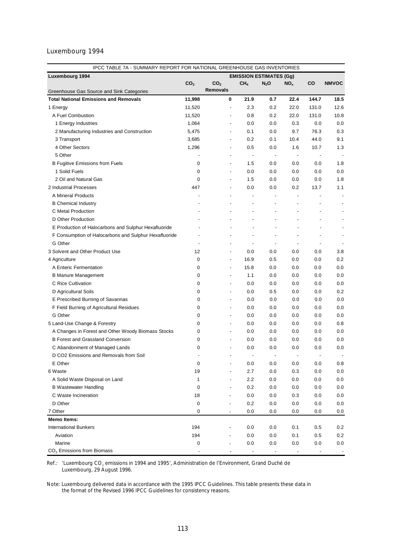| IPCC TABLE 7A - SUMMARY REPORT FOR NATIONAL GREENHOUSE GAS INVENTORIES |                 |                 |                          |                          |                                |                          |                          |              |
|------------------------------------------------------------------------|-----------------|-----------------|--------------------------|--------------------------|--------------------------------|--------------------------|--------------------------|--------------|
| Luxembourg 1994                                                        |                 |                 |                          |                          | <b>EMISSION ESTIMATES (Gg)</b> |                          |                          |              |
|                                                                        | CO <sub>2</sub> | CO <sub>2</sub> |                          | CH <sub>4</sub>          | $N_2$ O                        | NO <sub>x</sub>          | CO                       | <b>NMVOC</b> |
| Greenhouse Gas Source and Sink Categories                              |                 | Removals        |                          |                          |                                |                          |                          |              |
| <b>Total National Emissions and Removals</b>                           | 11,998          |                 | 0                        | 21.9                     | 0.7                            | 22.4                     | 144.7                    | 18.5         |
| 1 Energy                                                               | 11,520          |                 | $\blacksquare$           | 2.3                      | 0.2                            | 22.0                     | 131.0                    | 12.6         |
| A Fuel Combustion                                                      | 11,520          |                 | $\overline{\phantom{a}}$ | 0.8                      | 0.2                            | 22.0                     | 131.0                    | 10.8         |
| 1 Energy Industries                                                    | 1,064           |                 | $\overline{\phantom{a}}$ | 0.0                      | 0.0                            | 0.3                      | 0.0                      | 0.0          |
| 2 Manufacturing Industries and Construction                            | 5,475           |                 | $\overline{\phantom{a}}$ | 0.1                      | 0.0                            | 9.7                      | 76.3                     | 0.3          |
| 3 Transport                                                            | 3,685           |                 | $\overline{\phantom{a}}$ | 0.2                      | 0.1                            | 10.4                     | 44.0                     | 9.1          |
| 4 Other Sectors                                                        | 1,296           |                 | $\overline{a}$           | 0.5                      | 0.0                            | 1.6                      | 10.7                     | 1.3          |
| 5 Other                                                                |                 |                 | $\overline{a}$           | $\overline{\phantom{a}}$ | $\overline{\phantom{a}}$       | $\overline{\phantom{a}}$ |                          |              |
| <b>B Fugitive Emissions from Fuels</b>                                 | 0               |                 | $\overline{\phantom{a}}$ | 1.5                      | 0.0                            | 0.0                      | 0.0                      | 1.8          |
| 1 Solid Fuels                                                          | 0               |                 | $\overline{\phantom{a}}$ | 0.0                      | 0.0                            | 0.0                      | 0.0                      | 0.0          |
| 2 Oil and Natural Gas                                                  | $\mathbf 0$     |                 | $\overline{\phantom{a}}$ | 1.5                      | 0.0                            | 0.0                      | 0.0                      | 1.8          |
| 2 Industrial Processes                                                 | 447             |                 | $\overline{a}$           | 0.0                      | 0.0                            | 0.2                      | 13.7                     | 1.1          |
| A Mineral Products                                                     |                 |                 |                          |                          |                                |                          |                          |              |
| <b>B</b> Chemical Industry                                             |                 |                 |                          |                          |                                |                          |                          |              |
| C Metal Production                                                     |                 |                 |                          |                          |                                |                          |                          |              |
| D Other Production                                                     |                 |                 |                          |                          |                                |                          |                          |              |
| E Production of Halocarbons and Sulphur Hexafluoride                   |                 |                 |                          |                          |                                |                          |                          |              |
| F Consumption of Halocarbons and Sulphur Hexafluoride                  |                 |                 |                          |                          | $\overline{\phantom{a}}$       | $\overline{\phantom{a}}$ | $\overline{\phantom{a}}$ | ٠            |
| G Other                                                                |                 |                 |                          | $\overline{\phantom{a}}$ | $\overline{a}$                 | $\overline{\phantom{a}}$ | $\overline{a}$           |              |
| 3 Solvent and Other Product Use                                        | 12              |                 | $\overline{a}$           | 0.0                      | 0.0                            | 0.0                      | 0.0                      | 3.8          |
| 4 Agriculture                                                          | 0               |                 | $\overline{a}$           | 16.9                     | 0.5                            | 0.0                      | 0.0                      | 0.2          |
| A Enteric Fermentation                                                 | 0               |                 | $\overline{\phantom{a}}$ | 15.8                     | 0.0                            | 0.0                      | 0.0                      | 0.0          |
| <b>B Manure Management</b>                                             | 0               |                 | $\overline{\phantom{a}}$ | 1.1                      | 0.0                            | 0.0                      | 0.0                      | 0.0          |
| C Rice Cultivation                                                     | 0               |                 | $\overline{\phantom{a}}$ | 0.0                      | 0.0                            | 0.0                      | 0.0                      | 0.0          |
| D Agricultural Soils                                                   | 0               |                 | $\blacksquare$           | 0.0                      | 0.5                            | 0.0                      | 0.0                      | 0.2          |
| E Prescribed Burning of Savannas                                       | 0               |                 | $\overline{a}$           | 0.0                      | 0.0                            | 0.0                      | 0.0                      | 0.0          |
| F Field Burning of Agricultural Residues                               | 0               |                 | $\overline{\phantom{a}}$ | 0.0                      | 0.0                            | 0.0                      | 0.0                      | 0.0          |
| G Other                                                                | 0               |                 | $\overline{\phantom{a}}$ | 0.0                      | 0.0                            | 0.0                      | 0.0                      | 0.0          |
| 5 Land-Use Change & Forestry                                           | 0               |                 | $\overline{\phantom{a}}$ | 0.0                      | 0.0                            | 0.0                      | 0.0                      | 0.8          |
| A Changes in Forest and Other Woody Biomass Stocks                     | 0               |                 | $\overline{\phantom{a}}$ | 0.0                      | 0.0                            | 0.0                      | 0.0                      | 0.0          |
| <b>B Forest and Grassland Conversion</b>                               | 0               |                 | $\overline{\phantom{a}}$ | 0.0                      | 0.0                            | 0.0                      | 0.0                      | 0.0          |
| C Abandonment of Managed Lands                                         | 0               |                 | $\overline{\phantom{a}}$ | 0.0                      | 0.0                            | 0.0                      | 0.0                      | 0.0          |
| D CO2 Emissions and Removals from Soil                                 |                 |                 |                          | $\overline{a}$           | $\overline{\phantom{a}}$       |                          | $\overline{\phantom{a}}$ |              |
| E Other                                                                | 0               |                 |                          | 0.0                      | 0.0                            | 0.0                      | 0.0                      | $0.8\,$      |
| 6 Waste                                                                | 19              |                 |                          | 2.7                      | 0.0                            | 0.3                      | $0.0\,$                  | $0.0\,$      |
| A Solid Waste Disposal on Land                                         | 1               |                 |                          | 2.2                      | 0.0                            | $0.0\,$                  | 0.0                      | $0.0\,$      |
| <b>B Wastewater Handling</b>                                           | 0               |                 |                          | 0.2                      | 0.0                            | 0.0                      | 0.0                      | 0.0          |
| C Waste Incineration                                                   | 18              |                 |                          | 0.0                      | 0.0                            | 0.3                      | 0.0                      | 0.0          |
| D Other                                                                |                 |                 |                          |                          |                                |                          |                          |              |
|                                                                        | 0               |                 |                          | 0.2                      | 0.0                            | 0.0                      | 0.0                      | 0.0          |
| 7 Other<br><b>Memo Items:</b>                                          | 0               |                 |                          | 0.0                      | 0.0                            | 0.0                      | 0.0                      | 0.0          |
|                                                                        | 194             |                 |                          |                          |                                |                          |                          |              |
| <b>International Bunkers</b><br>Aviation                               | 194             |                 |                          | 0.0                      | 0.0                            | 0.1                      | 0.5                      | 0.2          |
| Marine                                                                 |                 |                 |                          | 0.0<br>0.0               | 0.0<br>0.0                     | 0.1<br>0.0               | 0.5<br>0.0               | 0.2<br>0.0   |
| CO <sub>2</sub> Emissions from Biomass                                 | 0               |                 |                          |                          |                                |                          |                          |              |
|                                                                        |                 |                 |                          |                          |                                |                          |                          |              |

Ref.: *'Luxembourg CO<sub>2</sub> emissions in 1994 and 1995',* Administration de l'Environment, Grand Duché de Luxembourg, 29 August 1996.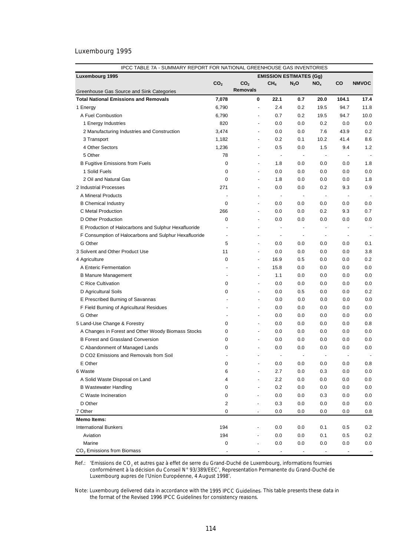| IPCC TABLE 7A - SUMMARY REPORT FOR NATIONAL GREENHOUSE GAS INVENTORIES                    |                          |                                    |                                |                          |                          |                                                                                                                                                                                                                                                                                                                                                                                                                                                     |                          |  |
|-------------------------------------------------------------------------------------------|--------------------------|------------------------------------|--------------------------------|--------------------------|--------------------------|-----------------------------------------------------------------------------------------------------------------------------------------------------------------------------------------------------------------------------------------------------------------------------------------------------------------------------------------------------------------------------------------------------------------------------------------------------|--------------------------|--|
| Luxembourg 1995                                                                           |                          |                                    | <b>EMISSION ESTIMATES (Gg)</b> |                          |                          |                                                                                                                                                                                                                                                                                                                                                                                                                                                     |                          |  |
|                                                                                           | CO <sub>2</sub>          | CO <sub>2</sub><br><b>Removals</b> | CH <sub>4</sub>                | $N_2O$                   | NO <sub>x</sub>          | CO                                                                                                                                                                                                                                                                                                                                                                                                                                                  | <b>NMVOC</b>             |  |
| Greenhouse Gas Source and Sink Categories<br><b>Total National Emissions and Removals</b> | 7,078                    | 0                                  | 22.1                           | 0.7                      | 20.0                     | 104.1                                                                                                                                                                                                                                                                                                                                                                                                                                               | 17.4                     |  |
| 1 Energy                                                                                  | 6,790                    | $\overline{\phantom{a}}$           | 2.4                            | 0.2                      | 19.5                     | 94.7                                                                                                                                                                                                                                                                                                                                                                                                                                                | 11.8                     |  |
| A Fuel Combustion                                                                         | 6,790                    | $\overline{a}$                     | 0.7                            | 0.2                      | 19.5                     | 94.7                                                                                                                                                                                                                                                                                                                                                                                                                                                | 10.0                     |  |
| 1 Energy Industries                                                                       | 820                      | $\overline{a}$                     | 0.0                            | 0.0                      | 0.2                      | 0.0                                                                                                                                                                                                                                                                                                                                                                                                                                                 | 0.0                      |  |
| 2 Manufacturing Industries and Construction                                               | 3,474                    | $\overline{a}$                     | 0.0                            | 0.0                      | 7.6                      | 43.9                                                                                                                                                                                                                                                                                                                                                                                                                                                | 0.2                      |  |
| 3 Transport                                                                               | 1,182                    | $\overline{a}$                     | 0.2                            | 0.1                      | 10.2                     | 41.4                                                                                                                                                                                                                                                                                                                                                                                                                                                | 8.6                      |  |
| 4 Other Sectors                                                                           | 1,236                    | $\overline{a}$                     | 0.5                            | 0.0                      | 1.5                      | 9.4                                                                                                                                                                                                                                                                                                                                                                                                                                                 | 1.2                      |  |
| 5 Other                                                                                   | 78                       | $\overline{\phantom{a}}$           |                                | $\overline{\phantom{a}}$ | $\overline{\phantom{a}}$ | $\overline{\phantom{a}}$                                                                                                                                                                                                                                                                                                                                                                                                                            |                          |  |
| <b>B Fugitive Emissions from Fuels</b>                                                    | 0                        | $\overline{\phantom{a}}$           | 1.8                            | 0.0                      | 0.0                      | 0.0                                                                                                                                                                                                                                                                                                                                                                                                                                                 | 1.8                      |  |
| 1 Solid Fuels                                                                             | 0                        | $\overline{\phantom{a}}$           | 0.0                            | 0.0                      |                          | 0.0                                                                                                                                                                                                                                                                                                                                                                                                                                                 | 0.0                      |  |
| 2 Oil and Natural Gas                                                                     | 0                        | $\overline{\phantom{0}}$           | 1.8                            | 0.0                      | 0.0                      |                                                                                                                                                                                                                                                                                                                                                                                                                                                     | 1.8                      |  |
| 2 Industrial Processes                                                                    | 271                      | $\overline{\phantom{0}}$           |                                |                          | 0.0                      | 0.0                                                                                                                                                                                                                                                                                                                                                                                                                                                 |                          |  |
| A Mineral Products                                                                        |                          |                                    | 0.0                            | 0.0                      | 0.2                      | 9.3                                                                                                                                                                                                                                                                                                                                                                                                                                                 | 0.9                      |  |
|                                                                                           | 0                        | $\overline{\phantom{0}}$           | $\overline{\phantom{a}}$       | $\overline{\phantom{a}}$ | $\overline{\phantom{a}}$ | $\overline{\phantom{a}}$                                                                                                                                                                                                                                                                                                                                                                                                                            |                          |  |
| <b>B Chemical Industry</b>                                                                |                          | $\overline{\phantom{a}}$           | 0.0                            | 0.0                      | 0.0                      | 0.0                                                                                                                                                                                                                                                                                                                                                                                                                                                 | 0.0                      |  |
| C Metal Production                                                                        | 266                      | $\overline{a}$                     | 0.0                            | 0.0                      | 0.2                      | 9.3                                                                                                                                                                                                                                                                                                                                                                                                                                                 | 0.7                      |  |
| D Other Production                                                                        | 0                        | $\overline{\phantom{0}}$           | 0.0                            | 0.0                      | 0.0                      | 0.0                                                                                                                                                                                                                                                                                                                                                                                                                                                 | 0.0                      |  |
| E Production of Halocarbons and Sulphur Hexafluoride                                      |                          | $\overline{\phantom{0}}$           | $\overline{\phantom{a}}$       | $\overline{\phantom{a}}$ | $\overline{\phantom{a}}$ | $\centering \label{eq:reduced} \begin{minipage}{0.5\linewidth} \begin{tabular}{l} \multicolumn{3}{c}{\textbf{1} & \textbf{1} & \textbf{1} & \textbf{1} & \textbf{1} & \textbf{1} & \textbf{1} & \textbf{1} & \textbf{1} & \textbf{1} & \textbf{1} & \textbf{1} & \textbf{1} & \textbf{1} & \textbf{1} & \textbf{1} & \textbf{1} & \textbf{1} & \textbf{1} & \textbf{1} & \textbf{1} & \textbf{1} & \textbf{1} & \textbf{1} & \textbf{1} & \textbf{$ | $\overline{\phantom{a}}$ |  |
| F Consumption of Halocarbons and Sulphur Hexafluoride                                     | $\overline{\phantom{a}}$ |                                    | $\overline{\phantom{a}}$       | $\overline{\phantom{a}}$ | $\overline{\phantom{a}}$ | $\overline{\phantom{a}}$                                                                                                                                                                                                                                                                                                                                                                                                                            | $\overline{\phantom{a}}$ |  |
| G Other                                                                                   | 5                        | $\blacksquare$                     | 0.0                            | 0.0                      | 0.0                      | 0.0                                                                                                                                                                                                                                                                                                                                                                                                                                                 | 0.1                      |  |
| 3 Solvent and Other Product Use                                                           | 11                       | $\blacksquare$                     | 0.0                            | 0.0                      | 0.0                      | 0.0                                                                                                                                                                                                                                                                                                                                                                                                                                                 | 3.8                      |  |
| 4 Agriculture                                                                             | 0                        | $\blacksquare$                     | 16.9                           | 0.5                      | 0.0                      | 0.0                                                                                                                                                                                                                                                                                                                                                                                                                                                 | 0.2                      |  |
| A Enteric Fermentation                                                                    | $\overline{\phantom{0}}$ | $\blacksquare$                     | 15.8                           | 0.0                      | 0.0                      | 0.0                                                                                                                                                                                                                                                                                                                                                                                                                                                 | 0.0                      |  |
| <b>B Manure Management</b>                                                                | $\overline{a}$           | $\overline{\phantom{0}}$           | 1.1                            | 0.0                      | 0.0                      | 0.0                                                                                                                                                                                                                                                                                                                                                                                                                                                 | 0.0                      |  |
| C Rice Cultivation                                                                        | 0                        | $\overline{\phantom{a}}$           | 0.0                            | 0.0                      | 0.0                      | 0.0                                                                                                                                                                                                                                                                                                                                                                                                                                                 | 0.0                      |  |
| D Agricultural Soils                                                                      | 0                        | $\overline{a}$                     | 0.0                            | 0.5                      | 0.0                      | 0.0                                                                                                                                                                                                                                                                                                                                                                                                                                                 | 0.2                      |  |
| E Prescribed Burning of Savannas                                                          |                          | $\overline{\phantom{0}}$           | 0.0                            | 0.0                      | 0.0                      | 0.0                                                                                                                                                                                                                                                                                                                                                                                                                                                 | 0.0                      |  |
| F Field Burning of Agricultural Residues                                                  |                          | $\overline{\phantom{a}}$           | 0.0                            | 0.0                      | 0.0                      | 0.0                                                                                                                                                                                                                                                                                                                                                                                                                                                 | 0.0                      |  |
| G Other                                                                                   | $\overline{a}$           | $\overline{\phantom{0}}$           | 0.0                            | 0.0                      | 0.0                      | 0.0                                                                                                                                                                                                                                                                                                                                                                                                                                                 | 0.0                      |  |
| 5 Land-Use Change & Forestry                                                              | 0                        | $\blacksquare$                     | 0.0                            | 0.0                      | 0.0                      | 0.0                                                                                                                                                                                                                                                                                                                                                                                                                                                 | 0.8                      |  |
| A Changes in Forest and Other Woody Biomass Stocks                                        | 0                        | $\blacksquare$                     | 0.0                            | 0.0                      | 0.0                      | 0.0                                                                                                                                                                                                                                                                                                                                                                                                                                                 | 0.0                      |  |
| <b>B Forest and Grassland Conversion</b>                                                  | 0                        | $\overline{\phantom{a}}$           | 0.0                            | 0.0                      | 0.0                      | 0.0                                                                                                                                                                                                                                                                                                                                                                                                                                                 | 0.0                      |  |
| C Abandonment of Managed Lands                                                            | 0                        | $\overline{\phantom{a}}$           | 0.0                            | 0.0                      | 0.0                      | 0.0                                                                                                                                                                                                                                                                                                                                                                                                                                                 | 0.0                      |  |
| D CO2 Emissions and Removals from Soil                                                    |                          | $\overline{\phantom{a}}$           | ÷,                             | $\overline{\phantom{a}}$ | $\blacksquare$           | $\overline{a}$                                                                                                                                                                                                                                                                                                                                                                                                                                      | $\overline{\phantom{a}}$ |  |
| E Other                                                                                   | 0                        |                                    | 0.0                            | 0.0                      | 0.0                      | 0.0                                                                                                                                                                                                                                                                                                                                                                                                                                                 | 0.8                      |  |
| 6 Waste                                                                                   | 6                        |                                    | 2.7                            | 0.0                      | 0.3                      | 0.0                                                                                                                                                                                                                                                                                                                                                                                                                                                 | 0.0                      |  |
| A Solid Waste Disposal on Land                                                            | 4                        |                                    | 2.2                            | 0.0                      | 0.0                      | 0.0                                                                                                                                                                                                                                                                                                                                                                                                                                                 | 0.0                      |  |
| <b>B Wastewater Handling</b>                                                              | 0                        |                                    | 0.2                            | 0.0                      | 0.0                      | 0.0                                                                                                                                                                                                                                                                                                                                                                                                                                                 | 0.0                      |  |
| C Waste Incineration                                                                      | 0                        |                                    | 0.0                            | 0.0                      | 0.3                      | 0.0                                                                                                                                                                                                                                                                                                                                                                                                                                                 | 0.0                      |  |
| D Other                                                                                   | 2                        |                                    | 0.3                            | 0.0                      | 0.0                      | 0.0                                                                                                                                                                                                                                                                                                                                                                                                                                                 | 0.0                      |  |
| 7 Other                                                                                   | 0                        |                                    | 0.0                            | 0.0                      | 0.0                      | 0.0                                                                                                                                                                                                                                                                                                                                                                                                                                                 | 0.8                      |  |
| <b>Memo Items:</b>                                                                        |                          |                                    |                                |                          |                          |                                                                                                                                                                                                                                                                                                                                                                                                                                                     |                          |  |
| <b>International Bunkers</b>                                                              | 194                      |                                    | 0.0                            | 0.0                      | 0.1                      | 0.5                                                                                                                                                                                                                                                                                                                                                                                                                                                 | 0.2                      |  |
| Aviation                                                                                  | 194                      |                                    | 0.0                            | 0.0                      | 0.1                      | 0.5                                                                                                                                                                                                                                                                                                                                                                                                                                                 | 0.2                      |  |
| Marine                                                                                    | 0                        |                                    | 0.0                            | 0.0                      | 0.0                      | 0.0                                                                                                                                                                                                                                                                                                                                                                                                                                                 | 0.0                      |  |
| $CO2$ Emissions from Biomass                                                              |                          |                                    |                                |                          |                          |                                                                                                                                                                                                                                                                                                                                                                                                                                                     |                          |  |

Ref.: 'Emissions de CO<sub>2</sub> et autres gaz à effet de serre du Grand-Duché de Luxembourg, informations fournies *conformément à la décision du Conseil N° 93/389/EEC*', Representation Permanente du Grand-Duché de Luxembourg aupres de l'Union Européenne, 4 August 1998'.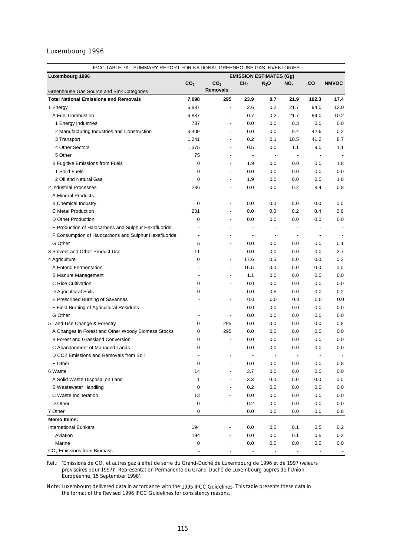| IPCC TABLE 7A - SUMMARY REPORT FOR NATIONAL GREENHOUSE GAS INVENTORIES |                 |                          |                                |                          |                                 |                          |              |  |  |
|------------------------------------------------------------------------|-----------------|--------------------------|--------------------------------|--------------------------|---------------------------------|--------------------------|--------------|--|--|
| Luxembourg 1996                                                        |                 |                          | <b>EMISSION ESTIMATES (Gg)</b> |                          |                                 |                          |              |  |  |
|                                                                        | CO <sub>2</sub> | CO <sub>2</sub>          | CH <sub>4</sub>                | $N_2$ O                  | NO <sub>x</sub>                 | CO                       | <b>NMVOC</b> |  |  |
| Greenhouse Gas Source and Sink Categories                              |                 | Removals                 |                                |                          |                                 |                          |              |  |  |
| <b>Total National Emissions and Removals</b>                           | 7,098           | 295                      | 23.9                           | 0.7                      | 21.9                            | 102.3                    | 17.4         |  |  |
| 1 Energy                                                               | 6,837           | $\frac{1}{2}$            | 2.6                            | 0.2                      | 21.7                            | 94.0                     | 12.0         |  |  |
| A Fuel Combustion                                                      | 6,837           |                          | 0.7                            | 0.2                      | 21.7                            | 94.0                     | 10.2         |  |  |
| 1 Energy Industries                                                    | 737             | $\overline{\phantom{a}}$ | 0.0                            | 0.0                      | 0.3                             | 0.0                      | 0.0          |  |  |
| 2 Manufacturing Industries and Construction                            | 3,409           | $\overline{\phantom{a}}$ | 0.0                            | 0.0                      | 9.4                             | 42.6                     | 0.2          |  |  |
| 3 Transport                                                            | 1,241           | $\overline{\phantom{a}}$ | 0.2                            | 0.1                      | 10.5                            | 41.2                     | 8.7          |  |  |
| 4 Other Sectors                                                        | 1,375           | $\overline{\phantom{a}}$ | 0.5                            | 0.0                      | 1.1                             | 9.0                      | 1.1          |  |  |
| 5 Other                                                                | 75              | $\overline{\phantom{a}}$ | $\overline{\phantom{a}}$       | $\overline{\phantom{a}}$ | $\centering \label{eq:reduced}$ |                          |              |  |  |
| <b>B Fugitive Emissions from Fuels</b>                                 | 0               | $\overline{\phantom{a}}$ | 1.9                            | 0.0                      | 0.0                             | 0.0                      | 1.8          |  |  |
| 1 Solid Fuels                                                          | $\mathbf 0$     | $\overline{\phantom{a}}$ | 0.0                            | 0.0                      | 0.0                             | 0.0                      | 0.0          |  |  |
| 2 Oil and Natural Gas                                                  | 0               | $\overline{\phantom{a}}$ | 1.9                            | 0.0                      | 0.0                             | 0.0                      | 1.8          |  |  |
| 2 Industrial Processes                                                 | 236             | $\overline{\phantom{a}}$ | 0.0                            | 0.0                      | 0.2                             | 8.4                      | 0.8          |  |  |
| A Mineral Products                                                     |                 | $\overline{\phantom{a}}$ | $\overline{\phantom{a}}$       | $\overline{\phantom{a}}$ | $\overline{\phantom{a}}$        | $\overline{\phantom{a}}$ |              |  |  |
| <b>B</b> Chemical Industry                                             | 0               |                          | 0.0                            | 0.0                      | 0.0                             | 0.0                      | 0.0          |  |  |
| C Metal Production                                                     | 231             |                          | 0.0                            | 0.0                      | 0.2                             | 8.4                      | 0.6          |  |  |
| D Other Production                                                     | 0               | $\overline{\phantom{a}}$ | 0.0                            | 0.0                      | 0.0                             | 0.0                      | 0.0          |  |  |
| E Production of Halocarbons and Sulphur Hexafluoride                   |                 | $\overline{\phantom{a}}$ | ÷,                             | $\overline{a}$           | $\overline{a}$                  | $\overline{a}$           |              |  |  |
| F Consumption of Halocarbons and Sulphur Hexafluoride                  | ÷,              | $\overline{\phantom{0}}$ | $\overline{\phantom{a}}$       | $\overline{\phantom{a}}$ | $\overline{\phantom{a}}$        | $\overline{\phantom{a}}$ |              |  |  |
| G Other                                                                | 5               | $\overline{\phantom{a}}$ | 0.0                            | 0.0                      | 0.0                             | 0.0                      | 0.1          |  |  |
| 3 Solvent and Other Product Use                                        | 11              | $\blacksquare$           | 0.0                            | 0.0                      | 0.0                             | 0.0                      | 3.7          |  |  |
| 4 Agriculture                                                          | 0               | $\overline{\phantom{a}}$ | 17.6                           | 0.5                      | 0.0                             | 0.0                      | 0.2          |  |  |
| A Enteric Fermentation                                                 |                 | $\overline{a}$           | 16.5                           | 0.0                      | 0.0                             | 0.0                      | 0.0          |  |  |
| <b>B Manure Management</b>                                             |                 | $\overline{\phantom{a}}$ | 1.1                            | 0.0                      | 0.0                             | 0.0                      | 0.0          |  |  |
| C Rice Cultivation                                                     | 0               | $\overline{\phantom{a}}$ | 0.0                            | 0.0                      | 0.0                             | 0.0                      | 0.0          |  |  |
| D Agricultural Soils                                                   | 0               | $\overline{a}$           | 0.0                            | 0.5                      | 0.0                             | 0.0                      | 0.2          |  |  |
| E Prescribed Burning of Savannas                                       |                 | ÷,                       | 0.0                            | 0.0                      | 0.0                             | 0.0                      | 0.0          |  |  |
| F Field Burning of Agricultural Residues                               |                 | $\overline{a}$           | 0.0                            | 0.0                      | 0.0                             | 0.0                      | 0.0          |  |  |
| G Other                                                                |                 | $\overline{a}$           | 0.0                            | 0.0                      | 0.0                             | 0.0                      | 0.0          |  |  |
| 5 Land-Use Change & Forestry                                           | 0               | 295                      | 0.0                            | 0.0                      | 0.0                             | 0.0                      | 0.8          |  |  |
| A Changes in Forest and Other Woody Biomass Stocks                     | 0               | 295                      | 0.0                            | 0.0                      | 0.0                             | 0.0                      | 0.0          |  |  |
| <b>B Forest and Grassland Conversion</b>                               | 0               | $\overline{a}$           | 0.0                            | 0.0                      | 0.0                             | 0.0                      | 0.0          |  |  |
| C Abandonment of Managed Lands                                         | 0               | $\overline{\phantom{a}}$ | 0.0                            | 0.0                      | 0.0                             | 0.0                      | 0.0          |  |  |
| D CO2 Emissions and Removals from Soil                                 |                 | $\overline{a}$           | $\overline{\phantom{a}}$       | $\blacksquare$           | $\blacksquare$                  | $\overline{\phantom{a}}$ |              |  |  |
| E Other                                                                | 0               |                          | 0.0                            | 0.0                      | 0.0                             | 0.0                      | $0.8\,$      |  |  |
|                                                                        |                 |                          |                                |                          |                                 |                          |              |  |  |
| 6 Waste                                                                | 14              |                          | 3.7                            | 0.0                      | 0.0                             | 0.0                      | $0.0\,$      |  |  |
| A Solid Waste Disposal on Land                                         | 1               |                          | 3.3                            | 0.0                      | 0.0                             | 0.0                      | 0.0          |  |  |
| <b>B Wastewater Handling</b>                                           | 0               |                          | 0.2                            | 0.0                      | 0.0                             | 0.0                      | 0.0          |  |  |
| C Waste Incineration                                                   | 13              |                          | 0.0                            | 0.0                      | 0.0                             | 0.0                      | 0.0          |  |  |
| D Other                                                                | 0               |                          | 0.2                            | 0.0                      | 0.0                             | 0.0                      | 0.0          |  |  |
| 7 Other                                                                | 0               |                          | 0.0                            | 0.0                      | 0.0                             | 0.0                      | 0.8          |  |  |
| <b>Memo Items:</b>                                                     |                 |                          |                                |                          |                                 |                          |              |  |  |
| <b>International Bunkers</b>                                           | 194             |                          | 0.0                            | 0.0                      | 0.1                             | 0.5                      | 0.2          |  |  |
| Aviation                                                               | 194             |                          | 0.0                            | 0.0                      | 0.1                             | 0.5                      | 0.2          |  |  |
| Marine                                                                 | 0               |                          | 0.0                            | 0.0                      | 0.0                             | 0.0                      | 0.0          |  |  |
| CO <sub>2</sub> Emissions from Biomass                                 |                 |                          |                                |                          |                                 |                          |              |  |  |

Ref.: '*Emissions de CO<sub>2</sub> et autres gaz à effet de serre du Grand-Duché de Luxembourg de 1996 et de 1997 (valeurs provisoires pour 1997)*', Representation Permanente du Grand-Duché de Luxembourg aupres de l'Union Européenne, 15 September 1998'.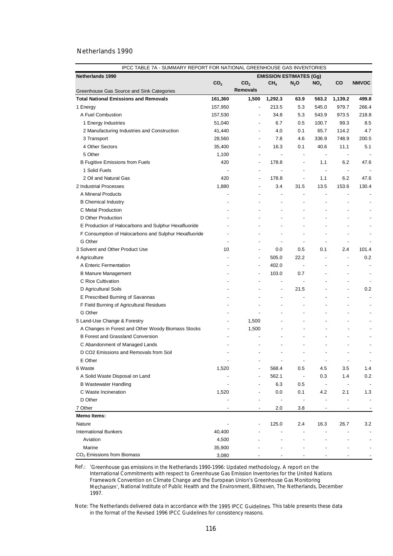| IPCC TABLE 7A - SUMMARY REPORT FOR NATIONAL GREENHOUSE GAS INVENTORIES |                 |                          |                                |                          |                                 |                          |              |  |  |
|------------------------------------------------------------------------|-----------------|--------------------------|--------------------------------|--------------------------|---------------------------------|--------------------------|--------------|--|--|
| <b>Netherlands 1990</b>                                                |                 |                          | <b>EMISSION ESTIMATES (Gg)</b> |                          |                                 |                          |              |  |  |
|                                                                        | CO <sub>2</sub> | CO <sub>2</sub>          | CH <sub>4</sub>                | $N_2$ O                  | NO <sub>x</sub>                 | co                       | <b>NMVOC</b> |  |  |
| Greenhouse Gas Source and Sink Categories                              |                 | <b>Removals</b>          |                                |                          |                                 |                          |              |  |  |
| <b>Total National Emissions and Removals</b>                           | 161,360         | 1,500                    | 1,292.3                        | 63.9                     | 563.2                           | 1,139.2                  | 499.8        |  |  |
| 1 Energy                                                               | 157,950         | $\blacksquare$           | 213.5                          | 5.3                      | 545.0                           | 979.7                    | 266.4        |  |  |
| A Fuel Combustion                                                      | 157,530         | $\overline{a}$           | 34.8                           | 5.3                      | 543.9                           | 973.5                    | 218.8        |  |  |
| 1 Energy Industries                                                    | 51,040          | $\overline{a}$           | 6.7                            | 0.5                      | 100.7                           | 99.3                     | 8.5          |  |  |
| 2 Manufacturing Industries and Construction                            | 41,440          | $\overline{a}$           | 4.0                            | 0.1                      | 65.7                            | 114.2                    | 4.7          |  |  |
| 3 Transport                                                            | 28,560          | $\overline{a}$           | 7.8                            | 4.6                      | 336.9                           | 748.9                    | 200.5        |  |  |
| 4 Other Sectors                                                        | 35,400          | $\overline{a}$           | 16.3                           | 0.1                      | 40.6                            | 11.1                     | 5.1          |  |  |
| 5 Other                                                                | 1,100           | ÷,                       | $\overline{\phantom{a}}$       | $\overline{\phantom{a}}$ | $\overline{\phantom{a}}$        | $\overline{\phantom{a}}$ |              |  |  |
| <b>B Fugitive Emissions from Fuels</b>                                 | 420             | $\overline{\phantom{a}}$ | 178.8                          | ÷,                       | 1.1                             | 6.2                      | 47.6         |  |  |
| 1 Solid Fuels                                                          |                 | $\overline{a}$           | $\overline{\phantom{a}}$       | $\overline{a}$           | $\overline{\phantom{a}}$        | $\overline{\phantom{a}}$ |              |  |  |
| 2 Oil and Natural Gas                                                  | 420             | ÷,                       | 178.8                          | L,                       | 1.1                             | 6.2                      | 47.6         |  |  |
| 2 Industrial Processes                                                 | 1,880           | ÷,                       | 3.4                            | 31.5                     | 13.5                            | 153.6                    | 130.4        |  |  |
| A Mineral Products                                                     |                 |                          | L,                             | L,                       | $\centering \label{eq:reduced}$ |                          |              |  |  |
| <b>B</b> Chemical Industry                                             |                 |                          | L,                             |                          |                                 |                          |              |  |  |
| C Metal Production                                                     |                 |                          | L,                             |                          |                                 |                          |              |  |  |
| D Other Production                                                     |                 |                          |                                |                          |                                 |                          |              |  |  |
| E Production of Halocarbons and Sulphur Hexafluoride                   |                 |                          |                                |                          |                                 |                          |              |  |  |
| F Consumption of Halocarbons and Sulphur Hexafluoride                  |                 |                          |                                |                          |                                 |                          |              |  |  |
| G Other                                                                |                 |                          |                                | $\overline{\phantom{a}}$ |                                 |                          |              |  |  |
| 3 Solvent and Other Product Use                                        | 10              | $\overline{\phantom{a}}$ | 0.0                            | 0.5                      | 0.1                             | 2.4                      | 101.4        |  |  |
| 4 Agriculture                                                          |                 | $\blacksquare$           | 505.0                          | 22.2                     | ÷,                              | $\overline{\phantom{a}}$ | 0.2          |  |  |
| A Enteric Fermentation                                                 |                 | $\overline{a}$           | 402.0                          | $\overline{\phantom{a}}$ |                                 |                          |              |  |  |
| <b>B Manure Management</b>                                             |                 | ÷,                       | 103.0                          | 0.7                      |                                 |                          |              |  |  |
| C Rice Cultivation                                                     |                 |                          | ÷,                             |                          |                                 |                          |              |  |  |
| D Agricultural Soils                                                   |                 |                          | ÷,                             | 21.5                     |                                 |                          | 0.2          |  |  |
| E Prescribed Burning of Savannas                                       |                 |                          | ÷,                             | L,                       |                                 |                          |              |  |  |
| F Field Burning of Agricultural Residues                               |                 |                          | $\overline{a}$                 |                          |                                 |                          |              |  |  |
| G Other                                                                |                 |                          |                                | ÷,                       |                                 |                          |              |  |  |
| 5 Land-Use Change & Forestry                                           |                 | 1,500                    |                                |                          |                                 |                          |              |  |  |
| A Changes in Forest and Other Woody Biomass Stocks                     |                 | 1,500                    |                                |                          |                                 |                          |              |  |  |
| <b>B Forest and Grassland Conversion</b>                               |                 |                          |                                |                          |                                 |                          |              |  |  |
| C Abandonment of Managed Lands                                         |                 |                          |                                |                          |                                 |                          |              |  |  |
| D CO2 Emissions and Removals from Soil                                 |                 |                          |                                |                          |                                 |                          |              |  |  |
| E Other                                                                |                 |                          |                                |                          |                                 |                          |              |  |  |
| 6 Waste                                                                | 1,520           |                          | 568.4                          | 0.5                      | 4.5                             | 3.5                      | 1.4          |  |  |
| A Solid Waste Disposal on Land                                         |                 |                          | 562.1                          | $\overline{\phantom{a}}$ | 0.3                             | 1.4                      | 0.2          |  |  |
| <b>B Wastewater Handling</b>                                           |                 |                          | 6.3                            | 0.5                      |                                 |                          |              |  |  |
| C Waste Incineration                                                   | 1,520           |                          | 0.0                            | 0.1                      | 4.2                             | 2.1                      | 1.3          |  |  |
| D Other                                                                |                 |                          |                                |                          |                                 |                          |              |  |  |
| 7 Other                                                                |                 |                          | 2.0                            | 3.8                      |                                 |                          |              |  |  |
| <b>Memo Items:</b>                                                     |                 |                          |                                |                          |                                 |                          |              |  |  |
| Nature                                                                 |                 |                          | 125.0                          | 2.4                      | 16.3                            | 26.7                     | 3.2          |  |  |
| <b>International Bunkers</b>                                           | 40,400          |                          |                                |                          |                                 |                          |              |  |  |
| Aviation                                                               | 4,500           |                          |                                |                          |                                 |                          |              |  |  |
| Marine                                                                 | 35,900          |                          |                                |                          |                                 |                          |              |  |  |
| CO <sub>2</sub> Emissions from Biomass                                 | 3,080           |                          |                                |                          |                                 |                          |              |  |  |

Ref.: '*Greenhouse gas emissions in the Netherlands 1990-1996: Updated methodology. A report on the International Commitments with respect to Greenhouse Gas Emission Inventories for the United Nations Framework Convention on Climate Change and the European Union's Greenhouse Gas Monitoring Mechanism',* National Institute of Public Health and the Environment, Bilthoven, The Netherlands, December 1997.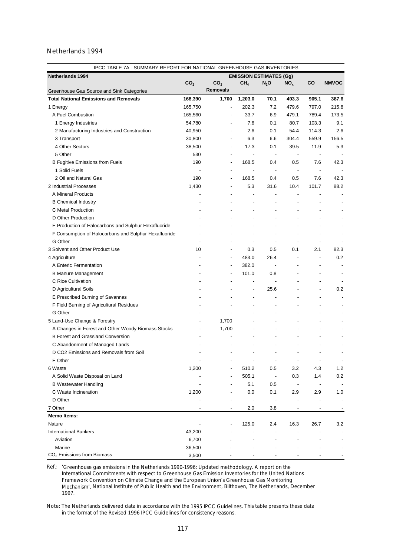| IPCC TABLE 7A - SUMMARY REPORT FOR NATIONAL GREENHOUSE GAS INVENTORIES |                 |                          |                                |                          |                          |                          |                          |  |
|------------------------------------------------------------------------|-----------------|--------------------------|--------------------------------|--------------------------|--------------------------|--------------------------|--------------------------|--|
| <b>Netherlands 1994</b>                                                |                 |                          | <b>EMISSION ESTIMATES (Gg)</b> |                          |                          |                          |                          |  |
|                                                                        | CO <sub>2</sub> | CO <sub>2</sub>          | CH <sub>4</sub>                | $N_2$ O                  | NO <sub>x</sub>          | <b>CO</b>                | <b>NMVOC</b>             |  |
| Greenhouse Gas Source and Sink Categories                              |                 | <b>Removals</b>          |                                |                          |                          |                          |                          |  |
| <b>Total National Emissions and Removals</b>                           | 168,390         | 1,700                    | 1,203.0                        | 70.1                     | 493.3                    | 905.1                    | 387.6                    |  |
| 1 Energy                                                               | 165,750         |                          | 202.3                          | 7.2                      | 479.6                    | 797.0                    | 215.8                    |  |
| A Fuel Combustion                                                      | 165,560         |                          | 33.7                           | 6.9                      | 479.1                    | 789.4                    | 173.5                    |  |
| 1 Energy Industries                                                    | 54,780          |                          | 7.6                            | 0.1                      | 80.7                     | 103.3                    | 9.1                      |  |
| 2 Manufacturing Industries and Construction                            | 40,950          |                          | 2.6                            | 0.1                      | 54.4                     | 114.3                    | 2.6                      |  |
| 3 Transport                                                            | 30,800          |                          | 6.3                            | 6.6                      | 304.4                    | 559.9                    | 156.5                    |  |
| 4 Other Sectors                                                        | 38,500          | ÷,                       | 17.3                           | 0.1                      | 39.5                     | 11.9                     | 5.3                      |  |
| 5 Other                                                                | 530             |                          |                                | $\overline{\phantom{a}}$ | $\overline{\phantom{a}}$ |                          |                          |  |
| <b>B Fugitive Emissions from Fuels</b>                                 | 190             | $\overline{\phantom{a}}$ | 168.5                          | 0.4                      | 0.5                      | 7.6                      | 42.3                     |  |
| 1 Solid Fuels                                                          |                 |                          | $\overline{\phantom{a}}$       | $\overline{\phantom{a}}$ | $\overline{\phantom{a}}$ | $\overline{\phantom{a}}$ |                          |  |
| 2 Oil and Natural Gas                                                  | 190             |                          | 168.5                          | 0.4                      | 0.5                      | 7.6                      | 42.3                     |  |
| 2 Industrial Processes                                                 | 1,430           |                          | 5.3                            | 31.6                     | 10.4                     | 101.7                    | 88.2                     |  |
| A Mineral Products                                                     |                 |                          |                                |                          |                          |                          |                          |  |
| <b>B</b> Chemical Industry                                             |                 |                          |                                |                          |                          |                          |                          |  |
| C Metal Production                                                     |                 |                          |                                |                          |                          |                          |                          |  |
| D Other Production                                                     |                 |                          |                                |                          |                          |                          |                          |  |
| E Production of Halocarbons and Sulphur Hexafluoride                   |                 |                          |                                |                          |                          |                          |                          |  |
| F Consumption of Halocarbons and Sulphur Hexafluoride                  |                 |                          |                                |                          |                          |                          |                          |  |
| G Other                                                                |                 |                          |                                | ÷,                       |                          |                          |                          |  |
| 3 Solvent and Other Product Use                                        | 10              |                          | 0.3                            | 0.5                      | 0.1                      | 2.1                      | 82.3                     |  |
| 4 Agriculture                                                          |                 |                          | 483.0                          | 26.4                     |                          |                          | 0.2                      |  |
| A Enteric Fermentation                                                 |                 |                          | 382.0                          | $\overline{\phantom{a}}$ |                          |                          |                          |  |
| <b>B Manure Management</b>                                             |                 |                          | 101.0                          | 0.8                      |                          |                          |                          |  |
| C Rice Cultivation                                                     |                 |                          |                                |                          |                          |                          |                          |  |
| D Agricultural Soils                                                   |                 |                          |                                | 25.6                     |                          |                          | 0.2                      |  |
| E Prescribed Burning of Savannas                                       |                 |                          | L                              |                          |                          |                          |                          |  |
| F Field Burning of Agricultural Residues                               |                 |                          |                                |                          |                          |                          |                          |  |
| G Other                                                                |                 |                          |                                |                          |                          |                          |                          |  |
| 5 Land-Use Change & Forestry                                           |                 | 1,700                    |                                |                          |                          |                          |                          |  |
| A Changes in Forest and Other Woody Biomass Stocks                     |                 | 1,700                    |                                |                          |                          |                          |                          |  |
| <b>B Forest and Grassland Conversion</b>                               |                 |                          |                                |                          |                          |                          |                          |  |
| C Abandonment of Managed Lands                                         |                 |                          |                                |                          |                          |                          |                          |  |
| D CO2 Emissions and Removals from Soil                                 |                 |                          |                                |                          |                          |                          |                          |  |
| E Other                                                                |                 |                          |                                | $\overline{\phantom{a}}$ | $\overline{\phantom{a}}$ | $\overline{\phantom{a}}$ | $\overline{\phantom{a}}$ |  |
| 6 Waste                                                                | 1,200           |                          | 510.2                          | 0.5                      | 3.2                      | 4.3                      | 1.2                      |  |
| A Solid Waste Disposal on Land                                         |                 |                          | 505.1                          | $\overline{\phantom{a}}$ | 0.3                      | 1.4                      | 0.2                      |  |
| <b>B Wastewater Handling</b>                                           |                 |                          | 5.1                            | 0.5                      | $\overline{\phantom{m}}$ |                          |                          |  |
| C Waste Incineration                                                   | 1,200           |                          | 0.0                            | 0.1                      | 2.9                      | 2.9                      | 1.0                      |  |
| D Other                                                                |                 |                          |                                |                          |                          |                          |                          |  |
| 7 Other                                                                |                 |                          | 2.0                            | 3.8                      |                          |                          |                          |  |
| <b>Memo Items:</b>                                                     |                 |                          |                                |                          |                          |                          |                          |  |
| Nature                                                                 |                 |                          | 125.0                          | 2.4                      | 16.3                     | 26.7                     | 3.2                      |  |
| <b>International Bunkers</b>                                           | 43,200          |                          |                                |                          |                          |                          |                          |  |
| Aviation                                                               | 6,700           |                          |                                |                          |                          |                          |                          |  |
| Marine                                                                 | 36,500          |                          |                                |                          |                          |                          |                          |  |
| CO <sub>2</sub> Emissions from Biomass                                 | 3,500           |                          |                                |                          |                          |                          |                          |  |

Ref.: '*Greenhouse gas emissions in the Netherlands 1990-1996: Updated methodology. A report on the International Commitments with respect to Greenhouse Gas Emission Inventories for the United Nations Framework Convention on Climate Change and the European Union's Greenhouse Gas Monitoring Mechanism',* National Institute of Public Health and the Environment, Bilthoven, The Netherlands, December 1997.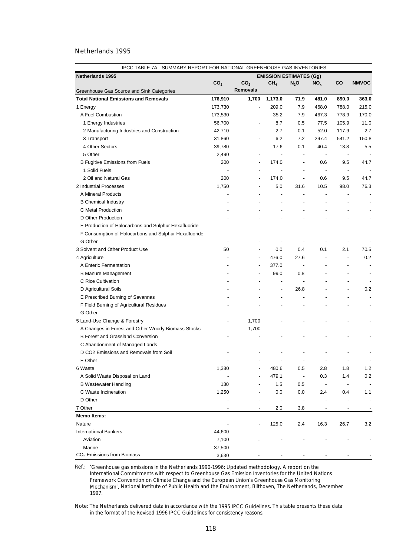|                                                       | IPCC TABLE 7A - SUMMARY REPORT FOR NATIONAL GREENHOUSE GAS INVENTORIES |                          |                                |                          |                |                          |                          |  |  |
|-------------------------------------------------------|------------------------------------------------------------------------|--------------------------|--------------------------------|--------------------------|----------------|--------------------------|--------------------------|--|--|
| <b>Netherlands 1995</b>                               |                                                                        |                          | <b>EMISSION ESTIMATES (Gg)</b> |                          |                |                          |                          |  |  |
|                                                       | CO <sub>2</sub>                                                        | CO <sub>2</sub>          | CH <sub>4</sub>                | $N_2$ O                  | $NO_{x}$       | co                       | <b>NMVOC</b>             |  |  |
| Greenhouse Gas Source and Sink Categories             |                                                                        | <b>Removals</b>          |                                |                          |                |                          |                          |  |  |
| <b>Total National Emissions and Removals</b>          | 176,910                                                                | 1,700                    | 1,173.0                        | 71.9                     | 481.0          | 890.0                    | 363.0                    |  |  |
| 1 Energy                                              | 173,730                                                                | ÷,                       | 209.0                          | 7.9                      | 468.0          | 788.0                    | 215.0                    |  |  |
| A Fuel Combustion                                     | 173,530                                                                | $\overline{\phantom{a}}$ | 35.2                           | 7.9                      | 467.3          | 778.9                    | 170.0                    |  |  |
| 1 Energy Industries                                   | 56,700                                                                 | $\overline{a}$           | 8.7                            | 0.5                      | 77.5           | 105.9                    | 11.0                     |  |  |
| 2 Manufacturing Industries and Construction           | 42,710                                                                 | $\overline{a}$           | 2.7                            | 0.1                      | 52.0           | 117.9                    | 2.7                      |  |  |
| 3 Transport                                           | 31,860                                                                 | ÷,                       | 6.2                            | 7.2                      | 297.4          | 541.2                    | 150.8                    |  |  |
| 4 Other Sectors                                       | 39,780                                                                 | ÷,                       | 17.6                           | 0.1                      | 40.4           | 13.8                     | 5.5                      |  |  |
| 5 Other                                               | 2,490                                                                  | $\overline{a}$           | $\overline{\phantom{a}}$       | $\overline{\phantom{a}}$ | $\blacksquare$ | $\overline{\phantom{a}}$ |                          |  |  |
| <b>B Fugitive Emissions from Fuels</b>                | 200                                                                    | ÷,                       | 174.0                          | $\overline{\phantom{a}}$ | 0.6            | 9.5                      | 44.7                     |  |  |
| 1 Solid Fuels                                         |                                                                        | $\overline{a}$           |                                | $\overline{\phantom{a}}$ | $\blacksquare$ | $\overline{\phantom{a}}$ |                          |  |  |
| 2 Oil and Natural Gas                                 | 200                                                                    | ÷,                       | 174.0                          | $\overline{a}$           | 0.6            | 9.5                      | 44.7                     |  |  |
| 2 Industrial Processes                                | 1,750                                                                  | ÷,                       | 5.0                            | 31.6                     | 10.5           | 98.0                     | 76.3                     |  |  |
| A Mineral Products                                    |                                                                        |                          | $\overline{a}$                 | $\overline{a}$           |                |                          |                          |  |  |
| <b>B</b> Chemical Industry                            |                                                                        |                          | ÷,                             |                          |                |                          |                          |  |  |
| C Metal Production                                    |                                                                        |                          |                                |                          |                |                          |                          |  |  |
| D Other Production                                    |                                                                        |                          |                                |                          |                |                          |                          |  |  |
| E Production of Halocarbons and Sulphur Hexafluoride  |                                                                        |                          |                                |                          |                |                          |                          |  |  |
| F Consumption of Halocarbons and Sulphur Hexafluoride |                                                                        |                          |                                |                          |                |                          |                          |  |  |
| G Other                                               |                                                                        |                          |                                | ÷,                       | ÷,             |                          |                          |  |  |
| 3 Solvent and Other Product Use                       | 50                                                                     | ÷,                       | 0.0                            | 0.4                      | 0.1            | 2.1                      | 70.5                     |  |  |
| 4 Agriculture                                         |                                                                        | $\overline{\phantom{a}}$ | 476.0                          | 27.6                     | ÷,             | $\blacksquare$           | 0.2                      |  |  |
| A Enteric Fermentation                                |                                                                        | $\overline{a}$           | 377.0                          | $\overline{\phantom{a}}$ |                |                          |                          |  |  |
| <b>B Manure Management</b>                            |                                                                        |                          | 99.0                           | 0.8                      |                |                          | $\overline{\phantom{a}}$ |  |  |
| C Rice Cultivation                                    |                                                                        |                          | $\overline{a}$                 | $\overline{a}$           |                |                          |                          |  |  |
| D Agricultural Soils                                  |                                                                        |                          | $\overline{a}$                 | 26.8                     |                |                          | 0.2                      |  |  |
| E Prescribed Burning of Savannas                      |                                                                        |                          | ÷,                             | L,                       |                |                          |                          |  |  |
| F Field Burning of Agricultural Residues              |                                                                        |                          | ÷,                             |                          |                |                          |                          |  |  |
| G Other                                               |                                                                        |                          |                                |                          |                |                          |                          |  |  |
| 5 Land-Use Change & Forestry                          |                                                                        | 1,700                    |                                |                          |                |                          |                          |  |  |
| A Changes in Forest and Other Woody Biomass Stocks    |                                                                        | 1,700                    |                                |                          | ÷,             |                          |                          |  |  |
| <b>B Forest and Grassland Conversion</b>              |                                                                        |                          |                                |                          |                |                          |                          |  |  |
| C Abandonment of Managed Lands                        |                                                                        |                          |                                |                          |                |                          |                          |  |  |
| D CO2 Emissions and Removals from Soil                |                                                                        |                          |                                |                          |                |                          |                          |  |  |
| E Other                                               |                                                                        |                          |                                |                          |                |                          |                          |  |  |
| 6 Waste                                               | 1,380                                                                  |                          | 480.6                          | 0.5                      | 2.8            | 1.8                      | 1.2                      |  |  |
| A Solid Waste Disposal on Land                        |                                                                        |                          | 479.1                          | $\overline{\phantom{a}}$ | 0.3            | 1.4                      | 0.2                      |  |  |
| <b>B Wastewater Handling</b>                          | 130                                                                    |                          | 1.5                            | 0.5                      |                |                          |                          |  |  |
| C Waste Incineration                                  | 1,250                                                                  |                          | 0.0                            | 0.0                      | 2.4            | 0.4                      | 1.1                      |  |  |
| D Other                                               |                                                                        |                          |                                | $\overline{\phantom{a}}$ |                |                          | $\overline{\phantom{a}}$ |  |  |
| 7 Other                                               |                                                                        |                          | 2.0                            | 3.8                      |                |                          |                          |  |  |
| <b>Memo Items:</b>                                    |                                                                        |                          |                                |                          |                |                          |                          |  |  |
| Nature                                                |                                                                        |                          | 125.0                          | 2.4                      | 16.3           | 26.7                     | 3.2                      |  |  |
| <b>International Bunkers</b>                          | 44,600                                                                 |                          |                                |                          |                |                          |                          |  |  |
| Aviation                                              | 7,100                                                                  |                          |                                |                          |                |                          |                          |  |  |
| Marine                                                | 37,500                                                                 |                          |                                |                          |                |                          |                          |  |  |
| CO <sub>2</sub> Emissions from Biomass                | 3,630                                                                  |                          |                                |                          |                |                          |                          |  |  |

Ref.: '*Greenhouse gas emissions in the Netherlands 1990-1996: Updated methodology. A report on the International Commitments with respect to Greenhouse Gas Emission Inventories for the United Nations Framework Convention on Climate Change and the European Union's Greenhouse Gas Monitoring Mechanism',* National Institute of Public Health and the Environment, Bilthoven, The Netherlands, December 1997.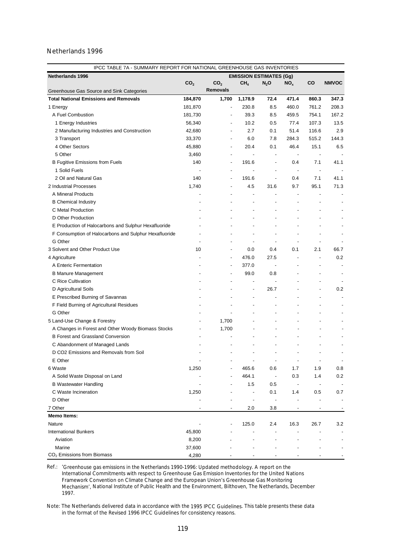| IPCC TABLE 7A - SUMMARY REPORT FOR NATIONAL GREENHOUSE GAS INVENTORIES |                 |                          |                                |                          |                          |                                                                                                                                                                                                                            |                          |  |
|------------------------------------------------------------------------|-----------------|--------------------------|--------------------------------|--------------------------|--------------------------|----------------------------------------------------------------------------------------------------------------------------------------------------------------------------------------------------------------------------|--------------------------|--|
| <b>Netherlands 1996</b>                                                |                 |                          | <b>EMISSION ESTIMATES (Gg)</b> |                          |                          |                                                                                                                                                                                                                            |                          |  |
|                                                                        | CO <sub>2</sub> | CO <sub>2</sub>          | CH <sub>4</sub>                | $N_2$ O                  | NO <sub>x</sub>          | <b>CO</b>                                                                                                                                                                                                                  | <b>NMVOC</b>             |  |
| Greenhouse Gas Source and Sink Categories                              |                 | <b>Removals</b>          |                                |                          |                          |                                                                                                                                                                                                                            |                          |  |
| <b>Total National Emissions and Removals</b>                           | 184,870         | 1,700                    | 1,178.9                        | 72.4                     | 471.4                    | 860.3                                                                                                                                                                                                                      | 347.3                    |  |
| 1 Energy                                                               | 181,870         | ÷,                       | 230.8                          | 8.5                      | 460.0                    | 761.2                                                                                                                                                                                                                      | 208.3                    |  |
| A Fuel Combustion                                                      | 181,730         |                          | 39.3                           | 8.5                      | 459.5                    | 754.1                                                                                                                                                                                                                      | 167.2                    |  |
| 1 Energy Industries                                                    | 56,340          |                          | 10.2                           | 0.5                      | 77.4                     | 107.3                                                                                                                                                                                                                      | 13.5                     |  |
| 2 Manufacturing Industries and Construction                            | 42,680          |                          | 2.7                            | 0.1                      | 51.4                     | 116.6                                                                                                                                                                                                                      | 2.9                      |  |
| 3 Transport                                                            | 33,370          |                          | 6.0                            | 7.8                      | 284.3                    | 515.2                                                                                                                                                                                                                      | 144.3                    |  |
| 4 Other Sectors                                                        | 45,880          | ÷,                       | 20.4                           | 0.1                      | 46.4                     | 15.1                                                                                                                                                                                                                       | 6.5                      |  |
| 5 Other                                                                | 3,460           |                          |                                | $\overline{a}$           | $\overline{\phantom{a}}$ |                                                                                                                                                                                                                            |                          |  |
| <b>B Fugitive Emissions from Fuels</b>                                 | 140             | $\overline{\phantom{a}}$ | 191.6                          | $\overline{a}$           | 0.4                      | 7.1                                                                                                                                                                                                                        | 41.1                     |  |
| 1 Solid Fuels                                                          |                 |                          |                                | $\overline{a}$           | $\overline{\phantom{a}}$ | $\centering \label{eq:reduced} \begin{minipage}{0.5\linewidth} \begin{tabular}{l} \includegraphics[width=0.5\linewidth]{pss-1} \end{tabular} \end{minipage} \caption{Example of the proposed method.} \label{fig:reduced}$ |                          |  |
| 2 Oil and Natural Gas                                                  | 140             |                          | 191.6                          | ÷,                       | 0.4                      | 7.1                                                                                                                                                                                                                        | 41.1                     |  |
| 2 Industrial Processes                                                 | 1,740           |                          | 4.5                            | 31.6                     | 9.7                      | 95.1                                                                                                                                                                                                                       | 71.3                     |  |
| A Mineral Products                                                     |                 |                          |                                |                          |                          |                                                                                                                                                                                                                            |                          |  |
| <b>B</b> Chemical Industry                                             |                 |                          |                                |                          |                          |                                                                                                                                                                                                                            |                          |  |
| C Metal Production                                                     |                 |                          |                                |                          |                          |                                                                                                                                                                                                                            |                          |  |
| D Other Production                                                     |                 |                          |                                |                          |                          |                                                                                                                                                                                                                            |                          |  |
| E Production of Halocarbons and Sulphur Hexafluoride                   |                 |                          |                                |                          |                          |                                                                                                                                                                                                                            |                          |  |
| F Consumption of Halocarbons and Sulphur Hexafluoride                  |                 |                          |                                |                          |                          |                                                                                                                                                                                                                            |                          |  |
| G Other                                                                |                 |                          |                                | ÷,                       |                          |                                                                                                                                                                                                                            |                          |  |
| 3 Solvent and Other Product Use                                        | 10              |                          | 0.0                            | 0.4                      | 0.1                      | 2.1                                                                                                                                                                                                                        | 66.7                     |  |
| 4 Agriculture                                                          |                 |                          | 476.0                          | 27.5                     |                          |                                                                                                                                                                                                                            | 0.2                      |  |
| A Enteric Fermentation                                                 |                 |                          | 377.0                          | $\overline{\phantom{a}}$ |                          |                                                                                                                                                                                                                            |                          |  |
| <b>B Manure Management</b>                                             |                 |                          | 99.0                           | 0.8                      |                          |                                                                                                                                                                                                                            |                          |  |
| C Rice Cultivation                                                     |                 |                          |                                |                          |                          |                                                                                                                                                                                                                            |                          |  |
| D Agricultural Soils                                                   |                 |                          |                                | 26.7                     |                          |                                                                                                                                                                                                                            | 0.2                      |  |
| E Prescribed Burning of Savannas                                       |                 |                          | L                              |                          |                          |                                                                                                                                                                                                                            |                          |  |
| F Field Burning of Agricultural Residues                               |                 |                          |                                |                          |                          |                                                                                                                                                                                                                            |                          |  |
| G Other                                                                |                 |                          |                                |                          |                          |                                                                                                                                                                                                                            |                          |  |
| 5 Land-Use Change & Forestry                                           |                 | 1,700                    |                                |                          |                          |                                                                                                                                                                                                                            |                          |  |
| A Changes in Forest and Other Woody Biomass Stocks                     |                 | 1,700                    |                                |                          |                          |                                                                                                                                                                                                                            |                          |  |
| <b>B Forest and Grassland Conversion</b>                               |                 |                          |                                |                          |                          |                                                                                                                                                                                                                            |                          |  |
| C Abandonment of Managed Lands                                         |                 |                          |                                |                          |                          |                                                                                                                                                                                                                            |                          |  |
| D CO2 Emissions and Removals from Soil                                 |                 |                          |                                |                          |                          |                                                                                                                                                                                                                            |                          |  |
| E Other                                                                |                 |                          |                                | $\overline{\phantom{a}}$ | $\overline{\phantom{a}}$ | $\overline{\phantom{a}}$                                                                                                                                                                                                   | $\overline{\phantom{a}}$ |  |
| 6 Waste                                                                | 1,250           |                          | 465.6                          | 0.6                      | 1.7                      | 1.9                                                                                                                                                                                                                        | 0.8                      |  |
| A Solid Waste Disposal on Land                                         |                 |                          | 464.1                          | $\overline{\phantom{a}}$ | 0.3                      | 1.4                                                                                                                                                                                                                        | 0.2                      |  |
| <b>B Wastewater Handling</b>                                           |                 |                          | 1.5                            | 0.5                      |                          |                                                                                                                                                                                                                            |                          |  |
| C Waste Incineration                                                   | 1,250           |                          |                                | 0.1                      | 1.4                      | 0.5                                                                                                                                                                                                                        | 0.7                      |  |
| D Other                                                                |                 |                          |                                |                          |                          |                                                                                                                                                                                                                            |                          |  |
| 7 Other                                                                |                 |                          | 2.0                            | 3.8                      |                          |                                                                                                                                                                                                                            |                          |  |
| <b>Memo Items:</b>                                                     |                 |                          |                                |                          |                          |                                                                                                                                                                                                                            |                          |  |
| Nature                                                                 |                 |                          | 125.0                          | 2.4                      | 16.3                     | 26.7                                                                                                                                                                                                                       | 3.2                      |  |
| <b>International Bunkers</b>                                           | 45,800          |                          |                                |                          |                          |                                                                                                                                                                                                                            |                          |  |
| Aviation                                                               | 8,200           |                          |                                |                          |                          |                                                                                                                                                                                                                            |                          |  |
| Marine                                                                 | 37,600          |                          |                                |                          |                          |                                                                                                                                                                                                                            |                          |  |
| CO <sub>2</sub> Emissions from Biomass                                 | 4,280           |                          |                                |                          |                          |                                                                                                                                                                                                                            |                          |  |

Ref.: '*Greenhouse gas emissions in the Netherlands 1990-1996: Updated methodology. A report on the International Commitments with respect to Greenhouse Gas Emission Inventories for the United Nations Framework Convention on Climate Change and the European Union's Greenhouse Gas Monitoring Mechanism',* National Institute of Public Health and the Environment, Bilthoven, The Netherlands, December 1997.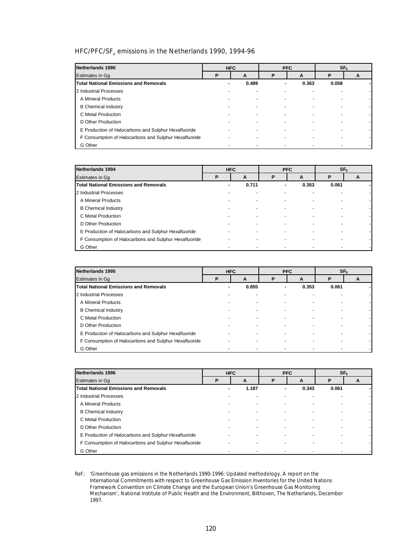# HFC/PFC/SF $_{6}$  emissions in the Netherlands 1990, 1994-96

| Netherlands 1990                                      |   | <b>HFC</b> |   | <b>PFC</b> |                          | SF <sub>6</sub> |
|-------------------------------------------------------|---|------------|---|------------|--------------------------|-----------------|
| Estimates in Gq                                       | P | A          | P | A          | P                        | A               |
| <b>Total National Emissions and Removals</b>          | ۰ | 0.489      | ٠ | 0.363      | 0.058                    |                 |
| 2 Industrial Processes                                |   |            |   |            |                          |                 |
| A Mineral Products                                    |   |            |   |            |                          |                 |
| <b>B</b> Chemical Industry                            |   |            |   |            |                          |                 |
| C Metal Production                                    |   |            |   |            | $\overline{\phantom{0}}$ |                 |
| D Other Production                                    |   |            |   |            |                          |                 |
| E Production of Halocarbons and Sulphur Hexafluoride  |   |            |   |            |                          |                 |
| F Consumption of Halocarbons and Sulphur Hexafluoride |   |            |   |            |                          |                 |
| G Other                                               |   |            |   |            |                          |                 |

| Netherlands 1994                                      | <b>PFC</b><br><b>HFC</b> |       |   |       | SF <sub>6</sub> |   |
|-------------------------------------------------------|--------------------------|-------|---|-------|-----------------|---|
| <b>Estimates in Gg</b>                                | Р                        | A     | P | A     | Р               | A |
| <b>Total National Emissions and Removals</b>          |                          | 0.711 | ۰ | 0.353 | 0.061           |   |
| 2 Industrial Processes                                |                          |       |   |       |                 |   |
| A Mineral Products                                    |                          |       |   |       |                 |   |
| <b>B</b> Chemical Industry                            |                          |       |   |       |                 |   |
| C Metal Production                                    |                          |       |   |       |                 |   |
| D Other Production                                    |                          |       |   |       |                 |   |
| E Production of Halocarbons and Sulphur Hexafluoride  |                          |       |   |       |                 |   |
| F Consumption of Halocarbons and Sulphur Hexafluoride |                          |       |   |       |                 |   |
| G Other                                               |                          |       |   |       |                 |   |

| Netherlands 1995                                      |   | <b>HFC</b> |   | <b>PFC</b> |       | SF <sub>6</sub> |
|-------------------------------------------------------|---|------------|---|------------|-------|-----------------|
| <b>Estimates in Gq</b>                                | P | A          | P | A          | P     | A               |
| <b>Total National Emissions and Removals</b>          |   | 0.855      |   | 0.353      | 0.061 |                 |
| 2 Industrial Processes                                |   |            |   |            |       |                 |
| A Mineral Products                                    |   |            |   |            |       |                 |
| <b>B</b> Chemical Industry                            |   |            |   |            |       |                 |
| C Metal Production                                    |   |            |   |            |       |                 |
| D Other Production                                    |   |            |   |            |       |                 |
| E Production of Halocarbons and Sulphur Hexafluoride  |   |            |   |            |       |                 |
| F Consumption of Halocarbons and Sulphur Hexafluoride |   |            |   |            |       |                 |
| G Other                                               |   |            |   |            |       |                 |

| Netherlands 1996                                      |   | <b>HFC</b><br><b>PFC</b> |    |       | SF <sub>6</sub> |   |  |
|-------------------------------------------------------|---|--------------------------|----|-------|-----------------|---|--|
| Estimates in Gq                                       | P | А                        | P  | A     | Р               | A |  |
| <b>Total National Emissions and Removals</b>          |   | 1.187                    | ۰. | 0.343 | 0.061           |   |  |
| 2 Industrial Processes                                |   |                          |    |       |                 |   |  |
| A Mineral Products                                    |   |                          |    |       |                 |   |  |
| <b>B</b> Chemical Industry                            |   |                          |    |       |                 |   |  |
| C Metal Production                                    |   |                          |    |       |                 |   |  |
| D Other Production                                    |   |                          |    |       |                 |   |  |
| E Production of Halocarbons and Sulphur Hexafluoride  |   |                          |    |       |                 |   |  |
| F Consumption of Halocarbons and Sulphur Hexafluoride |   |                          |    |       |                 |   |  |
| G Other                                               |   |                          |    |       |                 |   |  |

Ref.: 'Greenhouse gas emissions in the Netherlands 1990-1996: Updated methodology. A report on the International Commitments with respect to Greenhouse Gas Emission Inventories for the United Nations Framework Convention on Climate Change and the European Union's Greenhouse Gas Monitoring Mechanism', National Institute of Public Health and the Environment, Bilthoven, The Netherlands, December 1997.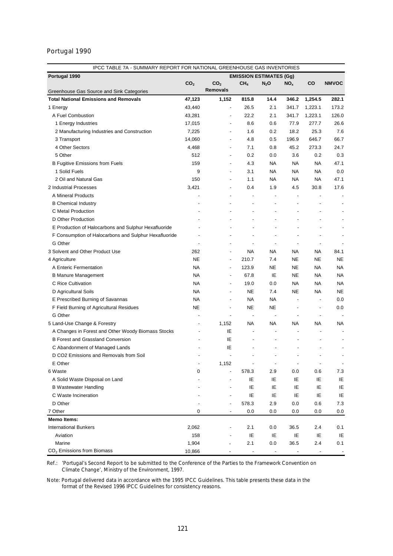# Portugal 1990

| IPCC TABLE 7A - SUMMARY REPORT FOR NATIONAL GREENHOUSE GAS INVENTORIES |                 |                 |                                                      |                          |                          |                          |                          |  |  |
|------------------------------------------------------------------------|-----------------|-----------------|------------------------------------------------------|--------------------------|--------------------------|--------------------------|--------------------------|--|--|
| Portugal 1990                                                          |                 |                 | <b>EMISSION ESTIMATES (Gg)</b>                       |                          |                          |                          |                          |  |  |
|                                                                        | CO <sub>2</sub> | CO <sub>2</sub> | CH <sub>4</sub>                                      | $N_2$ O                  | NO <sub>x</sub>          | CO                       | <b>NMVOC</b>             |  |  |
| Greenhouse Gas Source and Sink Categories                              |                 | <b>Removals</b> |                                                      |                          |                          |                          |                          |  |  |
| <b>Total National Emissions and Removals</b>                           | 47,123          | 1,152           | 815.8                                                | 14.4                     | 346.2                    | 1,254.5                  | 282.1                    |  |  |
| 1 Energy                                                               | 43,440          |                 | 26.5<br>$\overline{\phantom{a}}$                     | 2.1                      | 341.7                    | 1,223.1                  | 173.2                    |  |  |
| A Fuel Combustion                                                      | 43,281          |                 | 22.2<br>$\overline{\phantom{a}}$                     | 2.1                      | 341.7                    | 1,223.1                  | 126.0                    |  |  |
| 1 Energy Industries                                                    | 17,015          |                 | 8.6                                                  | 0.6                      | 77.9                     | 277.7                    | 26.6                     |  |  |
| 2 Manufacturing Industries and Construction                            | 7,225           |                 | 1.6                                                  | 0.2                      | 18.2                     | 25.3                     | 7.6                      |  |  |
| 3 Transport                                                            | 14,060          |                 | 4.8                                                  | 0.5                      | 196.9                    | 646.7                    | 66.7                     |  |  |
| 4 Other Sectors                                                        | 4,468           |                 | 7.1<br>$\overline{\phantom{a}}$                      | 0.8                      | 45.2                     | 273.3                    | 24.7                     |  |  |
| 5 Other                                                                | 512             |                 | 0.2<br>$\overline{\phantom{a}}$                      | 0.0                      | 3.6                      | 0.2                      | 0.3                      |  |  |
| <b>B Fugitive Emissions from Fuels</b>                                 | 159             |                 | 4.3<br>$\overline{\phantom{a}}$                      | NA                       | NA                       | NA                       | 47.1                     |  |  |
| 1 Solid Fuels                                                          | 9               |                 | 3.1<br>$\overline{\phantom{a}}$                      | NA.                      | NA                       | <b>NA</b>                | 0.0                      |  |  |
| 2 Oil and Natural Gas                                                  | 150             |                 | 1.1<br>$\overline{\phantom{a}}$                      | NA.                      | NA                       | <b>NA</b>                | 47.1                     |  |  |
| 2 Industrial Processes                                                 | 3,421           |                 | 0.4<br>$\overline{\phantom{a}}$                      | 1.9                      | 4.5                      | 30.8                     | 17.6                     |  |  |
| A Mineral Products                                                     |                 |                 | $\overline{\phantom{a}}$<br>$\overline{\phantom{a}}$ | $\overline{a}$           | $\overline{a}$           |                          |                          |  |  |
| <b>B</b> Chemical Industry                                             |                 |                 | $\overline{a}$<br>$\overline{\phantom{a}}$           | $\overline{\phantom{a}}$ |                          | $\overline{a}$           |                          |  |  |
| C Metal Production                                                     |                 |                 | $\overline{\phantom{a}}$                             | -                        |                          |                          |                          |  |  |
| D Other Production                                                     |                 |                 |                                                      |                          |                          |                          |                          |  |  |
| E Production of Halocarbons and Sulphur Hexafluoride                   |                 |                 |                                                      |                          | $\overline{a}$           |                          |                          |  |  |
| F Consumption of Halocarbons and Sulphur Hexafluoride                  | ÷,              |                 | ÷,                                                   |                          | ÷,                       |                          | ٠                        |  |  |
| G Other                                                                |                 |                 | ÷,                                                   | $\overline{a}$           | $\overline{\phantom{a}}$ | $\overline{a}$           |                          |  |  |
| 3 Solvent and Other Product Use                                        | 262             |                 | NA<br>$\overline{\phantom{a}}$                       | NA                       | NA                       | NА                       | 84.1                     |  |  |
| 4 Agriculture                                                          | <b>NE</b>       |                 | 210.7                                                | 7.4                      | NE                       | <b>NE</b>                | <b>NE</b>                |  |  |
| A Enteric Fermentation                                                 | <b>NA</b>       |                 | 123.9<br>$\blacksquare$                              | NE                       | NE                       | <b>NA</b>                | <b>NA</b>                |  |  |
| <b>B Manure Management</b>                                             | <b>NA</b>       |                 | 67.8<br>$\overline{\phantom{a}}$                     | IE                       | <b>NE</b>                | <b>NA</b>                | <b>NA</b>                |  |  |
| C Rice Cultivation                                                     | <b>NA</b>       |                 | 19.0<br>$\overline{\phantom{a}}$                     | 0.0                      | NA                       | <b>NA</b>                | <b>NA</b>                |  |  |
| D Agricultural Soils                                                   | <b>NA</b>       |                 | <b>NE</b><br>$\overline{\phantom{a}}$                | 7.4                      | <b>NE</b>                | NA                       | <b>NE</b>                |  |  |
| E Prescribed Burning of Savannas                                       | <b>NA</b>       |                 | <b>NA</b><br>$\overline{\phantom{a}}$                | NA                       | $\blacksquare$           | $\overline{\phantom{0}}$ | 0.0                      |  |  |
| F Field Burning of Agricultural Residues                               | NE              |                 | <b>NE</b><br>$\overline{\phantom{0}}$                | NE                       | $\overline{a}$           | $\overline{\phantom{a}}$ | 0.0                      |  |  |
| G Other                                                                |                 |                 | $\overline{\phantom{a}}$<br>$\overline{\phantom{a}}$ | $\overline{\phantom{a}}$ | $\overline{\phantom{a}}$ | $\overline{\phantom{0}}$ |                          |  |  |
| 5 Land-Use Change & Forestry                                           | ÷,              | 1,152           | <b>NA</b>                                            | NA                       | <b>NA</b>                | <b>NA</b>                | <b>NA</b>                |  |  |
| A Changes in Forest and Other Woody Biomass Stocks                     |                 | IE              | $\overline{\phantom{a}}$                             | ÷,                       | ÷,                       |                          |                          |  |  |
| <b>B Forest and Grassland Conversion</b>                               |                 | ΙE              | $\overline{a}$                                       |                          |                          |                          |                          |  |  |
| C Abandonment of Managed Lands                                         |                 | ΙE              |                                                      |                          |                          |                          |                          |  |  |
| D CO2 Emissions and Removals from Soil                                 |                 |                 |                                                      |                          |                          |                          |                          |  |  |
| E Other                                                                | $\overline{a}$  | 1,152           |                                                      | $\overline{\phantom{a}}$ | $\overline{\phantom{a}}$ | $\overline{\phantom{a}}$ | $\overline{\phantom{m}}$ |  |  |
| 6 Waste                                                                | 0               |                 | 578.3                                                | 2.9                      | 0.0                      | 0.6                      | 7.3                      |  |  |
| A Solid Waste Disposal on Land                                         |                 |                 | IE                                                   | IE                       | IE                       | IE                       | IE                       |  |  |
|                                                                        |                 |                 | IE                                                   | IE                       | IE                       | IE                       | IE                       |  |  |
| <b>B</b> Wastewater Handling<br>C Waste Incineration                   |                 |                 | IE                                                   | IE                       | IE                       | IE                       | IE                       |  |  |
| D Other                                                                |                 |                 |                                                      | 2.9                      | 0.0                      | 0.6                      | 7.3                      |  |  |
| 7 Other                                                                | 0               |                 | 578.3<br>0.0                                         | 0.0                      | 0.0                      | 0.0                      |                          |  |  |
| <b>Memo Items:</b>                                                     |                 |                 |                                                      |                          |                          |                          | 0.0                      |  |  |
|                                                                        |                 |                 |                                                      |                          |                          |                          |                          |  |  |
| <b>International Bunkers</b><br>Aviation                               | 2,062<br>158    |                 | 2.1                                                  | 0.0                      | 36.5                     | 2.4<br>IE                | 0.1                      |  |  |
| Marine                                                                 | 1,904           |                 | IE<br>2.1                                            | IE<br>0.0                | IE                       | 2.4                      | IE<br>0.1                |  |  |
| CO <sub>2</sub> Emissions from Biomass                                 | 10,866          |                 |                                                      |                          | 36.5                     |                          |                          |  |  |
|                                                                        |                 |                 |                                                      |                          |                          |                          |                          |  |  |

Ref.: *'Portugal's Second Report to be submitted to the Conference of the Parties to the Framework Convention on Climate Change',* Ministry of the Environment, 1997.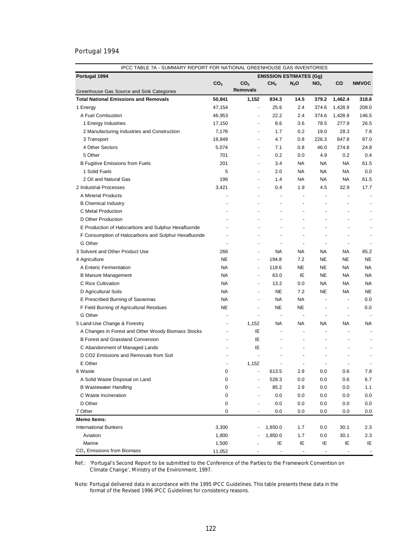# Portugal 1994

| IPCC TABLE 7A - SUMMARY REPORT FOR NATIONAL GREENHOUSE GAS INVENTORIES |                 |                                |                                |                          |                          |                                 |                          |
|------------------------------------------------------------------------|-----------------|--------------------------------|--------------------------------|--------------------------|--------------------------|---------------------------------|--------------------------|
| Portugal 1994                                                          |                 |                                | <b>EMISSION ESTIMATES (Gg)</b> |                          |                          |                                 |                          |
|                                                                        | CO <sub>2</sub> | CO <sub>2</sub>                | CH <sub>4</sub>                | $N_2$ O                  | NO <sub>x</sub>          | co                              | <b>NMVOC</b>             |
| Greenhouse Gas Source and Sink Categories                              |                 | <b>Removals</b>                |                                |                          |                          |                                 |                          |
| <b>Total National Emissions and Removals</b>                           | 50,841          | 1,152                          | 834.3                          | 14.5                     | 379.2                    | 1,462.4                         | 318.6                    |
| 1 Energy                                                               | 47,154          | $\overline{\phantom{a}}$       | 25.6                           | 2.4                      | 374.6                    | 1,428.9                         | 208.0                    |
| A Fuel Combustion                                                      | 46,953          |                                | 22.2                           | 2.4                      | 374.6                    | 1,428.9                         | 146.5                    |
| 1 Energy Industries                                                    | 17,150          |                                | 8.6                            | 0.6                      | 78.5                     | 277.9                           | 26.5                     |
| 2 Manufacturing Industries and Construction                            | 7,178           |                                | 1.7                            | 0.2                      | 19.0                     | 28.3                            | 7.8                      |
| 3 Transport                                                            | 16,849          | ÷,                             | 4.7                            | 0.8                      | 226.3                    | 847.8                           | 87.0                     |
| 4 Other Sectors                                                        | 5,074           | $\overline{\phantom{a}}$       | 7.1                            | 0.8                      | 46.0                     | 274.8                           | 24.8                     |
| 5 Other                                                                | 701             | $\overline{\phantom{0}}$       | 0.2                            | 0.0                      | 4.9                      | 0.2                             | 0.4                      |
| B Fugitive Emissions from Fuels                                        | 201             | $\overline{\phantom{a}}$       | 3.4                            | <b>NA</b>                | NA                       | <b>NA</b>                       | 61.5                     |
| 1 Solid Fuels                                                          | 5               | $\overline{a}$                 | 2.0                            | NA                       | <b>NA</b>                | <b>NA</b>                       | 0.0                      |
| 2 Oil and Natural Gas                                                  | 196             | ÷                              | 1.4                            | NA                       | NA                       | <b>NA</b>                       | 61.5                     |
| 2 Industrial Processes                                                 | 3,421           | -                              | 0.4                            | 1.9                      | 4.5                      | 32.9                            | 17.7                     |
| A Mineral Products                                                     |                 | ÷                              | $\overline{\phantom{a}}$       | $\overline{a}$           | $\overline{\phantom{a}}$ |                                 |                          |
| <b>B</b> Chemical Industry                                             |                 |                                | $\blacksquare$                 | $\overline{a}$           | $\overline{a}$           | $\overline{a}$                  |                          |
| C Metal Production                                                     |                 |                                |                                | L,                       |                          |                                 |                          |
| D Other Production                                                     |                 |                                |                                | L,                       |                          | ÷,                              |                          |
| E Production of Halocarbons and Sulphur Hexafluoride                   |                 |                                |                                | ÷,                       |                          | $\overline{\phantom{a}}$        |                          |
| F Consumption of Halocarbons and Sulphur Hexafluoride                  |                 |                                |                                | $\overline{\phantom{a}}$ | ÷                        | $\overline{\phantom{a}}$        | $\overline{\phantom{a}}$ |
| G Other                                                                | $\overline{a}$  | $\blacksquare$                 | $\overline{a}$                 | $\overline{\phantom{a}}$ | $\overline{\phantom{a}}$ | $\overline{\phantom{a}}$        | ٠                        |
| 3 Solvent and Other Product Use                                        | 266             | $\blacksquare$                 | NА                             | NА                       | NA                       | NA.                             | 85.2                     |
| 4 Agriculture                                                          | <b>NE</b>       | $\blacksquare$                 | 194.8                          | 7.2                      | NE.                      | <b>NE</b>                       | <b>NE</b>                |
| A Enteric Fermentation                                                 | <b>NA</b>       | $\overline{\phantom{a}}$       | 118.6                          | <b>NE</b>                | NE                       | <b>NA</b>                       | <b>NA</b>                |
| <b>B Manure Management</b>                                             | <b>NA</b>       | $\overline{\phantom{a}}$       | 63.0                           | IE                       | NE.                      | <b>NA</b>                       | <b>NA</b>                |
| C Rice Cultivation                                                     | <b>NA</b>       | $\overline{\phantom{a}}$       | 13.2                           | 0.0                      | NA                       | <b>NA</b>                       | <b>NA</b>                |
| D Agricultural Soils                                                   | <b>NA</b>       | $\overline{\phantom{a}}$       | <b>NE</b>                      | 7.2                      | <b>NE</b>                | <b>NA</b>                       | <b>NE</b>                |
| E Prescribed Burning of Savannas                                       | <b>NA</b>       | $\overline{\phantom{a}}$       | <b>NA</b>                      | <b>NA</b>                | $\overline{\phantom{a}}$ | $\centering \label{eq:reduced}$ | 0.0                      |
| F Field Burning of Agricultural Residues                               | <b>NE</b>       | $\overline{a}$                 | NE                             | NE                       | $\overline{\phantom{a}}$ | $\overline{\phantom{a}}$        | 0.0                      |
| G Other                                                                |                 | ÷,                             | $\overline{\phantom{a}}$       | $\overline{\phantom{a}}$ | $\overline{\phantom{a}}$ | $\overline{\phantom{a}}$        |                          |
| 5 Land-Use Change & Forestry                                           |                 | 1,152                          | NA                             | NA.                      | NА                       | NA                              | NA                       |
| A Changes in Forest and Other Woody Biomass Stocks                     |                 | IE                             |                                | $\overline{\phantom{a}}$ | ÷,                       | $\overline{\phantom{a}}$        |                          |
| <b>B Forest and Grassland Conversion</b>                               |                 | ΙE                             |                                | ÷,                       |                          | ÷,                              |                          |
|                                                                        |                 |                                |                                |                          |                          |                                 |                          |
| C Abandonment of Managed Lands                                         |                 | ΙE<br>$\overline{\phantom{a}}$ |                                | ٠<br>$\overline{a}$      | $\overline{a}$           | ٠<br>$\overline{\phantom{a}}$   |                          |
| D CO2 Emissions and Removals from Soil<br>E Other                      |                 |                                |                                |                          |                          |                                 |                          |
|                                                                        |                 | 1,152                          |                                | $\overline{\phantom{a}}$ | $\overline{\phantom{a}}$ | $\overline{\phantom{a}}$        | $\overline{\phantom{a}}$ |
| 6 Waste                                                                | 0               |                                | 613.5                          | 2.9                      | 0.0                      | 0.6                             | 7.8                      |
| A Solid Waste Disposal on Land                                         | 0               | $\overline{a}$                 | 528.3                          | 0.0                      | 0.0                      | 0.6                             | 6.7                      |
| <b>B Wastewater Handling</b>                                           | 0               |                                | 85.2                           | 2.9                      | 0.0                      | 0.0                             | 1.1                      |
| C Waste Incineration                                                   | 0               |                                | 0.0                            | 0.0                      | 0.0                      | 0.0                             | 0.0                      |
| D Other                                                                | 0               |                                | 0.0                            | 0.0                      | 0.0                      | 0.0                             | 0.0                      |
| 7 Other                                                                | 0               |                                | 0.0                            | 0.0                      | 0.0                      | 0.0                             | 0.0                      |
| Memo Items:                                                            |                 |                                |                                |                          |                          |                                 |                          |
| <b>International Bunkers</b>                                           | 3,300           |                                | 1,850.0                        | 1.7                      | 0.0                      | 30.1                            | 2.3                      |
| Aviation                                                               | 1,800           |                                | 1,850.0                        | 1.7                      | 0.0                      | 30.1                            | 2.3                      |
| Marine                                                                 | 1,500           |                                | IE                             | IE                       | IE                       | IE                              | IE                       |
| $CO2$ Emissions from Biomass                                           | 11,052          |                                |                                |                          |                          |                                 | $\overline{\phantom{a}}$ |

Ref.: *'Portugal's Second Report to be submitted to the Conference of the Parties to the Framework Convention on Climate Change',* Ministry of the Environment, 1997.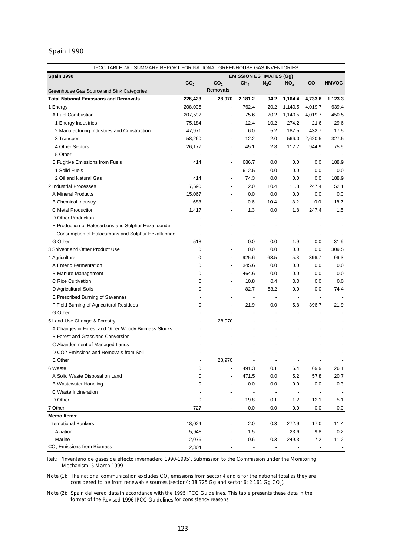#### Spain 1990

| Spain 1990<br><b>EMISSION ESTIMATES (Gg)</b><br>co<br>CO <sub>2</sub><br>CO <sub>2</sub><br>CH <sub>4</sub><br>NO <sub>x</sub><br><b>NMVOC</b><br>$N_2$ O<br><b>Removals</b><br>Greenhouse Gas Source and Sink Categories<br><b>Total National Emissions and Removals</b><br>226,423<br>2,181.2<br>94.2<br>1,164.4<br>4,733.8<br>1,123.3<br>28,970<br>762.4<br>20.2<br>639.4<br>1 Energy<br>208,006<br>1,140.5<br>4,019.7<br>÷,<br>A Fuel Combustion<br>207,592<br>75.6<br>20.2<br>1,140.5<br>4,019.7<br>450.5<br>75,184<br>12.4<br>10.2<br>274.2<br>21.6<br>29.6<br>1 Energy Industries<br>6.0<br>5.2<br>187.5<br>432.7<br>17.5<br>2 Manufacturing Industries and Construction<br>47,971<br>$\overline{\phantom{a}}$<br>12.2<br>2.0<br>566.0<br>2,620.5<br>327.5<br>3 Transport<br>58,260<br>$\overline{\phantom{a}}$<br>4 Other Sectors<br>26,177<br>45.1<br>2.8<br>112.7<br>944.9<br>75.9<br>$\overline{\phantom{a}}$<br>5 Other<br>$\overline{a}$<br>$\overline{\phantom{a}}$<br>$\overline{\phantom{a}}$<br>$\overline{\phantom{m}}$<br>$\overline{\phantom{m}}$<br>414<br>686.7<br>0.0<br>0.0<br>188.9<br><b>B Fugitive Emissions from Fuels</b><br>0.0<br>$\blacksquare$<br>1 Solid Fuels<br>612.5<br>0.0<br>0.0<br>0.0<br>0.0<br>2 Oil and Natural Gas<br>414<br>74.3<br>0.0<br>0.0<br>0.0<br>188.9<br>$\overline{\phantom{a}}$<br>2 Industrial Processes<br>17,690<br>2.0<br>10.4<br>11.8<br>247.4<br>52.1<br>$\overline{\phantom{a}}$<br>A Mineral Products<br>15,067<br>0.0<br>0.0<br>0.0<br>0.0<br>0.0<br>$\overline{\phantom{a}}$<br>688<br>0.6<br>10.4<br>8.2<br>0.0<br>18.7<br><b>B</b> Chemical Industry<br>$\overline{\phantom{a}}$<br>C Metal Production<br>1,417<br>1.3<br>0.0<br>1.8<br>247.4<br>1.5<br>D Other Production<br>$\overline{a}$<br>$\overline{\phantom{a}}$<br>E Production of Halocarbons and Sulphur Hexafluoride<br>$\overline{\phantom{a}}$<br>F Consumption of Halocarbons and Sulphur Hexafluoride<br>$\overline{\phantom{a}}$<br>$\overline{\phantom{a}}$<br>G Other<br>518<br>0.0<br>0.0<br>1.9<br>0.0<br>31.9<br>$\overline{\phantom{a}}$<br>3 Solvent and Other Product Use<br>0<br>0.0<br>0.0<br>0.0<br>0.0<br>309.5<br>$\overline{\phantom{a}}$<br>4 Agriculture<br>0<br>925.6<br>63.5<br>5.8<br>396.7<br>96.3<br>$\overline{\phantom{a}}$<br>0<br>345.6<br>0.0<br>0.0<br>0.0<br>0.0<br>A Enteric Fermentation<br>$\overline{\phantom{a}}$<br>0<br>464.6<br>0.0<br>0.0<br>0.0<br>0.0<br><b>B Manure Management</b><br>$\overline{\phantom{a}}$<br>C Rice Cultivation<br>0<br>10.8<br>0.4<br>0.0<br>0.0<br>0.0<br>0<br>82.7<br>63.2<br>0.0<br>74.4<br>D Agricultural Soils<br>0.0<br>E Prescribed Burning of Savannas<br>$\overline{\phantom{a}}$<br>$\overline{\phantom{m}}$<br>0<br>21.9<br>0.0<br>5.8<br>396.7<br>21.9<br>F Field Burning of Agricultural Residues<br>$\overline{\phantom{a}}$<br>G Other<br>$\overline{\phantom{a}}$<br>$\overline{a}$<br>5 Land-Use Change & Forestry<br>28,970<br>$\overline{a}$<br>٠<br>A Changes in Forest and Other Woody Biomass Stocks<br>$\overline{a}$<br><b>B Forest and Grassland Conversion</b><br>÷,<br>C Abandonment of Managed Lands<br>D CO2 Emissions and Removals from Soil<br>E Other<br>28,970<br>6 Waste<br>0<br>491.3<br>69.9<br>0.1<br>6.4<br>26.1<br>471.5<br>A Solid Waste Disposal on Land<br>0<br>0.0<br>5.2<br>57.8<br>20.7<br><b>B Wastewater Handling</b><br>0<br>0.0<br>0.0<br>0.0<br>0.0<br>0.3<br>C Waste Incineration<br>$\overline{\phantom{a}}$<br>D Other<br>0<br>1.2<br>12.1<br>5.1<br>19.8<br>0.1<br>$\overline{\phantom{a}}$<br>727<br>0.0<br>0.0<br>0.0<br>7 Other<br>0.0<br>0.0<br>$\overline{\phantom{a}}$<br><b>Memo Items:</b><br><b>International Bunkers</b><br>18,024<br>2.0<br>272.9<br>0.3<br>17.0<br>11.4<br>5,948<br>1.5<br>23.6<br>9.8<br>Aviation<br>0.2<br>$\overline{\phantom{a}}$<br>12,076<br>0.6<br>0.3<br>249.3<br>11.2<br>Marine<br>7.2 | IPCC TABLE 7A - SUMMARY REPORT FOR NATIONAL GREENHOUSE GAS INVENTORIES |        |  |  |  |
|--------------------------------------------------------------------------------------------------------------------------------------------------------------------------------------------------------------------------------------------------------------------------------------------------------------------------------------------------------------------------------------------------------------------------------------------------------------------------------------------------------------------------------------------------------------------------------------------------------------------------------------------------------------------------------------------------------------------------------------------------------------------------------------------------------------------------------------------------------------------------------------------------------------------------------------------------------------------------------------------------------------------------------------------------------------------------------------------------------------------------------------------------------------------------------------------------------------------------------------------------------------------------------------------------------------------------------------------------------------------------------------------------------------------------------------------------------------------------------------------------------------------------------------------------------------------------------------------------------------------------------------------------------------------------------------------------------------------------------------------------------------------------------------------------------------------------------------------------------------------------------------------------------------------------------------------------------------------------------------------------------------------------------------------------------------------------------------------------------------------------------------------------------------------------------------------------------------------------------------------------------------------------------------------------------------------------------------------------------------------------------------------------------------------------------------------------------------------------------------------------------------------------------------------------------------------------------------------------------------------------------------------------------------------------------------------------------------------------------------------------------------------------------------------------------------------------------------------------------------------------------------------------------------------------------------------------------------------------------------------------------------------------------------------------------------------------------------------------------------------------------------------------------------------------------------------------------------------------------------------------------------------------------------------------------------------------------------------------------------------------------------------------------------------------------------------------------------------------------------------------------------------------------------------------------------------------------------------------------------------------------------------------------------------------------------------------------------------------------------------------------------------------------------------------------------------------------------------------------------------------------------|------------------------------------------------------------------------|--------|--|--|--|
|                                                                                                                                                                                                                                                                                                                                                                                                                                                                                                                                                                                                                                                                                                                                                                                                                                                                                                                                                                                                                                                                                                                                                                                                                                                                                                                                                                                                                                                                                                                                                                                                                                                                                                                                                                                                                                                                                                                                                                                                                                                                                                                                                                                                                                                                                                                                                                                                                                                                                                                                                                                                                                                                                                                                                                                                                                                                                                                                                                                                                                                                                                                                                                                                                                                                                                                                                                                                                                                                                                                                                                                                                                                                                                                                                                                                                                                                                      |                                                                        |        |  |  |  |
|                                                                                                                                                                                                                                                                                                                                                                                                                                                                                                                                                                                                                                                                                                                                                                                                                                                                                                                                                                                                                                                                                                                                                                                                                                                                                                                                                                                                                                                                                                                                                                                                                                                                                                                                                                                                                                                                                                                                                                                                                                                                                                                                                                                                                                                                                                                                                                                                                                                                                                                                                                                                                                                                                                                                                                                                                                                                                                                                                                                                                                                                                                                                                                                                                                                                                                                                                                                                                                                                                                                                                                                                                                                                                                                                                                                                                                                                                      |                                                                        |        |  |  |  |
|                                                                                                                                                                                                                                                                                                                                                                                                                                                                                                                                                                                                                                                                                                                                                                                                                                                                                                                                                                                                                                                                                                                                                                                                                                                                                                                                                                                                                                                                                                                                                                                                                                                                                                                                                                                                                                                                                                                                                                                                                                                                                                                                                                                                                                                                                                                                                                                                                                                                                                                                                                                                                                                                                                                                                                                                                                                                                                                                                                                                                                                                                                                                                                                                                                                                                                                                                                                                                                                                                                                                                                                                                                                                                                                                                                                                                                                                                      |                                                                        |        |  |  |  |
|                                                                                                                                                                                                                                                                                                                                                                                                                                                                                                                                                                                                                                                                                                                                                                                                                                                                                                                                                                                                                                                                                                                                                                                                                                                                                                                                                                                                                                                                                                                                                                                                                                                                                                                                                                                                                                                                                                                                                                                                                                                                                                                                                                                                                                                                                                                                                                                                                                                                                                                                                                                                                                                                                                                                                                                                                                                                                                                                                                                                                                                                                                                                                                                                                                                                                                                                                                                                                                                                                                                                                                                                                                                                                                                                                                                                                                                                                      |                                                                        |        |  |  |  |
|                                                                                                                                                                                                                                                                                                                                                                                                                                                                                                                                                                                                                                                                                                                                                                                                                                                                                                                                                                                                                                                                                                                                                                                                                                                                                                                                                                                                                                                                                                                                                                                                                                                                                                                                                                                                                                                                                                                                                                                                                                                                                                                                                                                                                                                                                                                                                                                                                                                                                                                                                                                                                                                                                                                                                                                                                                                                                                                                                                                                                                                                                                                                                                                                                                                                                                                                                                                                                                                                                                                                                                                                                                                                                                                                                                                                                                                                                      |                                                                        |        |  |  |  |
|                                                                                                                                                                                                                                                                                                                                                                                                                                                                                                                                                                                                                                                                                                                                                                                                                                                                                                                                                                                                                                                                                                                                                                                                                                                                                                                                                                                                                                                                                                                                                                                                                                                                                                                                                                                                                                                                                                                                                                                                                                                                                                                                                                                                                                                                                                                                                                                                                                                                                                                                                                                                                                                                                                                                                                                                                                                                                                                                                                                                                                                                                                                                                                                                                                                                                                                                                                                                                                                                                                                                                                                                                                                                                                                                                                                                                                                                                      |                                                                        |        |  |  |  |
|                                                                                                                                                                                                                                                                                                                                                                                                                                                                                                                                                                                                                                                                                                                                                                                                                                                                                                                                                                                                                                                                                                                                                                                                                                                                                                                                                                                                                                                                                                                                                                                                                                                                                                                                                                                                                                                                                                                                                                                                                                                                                                                                                                                                                                                                                                                                                                                                                                                                                                                                                                                                                                                                                                                                                                                                                                                                                                                                                                                                                                                                                                                                                                                                                                                                                                                                                                                                                                                                                                                                                                                                                                                                                                                                                                                                                                                                                      |                                                                        |        |  |  |  |
|                                                                                                                                                                                                                                                                                                                                                                                                                                                                                                                                                                                                                                                                                                                                                                                                                                                                                                                                                                                                                                                                                                                                                                                                                                                                                                                                                                                                                                                                                                                                                                                                                                                                                                                                                                                                                                                                                                                                                                                                                                                                                                                                                                                                                                                                                                                                                                                                                                                                                                                                                                                                                                                                                                                                                                                                                                                                                                                                                                                                                                                                                                                                                                                                                                                                                                                                                                                                                                                                                                                                                                                                                                                                                                                                                                                                                                                                                      |                                                                        |        |  |  |  |
|                                                                                                                                                                                                                                                                                                                                                                                                                                                                                                                                                                                                                                                                                                                                                                                                                                                                                                                                                                                                                                                                                                                                                                                                                                                                                                                                                                                                                                                                                                                                                                                                                                                                                                                                                                                                                                                                                                                                                                                                                                                                                                                                                                                                                                                                                                                                                                                                                                                                                                                                                                                                                                                                                                                                                                                                                                                                                                                                                                                                                                                                                                                                                                                                                                                                                                                                                                                                                                                                                                                                                                                                                                                                                                                                                                                                                                                                                      |                                                                        |        |  |  |  |
|                                                                                                                                                                                                                                                                                                                                                                                                                                                                                                                                                                                                                                                                                                                                                                                                                                                                                                                                                                                                                                                                                                                                                                                                                                                                                                                                                                                                                                                                                                                                                                                                                                                                                                                                                                                                                                                                                                                                                                                                                                                                                                                                                                                                                                                                                                                                                                                                                                                                                                                                                                                                                                                                                                                                                                                                                                                                                                                                                                                                                                                                                                                                                                                                                                                                                                                                                                                                                                                                                                                                                                                                                                                                                                                                                                                                                                                                                      |                                                                        |        |  |  |  |
|                                                                                                                                                                                                                                                                                                                                                                                                                                                                                                                                                                                                                                                                                                                                                                                                                                                                                                                                                                                                                                                                                                                                                                                                                                                                                                                                                                                                                                                                                                                                                                                                                                                                                                                                                                                                                                                                                                                                                                                                                                                                                                                                                                                                                                                                                                                                                                                                                                                                                                                                                                                                                                                                                                                                                                                                                                                                                                                                                                                                                                                                                                                                                                                                                                                                                                                                                                                                                                                                                                                                                                                                                                                                                                                                                                                                                                                                                      |                                                                        |        |  |  |  |
|                                                                                                                                                                                                                                                                                                                                                                                                                                                                                                                                                                                                                                                                                                                                                                                                                                                                                                                                                                                                                                                                                                                                                                                                                                                                                                                                                                                                                                                                                                                                                                                                                                                                                                                                                                                                                                                                                                                                                                                                                                                                                                                                                                                                                                                                                                                                                                                                                                                                                                                                                                                                                                                                                                                                                                                                                                                                                                                                                                                                                                                                                                                                                                                                                                                                                                                                                                                                                                                                                                                                                                                                                                                                                                                                                                                                                                                                                      |                                                                        |        |  |  |  |
|                                                                                                                                                                                                                                                                                                                                                                                                                                                                                                                                                                                                                                                                                                                                                                                                                                                                                                                                                                                                                                                                                                                                                                                                                                                                                                                                                                                                                                                                                                                                                                                                                                                                                                                                                                                                                                                                                                                                                                                                                                                                                                                                                                                                                                                                                                                                                                                                                                                                                                                                                                                                                                                                                                                                                                                                                                                                                                                                                                                                                                                                                                                                                                                                                                                                                                                                                                                                                                                                                                                                                                                                                                                                                                                                                                                                                                                                                      |                                                                        |        |  |  |  |
|                                                                                                                                                                                                                                                                                                                                                                                                                                                                                                                                                                                                                                                                                                                                                                                                                                                                                                                                                                                                                                                                                                                                                                                                                                                                                                                                                                                                                                                                                                                                                                                                                                                                                                                                                                                                                                                                                                                                                                                                                                                                                                                                                                                                                                                                                                                                                                                                                                                                                                                                                                                                                                                                                                                                                                                                                                                                                                                                                                                                                                                                                                                                                                                                                                                                                                                                                                                                                                                                                                                                                                                                                                                                                                                                                                                                                                                                                      |                                                                        |        |  |  |  |
|                                                                                                                                                                                                                                                                                                                                                                                                                                                                                                                                                                                                                                                                                                                                                                                                                                                                                                                                                                                                                                                                                                                                                                                                                                                                                                                                                                                                                                                                                                                                                                                                                                                                                                                                                                                                                                                                                                                                                                                                                                                                                                                                                                                                                                                                                                                                                                                                                                                                                                                                                                                                                                                                                                                                                                                                                                                                                                                                                                                                                                                                                                                                                                                                                                                                                                                                                                                                                                                                                                                                                                                                                                                                                                                                                                                                                                                                                      |                                                                        |        |  |  |  |
|                                                                                                                                                                                                                                                                                                                                                                                                                                                                                                                                                                                                                                                                                                                                                                                                                                                                                                                                                                                                                                                                                                                                                                                                                                                                                                                                                                                                                                                                                                                                                                                                                                                                                                                                                                                                                                                                                                                                                                                                                                                                                                                                                                                                                                                                                                                                                                                                                                                                                                                                                                                                                                                                                                                                                                                                                                                                                                                                                                                                                                                                                                                                                                                                                                                                                                                                                                                                                                                                                                                                                                                                                                                                                                                                                                                                                                                                                      |                                                                        |        |  |  |  |
|                                                                                                                                                                                                                                                                                                                                                                                                                                                                                                                                                                                                                                                                                                                                                                                                                                                                                                                                                                                                                                                                                                                                                                                                                                                                                                                                                                                                                                                                                                                                                                                                                                                                                                                                                                                                                                                                                                                                                                                                                                                                                                                                                                                                                                                                                                                                                                                                                                                                                                                                                                                                                                                                                                                                                                                                                                                                                                                                                                                                                                                                                                                                                                                                                                                                                                                                                                                                                                                                                                                                                                                                                                                                                                                                                                                                                                                                                      |                                                                        |        |  |  |  |
|                                                                                                                                                                                                                                                                                                                                                                                                                                                                                                                                                                                                                                                                                                                                                                                                                                                                                                                                                                                                                                                                                                                                                                                                                                                                                                                                                                                                                                                                                                                                                                                                                                                                                                                                                                                                                                                                                                                                                                                                                                                                                                                                                                                                                                                                                                                                                                                                                                                                                                                                                                                                                                                                                                                                                                                                                                                                                                                                                                                                                                                                                                                                                                                                                                                                                                                                                                                                                                                                                                                                                                                                                                                                                                                                                                                                                                                                                      |                                                                        |        |  |  |  |
|                                                                                                                                                                                                                                                                                                                                                                                                                                                                                                                                                                                                                                                                                                                                                                                                                                                                                                                                                                                                                                                                                                                                                                                                                                                                                                                                                                                                                                                                                                                                                                                                                                                                                                                                                                                                                                                                                                                                                                                                                                                                                                                                                                                                                                                                                                                                                                                                                                                                                                                                                                                                                                                                                                                                                                                                                                                                                                                                                                                                                                                                                                                                                                                                                                                                                                                                                                                                                                                                                                                                                                                                                                                                                                                                                                                                                                                                                      |                                                                        |        |  |  |  |
|                                                                                                                                                                                                                                                                                                                                                                                                                                                                                                                                                                                                                                                                                                                                                                                                                                                                                                                                                                                                                                                                                                                                                                                                                                                                                                                                                                                                                                                                                                                                                                                                                                                                                                                                                                                                                                                                                                                                                                                                                                                                                                                                                                                                                                                                                                                                                                                                                                                                                                                                                                                                                                                                                                                                                                                                                                                                                                                                                                                                                                                                                                                                                                                                                                                                                                                                                                                                                                                                                                                                                                                                                                                                                                                                                                                                                                                                                      |                                                                        |        |  |  |  |
|                                                                                                                                                                                                                                                                                                                                                                                                                                                                                                                                                                                                                                                                                                                                                                                                                                                                                                                                                                                                                                                                                                                                                                                                                                                                                                                                                                                                                                                                                                                                                                                                                                                                                                                                                                                                                                                                                                                                                                                                                                                                                                                                                                                                                                                                                                                                                                                                                                                                                                                                                                                                                                                                                                                                                                                                                                                                                                                                                                                                                                                                                                                                                                                                                                                                                                                                                                                                                                                                                                                                                                                                                                                                                                                                                                                                                                                                                      |                                                                        |        |  |  |  |
|                                                                                                                                                                                                                                                                                                                                                                                                                                                                                                                                                                                                                                                                                                                                                                                                                                                                                                                                                                                                                                                                                                                                                                                                                                                                                                                                                                                                                                                                                                                                                                                                                                                                                                                                                                                                                                                                                                                                                                                                                                                                                                                                                                                                                                                                                                                                                                                                                                                                                                                                                                                                                                                                                                                                                                                                                                                                                                                                                                                                                                                                                                                                                                                                                                                                                                                                                                                                                                                                                                                                                                                                                                                                                                                                                                                                                                                                                      |                                                                        |        |  |  |  |
|                                                                                                                                                                                                                                                                                                                                                                                                                                                                                                                                                                                                                                                                                                                                                                                                                                                                                                                                                                                                                                                                                                                                                                                                                                                                                                                                                                                                                                                                                                                                                                                                                                                                                                                                                                                                                                                                                                                                                                                                                                                                                                                                                                                                                                                                                                                                                                                                                                                                                                                                                                                                                                                                                                                                                                                                                                                                                                                                                                                                                                                                                                                                                                                                                                                                                                                                                                                                                                                                                                                                                                                                                                                                                                                                                                                                                                                                                      |                                                                        |        |  |  |  |
|                                                                                                                                                                                                                                                                                                                                                                                                                                                                                                                                                                                                                                                                                                                                                                                                                                                                                                                                                                                                                                                                                                                                                                                                                                                                                                                                                                                                                                                                                                                                                                                                                                                                                                                                                                                                                                                                                                                                                                                                                                                                                                                                                                                                                                                                                                                                                                                                                                                                                                                                                                                                                                                                                                                                                                                                                                                                                                                                                                                                                                                                                                                                                                                                                                                                                                                                                                                                                                                                                                                                                                                                                                                                                                                                                                                                                                                                                      |                                                                        |        |  |  |  |
|                                                                                                                                                                                                                                                                                                                                                                                                                                                                                                                                                                                                                                                                                                                                                                                                                                                                                                                                                                                                                                                                                                                                                                                                                                                                                                                                                                                                                                                                                                                                                                                                                                                                                                                                                                                                                                                                                                                                                                                                                                                                                                                                                                                                                                                                                                                                                                                                                                                                                                                                                                                                                                                                                                                                                                                                                                                                                                                                                                                                                                                                                                                                                                                                                                                                                                                                                                                                                                                                                                                                                                                                                                                                                                                                                                                                                                                                                      |                                                                        |        |  |  |  |
|                                                                                                                                                                                                                                                                                                                                                                                                                                                                                                                                                                                                                                                                                                                                                                                                                                                                                                                                                                                                                                                                                                                                                                                                                                                                                                                                                                                                                                                                                                                                                                                                                                                                                                                                                                                                                                                                                                                                                                                                                                                                                                                                                                                                                                                                                                                                                                                                                                                                                                                                                                                                                                                                                                                                                                                                                                                                                                                                                                                                                                                                                                                                                                                                                                                                                                                                                                                                                                                                                                                                                                                                                                                                                                                                                                                                                                                                                      |                                                                        |        |  |  |  |
|                                                                                                                                                                                                                                                                                                                                                                                                                                                                                                                                                                                                                                                                                                                                                                                                                                                                                                                                                                                                                                                                                                                                                                                                                                                                                                                                                                                                                                                                                                                                                                                                                                                                                                                                                                                                                                                                                                                                                                                                                                                                                                                                                                                                                                                                                                                                                                                                                                                                                                                                                                                                                                                                                                                                                                                                                                                                                                                                                                                                                                                                                                                                                                                                                                                                                                                                                                                                                                                                                                                                                                                                                                                                                                                                                                                                                                                                                      |                                                                        |        |  |  |  |
|                                                                                                                                                                                                                                                                                                                                                                                                                                                                                                                                                                                                                                                                                                                                                                                                                                                                                                                                                                                                                                                                                                                                                                                                                                                                                                                                                                                                                                                                                                                                                                                                                                                                                                                                                                                                                                                                                                                                                                                                                                                                                                                                                                                                                                                                                                                                                                                                                                                                                                                                                                                                                                                                                                                                                                                                                                                                                                                                                                                                                                                                                                                                                                                                                                                                                                                                                                                                                                                                                                                                                                                                                                                                                                                                                                                                                                                                                      |                                                                        |        |  |  |  |
|                                                                                                                                                                                                                                                                                                                                                                                                                                                                                                                                                                                                                                                                                                                                                                                                                                                                                                                                                                                                                                                                                                                                                                                                                                                                                                                                                                                                                                                                                                                                                                                                                                                                                                                                                                                                                                                                                                                                                                                                                                                                                                                                                                                                                                                                                                                                                                                                                                                                                                                                                                                                                                                                                                                                                                                                                                                                                                                                                                                                                                                                                                                                                                                                                                                                                                                                                                                                                                                                                                                                                                                                                                                                                                                                                                                                                                                                                      |                                                                        |        |  |  |  |
|                                                                                                                                                                                                                                                                                                                                                                                                                                                                                                                                                                                                                                                                                                                                                                                                                                                                                                                                                                                                                                                                                                                                                                                                                                                                                                                                                                                                                                                                                                                                                                                                                                                                                                                                                                                                                                                                                                                                                                                                                                                                                                                                                                                                                                                                                                                                                                                                                                                                                                                                                                                                                                                                                                                                                                                                                                                                                                                                                                                                                                                                                                                                                                                                                                                                                                                                                                                                                                                                                                                                                                                                                                                                                                                                                                                                                                                                                      |                                                                        |        |  |  |  |
|                                                                                                                                                                                                                                                                                                                                                                                                                                                                                                                                                                                                                                                                                                                                                                                                                                                                                                                                                                                                                                                                                                                                                                                                                                                                                                                                                                                                                                                                                                                                                                                                                                                                                                                                                                                                                                                                                                                                                                                                                                                                                                                                                                                                                                                                                                                                                                                                                                                                                                                                                                                                                                                                                                                                                                                                                                                                                                                                                                                                                                                                                                                                                                                                                                                                                                                                                                                                                                                                                                                                                                                                                                                                                                                                                                                                                                                                                      |                                                                        |        |  |  |  |
|                                                                                                                                                                                                                                                                                                                                                                                                                                                                                                                                                                                                                                                                                                                                                                                                                                                                                                                                                                                                                                                                                                                                                                                                                                                                                                                                                                                                                                                                                                                                                                                                                                                                                                                                                                                                                                                                                                                                                                                                                                                                                                                                                                                                                                                                                                                                                                                                                                                                                                                                                                                                                                                                                                                                                                                                                                                                                                                                                                                                                                                                                                                                                                                                                                                                                                                                                                                                                                                                                                                                                                                                                                                                                                                                                                                                                                                                                      |                                                                        |        |  |  |  |
|                                                                                                                                                                                                                                                                                                                                                                                                                                                                                                                                                                                                                                                                                                                                                                                                                                                                                                                                                                                                                                                                                                                                                                                                                                                                                                                                                                                                                                                                                                                                                                                                                                                                                                                                                                                                                                                                                                                                                                                                                                                                                                                                                                                                                                                                                                                                                                                                                                                                                                                                                                                                                                                                                                                                                                                                                                                                                                                                                                                                                                                                                                                                                                                                                                                                                                                                                                                                                                                                                                                                                                                                                                                                                                                                                                                                                                                                                      |                                                                        |        |  |  |  |
|                                                                                                                                                                                                                                                                                                                                                                                                                                                                                                                                                                                                                                                                                                                                                                                                                                                                                                                                                                                                                                                                                                                                                                                                                                                                                                                                                                                                                                                                                                                                                                                                                                                                                                                                                                                                                                                                                                                                                                                                                                                                                                                                                                                                                                                                                                                                                                                                                                                                                                                                                                                                                                                                                                                                                                                                                                                                                                                                                                                                                                                                                                                                                                                                                                                                                                                                                                                                                                                                                                                                                                                                                                                                                                                                                                                                                                                                                      |                                                                        |        |  |  |  |
|                                                                                                                                                                                                                                                                                                                                                                                                                                                                                                                                                                                                                                                                                                                                                                                                                                                                                                                                                                                                                                                                                                                                                                                                                                                                                                                                                                                                                                                                                                                                                                                                                                                                                                                                                                                                                                                                                                                                                                                                                                                                                                                                                                                                                                                                                                                                                                                                                                                                                                                                                                                                                                                                                                                                                                                                                                                                                                                                                                                                                                                                                                                                                                                                                                                                                                                                                                                                                                                                                                                                                                                                                                                                                                                                                                                                                                                                                      |                                                                        |        |  |  |  |
|                                                                                                                                                                                                                                                                                                                                                                                                                                                                                                                                                                                                                                                                                                                                                                                                                                                                                                                                                                                                                                                                                                                                                                                                                                                                                                                                                                                                                                                                                                                                                                                                                                                                                                                                                                                                                                                                                                                                                                                                                                                                                                                                                                                                                                                                                                                                                                                                                                                                                                                                                                                                                                                                                                                                                                                                                                                                                                                                                                                                                                                                                                                                                                                                                                                                                                                                                                                                                                                                                                                                                                                                                                                                                                                                                                                                                                                                                      |                                                                        |        |  |  |  |
|                                                                                                                                                                                                                                                                                                                                                                                                                                                                                                                                                                                                                                                                                                                                                                                                                                                                                                                                                                                                                                                                                                                                                                                                                                                                                                                                                                                                                                                                                                                                                                                                                                                                                                                                                                                                                                                                                                                                                                                                                                                                                                                                                                                                                                                                                                                                                                                                                                                                                                                                                                                                                                                                                                                                                                                                                                                                                                                                                                                                                                                                                                                                                                                                                                                                                                                                                                                                                                                                                                                                                                                                                                                                                                                                                                                                                                                                                      |                                                                        |        |  |  |  |
|                                                                                                                                                                                                                                                                                                                                                                                                                                                                                                                                                                                                                                                                                                                                                                                                                                                                                                                                                                                                                                                                                                                                                                                                                                                                                                                                                                                                                                                                                                                                                                                                                                                                                                                                                                                                                                                                                                                                                                                                                                                                                                                                                                                                                                                                                                                                                                                                                                                                                                                                                                                                                                                                                                                                                                                                                                                                                                                                                                                                                                                                                                                                                                                                                                                                                                                                                                                                                                                                                                                                                                                                                                                                                                                                                                                                                                                                                      |                                                                        |        |  |  |  |
|                                                                                                                                                                                                                                                                                                                                                                                                                                                                                                                                                                                                                                                                                                                                                                                                                                                                                                                                                                                                                                                                                                                                                                                                                                                                                                                                                                                                                                                                                                                                                                                                                                                                                                                                                                                                                                                                                                                                                                                                                                                                                                                                                                                                                                                                                                                                                                                                                                                                                                                                                                                                                                                                                                                                                                                                                                                                                                                                                                                                                                                                                                                                                                                                                                                                                                                                                                                                                                                                                                                                                                                                                                                                                                                                                                                                                                                                                      |                                                                        |        |  |  |  |
|                                                                                                                                                                                                                                                                                                                                                                                                                                                                                                                                                                                                                                                                                                                                                                                                                                                                                                                                                                                                                                                                                                                                                                                                                                                                                                                                                                                                                                                                                                                                                                                                                                                                                                                                                                                                                                                                                                                                                                                                                                                                                                                                                                                                                                                                                                                                                                                                                                                                                                                                                                                                                                                                                                                                                                                                                                                                                                                                                                                                                                                                                                                                                                                                                                                                                                                                                                                                                                                                                                                                                                                                                                                                                                                                                                                                                                                                                      |                                                                        |        |  |  |  |
|                                                                                                                                                                                                                                                                                                                                                                                                                                                                                                                                                                                                                                                                                                                                                                                                                                                                                                                                                                                                                                                                                                                                                                                                                                                                                                                                                                                                                                                                                                                                                                                                                                                                                                                                                                                                                                                                                                                                                                                                                                                                                                                                                                                                                                                                                                                                                                                                                                                                                                                                                                                                                                                                                                                                                                                                                                                                                                                                                                                                                                                                                                                                                                                                                                                                                                                                                                                                                                                                                                                                                                                                                                                                                                                                                                                                                                                                                      |                                                                        |        |  |  |  |
|                                                                                                                                                                                                                                                                                                                                                                                                                                                                                                                                                                                                                                                                                                                                                                                                                                                                                                                                                                                                                                                                                                                                                                                                                                                                                                                                                                                                                                                                                                                                                                                                                                                                                                                                                                                                                                                                                                                                                                                                                                                                                                                                                                                                                                                                                                                                                                                                                                                                                                                                                                                                                                                                                                                                                                                                                                                                                                                                                                                                                                                                                                                                                                                                                                                                                                                                                                                                                                                                                                                                                                                                                                                                                                                                                                                                                                                                                      |                                                                        |        |  |  |  |
|                                                                                                                                                                                                                                                                                                                                                                                                                                                                                                                                                                                                                                                                                                                                                                                                                                                                                                                                                                                                                                                                                                                                                                                                                                                                                                                                                                                                                                                                                                                                                                                                                                                                                                                                                                                                                                                                                                                                                                                                                                                                                                                                                                                                                                                                                                                                                                                                                                                                                                                                                                                                                                                                                                                                                                                                                                                                                                                                                                                                                                                                                                                                                                                                                                                                                                                                                                                                                                                                                                                                                                                                                                                                                                                                                                                                                                                                                      |                                                                        |        |  |  |  |
|                                                                                                                                                                                                                                                                                                                                                                                                                                                                                                                                                                                                                                                                                                                                                                                                                                                                                                                                                                                                                                                                                                                                                                                                                                                                                                                                                                                                                                                                                                                                                                                                                                                                                                                                                                                                                                                                                                                                                                                                                                                                                                                                                                                                                                                                                                                                                                                                                                                                                                                                                                                                                                                                                                                                                                                                                                                                                                                                                                                                                                                                                                                                                                                                                                                                                                                                                                                                                                                                                                                                                                                                                                                                                                                                                                                                                                                                                      |                                                                        |        |  |  |  |
|                                                                                                                                                                                                                                                                                                                                                                                                                                                                                                                                                                                                                                                                                                                                                                                                                                                                                                                                                                                                                                                                                                                                                                                                                                                                                                                                                                                                                                                                                                                                                                                                                                                                                                                                                                                                                                                                                                                                                                                                                                                                                                                                                                                                                                                                                                                                                                                                                                                                                                                                                                                                                                                                                                                                                                                                                                                                                                                                                                                                                                                                                                                                                                                                                                                                                                                                                                                                                                                                                                                                                                                                                                                                                                                                                                                                                                                                                      |                                                                        |        |  |  |  |
|                                                                                                                                                                                                                                                                                                                                                                                                                                                                                                                                                                                                                                                                                                                                                                                                                                                                                                                                                                                                                                                                                                                                                                                                                                                                                                                                                                                                                                                                                                                                                                                                                                                                                                                                                                                                                                                                                                                                                                                                                                                                                                                                                                                                                                                                                                                                                                                                                                                                                                                                                                                                                                                                                                                                                                                                                                                                                                                                                                                                                                                                                                                                                                                                                                                                                                                                                                                                                                                                                                                                                                                                                                                                                                                                                                                                                                                                                      |                                                                        |        |  |  |  |
|                                                                                                                                                                                                                                                                                                                                                                                                                                                                                                                                                                                                                                                                                                                                                                                                                                                                                                                                                                                                                                                                                                                                                                                                                                                                                                                                                                                                                                                                                                                                                                                                                                                                                                                                                                                                                                                                                                                                                                                                                                                                                                                                                                                                                                                                                                                                                                                                                                                                                                                                                                                                                                                                                                                                                                                                                                                                                                                                                                                                                                                                                                                                                                                                                                                                                                                                                                                                                                                                                                                                                                                                                                                                                                                                                                                                                                                                                      |                                                                        |        |  |  |  |
|                                                                                                                                                                                                                                                                                                                                                                                                                                                                                                                                                                                                                                                                                                                                                                                                                                                                                                                                                                                                                                                                                                                                                                                                                                                                                                                                                                                                                                                                                                                                                                                                                                                                                                                                                                                                                                                                                                                                                                                                                                                                                                                                                                                                                                                                                                                                                                                                                                                                                                                                                                                                                                                                                                                                                                                                                                                                                                                                                                                                                                                                                                                                                                                                                                                                                                                                                                                                                                                                                                                                                                                                                                                                                                                                                                                                                                                                                      | CO <sub>2</sub> Emissions from Biomass                                 | 12,304 |  |  |  |

Ref.: '*Inventario de gases de effecto invernadero 1990-1995',* Submission to the Commission under the Monitoring Mechanism, 5 March 1999

Note (1): The national communication excludes CO<sub>2</sub> emissions from sector 4 and 6 for the national total as they are considered to be from renewable sources (sector 4: 18 725 Gg and sector 6: 2 161 Gg CO<sub>2</sub>).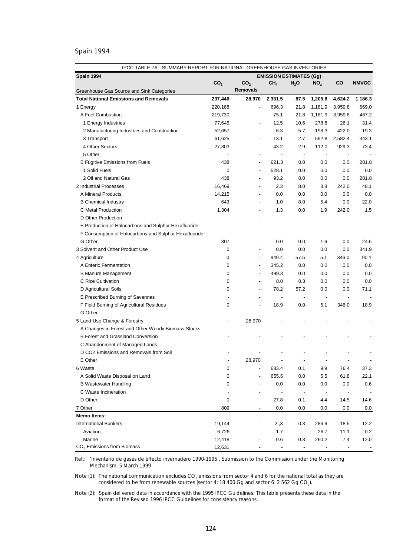# Spain 1994

| Spain 1994<br><b>EMISSION ESTIMATES (Gg)</b><br>CO <sub>2</sub><br>CO <sub>2</sub><br>CH <sub>4</sub><br><b>CO</b><br><b>NMVOC</b><br>$N_2$ O<br>NO <sub>x</sub><br><b>Removals</b><br>Greenhouse Gas Source and Sink Categories<br><b>Total National Emissions and Removals</b><br>237,446<br>28,970<br>2,331.5<br>87.5<br>1,205.8<br>4,624.2<br>1,186.3<br>220,168<br>696.3<br>21.8<br>1,181.9<br>3,959.8<br>669.0<br>1 Energy<br>$\overline{a}$<br>A Fuel Combustion<br>219,730<br>75.1<br>21.8<br>1,181.9<br>3,959.8<br>467.2<br>12.5<br>10.6<br>278.8<br>26.1<br>31.4<br>1 Energy Industries<br>77,645<br>$\overline{a}$<br>422.0<br>6.3<br>198.3<br>19.3<br>2 Manufacturing Industries and Construction<br>52,657<br>5.7<br>$\overline{a}$<br>3 Transport<br>61,625<br>13.1<br>2.7<br>592.8<br>2,582.4<br>343.1<br>$\overline{a}$<br>4 Other Sectors<br>27,803<br>43.2<br>2.9<br>112.0<br>929.3<br>73.4<br>$\overline{a}$<br>5 Other<br>$\overline{\phantom{a}}$<br>$\overline{\phantom{a}}$<br>$\overline{a}$<br>$\overline{\phantom{a}}$<br>$\overline{\phantom{a}}$<br>438<br>621.3<br>0.0<br>0.0<br>0.0<br>201.8<br><b>B Fugitive Emissions from Fuels</b><br>$\overline{a}$<br>1 Solid Fuels<br>0<br>528.1<br>0.0<br>0.0<br>0.0<br>0.0<br>$\overline{a}$<br>438<br>2 Oil and Natural Gas<br>93.2<br>0.0<br>0.0<br>0.0<br>201.8<br>$\overline{a}$<br>2 Industrial Processes<br>16,469<br>2.3<br>8.0<br>8.8<br>242.0<br>48.1<br>$\overline{a}$<br>A Mineral Products<br>14,215<br>0.0<br>0.0<br>0.0<br>0.0<br>0.0<br>$\overline{a}$<br>643<br>1.0<br>8.0<br>5.4<br>0.0<br>22.0<br><b>B</b> Chemical Industry<br>$\overline{a}$<br>C Metal Production<br>1,304<br>1.3<br>0.0<br>1.9<br>242.0<br>1.5<br>D Other Production<br>$\overline{\phantom{a}}$<br>$\overline{\phantom{a}}$<br>÷,<br>E Production of Halocarbons and Sulphur Hexafluoride<br>$\overline{a}$<br>÷,<br>÷,<br>F Consumption of Halocarbons and Sulphur Hexafluoride<br>$\overline{\phantom{a}}$<br>÷,<br>$\overline{a}$<br>G Other<br>307<br>0.0<br>0.0<br>1.6<br>0.0<br>24.6<br>$\overline{a}$<br>341.9<br>3 Solvent and Other Product Use<br>0<br>0.0<br>0.0<br>0.0<br>0.0<br>$\overline{\phantom{a}}$<br>949.4<br>4 Agriculture<br>0<br>57.5<br>5.1<br>346.0<br>90.1<br>$\overline{\phantom{a}}$<br>0<br>345.2<br>0.0<br>0.0<br>0.0<br>0.0<br>A Enteric Fermentation<br>$\overline{a}$<br>0<br>499.3<br>0.0<br>0.0<br>0.0<br>0.0<br><b>B Manure Management</b><br>$\overline{a}$<br>C Rice Cultivation<br>0<br>8.0<br>0.3<br>0.0<br>0.0<br>0.0<br>÷,<br>D Agricultural Soils<br>0<br>78.2<br>57.2<br>0.0<br>0.0<br>71.1<br>$\overline{a}$<br>E Prescribed Burning of Savannas<br>$\overline{a}$<br>$\blacksquare$<br>$\overline{\phantom{a}}$<br>$\overline{\phantom{a}}$<br>$\overline{\phantom{a}}$<br>F Field Burning of Agricultural Residues<br>0<br>18.9<br>0.0<br>5.1<br>346.0<br>18.9<br>$\overline{a}$<br>G Other<br>$\overline{a}$<br>$\overline{a}$<br>$\overline{\phantom{a}}$<br>5 Land-Use Change & Forestry<br>28,970<br>÷,<br>÷,<br>A Changes in Forest and Other Woody Biomass Stocks<br>÷,<br>÷,<br><b>B Forest and Grassland Conversion</b><br>$\overline{a}$<br>C Abandonment of Managed Lands<br>D CO2 Emissions and Removals from Soil<br>E Other<br>28,970<br>$\overline{\phantom{a}}$<br>6 Waste<br>0<br>683.4<br>9.9<br>76.4<br>0.1<br>37.3<br>A Solid Waste Disposal on Land<br>0<br>655.6<br>0.0<br>5.5<br>61.8<br>22.1<br><b>B Wastewater Handling</b><br>0<br>0.0<br>0.0<br>0.0<br>0.0<br>0.6<br>C Waste Incineration<br>$\overline{\phantom{a}}$<br>$\overline{\phantom{a}}$<br>D Other<br>0<br>27.8<br>4.4<br>14.5<br>14.6<br>0.1<br>7 Other<br>809<br>0.0<br>0.0<br>0.0<br>$_{0.0}$<br>0.0<br>Memo Items:<br><b>International Bunkers</b><br>19,144<br>286.9<br>18.5<br>2.,3<br>0.3<br>12.2<br>Aviation<br>1.7<br>26.7<br>11.1<br>0.2<br>6,726<br>$\overline{\phantom{a}}$<br>Marine<br>12,418<br>260.2<br>7.4<br>12.0 | IPCC TABLE 7A - SUMMARY REPORT FOR NATIONAL GREENHOUSE GAS INVENTORIES |  |     |     |  |  |  |  |
|--------------------------------------------------------------------------------------------------------------------------------------------------------------------------------------------------------------------------------------------------------------------------------------------------------------------------------------------------------------------------------------------------------------------------------------------------------------------------------------------------------------------------------------------------------------------------------------------------------------------------------------------------------------------------------------------------------------------------------------------------------------------------------------------------------------------------------------------------------------------------------------------------------------------------------------------------------------------------------------------------------------------------------------------------------------------------------------------------------------------------------------------------------------------------------------------------------------------------------------------------------------------------------------------------------------------------------------------------------------------------------------------------------------------------------------------------------------------------------------------------------------------------------------------------------------------------------------------------------------------------------------------------------------------------------------------------------------------------------------------------------------------------------------------------------------------------------------------------------------------------------------------------------------------------------------------------------------------------------------------------------------------------------------------------------------------------------------------------------------------------------------------------------------------------------------------------------------------------------------------------------------------------------------------------------------------------------------------------------------------------------------------------------------------------------------------------------------------------------------------------------------------------------------------------------------------------------------------------------------------------------------------------------------------------------------------------------------------------------------------------------------------------------------------------------------------------------------------------------------------------------------------------------------------------------------------------------------------------------------------------------------------------------------------------------------------------------------------------------------------------------------------------------------------------------------------------------------------------------------------------------------------------------------------------------------------------------------------------------------------------------------------------------------------------------------------------------------------------------------------------------------------------------------------------------------------------------------------------------------------------------------------------------------------------------------------------------------------------------------------------------------------------------------------------------------------------------------------------------------------------------------------------------------------------------------|------------------------------------------------------------------------|--|-----|-----|--|--|--|--|
|                                                                                                                                                                                                                                                                                                                                                                                                                                                                                                                                                                                                                                                                                                                                                                                                                                                                                                                                                                                                                                                                                                                                                                                                                                                                                                                                                                                                                                                                                                                                                                                                                                                                                                                                                                                                                                                                                                                                                                                                                                                                                                                                                                                                                                                                                                                                                                                                                                                                                                                                                                                                                                                                                                                                                                                                                                                                                                                                                                                                                                                                                                                                                                                                                                                                                                                                                                                                                                                                                                                                                                                                                                                                                                                                                                                                                                                                                                                                      |                                                                        |  |     |     |  |  |  |  |
|                                                                                                                                                                                                                                                                                                                                                                                                                                                                                                                                                                                                                                                                                                                                                                                                                                                                                                                                                                                                                                                                                                                                                                                                                                                                                                                                                                                                                                                                                                                                                                                                                                                                                                                                                                                                                                                                                                                                                                                                                                                                                                                                                                                                                                                                                                                                                                                                                                                                                                                                                                                                                                                                                                                                                                                                                                                                                                                                                                                                                                                                                                                                                                                                                                                                                                                                                                                                                                                                                                                                                                                                                                                                                                                                                                                                                                                                                                                                      |                                                                        |  |     |     |  |  |  |  |
|                                                                                                                                                                                                                                                                                                                                                                                                                                                                                                                                                                                                                                                                                                                                                                                                                                                                                                                                                                                                                                                                                                                                                                                                                                                                                                                                                                                                                                                                                                                                                                                                                                                                                                                                                                                                                                                                                                                                                                                                                                                                                                                                                                                                                                                                                                                                                                                                                                                                                                                                                                                                                                                                                                                                                                                                                                                                                                                                                                                                                                                                                                                                                                                                                                                                                                                                                                                                                                                                                                                                                                                                                                                                                                                                                                                                                                                                                                                                      |                                                                        |  |     |     |  |  |  |  |
|                                                                                                                                                                                                                                                                                                                                                                                                                                                                                                                                                                                                                                                                                                                                                                                                                                                                                                                                                                                                                                                                                                                                                                                                                                                                                                                                                                                                                                                                                                                                                                                                                                                                                                                                                                                                                                                                                                                                                                                                                                                                                                                                                                                                                                                                                                                                                                                                                                                                                                                                                                                                                                                                                                                                                                                                                                                                                                                                                                                                                                                                                                                                                                                                                                                                                                                                                                                                                                                                                                                                                                                                                                                                                                                                                                                                                                                                                                                                      |                                                                        |  |     |     |  |  |  |  |
|                                                                                                                                                                                                                                                                                                                                                                                                                                                                                                                                                                                                                                                                                                                                                                                                                                                                                                                                                                                                                                                                                                                                                                                                                                                                                                                                                                                                                                                                                                                                                                                                                                                                                                                                                                                                                                                                                                                                                                                                                                                                                                                                                                                                                                                                                                                                                                                                                                                                                                                                                                                                                                                                                                                                                                                                                                                                                                                                                                                                                                                                                                                                                                                                                                                                                                                                                                                                                                                                                                                                                                                                                                                                                                                                                                                                                                                                                                                                      |                                                                        |  |     |     |  |  |  |  |
|                                                                                                                                                                                                                                                                                                                                                                                                                                                                                                                                                                                                                                                                                                                                                                                                                                                                                                                                                                                                                                                                                                                                                                                                                                                                                                                                                                                                                                                                                                                                                                                                                                                                                                                                                                                                                                                                                                                                                                                                                                                                                                                                                                                                                                                                                                                                                                                                                                                                                                                                                                                                                                                                                                                                                                                                                                                                                                                                                                                                                                                                                                                                                                                                                                                                                                                                                                                                                                                                                                                                                                                                                                                                                                                                                                                                                                                                                                                                      |                                                                        |  |     |     |  |  |  |  |
|                                                                                                                                                                                                                                                                                                                                                                                                                                                                                                                                                                                                                                                                                                                                                                                                                                                                                                                                                                                                                                                                                                                                                                                                                                                                                                                                                                                                                                                                                                                                                                                                                                                                                                                                                                                                                                                                                                                                                                                                                                                                                                                                                                                                                                                                                                                                                                                                                                                                                                                                                                                                                                                                                                                                                                                                                                                                                                                                                                                                                                                                                                                                                                                                                                                                                                                                                                                                                                                                                                                                                                                                                                                                                                                                                                                                                                                                                                                                      |                                                                        |  |     |     |  |  |  |  |
|                                                                                                                                                                                                                                                                                                                                                                                                                                                                                                                                                                                                                                                                                                                                                                                                                                                                                                                                                                                                                                                                                                                                                                                                                                                                                                                                                                                                                                                                                                                                                                                                                                                                                                                                                                                                                                                                                                                                                                                                                                                                                                                                                                                                                                                                                                                                                                                                                                                                                                                                                                                                                                                                                                                                                                                                                                                                                                                                                                                                                                                                                                                                                                                                                                                                                                                                                                                                                                                                                                                                                                                                                                                                                                                                                                                                                                                                                                                                      |                                                                        |  |     |     |  |  |  |  |
|                                                                                                                                                                                                                                                                                                                                                                                                                                                                                                                                                                                                                                                                                                                                                                                                                                                                                                                                                                                                                                                                                                                                                                                                                                                                                                                                                                                                                                                                                                                                                                                                                                                                                                                                                                                                                                                                                                                                                                                                                                                                                                                                                                                                                                                                                                                                                                                                                                                                                                                                                                                                                                                                                                                                                                                                                                                                                                                                                                                                                                                                                                                                                                                                                                                                                                                                                                                                                                                                                                                                                                                                                                                                                                                                                                                                                                                                                                                                      |                                                                        |  |     |     |  |  |  |  |
|                                                                                                                                                                                                                                                                                                                                                                                                                                                                                                                                                                                                                                                                                                                                                                                                                                                                                                                                                                                                                                                                                                                                                                                                                                                                                                                                                                                                                                                                                                                                                                                                                                                                                                                                                                                                                                                                                                                                                                                                                                                                                                                                                                                                                                                                                                                                                                                                                                                                                                                                                                                                                                                                                                                                                                                                                                                                                                                                                                                                                                                                                                                                                                                                                                                                                                                                                                                                                                                                                                                                                                                                                                                                                                                                                                                                                                                                                                                                      |                                                                        |  |     |     |  |  |  |  |
|                                                                                                                                                                                                                                                                                                                                                                                                                                                                                                                                                                                                                                                                                                                                                                                                                                                                                                                                                                                                                                                                                                                                                                                                                                                                                                                                                                                                                                                                                                                                                                                                                                                                                                                                                                                                                                                                                                                                                                                                                                                                                                                                                                                                                                                                                                                                                                                                                                                                                                                                                                                                                                                                                                                                                                                                                                                                                                                                                                                                                                                                                                                                                                                                                                                                                                                                                                                                                                                                                                                                                                                                                                                                                                                                                                                                                                                                                                                                      |                                                                        |  |     |     |  |  |  |  |
|                                                                                                                                                                                                                                                                                                                                                                                                                                                                                                                                                                                                                                                                                                                                                                                                                                                                                                                                                                                                                                                                                                                                                                                                                                                                                                                                                                                                                                                                                                                                                                                                                                                                                                                                                                                                                                                                                                                                                                                                                                                                                                                                                                                                                                                                                                                                                                                                                                                                                                                                                                                                                                                                                                                                                                                                                                                                                                                                                                                                                                                                                                                                                                                                                                                                                                                                                                                                                                                                                                                                                                                                                                                                                                                                                                                                                                                                                                                                      |                                                                        |  |     |     |  |  |  |  |
|                                                                                                                                                                                                                                                                                                                                                                                                                                                                                                                                                                                                                                                                                                                                                                                                                                                                                                                                                                                                                                                                                                                                                                                                                                                                                                                                                                                                                                                                                                                                                                                                                                                                                                                                                                                                                                                                                                                                                                                                                                                                                                                                                                                                                                                                                                                                                                                                                                                                                                                                                                                                                                                                                                                                                                                                                                                                                                                                                                                                                                                                                                                                                                                                                                                                                                                                                                                                                                                                                                                                                                                                                                                                                                                                                                                                                                                                                                                                      |                                                                        |  |     |     |  |  |  |  |
|                                                                                                                                                                                                                                                                                                                                                                                                                                                                                                                                                                                                                                                                                                                                                                                                                                                                                                                                                                                                                                                                                                                                                                                                                                                                                                                                                                                                                                                                                                                                                                                                                                                                                                                                                                                                                                                                                                                                                                                                                                                                                                                                                                                                                                                                                                                                                                                                                                                                                                                                                                                                                                                                                                                                                                                                                                                                                                                                                                                                                                                                                                                                                                                                                                                                                                                                                                                                                                                                                                                                                                                                                                                                                                                                                                                                                                                                                                                                      |                                                                        |  |     |     |  |  |  |  |
|                                                                                                                                                                                                                                                                                                                                                                                                                                                                                                                                                                                                                                                                                                                                                                                                                                                                                                                                                                                                                                                                                                                                                                                                                                                                                                                                                                                                                                                                                                                                                                                                                                                                                                                                                                                                                                                                                                                                                                                                                                                                                                                                                                                                                                                                                                                                                                                                                                                                                                                                                                                                                                                                                                                                                                                                                                                                                                                                                                                                                                                                                                                                                                                                                                                                                                                                                                                                                                                                                                                                                                                                                                                                                                                                                                                                                                                                                                                                      |                                                                        |  |     |     |  |  |  |  |
|                                                                                                                                                                                                                                                                                                                                                                                                                                                                                                                                                                                                                                                                                                                                                                                                                                                                                                                                                                                                                                                                                                                                                                                                                                                                                                                                                                                                                                                                                                                                                                                                                                                                                                                                                                                                                                                                                                                                                                                                                                                                                                                                                                                                                                                                                                                                                                                                                                                                                                                                                                                                                                                                                                                                                                                                                                                                                                                                                                                                                                                                                                                                                                                                                                                                                                                                                                                                                                                                                                                                                                                                                                                                                                                                                                                                                                                                                                                                      |                                                                        |  |     |     |  |  |  |  |
|                                                                                                                                                                                                                                                                                                                                                                                                                                                                                                                                                                                                                                                                                                                                                                                                                                                                                                                                                                                                                                                                                                                                                                                                                                                                                                                                                                                                                                                                                                                                                                                                                                                                                                                                                                                                                                                                                                                                                                                                                                                                                                                                                                                                                                                                                                                                                                                                                                                                                                                                                                                                                                                                                                                                                                                                                                                                                                                                                                                                                                                                                                                                                                                                                                                                                                                                                                                                                                                                                                                                                                                                                                                                                                                                                                                                                                                                                                                                      |                                                                        |  |     |     |  |  |  |  |
|                                                                                                                                                                                                                                                                                                                                                                                                                                                                                                                                                                                                                                                                                                                                                                                                                                                                                                                                                                                                                                                                                                                                                                                                                                                                                                                                                                                                                                                                                                                                                                                                                                                                                                                                                                                                                                                                                                                                                                                                                                                                                                                                                                                                                                                                                                                                                                                                                                                                                                                                                                                                                                                                                                                                                                                                                                                                                                                                                                                                                                                                                                                                                                                                                                                                                                                                                                                                                                                                                                                                                                                                                                                                                                                                                                                                                                                                                                                                      |                                                                        |  |     |     |  |  |  |  |
|                                                                                                                                                                                                                                                                                                                                                                                                                                                                                                                                                                                                                                                                                                                                                                                                                                                                                                                                                                                                                                                                                                                                                                                                                                                                                                                                                                                                                                                                                                                                                                                                                                                                                                                                                                                                                                                                                                                                                                                                                                                                                                                                                                                                                                                                                                                                                                                                                                                                                                                                                                                                                                                                                                                                                                                                                                                                                                                                                                                                                                                                                                                                                                                                                                                                                                                                                                                                                                                                                                                                                                                                                                                                                                                                                                                                                                                                                                                                      |                                                                        |  |     |     |  |  |  |  |
|                                                                                                                                                                                                                                                                                                                                                                                                                                                                                                                                                                                                                                                                                                                                                                                                                                                                                                                                                                                                                                                                                                                                                                                                                                                                                                                                                                                                                                                                                                                                                                                                                                                                                                                                                                                                                                                                                                                                                                                                                                                                                                                                                                                                                                                                                                                                                                                                                                                                                                                                                                                                                                                                                                                                                                                                                                                                                                                                                                                                                                                                                                                                                                                                                                                                                                                                                                                                                                                                                                                                                                                                                                                                                                                                                                                                                                                                                                                                      |                                                                        |  |     |     |  |  |  |  |
|                                                                                                                                                                                                                                                                                                                                                                                                                                                                                                                                                                                                                                                                                                                                                                                                                                                                                                                                                                                                                                                                                                                                                                                                                                                                                                                                                                                                                                                                                                                                                                                                                                                                                                                                                                                                                                                                                                                                                                                                                                                                                                                                                                                                                                                                                                                                                                                                                                                                                                                                                                                                                                                                                                                                                                                                                                                                                                                                                                                                                                                                                                                                                                                                                                                                                                                                                                                                                                                                                                                                                                                                                                                                                                                                                                                                                                                                                                                                      |                                                                        |  |     |     |  |  |  |  |
|                                                                                                                                                                                                                                                                                                                                                                                                                                                                                                                                                                                                                                                                                                                                                                                                                                                                                                                                                                                                                                                                                                                                                                                                                                                                                                                                                                                                                                                                                                                                                                                                                                                                                                                                                                                                                                                                                                                                                                                                                                                                                                                                                                                                                                                                                                                                                                                                                                                                                                                                                                                                                                                                                                                                                                                                                                                                                                                                                                                                                                                                                                                                                                                                                                                                                                                                                                                                                                                                                                                                                                                                                                                                                                                                                                                                                                                                                                                                      |                                                                        |  |     |     |  |  |  |  |
|                                                                                                                                                                                                                                                                                                                                                                                                                                                                                                                                                                                                                                                                                                                                                                                                                                                                                                                                                                                                                                                                                                                                                                                                                                                                                                                                                                                                                                                                                                                                                                                                                                                                                                                                                                                                                                                                                                                                                                                                                                                                                                                                                                                                                                                                                                                                                                                                                                                                                                                                                                                                                                                                                                                                                                                                                                                                                                                                                                                                                                                                                                                                                                                                                                                                                                                                                                                                                                                                                                                                                                                                                                                                                                                                                                                                                                                                                                                                      |                                                                        |  |     |     |  |  |  |  |
|                                                                                                                                                                                                                                                                                                                                                                                                                                                                                                                                                                                                                                                                                                                                                                                                                                                                                                                                                                                                                                                                                                                                                                                                                                                                                                                                                                                                                                                                                                                                                                                                                                                                                                                                                                                                                                                                                                                                                                                                                                                                                                                                                                                                                                                                                                                                                                                                                                                                                                                                                                                                                                                                                                                                                                                                                                                                                                                                                                                                                                                                                                                                                                                                                                                                                                                                                                                                                                                                                                                                                                                                                                                                                                                                                                                                                                                                                                                                      |                                                                        |  |     |     |  |  |  |  |
|                                                                                                                                                                                                                                                                                                                                                                                                                                                                                                                                                                                                                                                                                                                                                                                                                                                                                                                                                                                                                                                                                                                                                                                                                                                                                                                                                                                                                                                                                                                                                                                                                                                                                                                                                                                                                                                                                                                                                                                                                                                                                                                                                                                                                                                                                                                                                                                                                                                                                                                                                                                                                                                                                                                                                                                                                                                                                                                                                                                                                                                                                                                                                                                                                                                                                                                                                                                                                                                                                                                                                                                                                                                                                                                                                                                                                                                                                                                                      |                                                                        |  |     |     |  |  |  |  |
|                                                                                                                                                                                                                                                                                                                                                                                                                                                                                                                                                                                                                                                                                                                                                                                                                                                                                                                                                                                                                                                                                                                                                                                                                                                                                                                                                                                                                                                                                                                                                                                                                                                                                                                                                                                                                                                                                                                                                                                                                                                                                                                                                                                                                                                                                                                                                                                                                                                                                                                                                                                                                                                                                                                                                                                                                                                                                                                                                                                                                                                                                                                                                                                                                                                                                                                                                                                                                                                                                                                                                                                                                                                                                                                                                                                                                                                                                                                                      |                                                                        |  |     |     |  |  |  |  |
|                                                                                                                                                                                                                                                                                                                                                                                                                                                                                                                                                                                                                                                                                                                                                                                                                                                                                                                                                                                                                                                                                                                                                                                                                                                                                                                                                                                                                                                                                                                                                                                                                                                                                                                                                                                                                                                                                                                                                                                                                                                                                                                                                                                                                                                                                                                                                                                                                                                                                                                                                                                                                                                                                                                                                                                                                                                                                                                                                                                                                                                                                                                                                                                                                                                                                                                                                                                                                                                                                                                                                                                                                                                                                                                                                                                                                                                                                                                                      |                                                                        |  |     |     |  |  |  |  |
|                                                                                                                                                                                                                                                                                                                                                                                                                                                                                                                                                                                                                                                                                                                                                                                                                                                                                                                                                                                                                                                                                                                                                                                                                                                                                                                                                                                                                                                                                                                                                                                                                                                                                                                                                                                                                                                                                                                                                                                                                                                                                                                                                                                                                                                                                                                                                                                                                                                                                                                                                                                                                                                                                                                                                                                                                                                                                                                                                                                                                                                                                                                                                                                                                                                                                                                                                                                                                                                                                                                                                                                                                                                                                                                                                                                                                                                                                                                                      |                                                                        |  |     |     |  |  |  |  |
|                                                                                                                                                                                                                                                                                                                                                                                                                                                                                                                                                                                                                                                                                                                                                                                                                                                                                                                                                                                                                                                                                                                                                                                                                                                                                                                                                                                                                                                                                                                                                                                                                                                                                                                                                                                                                                                                                                                                                                                                                                                                                                                                                                                                                                                                                                                                                                                                                                                                                                                                                                                                                                                                                                                                                                                                                                                                                                                                                                                                                                                                                                                                                                                                                                                                                                                                                                                                                                                                                                                                                                                                                                                                                                                                                                                                                                                                                                                                      |                                                                        |  |     |     |  |  |  |  |
|                                                                                                                                                                                                                                                                                                                                                                                                                                                                                                                                                                                                                                                                                                                                                                                                                                                                                                                                                                                                                                                                                                                                                                                                                                                                                                                                                                                                                                                                                                                                                                                                                                                                                                                                                                                                                                                                                                                                                                                                                                                                                                                                                                                                                                                                                                                                                                                                                                                                                                                                                                                                                                                                                                                                                                                                                                                                                                                                                                                                                                                                                                                                                                                                                                                                                                                                                                                                                                                                                                                                                                                                                                                                                                                                                                                                                                                                                                                                      |                                                                        |  |     |     |  |  |  |  |
|                                                                                                                                                                                                                                                                                                                                                                                                                                                                                                                                                                                                                                                                                                                                                                                                                                                                                                                                                                                                                                                                                                                                                                                                                                                                                                                                                                                                                                                                                                                                                                                                                                                                                                                                                                                                                                                                                                                                                                                                                                                                                                                                                                                                                                                                                                                                                                                                                                                                                                                                                                                                                                                                                                                                                                                                                                                                                                                                                                                                                                                                                                                                                                                                                                                                                                                                                                                                                                                                                                                                                                                                                                                                                                                                                                                                                                                                                                                                      |                                                                        |  |     |     |  |  |  |  |
|                                                                                                                                                                                                                                                                                                                                                                                                                                                                                                                                                                                                                                                                                                                                                                                                                                                                                                                                                                                                                                                                                                                                                                                                                                                                                                                                                                                                                                                                                                                                                                                                                                                                                                                                                                                                                                                                                                                                                                                                                                                                                                                                                                                                                                                                                                                                                                                                                                                                                                                                                                                                                                                                                                                                                                                                                                                                                                                                                                                                                                                                                                                                                                                                                                                                                                                                                                                                                                                                                                                                                                                                                                                                                                                                                                                                                                                                                                                                      |                                                                        |  |     |     |  |  |  |  |
|                                                                                                                                                                                                                                                                                                                                                                                                                                                                                                                                                                                                                                                                                                                                                                                                                                                                                                                                                                                                                                                                                                                                                                                                                                                                                                                                                                                                                                                                                                                                                                                                                                                                                                                                                                                                                                                                                                                                                                                                                                                                                                                                                                                                                                                                                                                                                                                                                                                                                                                                                                                                                                                                                                                                                                                                                                                                                                                                                                                                                                                                                                                                                                                                                                                                                                                                                                                                                                                                                                                                                                                                                                                                                                                                                                                                                                                                                                                                      |                                                                        |  |     |     |  |  |  |  |
|                                                                                                                                                                                                                                                                                                                                                                                                                                                                                                                                                                                                                                                                                                                                                                                                                                                                                                                                                                                                                                                                                                                                                                                                                                                                                                                                                                                                                                                                                                                                                                                                                                                                                                                                                                                                                                                                                                                                                                                                                                                                                                                                                                                                                                                                                                                                                                                                                                                                                                                                                                                                                                                                                                                                                                                                                                                                                                                                                                                                                                                                                                                                                                                                                                                                                                                                                                                                                                                                                                                                                                                                                                                                                                                                                                                                                                                                                                                                      |                                                                        |  |     |     |  |  |  |  |
|                                                                                                                                                                                                                                                                                                                                                                                                                                                                                                                                                                                                                                                                                                                                                                                                                                                                                                                                                                                                                                                                                                                                                                                                                                                                                                                                                                                                                                                                                                                                                                                                                                                                                                                                                                                                                                                                                                                                                                                                                                                                                                                                                                                                                                                                                                                                                                                                                                                                                                                                                                                                                                                                                                                                                                                                                                                                                                                                                                                                                                                                                                                                                                                                                                                                                                                                                                                                                                                                                                                                                                                                                                                                                                                                                                                                                                                                                                                                      |                                                                        |  |     |     |  |  |  |  |
|                                                                                                                                                                                                                                                                                                                                                                                                                                                                                                                                                                                                                                                                                                                                                                                                                                                                                                                                                                                                                                                                                                                                                                                                                                                                                                                                                                                                                                                                                                                                                                                                                                                                                                                                                                                                                                                                                                                                                                                                                                                                                                                                                                                                                                                                                                                                                                                                                                                                                                                                                                                                                                                                                                                                                                                                                                                                                                                                                                                                                                                                                                                                                                                                                                                                                                                                                                                                                                                                                                                                                                                                                                                                                                                                                                                                                                                                                                                                      |                                                                        |  |     |     |  |  |  |  |
|                                                                                                                                                                                                                                                                                                                                                                                                                                                                                                                                                                                                                                                                                                                                                                                                                                                                                                                                                                                                                                                                                                                                                                                                                                                                                                                                                                                                                                                                                                                                                                                                                                                                                                                                                                                                                                                                                                                                                                                                                                                                                                                                                                                                                                                                                                                                                                                                                                                                                                                                                                                                                                                                                                                                                                                                                                                                                                                                                                                                                                                                                                                                                                                                                                                                                                                                                                                                                                                                                                                                                                                                                                                                                                                                                                                                                                                                                                                                      |                                                                        |  |     |     |  |  |  |  |
|                                                                                                                                                                                                                                                                                                                                                                                                                                                                                                                                                                                                                                                                                                                                                                                                                                                                                                                                                                                                                                                                                                                                                                                                                                                                                                                                                                                                                                                                                                                                                                                                                                                                                                                                                                                                                                                                                                                                                                                                                                                                                                                                                                                                                                                                                                                                                                                                                                                                                                                                                                                                                                                                                                                                                                                                                                                                                                                                                                                                                                                                                                                                                                                                                                                                                                                                                                                                                                                                                                                                                                                                                                                                                                                                                                                                                                                                                                                                      |                                                                        |  |     |     |  |  |  |  |
|                                                                                                                                                                                                                                                                                                                                                                                                                                                                                                                                                                                                                                                                                                                                                                                                                                                                                                                                                                                                                                                                                                                                                                                                                                                                                                                                                                                                                                                                                                                                                                                                                                                                                                                                                                                                                                                                                                                                                                                                                                                                                                                                                                                                                                                                                                                                                                                                                                                                                                                                                                                                                                                                                                                                                                                                                                                                                                                                                                                                                                                                                                                                                                                                                                                                                                                                                                                                                                                                                                                                                                                                                                                                                                                                                                                                                                                                                                                                      |                                                                        |  |     |     |  |  |  |  |
|                                                                                                                                                                                                                                                                                                                                                                                                                                                                                                                                                                                                                                                                                                                                                                                                                                                                                                                                                                                                                                                                                                                                                                                                                                                                                                                                                                                                                                                                                                                                                                                                                                                                                                                                                                                                                                                                                                                                                                                                                                                                                                                                                                                                                                                                                                                                                                                                                                                                                                                                                                                                                                                                                                                                                                                                                                                                                                                                                                                                                                                                                                                                                                                                                                                                                                                                                                                                                                                                                                                                                                                                                                                                                                                                                                                                                                                                                                                                      |                                                                        |  |     |     |  |  |  |  |
|                                                                                                                                                                                                                                                                                                                                                                                                                                                                                                                                                                                                                                                                                                                                                                                                                                                                                                                                                                                                                                                                                                                                                                                                                                                                                                                                                                                                                                                                                                                                                                                                                                                                                                                                                                                                                                                                                                                                                                                                                                                                                                                                                                                                                                                                                                                                                                                                                                                                                                                                                                                                                                                                                                                                                                                                                                                                                                                                                                                                                                                                                                                                                                                                                                                                                                                                                                                                                                                                                                                                                                                                                                                                                                                                                                                                                                                                                                                                      |                                                                        |  |     |     |  |  |  |  |
|                                                                                                                                                                                                                                                                                                                                                                                                                                                                                                                                                                                                                                                                                                                                                                                                                                                                                                                                                                                                                                                                                                                                                                                                                                                                                                                                                                                                                                                                                                                                                                                                                                                                                                                                                                                                                                                                                                                                                                                                                                                                                                                                                                                                                                                                                                                                                                                                                                                                                                                                                                                                                                                                                                                                                                                                                                                                                                                                                                                                                                                                                                                                                                                                                                                                                                                                                                                                                                                                                                                                                                                                                                                                                                                                                                                                                                                                                                                                      |                                                                        |  |     |     |  |  |  |  |
|                                                                                                                                                                                                                                                                                                                                                                                                                                                                                                                                                                                                                                                                                                                                                                                                                                                                                                                                                                                                                                                                                                                                                                                                                                                                                                                                                                                                                                                                                                                                                                                                                                                                                                                                                                                                                                                                                                                                                                                                                                                                                                                                                                                                                                                                                                                                                                                                                                                                                                                                                                                                                                                                                                                                                                                                                                                                                                                                                                                                                                                                                                                                                                                                                                                                                                                                                                                                                                                                                                                                                                                                                                                                                                                                                                                                                                                                                                                                      |                                                                        |  |     |     |  |  |  |  |
|                                                                                                                                                                                                                                                                                                                                                                                                                                                                                                                                                                                                                                                                                                                                                                                                                                                                                                                                                                                                                                                                                                                                                                                                                                                                                                                                                                                                                                                                                                                                                                                                                                                                                                                                                                                                                                                                                                                                                                                                                                                                                                                                                                                                                                                                                                                                                                                                                                                                                                                                                                                                                                                                                                                                                                                                                                                                                                                                                                                                                                                                                                                                                                                                                                                                                                                                                                                                                                                                                                                                                                                                                                                                                                                                                                                                                                                                                                                                      |                                                                        |  |     |     |  |  |  |  |
|                                                                                                                                                                                                                                                                                                                                                                                                                                                                                                                                                                                                                                                                                                                                                                                                                                                                                                                                                                                                                                                                                                                                                                                                                                                                                                                                                                                                                                                                                                                                                                                                                                                                                                                                                                                                                                                                                                                                                                                                                                                                                                                                                                                                                                                                                                                                                                                                                                                                                                                                                                                                                                                                                                                                                                                                                                                                                                                                                                                                                                                                                                                                                                                                                                                                                                                                                                                                                                                                                                                                                                                                                                                                                                                                                                                                                                                                                                                                      |                                                                        |  |     |     |  |  |  |  |
|                                                                                                                                                                                                                                                                                                                                                                                                                                                                                                                                                                                                                                                                                                                                                                                                                                                                                                                                                                                                                                                                                                                                                                                                                                                                                                                                                                                                                                                                                                                                                                                                                                                                                                                                                                                                                                                                                                                                                                                                                                                                                                                                                                                                                                                                                                                                                                                                                                                                                                                                                                                                                                                                                                                                                                                                                                                                                                                                                                                                                                                                                                                                                                                                                                                                                                                                                                                                                                                                                                                                                                                                                                                                                                                                                                                                                                                                                                                                      |                                                                        |  |     |     |  |  |  |  |
|                                                                                                                                                                                                                                                                                                                                                                                                                                                                                                                                                                                                                                                                                                                                                                                                                                                                                                                                                                                                                                                                                                                                                                                                                                                                                                                                                                                                                                                                                                                                                                                                                                                                                                                                                                                                                                                                                                                                                                                                                                                                                                                                                                                                                                                                                                                                                                                                                                                                                                                                                                                                                                                                                                                                                                                                                                                                                                                                                                                                                                                                                                                                                                                                                                                                                                                                                                                                                                                                                                                                                                                                                                                                                                                                                                                                                                                                                                                                      |                                                                        |  |     |     |  |  |  |  |
| $CO2$ Emissions from Biomass<br>12,631<br>$\overline{\phantom{a}}$<br>$\overline{\phantom{a}}$<br>$\overline{\phantom{a}}$                                                                                                                                                                                                                                                                                                                                                                                                                                                                                                                                                                                                                                                                                                                                                                                                                                                                                                                                                                                                                                                                                                                                                                                                                                                                                                                                                                                                                                                                                                                                                                                                                                                                                                                                                                                                                                                                                                                                                                                                                                                                                                                                                                                                                                                                                                                                                                                                                                                                                                                                                                                                                                                                                                                                                                                                                                                                                                                                                                                                                                                                                                                                                                                                                                                                                                                                                                                                                                                                                                                                                                                                                                                                                                                                                                                                           |                                                                        |  | 0.6 | 0.3 |  |  |  |  |

Ref.: '*Inventario de gases de effecto invernadero 1990-1995',* Submission to the Commission under the Monitoring Mechanism, 5 March 1999

Note (1): The national communication excludes CO<sub>2</sub> emissions from sector 4 and 6 for the national total as they are considered to be from renewable sources (sector 4: 18 400 Gg and sector 6: 2 562 Gg CO $_{2}$ ).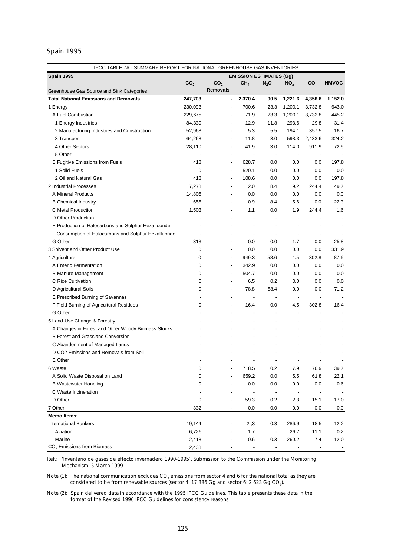# Spain 1995

|                                                                                                | IPCC TABLE 7A - SUMMARY REPORT FOR NATIONAL GREENHOUSE GAS INVENTORIES |                          |                                |                          |                |                          |              |  |
|------------------------------------------------------------------------------------------------|------------------------------------------------------------------------|--------------------------|--------------------------------|--------------------------|----------------|--------------------------|--------------|--|
| Spain 1995                                                                                     |                                                                        |                          | <b>EMISSION ESTIMATES (Gg)</b> |                          |                |                          |              |  |
|                                                                                                | CO <sub>2</sub>                                                        | CO <sub>2</sub>          | CH <sub>4</sub>                | $N_2$ O                  | $NO_{x}$       | CO                       | <b>NMVOC</b> |  |
| Greenhouse Gas Source and Sink Categories                                                      |                                                                        | <b>Removals</b>          |                                |                          |                |                          |              |  |
| <b>Total National Emissions and Removals</b>                                                   | 247,703                                                                |                          | 2,370.4                        | 90.5                     | 1,221.6        | 4,356.8                  | 1,152.0      |  |
| 1 Energy                                                                                       | 230,093                                                                |                          | 700.6                          | 23.3                     | 1,200.1        | 3,732.8                  | 643.0        |  |
| A Fuel Combustion                                                                              | 229,675                                                                |                          | 71.9                           | 23.3                     | 1,200.1        | 3,732.8                  | 445.2        |  |
| 1 Energy Industries                                                                            | 84,330                                                                 |                          | 12.9                           | 11.8                     | 293.6          | 29.8                     | 31.4         |  |
| 2 Manufacturing Industries and Construction                                                    | 52,968                                                                 | $\overline{\phantom{a}}$ | 5.3                            | 5.5                      | 194.1          | 357.5                    | 16.7         |  |
| 3 Transport                                                                                    | 64,268                                                                 | $\overline{\phantom{a}}$ | 11.8                           | 3.0                      | 598.3          | 2,433.6                  | 324.2        |  |
| 4 Other Sectors                                                                                | 28,110                                                                 | $\overline{\phantom{a}}$ | 41.9                           | 3.0                      | 114.0          | 911.9                    | 72.9         |  |
| 5 Other                                                                                        |                                                                        | $\overline{\phantom{a}}$ | $\overline{a}$                 | $\overline{\phantom{a}}$ |                | $\overline{\phantom{a}}$ |              |  |
| <b>B Fugitive Emissions from Fuels</b>                                                         | 418                                                                    | $\overline{\phantom{a}}$ | 628.7                          | 0.0                      | 0.0            | 0.0                      | 197.8        |  |
| 1 Solid Fuels                                                                                  | 0                                                                      | $\overline{\phantom{a}}$ | 520.1                          | 0.0                      | 0.0            | 0.0                      | 0.0          |  |
| 2 Oil and Natural Gas                                                                          | 418                                                                    | $\overline{\phantom{a}}$ | 108.6                          | 0.0                      | 0.0            | 0.0                      | 197.8        |  |
| 2 Industrial Processes                                                                         | 17,278                                                                 | $\overline{\phantom{a}}$ | 2.0                            | 8.4                      | 9.2            | 244.4                    | 49.7         |  |
| A Mineral Products                                                                             | 14,806                                                                 | $\overline{\phantom{a}}$ | 0.0                            | 0.0                      | 0.0            | 0.0                      | 0.0          |  |
| <b>B</b> Chemical Industry                                                                     | 656                                                                    | $\overline{\phantom{a}}$ | 0.9                            | 8.4                      | 5.6            | 0.0                      | 22.3         |  |
| C Metal Production                                                                             | 1,503                                                                  |                          | 1.1                            | 0.0                      | 1.9            | 244.4                    | 1.6          |  |
| D Other Production                                                                             |                                                                        |                          | $\overline{a}$                 | $\blacksquare$           | $\overline{a}$ |                          |              |  |
| E Production of Halocarbons and Sulphur Hexafluoride                                           |                                                                        |                          |                                | $\overline{\phantom{a}}$ | L,             |                          |              |  |
| F Consumption of Halocarbons and Sulphur Hexafluoride                                          |                                                                        |                          | $\overline{a}$                 | $\overline{\phantom{a}}$ | $\overline{a}$ |                          |              |  |
| G Other                                                                                        | 313                                                                    | ÷,                       | 0.0                            | 0.0                      | 1.7            | 0.0                      | 25.8         |  |
| 3 Solvent and Other Product Use                                                                | 0                                                                      | $\overline{\phantom{a}}$ | 0.0                            | 0.0                      | 0.0            | 0.0                      | 331.9        |  |
| 4 Agriculture                                                                                  | 0                                                                      | $\blacksquare$           | 949.3                          | 58.6                     | 4.5            | 302.8                    | 87.6         |  |
| A Enteric Fermentation                                                                         | 0                                                                      | $\overline{\phantom{a}}$ | 342.9                          | 0.0                      | 0.0            | 0.0                      | 0.0          |  |
| <b>B Manure Management</b>                                                                     | 0                                                                      | $\overline{\phantom{a}}$ | 504.7                          | 0.0                      | 0.0            | 0.0                      | 0.0          |  |
| C Rice Cultivation                                                                             | 0                                                                      | $\overline{\phantom{a}}$ | 6.5                            | 0.2                      | 0.0            | 0.0                      | 0.0          |  |
| D Agricultural Soils                                                                           | 0                                                                      | $\overline{\phantom{a}}$ | 78.8                           | 58.4                     | 0.0            | 0.0                      | 71.2         |  |
| E Prescribed Burning of Savannas                                                               |                                                                        |                          | $\overline{a}$                 | $\overline{\phantom{a}}$ |                |                          |              |  |
| F Field Burning of Agricultural Residues                                                       | 0                                                                      |                          | 16.4                           | 0.0                      | 4.5            | 302.8                    | 16.4         |  |
| G Other                                                                                        |                                                                        |                          | $\overline{a}$                 | $\overline{\phantom{a}}$ | ÷,             |                          |              |  |
| 5 Land-Use Change & Forestry                                                                   |                                                                        |                          | $\overline{a}$                 | ÷,                       |                |                          |              |  |
|                                                                                                |                                                                        |                          | $\overline{a}$                 | L,                       |                |                          |              |  |
| A Changes in Forest and Other Woody Biomass Stocks<br><b>B Forest and Grassland Conversion</b> |                                                                        |                          |                                | L,                       |                |                          |              |  |
|                                                                                                |                                                                        |                          |                                |                          |                |                          |              |  |
| C Abandonment of Managed Lands                                                                 |                                                                        |                          |                                |                          |                |                          |              |  |
| D CO2 Emissions and Removals from Soil                                                         |                                                                        |                          |                                |                          |                |                          |              |  |
| E Other                                                                                        |                                                                        |                          |                                |                          |                |                          |              |  |
| 6 Waste                                                                                        | 0                                                                      |                          | 718.5                          | 0.2                      | 7.9            | 76.9                     | 39.7         |  |
| A Solid Waste Disposal on Land                                                                 | 0                                                                      |                          | 659.2                          | 0.0                      | 5.5            | 61.8                     | 22.1         |  |
| <b>B Wastewater Handling</b>                                                                   | 0                                                                      |                          | 0.0                            | 0.0                      | 0.0            | 0.0                      | 0.6          |  |
| C Waste Incineration                                                                           |                                                                        |                          |                                | $\overline{\phantom{a}}$ |                | $\overline{a}$           |              |  |
| D Other                                                                                        | 0                                                                      |                          | 59.3                           | 0.2                      | 2.3            | 15.1                     | 17.0         |  |
| 7 Other                                                                                        | 332                                                                    | $\overline{\phantom{a}}$ | 0.0                            | 0.0                      | 0.0            | 0.0                      | 0.0          |  |
| <b>Memo Items:</b>                                                                             |                                                                        |                          |                                |                          |                |                          |              |  |
| <b>International Bunkers</b>                                                                   | 19,144                                                                 |                          | 2.,3                           | 0.3                      | 286.9          | 18.5                     | 12.2         |  |
| Aviation                                                                                       | 6,726                                                                  |                          | 1.7                            | $\overline{\phantom{a}}$ | 26.7           | 11.1                     | 0.2          |  |
| Marine                                                                                         | 12,418                                                                 |                          | 0.6                            | 0.3                      | 260.2          | 7.4                      | 12.0         |  |
| CO <sub>2</sub> Emissions from Biomass                                                         | 12,438                                                                 |                          |                                |                          |                |                          |              |  |

Ref.: '*Inventario de gases de effecto invernadero 1990-1995',* Submission to the Commission under the Monitoring Mechanism, 5 March 1999.

Note (1): The national communication excludes CO<sub>2</sub> emissions from sector 4 and 6 for the national total as they are considered to be from renewable sources (sector 4: 17 386 Gg and sector 6: 2 623 Gg CO<sub>2</sub>).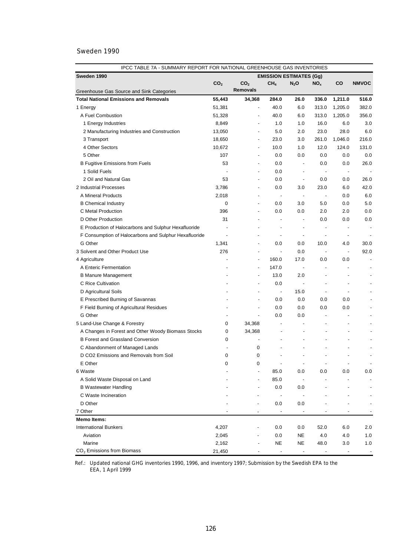| IPCC TABLE 7A - SUMMARY REPORT FOR NATIONAL GREENHOUSE GAS INVENTORIES |                 |                          |                          |                                |                          |                          |                          |  |
|------------------------------------------------------------------------|-----------------|--------------------------|--------------------------|--------------------------------|--------------------------|--------------------------|--------------------------|--|
| Sweden 1990                                                            |                 |                          |                          | <b>EMISSION ESTIMATES (Gg)</b> |                          |                          |                          |  |
|                                                                        | CO <sub>2</sub> | CO <sub>2</sub>          | CH <sub>4</sub>          | $N_2$ O                        | NO <sub>x</sub>          | CO                       | <b>NMVOC</b>             |  |
| Greenhouse Gas Source and Sink Categories                              |                 | <b>Removals</b>          |                          |                                |                          |                          |                          |  |
| <b>Total National Emissions and Removals</b>                           | 55,443          | 34,368                   | 284.0                    | 26.0                           | 336.0                    | 1,211.0                  | 516.0                    |  |
| 1 Energy                                                               | 51,381          | $\overline{\phantom{a}}$ | 40.0                     | 6.0                            | 313.0                    | 1,205.0                  | 382.0                    |  |
| A Fuel Combustion                                                      | 51,328          | ÷,                       | 40.0                     | 6.0                            | 313.0                    | 1,205.0                  | 356.0                    |  |
| 1 Energy Industries                                                    | 8,849           |                          | 1.0                      | 1.0                            | 16.0                     | 6.0                      | 3.0                      |  |
| 2 Manufacturing Industries and Construction                            | 13,050          | $\overline{\phantom{a}}$ | 5.0                      | 2.0                            | 23.0                     | 28.0                     | 6.0                      |  |
| 3 Transport                                                            | 18,650          | $\overline{\phantom{a}}$ | 23.0                     | 3.0                            | 261.0                    | 1,046.0                  | 216.0                    |  |
| 4 Other Sectors                                                        | 10,672          | ÷,                       | 10.0                     | 1.0                            | 12.0                     | 124.0                    | 131.0                    |  |
| 5 Other                                                                | 107             |                          | 0.0                      | 0.0                            | 0.0                      | 0.0                      | 0.0                      |  |
| <b>B Fugitive Emissions from Fuels</b>                                 | 53              |                          | 0.0                      | $\overline{\phantom{a}}$       | 0.0                      | 0.0                      | 26.0                     |  |
| 1 Solid Fuels                                                          |                 | $\overline{\phantom{a}}$ | 0.0                      | $\overline{\phantom{a}}$       | $\overline{\phantom{a}}$ | $\overline{\phantom{a}}$ |                          |  |
| 2 Oil and Natural Gas                                                  | 53              | $\overline{\phantom{a}}$ | 0.0                      | $\overline{\phantom{a}}$       | 0.0                      | 0.0                      | 26.0                     |  |
| 2 Industrial Processes                                                 | 3,786           | $\overline{\phantom{a}}$ | 0.0                      | 3.0                            | 23.0                     | 6.0                      | 42.0                     |  |
| A Mineral Products                                                     | 2,018           | $\overline{a}$           | $\overline{\phantom{a}}$ | $\overline{\phantom{a}}$       | $\overline{\phantom{a}}$ | 0.0                      | 6.0                      |  |
| <b>B Chemical Industry</b>                                             | 0               | ÷,                       | 0.0                      | 3.0                            | 5.0                      | 0.0                      | 5.0                      |  |
| C Metal Production                                                     | 396             | $\overline{\phantom{a}}$ | 0.0                      | 0.0                            | 2.0                      | 2.0                      | 0.0                      |  |
| D Other Production                                                     | 31              | $\overline{\phantom{a}}$ |                          |                                | 0.0                      | 0.0                      | 0.0                      |  |
| E Production of Halocarbons and Sulphur Hexafluoride                   |                 | $\overline{\phantom{a}}$ | $\overline{\phantom{a}}$ |                                | $\overline{\phantom{a}}$ | $\overline{\phantom{m}}$ | $\overline{a}$           |  |
| F Consumption of Halocarbons and Sulphur Hexafluoride                  |                 | $\overline{\phantom{a}}$ | $\overline{\phantom{a}}$ | $\overline{\phantom{a}}$       | $\overline{\phantom{a}}$ | $\overline{\phantom{a}}$ |                          |  |
| G Other                                                                | 1,341           | $\overline{\phantom{a}}$ | 0.0                      | 0.0                            | 10.0                     | 4.0                      | 30.0                     |  |
| 3 Solvent and Other Product Use                                        | 276             | $\overline{\phantom{a}}$ | $\overline{\phantom{a}}$ | 0.0                            | $\overline{\phantom{a}}$ | $\overline{\phantom{a}}$ | 92.0                     |  |
| 4 Agriculture                                                          |                 | $\blacksquare$           | 160.0                    | 17.0                           | 0.0                      | 0.0                      | $\blacksquare$           |  |
| A Enteric Fermentation                                                 |                 | $\overline{\phantom{a}}$ | 147.0                    | $\overline{\phantom{a}}$       | $\overline{a}$           | $\overline{\phantom{a}}$ | $\blacksquare$           |  |
| <b>B Manure Management</b>                                             |                 | $\overline{\phantom{a}}$ | 13.0                     | 2.0                            | $\overline{\phantom{0}}$ | $\overline{\phantom{a}}$ |                          |  |
| C Rice Cultivation                                                     |                 | $\overline{\phantom{a}}$ | 0.0                      | $\blacksquare$                 | $\overline{\phantom{0}}$ | $\overline{\phantom{a}}$ |                          |  |
| D Agricultural Soils                                                   |                 | ٠                        | $\overline{\phantom{a}}$ | 15.0                           | $\overline{\phantom{a}}$ | $\overline{a}$           |                          |  |
| E Prescribed Burning of Savannas                                       |                 | $\overline{\phantom{a}}$ | 0.0                      | 0.0                            | 0.0                      | 0.0                      |                          |  |
| F Field Burning of Agricultural Residues                               |                 | ٠                        | 0.0                      | 0.0                            | 0.0                      | 0.0                      |                          |  |
| G Other                                                                |                 | $\overline{\phantom{a}}$ | 0.0                      | 0.0                            | $\overline{a}$           | $\overline{a}$           |                          |  |
| 5 Land-Use Change & Forestry                                           | 0               | 34,368                   |                          |                                | $\overline{a}$           | $\overline{\phantom{a}}$ |                          |  |
| A Changes in Forest and Other Woody Biomass Stocks                     | 0               | 34,368                   | ÷,                       |                                |                          | $\overline{\phantom{a}}$ |                          |  |
| <b>B Forest and Grassland Conversion</b>                               | 0               | $\overline{\phantom{a}}$ |                          |                                |                          |                          |                          |  |
| C Abandonment of Managed Lands                                         |                 | 0                        |                          |                                |                          |                          |                          |  |
| D CO2 Emissions and Removals from Soil                                 | 0               | 0                        |                          | $\overline{a}$                 | $\overline{a}$           | $\overline{\phantom{a}}$ |                          |  |
| E Other                                                                | 0               | 0                        | $\overline{\phantom{a}}$ | $\overline{\phantom{a}}$       | $\overline{\phantom{a}}$ |                          | $\overline{\phantom{a}}$ |  |
| 6 Waste                                                                |                 |                          | 85.0                     | 0.0                            | 0.0                      | 0.0                      | 0.0                      |  |
| A Solid Waste Disposal on Land                                         |                 |                          | 85.0                     | $\overline{\phantom{a}}$       |                          |                          |                          |  |
| <b>B Wastewater Handling</b>                                           |                 |                          | 0.0                      | 0.0                            |                          |                          |                          |  |
| C Waste Incineration                                                   |                 |                          | $\overline{\phantom{a}}$ | $\overline{\phantom{a}}$       |                          |                          |                          |  |
| D Other                                                                |                 |                          | 0.0                      | 0.0                            |                          |                          |                          |  |
| 7 Other                                                                |                 |                          |                          |                                |                          |                          |                          |  |
| <b>Memo Items:</b>                                                     |                 |                          |                          |                                |                          |                          |                          |  |
| <b>International Bunkers</b>                                           | 4,207           |                          | 0.0                      | 0.0                            | 52.0                     | 6.0                      | 2.0                      |  |
| Aviation                                                               | 2,045           |                          | 0.0                      | NE                             | 4.0                      | 4.0                      | 1.0                      |  |
| Marine                                                                 | 2,162           |                          | NE                       | <b>NE</b>                      | 48.0                     | 3.0                      | 1.0                      |  |
| $CO2$ Emissions from Biomass                                           | 21,450          |                          |                          |                                |                          |                          |                          |  |

Ref.: Updated national GHG inventories 1990, 1996, and inventory 1997; Submission by the Swedish EPA to the EEA, 1 April 1999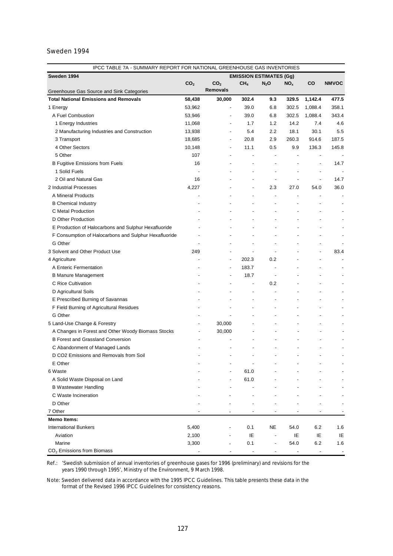| IPCC TABLE 7A - SUMMARY REPORT FOR NATIONAL GREENHOUSE GAS INVENTORIES |                 |                          |                                |                |                          |                          |                          |  |
|------------------------------------------------------------------------|-----------------|--------------------------|--------------------------------|----------------|--------------------------|--------------------------|--------------------------|--|
| Sweden 1994                                                            |                 |                          | <b>EMISSION ESTIMATES (Gg)</b> |                |                          |                          |                          |  |
|                                                                        | CO <sub>2</sub> | CO <sub>2</sub>          | CH <sub>4</sub>                | $N_2$ O        | NO <sub>x</sub>          | CO                       | <b>NMVOC</b>             |  |
| Greenhouse Gas Source and Sink Categories                              |                 | Removals                 |                                |                |                          |                          |                          |  |
| <b>Total National Emissions and Removals</b>                           | 58,438          | 30,000                   | 302.4                          | 9.3            | 329.5                    | 1,142.4                  | 477.5                    |  |
| 1 Energy                                                               | 53,962          | $\overline{\phantom{a}}$ | 39.0                           | 6.8            | 302.5                    | 1,088.4                  | 358.1                    |  |
| A Fuel Combustion                                                      | 53,946          | $\overline{\phantom{a}}$ | 39.0                           | 6.8            | 302.5                    | 1,088.4                  | 343.4                    |  |
| 1 Energy Industries                                                    | 11,068          | $\overline{\phantom{a}}$ | 1.7                            | 1.2            | 14.2                     | 7.4                      | 4.6                      |  |
| 2 Manufacturing Industries and Construction                            | 13,938          | $\overline{\phantom{a}}$ | 5.4                            | 2.2            | 18.1                     | 30.1                     | 5.5                      |  |
| 3 Transport                                                            | 18,685          | $\overline{\phantom{a}}$ | 20.8                           | 2.9            | 260.3                    | 914.6                    | 187.5                    |  |
| 4 Other Sectors                                                        | 10,148          | $\overline{\phantom{a}}$ | 11.1                           | 0.5            | 9.9                      | 136.3                    | 145.8                    |  |
| 5 Other                                                                | 107             | $\overline{\phantom{a}}$ | ÷,                             | $\overline{a}$ | $\overline{a}$           | $\overline{a}$           |                          |  |
| <b>B Fugitive Emissions from Fuels</b>                                 | 16              | $\overline{\phantom{a}}$ | $\overline{\phantom{a}}$       | -              |                          | $\overline{a}$           | 14.7                     |  |
| 1 Solid Fuels                                                          |                 | $\overline{\phantom{a}}$ | $\overline{\phantom{a}}$       | $\overline{a}$ |                          |                          |                          |  |
| 2 Oil and Natural Gas                                                  | 16              | $\overline{\phantom{a}}$ | ٠                              | $\blacksquare$ | $\overline{\phantom{a}}$ | $\overline{a}$           | 14.7                     |  |
| 2 Industrial Processes                                                 | 4,227           |                          | $\overline{\phantom{a}}$       | 2.3            | 27.0                     | 54.0                     | 36.0                     |  |
| A Mineral Products                                                     |                 |                          | ٠                              | $\overline{a}$ | ÷,                       |                          |                          |  |
| <b>B Chemical Industry</b>                                             |                 |                          |                                |                |                          |                          |                          |  |
| C Metal Production                                                     |                 |                          |                                |                |                          |                          | $\overline{\phantom{a}}$ |  |
| D Other Production                                                     |                 |                          |                                |                |                          |                          |                          |  |
| E Production of Halocarbons and Sulphur Hexafluoride                   |                 |                          |                                |                |                          |                          |                          |  |
| F Consumption of Halocarbons and Sulphur Hexafluoride                  |                 |                          |                                |                |                          |                          |                          |  |
| G Other                                                                |                 |                          |                                |                |                          |                          |                          |  |
| 3 Solvent and Other Product Use                                        | 249             |                          | $\overline{a}$                 | $\blacksquare$ |                          | $\overline{a}$           | 83.4                     |  |
| 4 Agriculture                                                          |                 | $\overline{a}$           | 202.3                          | 0.2            |                          | $\overline{a}$           |                          |  |
| A Enteric Fermentation                                                 |                 | $\overline{a}$           | 183.7                          | $\overline{a}$ |                          |                          |                          |  |
| <b>B Manure Management</b>                                             |                 | $\overline{\phantom{a}}$ | 18.7                           | $\blacksquare$ |                          |                          |                          |  |
| C Rice Cultivation                                                     |                 | $\overline{\phantom{a}}$ | $\overline{\phantom{a}}$       | 0.2            |                          |                          |                          |  |
| D Agricultural Soils                                                   |                 |                          | ÷,                             |                |                          |                          |                          |  |
| E Prescribed Burning of Savannas                                       |                 |                          | ÷,                             |                |                          |                          |                          |  |
| F Field Burning of Agricultural Residues                               |                 |                          |                                | ÷,             |                          |                          |                          |  |
| G Other                                                                |                 |                          |                                |                |                          |                          |                          |  |
| 5 Land-Use Change & Forestry                                           |                 | 30,000                   |                                |                |                          |                          |                          |  |
| A Changes in Forest and Other Woody Biomass Stocks                     |                 | 30,000                   |                                |                |                          |                          |                          |  |
| <b>B Forest and Grassland Conversion</b>                               |                 |                          |                                |                |                          |                          |                          |  |
|                                                                        |                 |                          |                                |                |                          |                          |                          |  |
| C Abandonment of Managed Lands                                         |                 |                          |                                |                |                          |                          |                          |  |
| D CO2 Emissions and Removals from Soil                                 |                 |                          |                                |                |                          |                          |                          |  |
| E Other                                                                |                 |                          |                                |                |                          |                          |                          |  |
| 6 Waste                                                                |                 |                          | 61.0                           |                |                          |                          |                          |  |
| A Solid Waste Disposal on Land                                         |                 |                          | 61.0                           |                |                          |                          |                          |  |
| <b>B</b> Wastewater Handling                                           |                 |                          |                                |                |                          |                          |                          |  |
| C Waste Incineration                                                   |                 |                          |                                |                |                          |                          |                          |  |
| D Other                                                                |                 |                          |                                |                |                          |                          |                          |  |
| 7 Other                                                                |                 |                          |                                |                |                          |                          |                          |  |
| <b>Memo Items:</b>                                                     |                 |                          |                                |                |                          |                          |                          |  |
| <b>International Bunkers</b>                                           | 5,400           |                          | 0.1                            | NE             | 54.0                     | 6.2                      | 1.6                      |  |
| Aviation                                                               | 2,100           |                          | ΙE                             |                | IE                       | IE                       | IE                       |  |
| Marine                                                                 | 3,300           |                          | 0.1                            |                | 54.0                     | 6.2                      | 1.6                      |  |
| $CO2$ Emissions from Biomass                                           |                 |                          |                                |                |                          | $\overline{\phantom{a}}$ |                          |  |

Ref.: *'Swedish submission of annual inventories of greenhouse gases for 1996 (preliminary) and revisions for the years 1990 through 1995'*, Ministry of the Environment, 9 March 1998.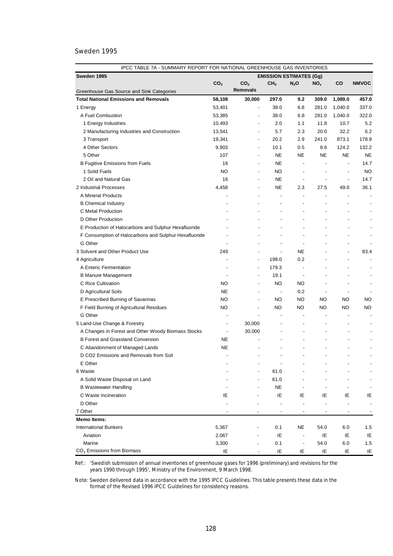| IPCC TABLE 7A - SUMMARY REPORT FOR NATIONAL GREENHOUSE GAS INVENTORIES |                          |                          |                                |                          |                          |                          |                          |  |  |
|------------------------------------------------------------------------|--------------------------|--------------------------|--------------------------------|--------------------------|--------------------------|--------------------------|--------------------------|--|--|
| Sweden 1995                                                            |                          |                          | <b>EMISSION ESTIMATES (Gg)</b> |                          |                          |                          |                          |  |  |
|                                                                        | CO <sub>2</sub>          | CO <sub>2</sub>          | CH <sub>4</sub>                | $N_2$ O                  | NO <sub>x</sub>          | CO                       | <b>NMVOC</b>             |  |  |
| Greenhouse Gas Source and Sink Categories                              |                          | <b>Removals</b>          |                                |                          |                          |                          |                          |  |  |
| <b>Total National Emissions and Removals</b>                           | 58,108                   | 30,000                   | 297.0                          | 9.2                      | 309.0                    | 1,089.0                  | 457.0                    |  |  |
| 1 Energy                                                               | 53,401                   | $\blacksquare$           | 38.0                           | 6.8                      | 281.0                    | 1,040.0                  | 337.0                    |  |  |
| A Fuel Combustion                                                      | 53,385                   |                          | 38.0                           | 6.8                      | 281.0                    | 1,040.0                  | 322.0                    |  |  |
| 1 Energy Industries                                                    | 10,493                   | $\overline{\phantom{a}}$ | 2.0                            | 1.1                      | 11.8                     | 10.7                     | 5.2                      |  |  |
| 2 Manufacturing Industries and Construction                            | 13,541                   | $\overline{\phantom{a}}$ | 5.7                            | 2.3                      | 20.0                     | 32.2                     | 6.2                      |  |  |
| 3 Transport                                                            | 19,341                   | $\overline{\phantom{a}}$ | 20.2                           | 2.9                      | 241.0                    | 873.1                    | 178.9                    |  |  |
| 4 Other Sectors                                                        | 9,903                    | $\overline{a}$           | 10.1                           | 0.5                      | 8.6                      | 124.2                    | 132.2                    |  |  |
| 5 Other                                                                | 107                      | $\overline{\phantom{a}}$ | <b>NE</b>                      | <b>NE</b>                | <b>NE</b>                | <b>NE</b>                | <b>NE</b>                |  |  |
| <b>B Fugitive Emissions from Fuels</b>                                 | 16                       | $\overline{\phantom{a}}$ | NE.                            | $\overline{\phantom{a}}$ | $\overline{a}$           | $\overline{a}$           | 14.7                     |  |  |
| 1 Solid Fuels                                                          | NO.                      | $\overline{\phantom{a}}$ | NO.                            | $\overline{\phantom{a}}$ | $\blacksquare$           | $\overline{a}$           | <b>NO</b>                |  |  |
| 2 Oil and Natural Gas                                                  | 16                       | $\overline{\phantom{a}}$ | <b>NE</b>                      | $\overline{\phantom{a}}$ | $\overline{a}$           | $\overline{a}$           | 14.7                     |  |  |
| 2 Industrial Processes                                                 | 4,458                    | $\overline{\phantom{a}}$ | <b>NE</b>                      | 2.3                      | 27.5                     | 49.0                     | 36.1                     |  |  |
| A Mineral Products                                                     | $\overline{a}$           | $\overline{\phantom{a}}$ | $\blacksquare$                 | $\overline{\phantom{a}}$ | L                        | $\overline{\phantom{a}}$ | $\blacksquare$           |  |  |
| <b>B</b> Chemical Industry                                             | $\overline{\phantom{a}}$ | $\overline{\phantom{a}}$ | $\blacksquare$                 | ÷,                       |                          | $\overline{\phantom{a}}$ |                          |  |  |
| C Metal Production                                                     |                          |                          | $\overline{a}$                 | $\overline{a}$           | $\overline{a}$           |                          |                          |  |  |
| D Other Production                                                     |                          |                          | $\overline{\phantom{0}}$       | $\overline{\phantom{a}}$ | $\overline{\phantom{0}}$ | $\overline{\phantom{a}}$ |                          |  |  |
| E Production of Halocarbons and Sulphur Hexafluoride                   |                          | $\overline{\phantom{0}}$ |                                | $\overline{a}$           | $\overline{\phantom{0}}$ | $\overline{\phantom{a}}$ |                          |  |  |
| F Consumption of Halocarbons and Sulphur Hexafluoride                  | $\overline{\phantom{0}}$ |                          |                                | $\overline{\phantom{a}}$ | $\overline{a}$           |                          | $\overline{\phantom{a}}$ |  |  |
| G Other                                                                |                          |                          |                                | ÷,                       | $\overline{a}$           |                          | ٠                        |  |  |
| 3 Solvent and Other Product Use                                        | 249                      | $\overline{\phantom{a}}$ | $\overline{a}$                 | <b>NE</b>                | $\overline{a}$           | $\overline{\phantom{a}}$ | 83.4                     |  |  |
| 4 Agriculture                                                          |                          | $\overline{\phantom{a}}$ | 198.0                          | 0.2                      | $\overline{a}$           |                          | $\overline{a}$           |  |  |
| A Enteric Fermentation                                                 |                          |                          | 179.3                          | ÷,                       |                          |                          |                          |  |  |
| <b>B Manure Management</b>                                             |                          | $\overline{\phantom{a}}$ | 19.1                           | $\overline{\phantom{a}}$ | $\overline{a}$           |                          | $\blacksquare$           |  |  |
| C Rice Cultivation                                                     | NO.                      | $\overline{\phantom{a}}$ | <b>NO</b>                      | NO                       |                          | $\overline{a}$           | $\overline{\phantom{a}}$ |  |  |
| D Agricultural Soils                                                   | <b>NE</b>                | $\overline{\phantom{a}}$ | $\overline{\phantom{a}}$       | 0.2                      | $\overline{\phantom{a}}$ | $\overline{\phantom{a}}$ |                          |  |  |
| E Prescribed Burning of Savannas                                       | <b>NO</b>                | ÷,                       | NO                             | NO                       | NO.                      | NO                       | NO.                      |  |  |
| F Field Burning of Agricultural Residues                               | NO                       | $\overline{\phantom{a}}$ | NO                             | <b>NO</b>                | NO                       | <b>NO</b>                | NO                       |  |  |
| G Other                                                                |                          | $\overline{a}$           |                                |                          | $\overline{a}$           | $\overline{\phantom{a}}$ |                          |  |  |
| 5 Land-Use Change & Forestry                                           | $\overline{\phantom{a}}$ | 30,000                   | $\overline{a}$                 | $\overline{\phantom{a}}$ | ÷                        | $\overline{\phantom{a}}$ |                          |  |  |
| A Changes in Forest and Other Woody Biomass Stocks                     | $\overline{\phantom{a}}$ | 30,000                   |                                | $\overline{a}$           | $\overline{a}$           | $\overline{a}$           |                          |  |  |
| <b>B Forest and Grassland Conversion</b>                               | NE                       |                          |                                | $\overline{a}$           |                          |                          |                          |  |  |
| C Abandonment of Managed Lands                                         | NE                       |                          |                                |                          |                          |                          |                          |  |  |
| D CO2 Emissions and Removals from Soil                                 |                          |                          |                                | L,                       | $\overline{a}$           |                          |                          |  |  |
| E Other                                                                |                          |                          |                                |                          |                          |                          |                          |  |  |
|                                                                        |                          |                          | 61.0                           |                          |                          |                          |                          |  |  |
| 6 Waste                                                                |                          |                          |                                |                          |                          |                          |                          |  |  |
| A Solid Waste Disposal on Land                                         |                          |                          | 61.0                           |                          |                          |                          |                          |  |  |
| <b>B Wastewater Handling</b>                                           |                          |                          | <b>NE</b>                      |                          |                          |                          |                          |  |  |
| C Waste Incineration                                                   | ΙE                       |                          | ΙE                             | ΙE                       | IE                       | IE                       | IE                       |  |  |
| D Other                                                                |                          |                          | $\overline{a}$                 | L,                       |                          |                          | $\blacksquare$           |  |  |
| 7 Other                                                                |                          |                          |                                |                          |                          |                          |                          |  |  |
| <b>Memo Items:</b>                                                     |                          |                          |                                |                          |                          |                          |                          |  |  |
| <b>International Bunkers</b>                                           | 5,367                    |                          | 0.1                            | NE                       | 54.0                     | 6.0                      | 1.5                      |  |  |
| Aviation                                                               | 2,067                    |                          | IE                             | $\blacksquare$           | IE                       | IE                       | IE                       |  |  |
| Marine<br>CO <sub>2</sub> Emissions from Biomass                       | 3,300                    |                          | 0.1                            | $\overline{a}$           | 54.0                     | 6.0                      | 1.5                      |  |  |
|                                                                        | IE                       |                          | IE                             | IE                       | IE                       | IE                       | IE                       |  |  |

Ref.: *'Swedish submission of annual inventories of greenhouse gases for 1996 (preliminary) and revisions for the years 1990 through 1995'*, Ministry of the Environment, 9 March 1998.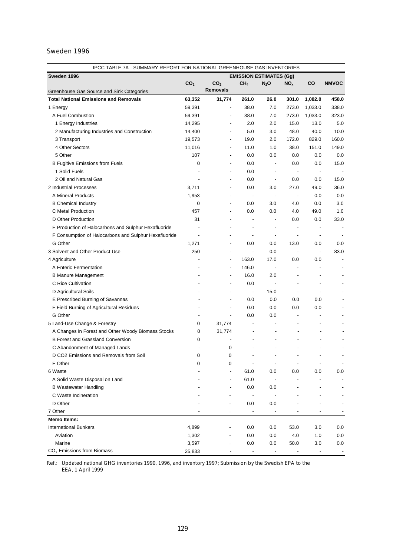| IPCC TABLE 7A - SUMMARY REPORT FOR NATIONAL GREENHOUSE GAS INVENTORIES |                 |                          |                                |                                                                                                                                                                                                                                                                                                                                                                                                                                                     |                          |                          |                          |  |  |
|------------------------------------------------------------------------|-----------------|--------------------------|--------------------------------|-----------------------------------------------------------------------------------------------------------------------------------------------------------------------------------------------------------------------------------------------------------------------------------------------------------------------------------------------------------------------------------------------------------------------------------------------------|--------------------------|--------------------------|--------------------------|--|--|
| Sweden 1996                                                            |                 |                          | <b>EMISSION ESTIMATES (Gg)</b> |                                                                                                                                                                                                                                                                                                                                                                                                                                                     |                          |                          |                          |  |  |
|                                                                        | CO <sub>2</sub> | CO <sub>2</sub>          | CH <sub>4</sub>                | $N_2$ O                                                                                                                                                                                                                                                                                                                                                                                                                                             | NO <sub>x</sub>          | CO                       | <b>NMVOC</b>             |  |  |
| Greenhouse Gas Source and Sink Categories                              |                 | <b>Removals</b>          |                                |                                                                                                                                                                                                                                                                                                                                                                                                                                                     |                          |                          |                          |  |  |
| <b>Total National Emissions and Removals</b>                           | 63,352          | 31,774                   | 261.0                          | 26.0                                                                                                                                                                                                                                                                                                                                                                                                                                                | 301.0                    | 1,082.0                  | 458.0                    |  |  |
| 1 Energy                                                               | 59,391          | $\overline{a}$           | 38.0                           | 7.0                                                                                                                                                                                                                                                                                                                                                                                                                                                 | 273.0                    | 1,033.0                  | 338.0                    |  |  |
| A Fuel Combustion                                                      | 59,391          | $\overline{\phantom{a}}$ | 38.0                           | 7.0                                                                                                                                                                                                                                                                                                                                                                                                                                                 | 273.0                    | 1,033.0                  | 323.0                    |  |  |
| 1 Energy Industries                                                    | 14,295          |                          | 2.0                            | 2.0                                                                                                                                                                                                                                                                                                                                                                                                                                                 | 15.0                     | 13.0                     | 5.0                      |  |  |
| 2 Manufacturing Industries and Construction                            | 14,400          |                          | 5.0                            | 3.0                                                                                                                                                                                                                                                                                                                                                                                                                                                 | 48.0                     | 40.0                     | 10.0                     |  |  |
| 3 Transport                                                            | 19,573          | $\overline{a}$           | 19.0                           | 2.0                                                                                                                                                                                                                                                                                                                                                                                                                                                 | 172.0                    | 829.0                    | 160.0                    |  |  |
| 4 Other Sectors                                                        | 11,016          | $\overline{\phantom{a}}$ | 11.0                           | 1.0                                                                                                                                                                                                                                                                                                                                                                                                                                                 | 38.0                     | 151.0                    | 149.0                    |  |  |
| 5 Other                                                                | 107             | $\overline{\phantom{a}}$ | 0.0                            | 0.0                                                                                                                                                                                                                                                                                                                                                                                                                                                 | 0.0                      | 0.0                      | 0.0                      |  |  |
| <b>B Fugitive Emissions from Fuels</b>                                 | $\mathbf 0$     | $\overline{\phantom{a}}$ | 0.0                            | $\overline{\phantom{a}}$                                                                                                                                                                                                                                                                                                                                                                                                                            | 0.0                      | 0.0                      | 15.0                     |  |  |
| 1 Solid Fuels                                                          |                 | $\overline{\phantom{a}}$ | 0.0                            | $\overline{\phantom{a}}$                                                                                                                                                                                                                                                                                                                                                                                                                            | $\overline{\phantom{a}}$ | $\blacksquare$           |                          |  |  |
| 2 Oil and Natural Gas                                                  | $\overline{a}$  | $\overline{\phantom{a}}$ | 0.0                            | $\overline{\phantom{a}}$                                                                                                                                                                                                                                                                                                                                                                                                                            | 0.0                      | 0.0                      | 15.0                     |  |  |
| 2 Industrial Processes                                                 | 3,711           | $\overline{\phantom{a}}$ | 0.0                            | 3.0                                                                                                                                                                                                                                                                                                                                                                                                                                                 | 27.0                     | 49.0                     | 36.0                     |  |  |
| A Mineral Products                                                     | 1,953           | $\overline{\phantom{a}}$ | $\overline{\phantom{a}}$       | $\overline{\phantom{a}}$                                                                                                                                                                                                                                                                                                                                                                                                                            | $\overline{\phantom{a}}$ | 0.0                      | 0.0                      |  |  |
| <b>B</b> Chemical Industry                                             | 0               | $\overline{a}$           | 0.0                            | 3.0                                                                                                                                                                                                                                                                                                                                                                                                                                                 | 4.0                      | 0.0                      | 3.0                      |  |  |
| C Metal Production                                                     | 457             | $\overline{a}$           | 0.0                            | 0.0                                                                                                                                                                                                                                                                                                                                                                                                                                                 | 4.0                      | 49.0                     | 1.0                      |  |  |
| D Other Production                                                     | 31              | $\overline{\phantom{a}}$ | ÷,                             | $\overline{\phantom{a}}$                                                                                                                                                                                                                                                                                                                                                                                                                            | 0.0                      | 0.0                      | 33.0                     |  |  |
| E Production of Halocarbons and Sulphur Hexafluoride                   |                 | $\overline{\phantom{a}}$ | ÷,                             | $\centering \label{eq:reduced} \begin{minipage}{0.5\linewidth} \begin{tabular}{l} \multicolumn{3}{c}{\textbf{1} & \textbf{1} & \textbf{1} & \textbf{1} & \textbf{1} & \textbf{1} & \textbf{1} & \textbf{1} & \textbf{1} & \textbf{1} & \textbf{1} & \textbf{1} & \textbf{1} & \textbf{1} & \textbf{1} & \textbf{1} & \textbf{1} & \textbf{1} & \textbf{1} & \textbf{1} & \textbf{1} & \textbf{1} & \textbf{1} & \textbf{1} & \textbf{1} & \textbf{$ | $\overline{\phantom{a}}$ | $\overline{\phantom{0}}$ | ٠                        |  |  |
| F Consumption of Halocarbons and Sulphur Hexafluoride                  | $\overline{a}$  | $\overline{\phantom{0}}$ | ÷,                             | $\overline{\phantom{a}}$                                                                                                                                                                                                                                                                                                                                                                                                                            | $\overline{\phantom{a}}$ | $\overline{\phantom{a}}$ |                          |  |  |
| G Other                                                                | 1,271           | $\overline{a}$           | 0.0                            | 0.0                                                                                                                                                                                                                                                                                                                                                                                                                                                 | 13.0                     | 0.0                      | 0.0                      |  |  |
| 3 Solvent and Other Product Use                                        | 250             | $\overline{\phantom{a}}$ | $\overline{\phantom{a}}$       | 0.0                                                                                                                                                                                                                                                                                                                                                                                                                                                 | $\overline{\phantom{a}}$ | $\overline{\phantom{a}}$ | 83.0                     |  |  |
| 4 Agriculture                                                          |                 | $\overline{\phantom{a}}$ | 163.0                          | 17.0                                                                                                                                                                                                                                                                                                                                                                                                                                                | 0.0                      | 0.0                      |                          |  |  |
| A Enteric Fermentation                                                 |                 | $\overline{\phantom{a}}$ | 146.0                          | $\overline{\phantom{a}}$                                                                                                                                                                                                                                                                                                                                                                                                                            |                          | $\blacksquare$           |                          |  |  |
| <b>B Manure Management</b>                                             |                 | ÷,                       | 16.0                           | 2.0                                                                                                                                                                                                                                                                                                                                                                                                                                                 |                          | $\overline{a}$           |                          |  |  |
| C Rice Cultivation                                                     |                 | $\overline{\phantom{a}}$ | 0.0                            | $\overline{\phantom{a}}$                                                                                                                                                                                                                                                                                                                                                                                                                            | ÷,                       | $\overline{a}$           |                          |  |  |
| D Agricultural Soils                                                   |                 | $\overline{\phantom{a}}$ | $\overline{\phantom{a}}$       | 15.0                                                                                                                                                                                                                                                                                                                                                                                                                                                | $\overline{\phantom{a}}$ | $\overline{\phantom{a}}$ |                          |  |  |
| E Prescribed Burning of Savannas                                       |                 | ٠                        | 0.0                            | 0.0                                                                                                                                                                                                                                                                                                                                                                                                                                                 | 0.0                      | 0.0                      |                          |  |  |
| F Field Burning of Agricultural Residues                               |                 | $\overline{\phantom{a}}$ | 0.0                            | 0.0                                                                                                                                                                                                                                                                                                                                                                                                                                                 | 0.0                      | 0.0                      |                          |  |  |
| G Other                                                                |                 | ÷,                       | 0.0                            | 0.0                                                                                                                                                                                                                                                                                                                                                                                                                                                 | $\overline{\phantom{a}}$ |                          |                          |  |  |
| 5 Land-Use Change & Forestry                                           | 0               | 31,774                   | $\overline{\phantom{a}}$       |                                                                                                                                                                                                                                                                                                                                                                                                                                                     |                          |                          |                          |  |  |
| A Changes in Forest and Other Woody Biomass Stocks                     | 0               | 31,774                   |                                |                                                                                                                                                                                                                                                                                                                                                                                                                                                     |                          |                          |                          |  |  |
| <b>B Forest and Grassland Conversion</b>                               | 0               |                          |                                |                                                                                                                                                                                                                                                                                                                                                                                                                                                     |                          |                          |                          |  |  |
|                                                                        |                 |                          |                                |                                                                                                                                                                                                                                                                                                                                                                                                                                                     |                          |                          |                          |  |  |
| C Abandonment of Managed Lands                                         |                 | 0                        |                                |                                                                                                                                                                                                                                                                                                                                                                                                                                                     |                          |                          |                          |  |  |
| D CO2 Emissions and Removals from Soil                                 | $\mathbf 0$     | 0                        |                                |                                                                                                                                                                                                                                                                                                                                                                                                                                                     |                          |                          |                          |  |  |
| E Other                                                                | 0               | 0                        | $\overline{\phantom{a}}$       | $\overline{\phantom{a}}$                                                                                                                                                                                                                                                                                                                                                                                                                            |                          |                          | $\overline{\phantom{m}}$ |  |  |
| 6 Waste                                                                |                 |                          | 61.0                           | 0.0                                                                                                                                                                                                                                                                                                                                                                                                                                                 | 0.0                      | 0.0                      | 0.0                      |  |  |
| A Solid Waste Disposal on Land                                         |                 |                          | 61.0                           | $\overline{\phantom{a}}$                                                                                                                                                                                                                                                                                                                                                                                                                            |                          |                          |                          |  |  |
| <b>B Wastewater Handling</b>                                           |                 |                          | 0.0                            | 0.0                                                                                                                                                                                                                                                                                                                                                                                                                                                 |                          |                          |                          |  |  |
| C Waste Incineration                                                   |                 |                          | $\overline{\phantom{a}}$       | $\overline{\phantom{a}}$                                                                                                                                                                                                                                                                                                                                                                                                                            |                          |                          |                          |  |  |
| D Other                                                                |                 |                          | 0.0                            | 0.0                                                                                                                                                                                                                                                                                                                                                                                                                                                 |                          |                          |                          |  |  |
| 7 Other                                                                |                 |                          | $\overline{\phantom{a}}$       |                                                                                                                                                                                                                                                                                                                                                                                                                                                     |                          |                          |                          |  |  |
| <b>Memo Items:</b>                                                     |                 |                          |                                |                                                                                                                                                                                                                                                                                                                                                                                                                                                     |                          |                          |                          |  |  |
| <b>International Bunkers</b>                                           | 4,899           |                          | 0.0                            | 0.0                                                                                                                                                                                                                                                                                                                                                                                                                                                 | 53.0                     | 3.0                      | 0.0                      |  |  |
| Aviation                                                               | 1,302           |                          | 0.0                            | 0.0                                                                                                                                                                                                                                                                                                                                                                                                                                                 | 4.0                      | 1.0                      | 0.0                      |  |  |
| Marine                                                                 | 3,597           |                          | 0.0                            | 0.0                                                                                                                                                                                                                                                                                                                                                                                                                                                 | 50.0                     | 3.0                      | 0.0                      |  |  |
| CO <sub>2</sub> Emissions from Biomass                                 | 25,833          |                          |                                |                                                                                                                                                                                                                                                                                                                                                                                                                                                     |                          |                          |                          |  |  |

Ref.: Updated national GHG inventories 1990, 1996, and inventory 1997; Submission by the Swedish EPA to the EEA, 1 April 1999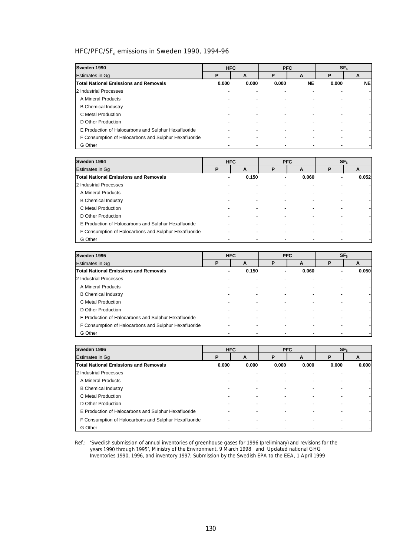# HFC/PFC/SF<sub>6</sub> emissions in Sweden 1990, 1994-96

| Sweden 1990                                           |       | <b>HFC</b> |       | <b>PFC</b> |       | SF <sub>6</sub> |
|-------------------------------------------------------|-------|------------|-------|------------|-------|-----------------|
| Estimates in Gq                                       | Р     | A          | P     | A          | Р     | A               |
| <b>Total National Emissions and Removals</b>          | 0.000 | 0.000      | 0.000 | <b>NE</b>  | 0.000 | <b>NE</b>       |
| 2 Industrial Processes                                |       |            |       |            |       |                 |
| A Mineral Products                                    |       |            |       |            |       |                 |
| <b>B</b> Chemical Industry                            |       |            |       |            |       |                 |
| C Metal Production                                    |       |            |       |            |       |                 |
| D Other Production                                    |       |            |       |            |       |                 |
| E Production of Halocarbons and Sulphur Hexafluoride  |       |            |       |            |       |                 |
| F Consumption of Halocarbons and Sulphur Hexafluoride |       |            |       |            |       |                 |
| G Other                                               |       |            |       |            |       |                 |

| Sweden 1994                                           |   | <b>HFC</b> |   | <b>PFC</b> | SF <sub>6</sub> |       |
|-------------------------------------------------------|---|------------|---|------------|-----------------|-------|
| Estimates in Gg                                       | P | A          | P | A          | Р               | A     |
| <b>Total National Emissions and Removals</b>          |   | 0.150      |   | 0.060      |                 | 0.052 |
| 2 Industrial Processes                                |   |            |   |            |                 |       |
| A Mineral Products                                    |   |            |   |            |                 |       |
| <b>B</b> Chemical Industry                            |   |            |   |            |                 |       |
| C Metal Production                                    |   |            |   |            |                 |       |
| D Other Production                                    |   |            |   |            |                 |       |
| E Production of Halocarbons and Sulphur Hexafluoride  |   |            |   |            |                 |       |
| F Consumption of Halocarbons and Sulphur Hexafluoride |   |            |   |            |                 |       |
| G Other                                               |   |            |   |            |                 |       |

| Sweden 1995                                           | <b>HFC</b> |       |   | <b>PFC</b> | SF <sub>6</sub> |       |
|-------------------------------------------------------|------------|-------|---|------------|-----------------|-------|
| Estimates in Gq                                       | P          | A     | P | A          | D               | A     |
| <b>Total National Emissions and Removals</b>          |            | 0.150 |   | 0.060      |                 | 0.050 |
| 2 Industrial Processes                                |            |       |   |            |                 |       |
| A Mineral Products                                    |            |       |   |            |                 |       |
| <b>B</b> Chemical Industry                            |            |       |   |            |                 |       |
| C Metal Production                                    |            |       |   |            |                 |       |
| D Other Production                                    |            |       |   |            |                 |       |
| E Production of Halocarbons and Sulphur Hexafluoride  |            |       |   |            |                 |       |
| F Consumption of Halocarbons and Sulphur Hexafluoride |            |       |   |            |                 |       |
| G Other                                               |            |       |   |            |                 |       |

| Sweden 1996                                           |       | <b>HFC</b> | <b>PFC</b>               |       |       | SF <sub>6</sub> |
|-------------------------------------------------------|-------|------------|--------------------------|-------|-------|-----------------|
| Estimates in Gq                                       | P     | A          | P                        | A     | Р     | A               |
| <b>Total National Emissions and Removals</b>          | 0.000 | 0.000      | 0.000                    | 0.000 | 0.000 | 0.000           |
| 2 Industrial Processes                                |       |            |                          |       |       |                 |
| A Mineral Products                                    |       |            | $\overline{\phantom{a}}$ |       |       |                 |
| <b>B</b> Chemical Industry                            |       |            |                          |       |       |                 |
| C Metal Production                                    |       |            |                          |       |       |                 |
| D Other Production                                    |       |            |                          |       |       |                 |
| E Production of Halocarbons and Sulphur Hexafluoride  |       |            | $\overline{\phantom{a}}$ |       |       |                 |
| F Consumption of Halocarbons and Sulphur Hexafluoride |       |            |                          |       |       |                 |
| G Other                                               |       |            |                          |       |       |                 |

Ref.: *'Swedish submission of annual inventories of greenhouse gases for 1996 (preliminary) and revisions for the years 1990 through 1995'*, Ministry of the Environment, 9 March 1998 and Updated national GHG Inventories 1990, 1996, and inventory 1997; Submission by the Swedish EPA to the EEA, 1 April 1999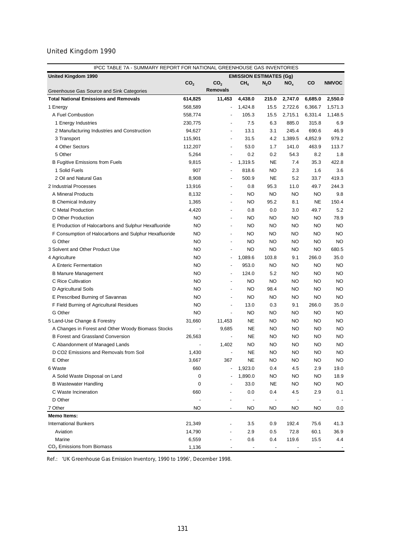| IPCC TABLE 7A - SUMMARY REPORT FOR NATIONAL GREENHOUSE GAS INVENTORIES |                          |                          |                                |           |                 |           |              |  |
|------------------------------------------------------------------------|--------------------------|--------------------------|--------------------------------|-----------|-----------------|-----------|--------------|--|
| <b>United Kingdom 1990</b>                                             |                          |                          | <b>EMISSION ESTIMATES (Gg)</b> |           |                 |           |              |  |
|                                                                        | CO <sub>2</sub>          | CO <sub>2</sub>          | CH <sub>4</sub>                | $N_2$ O   | NO <sub>x</sub> | CO        | <b>NMVOC</b> |  |
| Greenhouse Gas Source and Sink Categories                              |                          | <b>Removals</b>          |                                |           |                 |           |              |  |
| <b>Total National Emissions and Removals</b>                           | 614,825                  | 11,453                   | 4,438.0                        | 215.0     | 2,747.0         | 6,685.0   | 2,550.0      |  |
| 1 Energy                                                               | 568,589                  | $\overline{\phantom{a}}$ | 1,424.8                        | 15.5      | 2,722.6         | 6,366.7   | 1,571.3      |  |
| A Fuel Combustion                                                      | 558,774                  | $\overline{\phantom{a}}$ | 105.3                          | 15.5      | 2,715.1         | 6,331.4   | 1,148.5      |  |
| 1 Energy Industries                                                    | 230,775                  | $\overline{\phantom{a}}$ | 7.5                            | 6.3       | 885.0           | 315.8     | 6.9          |  |
| 2 Manufacturing Industries and Construction                            | 94,627                   | $\overline{a}$           | 13.1                           | 3.1       | 245.4           | 690.6     | 46.9         |  |
| 3 Transport                                                            | 115,901                  | $\overline{a}$           | 31.5                           | 4.2       | 1,389.5         | 4,852.9   | 979.2        |  |
| 4 Other Sectors                                                        | 112,207                  | $\overline{a}$           | 53.0                           | 1.7       | 141.0           | 463.9     | 113.7        |  |
| 5 Other                                                                | 5,264                    | $\overline{\phantom{a}}$ | 0.2                            | 0.2       | 54.3            | 8.2       | 1.8          |  |
| <b>B Fugitive Emissions from Fuels</b>                                 | 9,815                    | $\overline{\phantom{a}}$ | 1,319.5                        | <b>NE</b> | 7.4             | 35.3      | 422.8        |  |
| 1 Solid Fuels                                                          | 907                      |                          | 818.6                          | NO        | 2.3             | 1.6       | 3.6          |  |
| 2 Oil and Natural Gas                                                  | 8,908                    | ÷,                       | 500.9                          | <b>NE</b> | 5.2             | 33.7      | 419.3        |  |
| 2 Industrial Processes                                                 | 13,916                   | $\overline{a}$           | 0.8                            | 95.3      | 11.0            | 49.7      | 244.3        |  |
| A Mineral Products                                                     | 8,132                    | $\overline{a}$           | NO                             | NO.       | NO.             | NO        | 9.8          |  |
| <b>B</b> Chemical Industry                                             | 1,365                    | $\overline{a}$           | ΝO                             | 95.2      | 8.1             | <b>NE</b> | 150.4        |  |
| C Metal Production                                                     | 4,420                    | $\overline{a}$           | 0.8                            | 0.0       | 3.0             | 49.7      | 5.2          |  |
| D Other Production                                                     | NO.                      | $\overline{a}$           | NO                             | <b>NO</b> | NO.             | NO.       | 78.9         |  |
| E Production of Halocarbons and Sulphur Hexafluoride                   | NO.                      | $\overline{a}$           | NO                             | <b>NO</b> | NO.             | NO        | <b>NO</b>    |  |
| F Consumption of Halocarbons and Sulphur Hexafluoride                  | NO.                      | $\overline{a}$           | NO.                            | <b>NO</b> | NO.             | <b>NO</b> | <b>NO</b>    |  |
| G Other                                                                | NO.                      | $\overline{a}$           | NO.                            | <b>NO</b> | NO.             | NO        | <b>NO</b>    |  |
| 3 Solvent and Other Product Use                                        | NO.                      | $\overline{\phantom{a}}$ | NO.                            | NO.       | NO.             | NO        | 680.5        |  |
| 4 Agriculture                                                          | NO.                      | $\overline{\phantom{a}}$ | 1,089.6                        | 103.8     | 9.1             | 266.0     | 35.0         |  |
| A Enteric Fermentation                                                 | NO.                      | $\overline{\phantom{a}}$ | 953.0                          | NO        | NO.             | NO        | <b>NO</b>    |  |
| <b>B Manure Management</b>                                             | NO.                      | ÷,                       | 124.0                          | 5.2       | NO.             | NO        | <b>NO</b>    |  |
| C Rice Cultivation                                                     | NO.                      | $\overline{a}$           | NO                             | NO        | NO.             | NO        | <b>NO</b>    |  |
| D Agricultural Soils                                                   | NO.                      | ÷,                       | NO                             | 98.4      | NO.             | NO        | <b>NO</b>    |  |
| E Prescribed Burning of Savannas                                       | <b>NO</b>                | $\overline{a}$           | NO                             | NO        | NO.             | NO        | <b>NO</b>    |  |
| F Field Burning of Agricultural Residues                               | NO.                      | $\overline{a}$           | 13.0                           | 0.3       | 9.1             | 266.0     | 35.0         |  |
| G Other                                                                | NO.                      | ÷,                       | NO                             | NO        | NO.             | NO        | <b>NO</b>    |  |
| 5 Land-Use Change & Forestry                                           | 31,660                   | 11,453                   | <b>NE</b>                      | NO        | NO.             | NO        | <b>NO</b>    |  |
| A Changes in Forest and Other Woody Biomass Stocks                     | $\overline{\phantom{m}}$ | 9,685                    | <b>NE</b>                      | <b>NO</b> | NO.             | NO.       | <b>NO</b>    |  |
| <b>B Forest and Grassland Conversion</b>                               | 26,563                   |                          | <b>NE</b>                      | <b>NO</b> | NO.             | NO        | <b>NO</b>    |  |
| C Abandonment of Managed Lands                                         |                          | 1,402                    | NO.                            | <b>NO</b> | NO              | NO        | <b>NO</b>    |  |
| D CO2 Emissions and Removals from Soil                                 | 1,430                    | $\overline{a}$           | <b>NE</b>                      | <b>NO</b> | NO              | <b>NO</b> | <b>NO</b>    |  |
| E Other                                                                | 3,667                    | 367                      | <b>NE</b>                      | <b>NO</b> | <b>NO</b>       | <b>NO</b> | <b>NO</b>    |  |
| 6 Waste                                                                | 660                      | ÷,                       | 1,923.0                        | 0.4       | 4.5             | 2.9       | 19.0         |  |
| A Solid Waste Disposal on Land                                         | 0                        |                          | 1,890.0                        | NO        | NO              | <b>NO</b> | 18.9         |  |
| <b>B Wastewater Handling</b>                                           | 0                        |                          | 33.0                           | NE        | NO              | NO        | NO           |  |
| C Waste Incineration                                                   | 660                      |                          | 0.0                            | 0.4       | 4.5             | 2.9       | 0.1          |  |
| D Other                                                                |                          |                          |                                |           |                 |           |              |  |
| 7 Other                                                                | <b>NO</b>                | $\overline{\phantom{a}}$ | ΝO                             | NO        | NO              | ΝO        | 0.0          |  |
| <b>Memo Items:</b>                                                     |                          |                          |                                |           |                 |           |              |  |
| <b>International Bunkers</b>                                           | 21,349                   |                          | 3.5                            | 0.9       | 192.4           | 75.6      | 41.3         |  |
| Aviation                                                               | 14,790                   | $\overline{a}$           | 2.9                            | 0.5       | 72.8            | 60.1      | 36.9         |  |
| Marine                                                                 | 6,559                    |                          | 0.6                            | 0.4       | 119.6           | 15.5      | 4.4          |  |
| CO <sub>2</sub> Emissions from Biomass                                 | 1,136                    |                          |                                |           |                 |           |              |  |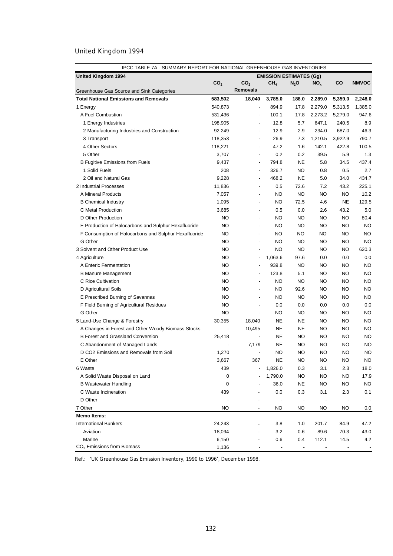| IPCC TABLE 7A - SUMMARY REPORT FOR NATIONAL GREENHOUSE GAS INVENTORIES |                 |                              |                                |                              |                 |           |              |  |  |
|------------------------------------------------------------------------|-----------------|------------------------------|--------------------------------|------------------------------|-----------------|-----------|--------------|--|--|
| <b>United Kingdom 1994</b>                                             |                 |                              | <b>EMISSION ESTIMATES (Gg)</b> |                              |                 |           |              |  |  |
|                                                                        | CO <sub>2</sub> | CO <sub>2</sub>              | CH <sub>4</sub>                | $N_2$ O                      | NO <sub>x</sub> | CO        | <b>NMVOC</b> |  |  |
| Greenhouse Gas Source and Sink Categories                              |                 | <b>Removals</b>              |                                |                              |                 |           |              |  |  |
| <b>Total National Emissions and Removals</b>                           | 583,502         | 18,040                       | 3,785.0                        | 188.0                        | 2,289.0         | 5,359.0   | 2,248.0      |  |  |
| 1 Energy                                                               | 540,873         | $\overline{a}$               | 894.9                          | 17.8                         | 2,279.0         | 5,313.5   | 1,385.0      |  |  |
| A Fuel Combustion                                                      | 531,436         |                              | 100.1                          | 17.8                         | 2,273.2         | 5,279.0   | 947.6        |  |  |
| 1 Energy Industries                                                    | 198,905         | $\overline{a}$               | 12.8                           | 5.7                          | 647.1           | 240.5     | 8.9          |  |  |
| 2 Manufacturing Industries and Construction                            | 92,249          | $\overline{\phantom{a}}$     | 12.9                           | 2.9                          | 234.0           | 687.0     | 46.3         |  |  |
| 3 Transport                                                            | 118,353         | $\overline{\phantom{a}}$     | 26.9                           | 7.3                          | 1,210.5         | 3,922.9   | 790.7        |  |  |
| 4 Other Sectors                                                        | 118,221         | $\overline{\phantom{a}}$     | 47.2                           | 1.6                          | 142.1           | 422.8     | 100.5        |  |  |
| 5 Other                                                                | 3,707           | $\blacksquare$               | 0.2                            | 0.2                          | 39.5            | 5.9       | 1.3          |  |  |
| <b>B Fugitive Emissions from Fuels</b>                                 | 9,437           | $\overline{\phantom{a}}$     | 794.8                          | <b>NE</b>                    | 5.8             | 34.5      | 437.4        |  |  |
| 1 Solid Fuels                                                          | 208             | $\overline{\phantom{a}}$     | 326.7                          | <b>NO</b>                    | 0.8             | 0.5       | 2.7          |  |  |
| 2 Oil and Natural Gas                                                  | 9,228           | $\blacksquare$               | 468.2                          | <b>NE</b>                    | 5.0             | 34.0      | 434.7        |  |  |
| 2 Industrial Processes                                                 | 11,836          | $\overline{\phantom{a}}$     | 0.5                            | 72.6                         | 7.2             | 43.2      | 225.1        |  |  |
| A Mineral Products                                                     | 7,057           | $\overline{\phantom{a}}$     | NO                             | NO                           | NO.             | <b>NO</b> | 10.2         |  |  |
| <b>B</b> Chemical Industry                                             | 1,095           | $\overline{\phantom{a}}$     | NO                             | 72.5                         | 4.6             | <b>NE</b> | 129.5        |  |  |
| C Metal Production                                                     | 3,685           | $\overline{\phantom{a}}$     | 0.5                            | 0.0                          | 2.6             | 43.2      | 5.0          |  |  |
| D Other Production                                                     | <b>NO</b>       | $\overline{\phantom{a}}$     | NO                             | NO                           | NO              | <b>NO</b> | 80.4         |  |  |
| E Production of Halocarbons and Sulphur Hexafluoride                   | <b>NO</b>       | $\overline{\phantom{a}}$     | NO                             | NO                           | NO              | <b>NO</b> | <b>NO</b>    |  |  |
| F Consumption of Halocarbons and Sulphur Hexafluoride                  | <b>NO</b>       | $\overline{\phantom{a}}$     | NO                             | NO                           | NO              | <b>NO</b> | <b>NO</b>    |  |  |
| G Other                                                                | <b>NO</b>       | $\blacksquare$               | NO                             | <b>NO</b>                    | NO              | <b>NO</b> | <b>NO</b>    |  |  |
| 3 Solvent and Other Product Use                                        | <b>NO</b>       | $\blacksquare$               | NO                             | NO                           | NO              | <b>NO</b> | 620.3        |  |  |
| 4 Agriculture                                                          | <b>NO</b>       | $\overline{\phantom{a}}$     | 1,063.6                        | 97.6                         | 0.0             | 0.0       | 0.0          |  |  |
| A Enteric Fermentation                                                 | <b>NO</b>       |                              | 939.8                          | <b>NO</b>                    | NO              | NO        | <b>NO</b>    |  |  |
| <b>B Manure Management</b>                                             | <b>NO</b>       | $\blacksquare$               | 123.8                          | 5.1                          | NO              | <b>NO</b> | <b>NO</b>    |  |  |
| C Rice Cultivation                                                     | <b>NO</b>       | $\blacksquare$               | NO                             | <b>NO</b>                    | NO              | NO        | <b>NO</b>    |  |  |
| D Agricultural Soils                                                   | <b>NO</b>       | $\blacksquare$               | NO                             | 92.6                         | NO              | <b>NO</b> | <b>NO</b>    |  |  |
| E Prescribed Burning of Savannas                                       | <b>NO</b>       | $\overline{\phantom{a}}$     | <b>NO</b>                      | <b>NO</b>                    | NO              | <b>NO</b> | <b>NO</b>    |  |  |
| F Field Burning of Agricultural Residues                               | <b>NO</b>       | $\blacksquare$               | 0.0                            | 0.0                          | 0.0             | 0.0       | 0.0          |  |  |
| G Other                                                                | <b>NO</b>       | $\overline{\phantom{a}}$     | NO                             | <b>NO</b>                    | NO              | NO        | <b>NO</b>    |  |  |
| 5 Land-Use Change & Forestry                                           | 30,355          | 18,040                       | <b>NE</b>                      | NE                           | NO              | <b>NO</b> | <b>NO</b>    |  |  |
| A Changes in Forest and Other Woody Biomass Stocks                     | $\overline{a}$  | 10,495                       | <b>NE</b>                      | <b>NE</b>                    | NO              | NO        | <b>NO</b>    |  |  |
| <b>B Forest and Grassland Conversion</b>                               | 25,418          | $\overline{a}$               | <b>NE</b>                      | NO                           | NO              | NO        | <b>NO</b>    |  |  |
| C Abandonment of Managed Lands                                         |                 | 7,179                        | <b>NE</b>                      | <b>NO</b>                    | NO              | NO        | <b>NO</b>    |  |  |
| D CO2 Emissions and Removals from Soil                                 | 1,270           |                              | <b>NO</b>                      | <b>NO</b>                    | NO              | <b>NO</b> | <b>NO</b>    |  |  |
| E Other                                                                | 3,667           | 367                          | <b>NE</b>                      | <b>NO</b>                    | <b>NO</b>       | <b>NO</b> | <b>NO</b>    |  |  |
| 6 Waste                                                                | 439             |                              | 1,826.0                        | 0.3                          | 3.1             | 2.3       | 18.0         |  |  |
| A Solid Waste Disposal on Land                                         | $\mathbf 0$     |                              | 1,790.0                        | NO                           | <b>NO</b>       | NO        | 17.9         |  |  |
| <b>B Wastewater Handling</b>                                           | 0               |                              | 36.0                           | NE                           | ΝO              | NO        | NO           |  |  |
| C Waste Incineration                                                   | 439             |                              | 0.0                            | 0.3                          | 3.1             | 2.3       | 0.1          |  |  |
| D Other                                                                |                 |                              |                                | $\qquad \qquad \blacksquare$ |                 |           |              |  |  |
| 7 Other                                                                | <b>NO</b>       | $\qquad \qquad \blacksquare$ | NO                             | <b>NO</b>                    | ΝO              | NO        | 0.0          |  |  |
| <b>Memo Items:</b>                                                     |                 |                              |                                |                              |                 |           |              |  |  |
| <b>International Bunkers</b>                                           | 24,243          |                              | 3.8                            | 1.0                          | 201.7           | 84.9      | 47.2         |  |  |
| Aviation                                                               | 18,094          |                              | 3.2                            | 0.6                          | 89.6            | 70.3      | 43.0         |  |  |
| Marine                                                                 | 6,150           |                              | 0.6                            | 0.4                          | 112.1           | 14.5      | 4.2          |  |  |
| CO <sub>2</sub> Emissions from Biomass                                 | 1,136           |                              |                                |                              |                 |           |              |  |  |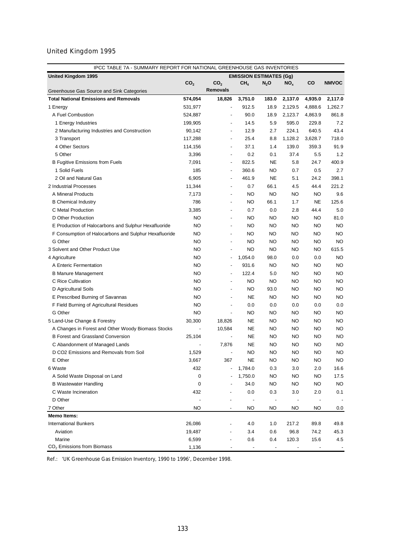| IPCC TABLE 7A - SUMMARY REPORT FOR NATIONAL GREENHOUSE GAS INVENTORIES |                 |                          |                                |           |           |           |              |
|------------------------------------------------------------------------|-----------------|--------------------------|--------------------------------|-----------|-----------|-----------|--------------|
| United Kingdom 1995                                                    |                 |                          | <b>EMISSION ESTIMATES (Gg)</b> |           |           |           |              |
|                                                                        | CO <sub>2</sub> | CO <sub>2</sub>          | CH <sub>4</sub>                | $N_2$ O   | $NO_{x}$  | CO        | <b>NMVOC</b> |
| Greenhouse Gas Source and Sink Categories                              |                 | <b>Removals</b>          |                                |           |           |           |              |
| <b>Total National Emissions and Removals</b>                           | 574,054         | 18,826                   | 3,751.0                        | 183.0     | 2,137.0   | 4,935.0   | 2,117.0      |
| 1 Energy                                                               | 531,977         | $\overline{a}$           | 912.5                          | 18.9      | 2,129.5   | 4,888.6   | 1,262.7      |
| A Fuel Combustion                                                      | 524,887         | $\overline{\phantom{a}}$ | 90.0                           | 18.9      | 2,123.7   | 4,863.9   | 861.8        |
| 1 Energy Industries                                                    | 199,905         | $\overline{\phantom{a}}$ | 14.5                           | 5.9       | 595.0     | 229.8     | 7.2          |
| 2 Manufacturing Industries and Construction                            | 90,142          | $\overline{\phantom{a}}$ | 12.9                           | 2.7       | 224.1     | 640.5     | 43.4         |
| 3 Transport                                                            | 117,288         | $\overline{\phantom{a}}$ | 25.4                           | 8.8       | 1,128.2   | 3,628.7   | 718.0        |
| 4 Other Sectors                                                        | 114,156         | $\overline{\phantom{a}}$ | 37.1                           | 1.4       | 139.0     | 359.3     | 91.9         |
| 5 Other                                                                | 3,396           | $\overline{\phantom{a}}$ | 0.2                            | 0.1       | 37.4      | 5.5       | 1.2          |
| <b>B Fugitive Emissions from Fuels</b>                                 | 7,091           | $\overline{\phantom{a}}$ | 822.5                          | <b>NE</b> | 5.8       | 24.7      | 400.9        |
| 1 Solid Fuels                                                          | 185             | $\overline{\phantom{a}}$ | 360.6                          | <b>NO</b> | 0.7       | 0.5       | 2.7          |
| 2 Oil and Natural Gas                                                  | 6,905           | $\overline{\phantom{a}}$ | 461.9                          | <b>NE</b> | 5.1       | 24.2      | 398.1        |
| 2 Industrial Processes                                                 | 11,344          | $\overline{\phantom{a}}$ | 0.7                            | 66.1      | 4.5       | 44.4      | 221.2        |
| A Mineral Products                                                     | 7,173           | $\overline{\phantom{a}}$ | <b>NO</b>                      | <b>NO</b> | NO        | <b>NO</b> | 9.6          |
| <b>B</b> Chemical Industry                                             | 786             | $\overline{a}$           | NO                             | 66.1      | 1.7       | NE        | 125.6        |
| C Metal Production                                                     | 3,385           | $\overline{\phantom{a}}$ | 0.7                            | 0.0       | 2.8       | 44.4      | 5.0          |
| D Other Production                                                     | NO              | $\overline{\phantom{a}}$ | <b>NO</b>                      | NO        | NO        | <b>NO</b> | 81.0         |
| E Production of Halocarbons and Sulphur Hexafluoride                   | NO              | $\overline{\phantom{a}}$ | <b>NO</b>                      | NO        | <b>NO</b> | <b>NO</b> | <b>NO</b>    |
| F Consumption of Halocarbons and Sulphur Hexafluoride                  | NO              | $\blacksquare$           | NO                             | <b>NO</b> | NO.       | <b>NO</b> | <b>NO</b>    |
| G Other                                                                | NO              | $\overline{\phantom{a}}$ | <b>NO</b>                      | <b>NO</b> | <b>NO</b> | NO        | <b>NO</b>    |
| 3 Solvent and Other Product Use                                        | NO              | $\overline{\phantom{a}}$ | <b>NO</b>                      | NO        | NO        | NO        | 615.5        |
| 4 Agriculture                                                          | NO              | $\overline{\phantom{a}}$ | 1,054.0                        | 98.0      | 0.0       | 0.0       | <b>NO</b>    |
| A Enteric Fermentation                                                 | NO              |                          | 931.6                          | NO        | <b>NO</b> | NO        | <b>NO</b>    |
| <b>B Manure Management</b>                                             | NO              | $\overline{\phantom{a}}$ | 122.4                          | 5.0       | <b>NO</b> | NO        | <b>NO</b>    |
| C Rice Cultivation                                                     | NO              |                          | <b>NO</b>                      | <b>NO</b> | <b>NO</b> | NO        | <b>NO</b>    |
| D Agricultural Soils                                                   | NO              |                          | NO                             | 93.0      | <b>NO</b> | NO        | <b>NO</b>    |
| E Prescribed Burning of Savannas                                       | <b>NO</b>       |                          | <b>NE</b>                      | NO        | NO        | NO        | <b>NO</b>    |
| F Field Burning of Agricultural Residues                               | <b>NO</b>       | ÷,                       | 0.0                            | 0.0       | 0.0       | 0.0       | 0.0          |
| G Other                                                                | <b>NO</b>       |                          | <b>NO</b>                      | <b>NO</b> | NO        | NO        | <b>NO</b>    |
| 5 Land-Use Change & Forestry                                           | 30,300          | 18,826                   | <b>NE</b>                      | NO        | <b>NO</b> | NO        | <b>NO</b>    |
| A Changes in Forest and Other Woody Biomass Stocks                     |                 | 10,584                   | <b>NE</b>                      | NO        | <b>NO</b> | NO        | <b>NO</b>    |
| <b>B Forest and Grassland Conversion</b>                               | 25,104          |                          | <b>NE</b>                      | NO        | <b>NO</b> | NO        | <b>NO</b>    |
| C Abandonment of Managed Lands                                         |                 | 7,876                    | <b>NE</b>                      | NO        | NO        | NO        | <b>NO</b>    |
| D CO2 Emissions and Removals from Soil                                 | 1,529           |                          | NO                             | <b>NO</b> | <b>NO</b> | NO        | <b>NO</b>    |
|                                                                        |                 |                          |                                |           |           |           |              |
| E Other                                                                | 3,667           | 367<br>$\overline{a}$    | <b>NE</b><br>1,784.0           | NO        | NO        | ΝO        | NO           |
| 6 Waste                                                                | 432             |                          |                                | 0.3       | 3.0       | 2.0       | 16.6         |
| A Solid Waste Disposal on Land                                         | 0               |                          | 1,750.0                        | <b>NO</b> | NO        | ΝO        | 17.5         |
| <b>B</b> Wastewater Handling                                           | 0               |                          | 34.0                           | NO        | NO        | NO        | <b>NO</b>    |
| C Waste Incineration                                                   | 432             |                          | 0.0                            | 0.3       | 3.0       | 2.0       | 0.1          |
| D Other                                                                |                 |                          |                                |           |           |           |              |
| 7 Other                                                                | <b>NO</b>       | $\frac{1}{2}$            | ΝO                             | NO        | NO        | NO        | 0.0          |
| <b>Memo Items:</b>                                                     |                 |                          |                                |           |           |           |              |
| <b>International Bunkers</b>                                           | 26,086          |                          | 4.0                            | 1.0       | 217.2     | 89.8      | 49.8         |
| Aviation                                                               | 19,487          |                          | 3.4                            | 0.6       | 96.8      | 74.2      | 45.3         |
| Marine                                                                 | 6,599           |                          | 0.6                            | 0.4       | 120.3     | 15.6      | 4.5          |
| $CO2$ Emissions from Biomass                                           | 1,136           |                          |                                |           |           |           |              |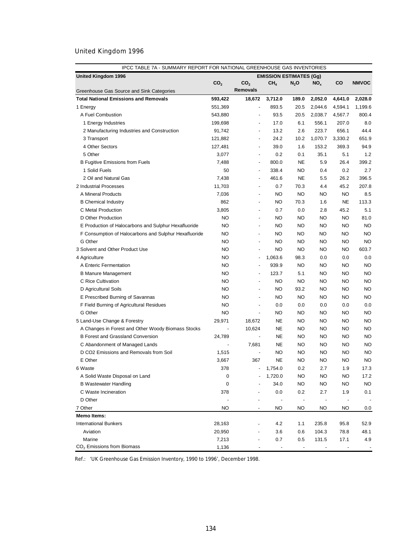| IPCC TABLE 7A - SUMMARY REPORT FOR NATIONAL GREENHOUSE GAS INVENTORIES |                 |                              |                                |                              |                 |           |              |  |  |
|------------------------------------------------------------------------|-----------------|------------------------------|--------------------------------|------------------------------|-----------------|-----------|--------------|--|--|
| <b>United Kingdom 1996</b>                                             |                 |                              | <b>EMISSION ESTIMATES (Gg)</b> |                              |                 |           |              |  |  |
|                                                                        | CO <sub>2</sub> | CO <sub>2</sub>              | CH <sub>4</sub>                | $N_2$ O                      | NO <sub>x</sub> | CO        | <b>NMVOC</b> |  |  |
| Greenhouse Gas Source and Sink Categories                              |                 | <b>Removals</b>              |                                |                              |                 |           |              |  |  |
| <b>Total National Emissions and Removals</b>                           | 593,422         | 18,672                       | 3,712.0                        | 189.0                        | 2,052.0         | 4,641.0   | 2,028.0      |  |  |
| 1 Energy                                                               | 551,369         | $\overline{a}$               | 893.5                          | 20.5                         | 2,044.6         | 4,594.1   | 1,199.6      |  |  |
| A Fuel Combustion                                                      | 543,880         |                              | 93.5                           | 20.5                         | 2,038.7         | 4,567.7   | 800.4        |  |  |
| 1 Energy Industries                                                    | 199,698         | $\overline{\phantom{a}}$     | 17.0                           | 6.1                          | 556.1           | 207.0     | 8.0          |  |  |
| 2 Manufacturing Industries and Construction                            | 91,742          | $\overline{\phantom{a}}$     | 13.2                           | 2.6                          | 223.7           | 656.1     | 44.4         |  |  |
| 3 Transport                                                            | 121,882         | $\overline{\phantom{a}}$     | 24.2                           | 10.2                         | 1,070.7         | 3,330.2   | 651.9        |  |  |
| 4 Other Sectors                                                        | 127,481         | $\overline{\phantom{a}}$     | 39.0                           | 1.6                          | 153.2           | 369.3     | 94.9         |  |  |
| 5 Other                                                                | 3,077           | $\overline{\phantom{a}}$     | 0.2                            | 0.1                          | 35.1            | 5.1       | 1.2          |  |  |
| <b>B Fugitive Emissions from Fuels</b>                                 | 7,488           | $\overline{\phantom{a}}$     | 800.0                          | <b>NE</b>                    | 5.9             | 26.4      | 399.2        |  |  |
| 1 Solid Fuels                                                          | 50              | $\overline{\phantom{a}}$     | 338.4                          | <b>NO</b>                    | 0.4             | 0.2       | 2.7          |  |  |
| 2 Oil and Natural Gas                                                  | 7,438           | $\overline{\phantom{a}}$     | 461.6                          | <b>NE</b>                    | 5.5             | 26.2      | 396.5        |  |  |
| 2 Industrial Processes                                                 | 11,703          | $\overline{\phantom{a}}$     | 0.7                            | 70.3                         | 4.4             | 45.2      | 207.8        |  |  |
| A Mineral Products                                                     | 7,036           | $\overline{\phantom{a}}$     | NO                             | NO                           | NO.             | <b>NO</b> | 8.5          |  |  |
| <b>B</b> Chemical Industry                                             | 862             | $\overline{\phantom{a}}$     | NO                             | 70.3                         | 1.6             | <b>NE</b> | 113.3        |  |  |
| C Metal Production                                                     | 3,805           | $\overline{\phantom{a}}$     | 0.7                            | 0.0                          | 2.8             | 45.2      | 5.1          |  |  |
| D Other Production                                                     | <b>NO</b>       | $\overline{\phantom{a}}$     | NO                             | NO                           | NO              | NO        | 81.0         |  |  |
| E Production of Halocarbons and Sulphur Hexafluoride                   | <b>NO</b>       | $\overline{\phantom{a}}$     | NO                             | NO                           | NO              | <b>NO</b> | <b>NO</b>    |  |  |
| F Consumption of Halocarbons and Sulphur Hexafluoride                  | <b>NO</b>       | $\overline{\phantom{a}}$     | NO                             | NO                           | NO              | <b>NO</b> | <b>NO</b>    |  |  |
| G Other                                                                | <b>NO</b>       | $\blacksquare$               | NO                             | <b>NO</b>                    | NO              | <b>NO</b> | <b>NO</b>    |  |  |
| 3 Solvent and Other Product Use                                        | <b>NO</b>       | $\blacksquare$               | NO                             | <b>NO</b>                    | NO              | <b>NO</b> | 603.7        |  |  |
| 4 Agriculture                                                          | <b>NO</b>       | $\overline{\phantom{a}}$     | 1,063.6                        | 98.3                         | 0.0             | 0.0       | 0.0          |  |  |
| A Enteric Fermentation                                                 | <b>NO</b>       |                              | 939.9                          | <b>NO</b>                    | NO              | NO        | <b>NO</b>    |  |  |
| <b>B Manure Management</b>                                             | <b>NO</b>       | $\overline{a}$               | 123.7                          | 5.1                          | NO              | <b>NO</b> | <b>NO</b>    |  |  |
| C Rice Cultivation                                                     | <b>NO</b>       | $\blacksquare$               | NO                             | <b>NO</b>                    | NO              | NO        | <b>NO</b>    |  |  |
| D Agricultural Soils                                                   | <b>NO</b>       | $\blacksquare$               | NO                             | 93.2                         | NO              | <b>NO</b> | <b>NO</b>    |  |  |
| E Prescribed Burning of Savannas                                       | <b>NO</b>       | $\overline{a}$               | <b>NO</b>                      | <b>NO</b>                    | NO              | <b>NO</b> | <b>NO</b>    |  |  |
| F Field Burning of Agricultural Residues                               | <b>NO</b>       | $\blacksquare$               | 0.0                            | 0.0                          | 0.0             | 0.0       | 0.0          |  |  |
| G Other                                                                | <b>NO</b>       | ÷,                           | NO                             | <b>NO</b>                    | NO              | NO        | <b>NO</b>    |  |  |
| 5 Land-Use Change & Forestry                                           | 29,971          | 18,672                       | <b>NE</b>                      | <b>NO</b>                    | NO              | NO        | <b>NO</b>    |  |  |
| A Changes in Forest and Other Woody Biomass Stocks                     | $\overline{a}$  | 10,624                       | <b>NE</b>                      | <b>NO</b>                    | NO              | NO        | <b>NO</b>    |  |  |
| <b>B Forest and Grassland Conversion</b>                               | 24,789          | $\overline{a}$               | <b>NE</b>                      | <b>NO</b>                    | NO              | NO        | <b>NO</b>    |  |  |
| C Abandonment of Managed Lands                                         |                 | 7,681                        | <b>NE</b>                      | NO                           | NO              | NO        | <b>NO</b>    |  |  |
| D CO2 Emissions and Removals from Soil                                 | 1,515           |                              | <b>NO</b>                      | <b>NO</b>                    | NO              | <b>NO</b> | <b>NO</b>    |  |  |
| E Other                                                                | 3,667           |                              | <b>NE</b>                      | <b>NO</b>                    | <b>NO</b>       | <b>NO</b> | <b>NO</b>    |  |  |
| 6 Waste                                                                | 378             | 367                          | 1,754.0                        | 0.2                          | 2.7             | 1.9       |              |  |  |
|                                                                        |                 |                              |                                |                              |                 |           | 17.3         |  |  |
| A Solid Waste Disposal on Land                                         | 0               |                              | 1,720.0                        | NO                           | <b>NO</b>       | NO        | 17.2         |  |  |
| <b>B Wastewater Handling</b>                                           | 0               |                              | 34.0                           | NO                           | ΝO              | NO        | NO           |  |  |
| C Waste Incineration<br>D Other                                        | 378             |                              | 0.0                            | 0.2                          | 2.7             | 1.9       | 0.1          |  |  |
|                                                                        |                 |                              |                                | $\qquad \qquad \blacksquare$ |                 |           |              |  |  |
| 7 Other                                                                | <b>NO</b>       | $\qquad \qquad \blacksquare$ | NO                             | NO                           | ΝO              | NO        | 0.0          |  |  |
| <b>Memo Items:</b>                                                     |                 |                              |                                |                              |                 |           |              |  |  |
| <b>International Bunkers</b>                                           | 28,163          |                              | 4.2                            | 1.1                          | 235.8           | 95.8      | 52.9         |  |  |
| Aviation                                                               | 20,950          |                              | 3.6                            | 0.6                          | 104.3           | 78.8      | 48.1         |  |  |
| Marine<br>CO <sub>2</sub> Emissions from Biomass                       | 7,213           |                              | 0.7                            | 0.5                          | 131.5           | 17.1      | 4.9          |  |  |
|                                                                        | 1,136           |                              |                                |                              |                 |           |              |  |  |